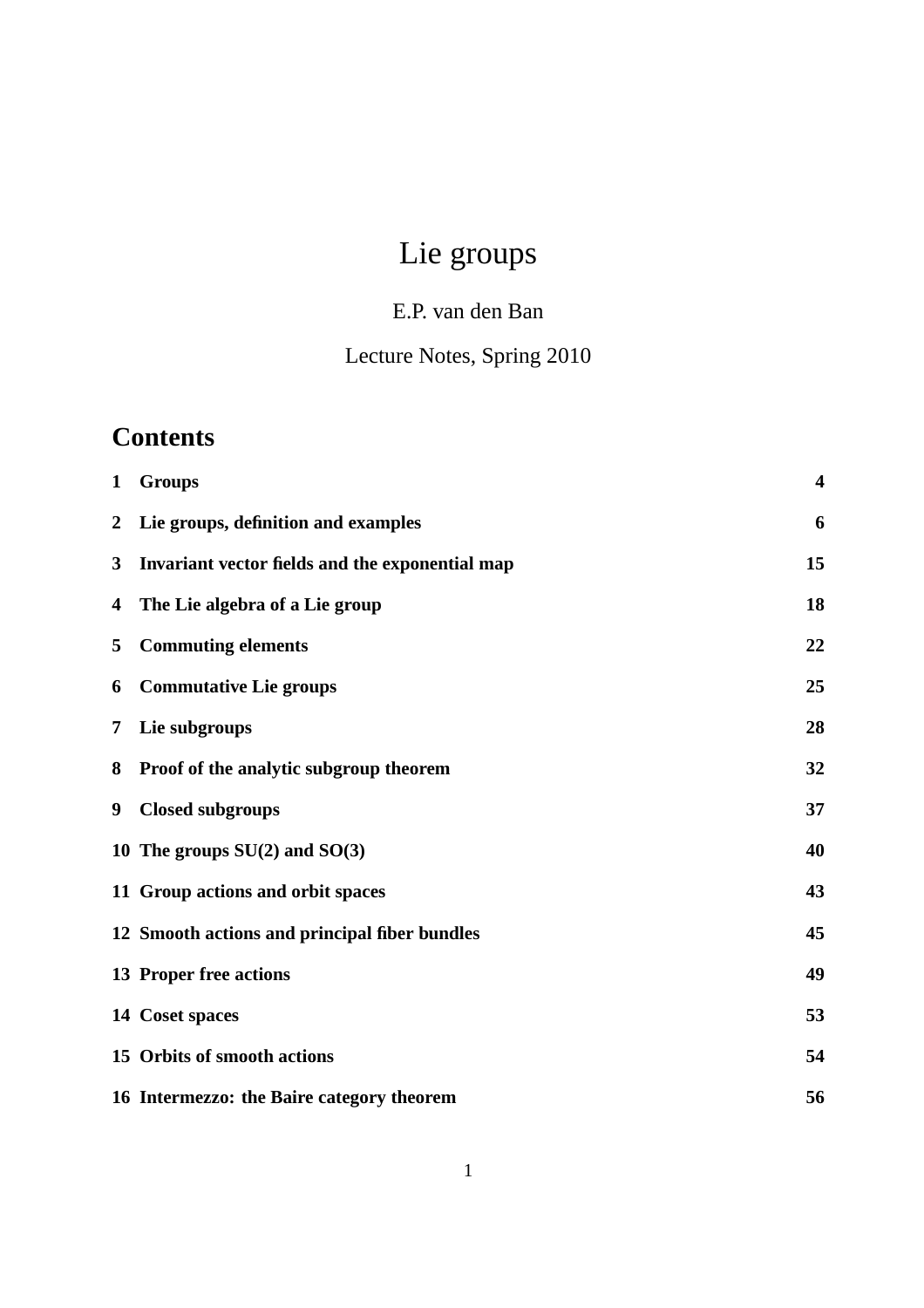# Lie groups

## E.P. van den Ban

## Lecture Notes, Spring 2010

## **Contents**

| $\mathbf{1}$   | <b>Groups</b>                                   | $\overline{\mathbf{4}}$ |
|----------------|-------------------------------------------------|-------------------------|
| $\overline{2}$ | Lie groups, definition and examples             | 6                       |
| 3              | Invariant vector fields and the exponential map | 15                      |
| 4              | The Lie algebra of a Lie group                  | 18                      |
| 5              | <b>Commuting elements</b>                       | 22                      |
| 6              | <b>Commutative Lie groups</b>                   | 25                      |
| 7              | Lie subgroups                                   | 28                      |
| 8              | Proof of the analytic subgroup theorem          | 32                      |
| 9              | <b>Closed subgroups</b>                         | 37                      |
|                | 10 The groups $SU(2)$ and $SO(3)$               | 40                      |
|                | 11 Group actions and orbit spaces               | 43                      |
|                | 12 Smooth actions and principal fiber bundles   | 45                      |
|                | 13 Proper free actions                          | 49                      |
|                | 14 Coset spaces                                 | 53                      |
|                | 15 Orbits of smooth actions                     | 54                      |
|                | 16 Intermezzo: the Baire category theorem       | 56                      |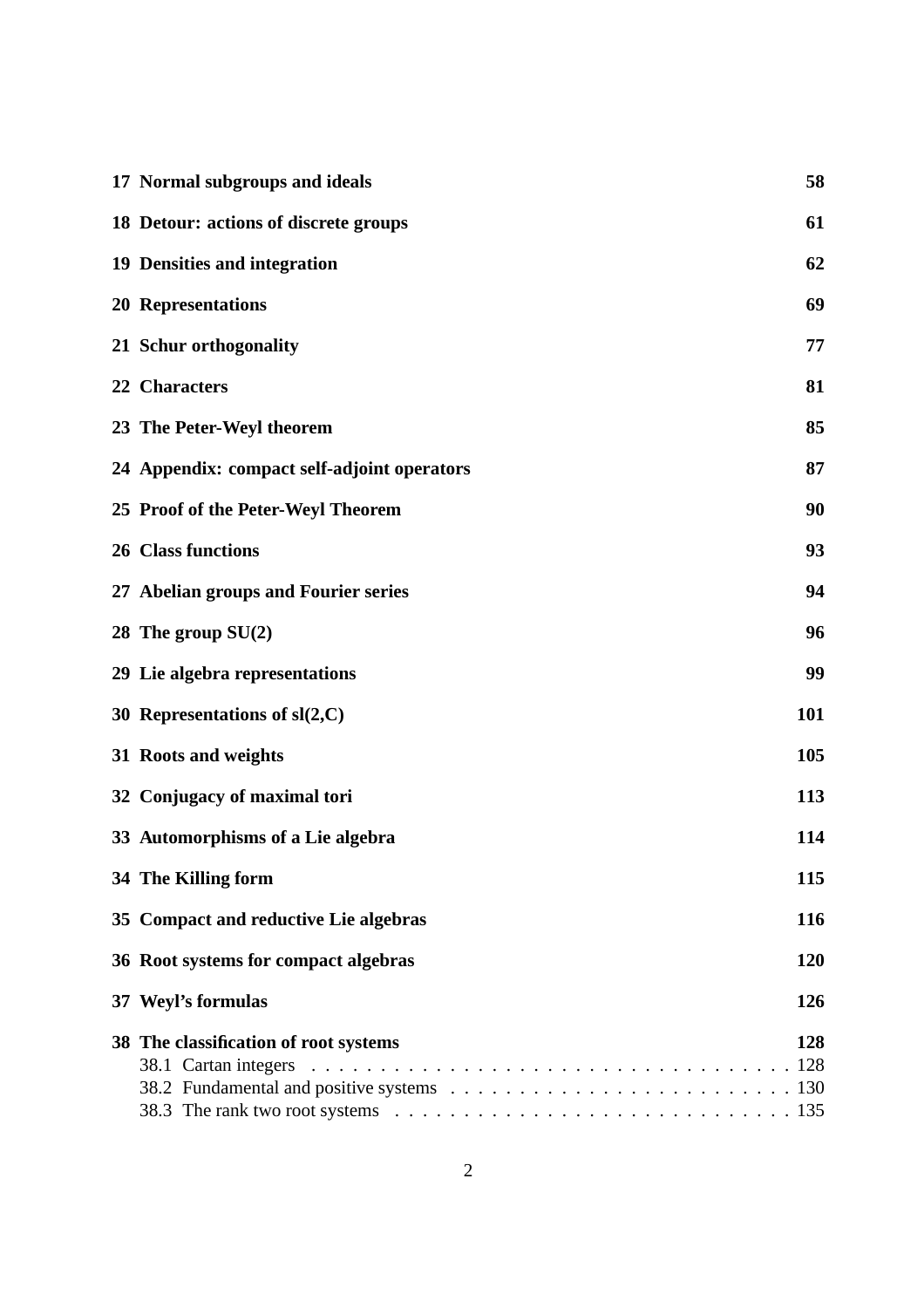| 17 Normal subgroups and ideals                                                                                                                             | 58         |
|------------------------------------------------------------------------------------------------------------------------------------------------------------|------------|
| 18 Detour: actions of discrete groups                                                                                                                      | 61         |
| 19 Densities and integration                                                                                                                               | 62         |
| <b>20 Representations</b>                                                                                                                                  | 69         |
| 21 Schur orthogonality                                                                                                                                     | 77         |
| 22 Characters                                                                                                                                              | 81         |
| 23 The Peter-Weyl theorem                                                                                                                                  | 85         |
| 24 Appendix: compact self-adjoint operators                                                                                                                | 87         |
| 25 Proof of the Peter-Weyl Theorem                                                                                                                         | 90         |
| <b>26 Class functions</b>                                                                                                                                  | 93         |
| 27 Abelian groups and Fourier series                                                                                                                       | 94         |
| 28 The group $SU(2)$                                                                                                                                       | 96         |
| 29 Lie algebra representations                                                                                                                             | 99         |
| 30 Representations of $sl(2, C)$                                                                                                                           | 101        |
| 31 Roots and weights                                                                                                                                       | 105        |
| 32 Conjugacy of maximal tori                                                                                                                               | 113        |
| 33 Automorphisms of a Lie algebra                                                                                                                          | 114        |
| 34 The Killing form                                                                                                                                        | 115        |
| 35 Compact and reductive Lie algebras                                                                                                                      | 116        |
| 36 Root systems for compact algebras                                                                                                                       | 120        |
| 37 Weyl's formulas                                                                                                                                         | 126        |
| 38 The classification of root systems<br>38.3 The rank two root systems $\ldots \ldots \ldots \ldots \ldots \ldots \ldots \ldots \ldots \ldots \ldots 135$ | 128<br>128 |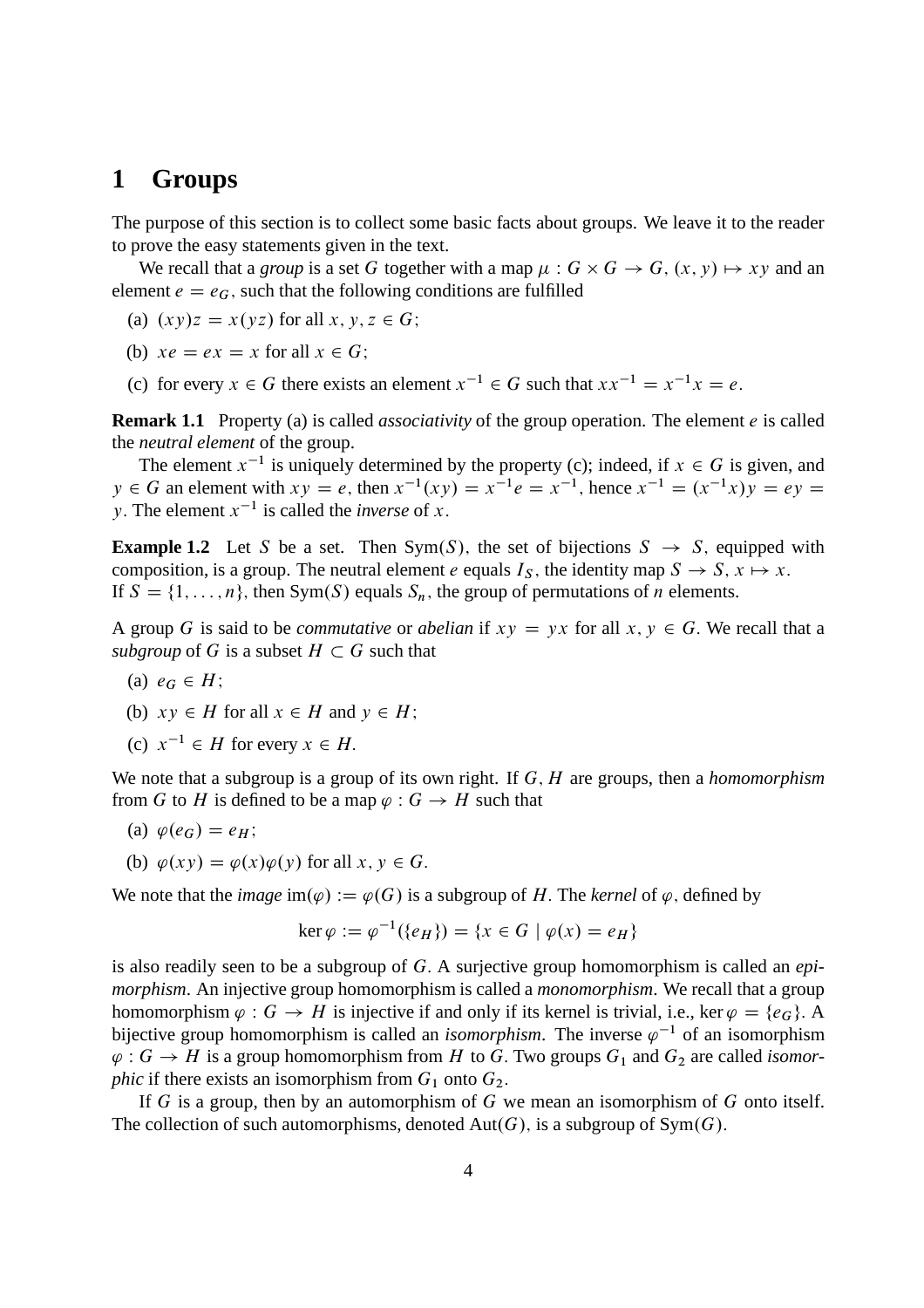#### **1 Groups**

The purpose of this section is to collect some basic facts about groups. We leave it to the reader to prove the easy statements given in the text.

We recall that a *group* is a set G together with a map  $\mu$ :  $G \times G \rightarrow G$ ,  $(x, y) \mapsto xy$  and an element  $e = e_G$ , such that the following conditions are fulfilled

- (a)  $(xy)z = x(yz)$  for all  $x, y, z \in G$ ;
- (b)  $xe = ex = x$  for all  $x \in G$ :
- (c) for every  $x \in G$  there exists an element  $x^{-1} \in G$  such that  $xx^{-1} = x^{-1}x = e$ .

**Remark 1.1** Property (a) is called *associativity* of the group operation. The element *e* is called the *neutral element* of the group.

The element  $x^{-1}$  is uniquely determined by the property (c); indeed, if  $x \in G$  is given, and  $y \in G$  an element with  $xy = e$ , then  $x^{-1}(xy) = x^{-1}e = x^{-1}$ , hence  $x^{-1} = (x^{-1}x)y = ey =$ y. The element  $x^{-1}$  is called the *inverse* of x.

**Example 1.2** Let S be a set. Then Sym(S), the set of bijections  $S \rightarrow S$ , equipped with composition, is a group. The neutral element e equals  $I_S$ , the identity map  $S \to S$ ,  $x \mapsto x$ . If  $S = \{1, \ldots, n\}$ , then Sym(S) equals  $S_n$ , the group of permutations of n elements.

A group G is said to be *commutative* or *abelian* if  $xy = yx$  for all  $x, y \in G$ . We recall that a *subgroup* of G is a subset  $H \subset G$  such that

- (a)  $e_G \in H$ ;
- (b)  $xy \in H$  for all  $x \in H$  and  $y \in H$ ;
- (c)  $x^{-1} \in H$  for every  $x \in H$ .

We note that a subgroup is a group of its own right. If G, H are groups, then a *homomorphism* from G to H is defined to be a map  $\varphi : G \to H$  such that

- (a)  $\varphi(e_G) = e_H$ ;
- (b)  $\varphi(xy) = \varphi(x)\varphi(y)$  for all  $x, y \in G$ .

We note that the *image*  $\text{im}(\varphi) := \varphi(G)$  is a subgroup of H. The *kernel* of  $\varphi$ , defined by

$$
\ker \varphi := \varphi^{-1}(\{e_H\}) = \{x \in G \mid \varphi(x) = e_H\}
$$

is also readily seen to be a subgroup of G: A surjective group homomorphism is called an *epimorphism*. An injective group homomorphism is called a *monomorphism*. We recall that a group homomorphism  $\varphi : G \to H$  is injective if and only if its kernel is trivial, i.e., ker  $\varphi = \{e_G\}$ . A bijective group homomorphism is called an *isomorphism*. The inverse  $\varphi^{-1}$  of an isomorphism  $\varphi: G \to H$  is a group homomorphism from H to G. Two groups  $G_1$  and  $G_2$  are called *isomorphic* if there exists an isomorphism from  $G_1$  onto  $G_2$ .

If G is a group, then by an automorphism of G we mean an isomorphism of G onto itself. The collection of such automorphisms, denoted  $Aut(G)$ , is a subgroup of Sym $(G)$ .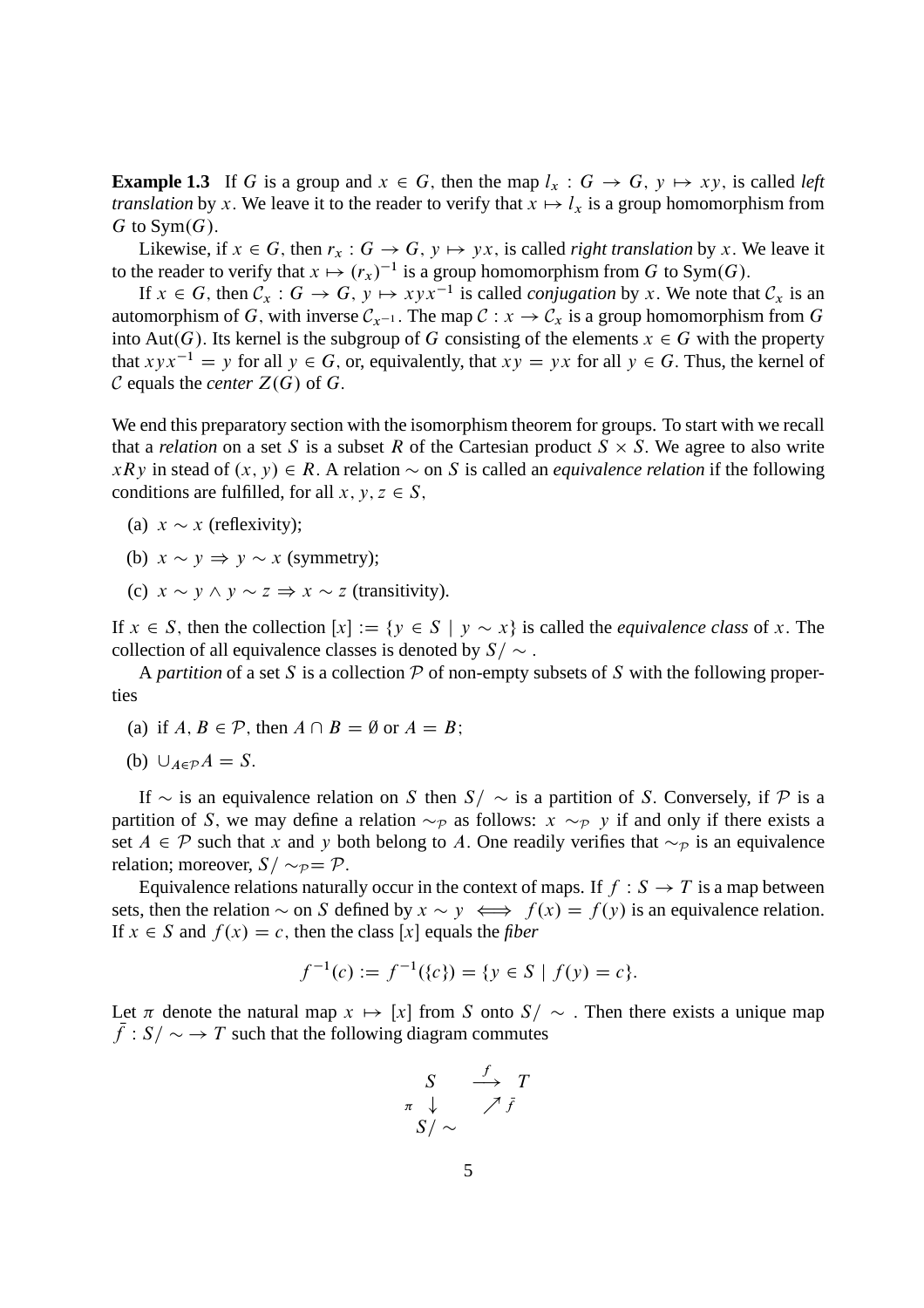**Example 1.3** If G is a group and  $x \in G$ , then the map  $l_x : G \to G$ ,  $y \mapsto xy$ , is called *left translation* by x. We leave it to the reader to verify that  $x \mapsto l_x$  is a group homomorphism from G to Sym $(G)$ .

Likewise, if  $x \in G$ , then  $r_x : G \to G$ ,  $y \mapsto yx$ , is called *right translation* by x. We leave it to the reader to verify that  $x \mapsto (r_x)^{-1}$  is a group homomorphism from G to Sym(G).

If  $x \in G$ , then  $C_x : G \to G$ ,  $y \mapsto xyx^{-1}$  is called *conjugation* by x. We note that  $C_x$  is an automorphism of G, with inverse  $\mathcal{C}_{r-1}$ . The map  $\mathcal{C}: x \to \mathcal{C}_x$  is a group homomorphism from G into Aut(G). Its kernel is the subgroup of G consisting of the elements  $x \in G$  with the property that  $xyx^{-1} = y$  for all  $y \in G$ , or, equivalently, that  $xy = yx$  for all  $y \in G$ . Thus, the kernel of  $\mathcal C$  equals the *center*  $Z(G)$  of  $G$ .

We end this preparatory section with the isomorphism theorem for groups. To start with we recall that a *relation* on a set S is a subset R of the Cartesian product  $S \times S$ . We agree to also write  $xRy$  in stead of  $(x, y) \in R$ . A relation  $\sim$  on S is called an *equivalence relation* if the following conditions are fulfilled, for all  $x, y, z \in S$ ,

- (a)  $x \sim x$  (reflexivity);
- (b)  $x \sim y \Rightarrow y \sim x$  (symmetry);
- (c)  $x \sim y \land y \sim z \Rightarrow x \sim z$  (transitivity).

If  $x \in S$ , then the collection  $[x] := \{y \in S \mid y \sim x\}$  is called the *equivalence class* of x. The collection of all equivalence classes is denoted by  $S/\sim$ .

A *partition* of a set S is a collection  $P$  of non-empty subsets of S with the following properties

- (a) if  $A, B \in \mathcal{P}$ , then  $A \cap B = \emptyset$  or  $A = B$ ;
- (b)  $\bigcup_{A \in \mathcal{P}} A = S.$

If  $\sim$  is an equivalence relation on S then  $S/\sim$  is a partition of S. Conversely, if P is a partition of S, we may define a relation  $\sim_{\mathcal{P}}$  as follows:  $x \sim_{\mathcal{P}} y$  if and only if there exists a set  $A \in \mathcal{P}$  such that x and y both belong to A. One readily verifies that  $\sim_{\mathcal{P}}$  is an equivalence relation; moreover,  $S/\sim_p = \mathcal{P}$ .

Equivalence relations naturally occur in the context of maps. If  $f : S \to T$  is a map between sets, then the relation  $\sim$  on S defined by  $x \sim y \iff f(x) = f(y)$  is an equivalence relation. If  $x \in S$  and  $f(x) = c$ , then the class [x] equals the *fiber* 

$$
f^{-1}(c) := f^{-1}(\{c\}) = \{y \in S \mid f(y) = c\}.
$$

Let  $\pi$  denote the natural map  $x \mapsto [x]$  from S onto  $S/\sim$ . Then there exists a unique map  $f: S/\sim \rightarrow T$  such that the following diagram commutes

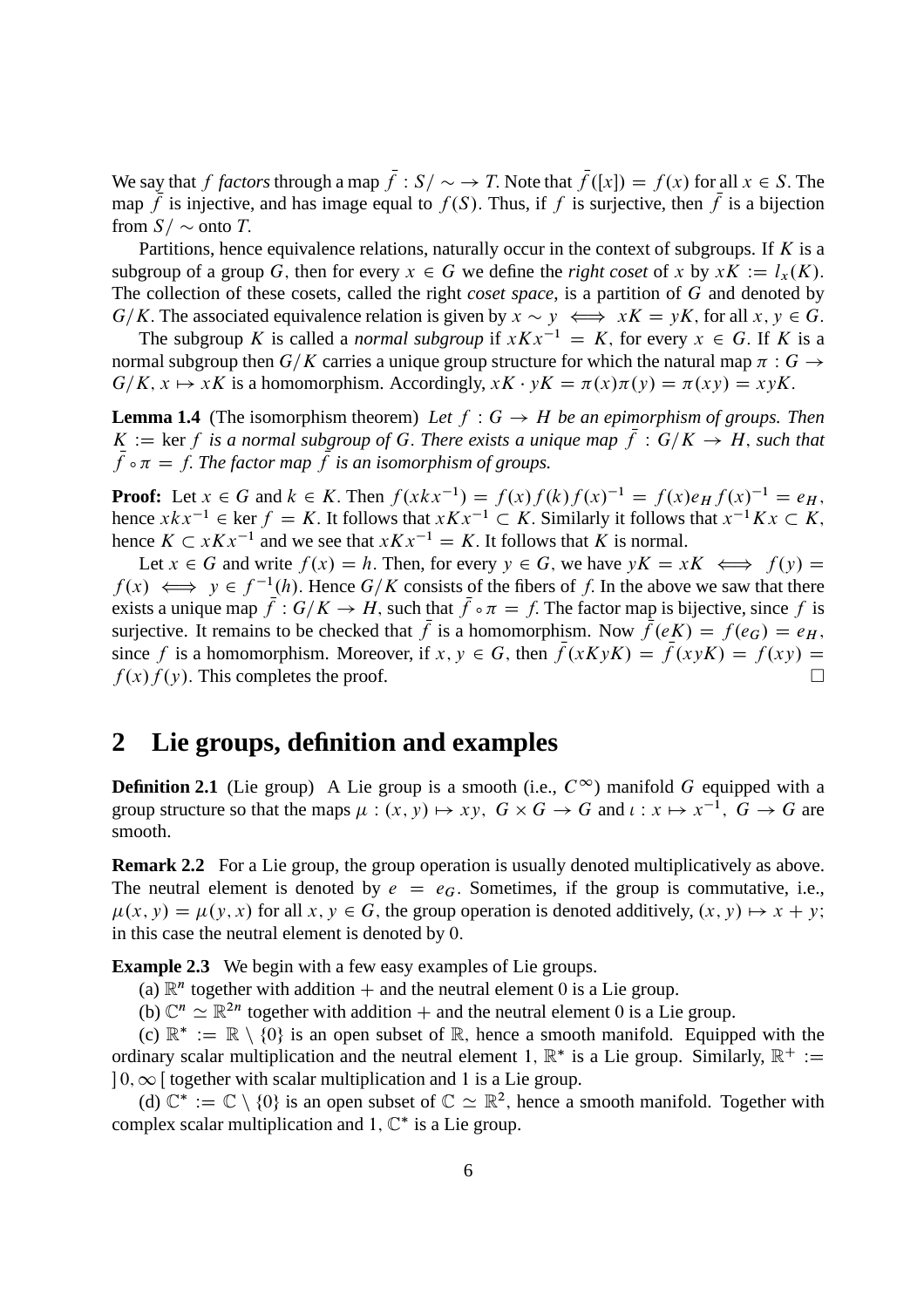We say that f *factors* through a map  $f: S \rightarrow T$ . Note that  $f([x]) = f(x)$  for all  $x \in S$ . The map f is injective, and has image equal to  $f(S)$ . Thus, if f is surjective, then f is a bijection from  $S/\sim$  onto T.

Partitions, hence equivalence relations, naturally occur in the context of subgroups. If  $K$  is a subgroup of a group G, then for every  $x \in G$  we define the *right coset* of x by  $xK := l_x(K)$ . The collection of these cosets, called the right *coset space*, is a partition of G and denoted by  $G/K$ . The associated equivalence relation is given by  $x \sim y \iff xK = yK$ , for all  $x, y \in G$ .

The subgroup K is called a *normal subgroup* if  $xKx^{-1} = K$ , for every  $x \in G$ . If K is a normal subgroup then  $G/K$  carries a unique group structure for which the natural map  $\pi : G \rightarrow$  $G/K$ ,  $x \mapsto xK$  is a homomorphism. Accordingly,  $xK \cdot yK = \pi(x)\pi(y) = \pi(xy) = xyK$ .

**Lemma 1.4** (The isomorphism theorem) Let  $f : G \rightarrow H$  be an epimorphism of groups. Then  $K := \ker f$  is a normal subgroup of G. There exists a unique map  $f: G/K \to H$ , such that  $f \circ \pi = f$ . The factor map  $f$  is an isomorphism of groups.

**Proof:** Let  $x \in G$  and  $k \in K$ . Then  $f(xkx^{-1}) = f(x)f(k)f(x)^{-1} = f(x)e_Hf(x)^{-1} = e_H$ , hence  $x k x^{-1} \in \text{ker } f = K$ . It follows that  $x K x^{-1} \subset K$ . Similarly it follows that  $x^{-1} K x \subset K$ , hence  $K \subset xKx^{-1}$  and we see that  $xKx^{-1} = K$ . It follows that K is normal.

Let  $x \in G$  and write  $f(x) = h$ . Then, for every  $y \in G$ , we have  $yK = xK \iff f(y) =$  $f(x) \iff y \in f^{-1}(h)$ . Hence  $G/K$  consists of the fibers of f. In the above we saw that there exists a unique map  $f: G/K \to H$ , such that  $f \circ \pi = f$ . The factor map is bijective, since f is surjective. It remains to be checked that f is a homomorphism. Now  $f(eK) = f(e_G) = e_H$ , since f is a homomorphism. Moreover, if  $x, y \in G$ , then  $\bar{f}(xKyK) = \bar{f}(xyK) = f(xy) = f(x)f(y)$ . This completes the proof.  $f(x) f(y)$ . This completes the proof.

#### **2 Lie groups, definition and examples**

**Definition 2.1** (Lie group) A Lie group is a smooth (i.e.,  $C^{\infty}$ ) manifold G equipped with a group structure so that the maps  $\mu : (x, y) \mapsto xy$ ,  $G \times G \rightarrow G$  and  $\iota : x \mapsto x^{-1}$ ,  $G \rightarrow G$  are smooth.

**Remark 2.2** For a Lie group, the group operation is usually denoted multiplicatively as above. The neutral element is denoted by  $e = e_G$ . Sometimes, if the group is commutative, i.e.,  $\mu(x, y) = \mu(y, x)$  for all  $x, y \in G$ , the group operation is denoted additively,  $(x, y) \mapsto x + y$ ; in this case the neutral element is denoted by 0:

**Example 2.3** We begin with a few easy examples of Lie groups.

(a)  $\mathbb{R}^n$  together with addition  $+$  and the neutral element 0 is a Lie group.

(b)  $\mathbb{C}^n \simeq \mathbb{R}^{2n}$  together with addition + and the neutral element 0 is a Lie group.

(c)  $\mathbb{R}^* := \mathbb{R} \setminus \{0\}$  is an open subset of  $\mathbb{R}$ , hence a smooth manifold. Equipped with the ordinary scalar multiplication and the neutral element 1,  $\mathbb{R}^*$  is a Lie group. Similarly,  $\mathbb{R}^+ :=$  $0, \infty$  [ together with scalar multiplication and 1 is a Lie group.

(d)  $\mathbb{C}^* := \mathbb{C} \setminus \{0\}$  is an open subset of  $\mathbb{C} \simeq \mathbb{R}^2$ , hence a smooth manifold. Together with complex scalar multiplication and  $1, \mathbb{C}^*$  is a Lie group.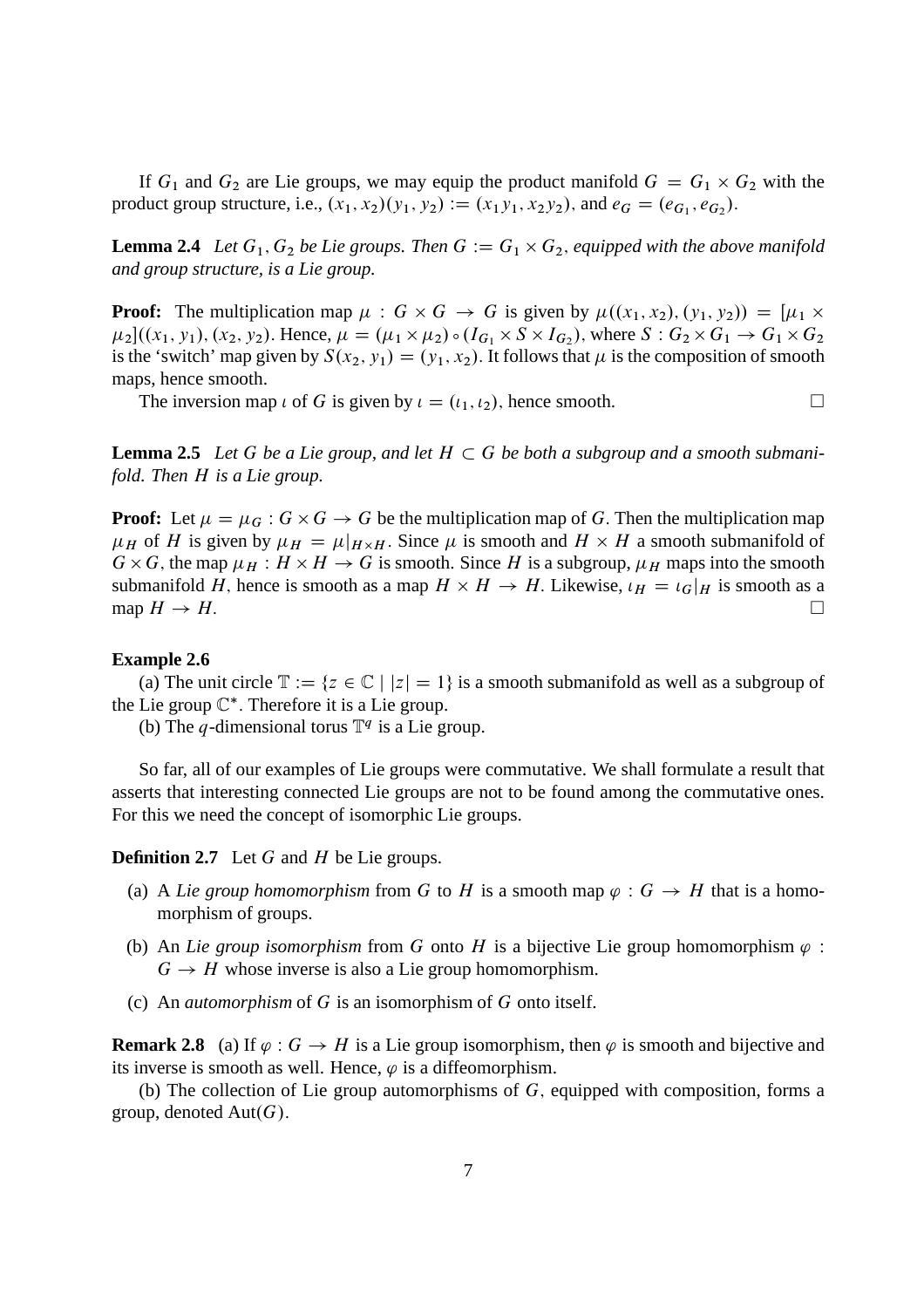If  $G_1$  and  $G_2$  are Lie groups, we may equip the product manifold  $G = G_1 \times G_2$  with the product group structure, i.e.,  $(x_1, x_2)(y_1, y_2) := (x_1y_1, x_2y_2)$ , and  $e_G = (e_{G_1}, e_{G_2})$ .

**Lemma 2.4** Let  $G_1, G_2$  be Lie groups. Then  $G := G_1 \times G_2$ , equipped with the above manifold *and group structure, is a Lie group.*

**Proof:** The multiplication map  $\mu$ :  $G \times G \rightarrow G$  is given by  $\mu((x_1, x_2), (y_1, y_2)) = [\mu_1 \times$  $\mu_2$ ]((x<sub>1</sub>, y<sub>1</sub>), (x<sub>2</sub>, y<sub>2</sub>). Hence,  $\mu = (\mu_1 \times \mu_2) \circ (I_{G_1} \times S \times I_{G_2})$ , where  $S : G_2 \times G_1 \to G_1 \times G_2$ is the 'switch' map given by  $S(x_2, y_1) = (y_1, x_2)$ . It follows that  $\mu$  is the composition of smooth maps, hence smooth.

The inversion map  $\iota$  of G is given by  $\iota = (\iota_1, \iota_2)$ , hence smooth.

**Lemma 2.5** Let G be a Lie group, and let  $H \subset G$  be both a subgroup and a smooth submani*fold. Then* H *is a Lie group.*

**Proof:** Let  $\mu = \mu_G : G \times G \to G$  be the multiplication map of G. Then the multiplication map  $\mu_H$  of H is given by  $\mu_H = \mu|_{H \times H}$ . Since  $\mu$  is smooth and  $H \times H$  a smooth submanifold of  $G \times G$ , the map  $\mu_H : H \times H \to G$  is smooth. Since H is a subgroup,  $\mu_H$  maps into the smooth submanifold H, hence is smooth as a map  $H \times H \to H$ . Likewise,  $\iota_H = \iota_G|_H$  is smooth as a map  $H \to H$ .

#### **Example 2.6**

(a) The unit circle  $\mathbb{T} := \{z \in \mathbb{C} \mid |z| = 1\}$  is a smooth submanifold as well as a subgroup of the Lie group  $\mathbb{C}^*$ . Therefore it is a Lie group.

(b) The q-dimensional torus  $\mathbb{T}^q$  is a Lie group.

So far, all of our examples of Lie groups were commutative. We shall formulate a result that asserts that interesting connected Lie groups are not to be found among the commutative ones. For this we need the concept of isomorphic Lie groups.

**Definition 2.7** Let G and H be Lie groups.

- (a) A *Lie group homomorphism* from G to H is a smooth map  $\varphi : G \to H$  that is a homomorphism of groups.
- (b) An *Lie group isomorphism* from G onto H is a bijective Lie group homomorphism  $\varphi$ :  $G \rightarrow H$  whose inverse is also a Lie group homomorphism.
- (c) An *automorphism* of G is an isomorphism of G onto itself.

**Remark 2.8** (a) If  $\varphi$  :  $G \to H$  is a Lie group isomorphism, then  $\varphi$  is smooth and bijective and its inverse is smooth as well. Hence,  $\varphi$  is a diffeomorphism.

(b) The collection of Lie group automorphisms of  $G$ , equipped with composition, forms a group, denoted  $Aut(G)$ .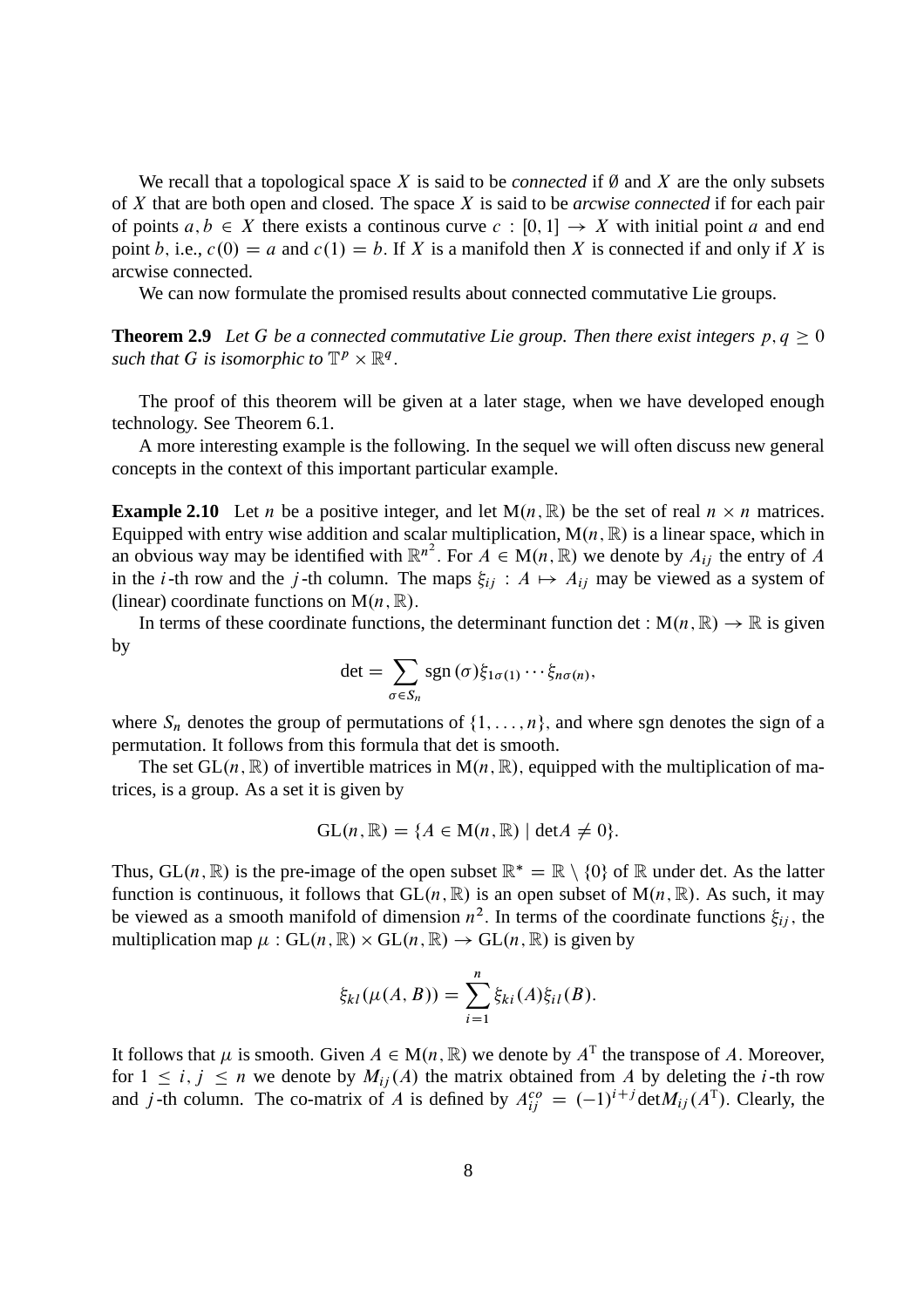We recall that a topological space  $X$  is said to be *connected* if  $\emptyset$  and  $X$  are the only subsets of X that are both open and closed. The space X is said to be *arcwise connected* if for each pair of points  $a, b \in X$  there exists a continous curve  $c : [0, 1] \rightarrow X$  with initial point a and end point b, i.e.,  $c(0) = a$  and  $c(1) = b$ . If X is a manifold then X is connected if and only if X is arcwise connected.

We can now formulate the promised results about connected commutative Lie groups.

**Theorem 2.9** Let G be a connected commutative Lie group. Then there exist integers  $p, q \ge 0$ such that G is isomorphic to  $\mathbb{T}^p \times \mathbb{R}^q$ .

The proof of this theorem will be given at a later stage, when we have developed enough technology. See Theorem 6.1.

A more interesting example is the following. In the sequel we will often discuss new general concepts in the context of this important particular example.

**Example 2.10** Let *n* be a positive integer, and let  $M(n, \mathbb{R})$  be the set of real  $n \times n$  matrices. Equipped with entry wise addition and scalar multiplication,  $M(n, \mathbb{R})$  is a linear space, which in an obvious way may be identified with  $\mathbb{R}^{n^2}$ . For  $A \in M(n, \mathbb{R})$  we denote by  $A_{ij}$  the entry of A in the *i*-th row and the *j*-th column. The maps  $\xi_{ii}$ :  $A \mapsto A_{ii}$  may be viewed as a system of (linear) coordinate functions on  $M(n, \mathbb{R})$ .

In terms of these coordinate functions, the determinant function det :  $M(n, \mathbb{R}) \to \mathbb{R}$  is given by

$$
\det = \sum_{\sigma \in S_n} \operatorname{sgn}(\sigma) \xi_{1\sigma(1)} \cdots \xi_{n\sigma(n)},
$$

where  $S_n$  denotes the group of permutations of  $\{1, \ldots, n\}$ , and where sgn denotes the sign of a permutation. It follows from this formula that det is smooth.

The set  $GL(n, \mathbb{R})$  of invertible matrices in  $M(n, \mathbb{R})$ , equipped with the multiplication of matrices, is a group. As a set it is given by

$$
GL(n, \mathbb{R}) = \{A \in M(n, \mathbb{R}) \mid \det A \neq 0\}.
$$

Thus, GL(n,  $\mathbb{R}$ ) is the pre-image of the open subset  $\mathbb{R}^* = \mathbb{R} \setminus \{0\}$  of  $\mathbb{R}$  under det. As the latter function is continuous, it follows that  $GL(n, \mathbb{R})$  is an open subset of  $M(n, \mathbb{R})$ . As such, it may be viewed as a smooth manifold of dimension  $n^2$ . In terms of the coordinate functions  $\xi_{ij}$ , the multiplication map  $\mu$ : GL $(n, \mathbb{R}) \times$  GL $(n, \mathbb{R}) \rightarrow$  GL $(n, \mathbb{R})$  is given by

$$
\xi_{kl}(\mu(A, B)) = \sum_{i=1}^{n} \xi_{ki}(A)\xi_{il}(B).
$$

It follows that  $\mu$  is smooth. Given  $A \in M(n, \mathbb{R})$  we denote by  $A^T$  the transpose of A. Moreover, for  $1 \le i, j \le n$  we denote by  $M_{ij}(A)$  the matrix obtained from A by deleting the i-th row and *j*-th column. The co-matrix of *A* is defined by  $A_{ij}^{co} = (-1)^{i+j} \text{det} M_{ij} (A^T)$ . Clearly, the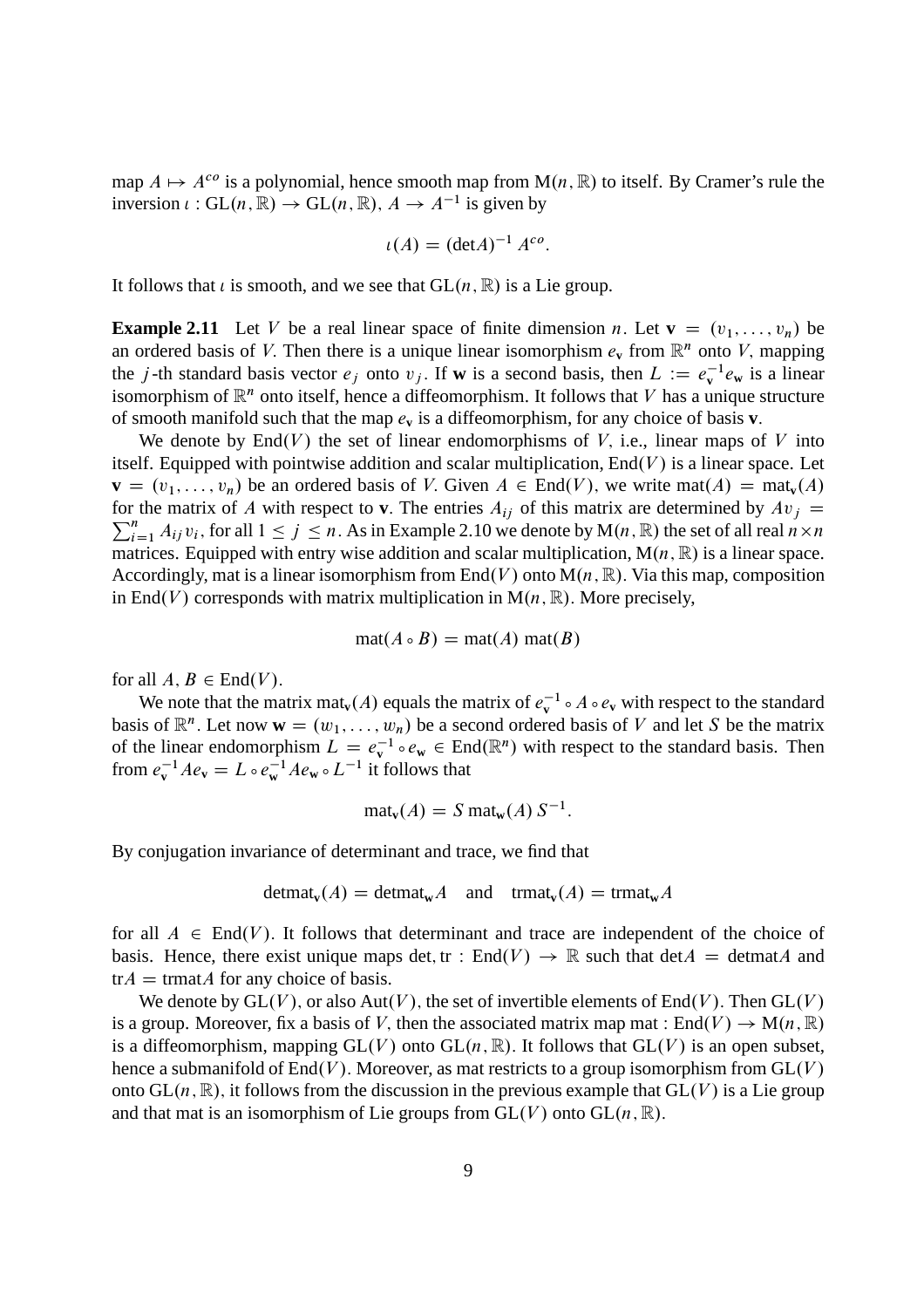map  $A \mapsto A^{co}$  is a polynomial, hence smooth map from  $M(n, \mathbb{R})$  to itself. By Cramer's rule the inversion  $\iota: GL(n, \mathbb{R}) \to GL(n, \mathbb{R})$ ,  $A \to A^{-1}$  is given by

$$
\iota(A) = (\det A)^{-1} A^{co}.
$$

It follows that *i* is smooth, and we see that  $GL(n, \mathbb{R})$  is a Lie group.

**Example 2.11** Let V be a real linear space of finite dimension n. Let  $\mathbf{v} = (v_1, \ldots, v_n)$  be an ordered basis of V. Then there is a unique linear isomorphism  $e_v$  from  $\mathbb{R}^n$  onto V, mapping the j-th standard basis vector  $e_j$  onto  $v_j$ . If **w** is a second basis, then  $L := e_v^{-1}e_w$  is a linear isomorphism of  $\mathbb{R}^n$  onto itself, hence a diffeomorphism. It follows that V has a unique structure of smooth manifold such that the map  $e_v$  is a diffeomorphism, for any choice of basis **v**.

We denote by  $End(V)$  the set of linear endomorphisms of V, i.e., linear maps of V into itself. Equipped with pointwise addition and scalar multiplication,  $End(V)$  is a linear space. Let  $\mathbf{v} = (v_1, \dots, v_n)$  be an ordered basis of V. Given  $A \in End(V)$ , we write mat $(A) = mat_v(A)$  $\sum_{i=1}^{n} A_{ij} v_i$ , for all  $1 \le j \le n$ . As in Example 2.10 we denote by  $M(n, \mathbb{R})$  the set of all real  $n \times n$ for the matrix of A with respect to **v**. The entries  $A_{ij}$  of this matrix are determined by  $Av_j =$ matrices. Equipped with entry wise addition and scalar multiplication,  $M(n, \mathbb{R})$  is a linear space. Accordingly, mat is a linear isomorphism from End $(V)$  onto  $M(n, \mathbb{R})$ . Via this map, composition in End(V) corresponds with matrix multiplication in  $M(n, \mathbb{R})$ . More precisely,

$$
\mathrm{mat}(A \circ B) = \mathrm{mat}(A) \mathrm{mat}(B)
$$

for all  $A, B \in End(V)$ .

We note that the matrix mat<sub>v</sub> $(A)$  equals the matrix of  $e_v^{-1} \circ A \circ e_v$  with respect to the standard basis of  $\mathbb{R}^n$ . Let now  $\mathbf{w} = (w_1, \dots, w_n)$  be a second ordered basis of V and let S be the matrix of the linear endomorphism  $L = e_v^{-1} \circ e_w \in \text{End}(\mathbb{R}^n)$  with respect to the standard basis. Then from  $e_{\mathbf{v}}^{-1}Ae_{\mathbf{v}} = L \circ e_{\mathbf{w}}^{-1}Ae_{\mathbf{w}} \circ L^{-1}$  it follows that

$$
\text{mat}_{\mathbf{v}}(A) = S \text{mat}_{\mathbf{w}}(A) S^{-1}.
$$

By conjugation invariance of determinant and trace, we find that

$$
detmat_v(A) = detmat_wA \text{ and } trmat_v(A) = trmat_wA
$$

for all  $A \in End(V)$ . It follows that determinant and trace are independent of the choice of basis. Hence, there exist unique maps det, tr :  $End(V) \rightarrow \mathbb{R}$  such that det $A = \text{detmat}A$  and  $tr A = tr \theta A$  for any choice of basis.

We denote by  $GL(V)$ , or also  $Aut(V)$ , the set of invertible elements of End(V). Then  $GL(V)$ is a group. Moreover, fix a basis of V, then the associated matrix map mat :  $End(V) \to M(n, \mathbb{R})$ is a diffeomorphism, mapping  $GL(V)$  onto  $GL(n, \mathbb{R})$ . It follows that  $GL(V)$  is an open subset, hence a submanifold of  $End(V)$ . Moreover, as mat restricts to a group isomorphism from  $GL(V)$ onto  $GL(n, \mathbb{R})$ , it follows from the discussion in the previous example that  $GL(V)$  is a Lie group and that mat is an isomorphism of Lie groups from  $GL(V)$  onto  $GL(n, \mathbb{R})$ .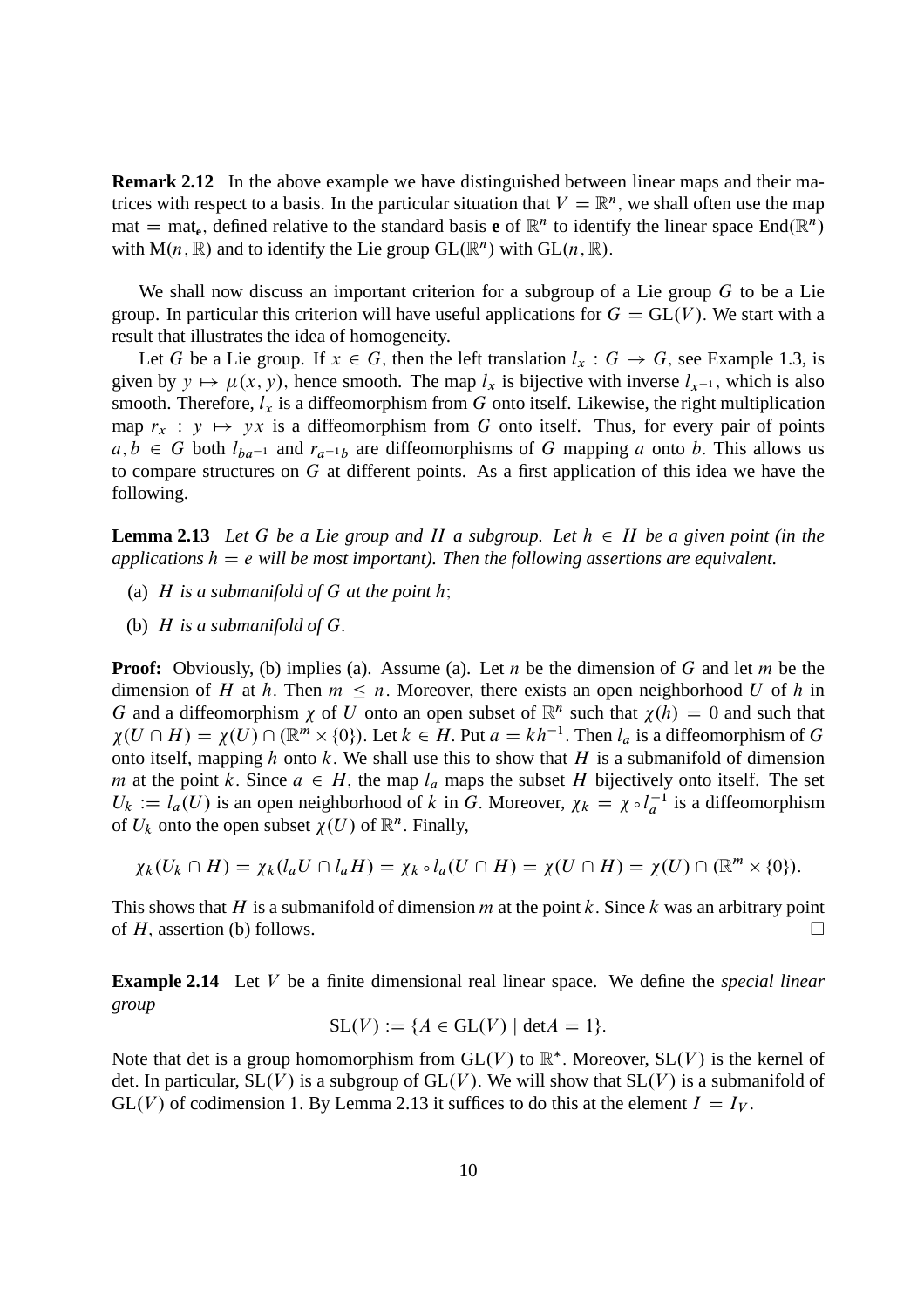**Remark 2.12** In the above example we have distinguished between linear maps and their matrices with respect to a basis. In the particular situation that  $V = \mathbb{R}^n$ , we shall often use the map mat = mat<sub>e</sub>, defined relative to the standard basis **e** of  $\mathbb{R}^n$  to identify the linear space End $(\mathbb{R}^n)$ with  $M(n, \mathbb{R})$  and to identify the Lie group  $GL(\mathbb{R}^n)$  with  $GL(n, \mathbb{R})$ .

We shall now discuss an important criterion for a subgroup of a Lie group  $G$  to be a Lie group. In particular this criterion will have useful applications for  $G = GL(V)$ . We start with a result that illustrates the idea of homogeneity.

Let G be a Lie group. If  $x \in G$ , then the left translation  $l_x : G \rightarrow G$ , see Example 1.3, is given by  $y \mapsto \mu(x, y)$ , hence smooth. The map  $l_x$  is bijective with inverse  $l_{x-1}$ , which is also smooth. Therefore,  $l_x$  is a diffeomorphism from G onto itself. Likewise, the right multiplication map  $r_x : y \mapsto yx$  is a diffeomorphism from G onto itself. Thus, for every pair of points  $a, b \in G$  both  $l_{ba^{-1}}$  and  $r_{a^{-1}b}$  are diffeomorphisms of G mapping a onto b. This allows us to compare structures on G at different points. As a first application of this idea we have the following.

**Lemma 2.13** Let G be a Lie group and H a subgroup. Let  $h \in H$  be a given point (in the *applications*  $h = e$  *will be most important). Then the following assertions are equivalent.* 

- (a)  $H$  *is a submanifold of*  $G$  *at the point h*;
- (b) H *is a submanifold of* G:

**Proof:** Obviously, (b) implies (a). Assume (a). Let n be the dimension of G and let m be the dimension of H at h. Then  $m \leq n$ . Moreover, there exists an open neighborhood U of h in G and a diffeomorphism  $\chi$  of U onto an open subset of  $\mathbb{R}^n$  such that  $\chi(h) = 0$  and such that  $\chi(U \cap H) = \chi(U) \cap (\mathbb{R}^m \times \{0\})$ . Let  $k \in H$ . Put  $a = kh^{-1}$ . Then  $l_a$  is a diffeomorphism of G onto itself, mapping h onto k. We shall use this to show that H is a submanifold of dimension m at the point k. Since  $a \in H$ , the map  $l_a$  maps the subset H bijectively onto itself. The set  $U_k := l_a(U)$  is an open neighborhood of k in G. Moreover,  $\chi_k = \chi \circ l_a^{-1}$  is a diffeomorphism of  $U_k$  onto the open subset  $\chi(U)$  of  $\mathbb{R}^n$ . Finally,

$$
\chi_k(U_k \cap H) = \chi_k(l_a U \cap l_a H) = \chi_k \circ l_a(U \cap H) = \chi(U \cap H) = \chi(U) \cap (\mathbb{R}^m \times \{0\}).
$$

This shows that H is a submanifold of dimension  $m$  at the point k. Since k was an arbitrary point of H, assertion (b) follows.

**Example 2.14** Let V be a finite dimensional real linear space. We define the *special linear group*

$$
SL(V) := \{ A \in GL(V) \mid \det A = 1 \}.
$$

Note that det is a group homomorphism from  $GL(V)$  to  $\mathbb{R}^*$ . Moreover,  $SL(V)$  is the kernel of det. In particular,  $SL(V)$  is a subgroup of  $GL(V)$ . We will show that  $SL(V)$  is a submanifold of  $GL(V)$  of codimension 1. By Lemma 2.13 it suffices to do this at the element  $I = I_V$ .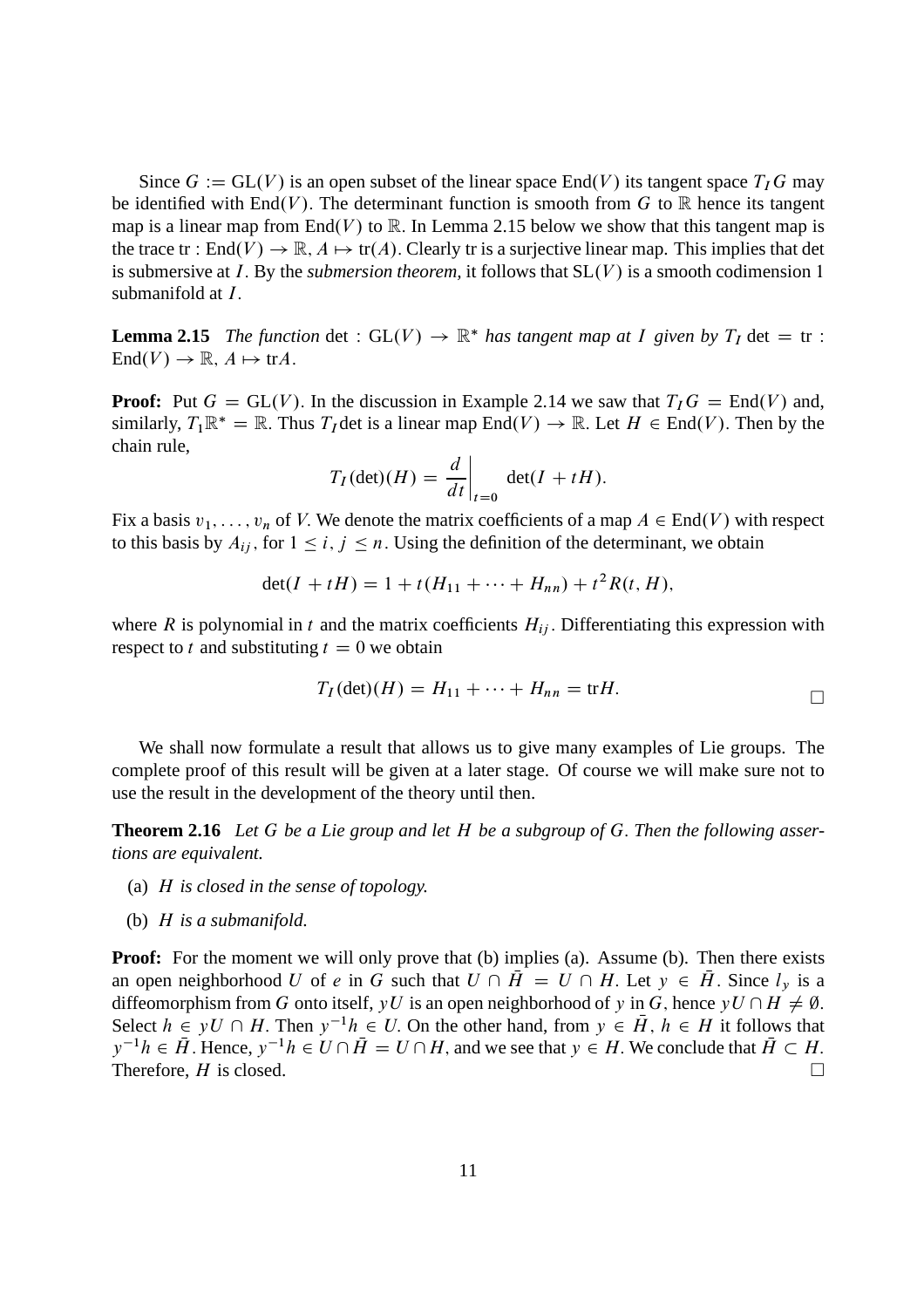Since  $G := GL(V)$  is an open subset of the linear space End(V) its tangent space  $T_I G$  may be identified with  $End(V)$ . The determinant function is smooth from G to R hence its tangent map is a linear map from End(V) to R. In Lemma 2.15 below we show that this tangent map is the trace tr : End $(V) \to \mathbb{R}$ ,  $A \mapsto \text{tr}(A)$ . Clearly tr is a surjective linear map. This implies that det is submersive at  $I$ . By the *submersion theorem*, it follows that  $SL(V)$  is a smooth codimension 1 submanifold at *I*.

**Lemma 2.15** *The function* det :  $GL(V) \rightarrow \mathbb{R}^*$  *has tangent map at I given by*  $T_I$  det = tr :  $End(V) \to \mathbb{R}, A \mapsto \text{tr}A.$ 

**Proof:** Put  $G = GL(V)$ . In the discussion in Example 2.14 we saw that  $T_iG = End(V)$  and, similarly,  $T_1 \mathbb{R}^* = \mathbb{R}$ . Thus  $T_I$  det is a linear map  $\text{End}(V) \to \mathbb{R}$ . Let  $H \in \text{End}(V)$ . Then by the chain rule,

$$
T_I(\det)(H) = \left. \frac{d}{dt} \right|_{t=0} \det(I + tH).
$$

Fix a basis  $v_1, \ldots, v_n$  of V. We denote the matrix coefficients of a map  $A \in End(V)$  with respect to this basis by  $A_{ij}$ , for  $1 \leq i, j \leq n$ . Using the definition of the determinant, we obtain

$$
\det(I + tH) = 1 + t(H_{11} + \dots + H_{nn}) + t^2 R(t, H),
$$

where R is polynomial in t and the matrix coefficients  $H_{ij}$ . Differentiating this expression with respect to t and substituting  $t = 0$  we obtain

$$
T_I(\det)(H) = H_{11} + \dots + H_{nn} = \text{tr}H.
$$

We shall now formulate a result that allows us to give many examples of Lie groups. The complete proof of this result will be given at a later stage. Of course we will make sure not to use the result in the development of the theory until then.

**Theorem 2.16** *Let* G *be a Lie group and let* H *be a subgroup of* G: *Then the following assertions are equivalent.*

- (a) H *is closed in the sense of topology.*
- (b) H *is a submanifold.*

**Proof:** For the moment we will only prove that (b) implies (a). Assume (b). Then there exists an open neighborhood U of e in G such that  $U \cap \overline{H} = U \cap H$ . Let  $y \in \overline{H}$ . Since  $l_y$  is a diffeomorphism from G onto itself, yU is an open neighborhood of y in G, hence  $yU \cap H \neq \emptyset$ . Select  $h \in yU \cap H$ . Then  $y^{-1}h \in U$ . On the other hand, from  $y \in \overline{H}$ ,  $h \in H$  it follows that  $y^{-1}h \in \bar{H}$ . Hence,  $y^{-1}h \in U \cap \bar{H} = U \cap H$ , and we see that  $y \in H$ . We conclude that  $\bar{H} \subset H$ . Therefore,  $H$  is closed.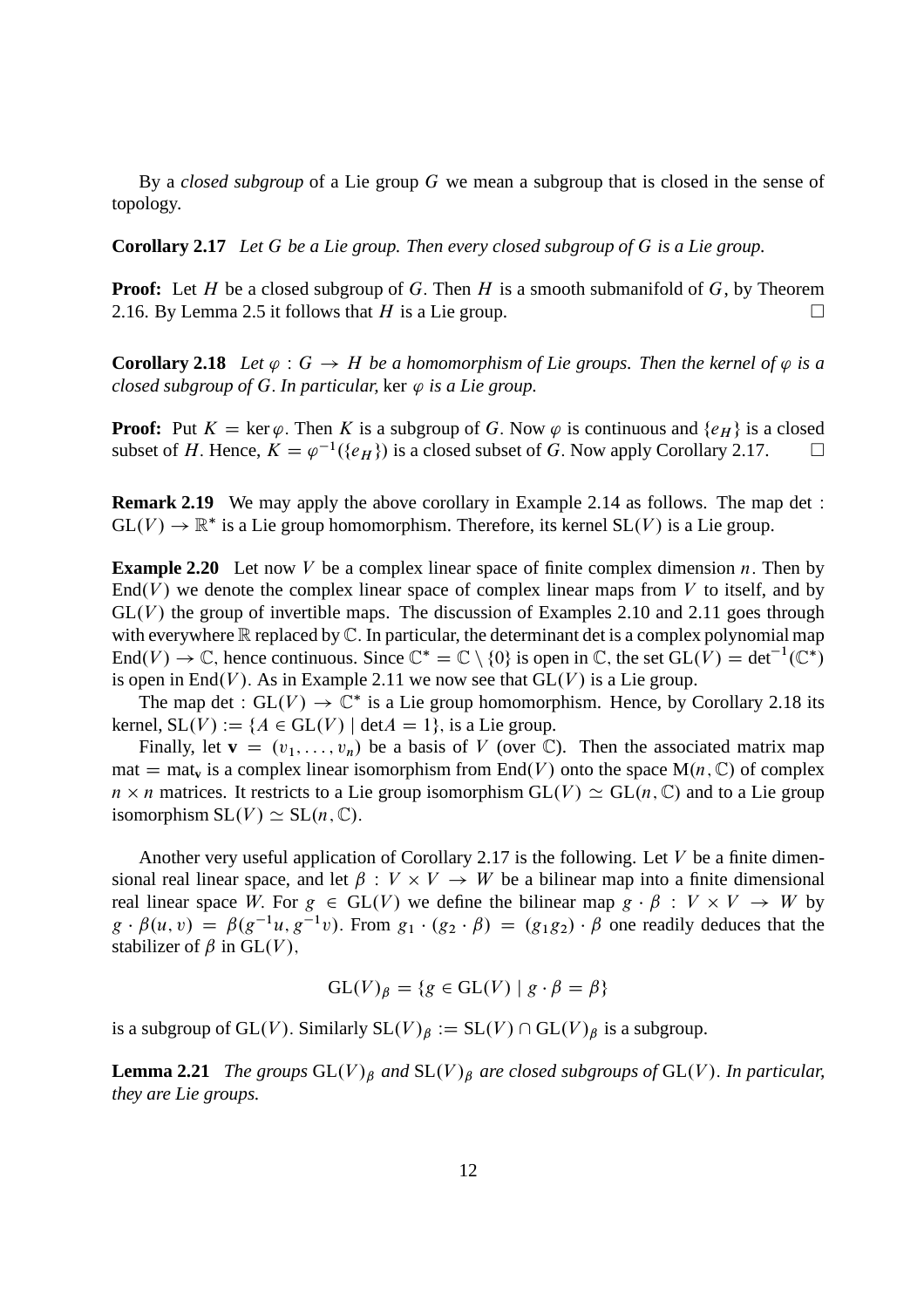By a *closed subgroup* of a Lie group G we mean a subgroup that is closed in the sense of topology.

**Corollary 2.17** *Let* G *be a Lie group. Then every closed subgroup of* G *is a Lie group.*

**Proof:** Let H be a closed subgroup of G. Then H is a smooth submanifold of  $G$ , by Theorem 2.16. By Lemma 2.5 it follows that H is a Lie group.  $\square$ 

**Corollary 2.18** Let  $\varphi$  :  $G \to H$  be a homomorphism of Lie groups. Then the kernel of  $\varphi$  is a *closed subgroup of G. In particular,* ker  $\varphi$  *is a Lie group.* 

**Proof:** Put  $K = \ker \varphi$ . Then K is a subgroup of G. Now  $\varphi$  is continuous and  $\{e_H\}$  is a closed subset of H. Hence,  $K = \varphi^{-1}(\{e_H\})$  is a closed subset of G. Now apply Corollary 2.17. subset of H. Hence,  $K = \varphi^{-1}(\{e_H\})$  is a closed subset of G. Now apply Corollary 2.17.  $\Box$ 

**Remark 2.19** We may apply the above corollary in Example 2.14 as follows. The map det :  $GL(V) \to \mathbb{R}^*$  is a Lie group homomorphism. Therefore, its kernel  $SL(V)$  is a Lie group.

**Example 2.20** Let now V be a complex linear space of finite complex dimension  $n$ . Then by  $End(V)$  we denote the complex linear space of complex linear maps from V to itself, and by  $GL(V)$  the group of invertible maps. The discussion of Examples 2.10 and 2.11 goes through with everywhere  $\mathbb R$  replaced by  $\mathbb C$ . In particular, the determinant det is a complex polynomial map End $(V) \to \mathbb{C}$ , hence continuous. Since  $\mathbb{C}^* = \mathbb{C} \setminus \{0\}$  is open in  $\mathbb{C}$ , the set  $GL(V) = det^{-1}(\mathbb{C}^*)$ is open in End(V). As in Example 2.11 we now see that  $GL(V)$  is a Lie group.

The map det :  $GL(V) \rightarrow \mathbb{C}^*$  is a Lie group homomorphism. Hence, by Corollary 2.18 its kernel,  $SL(V) := \{A \in GL(V) \mid \det A = 1\}$ , is a Lie group.

Finally, let  $\mathbf{v} = (v_1, \ldots, v_n)$  be a basis of V (over C). Then the associated matrix map mat  $=$  mat<sub>v</sub> is a complex linear isomorphism from End(V) onto the space M $(n, \mathbb{C})$  of complex  $n \times n$  matrices. It restricts to a Lie group isomorphism  $GL(V) \simeq GL(n, \mathbb{C})$  and to a Lie group isomorphism  $SL(V) \simeq SL(n, \mathbb{C})$ .

Another very useful application of Corollary 2.17 is the following. Let  $V$  be a finite dimensional real linear space, and let  $\beta : V \times V \to W$  be a bilinear map into a finite dimensional real linear space W. For  $g \in GL(V)$  we define the bilinear map  $g \cdot \beta : V \times V \rightarrow W$  by  $g \cdot \beta(u, v) = \beta(g^{-1}u, g^{-1}v)$ . From  $g_1 \cdot (g_2 \cdot \beta) = (g_1g_2) \cdot \beta$  one readily deduces that the stabilizer of  $\beta$  in GL(V),

$$
GL(V)_{\beta} = \{ g \in GL(V) \mid g \cdot \beta = \beta \}
$$

is a subgroup of GL(V). Similarly  $SL(V)_{\beta} := SL(V) \cap GL(V)_{\beta}$  is a subgroup.

**Lemma 2.21** *The groups*  $GL(V)_{\beta}$  *and*  $SL(V)_{\beta}$  *are closed subgroups of*  $GL(V)$ *. In particular, they are Lie groups.*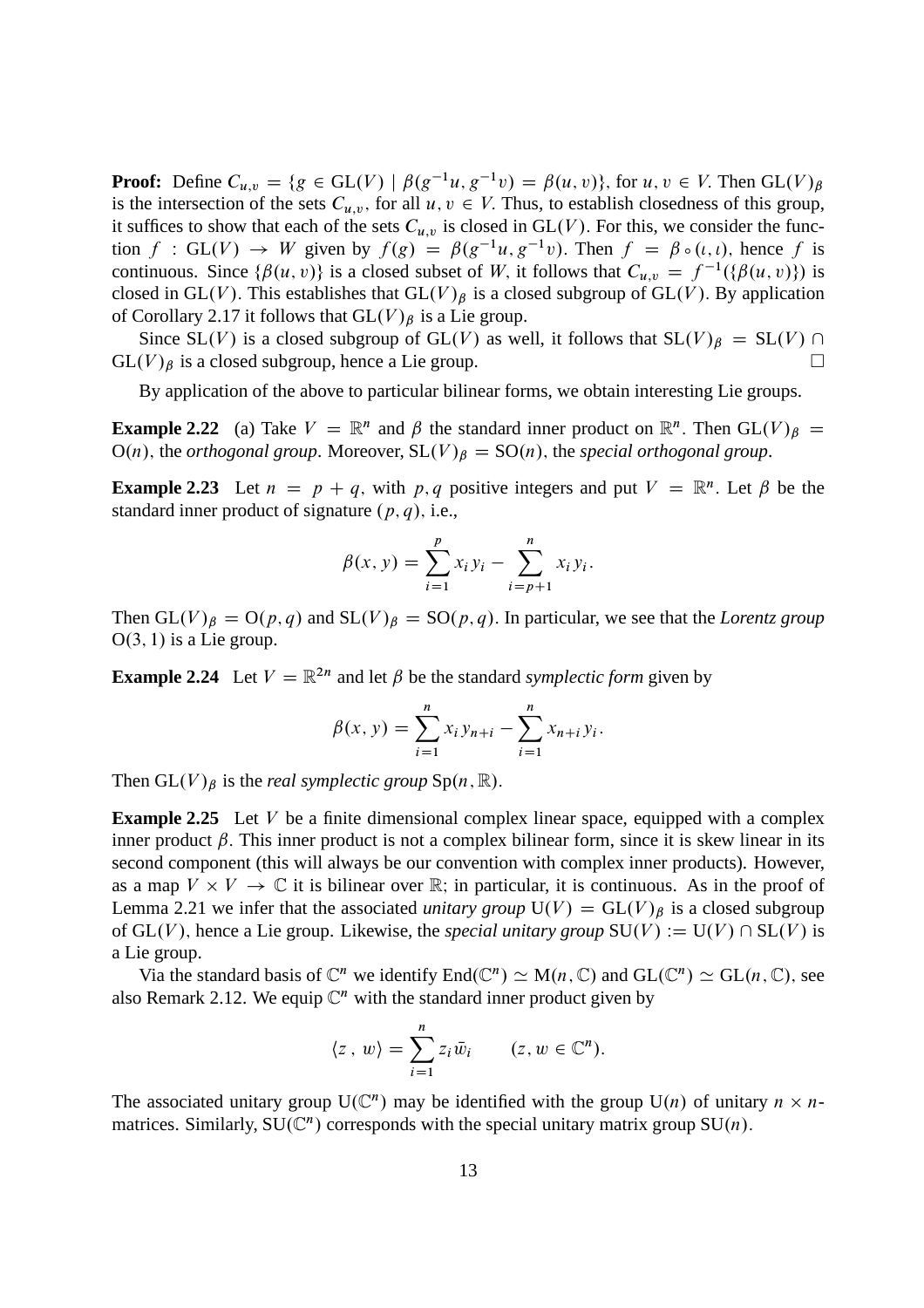**Proof:** Define  $C_{u,v} = \{g \in GL(V) \mid \beta(g^{-1}u, g^{-1}v) = \beta(u, v)\}\)$ , for  $u, v \in V$ . Then  $GL(V)_{\beta}$ is the intersection of the sets  $C_{u,v}$ , for all  $u, v \in V$ . Thus, to establish closedness of this group, it suffices to show that each of the sets  $C_{u,v}$  is closed in GL(V). For this, we consider the function f : GL(V)  $\rightarrow$  W given by  $f(g) = \beta(g^{-1}u, g^{-1}v)$ . Then  $f = \beta \circ (i, i)$ , hence f is continuous. Since  $\{\beta(u, v)\}\$ is a closed subset of W, it follows that  $C_{u,v} = f^{-1}(\{\beta(u, v)\})$  is closed in GL(V). This establishes that  $GL(V)_{\beta}$  is a closed subgroup of GL(V). By application of Corollary 2.17 it follows that  $GL(V)_{\beta}$  is a Lie group.

Since SL(V) is a closed subgroup of GL(V) as well, it follows that  $SL(V)_{\beta} = SL(V) \cap (V)_{\beta}$  is a closed subgroup, hence a Lie group.  $GL(V)_{\beta}$  is a closed subgroup, hence a Lie group.

By application of the above to particular bilinear forms, we obtain interesting Lie groups.

**Example 2.22** (a) Take  $V = \mathbb{R}^n$  and  $\beta$  the standard inner product on  $\mathbb{R}^n$ . Then  $GL(V)_{\beta}$  $O(n)$ , the *orthogonal group*. Moreover,  $SL(V)_{\beta} = SO(n)$ , the *special orthogonal group*.

**Example 2.23** Let  $n = p + q$ , with p, q positive integers and put  $V = \mathbb{R}^n$ . Let  $\beta$  be the standard inner product of signature  $(p, q)$ , i.e.,

$$
\beta(x, y) = \sum_{i=1}^{p} x_i y_i - \sum_{i=p+1}^{n} x_i y_i.
$$

Then  $GL(V)_{\beta} = O(p,q)$  and  $SL(V)_{\beta} = SO(p,q)$ . In particular, we see that the *Lorentz group*  $O(3, 1)$  is a Lie group.

**Example 2.24** Let  $V = \mathbb{R}^{2n}$  and let  $\beta$  be the standard *symplectic form* given by

$$
\beta(x, y) = \sum_{i=1}^{n} x_i y_{n+i} - \sum_{i=1}^{n} x_{n+i} y_i.
$$

Then  $GL(V)_{\beta}$  is the *real symplectic group* Sp $(n, \mathbb{R})$ .

**Example 2.25** Let V be a finite dimensional complex linear space, equipped with a complex inner product  $\beta$ . This inner product is not a complex bilinear form, since it is skew linear in its second component (this will always be our convention with complex inner products). However, as a map  $V \times V \to \mathbb{C}$  it is bilinear over  $\mathbb{R}$ ; in particular, it is continuous. As in the proof of Lemma 2.21 we infer that the associated *unitary group*  $U(V) = GL(V)_{\beta}$  is a closed subgroup of GL(V), hence a Lie group. Likewise, the *special unitary group*  $SU(V) := U(V) \cap SL(V)$  is a Lie group.

Via the standard basis of  $\mathbb{C}^n$  we identify  $End(\mathbb{C}^n) \simeq M(n, \mathbb{C})$  and  $GL(\mathbb{C}^n) \simeq GL(n, \mathbb{C})$ , see also Remark 2.12. We equip  $\mathbb{C}^n$  with the standard inner product given by

$$
\langle z \, , \, w \rangle = \sum_{i=1}^n z_i \, \bar{w}_i \qquad (z, w \in \mathbb{C}^n).
$$

The associated unitary group  $U(\mathbb{C}^n)$  may be identified with the group  $U(n)$  of unitary  $n \times n$ matrices. Similarly,  $SU(\mathbb{C}^n)$  corresponds with the special unitary matrix group  $SU(n)$ .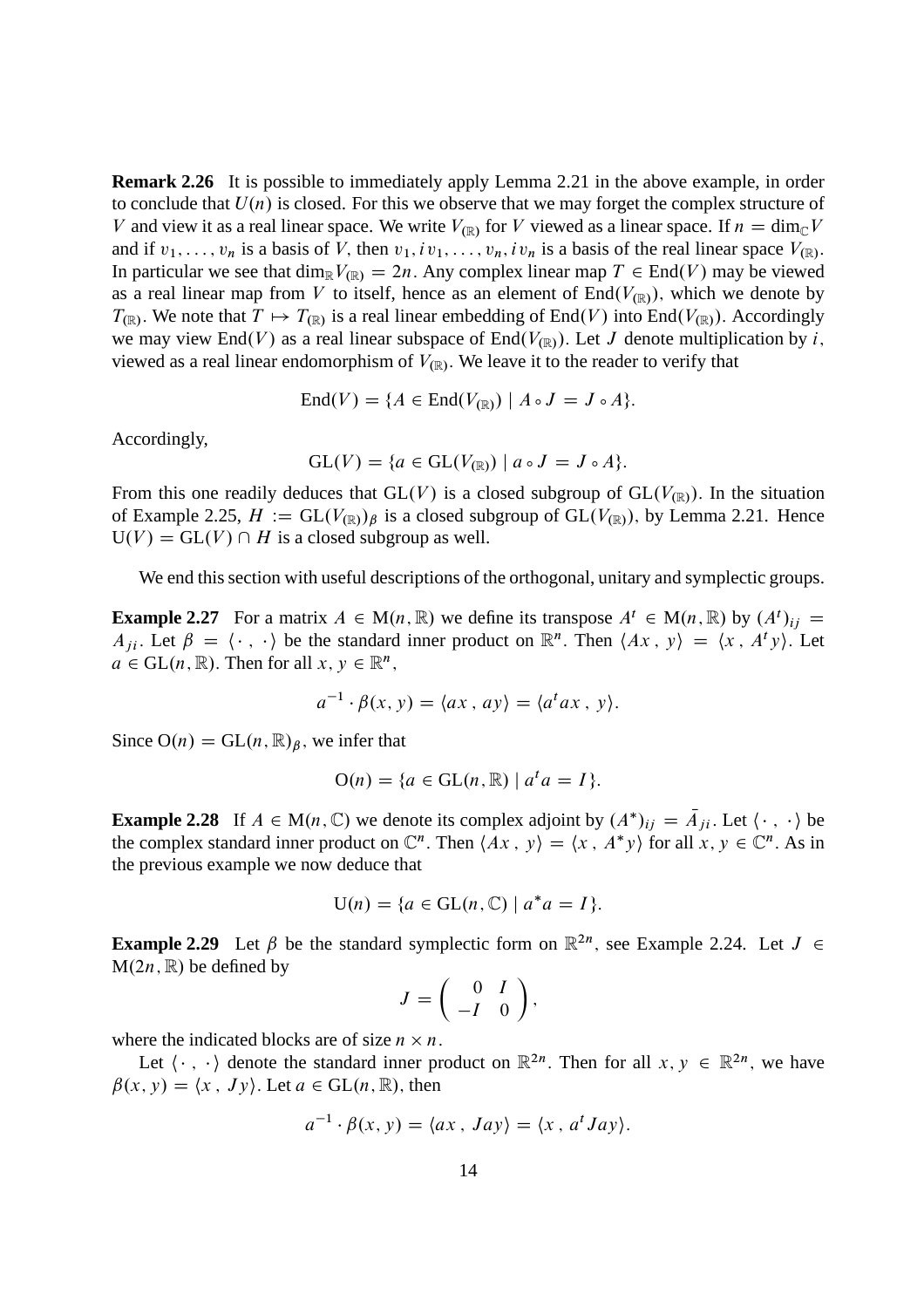**Remark 2.26** It is possible to immediately apply Lemma 2.21 in the above example, in order to conclude that  $U(n)$  is closed. For this we observe that we may forget the complex structure of V and view it as a real linear space. We write  $V_{(\mathbb{R})}$  for V viewed as a linear space. If  $n = \dim_{\mathbb{C}} V$ and if  $v_1, \ldots, v_n$  is a basis of V, then  $v_1, iv_1, \ldots, v_n, iv_n$  is a basis of the real linear space  $V_{(\mathbb{R})}$ . In particular we see that  $\dim_{\mathbb{R}} V_{(\mathbb{R})} = 2n$ . Any complex linear map  $T \in \text{End}(V)$  may be viewed. as a real linear map from V to itself, hence as an element of  $End(V_{(\mathbb{R})})$ , which we denote by  $T_{(\mathbb{R})}$ . We note that  $T \mapsto T_{(\mathbb{R})}$  is a real linear embedding of End $(V)$  into End $(V_{(\mathbb{R})})$ . Accordingly we may view End(V) as a real linear subspace of End( $V_{\text{R}}$ ). Let J denote multiplication by i, viewed as a real linear endomorphism of  $V_{(\mathbb{R})}$ . We leave it to the reader to verify that

$$
End(V) = \{ A \in End(V_{(\mathbb{R})}) \mid A \circ J = J \circ A \}.
$$

Accordingly,

$$
GL(V) = \{a \in GL(V_{(\mathbb{R})}) \mid a \circ J = J \circ A\}.
$$

From this one readily deduces that  $GL(V)$  is a closed subgroup of  $GL(V_{(\mathbb{R})})$ . In the situation of Example 2.25,  $H := GL(V_{(\mathbb{R})})_{\beta}$  is a closed subgroup of  $GL(V_{(\mathbb{R})})$ , by Lemma 2.21. Hence  $U(V) = GL(V) \cap H$  is a closed subgroup as well.

We end this section with useful descriptions of the orthogonal, unitary and symplectic groups.

**Example 2.27** For a matrix  $A \in M(n, \mathbb{R})$  we define its transpose  $A^t \in M(n, \mathbb{R})$  by  $(A^t)_{ij} =$  $A_{ji}$ . Let  $\beta = \langle \cdot, \cdot \rangle$  be the standard inner product on  $\mathbb{R}^n$ . Then  $\langle Ax, y \rangle = \langle x, A^t y \rangle$ . Let  $a \in GL(n, \mathbb{R})$ . Then for all  $x, y \in \mathbb{R}^n$ ,

$$
a^{-1} \cdot \beta(x, y) = \langle ax, ay \rangle = \langle a^t a x, y \rangle.
$$

Since  $O(n) = GL(n, \mathbb{R})_p$ , we infer that

$$
\mathrm{O}(n) = \{a \in \mathrm{GL}(n, \mathbb{R}) \mid a^t a = I\}.
$$

**Example 2.28** If  $A \in M(n, \mathbb{C})$  we denote its complex adjoint by  $(A^*)_{ij} = \overline{A}_{ji}$ . Let  $\langle \cdot, \cdot \rangle$  be the complex standard inner product on  $\mathbb{C}^n$ . Then  $\langle Ax, y \rangle = \langle x, A^*y \rangle$  for all  $x, y \in \mathbb{C}^n$ . As in the previous example we now deduce that

$$
U(n) = \{a \in GL(n, \mathbb{C}) \mid a^*a = I\}.
$$

**Example 2.29** Let  $\beta$  be the standard symplectic form on  $\mathbb{R}^{2n}$ , see Example 2.24. Let  $J \in$  $M(2n, \mathbb{R})$  be defined by

$$
J=\left(\begin{array}{cc} 0 & I \\ -I & 0 \end{array}\right),\end{array}
$$

where the indicated blocks are of size  $n \times n$ .

Let  $\langle \cdot, \cdot \rangle$  denote the standard inner product on  $\mathbb{R}^{2n}$ . Then for all  $x, y \in \mathbb{R}^{2n}$ , we have  $\beta(x, y) = \langle x, Jy \rangle$ . Let  $a \in GL(n, \mathbb{R})$ , then

$$
a^{-1} \cdot \beta(x, y) = \langle ax, \, Jay \rangle = \langle x, \, a^t \, Jay \rangle.
$$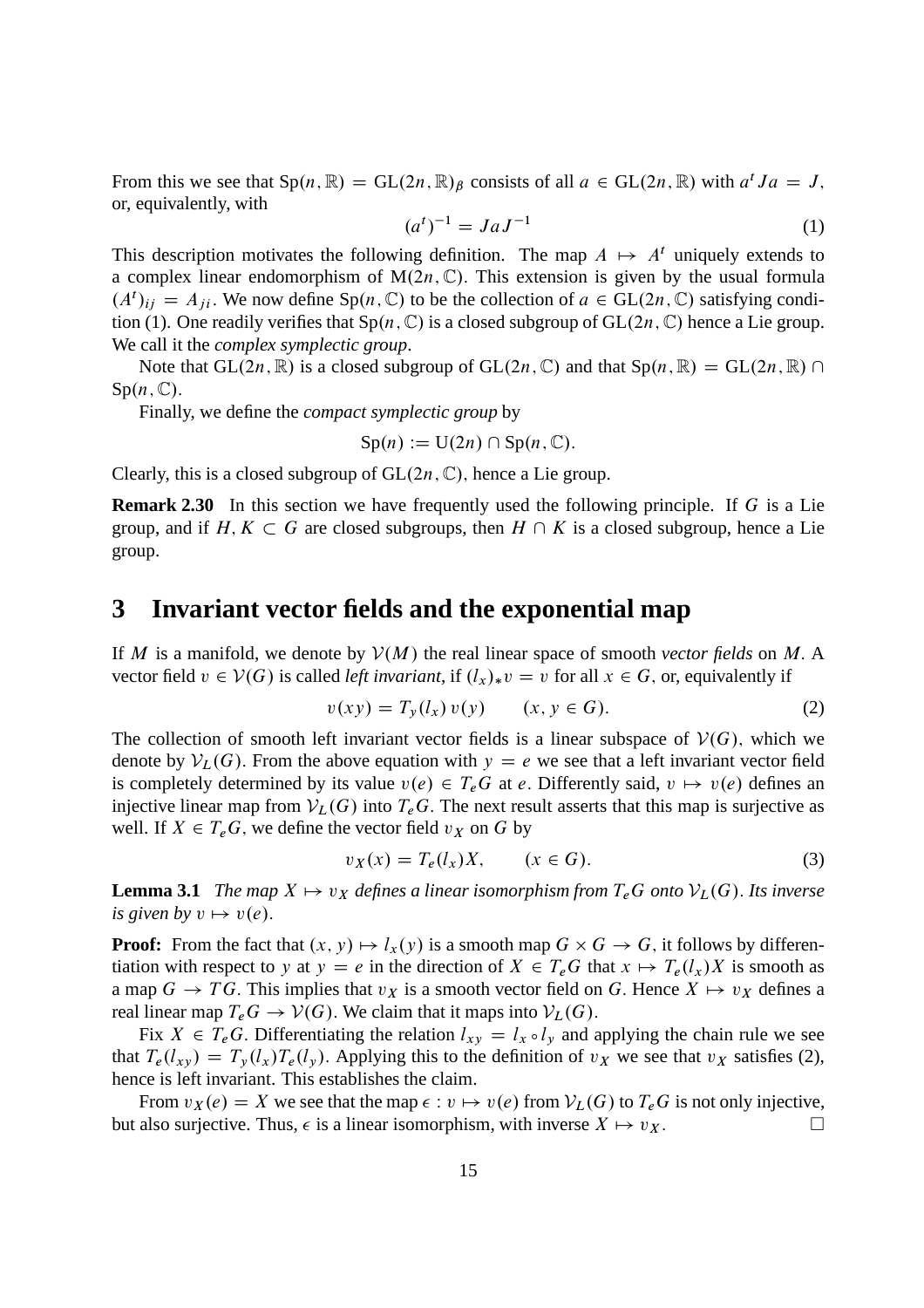From this we see that  $Sp(n, \mathbb{R}) = GL(2n, \mathbb{R})$  consists of all  $a \in GL(2n, \mathbb{R})$  with  $a^t Ja = J$ , or, equivalently, with

$$
(at)-1 = JaJ-1
$$
 (1)

This description motivates the following definition. The map  $A \mapsto A^t$  uniquely extends to a complex linear endomorphism of  $M(2n, \mathbb{C})$ . This extension is given by the usual formula  $(A^t)_{ij} = A_{ji}$ . We now define Sp $(n, \mathbb{C})$  to be the collection of  $a \in GL(2n, \mathbb{C})$  satisfying condition (1). One readily verifies that  $Sp(n, \mathbb{C})$  is a closed subgroup of  $GL(2n, \mathbb{C})$  hence a Lie group. We call it the *complex symplectic group*.

Note that  $GL(2n,\mathbb{R})$  is a closed subgroup of  $GL(2n,\mathbb{C})$  and that  $Sp(n,\mathbb{R}) = GL(2n,\mathbb{R}) \cap$  $Sp(n, \mathbb{C}).$ 

Finally, we define the *compact symplectic group* by

$$
\mathrm{Sp}(n) := \mathrm{U}(2n) \cap \mathrm{Sp}(n,\mathbb{C}).
$$

Clearly, this is a closed subgroup of  $GL(2n, \mathbb{C})$ , hence a Lie group.

**Remark 2.30** In this section we have frequently used the following principle. If G is a Lie group, and if  $H, K \subset G$  are closed subgroups, then  $H \cap K$  is a closed subgroup, hence a Lie group.

#### **3 Invariant vector fields and the exponential map**

If M is a manifold, we denote by  $V(M)$  the real linear space of smooth *vector fields* on M. A vector field  $v \in V(G)$  is called *left invariant*, if  $(l_x)_*v = v$  for all  $x \in G$ , or, equivalently if

$$
v(xy) = T_y(l_x) v(y) \qquad (x, y \in G).
$$
 (2)

The collection of smooth left invariant vector fields is a linear subspace of  $V(G)$ , which we denote by  $V_L(G)$ . From the above equation with  $y = e$  we see that a left invariant vector field is completely determined by its value  $v(e) \in T_eG$  at e. Differently said,  $v \mapsto v(e)$  defines an injective linear map from  $V_L(G)$  into  $T_eG$ . The next result asserts that this map is surjective as well. If  $X \in T_eG$ , we define the vector field  $v_X$  on G by

$$
v_X(x) = T_e(l_x)X, \qquad (x \in G). \tag{3}
$$

**Lemma 3.1** *The map*  $X \mapsto v_X$  *defines a linear isomorphism from*  $T_eG$  *onto*  $V_L(G)$ *. Its inverse is given by*  $v \mapsto v(e)$ .

**Proof:** From the fact that  $(x, y) \mapsto l_x(y)$  is a smooth map  $G \times G \rightarrow G$ , it follows by differentiation with respect to y at  $y = e$  in the direction of  $X \in T_eG$  that  $x \mapsto T_e(l_x)X$  is smooth as a map  $G \to TG$ . This implies that  $v_X$  is a smooth vector field on G. Hence  $X \mapsto v_X$  defines a real linear map  $T_eG \to V(G)$ . We claim that it maps into  $V_L(G)$ .

Fix  $X \in T_eG$ . Differentiating the relation  $l_{xy} = l_x \circ l_y$  and applying the chain rule we see that  $T_e(l_{xy}) = T_y(l_x)T_e(l_y)$ . Applying this to the definition of  $v_x$  we see that  $v_x$  satisfies (2), hence is left invariant. This establishes the claim.

From  $v_X(e) = X$  we see that the map  $\epsilon : v \mapsto v(e)$  from  $V_L(G)$  to  $T_eG$  is not only injective,<br>also surjective. Thus  $\epsilon$  is a linear isomorphism with inverse  $X \mapsto v_X$ but also surjective. Thus,  $\epsilon$  is a linear isomorphism, with inverse  $X \mapsto v_X$ .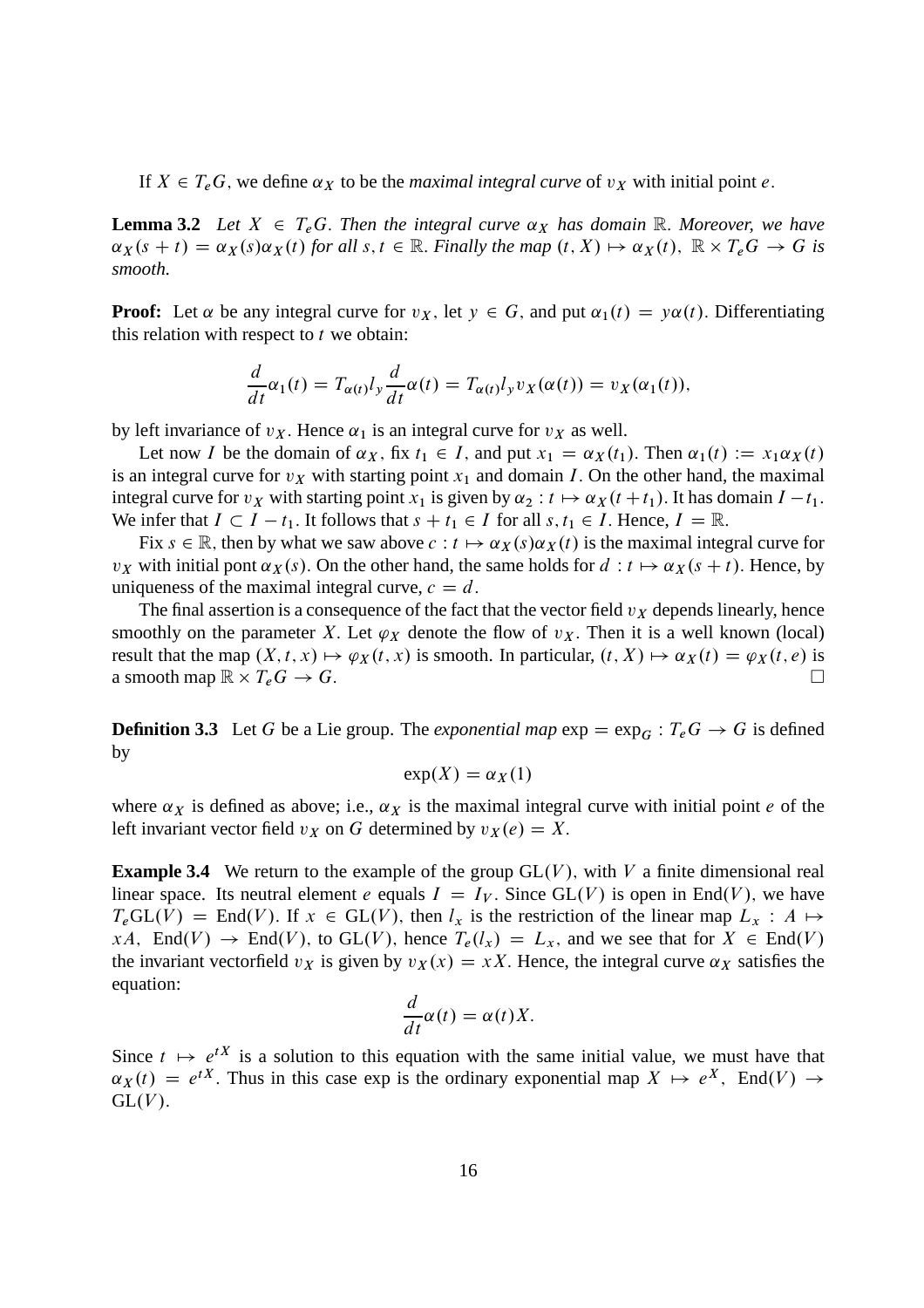If  $X \in T_eG$ , we define  $\alpha_X$  to be the *maximal integral curve* of  $v_X$  with initial point e.

**Lemma 3.2** Let  $X \in T_e$ G. Then the integral curve  $\alpha_X$  has domain R. Moreover, we have  $\alpha_X(s+t) = \alpha_X(s)\alpha_X(t)$  for all  $s, t \in \mathbb{R}$ . *Finally the map*  $(t, X) \mapsto \alpha_X(t)$ ,  $\mathbb{R} \times T_eG \to G$  is *smooth.*

**Proof:** Let  $\alpha$  be any integral curve for  $v_X$ , let  $y \in G$ , and put  $\alpha_1(t) = y\alpha(t)$ . Differentiating this relation with respect to  $t$  we obtain:

$$
\frac{d}{dt}\alpha_1(t) = T_{\alpha(t)}l_y \frac{d}{dt}\alpha(t) = T_{\alpha(t)}l_y v_X(\alpha(t)) = v_X(\alpha_1(t)),
$$

by left invariance of  $v_X$ . Hence  $\alpha_1$  is an integral curve for  $v_X$  as well.

Let now I be the domain of  $\alpha_X$ , fix  $t_1 \in I$ , and put  $x_1 = \alpha_X(t_1)$ . Then  $\alpha_1(t) := x_1 \alpha_X(t)$ is an integral curve for  $v<sub>X</sub>$  with starting point  $x<sub>1</sub>$  and domain I. On the other hand, the maximal integral curve for  $v_X$  with starting point  $x_1$  is given by  $\alpha_2 : t \mapsto \alpha_X(t+t_1)$ . It has domain  $I - t_1$ . We infer that  $I \subset I - t_1$ . It follows that  $s + t_1 \in I$  for all  $s, t_1 \in I$ . Hence,  $I = \mathbb{R}$ .

Fix  $s \in \mathbb{R}$ , then by what we saw above  $c : t \mapsto \alpha_X(s)\alpha_X(t)$  is the maximal integral curve for  $v_X$  with initial pont  $\alpha_X(s)$ . On the other hand, the same holds for  $d : t \mapsto \alpha_X(s + t)$ . Hence, by uniqueness of the maximal integral curve,  $c = d$ .

The final assertion is a consequence of the fact that the vector field  $v<sub>X</sub>$  depends linearly, hence smoothly on the parameter X. Let  $\varphi_X$  denote the flow of  $v_X$ . Then it is a well known (local) result that the map  $(X, t, x) \mapsto \varphi_X(t, x)$  is smooth. In particular,  $(t, X) \mapsto \alpha_X(t) = \varphi_X(t, e)$  is a smooth map  $\mathbb{R} \times T$   $G \to G$ a smooth map  $\mathbb{R} \times T_e G \to G$ .  $T_eG \rightarrow G.$ 

**Definition 3.3** Let G be a Lie group. The *exponential map*  $\exp = \exp_G : T_e G \to G$  is defined by

$$
\exp(X) = \alpha_X(1)
$$

where  $\alpha_X$  is defined as above; i.e.,  $\alpha_X$  is the maximal integral curve with initial point e of the left invariant vector field  $v_X$  on G determined by  $v_X(e) = X$ .

**Example 3.4** We return to the example of the group  $GL(V)$ , with V a finite dimensional real linear space. Its neutral element e equals  $I = I_V$ . Since GL(V) is open in End(V), we have  $T_e$ GL $(V)$  = End $(V)$ . If  $x \in GL(V)$ , then  $l_x$  is the restriction of the linear map  $L_x : A \mapsto$  $xA$ , End $(V) \rightarrow$  End $(V)$ , to GL $(V)$ , hence  $T_e(l_x) = L_x$ , and we see that for  $X \in End(V)$ the invariant vectorfield  $v_x$  is given by  $v_x(x) = xX$ . Hence, the integral curve  $\alpha_x$  satisfies the equation:

$$
\frac{d}{dt}\alpha(t) = \alpha(t)X.
$$

Since  $t \mapsto e^{tX}$  is a solution to this equation with the same initial value, we must have that  $\alpha_X(t) = e^{tX}$ . Thus in this case exp is the ordinary exponential map  $X \mapsto e^X$ , End $(V) \rightarrow$  $GL(V)$ .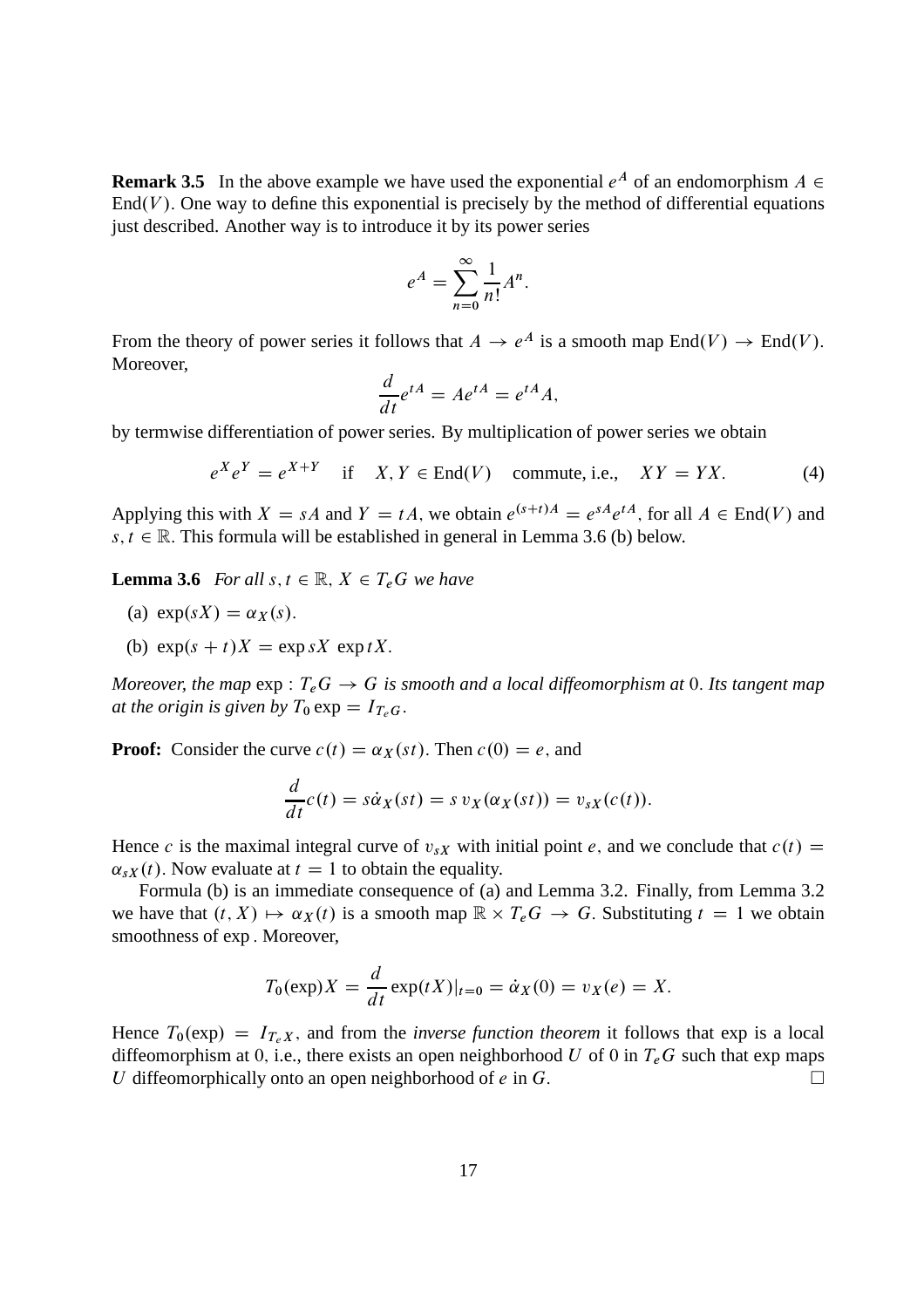**Remark 3.5** In the above example we have used the exponential  $e^A$  of an endomorphism  $A \in$  $\text{End}(V)$ . One way to define this exponential is precisely by the method of differential equations just described. Another way is to introduce it by its power series

$$
e^A = \sum_{n=0}^{\infty} \frac{1}{n!} A^n.
$$

From the theory of power series it follows that  $A \to e^A$  is a smooth map  $\text{End}(V) \to \text{End}(V)$ . Moreover,

$$
\frac{d}{dt}e^{tA} = Ae^{tA} = e^{tA}A,
$$

by termwise differentiation of power series. By multiplication of power series we obtain

$$
e^{X}e^{Y} = e^{X+Y} \quad \text{if} \quad X, Y \in \text{End}(V) \quad \text{commute, i.e.,} \quad XY = YX. \tag{4}
$$

Applying this with  $X = sA$  and  $Y = tA$ , we obtain  $e^{(s+t)A} = e^{sA}e^{tA}$ , for all  $A \in \text{End}(V)$  and  $s, t \in \mathbb{R}$ . This formula will be established in general in Lemma 3.6 (b) below.

**Lemma 3.6** *For all*  $s, t \in \mathbb{R}$ ,  $X \in T_eG$  *we have* 

- (a)  $exp(sX) = \alpha_X(s)$ .
- (b)  $\exp(s + t)X = \exp sX \exp tX$ .

*Moreover, the map*  $\exp: T_eG \to G$  *is smooth and a local diffeomorphism at* 0. Its tangent map *at the origin is given by*  $T_0 \exp = I_{T_cG}$ .

**Proof:** Consider the curve  $c(t) = \alpha_X(st)$ . Then  $c(0) = e$ , and

$$
\frac{d}{dt}c(t) = s\dot{\alpha}_X(st) = s v_X(\alpha_X(st)) = v_{sX}(c(t)).
$$

Hence c is the maximal integral curve of  $v_{sX}$  with initial point e, and we conclude that  $c(t)$  =  $\alpha_{sX}(t)$ . Now evaluate at  $t = 1$  to obtain the equality.

Formula (b) is an immediate consequence of (a) and Lemma 3.2. Finally, from Lemma 3.2 we have that  $(t, X) \mapsto \alpha_X(t)$  is a smooth map  $\mathbb{R} \times T_e G \to G$ . Substituting  $t = 1$  we obtain smoothness of exp : Moreover,

$$
T_0(\exp)X = \frac{d}{dt} \exp(tX)|_{t=0} = \dot{\alpha}_X(0) = v_X(e) = X.
$$

Hence  $T_0(\exp) = I_{T_eX}$ , and from the *inverse function theorem* it follows that  $\exp$  is a local diffeomorphism at 0, i.e., there exists an open neighborhood U of 0 in  $T_eG$  such that exp maps U diffeomorphically onto an open neighborhood of  $e$  in  $G$ .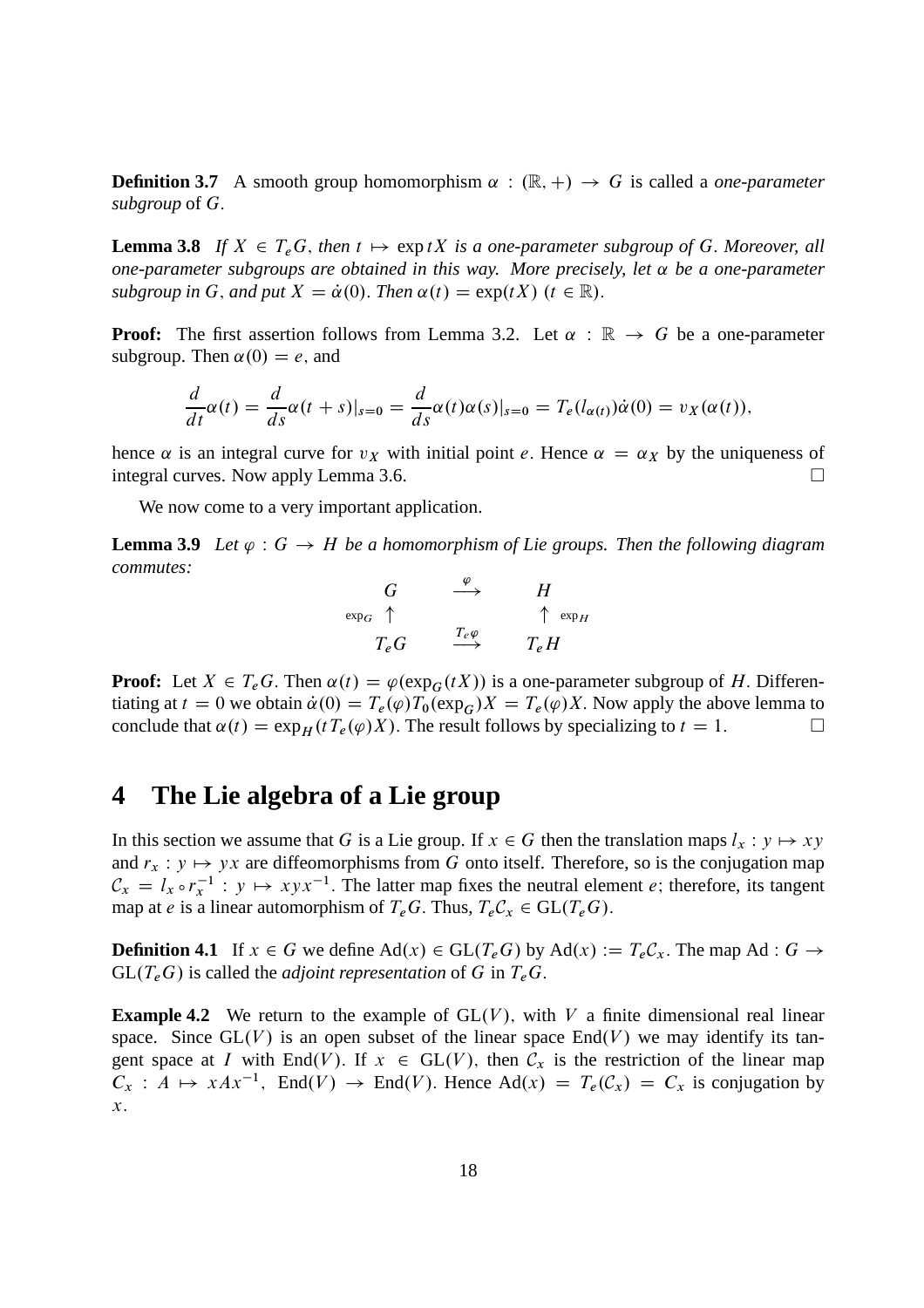**Definition 3.7** A smooth group homomorphism  $\alpha : (\mathbb{R}, +) \rightarrow G$  is called a *one-parameter subgroup* of G:

**Lemma 3.8** If  $X \in T_eG$ , then  $t \mapsto \exp tX$  is a one-parameter subgroup of G. Moreover, all *one-parameter subgroups are obtained in this way. More precisely, let*  $\alpha$  *be a one-parameter subgroup in* G, and put  $X = \dot{\alpha}(0)$ . *Then*  $\alpha(t) = \exp(tX)$  ( $t \in \mathbb{R}$ ).

**Proof:** The first assertion follows from Lemma 3.2. Let  $\alpha : \mathbb{R} \to G$  be a one-parameter subgroup. Then  $\alpha(0) = e$ , and

$$
\frac{d}{dt}\alpha(t) = \frac{d}{ds}\alpha(t+s)|_{s=0} = \frac{d}{ds}\alpha(t)\alpha(s)|_{s=0} = T_e(l_{\alpha(t)})\dot{\alpha}(0) = v_X(\alpha(t)),
$$

hence  $\alpha$  is an integral curve for  $v_X$  with initial point e. Hence  $\alpha = \alpha_X$  by the uniqueness of integral curves. Now apply Lemma 3.6. integral curves. Now apply Lemma 3.6.

We now come to a very important application.

**Lemma 3.9** Let  $\varphi$  :  $G \to H$  be a homomorphism of Lie groups. Then the following diagram *commutes:*

$$
\begin{array}{ccc}\nG & \stackrel{\varphi}{\longrightarrow} & H \\
\exp_G \uparrow & & \uparrow \exp_H \\
T_e G & \stackrel{T_e \varphi}{\longrightarrow} & T_e H\n\end{array}
$$

**Proof:** Let  $X \in T_eG$ . Then  $\alpha(t) = \varphi(\exp_G(tX))$  is a one-parameter subgroup of H. Differentiating at  $t = 0$  we obtain  $\dot{\alpha}(0) = T_e(\varphi)T_0(\exp_G)X = T_e(\varphi)X$ . Now apply the above lemma to conclude that  $\alpha(t) = \exp_H(tT_e(\varphi)X)$ . The result follows by specializing to  $t = 1$ . conclude that  $\alpha(t) = \exp_H(tT_e(\varphi)X)$ . The result follows by specializing to  $t = 1$ .

### **4 The Lie algebra of a Lie group**

In this section we assume that G is a Lie group. If  $x \in G$  then the translation maps  $l_x : y \mapsto xy$ and  $r_x : y \mapsto yx$  are diffeomorphisms from G onto itself. Therefore, so is the conjugation map  $\mathcal{C}_x = l_x \circ r_x^{-1}$ :  $y \mapsto xyx^{-1}$ . The latter map fixes the neutral element e; therefore, its tangent map at e is a linear automorphism of  $T_eG$ . Thus,  $T_eC_x \in GL(T_eG)$ .

**Definition 4.1** If  $x \in G$  we define  $\text{Ad}(x) \in \text{GL}(T_eG)$  by  $\text{Ad}(x) := T_eC_x$ . The map Ad :  $G \to$  $GL(T_eG)$  is called the *adjoint representation* of G in  $T_eG$ .

**Example 4.2** We return to the example of  $GL(V)$ , with V a finite dimensional real linear space. Since  $GL(V)$  is an open subset of the linear space  $End(V)$  we may identify its tangent space at I with End(V). If  $x \in GL(V)$ , then  $C_x$  is the restriction of the linear map  $C_x : A \mapsto xAx^{-1}$ , End $(V) \to \text{End}(V)$ . Hence Ad $(x) = T_e(C_x) = C_x$  is conjugation by  $\mathcal{X}.$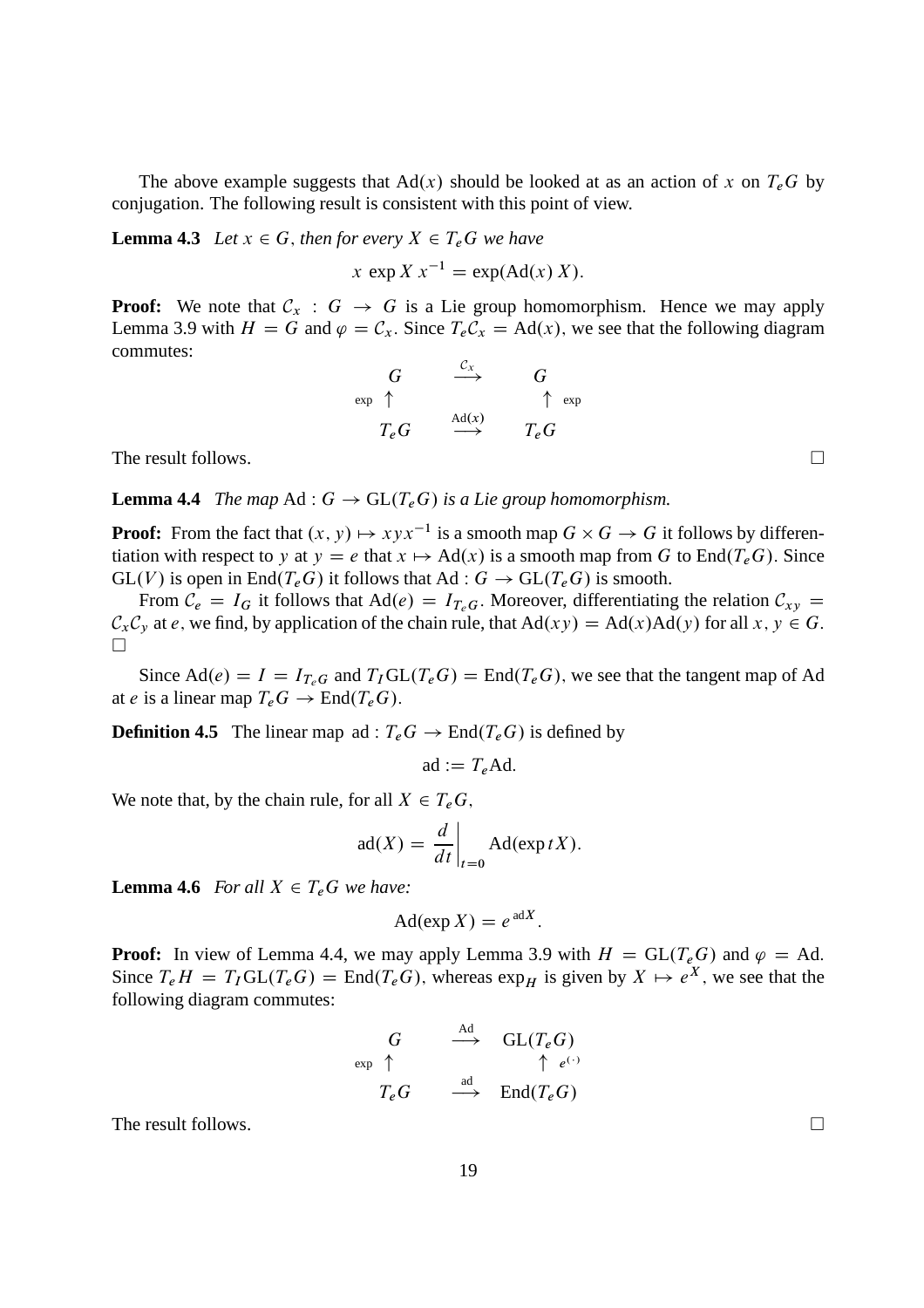The above example suggests that  $Ad(x)$  should be looked at as an action of x on  $T_eG$  by conjugation. The following result is consistent with this point of view.

**Lemma 4.3** *Let*  $x \in G$ *, then for every*  $X \in T_e$  *We have* 

 $x \exp X x^{-1} = \exp(\text{Ad}(x) X).$ 

**Proof:** We note that  $C_x$  :  $G \rightarrow G$  is a Lie group homomorphism. Hence we may apply Lemma 3.9 with  $H = G$  and  $\varphi = C_x$ . Since  $T_e C_x = \text{Ad}(x)$ , we see that the following diagram commutes:

$$
\begin{array}{ccc}\nG & \stackrel{C_x}{\longrightarrow} & G \\
\text{exp} \uparrow & & \uparrow \text{exp} \\
T_eG & \stackrel{\text{Ad}(x)}{\longrightarrow} & T_eG\n\end{array}
$$

The result follows.  $\Box$ 

**Lemma 4.4** *The map* Ad :  $G \rightarrow GL(T_eG)$  *is a Lie group homomorphism.* 

**Proof:** From the fact that  $(x, y) \mapsto xyx^{-1}$  is a smooth map  $G \times G \rightarrow G$  it follows by differentiation with respect to y at  $y = e$  that  $x \mapsto Ad(x)$  is a smooth map from G to End $(T_eG)$ . Since  $GL(V)$  is open in End $(T_eG)$  it follows that Ad :  $G \to GL(T_eG)$  is smooth.

From  $C_e = I_G$  it follows that Ad(e) =  $I_{T_eG}$ . Moreover, differentiating the relation  $C_{xy}$  =  $\mathcal{C}_x \mathcal{C}_y$  at e, we find, by application of the chain rule, that  $Ad(xy) = Ad(x)Ad(y)$  for all  $x, y \in G$ .  $\Box$ 

Since  $\text{Ad}(e) = I = I_{T_eG}$  and  $T_I \text{GL}(T_eG) = \text{End}(T_eG)$ , we see that the tangent map of Ad at e is a linear map  $T_eG \to \text{End}(T_eG)$ .

**Definition 4.5** The linear map ad :  $T_eG \rightarrow \text{End}(T_eG)$  is defined by

$$
ad := T_e Ad.
$$

We note that, by the chain rule, for all  $X \in T_eG$ ,

$$
ad(X) = \frac{d}{dt}\bigg|_{t=0} Ad(exp tX).
$$

**Lemma 4.6** *For all*  $X \in T_eG$  *we have:* 

$$
Ad(\exp X) = e^{adX}.
$$

**Proof:** In view of Lemma 4.4, we may apply Lemma 3.9 with  $H = GL(T_eG)$  and  $\varphi = Ad$ . Since  $T_e H = T_I GL(T_e G) = End(T_e G)$ , whereas  $exp_H$  is given by  $X \mapsto e^X$ , we see that the following diagram commutes:

$$
\begin{array}{ccc}\nG & \stackrel{\text{Ad}}{\longrightarrow} & GL(T_eG) \\
\text{exp }\uparrow & & \uparrow e^{(\cdot)} \\
T_eG & \stackrel{\text{ad}}{\longrightarrow} & \text{End}(T_eG)\n\end{array}
$$

The result follows.  $\Box$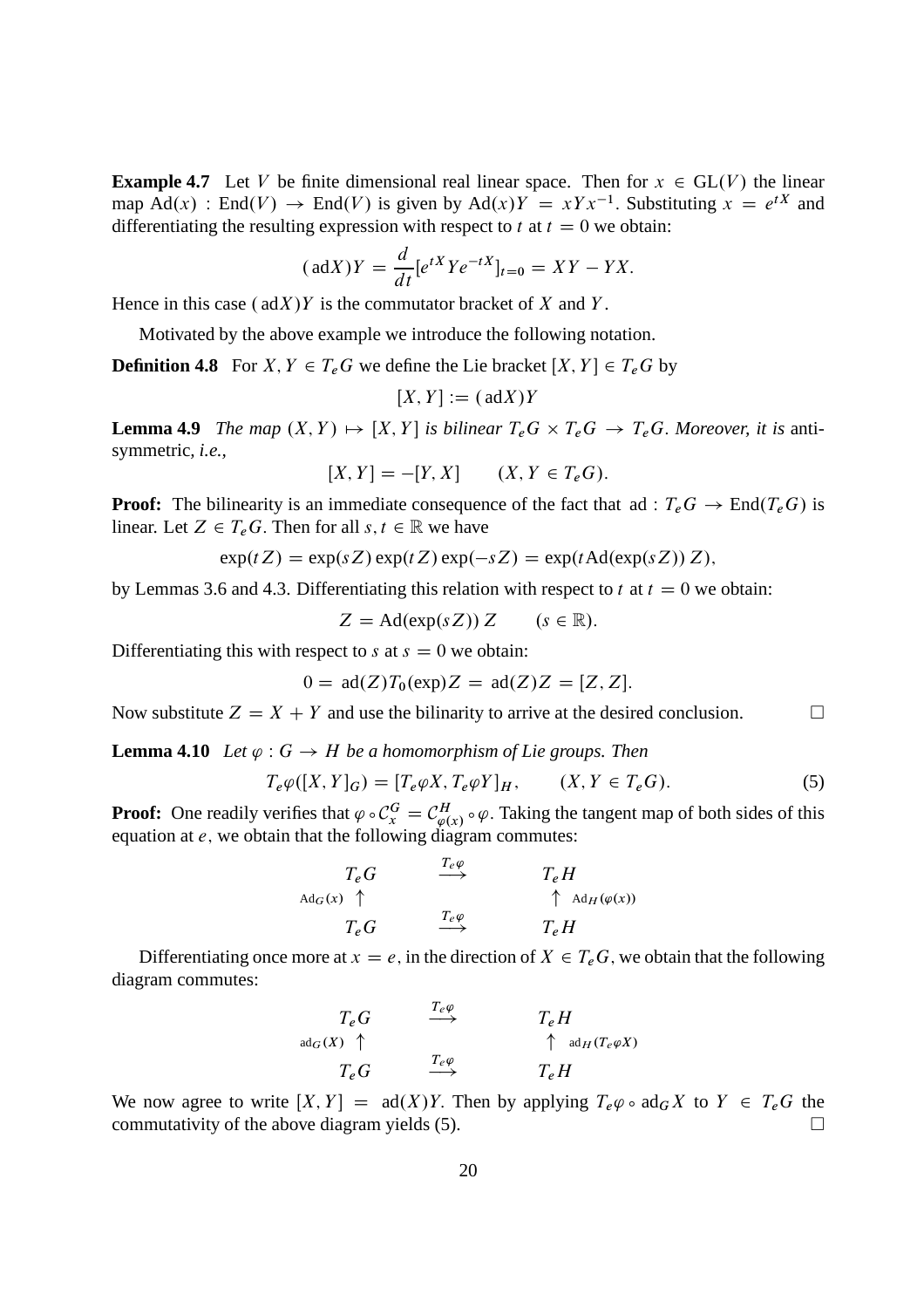**Example 4.7** Let V be finite dimensional real linear space. Then for  $x \in GL(V)$  the linear map Ad(x) : End(V)  $\rightarrow$  End(V) is given by Ad(x)Y =  $xYx^{-1}$ . Substituting  $x = e^{tX}$  and differentiating the resulting expression with respect to t at  $t = 0$  we obtain:

$$
(\mathrm{ad}X)Y = \frac{d}{dt} [e^{tX}Ye^{-tX}]_{t=0} = XY - YX.
$$

Hence in this case  $(\text{ad}X)Y$  is the commutator bracket of X and Y.

Motivated by the above example we introduce the following notation.

**Definition 4.8** For X,  $Y \in T_eG$  we define the Lie bracket  $[X, Y] \in T_eG$  by

$$
[X,Y]:=(\mathrm{ad}X)Y
$$

**Lemma 4.9** *The map*  $(X, Y) \mapsto [X, Y]$  *is bilinear*  $T_eG \times T_eG \rightarrow T_eG$ . Moreover, *it is* antisymmetric*, i.e.,*

$$
[X,Y] = -[Y,X] \qquad (X,Y \in T_e G).
$$

**Proof:** The bilinearity is an immediate consequence of the fact that ad :  $T_eG \rightarrow End(T_eG)$  is linear. Let  $Z \in T_eG$ . Then for all  $s, t \in \mathbb{R}$  we have

$$
\exp(tZ) = \exp(sZ)\exp(tZ)\exp(-sZ) = \exp(t\operatorname{Ad}(\exp(sZ))Z),
$$

by Lemmas 3.6 and 4.3. Differentiating this relation with respect to t at  $t = 0$  we obtain:

$$
Z = \mathrm{Ad}(\exp(sZ)) Z \qquad (s \in \mathbb{R}).
$$

Differentiating this with respect to s at  $s = 0$  we obtain:

$$
0 = \operatorname{ad}(Z)T_0(\exp)Z = \operatorname{ad}(Z)Z = [Z, Z].
$$

Now substitute  $Z = X + Y$  and use the bilinarity to arrive at the desired conclusion.

**Lemma 4.10** *Let*  $\varphi$  :  $G \rightarrow H$  *be a homomorphism of Lie groups. Then* 

$$
T_e \varphi([X, Y]_G) = [T_e \varphi X, T_e \varphi Y]_H, \qquad (X, Y \in T_e G).
$$
 (5)

**Proof:** One readily verifies that  $\varphi \circ C_x^G = C_{\varphi(x)}^H \circ \varphi$ . Taking the tangent map of both sides of this equation at  $e$ , we obtain that the following diagram commutes:

$$
T_e G \longrightarrow T_e H
$$
  
\n
$$
T_e G \longrightarrow T_e H
$$
  
\n
$$
T_e G \longrightarrow T_e H
$$
  
\n
$$
T_e G \longrightarrow T_e H
$$

Differentiating once more at  $x = e$ , in the direction of  $X \in T_eG$ , we obtain that the following diagram commutes:

$$
T_e G \xrightarrow{T_e \varphi} T_e H
$$
  
\n
$$
T_e G \xrightarrow{T_e \varphi} T_e H
$$
  
\n
$$
T_e G \xrightarrow{T_e \varphi} T_e H
$$

We now agree to write  $[X, Y] = ad(X)Y$ . Then by applying  $T_e\varphi \circ ad_G X$  to  $Y \in T_eG$  the commutativity of the above diagram vields (5) commutativity of the above diagram yields (5).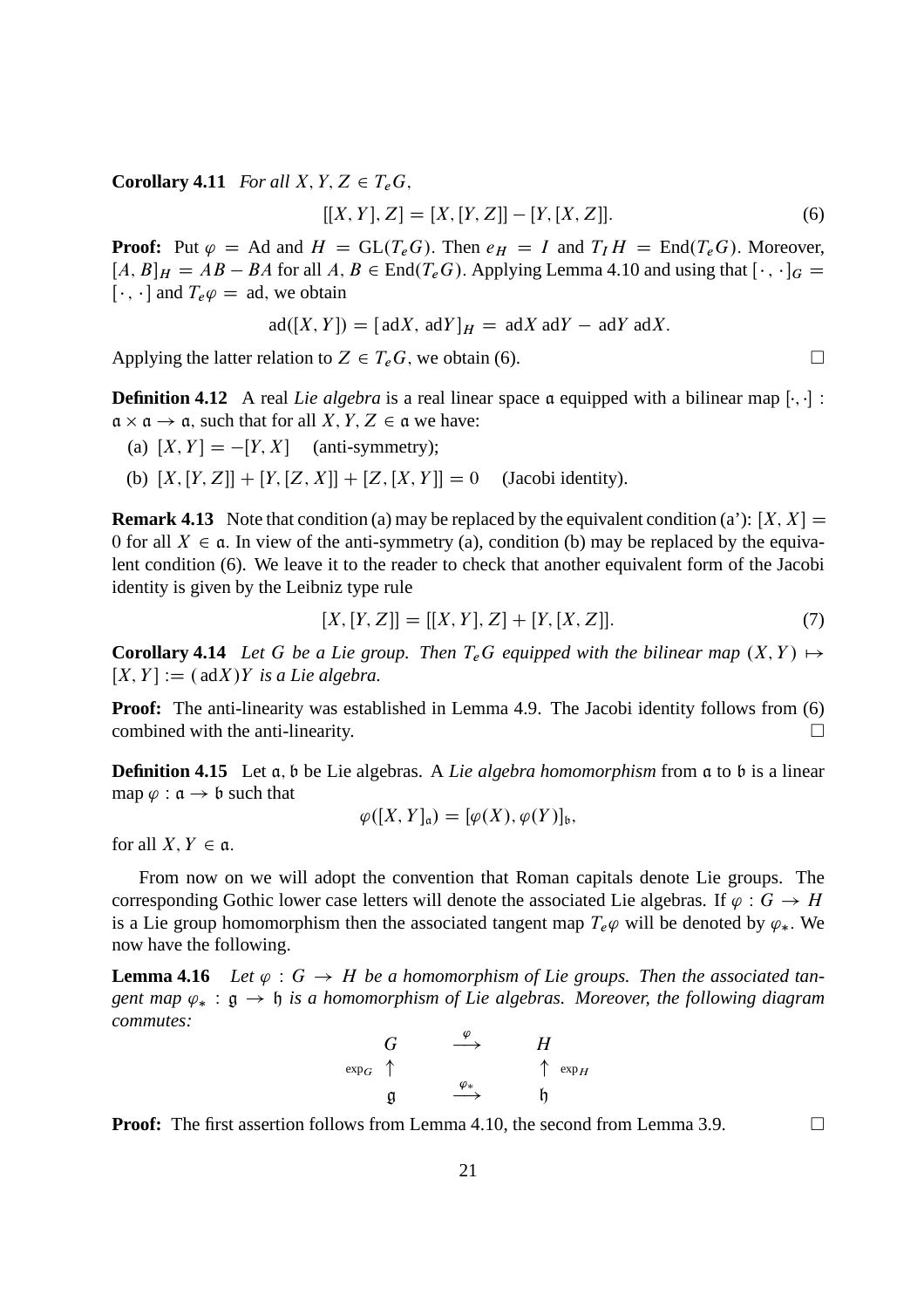**Corollary 4.11** *For all*  $X, Y, Z \in T_eG$ ,

$$
[[X, Y], Z] = [X, [Y, Z]] - [Y, [X, Z]]. \tag{6}
$$

**Proof:** Put  $\varphi$  = Ad and  $H = GL(T_eG)$ . Then  $e_H = I$  and  $T_I H = End(T_eG)$ . Moreover,  $[A, B]_H = AB - BA$  for all  $A, B \in End(T_eG)$ . Applying Lemma 4.10 and using that  $[\cdot, \cdot]_G =$  $[\cdot, \cdot]$  and  $T_e \varphi = \text{ad}$ , we obtain

$$
ad([X, Y]) = [adX, adY]_H = adX adY - adY adX.
$$

Applying the latter relation to  $Z \in T_eG$ , we obtain (6).

**Definition 4.12** A real *Lie algebra* is a real linear space a equipped with a bilinear map  $[\cdot, \cdot]$ :  $a \times a \rightarrow a$ , such that for all  $X, Y, Z \in a$  we have:

(a)  $[X, Y] = -[Y, X]$  (anti-symmetry);

(b)  $[X, [Y, Z]] + [Y, [Z, X]] + [Z, [X, Y]] = 0$  (Jacobi identity).

**Remark 4.13** Note that condition (a) may be replaced by the equivalent condition (a'):  $[X, X] =$ 0 for all  $X \in \mathfrak{a}$ . In view of the anti-symmetry (a), condition (b) may be replaced by the equivalent condition (6). We leave it to the reader to check that another equivalent form of the Jacobi identity is given by the Leibniz type rule

$$
[X, [Y, Z]] = [[X, Y], Z] + [Y, [X, Z]]. \tag{7}
$$

**Corollary 4.14** Let G be a Lie group. Then  $T_e$ G equipped with the bilinear map  $(X, Y) \mapsto$  $[X, Y] := (\text{ad}X)Y$  *is a Lie algebra.* 

**Proof:** The anti-linearity was established in Lemma 4.9. The Jacobi identity follows from (6) combined with the anti-linearity.

**Definition 4.15** Let a, b be Lie algebras. A *Lie algebra homomorphism* from a to b is a linear map  $\varphi : \mathfrak{a} \to \mathfrak{b}$  such that

$$
\varphi([X,Y]_{\mathfrak{a}})=[\varphi(X),\varphi(Y)]_{\mathfrak{b}},
$$

for all  $X, Y \in \mathfrak{a}$ .

From now on we will adopt the convention that Roman capitals denote Lie groups. The corresponding Gothic lower case letters will denote the associated Lie algebras. If  $\varphi : G \to H$ is a Lie group homomorphism then the associated tangent map  $T_e\varphi$  will be denoted by  $\varphi_*$ . We now have the following.

**Lemma 4.16** Let  $\varphi : G \to H$  be a homomorphism of Lie groups. Then the associated tan*gent map*  $\varphi_*$ :  $\varphi \to \varphi$  *is a homomorphism of Lie algebras. Moreover, the following diagram commutes:*

$$
\begin{array}{ccc}\nG & \xrightarrow{\varphi} & H \\
\exp_G & \uparrow & & \uparrow \exp_H \\
\mathfrak{g} & \xrightarrow{\varphi_*} & \mathfrak{h}\n\end{array}
$$

**Proof:** The first assertion follows from Lemma 4.10, the second from Lemma 3.9.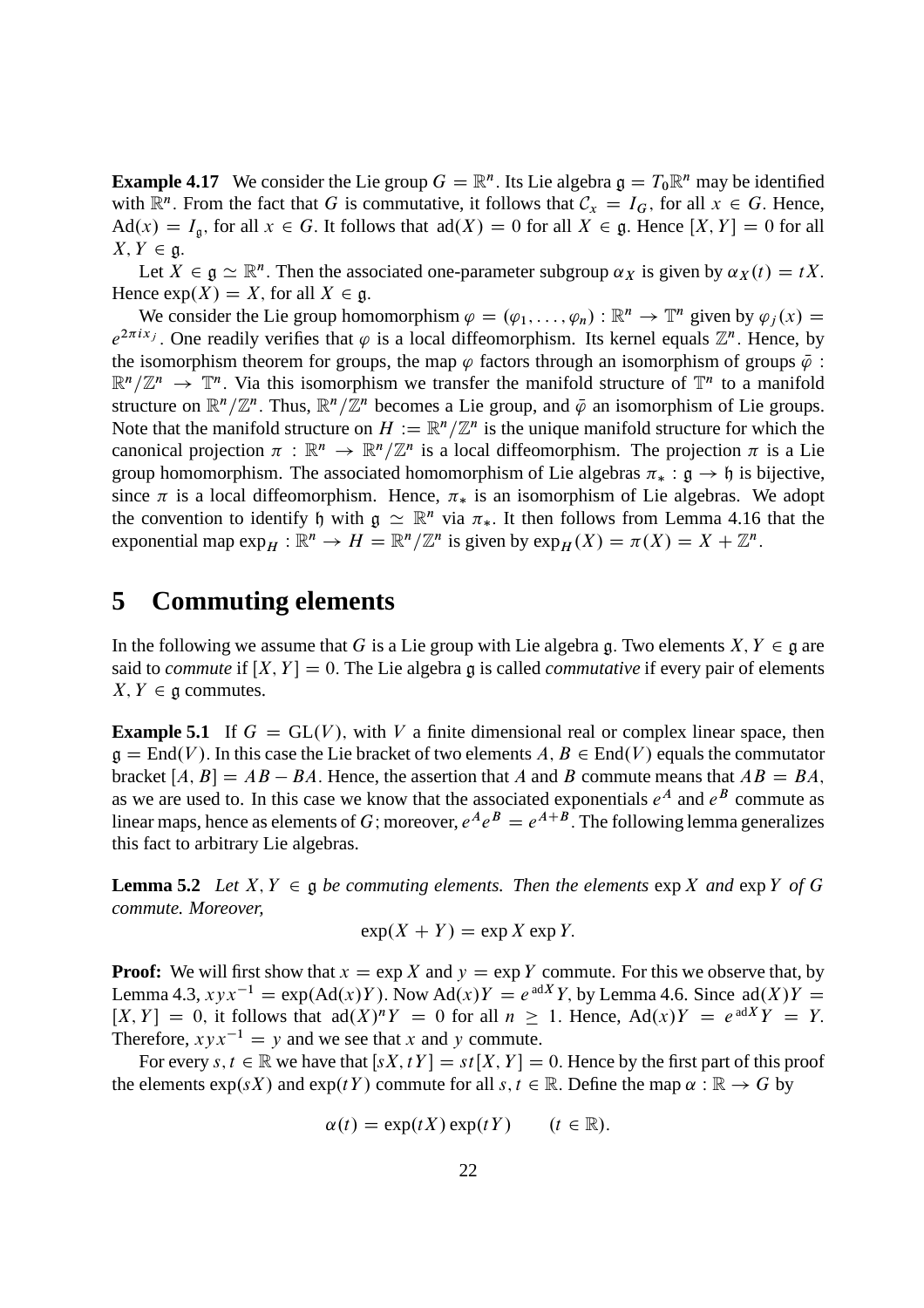**Example 4.17** We consider the Lie group  $G = \mathbb{R}^n$ . Its Lie algebra  $\mathfrak{g} = T_0 \mathbb{R}^n$  may be identified with  $\mathbb{R}^n$ . From the fact that G is commutative, it follows that  $\mathcal{C}_x = I_G$ , for all  $x \in G$ . Hence,  $\text{Ad}(x) = I_{\mathfrak{g}}$ , for all  $x \in G$ . It follows that  $\text{ad}(X) = 0$  for all  $X \in \mathfrak{g}$ . Hence  $[X, Y] = 0$  for all  $X, Y \in \mathfrak{g}.$ 

Let  $X \in \mathfrak{g} \simeq \mathbb{R}^n$ . Then the associated one-parameter subgroup  $\alpha_X$  is given by  $\alpha_X(t) = tX$ . Hence  $exp(X) = X$ , for all  $X \in \mathfrak{g}$ .

We consider the Lie group homomorphism  $\varphi = (\varphi_1, \ldots, \varphi_n) : \mathbb{R}^n \to \mathbb{T}^n$  given by  $\varphi_j(x) =$  $e^{2\pi i x_j}$ . One readily verifies that  $\varphi$  is a local diffeomorphism. Its kernel equals  $\mathbb{Z}^n$ . Hence, by the isomorphism theorem for groups, the map  $\varphi$  factors through an isomorphism of groups  $\bar{\varphi}$ :  $\mathbb{R}^n/\mathbb{Z}^n \to \mathbb{T}^n$ . Via this isomorphism we transfer the manifold structure of  $\mathbb{T}^n$  to a manifold structure on  $\mathbb{R}^n/\mathbb{Z}^n$ . Thus,  $\mathbb{R}^n/\mathbb{Z}^n$  becomes a Lie group, and  $\overline{\varphi}$  an isomorphism of Lie groups. Note that the manifold structure on  $H := \mathbb{R}^n / \mathbb{Z}^n$  is the unique manifold structure for which the canonical projection  $\pi : \mathbb{R}^n \to \mathbb{R}^n/\mathbb{Z}^n$  is a local diffeomorphism. The projection  $\pi$  is a Lie group homomorphism. The associated homomorphism of Lie algebras  $\pi_* : \mathfrak{g} \to \mathfrak{h}$  is bijective, since  $\pi$  is a local diffeomorphism. Hence,  $\pi_*$  is an isomorphism of Lie algebras. We adopt the convention to identify h with  $g \simeq \mathbb{R}^n$  via  $\pi_*$ . It then follows from Lemma 4.16 that the exponential map  $\exp_H : \mathbb{R}^n \to H = \mathbb{R}^n/\mathbb{Z}^n$  is given by  $\exp_H(X) = \pi(X) = X + \mathbb{Z}^n$ .

#### **5 Commuting elements**

In the following we assume that G is a Lie group with Lie algebra g. Two elements  $X, Y \in \mathfrak{g}$  are said to *commute* if  $[X, Y] = 0$ . The Lie algebra g is called *commutative* if every pair of elements  $X, Y \in \mathfrak{g}$  commutes.

**Example 5.1** If  $G = GL(V)$ , with V a finite dimensional real or complex linear space, then  $\mathfrak{g} = \text{End}(V)$ . In this case the Lie bracket of two elements  $A, B \in \text{End}(V)$  equals the commutator bracket  $[A, B] = AB - BA$ . Hence, the assertion that A and B commute means that  $AB = BA$ , as we are used to. In this case we know that the associated exponentials  $e^A$  and  $e^B$  commute as linear maps, hence as elements of G; moreover,  $e^A e^B = e^{A+B}$ . The following lemma generalizes this fact to arbitrary Lie algebras.

**Lemma 5.2** *Let*  $X, Y \in \mathfrak{g}$  *be commuting elements. Then the elements*  $\exp X$  *and*  $\exp Y$  *of* G *commute. Moreover,*

$$
\exp(X + Y) = \exp X \exp Y.
$$

**Proof:** We will first show that  $x = \exp X$  and  $y = \exp Y$  commute. For this we observe that, by Lemma 4.3,  $xyx^{-1} = \exp(\text{Ad}(x)Y)$ . Now  $\text{Ad}(x)Y = e^{\text{ad}X}Y$ , by Lemma 4.6. Since  $\text{ad}(X)Y = \text{ad}(X)Y$  $[X, Y] = 0$ , it follows that  $ad(X)^n Y = 0$  for all  $n \ge 1$ . Hence,  $Ad(x)Y = e^{adX}Y = Y$ . Therefore,  $xyx^{-1} = y$  and we see that x and y commute.

For every  $s, t \in \mathbb{R}$  we have that  $[sX, tY] = st[X, Y] = 0$ . Hence by the first part of this proof the elements  $\exp(sX)$  and  $\exp(tY)$  commute for all  $s, t \in \mathbb{R}$ . Define the map  $\alpha : \mathbb{R} \to G$  by

$$
\alpha(t) = \exp(tX)\exp(tY) \qquad (t \in \mathbb{R}).
$$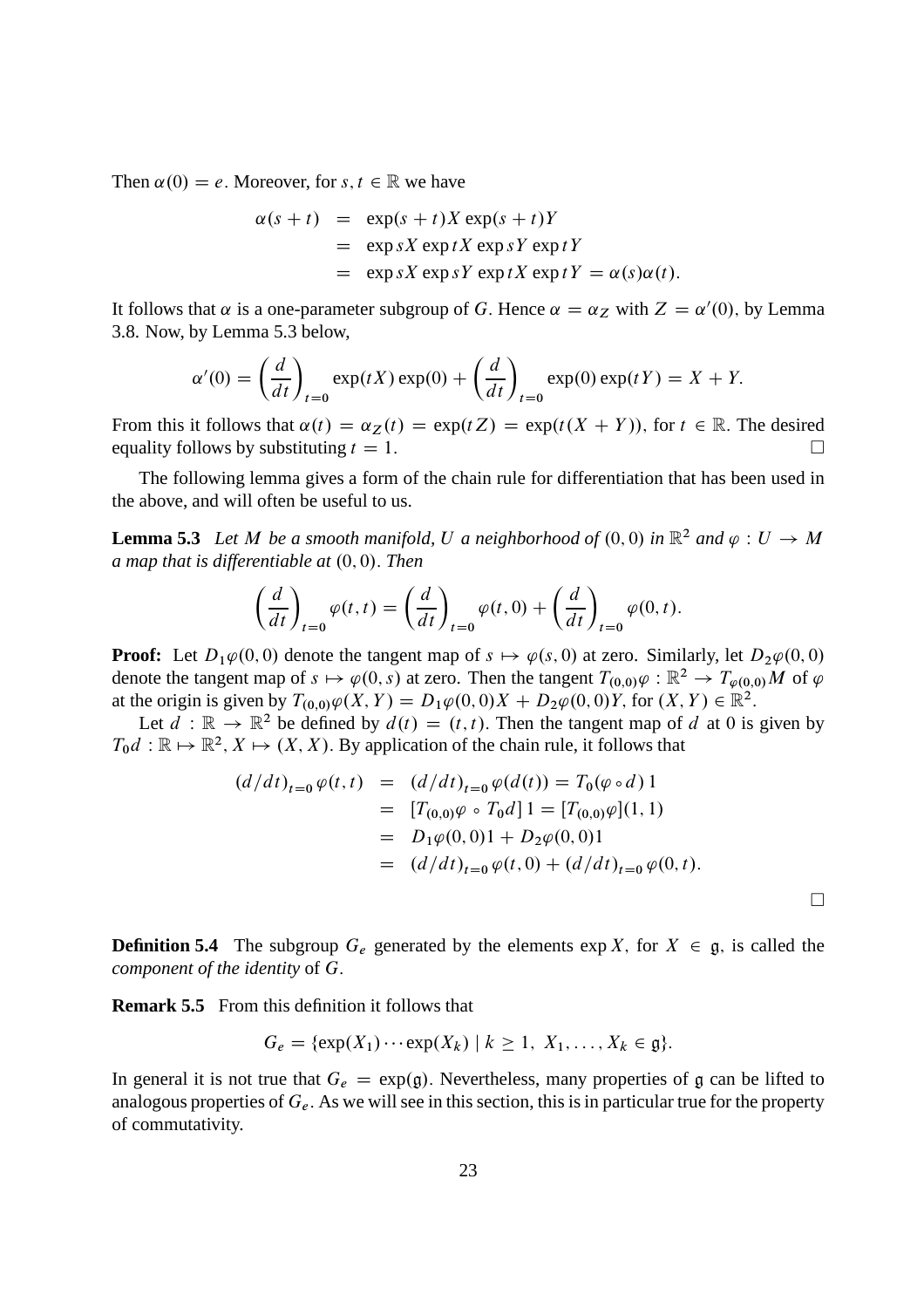Then  $\alpha(0) = e$ . Moreover, for s,  $t \in \mathbb{R}$  we have

$$
\alpha(s+t) = \exp(s+t)X \exp(s+t)Y
$$
  
=  $\exp sX \exp tX \exp sY \exp tY$   
=  $\exp sX \exp sY \exp tX \exp tY = \alpha(s)\alpha(t).$ 

It follows that  $\alpha$  is a one-parameter subgroup of G. Hence  $\alpha = \alpha_Z$  with  $Z = \alpha'(0)$ , by Lemma 3.8. Now, by Lemma 5.3 below,

$$
\alpha'(0) = \left(\frac{d}{dt}\right)_{t=0} \exp(tX) \exp(0) + \left(\frac{d}{dt}\right)_{t=0} \exp(0) \exp(tY) = X + Y.
$$

From this it follows that  $\alpha(t) = \alpha_Z(t) = \exp(tZ) = \exp(t(X + Y))$ , for  $t \in \mathbb{R}$ . The desired equality follows by substituting  $t = 1$ . equality follows by substituting  $t = 1$ .

The following lemma gives a form of the chain rule for differentiation that has been used in the above, and will often be useful to us.

**Lemma 5.3** Let M be a smooth manifold, U a neighborhood of  $(0,0)$  in  $\mathbb{R}^2$  and  $\varphi: U \to M$ *a* map that is differentiable at  $(0, 0)$ . Then

$$
\left(\frac{d}{dt}\right)_{t=0} \varphi(t,t) = \left(\frac{d}{dt}\right)_{t=0} \varphi(t,0) + \left(\frac{d}{dt}\right)_{t=0} \varphi(0,t).
$$

**Proof:** Let  $D_1\varphi(0,0)$  denote the tangent map of  $s \mapsto \varphi(s,0)$  at zero. Similarly, let  $D_2\varphi(0,0)$ denote the tangent map of  $s \mapsto \varphi(0, s)$  at zero. Then the tangent  $T_{(0,0)}\varphi : \mathbb{R}^2 \to T_{\varphi(0,0)}M$  of  $\varphi$ at the origin is given by  $T_{(0,0)}\varphi(X,Y) = D_1\varphi(0,0)X + D_2\varphi(0,0)Y$ , for  $(X,Y) \in \mathbb{R}^2$ .

Let  $d : \mathbb{R} \to \mathbb{R}^2$  be defined by  $d(t) = (t, t)$ . Then the tangent map of d at 0 is given by  $T_0d : \mathbb{R} \mapsto \mathbb{R}^2$ ,  $X \mapsto (X, X)$ . By application of the chain rule, it follows that

$$
(d/dt)_{t=0} \varphi(t,t) = (d/dt)_{t=0} \varphi(d(t)) = T_0(\varphi \circ d) 1
$$
  
= 
$$
[T_{(0,0)}\varphi \circ T_0 d] 1 = [T_{(0,0)}\varphi](1, 1)
$$
  
= 
$$
D_1\varphi(0,0)1 + D_2\varphi(0,0)1
$$
  
= 
$$
(d/dt)_{t=0} \varphi(t,0) + (d/dt)_{t=0} \varphi(0,t).
$$

**Definition 5.4** The subgroup  $G_e$  generated by the elements  $\exp X$ , for  $X \in \mathfrak{g}$ , is called the *component of the identity* of G:

**Remark 5.5** From this definition it follows that

$$
G_e = \{ \exp(X_1) \cdots \exp(X_k) \mid k \geq 1, X_1, \ldots, X_k \in \mathfrak{g} \}.
$$

In general it is not true that  $G_e = \exp(g)$ . Nevertheless, many properties of g can be lifted to analogous properties of  $G_e$ . As we will see in this section, this is in particular true for the property of commutativity.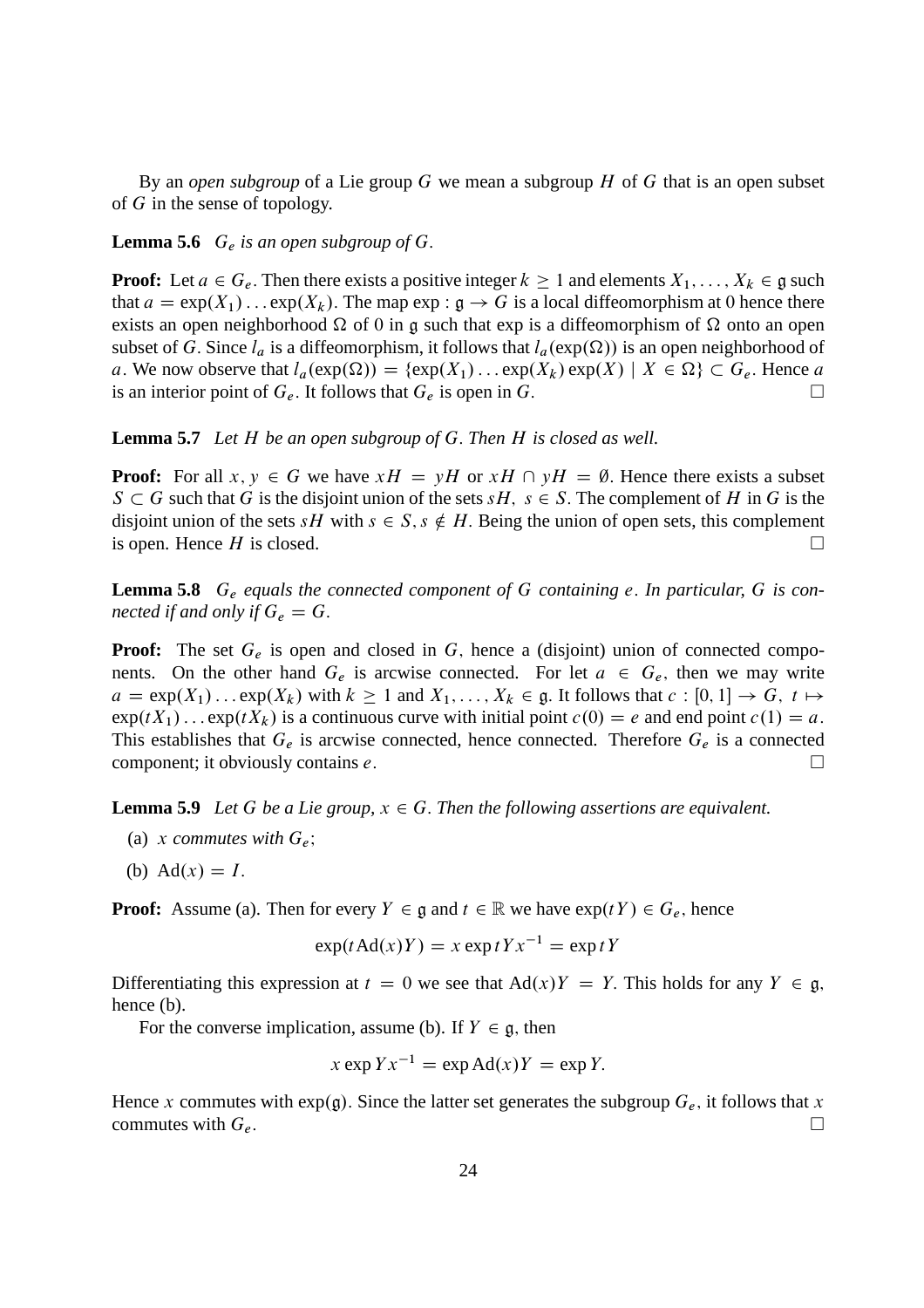By an *open subgroup* of a Lie group G we mean a subgroup H of G that is an open subset of G in the sense of topology.

#### **Lemma 5.6**  $G_e$  *is an open subgroup of*  $G$ .

**Proof:** Let  $a \in G_e$ . Then there exists a positive integer  $k \ge 1$  and elements  $X_1, \ldots, X_k \in \mathfrak{g}$  such that  $a = \exp(X_1) \dots \exp(X_k)$ . The map  $\exp : \mathfrak{g} \to G$  is a local diffeomorphism at 0 hence there exists an open neighborhood  $\Omega$  of 0 in g such that exp is a diffeomorphism of  $\Omega$  onto an open subset of G. Since  $l_a$  is a diffeomorphism, it follows that  $l_a(\exp(\Omega))$  is an open neighborhood of a. We now observe that  $l_a(\exp(\Omega)) = {\exp(X_1) \dots \exp(X_k) \exp(X) \mid X \in \Omega} \subset G_e$ . Hence a is an interior point of  $G_e$ . It follows that  $G_e$  is open in  $G$ is an interior point of  $G_e$ . It follows that  $G_e$  is open in G.

**Lemma 5.7** *Let* H *be an open subgroup of* G: *Then* H *is closed as well.*

**Proof:** For all  $x, y \in G$  we have  $xH = yH$  or  $xH \cap yH = \emptyset$ . Hence there exists a subset  $S \subset G$  such that G is the disjoint union of the sets  $sH$ ,  $s \in S$ . The complement of H in G is the disjoint union of the sets sH with  $s \in S$ ,  $s \notin H$ . Being the union of open sets, this complement is open. Hence H is closed is open. Hence  $H$  is closed.

**Lemma 5.8** G<sub>e</sub> equals the connected component of G containing e. In particular, G is con*nected if and only if*  $G_e = G$ .

**Proof:** The set  $G_e$  is open and closed in  $G$ , hence a (disjoint) union of connected components. On the other hand  $G_e$  is arcwise connected. For let  $a \in G_e$ , then we may write  $a = \exp(X_1) \dots \exp(X_k)$  with  $k \ge 1$  and  $X_1, \dots, X_k \in \mathfrak{g}$ . It follows that  $c : [0, 1] \to G$ ,  $t \mapsto$  $\exp(tX_1) \dots \exp(tX_k)$  is a continuous curve with initial point  $c(0) = e$  and end point  $c(1) = a$ . This establishes that  $G_e$  is arcwise connected, hence connected. Therefore  $G_e$  is a connected component; it obviously contains  $e$ .

**Lemma 5.9** *Let* G *be a Lie group,*  $x \in G$ *. Then the following assertions are equivalent.* 

- (a) x commutes with  $G_e$ ;
- (b)  $\text{Ad}(x) = I.$

**Proof:** Assume (a). Then for every  $Y \in \mathfrak{g}$  and  $t \in \mathbb{R}$  we have  $\exp(tY) \in G_e$ , hence

$$
\exp(t\operatorname{Ad}(x)Y) = x \exp tYx^{-1} = \exp tY
$$

Differentiating this expression at  $t = 0$  we see that  $Ad(x)Y = Y$ . This holds for any  $Y \in \mathfrak{g}$ , hence (b).

For the converse implication, assume (b). If  $Y \in \mathfrak{g}$ , then

$$
x \exp Yx^{-1} = \exp \text{Ad}(x)Y = \exp Y.
$$

Hence x commutes with  $exp(g)$ . Since the latter set generates the subgroup  $G_e$ , it follows that x commutes with  $G_e$ .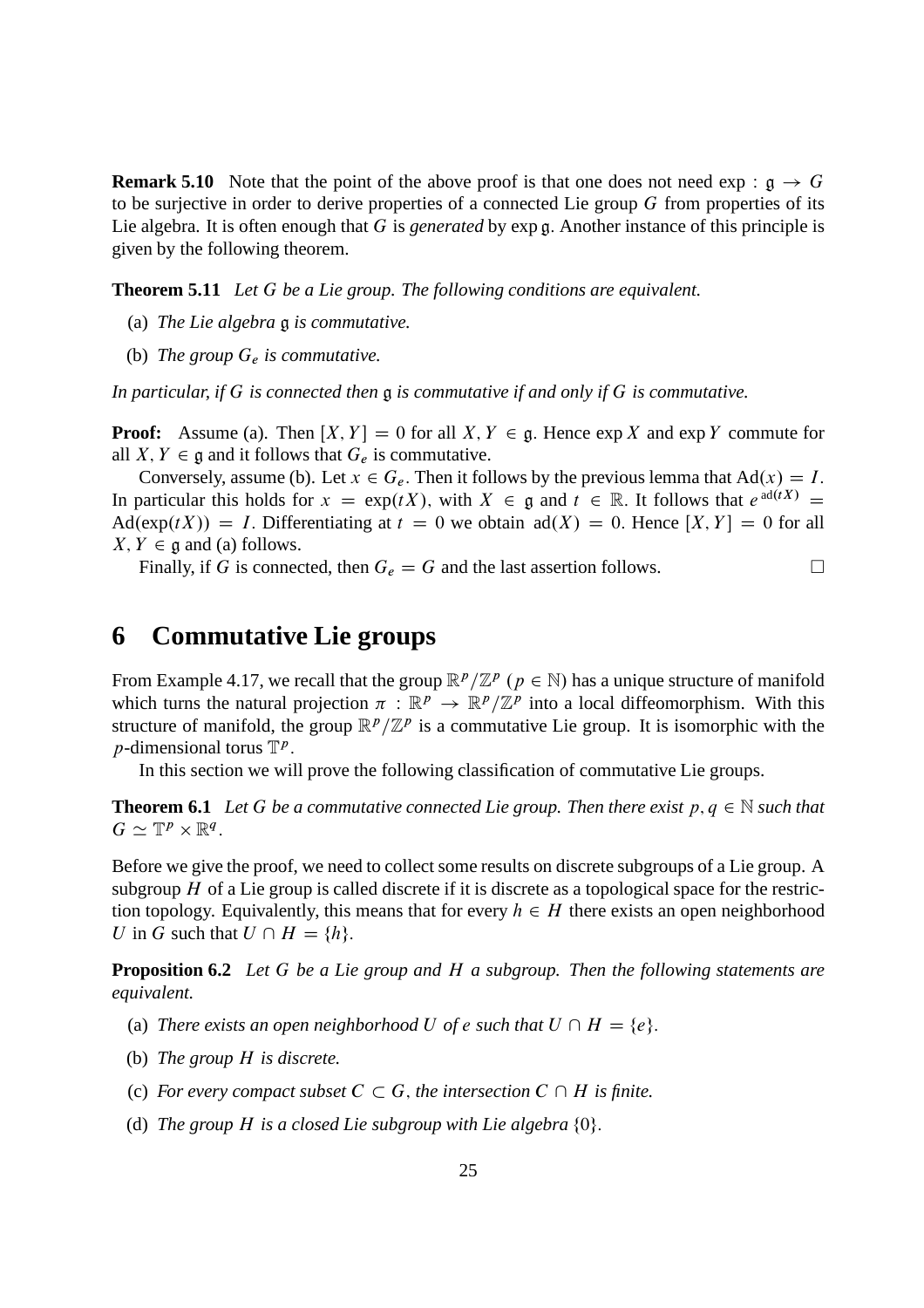**Remark 5.10** Note that the point of the above proof is that one does not need  $\exp : \mathfrak{g} \to G$ to be surjective in order to derive properties of a connected Lie group  $G$  from properties of its Lie algebra. It is often enough that G is *generated* by exp g: Another instance of this principle is given by the following theorem.

**Theorem 5.11** *Let* G *be a Lie group. The following conditions are equivalent.*

- (a) *The Lie algebra* g *is commutative.*
- (b) *The group* G<sup>e</sup> *is commutative.*

*In particular, if* G *is connected then* g *is commutative if and only if* G *is commutative.*

**Proof:** Assume (a). Then  $[X, Y] = 0$  for all  $X, Y \in \mathfrak{g}$ . Hence  $\exp X$  and  $\exp Y$  commute for all X,  $Y \in \mathfrak{g}$  and it follows that  $G_e$  is commutative.

Conversely, assume (b). Let  $x \in G_e$ . Then it follows by the previous lemma that  $Ad(x) = I$ . In particular this holds for  $x = \exp(tX)$ , with  $X \in \mathfrak{g}$  and  $t \in \mathbb{R}$ . It follows that  $e^{\operatorname{ad}(tX)} =$  $\text{Ad}(\exp(tX)) = I$ . Differentiating at  $t = 0$  we obtain  $\text{ad}(X) = 0$ . Hence  $[X, Y] = 0$  for all  $X, Y \in \mathfrak{g}$  and (a) follows.

Finally, if G is connected, then  $G_e = G$  and the last assertion follows.

### **6 Commutative Lie groups**

From Example 4.17, we recall that the group  $\mathbb{R}^p/\mathbb{Z}^p$  ( $p \in \mathbb{N}$ ) has a unique structure of manifold which turns the natural projection  $\pi : \mathbb{R}^p \to \mathbb{R}^p/\mathbb{Z}^p$  into a local diffeomorphism. With this structure of manifold, the group  $\mathbb{R}^p/\mathbb{Z}^p$  is a commutative Lie group. It is isomorphic with the *p*-dimensional torus  $\mathbb{T}^p$ .

In this section we will prove the following classification of commutative Lie groups.

**Theorem 6.1** Let G be a commutative connected Lie group. Then there exist  $p, q \in \mathbb{N}$  such that  $G \simeq \mathbb{T}^p \times \mathbb{R}^q$ .

Before we give the proof, we need to collect some results on discrete subgroups of a Lie group. A subgroup  $H$  of a Lie group is called discrete if it is discrete as a topological space for the restriction topology. Equivalently, this means that for every  $h \in H$  there exists an open neighborhood U in G such that  $U \cap H = \{h\}.$ 

**Proposition 6.2** *Let* G *be a Lie group and* H *a subgroup. Then the following statements are equivalent.*

- (a) *There exists an open neighborhood* U *of e such that*  $U \cap H = \{e\}.$
- (b) *The group* H *is discrete.*
- (c) *For every compact subset*  $C \subset G$ *, the intersection*  $C \cap H$  *is finite.*
- (d) The group  $H$  is a closed Lie subgroup with Lie algebra  $\{0\}$ .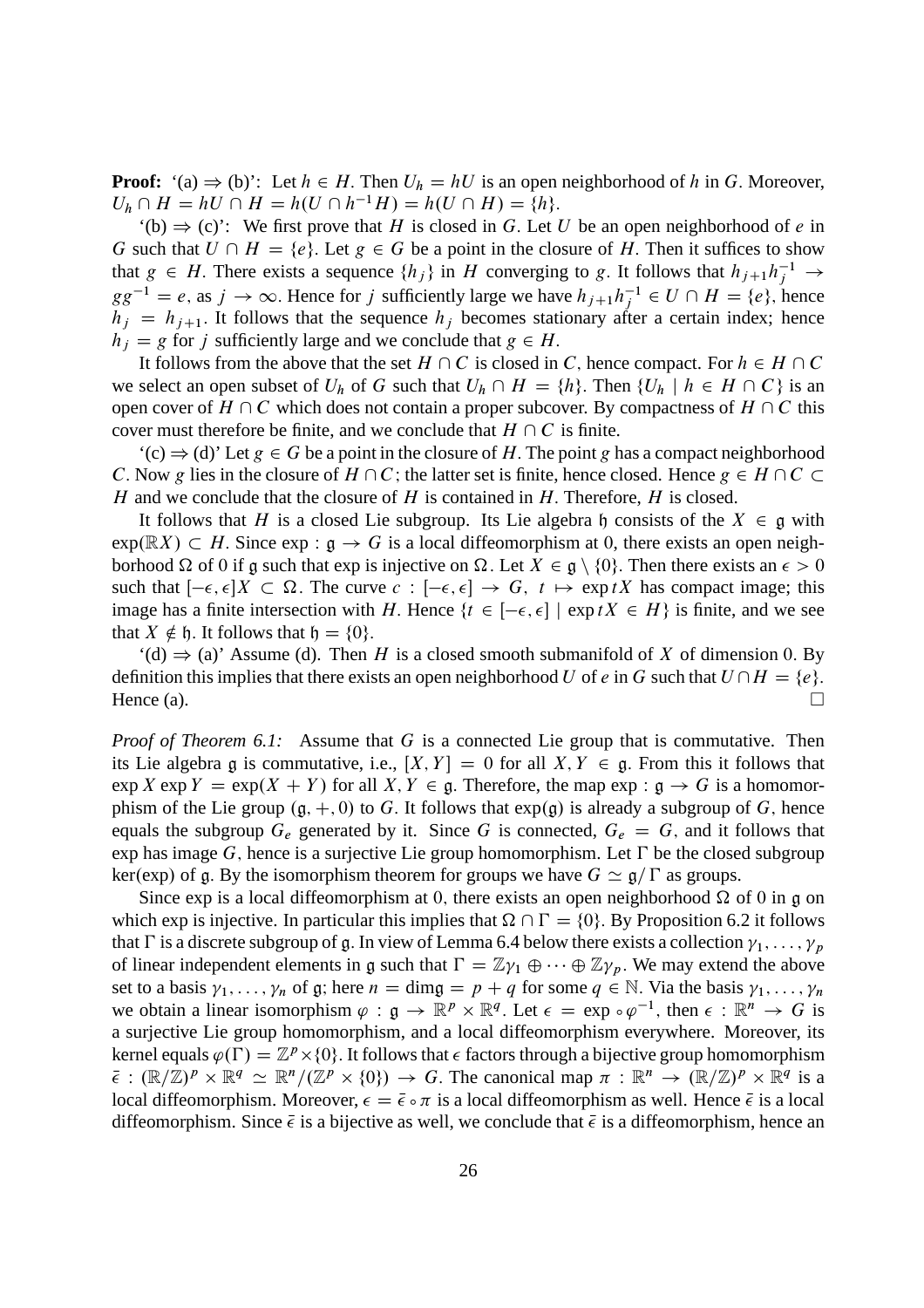**Proof:** '(a)  $\Rightarrow$  (b)': Let  $h \in H$ . Then  $U_h = hU$  is an open neighborhood of h in G. Moreover,  $U_h \cap H = hU \cap H = h(U \cap h^{-1}H) = h(U \cap H) = \{h\}.$ 

'(b)  $\Rightarrow$  (c)': We first prove that H is closed in G. Let U be an open neighborhood of e in G such that  $U \cap H = \{e\}$ . Let  $g \in G$  be a point in the closure of H. Then it suffices to show that  $g \in H$ . There exists a sequence  $\{h_j\}$  in H converging to g. It follows that  $h_{j+1}h_j^{-1} \to$  $gg^{-1} = e$ , as  $j \to \infty$ . Hence for j sufficiently large we have  $h_{j+1}h_j^{-1} \in U \cap H = \{e\}$ , hence  $h_i = h_{i+1}$ . It follows that the sequence  $h_i$  becomes stationary after a certain index; hence  $h_i = g$  for j sufficiently large and we conclude that  $g \in H$ .

It follows from the above that the set  $H \cap C$  is closed in C, hence compact. For  $h \in H \cap C$ we select an open subset of  $U_h$  of G such that  $U_h \cap H = \{h\}$ . Then  $\{U_h \mid h \in H \cap C\}$  is an open cover of  $H \cap C$  which does not contain a proper subcover. By compactness of  $H \cap C$  this cover must therefore be finite, and we conclude that  $H \cap C$  is finite.

 $'(c) \Rightarrow (d)'$  Let  $g \in G$  be a point in the closure of H. The point g has a compact neighborhood C. Now g lies in the closure of  $H \cap C$ ; the latter set is finite, hence closed. Hence  $g \in H \cap C$ H and we conclude that the closure of H is contained in H. Therefore, H is closed.

It follows that H is a closed Lie subgroup. Its Lie algebra h consists of the  $X \in \mathfrak{g}$  with  $\exp(\mathbb{R}X) \subset H$ . Since  $\exp : \mathfrak{g} \to G$  is a local diffeomorphism at 0, there exists an open neighborhood  $\Omega$  of 0 if g such that exp is injective on  $\Omega$ . Let  $X \in \mathfrak{g} \setminus \{0\}$ . Then there exists an  $\epsilon > 0$ such that  $[-\epsilon, \epsilon]X \subset \Omega$ . The curve  $c : [-\epsilon, \epsilon] \to G$ ,  $t \mapsto \exp(tX)$  has compact image; this image has a finite intersection with H. Hence  $\{t \in [-\epsilon, \epsilon] \mid \exp tX \in H\}$  is finite, and we see that  $X \notin \mathfrak{h}$ . It follows that  $\mathfrak{h} = \{0\}.$ 

 $'(d) \Rightarrow (a)'$  Assume (d). Then H is a closed smooth submanifold of X of dimension 0. By definition this implies that there exists an open neighborhood U of e in G such that  $U \cap H = \{e\}$ . Hence (a).  $\Box$ 

*Proof of Theorem 6.1:* Assume that G is a connected Lie group that is commutative. Then its Lie algebra g is commutative, i.e.,  $[X, Y] = 0$  for all  $X, Y \in \mathfrak{g}$ . From this it follows that  $\exp X \exp Y = \exp(X + Y)$  for all  $X, Y \in \mathfrak{g}$ . Therefore, the map  $\exp : \mathfrak{g} \to G$  is a homomorphism of the Lie group  $(g, +, 0)$  to G. It follows that  $exp(g)$  is already a subgroup of G, hence equals the subgroup  $G_e$  generated by it. Since G is connected,  $G_e = G$ , and it follows that exp has image G, hence is a surjective Lie group homomorphism. Let  $\Gamma$  be the closed subgroup ker(exp) of g. By the isomorphism theorem for groups we have  $G \simeq \mathfrak{g}/\Gamma$  as groups.

Since exp is a local diffeomorphism at 0, there exists an open neighborhood  $\Omega$  of 0 in g on which exp is injective. In particular this implies that  $\Omega \cap \Gamma = \{0\}$ . By Proposition 6.2 it follows that  $\Gamma$  is a discrete subgroup of g. In view of Lemma 6.4 below there exists a collection  $\gamma_1, \ldots, \gamma_n$ of linear independent elements in g such that  $\Gamma = \mathbb{Z}\gamma_1 \oplus \cdots \oplus \mathbb{Z}\gamma_p$ . We may extend the above set to a basis  $\gamma_1, \ldots, \gamma_n$  of g; here  $n = \dim g = p + q$  for some  $q \in \mathbb{N}$ . Via the basis  $\gamma_1, \ldots, \gamma_n$ we obtain a linear isomorphism  $\varphi : \mathfrak{g} \to \mathbb{R}^p \times \mathbb{R}^q$ . Let  $\epsilon = \exp \circ \varphi^{-1}$ , then  $\epsilon : \mathbb{R}^n \to G$  is a surjective Lie group homomorphism, and a local diffeomorphism everywhere. Moreover, its kernel equals  $\varphi(\Gamma) = \mathbb{Z}^p \times \{0\}$ . It follows that  $\epsilon$  factors through a bijective group homomorphism  $\bar{\epsilon}: (\mathbb{R}/\mathbb{Z})^p \times \mathbb{R}^q \simeq \mathbb{R}^n/(\mathbb{Z}^p \times \{0\}) \to G$ . The canonical map  $\pi: \mathbb{R}^n \to (\mathbb{R}/\mathbb{Z})^p \times \mathbb{R}^q$  is a local diffeomorphism. Moreover,  $\epsilon = \bar{\epsilon} \cdot \pi$  is a local diffeomorphism as well. Hence  $\bar{\epsilon}$  is a local diffeomorphism. Since  $\bar{\epsilon}$  is a bijective as well, we conclude that  $\bar{\epsilon}$  is a diffeomorphism, hence an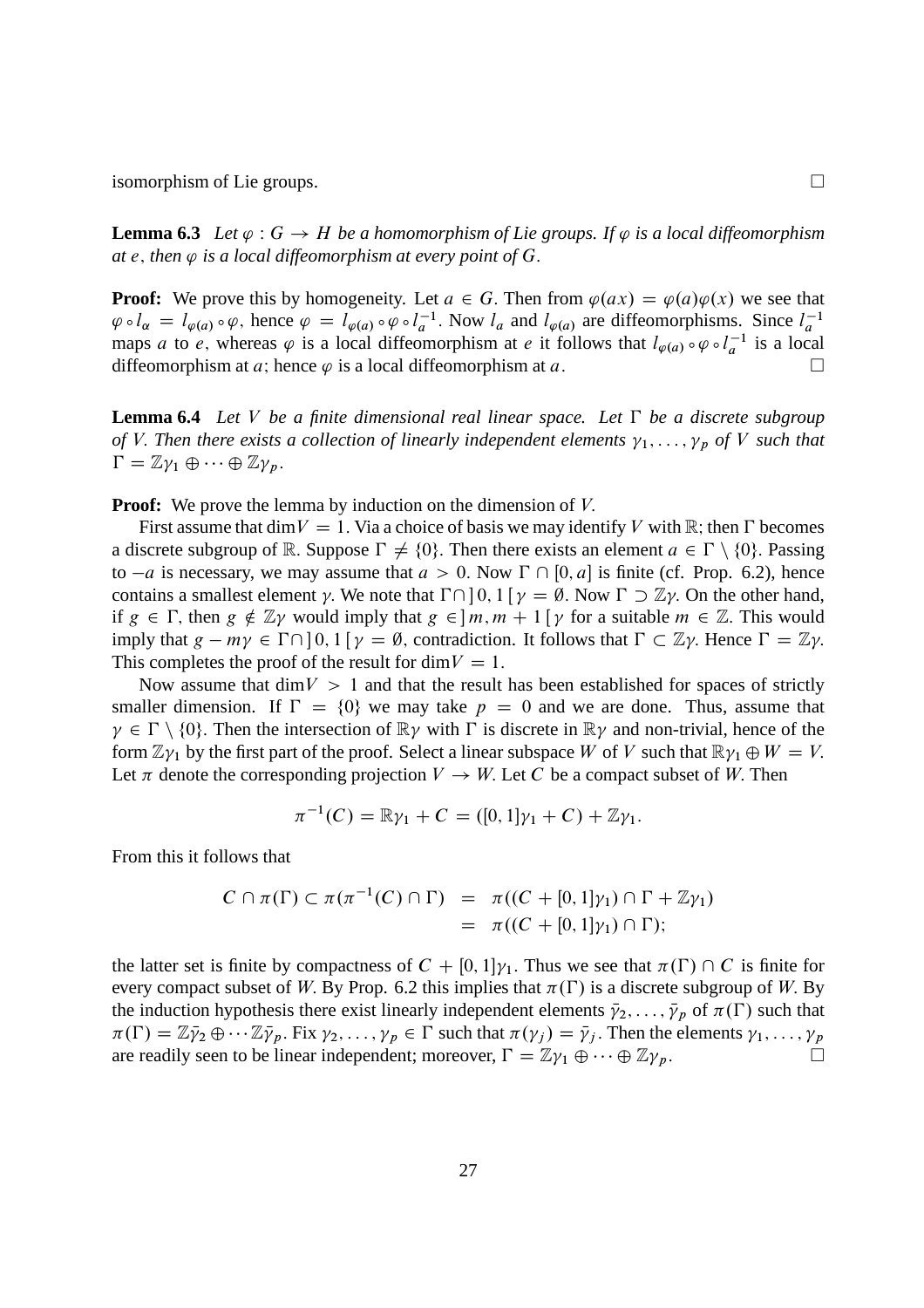isomorphism of Lie groups.

**Lemma 6.3** Let  $\varphi$  :  $G \to H$  be a homomorphism of Lie groups. If  $\varphi$  is a local diffeomorphism at  $e$ , then  $\varphi$  is a local diffeomorphism at every point of  $G$ .

**Proof:** We prove this by homogeneity. Let  $a \in G$ . Then from  $\varphi(ax) = \varphi(a)\varphi(x)$  we see that  $\varphi \circ l_{\alpha} = l_{\varphi(a)} \circ \varphi$ , hence  $\varphi = l_{\varphi(a)} \circ \varphi \circ l_a^{-1}$ . Now  $l_a$  and  $l_{\varphi(a)}$  are diffeomorphisms. Since  $l_a^{-1}$ maps a to e, whereas  $\varphi$  is a local diffeomorphism at e it follows that  $l_{\varphi(a)} \circ \varphi \circ l_a^{-1}$  is a local diffeomorphism at a; hence  $\varphi$  is a local diffeomorphism at a.

**Lemma 6.4** Let V be a finite dimensional real linear space. Let  $\Gamma$  be a discrete subgroup *of V*. Then there exists a collection of linearly independent elements  $\gamma_1, \ldots, \gamma_p$  of *V* such that  $\Gamma = \mathbb{Z}\gamma_1 \oplus \cdots \oplus \mathbb{Z}\gamma_p.$ 

**Proof:** We prove the lemma by induction on the dimension of V.

First assume that dim  $V = 1$ . Via a choice of basis we may identify V with R; then  $\Gamma$  becomes a discrete subgroup of R. Suppose  $\Gamma \neq \{0\}$ . Then there exists an element  $a \in \Gamma \setminus \{0\}$ . Passing to  $-a$  is necessary, we may assume that  $a > 0$ . Now  $\Gamma \cap [0, a]$  is finite (cf. Prop. 6.2), hence contains a smallest element  $\gamma$ . We note that  $\Gamma \cap$  | 0, 1  $\gamma = \emptyset$ . Now  $\Gamma \supset \mathbb{Z}\gamma$ . On the other hand, if  $g \in \Gamma$ , then  $g \notin \mathbb{Z}$  would imply that  $g \in \mathbb{R}$ ,  $m + 1$   $\gamma$  for a suitable  $m \in \mathbb{Z}$ . This would imply that  $g - my \in \Gamma \cap [0, 1]$   $\gamma = \emptyset$ , contradiction. It follows that  $\Gamma \subset \mathbb{Z}\gamma$ . Hence  $\Gamma = \mathbb{Z}\gamma$ . This completes the proof of the result for dim  $V = 1$ .

Now assume that dim  $V > 1$  and that the result has been established for spaces of strictly smaller dimension. If  $\Gamma = \{0\}$  we may take  $p = 0$  and we are done. Thus, assume that  $\gamma \in \Gamma \setminus \{0\}$ . Then the intersection of  $\mathbb{R}\gamma$  with  $\Gamma$  is discrete in  $\mathbb{R}\gamma$  and non-trivial, hence of the form  $\mathbb{Z}\gamma_1$  by the first part of the proof. Select a linear subspace W of V such that  $\mathbb{R}\gamma_1 \oplus W = V$ . Let  $\pi$  denote the corresponding projection  $V \to W$ . Let C be a compact subset of W. Then

$$
\pi^{-1}(C) = \mathbb{R}\gamma_1 + C = ([0,1]\gamma_1 + C) + \mathbb{Z}\gamma_1.
$$

From this it follows that

$$
C \cap \pi(\Gamma) \subset \pi(\pi^{-1}(C) \cap \Gamma) = \pi((C + [0,1]\gamma_1) \cap \Gamma + \mathbb{Z}\gamma_1)
$$
  
=  $\pi((C + [0,1]\gamma_1) \cap \Gamma);$ 

the latter set is finite by compactness of  $C + [0, 1] \gamma_1$ . Thus we see that  $\pi(\Gamma) \cap C$  is finite for every compact subset of W. By Prop. 6.2 this implies that  $\pi(\Gamma)$  is a discrete subgroup of W. By the induction hypothesis there exist linearly independent elements  $\bar{\gamma}_2, \ldots, \bar{\gamma}_p$  of  $\pi(\Gamma)$  such that  $\pi(\Gamma) = \mathbb{Z}\overline{\gamma}_2 \oplus \cdots \mathbb{Z}\overline{\gamma}_p$ . Fix  $\gamma_2, \ldots, \gamma_p \in \Gamma$  such that  $\pi(\gamma_j) = \overline{\gamma}_j$ . Then the elements  $\gamma_1, \ldots, \gamma_p$  are readily seen to be linear independent: moreover  $\Gamma = \mathbb{Z}\gamma_1 \oplus \cdots \oplus \mathbb{Z}\gamma_p$ are readily seen to be linear independent; moreover,  $\Gamma = \mathbb{Z}\gamma_1 \oplus \cdots \oplus \mathbb{Z}\gamma_p$ .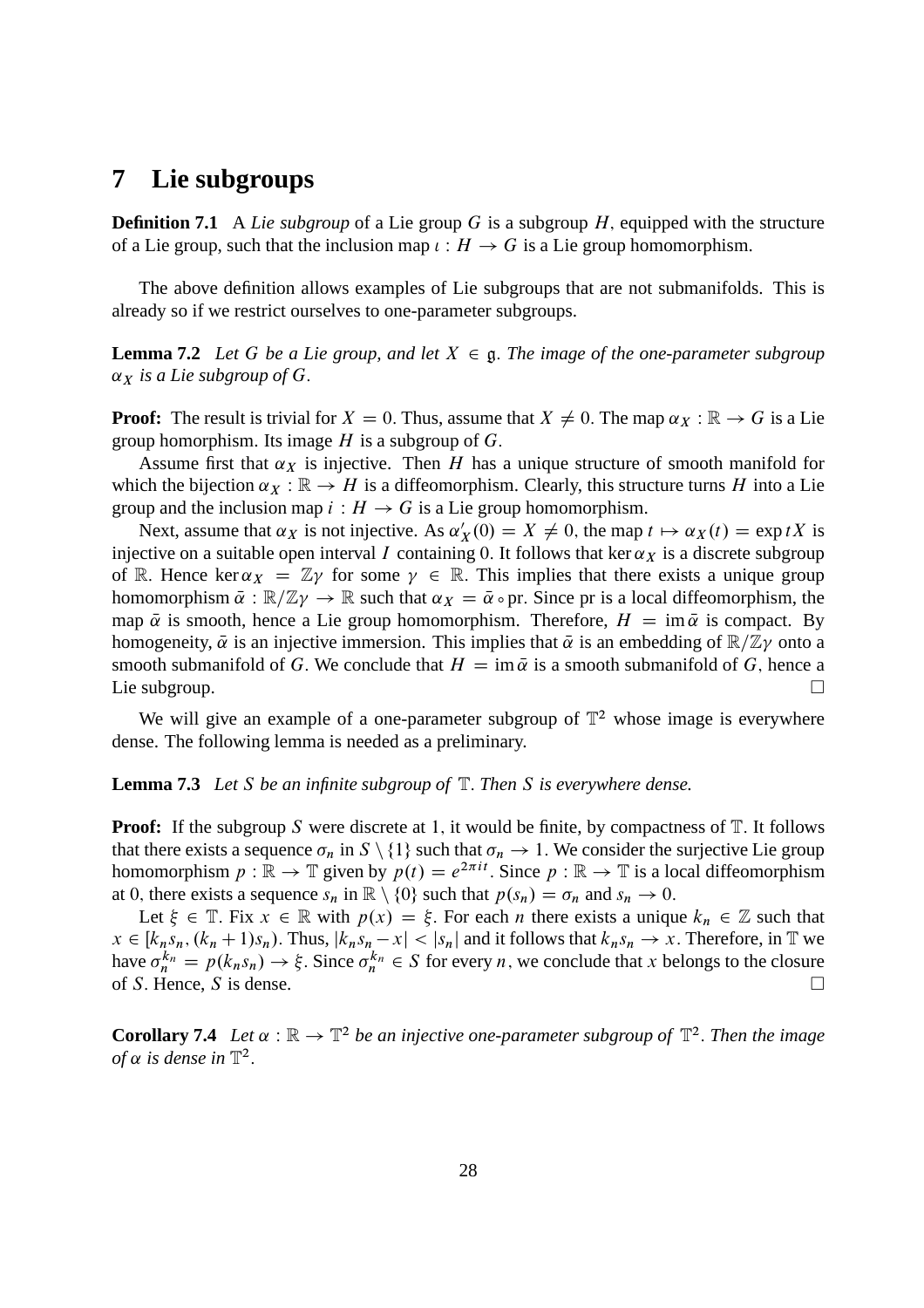#### **7 Lie subgroups**

**Definition 7.1** A *Lie subgroup* of a Lie group G is a subgroup H, equipped with the structure of a Lie group, such that the inclusion map  $\iota : H \to G$  is a Lie group homomorphism.

The above definition allows examples of Lie subgroups that are not submanifolds. This is already so if we restrict ourselves to one-parameter subgroups.

**Lemma 7.2** *Let* G *be a Lie group, and let*  $X \in \mathfrak{g}$ *. The image of the one-parameter subgroup*  $\alpha_X$  *is a Lie subgroup of G.* 

**Proof:** The result is trivial for  $X = 0$ . Thus, assume that  $X \neq 0$ . The map  $\alpha_X : \mathbb{R} \to G$  is a Lie group homorphism. Its image  $H$  is a subgroup of  $G$ .

Assume first that  $\alpha_X$  is injective. Then H has a unique structure of smooth manifold for which the bijection  $\alpha_X : \mathbb{R} \to H$  is a diffeomorphism. Clearly, this structure turns H into a Lie group and the inclusion map  $i : H \to G$  is a Lie group homomorphism.

Next, assume that  $\alpha_X$  is not injective. As  $\alpha'_X(0) = X \neq 0$ , the map  $t \mapsto \alpha_X(t) = \exp tX$  is injective on a suitable open interval I containing 0. It follows that ker  $\alpha_X$  is a discrete subgroup of R. Hence ker  $\alpha_X = \mathbb{Z} \gamma$  for some  $\gamma \in \mathbb{R}$ . This implies that there exists a unique group homomorphism  $\bar{\alpha}: \mathbb{R}/\mathbb{Z}\gamma \to \mathbb{R}$  such that  $\alpha_X = \bar{\alpha} \circ \text{pr}$ . Since pr is a local diffeomorphism, the map  $\bar{\alpha}$  is smooth, hence a Lie group homomorphism. Therefore,  $H = \text{im } \bar{\alpha}$  is compact. By homogeneity,  $\bar{\alpha}$  is an injective immersion. This implies that  $\bar{\alpha}$  is an embedding of  $\mathbb{R}/\mathbb{Z}\gamma$  onto a smooth submanifold of G. We conclude that  $H = \text{im } \bar{\alpha}$  is a smooth submanifold of G, hence a Lie subgroup. Lie subgroup.  $\square$ 

We will give an example of a one-parameter subgroup of  $\mathbb{T}^2$  whose image is everywhere dense. The following lemma is needed as a preliminary.

#### **Lemma 7.3** *Let* S *be an infinite subgroup of* T: *Then* S *is everywhere dense.*

**Proof:** If the subgroup S were discrete at 1, it would be finite, by compactness of  $T$ . It follows that there exists a sequence  $\sigma_n$  in  $S \setminus \{1\}$  such that  $\sigma_n \to 1$ . We consider the surjective Lie group homomorphism  $p : \mathbb{R} \to \mathbb{T}$  given by  $p(t) = e^{2\pi i t}$ . Since  $p : \mathbb{R} \to \mathbb{T}$  is a local diffeomorphism at 0, there exists a sequence  $s_n$  in  $\mathbb{R} \setminus \{0\}$  such that  $p(s_n) = \sigma_n$  and  $s_n \to 0$ .

Let  $\xi \in \mathbb{T}$ . Fix  $x \in \mathbb{R}$  with  $p(x) = \xi$ . For each *n* there exists a unique  $k_n \in \mathbb{Z}$  such that  $x \in [k_n s_n, (k_n + 1)s_n)$ . Thus,  $|k_n s_n - x| < |s_n|$  and it follows that  $k_n s_n \to x$ . Therefore, in T we have  $\sigma_n^{k_n} = p(k_n s_n) \rightarrow \xi$ . Since  $\sigma_n^{k_n} \in S$  for every *n*, we conclude that *x* belongs to the closure of S. Hence, S is dense.

**Corollary 7.4** Let  $\alpha : \mathbb{R} \to \mathbb{T}^2$  be an injective one-parameter subgroup of  $\mathbb{T}^2$ . Then the image *of*  $\alpha$  is dense in  $\mathbb{T}^2$ .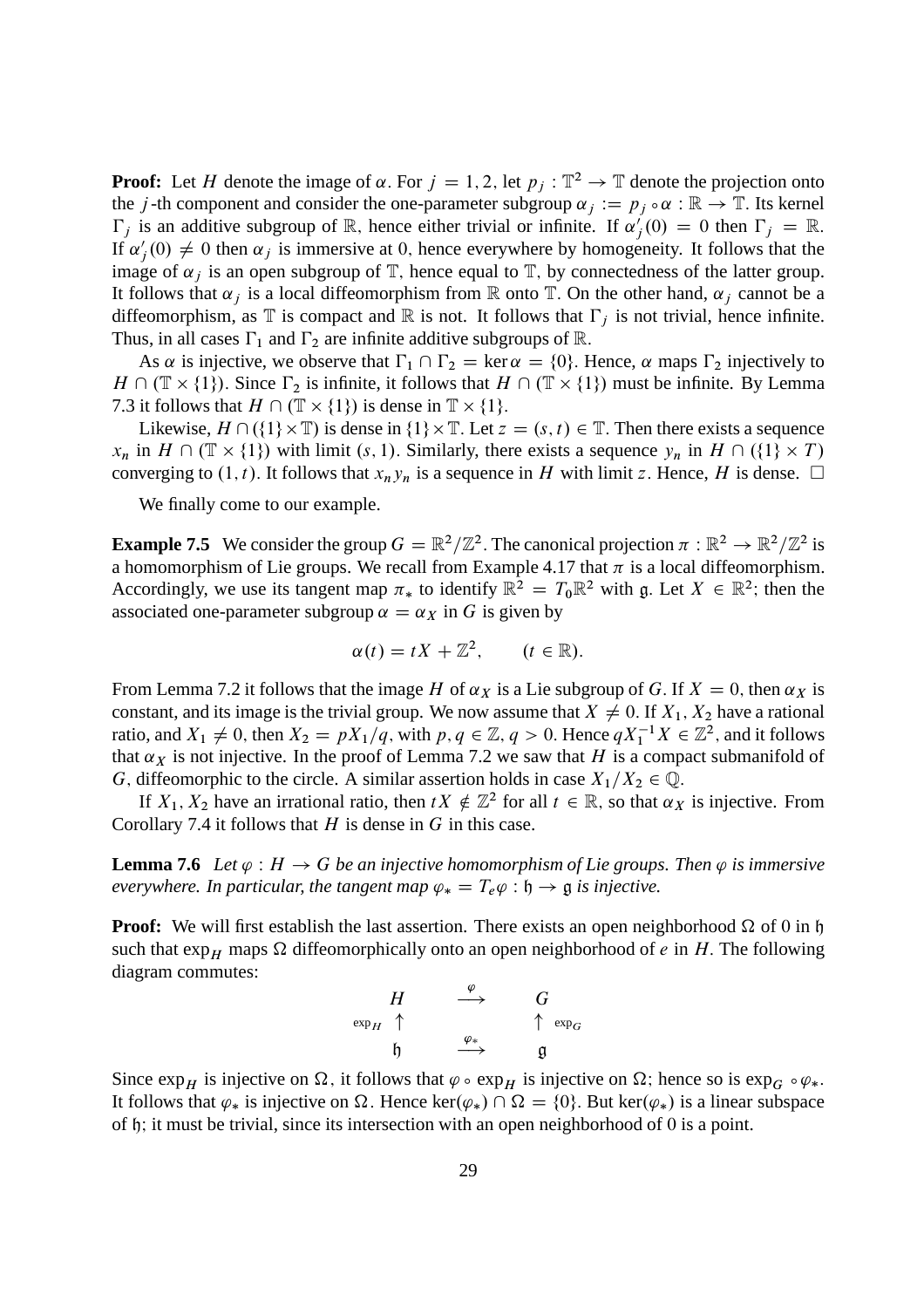**Proof:** Let H denote the image of  $\alpha$ . For  $j = 1, 2$ , let  $p_j : \mathbb{T}^2 \to \mathbb{T}$  denote the projection onto the j-th component and consider the one-parameter subgroup  $\alpha_i := p_i \circ \alpha : \mathbb{R} \to \mathbb{T}$ . Its kernel  $\Gamma_j$  is an additive subgroup of  $\mathbb R$ , hence either trivial or infinite. If  $\alpha'_j(0) = 0$  then  $\Gamma_j = \mathbb R$ . If  $\alpha'_{j}(0) \neq 0$  then  $\alpha_{j}$  is immersive at 0, hence everywhere by homogeneity. It follows that the image of  $\alpha_j$  is an open subgroup of  $\mathbb T$ , hence equal to  $\mathbb T$ , by connectedness of the latter group. It follows that  $\alpha_j$  is a local diffeomorphism from R onto T. On the other hand,  $\alpha_j$  cannot be a diffeomorphism, as  $\mathbb T$  is compact and  $\mathbb R$  is not. It follows that  $\Gamma_i$  is not trivial, hence infinite. Thus, in all cases  $\Gamma_1$  and  $\Gamma_2$  are infinite additive subgroups of R.

As  $\alpha$  is injective, we observe that  $\Gamma_1 \cap \Gamma_2 = \ker \alpha = \{0\}$ . Hence,  $\alpha$  maps  $\Gamma_2$  injectively to  $H \cap (\mathbb{T} \times \{1\})$ . Since  $\Gamma_2$  is infinite, it follows that  $H \cap (\mathbb{T} \times \{1\})$  must be infinite. By Lemma 7.3 it follows that  $H \cap (\mathbb{T} \times \{1\})$  is dense in  $\mathbb{T} \times \{1\}$ .

Likewise,  $H \cap (\{1\} \times \mathbb{T})$  is dense in  $\{1\} \times \mathbb{T}$ . Let  $z = (s, t) \in \mathbb{T}$ . Then there exists a sequence  $x_n$  in  $H \cap (\mathbb{T} \times \{1\})$  with limit  $(s, 1)$ . Similarly, there exists a sequence  $y_n$  in  $H \cap (\{1\} \times T)$ converging to  $(1, t)$ . It follows that  $x_n y_n$  is a sequence in H with limit z. Hence, H is dense.  $\Box$ 

We finally come to our example.

**Example 7.5** We consider the group  $G = \mathbb{R}^2/\mathbb{Z}^2$ . The canonical projection  $\pi : \mathbb{R}^2 \to \mathbb{R}^2/\mathbb{Z}^2$  is a homomorphism of Lie groups. We recall from Example 4.17 that  $\pi$  is a local diffeomorphism. Accordingly, we use its tangent map  $\pi_*$  to identify  $\mathbb{R}^2 = T_0 \mathbb{R}^2$  with g. Let  $X \in \mathbb{R}^2$ ; then the associated one-parameter subgroup  $\alpha = \alpha_X$  in G is given by

$$
\alpha(t) = tX + \mathbb{Z}^2, \qquad (t \in \mathbb{R}).
$$

From Lemma 7.2 it follows that the image H of  $\alpha_X$  is a Lie subgroup of G. If  $X = 0$ , then  $\alpha_X$  is constant, and its image is the trivial group. We now assume that  $X \neq 0$ . If  $X_1, X_2$  have a rational ratio, and  $X_1 \neq 0$ , then  $X_2 = pX_1/q$ , with  $p, q \in \mathbb{Z}, q > 0$ . Hence  $qX_1^{-1}X \in \mathbb{Z}^2$ , and it follows that  $\alpha_X$  is not injective. In the proof of Lemma 7.2 we saw that H is a compact submanifold of G, diffeomorphic to the circle. A similar assertion holds in case  $X_1/X_2 \in \mathbb{Q}$ .

If  $X_1, X_2$  have an irrational ratio, then  $tX \notin \mathbb{Z}^2$  for all  $t \in \mathbb{R}$ , so that  $\alpha_X$  is injective. From Corollary 7.4 it follows that  $H$  is dense in  $G$  in this case.

**Lemma 7.6** Let  $\varphi : H \to G$  be an injective homomorphism of Lie groups. Then  $\varphi$  is immersive *everywhere. In particular, the tangent map*  $\varphi_* = T_e \varphi : \mathfrak{h} \to \mathfrak{g}$  *is injective.* 

**Proof:** We will first establish the last assertion. There exists an open neighborhood  $\Omega$  of 0 in h such that  $\exp_H$  maps  $\Omega$  diffeomorphically onto an open neighborhood of e in H. The following diagram commutes:

$$
\begin{array}{ccc}\nH & \xrightarrow{\varphi} & G \\
\exp_H & \uparrow & & \uparrow \exp_G \\
\uparrow & & \xrightarrow{\varphi_*} & \mathfrak{g}\n\end{array}
$$

Since  $\exp_H$  is injective on  $\Omega$ , it follows that  $\varphi \circ \exp_H$  is injective on  $\Omega$ ; hence so is  $\exp_G \circ \varphi_*$ . It follows that  $\varphi_*$  is injective on  $\Omega$ . Hence ker $(\varphi_*) \cap \Omega = \{0\}$ . But ker $(\varphi_*)$  is a linear subspace of h; it must be trivial, since its intersection with an open neighborhood of 0 is a point.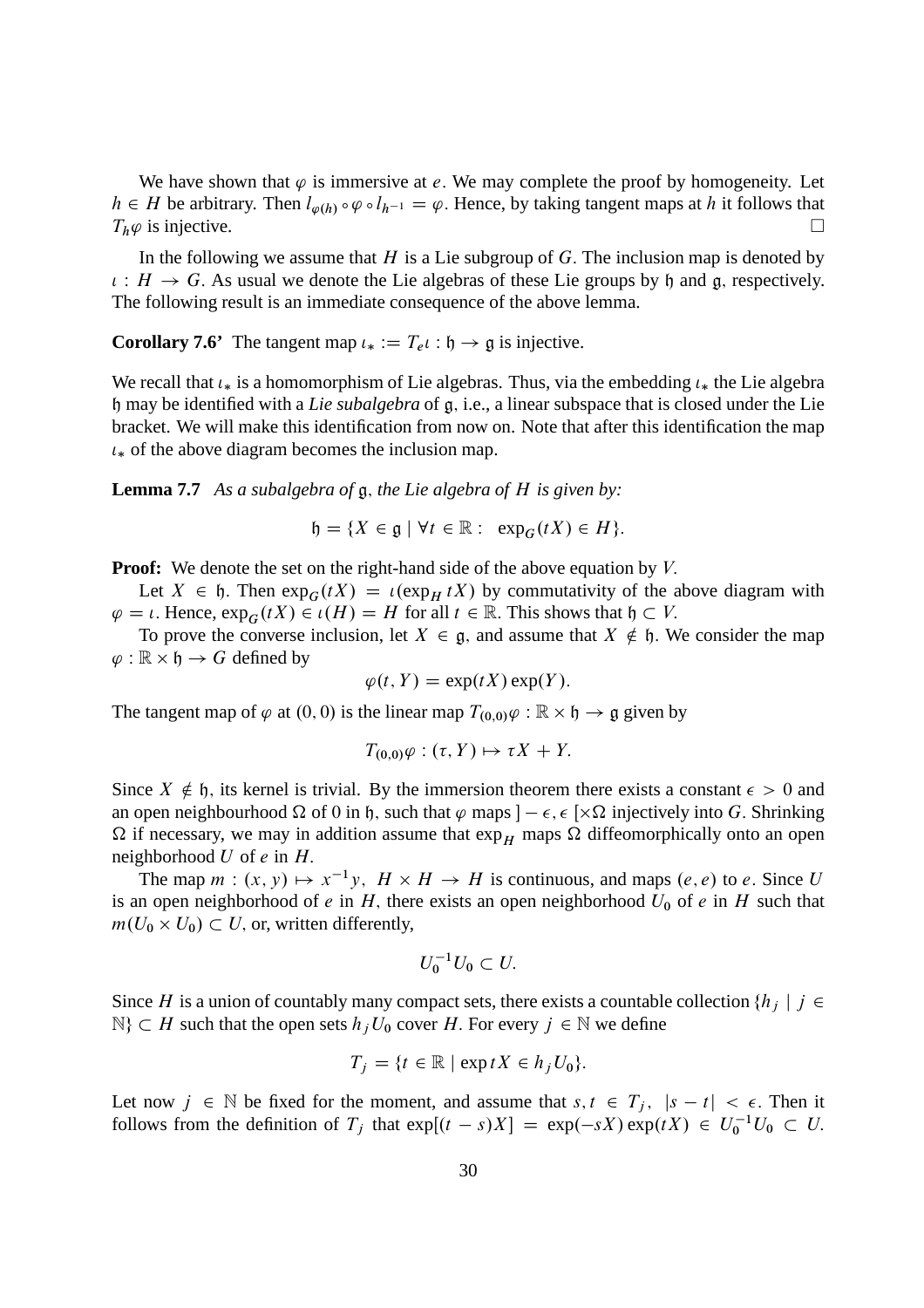We have shown that  $\varphi$  is immersive at e. We may complete the proof by homogeneity. Let  $h \in H$  be arbitrary. Then  $l_{\varphi(h)} \circ \varphi \circ l_{h^{-1}} = \varphi$ . Hence, by taking tangent maps at h it follows that  $T_h \varphi$  is injective.  $T_h\varphi$  is injective.

In the following we assume that  $H$  is a Lie subgroup of  $G$ . The inclusion map is denoted by  $\iota: H \to G$ . As usual we denote the Lie algebras of these Lie groups by h and g, respectively. The following result is an immediate consequence of the above lemma.

**Corollary 7.6'** The tangent map  $u_* := T_e u : \mathfrak{h} \to \mathfrak{g}$  is injective.

We recall that  $\iota_*$  is a homomorphism of Lie algebras. Thus, via the embedding  $\iota_*$  the Lie algebra h may be identified with a *Lie subalgebra* of g; i.e., a linear subspace that is closed under the Lie bracket. We will make this identification from now on. Note that after this identification the map  $\iota_*$  of the above diagram becomes the inclusion map.

**Lemma 7.7** *As a subalgebra of* g; *the Lie algebra of* H *is given by:*

 $\mathfrak{h} = \{X \in \mathfrak{g} \mid \forall t \in \mathbb{R} : \exp_{G}(tX) \in H\}.$ 

**Proof:** We denote the set on the right-hand side of the above equation by V.

Let  $X \in \mathfrak{h}$ . Then  $\exp_G(tX) = \iota(\exp_H tX)$  by commutativity of the above diagram with  $\varphi = \iota$ . Hence,  $\exp_G(tX) \in \iota(H) = H$  for all  $t \in \mathbb{R}$ . This shows that  $\mathfrak{h} \subset V$ .

To prove the converse inclusion, let  $X \in \mathfrak{g}$ , and assume that  $X \notin \mathfrak{h}$ . We consider the map  $\varphi : \mathbb{R} \times \mathfrak{h} \to G$  defined by

$$
\varphi(t, Y) = \exp(tX) \exp(Y).
$$

The tangent map of  $\varphi$  at  $(0, 0)$  is the linear map  $T_{(0,0)}\varphi : \mathbb{R} \times \mathfrak{h} \to \mathfrak{g}$  given by

$$
T_{(0,0)}\varphi:(\tau,Y)\mapsto \tau X+Y.
$$

Since  $X \notin \mathfrak{h}$ , its kernel is trivial. By the immersion theorem there exists a constant  $\epsilon > 0$  and an open neighbourhood  $\Omega$  of 0 in h, such that  $\varphi$  maps  $] - \epsilon$ ,  $\epsilon$  [ $\times \Omega$  injectively into G. Shrinking  $\Omega$  if necessary, we may in addition assume that  $\exp_H$  maps  $\Omega$  diffeomorphically onto an open neighborhood  $U$  of  $e$  in  $H$ .

The map  $m : (x, y) \mapsto x^{-1}y$ ,  $H \times H \to H$  is continuous, and maps  $(e, e)$  to e. Since U is an open neighborhood of e in H, there exists an open neighborhood  $U_0$  of e in H such that  $m(U_0 \times U_0) \subset U$ , or, written differently,

$$
U_0^{-1}U_0\subset U.
$$

Since H is a union of countably many compact sets, there exists a countable collection  $\{h_i \mid j \in \mathbb{Z}\}$  $\mathbb{N}\}\subset H$  such that the open sets  $h_jU_0$  cover H. For every  $j\in\mathbb{N}$  we define

$$
T_j = \{t \in \mathbb{R} \mid \exp tX \in h_jU_0\}.
$$

Let now  $j \in \mathbb{N}$  be fixed for the moment, and assume that  $s, t \in T_j$ ,  $|s - t| < \epsilon$ . Then it follows from the definition of  $T_j$  that  $exp[(t-s)X] = exp(-sX) exp(tX) \in U_0^{-1}U_0 \subset U$ .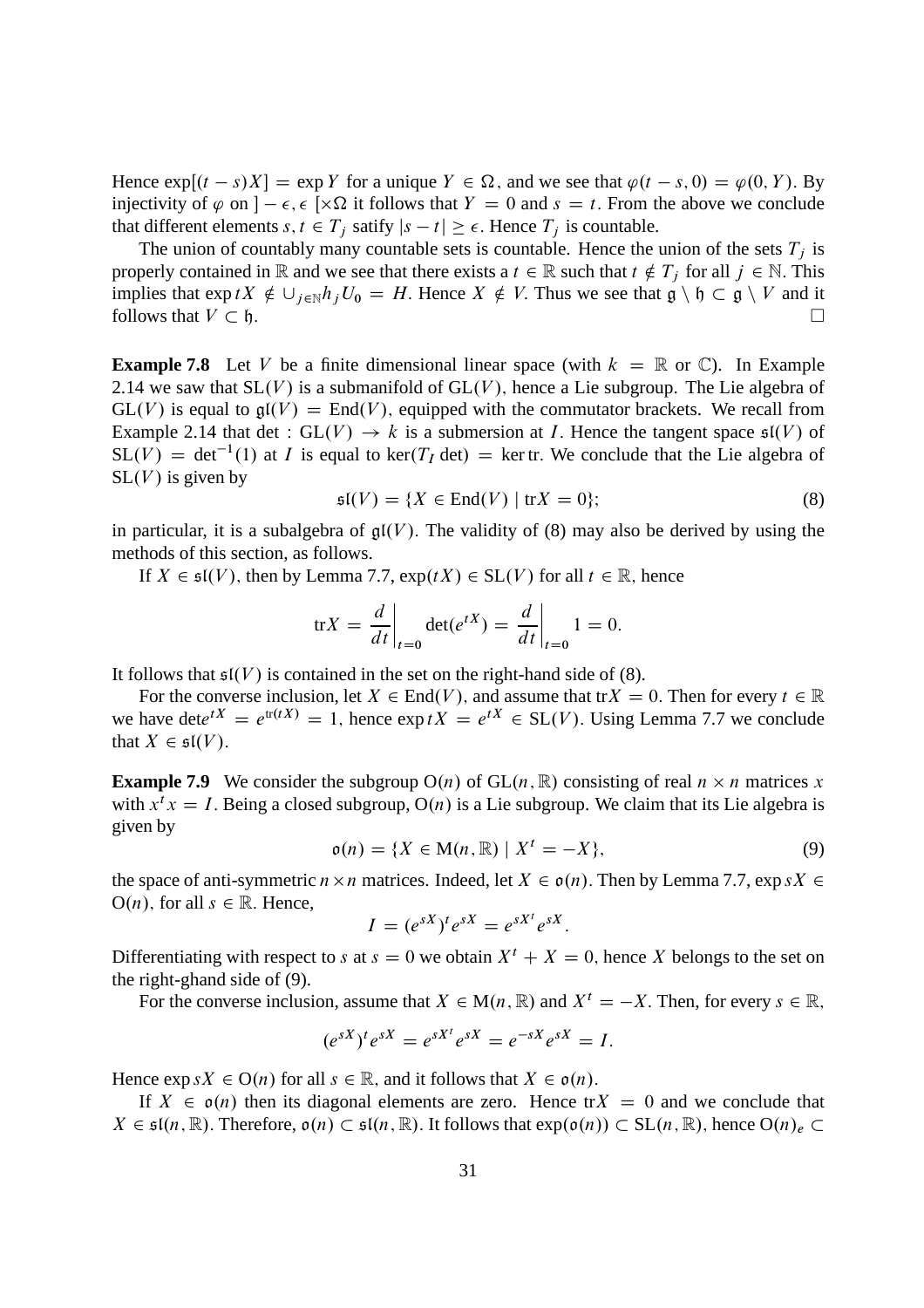Hence  $\exp[(t - s)X] = \exp Y$  for a unique  $Y \in \Omega$ , and we see that  $\varphi(t - s, 0) = \varphi(0, Y)$ . By injectivity of  $\varphi$  on  $] - \epsilon$ ,  $\epsilon$  [ $\times \Omega$  it follows that  $Y = 0$  and  $s = t$ . From the above we conclude that different elements  $s, t \in T_j$  satify  $|s - t| \ge \epsilon$ . Hence  $T_j$  is countable.

The union of countably many countable sets is countable. Hence the union of the sets  $T_i$  is properly contained in R and we see that there exists a  $t \in \mathbb{R}$  such that  $t \notin T_j$  for all  $j \in \mathbb{N}$ . This implies that  $\exp tX \notin \bigcup_{j\in \mathbb{N}} h_jU_0 = H$ . Hence  $X \notin V$ . Thus we see that  $\mathfrak{g} \setminus \mathfrak{h} \subset \mathfrak{g} \setminus V$  and it follows that  $V \subset \mathfrak{h}$ .

**Example 7.8** Let V be a finite dimensional linear space (with  $k = \mathbb{R}$  or  $\mathbb{C}$ ). In Example 2.14 we saw that  $SL(V)$  is a submanifold of  $GL(V)$ , hence a Lie subgroup. The Lie algebra of  $GL(V)$  is equal to  $\mathfrak{gl}(V) = End(V)$ , equipped with the commutator brackets. We recall from Example 2.14 that det :  $GL(V) \rightarrow k$  is a submersion at *I*. Hence the tangent space  $\mathfrak{sl}(V)$  of  $SL(V) = det^{-1}(1)$  at *I* is equal to ker(*T<sub>I</sub>* det) = ker tr. We conclude that the Lie algebra of  $SL(V)$  is given by

$$
\mathfrak{sl}(V) = \{ X \in \text{End}(V) \mid \text{tr} X = 0 \};\tag{8}
$$

in particular, it is a subalgebra of  $\mathfrak{gl}(V)$ . The validity of (8) may also be derived by using the methods of this section, as follows.

If  $X \in \mathfrak{sl}(V)$ , then by Lemma 7.7,  $\exp(tX) \in SL(V)$  for all  $t \in \mathbb{R}$ , hence

$$
\text{tr}X = \frac{d}{dt}\bigg|_{t=0} \det(e^{tX}) = \frac{d}{dt}\bigg|_{t=0} 1 = 0.
$$

It follows that  $\mathfrak{sl}(V)$  is contained in the set on the right-hand side of (8).

For the converse inclusion, let  $X \in End(V)$ , and assume that tr $X = 0$ . Then for every  $t \in \mathbb{R}$ we have det $e^{tX} = e^{\text{tr}(tX)} = 1$ , hence  $\exp(tX) = e^{tX} \in SL(V)$ . Using Lemma 7.7 we conclude that  $X \in \mathfrak{sl}(V)$ .

**Example 7.9** We consider the subgroup  $O(n)$  of  $GL(n, \mathbb{R})$  consisting of real  $n \times n$  matrices x with  $x^t x = I$ . Being a closed subgroup,  $O(n)$  is a Lie subgroup. We claim that its Lie algebra is given by

$$
\mathfrak{o}(n) = \{ X \in M(n, \mathbb{R}) \mid X^t = -X \},
$$
\n(9)

the space of anti-symmetric  $n \times n$  matrices. Indeed, let  $X \in o(n)$ . Then by Lemma 7.7,  $\exp sX \in$  $O(n)$ , for all  $s \in \mathbb{R}$ . Hence,

$$
I = (e^{sX})^t e^{sX} = e^{sX^t} e^{sX}.
$$

Differentiating with respect to s at  $s = 0$  we obtain  $X<sup>t</sup> + X = 0$ , hence X belongs to the set on the right-ghand side of (9).

For the converse inclusion, assume that  $X \in M(n, \mathbb{R})$  and  $X^t = -X$ . Then, for every  $s \in \mathbb{R}$ ,

$$
(e^{sX})^t e^{sX} = e^{sX^t} e^{sX} = e^{-sX} e^{sX} = I.
$$

Hence  $\exp sX \in O(n)$  for all  $s \in \mathbb{R}$ , and it follows that  $X \in o(n)$ .

If  $X \in \mathfrak{o}(n)$  then its diagonal elements are zero. Hence tr $X = 0$  and we conclude that  $X \in \mathfrak{sl}(n,\mathbb{R})$ . Therefore,  $\mathfrak{o}(n) \subset \mathfrak{sl}(n,\mathbb{R})$ . It follows that  $\exp(\mathfrak{o}(n)) \subset \mathrm{SL}(n,\mathbb{R})$ , hence  $\mathrm{O}(n)_e \subset$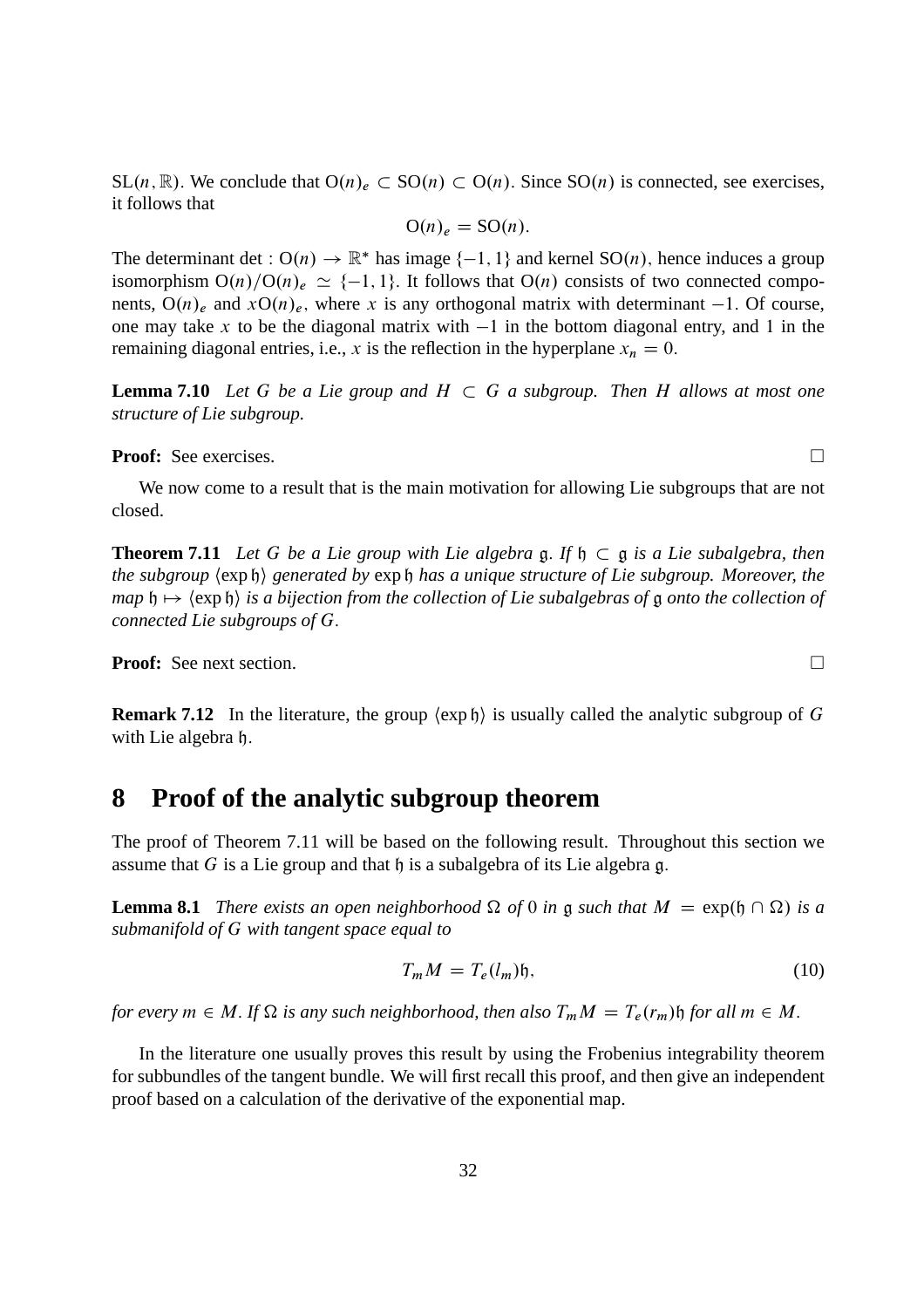$SL(n, \mathbb{R})$ . We conclude that  $O(n)_e \subset SO(n) \subset O(n)$ . Since  $SO(n)$  is connected, see exercises, it follows that

$$
O(n)_e = SO(n).
$$

The determinant det :  $O(n) \to \mathbb{R}^*$  has image  $\{-1, 1\}$  and kernel  $SO(n)$ , hence induces a group isomorphism  $O(n)/O(n_e \simeq \{-1, 1\}$ . It follows that  $O(n)$  consists of two connected components,  $O(n)_e$  and  $xO(n)_e$ , where x is any orthogonal matrix with determinant -1. Of course, one may take x to be the diagonal matrix with  $-1$  in the bottom diagonal entry, and 1 in the remaining diagonal entries, i.e., x is the reflection in the hyperplane  $x_n = 0$ .

**Lemma 7.10** Let G be a Lie group and  $H \subset G$  a subgroup. Then H allows at most one *structure of Lie subgroup.*

**Proof:** See exercises. □

We now come to a result that is the main motivation for allowing Lie subgroups that are not closed.

**Theorem 7.11** Let G be a Lie group with Lie algebra  $\mathfrak{g}$ . If  $\mathfrak{h} \subset \mathfrak{g}$  is a Lie subalgebra, then *the subgroup*  $\langle \exp \mathfrak{h} \rangle$  *generated by*  $\exp \mathfrak{h}$  *has a unique structure of Lie subgroup. Moreover, the*  $map \phi \mapsto \langle exp \phi \rangle$  *is a bijection from the collection of Lie subalgebras of* g *onto the collection of connected Lie subgroups of* G:

**Proof:** See next section. □

**Remark 7.12** In the literature, the group  $\langle \exp \phi \rangle$  is usually called the analytic subgroup of G with Lie algebra  $\mathfrak h$ .

#### **8 Proof of the analytic subgroup theorem**

The proof of Theorem 7.11 will be based on the following result. Throughout this section we assume that G is a Lie group and that  $\mathfrak h$  is a subalgebra of its Lie algebra g.

**Lemma 8.1** *There exists an open neighborhood*  $\Omega$  *of* 0 *in* g *such that*  $M = \exp(\eta \cap \Omega)$  *is a submanifold of* G *with tangent space equal to*

$$
T_m M = T_e(l_m)\mathfrak{h},\tag{10}
$$

*for every*  $m \in M$ . If  $\Omega$  is any such neighborhood, then also  $T_m M = T_e(r_m)$  for all  $m \in M$ .

In the literature one usually proves this result by using the Frobenius integrability theorem for subbundles of the tangent bundle. We will first recall this proof, and then give an independent proof based on a calculation of the derivative of the exponential map.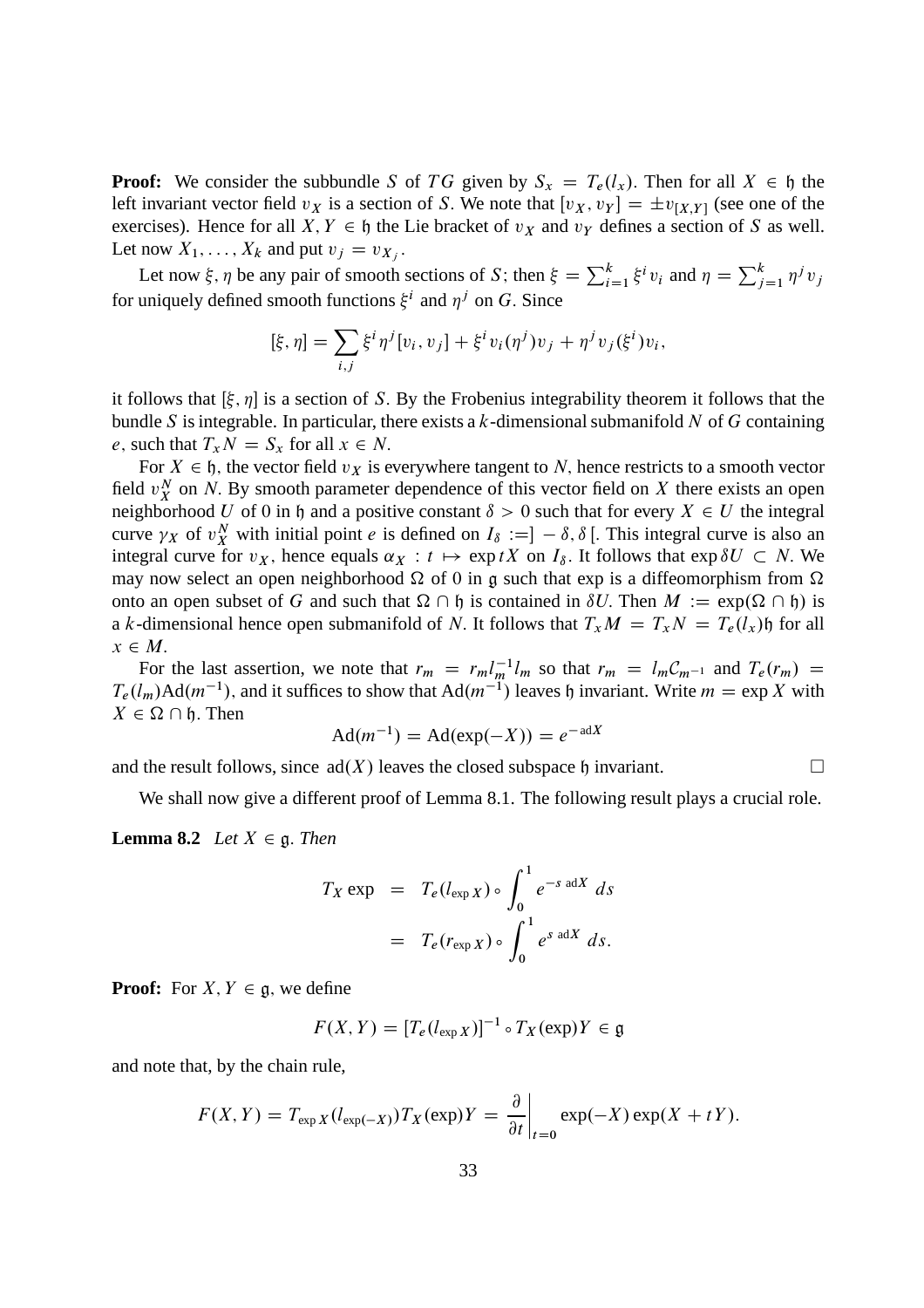**Proof:** We consider the subbundle S of TG given by  $S_x = T_e(l_x)$ . Then for all  $X \in \mathfrak{h}$  the left invariant vector field  $v_X$  is a section of S. We note that  $[v_X, v_Y] = \pm v_{[X,Y]}$  (see one of the exercises). Hence for all X,  $Y \in \mathfrak{h}$  the Lie bracket of  $v_X$  and  $v_Y$  defines a section of S as well. Let now  $X_1, \ldots, X_k$  and put  $v_j = v_{X_j}$ .

Let now  $\xi$ ,  $\eta$  be any pair of smooth sections of S; then  $\xi = \sum_{i=1}^{k} \xi^i v_i$  and  $\eta = \sum_{j=1}^{k} \eta^j v_j$ for uniquely defined smooth functions  $\xi^i$  and  $\eta^j$  on G. Since

$$
[\xi, \eta] = \sum_{i,j} \xi^i \eta^j [v_i, v_j] + \xi^i v_i (\eta^j) v_j + \eta^j v_j (\xi^i) v_i,
$$

it follows that  $[\xi, \eta]$  is a section of S. By the Frobenius integrability theorem it follows that the bundle S is integrable. In particular, there exists a  $k$ -dimensional submanifold N of G containing e, such that  $T_xN = S_x$  for all  $x \in N$ .

For  $X \in \mathfrak{h}$ , the vector field  $v_X$  is everywhere tangent to N, hence restricts to a smooth vector field  $v_X^N$  on N. By smooth parameter dependence of this vector field on X there exists an open neighborhood U of 0 in h and a positive constant  $\delta > 0$  such that for every  $X \in U$  the integral curve  $\gamma_X$  of  $v_X^N$  with initial point *e* is defined on  $I_\delta := ] - \delta, \delta[$ . This integral curve is also an integral curve for  $v_X$ , hence equals  $\alpha_X : t \mapsto \exp tX$  on  $I_\delta$ . It follows that  $\exp \delta U \subset N$ . We may now select an open neighborhood  $\Omega$  of 0 in g such that exp is a diffeomorphism from  $\Omega$ onto an open subset of G and such that  $\Omega \cap \mathfrak{h}$  is contained in  $\delta U$ . Then  $M := \exp(\Omega \cap \mathfrak{h})$  is a k-dimensional hence open submanifold of N. It follows that  $T_xM = T_xN = T_e(l_x)$  for all  $x \in M$ .

For the last assertion, we note that  $r_m = r_m l_m^{-1} l_m$  so that  $r_m = l_m C_{m-1}$  and  $T_e(r_m)$  $T_e(l_m)$ Ad $(m^{-1})$ , and it suffices to show that Ad $(m^{-1})$  leaves h invariant. Write  $m = \exp X$  with  $X \in \Omega \cap \mathfrak{h}$ . Then

$$
Ad(m^{-1}) = Ad(exp(-X)) = e^{-adX}
$$

and the result follows, since  $ad(X)$  leaves the closed subspace h invariant.

We shall now give a different proof of Lemma 8.1. The following result plays a crucial role.

**Lemma 8.2** *Let*  $X \in \mathfrak{g}$ *. Then* 

$$
T_X \exp = T_e(l_{\exp X}) \circ \int_0^1 e^{-s \text{ ad}X} ds
$$
  
=  $T_e(r_{\exp X}) \circ \int_0^1 e^{s \text{ ad}X} ds.$ 

**Proof:** For  $X, Y \in \mathfrak{g}$ , we define

$$
F(X, Y) = [T_e(l_{\exp X})]^{-1} \circ T_X(\exp)Y \in \mathfrak{g}
$$

and note that, by the chain rule,

$$
F(X,Y) = T_{\exp X}(l_{\exp(-X)})T_X(\exp)Y = \frac{\partial}{\partial t}\bigg|_{t=0} \exp(-X) \exp(X + tY).
$$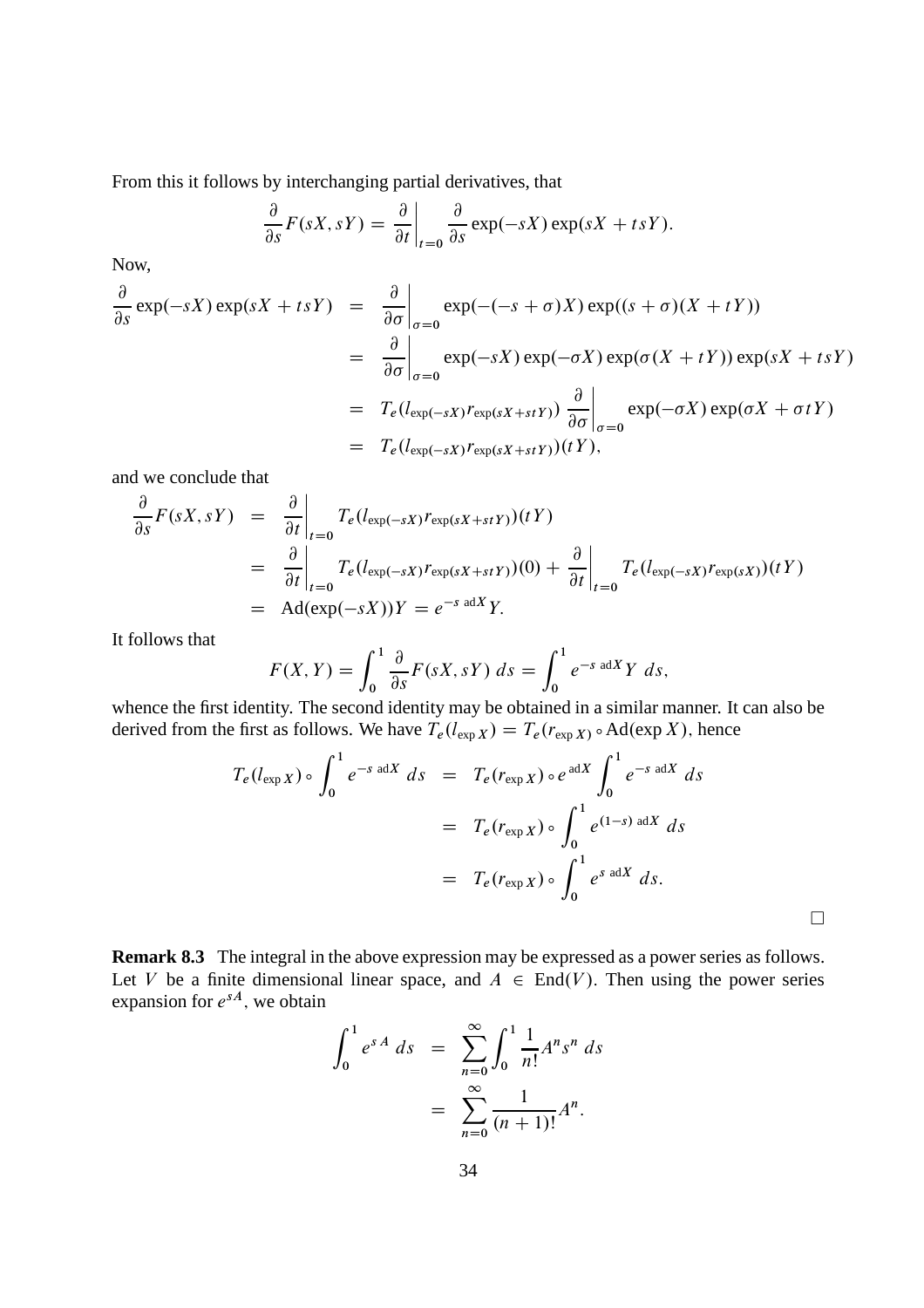From this it follows by interchanging partial derivatives, that

$$
\frac{\partial}{\partial s}F(sX,sY) = \frac{\partial}{\partial t}\bigg|_{t=0} \frac{\partial}{\partial s} \exp(-sX) \exp(sX + tsY).
$$

Now,

$$
\frac{\partial}{\partial s} \exp(-sX) \exp(sX + tsY) = \frac{\partial}{\partial \sigma} \Big|_{\sigma=0} \exp(-(s+\sigma)X) \exp((s+\sigma)(X+tY))
$$
\n
$$
= \frac{\partial}{\partial \sigma} \Big|_{\sigma=0} \exp(-sX) \exp(-\sigma X) \exp(\sigma(X+tY)) \exp(sX + tsY)
$$
\n
$$
= T_e(l_{\exp(-sX)}r_{\exp(sX+stY)}) \frac{\partial}{\partial \sigma} \Big|_{\sigma=0} \exp(-\sigma X) \exp(\sigma X + \sigma tY)
$$
\n
$$
= T_e(l_{\exp(-sX)}r_{\exp(sX+stY)})(tY),
$$

and we conclude that

$$
\frac{\partial}{\partial s} F(sX, sY) = \frac{\partial}{\partial t} \Big|_{t=0} T_e(l_{\exp(-sX)} r_{\exp(sX+stY)})(tY)
$$
\n
$$
= \frac{\partial}{\partial t} \Big|_{t=0} T_e(l_{\exp(-sX)} r_{\exp(sX+stY)})(0) + \frac{\partial}{\partial t} \Big|_{t=0} T_e(l_{\exp(-sX)} r_{\exp(sX)})(tY)
$$
\n
$$
= \text{Ad}(\exp(-sX))Y = e^{-s \text{ ad}X}Y.
$$

It follows that

$$
F(X,Y) = \int_0^1 \frac{\partial}{\partial s} F(sX, sY) \ ds = \int_0^1 e^{-s \text{ ad}X} Y \ ds,
$$

whence the first identity. The second identity may be obtained in a similar manner. It can also be derived from the first as follows. We have  $T_e(l_{exp X}) = T_e(r_{exp X}) \circ \text{Ad}(\exp X)$ , hence

$$
T_e(l_{\exp X}) \circ \int_0^1 e^{-s \operatorname{ad}X} ds = T_e(r_{\exp X}) \circ e^{\operatorname{ad}X} \int_0^1 e^{-s \operatorname{ad}X} ds
$$
  

$$
= T_e(r_{\exp X}) \circ \int_0^1 e^{(1-s) \operatorname{ad}X} ds
$$
  

$$
= T_e(r_{\exp X}) \circ \int_0^1 e^{s \operatorname{ad}X} ds.
$$

**Remark 8.3** The integral in the above expression may be expressed as a power series as follows. Let V be a finite dimensional linear space, and  $A \in End(V)$ . Then using the power series expansion for  $e^{sA}$ , we obtain

$$
\int_0^1 e^{sA} ds = \sum_{n=0}^\infty \int_0^1 \frac{1}{n!} A^n s^n ds
$$

$$
= \sum_{n=0}^\infty \frac{1}{(n+1)!} A^n.
$$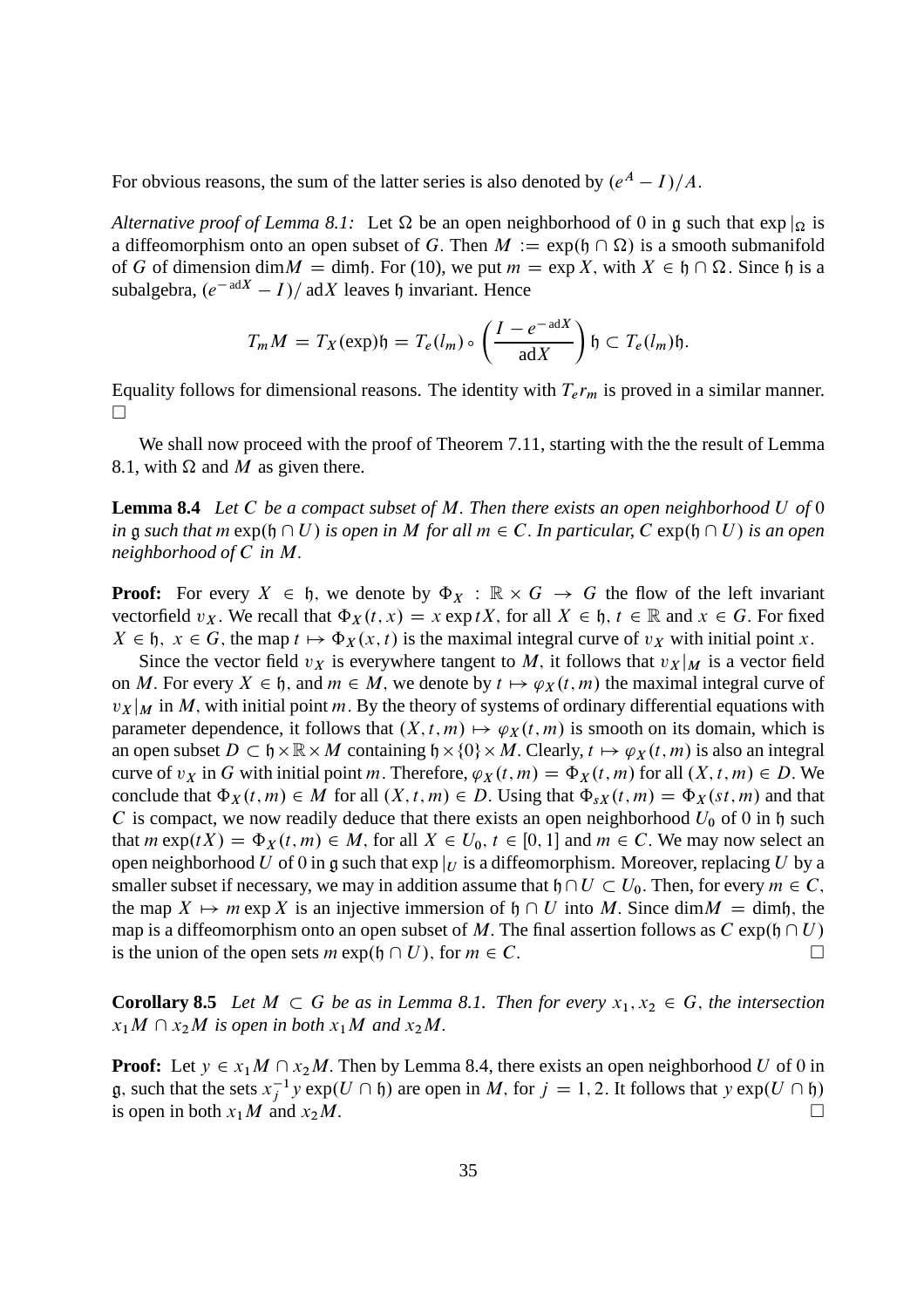For obvious reasons, the sum of the latter series is also denoted by  $(e^A - I)/A$ .

*Alternative proof of Lemma 8.1:* Let  $\Omega$  be an open neighborhood of 0 in g such that  $\exp|_{\Omega}$  is a diffeomorphism onto an open subset of G. Then  $M := \exp(\mathfrak{h} \cap \Omega)$  is a smooth submanifold of G of dimension dim $M =$  dimh. For (10), we put  $m = \exp X$ , with  $X \in \mathfrak{h} \cap \Omega$ . Since  $\mathfrak{h}$  is a subalgebra,  $(e^{-adX} - I)/adX$  leaves h invariant. Hence

$$
T_m M = T_X(\exp) \mathfrak{h} = T_e(l_m) \circ \left(\frac{I - e^{-adX}}{adX}\right) \mathfrak{h} \subset T_e(l_m) \mathfrak{h}.
$$

Equality follows for dimensional reasons. The identity with  $T_e r_m$  is proved in a similar manner.  $\Box$ 

We shall now proceed with the proof of Theorem 7.11, starting with the the result of Lemma 8.1, with  $\Omega$  and M as given there.

**Lemma 8.4** *Let* C *be a compact subset of* M: *Then there exists an open neighborhood* U *of* 0 *in*  $\frak g$  *such that*  $m \exp(\frak h \cap U)$  *is open in* M *for all*  $m \in C$ . *In particular,*  $C \exp(\frak h \cap U)$  *is an open neighborhood of* C *in* M:

**Proof:** For every  $X \in \mathfrak{h}$ , we denote by  $\Phi_X : \mathbb{R} \times G \to G$  the flow of the left invariant vectorfield  $v_X$ . We recall that  $\Phi_X(t, x) = x \exp tX$ , for all  $X \in \mathfrak{h}$ ,  $t \in \mathbb{R}$  and  $x \in G$ . For fixed  $X \in \mathfrak{h}$ ,  $x \in G$ , the map  $t \mapsto \Phi_X(x, t)$  is the maximal integral curve of  $v_X$  with initial point x.

Since the vector field  $v_X$  is everywhere tangent to M, it follows that  $v_X |_M$  is a vector field on M. For every  $X \in \mathfrak{h}$ , and  $m \in M$ , we denote by  $t \mapsto \varphi_X(t, m)$  the maximal integral curve of  $v_X |_{M}$  in M, with initial point m. By the theory of systems of ordinary differential equations with parameter dependence, it follows that  $(X, t, m) \mapsto \varphi_X(t, m)$  is smooth on its domain, which is an open subset  $D \subset \mathfrak{h} \times \mathbb{R} \times M$  containing  $\mathfrak{h} \times \{0\} \times M$ . Clearly,  $t \mapsto \varphi_X(t,m)$  is also an integral curve of  $v_X$  in G with initial point m. Therefore,  $\varphi_X(t,m) = \Phi_X(t,m)$  for all  $(X, t, m) \in D$ . We conclude that  $\Phi_X(t,m) \in M$  for all  $(X, t, m) \in D$ . Using that  $\Phi_{sX}(t,m) = \Phi_X(st,m)$  and that C is compact, we now readily deduce that there exists an open neighborhood  $U_0$  of 0 in h such that  $m \exp(tX) = \Phi_X(t, m) \in M$ , for all  $X \in U_0$ ,  $t \in [0, 1]$  and  $m \in C$ . We may now select an open neighborhood U of 0 in g such that  $\exp|_U$  is a diffeomorphism. Moreover, replacing U by a smaller subset if necessary, we may in addition assume that  $\mathfrak{h}\cap U\subset U_0$ . Then, for every  $m\in C$ ; the map  $X \mapsto m \exp X$  is an injective immersion of  $\mathfrak{h} \cap U$  into M. Since dim $M =$  dimh, the map is a diffeomorphism onto an open subset of M. The final assertion follows as  $C \exp(\mathfrak{h} \cap U)$  is the union of the open sets  $m \exp(\mathfrak{h} \cap U)$ . for  $m \in C$ . is the union of the open sets  $m \exp(\mathfrak{h} \cap U)$ , for  $m \in C$ .

**Corollary 8.5** Let  $M \subset G$  be as in Lemma 8.1. Then for every  $x_1, x_2 \in G$ , the intersection  $x_1M \cap x_2M$  *is open in both*  $x_1M$  *and*  $x_2M$ .

**Proof:** Let  $y \in x_1M \cap x_2M$ . Then by Lemma 8.4, there exists an open neighborhood U of 0 in g, such that the sets  $x_j^{-1} y \exp(U \cap \mathfrak{h})$  are open in M, for  $j = 1, 2$ . It follows that  $y \exp(U \cap \mathfrak{h})$ is open in both  $x_1M$  and  $x_2M$ .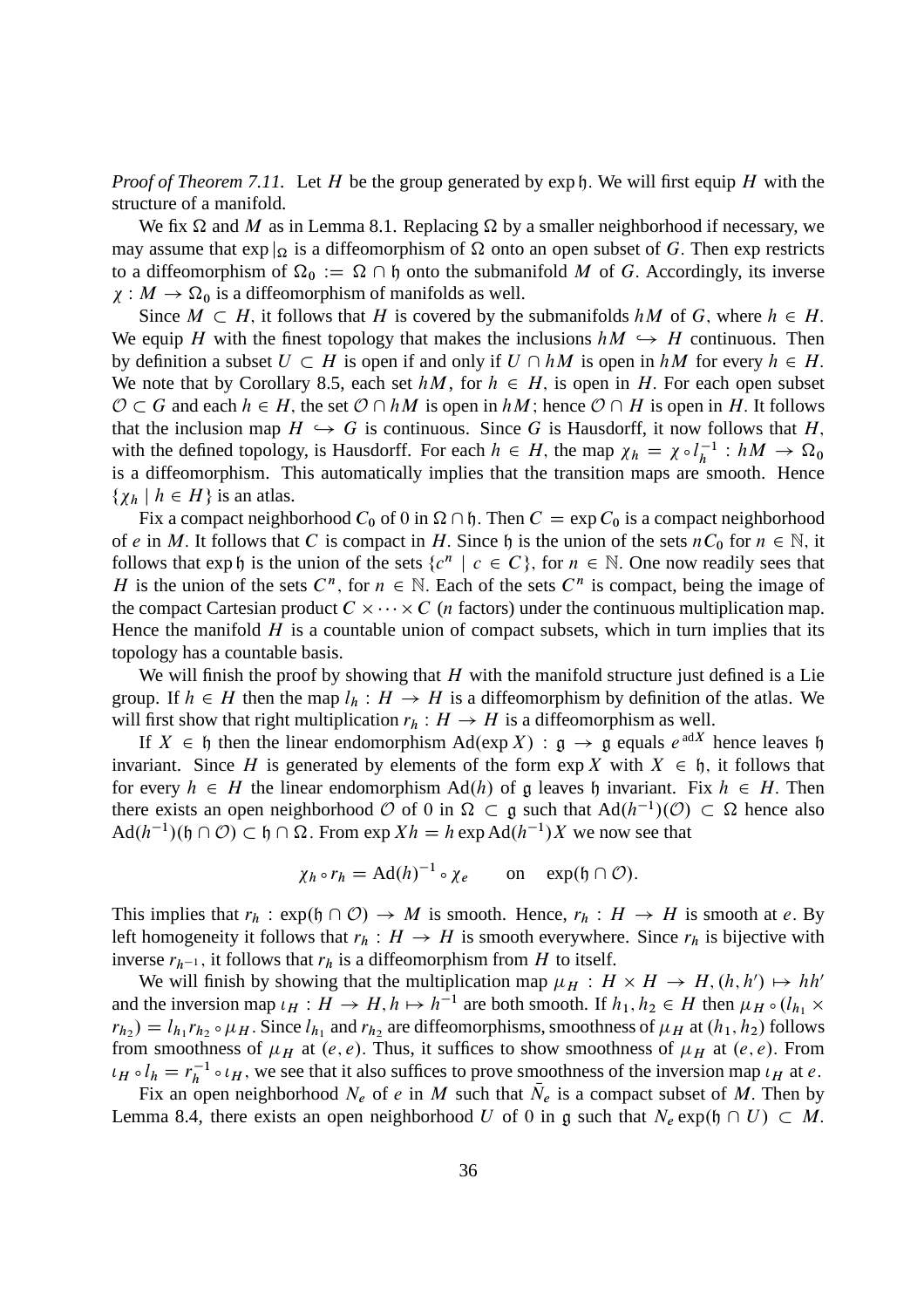*Proof of Theorem 7.11.* Let H be the group generated by  $exp \nvert h$ . We will first equip H with the structure of a manifold.

We fix  $\Omega$  and M as in Lemma 8.1. Replacing  $\Omega$  by a smaller neighborhood if necessary, we may assume that  $\exp|_{\Omega}$  is a diffeomorphism of  $\Omega$  onto an open subset of G. Then exp restricts to a diffeomorphism of  $\Omega_0 := \Omega \cap \mathfrak{h}$  onto the submanifold M of G. Accordingly, its inverse  $\chi: M \to \Omega_0$  is a diffeomorphism of manifolds as well.

Since  $M \subset H$ , it follows that H is covered by the submanifolds hM of G, where  $h \in H$ . We equip H with the finest topology that makes the inclusions  $hM \hookrightarrow H$  continuous. Then by definition a subset  $U \subset H$  is open if and only if  $U \cap hM$  is open in  $hM$  for every  $h \in H$ . We note that by Corollary 8.5, each set  $hM$ , for  $h \in H$ , is open in H. For each open subset  $\mathcal{O} \subset G$  and each  $h \in H$ , the set  $\mathcal{O} \cap hM$  is open in  $hM$ ; hence  $\mathcal{O} \cap H$  is open in H. It follows that the inclusion map  $H \hookrightarrow G$  is continuous. Since G is Hausdorff, it now follows that H; with the defined topology, is Hausdorff. For each  $h \in H$ , the map  $\chi_h = \chi \circ l_h^{-1}$  $\frac{-1}{h}: hM \to \Omega_0$ is a diffeomorphism. This automatically implies that the transition maps are smooth. Hence  $\{\chi_h \mid h \in H\}$  is an atlas.

Fix a compact neighborhood  $C_0$  of 0 in  $\Omega \cap \mathfrak{h}$ . Then  $C = \exp C_0$  is a compact neighborhood of e in M. It follows that C is compact in H. Since h is the union of the sets  $nC_0$  for  $n \in \mathbb{N}$ , it follows that  $\exp \mathfrak{h}$  is the union of the sets  $\{c^n \mid c \in C\}$ , for  $n \in \mathbb{N}$ . One now readily sees that H is the union of the sets  $C^n$ , for  $n \in \mathbb{N}$ . Each of the sets  $C^n$  is compact, being the image of the compact Cartesian product  $C \times \cdots \times C$  (*n* factors) under the continuous multiplication map. Hence the manifold  $H$  is a countable union of compact subsets, which in turn implies that its topology has a countable basis.

We will finish the proof by showing that  $H$  with the manifold structure just defined is a Lie group. If  $h \in H$  then the map  $l_h : H \to H$  is a diffeomorphism by definition of the atlas. We will first show that right multiplication  $r_h : H \to H$  is a diffeomorphism as well.

If  $X \in \mathfrak{h}$  then the linear endomorphism  $\text{Ad}(\exp X) : \mathfrak{g} \to \mathfrak{g}$  equals  $e^{\text{ad}X}$  hence leaves  $\mathfrak{h}$ invariant. Since H is generated by elements of the form  $\exp X$  with  $X \in \mathfrak{h}$ , it follows that for every  $h \in H$  the linear endomorphism Ad(h) of g leaves h invariant. Fix  $h \in H$ . Then there exists an open neighborhood  $\mathcal{O}$  of 0 in  $\Omega \subset \mathfrak{g}$  such that  $\text{Ad}(h^{-1})(\mathcal{O}) \subset \Omega$  hence also  $\text{Ad}(h^{-1})(\mathfrak{h} \cap \mathcal{O}) \subset \mathfrak{h} \cap \Omega$ . From  $\exp Xh = h \exp \text{Ad}(h^{-1})X$  we now see that

$$
\chi_h \circ r_h = \mathrm{Ad}(h)^{-1} \circ \chi_e \qquad \text{on} \quad \exp(\mathfrak{h} \cap \mathcal{O}).
$$

This implies that  $r_h : \exp(\mathfrak{h} \cap \mathcal{O}) \to M$  is smooth. Hence,  $r_h : H \to H$  is smooth at e. By left homogeneity it follows that  $r_h : H \to H$  is smooth everywhere. Since  $r_h$  is bijective with inverse  $r_{h-1}$ , it follows that  $r_h$  is a diffeomorphism from H to itself.

We will finish by showing that the multiplication map  $\mu_H : H \times H \to H$ ,  $(h, h') \mapsto hh'$ and the inversion map  $\iota_H : H \to H$ ,  $h \mapsto h^{-1}$  are both smooth. If  $h_1, h_2 \in H$  then  $\mu_H \circ (l_{h_1} \times$  $r_{h_2}$ ) =  $l_{h_1}r_{h_2} \circ \mu_H$ . Since  $l_{h_1}$  and  $r_{h_2}$  are diffeomorphisms, smoothness of  $\mu_H$  at  $(h_1, h_2)$  follows from smoothness of  $\mu_H$  at  $(e, e)$ . Thus, it suffices to show smoothness of  $\mu_H$  at  $(e, e)$ . From  $\iota_H \circ l_h = r_h^{-1}$  $\mu_h^{-1} \circ \iota_H$ , we see that it also suffices to prove smoothness of the inversion map  $\iota_H$  at *e*.

Fix an open neighborhood  $N_e$  of e in M such that  $N_e$  is a compact subset of M. Then by Lemma 8.4, there exists an open neighborhood U of 0 in g such that  $N_e \exp(\mathfrak{h} \cap U) \subset M$ .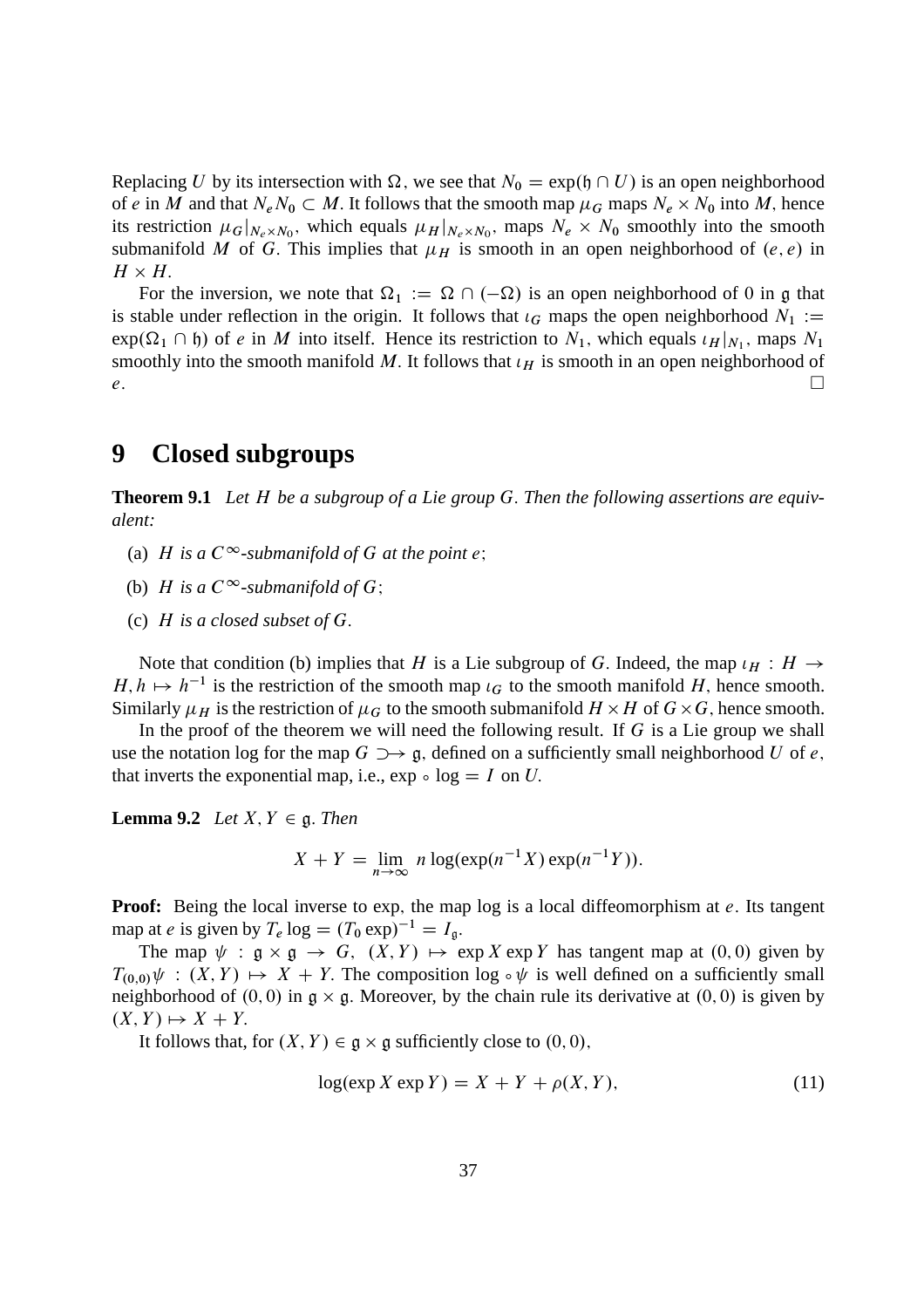Replacing U by its intersection with  $\Omega$ , we see that  $N_0 = \exp(\mathfrak{h} \cap U)$  is an open neighborhood of e in M and that  $N_e N_0 \subset M$ . It follows that the smooth map  $\mu_G$  maps  $N_e \times N_0$  into M, hence its restriction  $\mu_G|_{N_e \times N_0}$ , which equals  $\mu_H|_{N_e \times N_0}$ , maps  $N_e \times N_0$  smoothly into the smooth submanifold M of G. This implies that  $\mu_H$  is smooth in an open neighborhood of  $(e, e)$  in  $H \times H$ .

For the inversion, we note that  $\Omega_1 := \Omega \cap (-\Omega)$  is an open neighborhood of 0 in g that is stable under reflection in the origin. It follows that  $\iota_G$  maps the open neighborhood  $N_1 :=$  $exp(\Omega_1 \cap \mathfrak{h})$  of e in M into itself. Hence its restriction to  $N_1$ , which equals  $\iota_H|_{N_1}$ , maps  $N_1$ smoothly into the smooth manifold M. It follows that  $\iota_H$  is smooth in an open neighborhood of  $e$ .

## **9 Closed subgroups**

**Theorem 9.1** *Let* H *be a subgroup of a Lie group* G: *Then the following assertions are equivalent:*

- (a) H is a  $C^{\infty}$ -submanifold of G at the point e;
- (b) *H* is a  $C^{\infty}$ -submanifold of *G*:
- (c) H *is a closed subset of* G:

Note that condition (b) implies that H is a Lie subgroup of G. Indeed, the map  $\iota_H : H \to$  $H, h \mapsto h^{-1}$  is the restriction of the smooth map  $\iota_G$  to the smooth manifold H, hence smooth. Similarly  $\mu_H$  is the restriction of  $\mu_G$  to the smooth submanifold  $H \times H$  of  $G \times G$ , hence smooth.

In the proof of the theorem we will need the following result. If  $G$  is a Lie group we shall use the notation log for the map  $G \rightarrow$   $\pi$ , defined on a sufficiently small neighborhood U of e, that inverts the exponential map, i.e.,  $\exp \circ \log = I$  on U.

**Lemma 9.2** *Let*  $X, Y \in \mathfrak{g}$ *. Then* 

$$
X + Y = \lim_{n \to \infty} n \log(\exp(n^{-1}X) \exp(n^{-1}Y)).
$$

**Proof:** Being the local inverse to exp, the map log is a local diffeomorphism at e. Its tangent map at *e* is given by  $T_e \log = (T_0 \exp)^{-1} = I_g$ .

The map  $\psi : \mathfrak{g} \times \mathfrak{g} \to G$ ,  $(X, Y) \mapsto \exp X \exp Y$  has tangent map at  $(0, 0)$  given by  $T_{(0,0)}\psi : (X,Y) \mapsto X + Y$ . The composition log  $\circ \psi$  is well defined on a sufficiently small neighborhood of  $(0, 0)$  in  $g \times g$ . Moreover, by the chain rule its derivative at  $(0, 0)$  is given by  $(X, Y) \mapsto X + Y.$ 

It follows that, for  $(X, Y) \in \mathfrak{g} \times \mathfrak{g}$  sufficiently close to  $(0, 0)$ ,

$$
\log(\exp X \exp Y) = X + Y + \rho(X, Y),\tag{11}
$$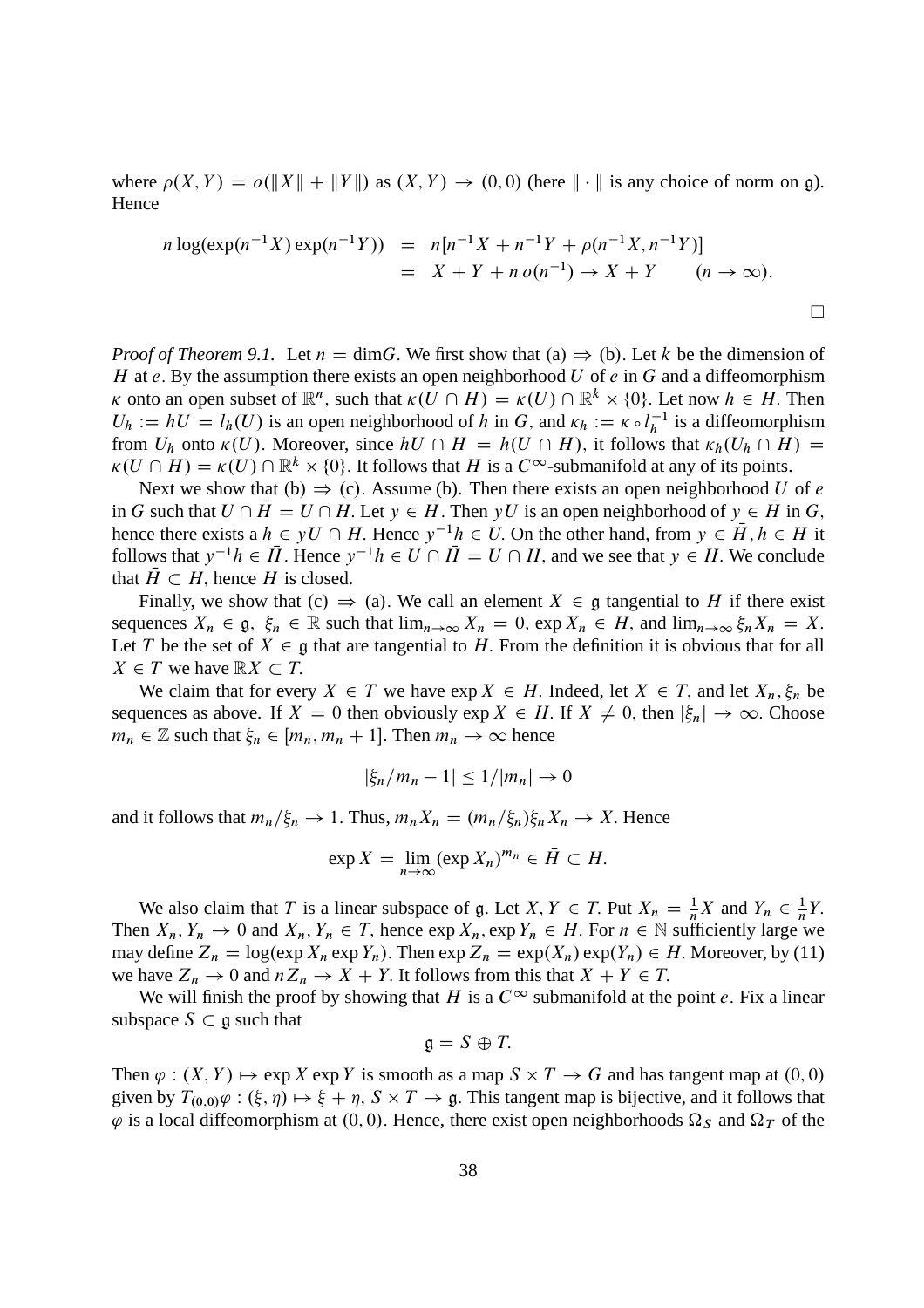where  $\rho(X, Y) = o(||X|| + ||Y||)$  as  $(X, Y) \to (0, 0)$  (here  $|| \cdot ||$  is any choice of norm on g). Hence

$$
n \log(\exp(n^{-1}X) \exp(n^{-1}Y)) = n[n^{-1}X + n^{-1}Y + \rho(n^{-1}X, n^{-1}Y)]
$$
  
=  $X + Y + n o(n^{-1}) \to X + Y$   $(n \to \infty).$ 

*Proof of Theorem 9.1.* Let  $n = \dim G$ . We first show that (a)  $\Rightarrow$  (b). Let k be the dimension of H at e. By the assumption there exists an open neighborhood U of  $e$  in G and a diffeomorphism  $\kappa$  onto an open subset of  $\mathbb{R}^n$ , such that  $\kappa(U \cap H) = \kappa(U) \cap \mathbb{R}^k \times \{0\}$ . Let now  $h \in H$ . Then  $U_h := hU = l_h(U)$  is an open neighborhood of h in G, and  $\kappa_h := \kappa \circ l_h^{-1}$  $\overline{h}^{-1}$  is a diffeomorphism from  $U_h$  onto  $\kappa(U)$ . Moreover, since  $hU \cap H = h(U \cap H)$ , it follows that  $\kappa_h(U_h \cap H) =$  $\kappa(U \cap H) = \kappa(U) \cap \mathbb{R}^k \times \{0\}$ . It follows that H is a  $C^{\infty}$ -submanifold at any of its points.

Next we show that (b)  $\Rightarrow$  (c). Assume (b). Then there exists an open neighborhood U of e in G such that  $U \cap \overline{H} = U \cap H$ . Let  $y \in \overline{H}$ . Then yU is an open neighborhood of  $y \in \overline{H}$  in G, hence there exists a  $h \in yU \cap H$ . Hence  $y^{-1}h \in U$ . On the other hand, from  $y \in \overline{H}$ ,  $h \in H$  it follows that  $y^{-1}h \in \overline{H}$ . Hence  $y^{-1}h \in U \cap \overline{H} = U \cap H$ , and we see that  $y \in H$ . We conclude that  $\overline{H} \subset H$ , hence H is closed.

Finally, we show that  $(c) \Rightarrow (a)$ . We call an element  $X \in \mathfrak{g}$  tangential to H if there exist sequences  $X_n \in \mathfrak{g}, \xi_n \in \mathbb{R}$  such that  $\lim_{n \to \infty} X_n = 0$ ,  $\exp X_n \in H$ , and  $\lim_{n \to \infty} \xi_n X_n = X$ . Let T be the set of  $X \in \mathfrak{g}$  that are tangential to H. From the definition it is obvious that for all  $X \in T$  we have  $\mathbb{R}X \subset T$ .

We claim that for every  $X \in T$  we have  $\exp X \in H$ . Indeed, let  $X \in T$ , and let  $X_n$ ,  $\xi_n$  be sequences as above. If  $X = 0$  then obviously  $\exp X \in H$ . If  $X \neq 0$ , then  $|\xi_n| \to \infty$ . Choose  $m_n \in \mathbb{Z}$  such that  $\xi_n \in [m_n, m_n + 1]$ . Then  $m_n \to \infty$  hence

$$
|\xi_n/m_n-1|\leq 1/|m_n|\to 0
$$

and it follows that  $m_n/\xi_n \to 1$ . Thus,  $m_nX_n = (m_n/\xi_n)\xi_nX_n \to X$ . Hence

$$
\exp X = \lim_{n \to \infty} (\exp X_n)^{m_n} \in \overline{H} \subset H.
$$

We also claim that T is a linear subspace of g. Let X,  $Y \in T$ . Put  $X_n = \frac{1}{n} X$  and  $Y_n \in \frac{1}{n}$  $\frac{1}{n}Y$ . Then  $X_n, Y_n \to 0$  and  $X_n, Y_n \in T$ , hence  $\exp X_n$ ,  $\exp Y_n \in H$ . For  $n \in \mathbb{N}$  sufficiently large we may define  $Z_n = \log(\exp X_n \exp Y_n)$ . Then  $\exp Z_n = \exp(X_n) \exp(Y_n) \in H$ . Moreover, by (11) we have  $Z_n \to 0$  and  $nZ_n \to X + Y$ . It follows from this that  $X + Y \in T$ .

We will finish the proof by showing that H is a  $C^{\infty}$  submanifold at the point e. Fix a linear subspace  $S \subset \mathfrak{g}$  such that

$$
\mathfrak{g}=S\oplus T.
$$

Then  $\varphi : (X, Y) \mapsto \exp X \exp Y$  is smooth as a map  $S \times T \to G$  and has tangent map at  $(0, 0)$ given by  $T_{(0,0)}\varphi:(\xi,\eta)\mapsto \xi+\eta$ ,  $S\times T\to \mathfrak{g}$ . This tangent map is bijective, and it follows that  $\varphi$  is a local diffeomorphism at (0,0). Hence, there exist open neighborhoods  $\Omega_S$  and  $\Omega_T$  of the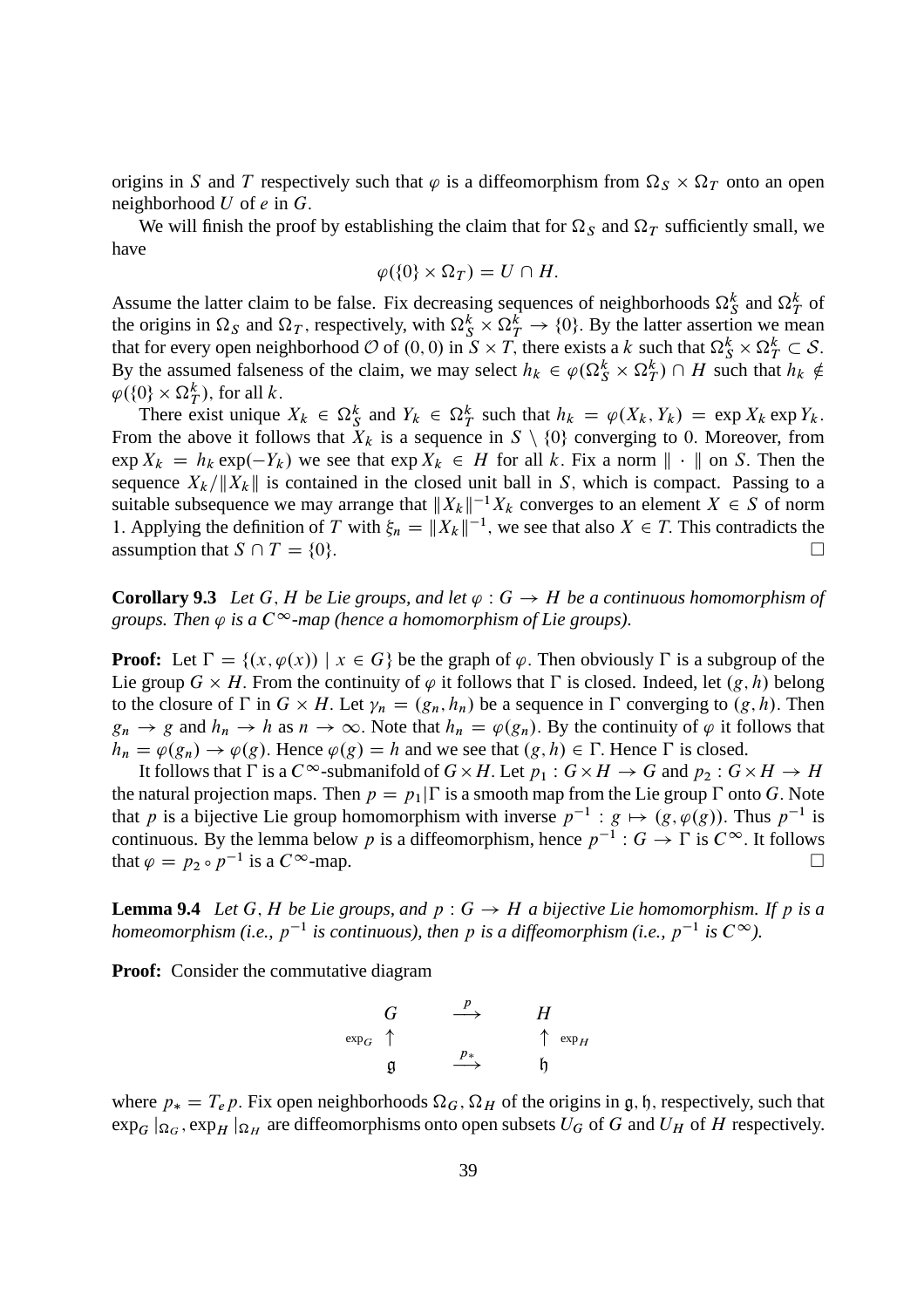origins in S and T respectively such that  $\varphi$  is a diffeomorphism from  $\Omega_S \times \Omega_T$  onto an open neighborhood  $U$  of  $e$  in  $G$ .

We will finish the proof by establishing the claim that for  $\Omega_S$  and  $\Omega_T$  sufficiently small, we have

$$
\varphi(\{0\}\times\Omega_T)=U\cap H.
$$

Assume the latter claim to be false. Fix decreasing sequences of neighborhoods  $\Omega_S^k$  and  $\Omega_T^k$  of the origins in  $\Omega_S$  and  $\Omega_T$ , respectively, with  $\Omega_S^k \times \Omega_T^k \to \{0\}$ . By the latter assertion we mean that for every open neighborhood  $\mathcal{O}$  of  $(0, 0)$  in  $S \times T$ , there exists a k such that  $\Omega_S^k \times \Omega_T^k \subset \mathcal{S}$ . By the assumed falseness of the claim, we may select  $h_k \in \varphi(\Omega_S^k \times \Omega_T^k) \cap H$  such that  $h_k \notin$  $\varphi({0\}\times\Omega^k_T)$ , for all k.

There exist unique  $X_k \in \Omega_S^k$  and  $Y_k \in \Omega_T^k$  such that  $h_k = \varphi(X_k, Y_k) = \exp X_k \exp Y_k$ . From the above it follows that  $X_k$  is a sequence in  $S \setminus \{0\}$  converging to 0. Moreover, from  $\exp X_k = h_k \exp(-Y_k)$  we see that  $\exp X_k \in H$  for all k. Fix a norm  $\| \cdot \|$  on S. Then the sequence  $X_k/\|X_k\|$  is contained in the closed unit ball in S, which is compact. Passing to a suitable subsequence we may arrange that  $||X_k||^{-1}X_k$  converges to an element  $X \in S$  of norm 1. Applying the definition of T with  $\xi_n = ||X_k||^{-1}$ , we see that also  $X \in T$ . This contradicts the assumption that  $S \cap T = \{0\}.$ 

**Corollary 9.3** Let G, H be Lie groups, and let  $\varphi$  :  $G \to H$  be a continuous homomorphism of *groups. Then*  $\varphi$  *is a*  $C^{\infty}$ -map (hence a homomorphism of Lie groups).

**Proof:** Let  $\Gamma = \{(x, \varphi(x)) \mid x \in G\}$  be the graph of  $\varphi$ . Then obviously  $\Gamma$  is a subgroup of the Lie group  $G \times H$ . From the continuity of  $\varphi$  it follows that  $\Gamma$  is closed. Indeed, let  $(g, h)$  belong to the closure of  $\Gamma$  in  $G \times H$ . Let  $\gamma_n = (g_n, h_n)$  be a sequence in  $\Gamma$  converging to  $(g, h)$ . Then  $g_n \to g$  and  $h_n \to h$  as  $n \to \infty$ . Note that  $h_n = \varphi(g_n)$ . By the continuity of  $\varphi$  it follows that  $h_n = \varphi(g_n) \to \varphi(g)$ . Hence  $\varphi(g) = h$  and we see that  $(g, h) \in \Gamma$ . Hence  $\Gamma$  is closed.

It follows that  $\Gamma$  is a  $C^{\infty}$ -submanifold of  $G \times H$ . Let  $p_1 : G \times H \to G$  and  $p_2 : G \times H \to H$ the natural projection maps. Then  $p = p_1|\Gamma$  is a smooth map from the Lie group  $\Gamma$  onto G. Note that p is a bijective Lie group homomorphism with inverse  $p^{-1}$ :  $g \mapsto (g, \varphi(g))$ . Thus  $p^{-1}$  is continuous. By the lemma below p is a diffeomorphism, hence  $p^{-1}: G \to \Gamma$  is  $C^{\infty}$ . It follows that  $\varphi = p_2 \circ p^{-1}$  is a  $C^{\infty}$ -map.

**Lemma 9.4** *Let* G, H *be Lie groups, and*  $p : G \to H$  *a bijective Lie homomorphism. If* p *is a* homeomorphism (i.e.,  $p^{-1}$  is continuous), then p is a diffeomorphism (i.e.,  $p^{-1}$  is  $C^{\infty}$ ).

**Proof:** Consider the commutative diagram

$$
\begin{array}{ccc}\nG & \xrightarrow{p} & H \\
\exp_G & \uparrow & & \uparrow \exp_H \\
\mathfrak{g} & \xrightarrow{p_*} & \mathfrak{h}\n\end{array}
$$

where  $p_* = T_e p$ . Fix open neighborhoods  $\Omega_G$ ,  $\Omega_H$  of the origins in g, h, respectively, such that  $\exp_G |_{\Omega_G}$ ,  $\exp_H |_{\Omega_H}$  are diffeomorphisms onto open subsets  $U_G$  of  $G$  and  $U_H$  of  $H$  respectively.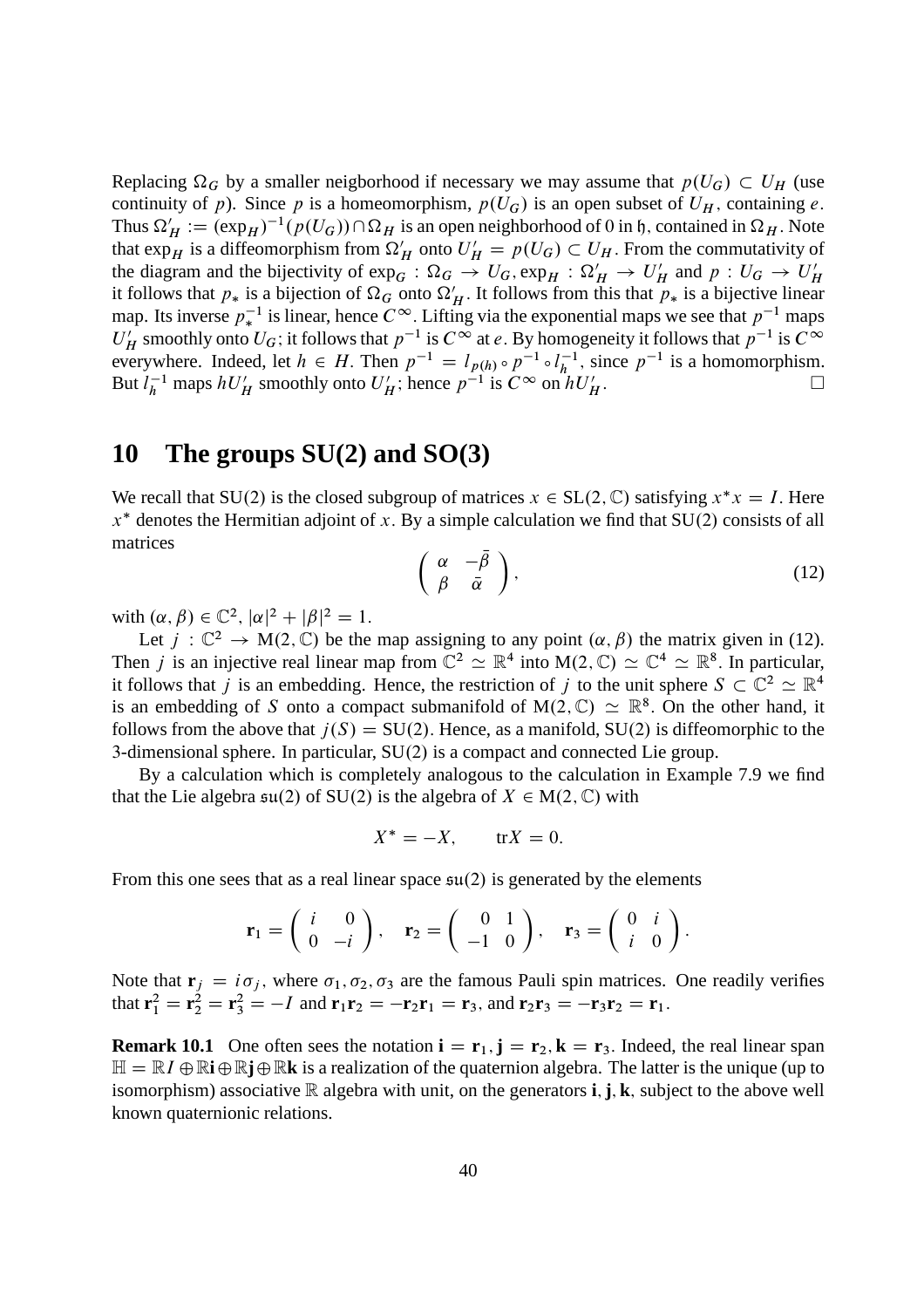Replacing  $\Omega_G$  by a smaller neigborhood if necessary we may assume that  $p(U_G) \subset U_H$  (use continuity of p). Since p is a homeomorphism,  $p(U_G)$  is an open subset of  $U_H$ , containing e. Thus  $\Omega'_H := (\exp_H)^{-1}(p(U_G)) \cap \Omega_H$  is an open neighborhood of 0 in h, contained in  $\Omega_H$ . Note that  $\exp_H$  is a diffeomorphism from  $\Omega'_H$  onto  $U'_H = p(U_G) \subset U_H$ . From the commutativity of the diagram and the bijectivity of  $\exp_G$ :  $\Omega_G \to U_G$ ,  $\exp_H$ :  $\Omega'_H \to U'_H$  and  $p: U_G \to U'_H$ it follows that  $p_*$  is a bijection of  $\Omega_G$  onto  $\Omega'_H$ . It follows from this that  $p_*$  is a bijective linear map. Its inverse  $p_*^{-1}$  is linear, hence  $C^{\infty}$ . Lifting via the exponential maps we see that  $p^{-1}$  maps  $U'_H$  smoothly onto  $U_G$ ; it follows that  $p^{-1}$  is  $C^\infty$  at e. By homogeneity it follows that  $p^{-1}$  is  $C^\infty$ everywhere. Indeed, let  $h \in H$ . Then  $p^{-1} = l_{p(h)} \circ p^{-1} \circ l_h^{-1}$  $\overline{h}^{-1}$ , since  $p^{-1}$  is a homomorphism. But  $l_h^{-1}$  maps  $hU_H'$  smoothly onto  $U_H'$ ; hence  $p^{-1}$  is  $C^\infty$  on  $hU_H'$  $H$  :  $\Box$ 

## **10 The groups SU(2) and SO(3)**

We recall that SU(2) is the closed subgroup of matrices  $x \in SL(2, \mathbb{C})$  satisfying  $x^*x = I$ . Here  $x^*$  denotes the Hermitian adjoint of x. By a simple calculation we find that SU(2) consists of all matrices

$$
\left(\begin{array}{cc} \alpha & -\bar{\beta} \\ \beta & \bar{\alpha} \end{array}\right),\tag{12}
$$

with  $(\alpha, \beta) \in \mathbb{C}^2$ ,  $|\alpha|^2 + |\beta|^2 = 1$ .

Let  $j : \mathbb{C}^2 \to M(2, \mathbb{C})$  be the map assigning to any point  $(\alpha, \beta)$  the matrix given in (12). Then *j* is an injective real linear map from  $\mathbb{C}^2 \simeq \mathbb{R}^4$  into  $M(2,\mathbb{C}) \simeq \mathbb{C}^4 \simeq \mathbb{R}^8$ . In particular, it follows that j is an embedding. Hence, the restriction of j to the unit sphere  $S \subset \mathbb{C}^2 \simeq \mathbb{R}^4$ is an embedding of S onto a compact submanifold of  $M(2, \mathbb{C}) \simeq \mathbb{R}^8$ . On the other hand, it follows from the above that  $j(S) = SU(2)$ . Hence, as a manifold,  $SU(2)$  is diffeomorphic to the 3-dimensional sphere. In particular,  $SU(2)$  is a compact and connected Lie group.

By a calculation which is completely analogous to the calculation in Example 7.9 we find that the Lie algebra  $\mathfrak{su}(2)$  of SU(2) is the algebra of  $X \in M(2,\mathbb{C})$  with

$$
X^* = -X, \qquad \text{tr}X = 0.
$$

From this one sees that as a real linear space  $\mathfrak{su}(2)$  is generated by the elements

$$
\mathbf{r}_1 = \begin{pmatrix} i & 0 \\ 0 & -i \end{pmatrix}, \quad \mathbf{r}_2 = \begin{pmatrix} 0 & 1 \\ -1 & 0 \end{pmatrix}, \quad \mathbf{r}_3 = \begin{pmatrix} 0 & i \\ i & 0 \end{pmatrix}.
$$

Note that  $\mathbf{r}_j = i\sigma_j$ , where  $\sigma_1, \sigma_2, \sigma_3$  are the famous Pauli spin matrices. One readily verifies that  $\mathbf{r}_1^2 = \mathbf{r}_2^2 = \mathbf{r}_3^2 = -I$  and  $\mathbf{r}_1 \mathbf{r}_2 = -\mathbf{r}_2 \mathbf{r}_1 = \mathbf{r}_3$ , and  $\mathbf{r}_2 \mathbf{r}_3 = -\mathbf{r}_3 \mathbf{r}_2 = \mathbf{r}_1$ .

**Remark 10.1** One often sees the notation  $\mathbf{i} = \mathbf{r}_1$ ,  $\mathbf{j} = \mathbf{r}_2$ ,  $\mathbf{k} = \mathbf{r}_3$ . Indeed, the real linear span  $\mathbb{H} = \mathbb{R}I \oplus \mathbb{R}i \oplus \mathbb{R}k$  is a realization of the quaternion algebra. The latter is the unique (up to isomorphism) associative  $\mathbb R$  algebra with unit, on the generators **i**, **j**, **k**, subject to the above well known quaternionic relations.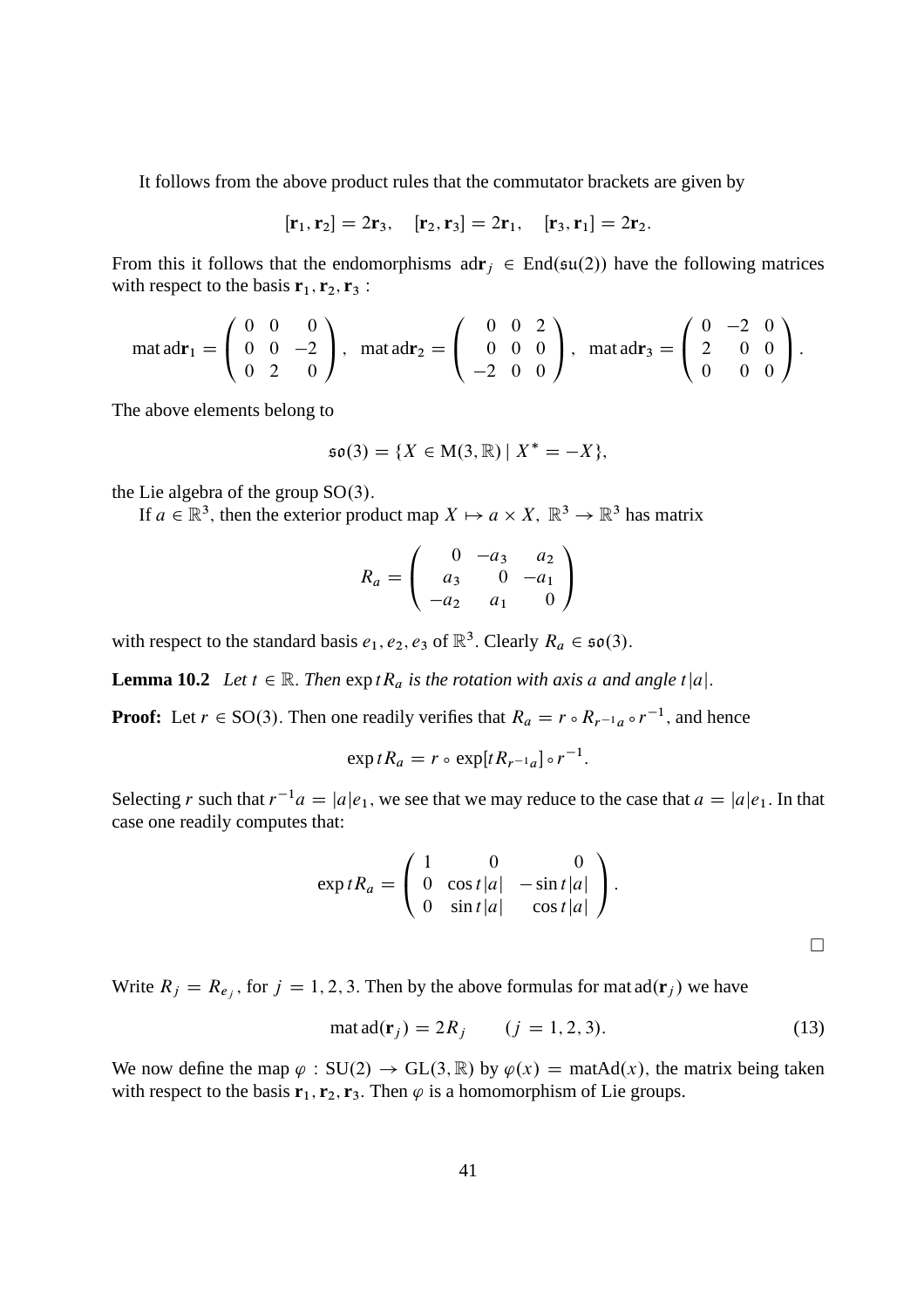It follows from the above product rules that the commutator brackets are given by

$$
[\mathbf{r}_1, \mathbf{r}_2] = 2\mathbf{r}_3
$$
,  $[\mathbf{r}_2, \mathbf{r}_3] = 2\mathbf{r}_1$ ,  $[\mathbf{r}_3, \mathbf{r}_1] = 2\mathbf{r}_2$ .

From this it follows that the endomorphisms  $ad\mathbf{r}_i \in End(\mathfrak{su}(2))$  have the following matrices with respect to the basis  $\mathbf{r}_1, \mathbf{r}_2, \mathbf{r}_3$ :

$$
\text{mat ad}\mathbf{r}_1 = \left(\begin{array}{ccc} 0 & 0 & 0 \\ 0 & 0 & -2 \\ 0 & 2 & 0 \end{array}\right), \quad \text{mat ad}\mathbf{r}_2 = \left(\begin{array}{ccc} 0 & 0 & 2 \\ 0 & 0 & 0 \\ -2 & 0 & 0 \end{array}\right), \quad \text{mat ad}\mathbf{r}_3 = \left(\begin{array}{ccc} 0 & -2 & 0 \\ 2 & 0 & 0 \\ 0 & 0 & 0 \end{array}\right).
$$

The above elements belong to

$$
\mathfrak{so}(3) = \{ X \in M(3, \mathbb{R}) \mid X^* = -X \},
$$

the Lie algebra of the group  $SO(3)$ .

If  $a \in \mathbb{R}^3$ , then the exterior product map  $X \mapsto a \times X$ ,  $\mathbb{R}^3 \to \mathbb{R}^3$  has matrix

$$
R_a = \begin{pmatrix} 0 & -a_3 & a_2 \\ a_3 & 0 & -a_1 \\ -a_2 & a_1 & 0 \end{pmatrix}
$$

with respect to the standard basis  $e_1, e_2, e_3$  of  $\mathbb{R}^3$ . Clearly  $R_a \in \mathfrak{so}(3)$ .

**Lemma 10.2** *Let*  $t \in \mathbb{R}$ . *Then*  $\exp tR_a$  *is the rotation with axis a and angle*  $t|a|$ *.* 

**Proof:** Let  $r \in SO(3)$ . Then one readily verifies that  $R_a = r \circ R_{r^{-1}a} \circ r^{-1}$ , and hence

$$
\exp tR_a = r \circ \exp[tR_{r^{-1}a}] \circ r^{-1}.
$$

Selecting r such that  $r^{-1}a = |a|e_1$ , we see that we may reduce to the case that  $a = |a|e_1$ . In that case one readily computes that:

$$
\exp tR_a = \begin{pmatrix} 1 & 0 & 0 \\ 0 & \cos t |a| & -\sin t |a| \\ 0 & \sin t |a| & \cos t |a| \end{pmatrix}.
$$

Write  $R_j = R_{e_j}$ , for  $j = 1, 2, 3$ . Then by the above formulas for mat  $ad(\mathbf{r}_j)$  we have

$$
\text{mat } \text{ad}(\mathbf{r}_j) = 2R_j \qquad (j = 1, 2, 3). \tag{13}
$$

 $\Box$ 

We now define the map  $\varphi : SU(2) \to GL(3,\mathbb{R})$  by  $\varphi(x) = \text{matAd}(x)$ , the matrix being taken with respect to the basis  $\mathbf{r}_1, \mathbf{r}_2, \mathbf{r}_3$ . Then  $\varphi$  is a homomorphism of Lie groups.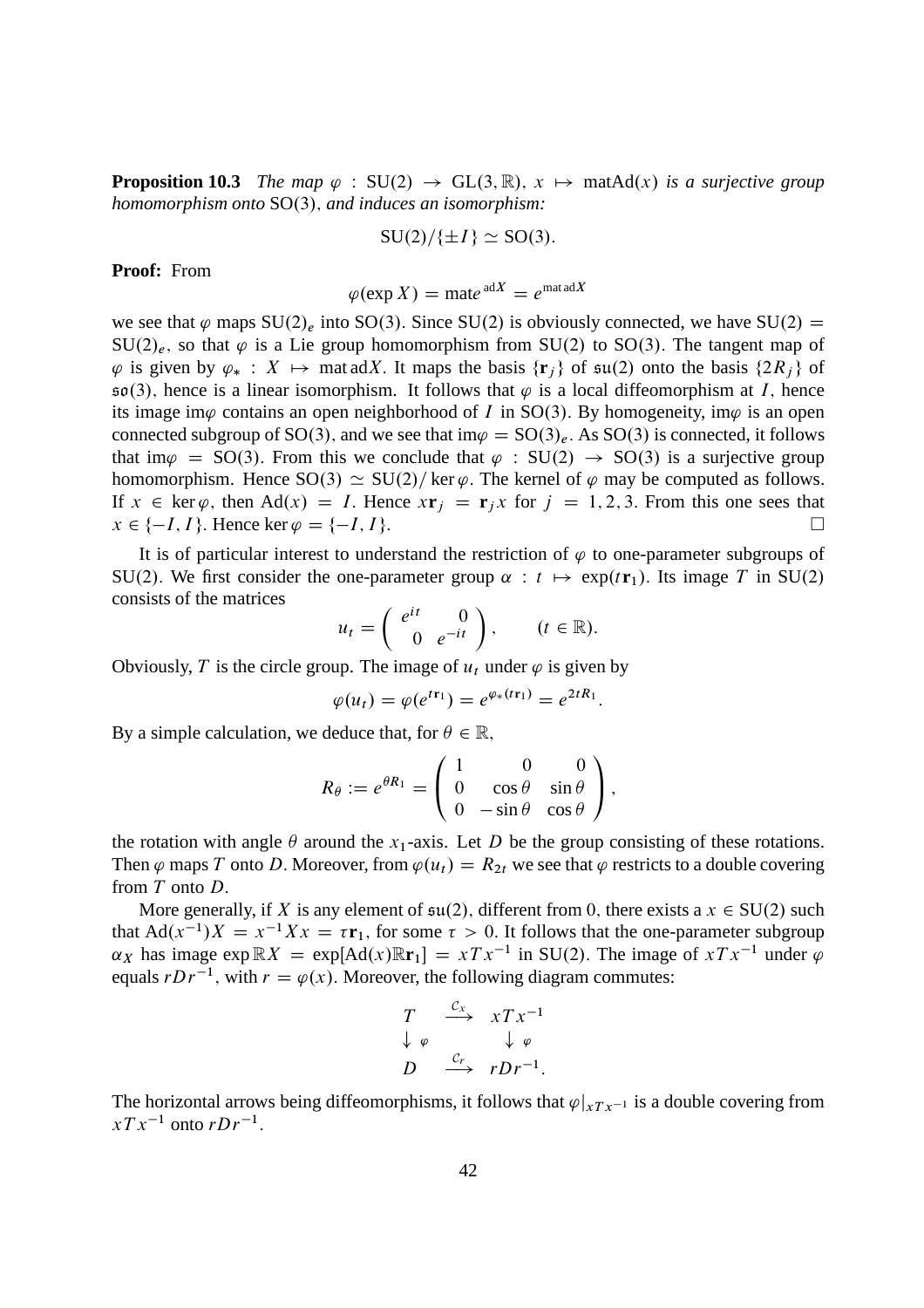**Proposition 10.3** *The map*  $\varphi$  : SU(2)  $\rightarrow$  GL(3, R),  $x \mapsto$  matAd(x) *is a surjective group homomorphism onto* SO(3), *and induces an isomorphism:* 

$$
SU(2)/\{\pm I\} \simeq SO(3).
$$

**Proof:** From

$$
\varphi(\exp X) = \text{mate}^{\text{ad}X} = e^{\text{mat} \text{ad}X}
$$

we see that  $\varphi$  maps SU(2)<sub>e</sub> into SO(3). Since SU(2) is obviously connected, we have SU(2) =  $SU(2)_e$ , so that  $\varphi$  is a Lie group homomorphism from SU(2) to SO(3). The tangent map of  $\varphi$  is given by  $\varphi_* : X \mapsto \text{mat ad } X$ . It maps the basis  $\{r_i\}$  of  $\mathfrak{su}(2)$  onto the basis  $\{2R_i\}$  of  $\mathfrak{so}(3)$ , hence is a linear isomorphism. It follows that  $\varphi$  is a local diffeomorphism at I, hence its image im $\varphi$  contains an open neighborhood of I in SO(3). By homogeneity, im $\varphi$  is an open connected subgroup of SO(3), and we see that im $\varphi = SO(3)_e$ . As SO(3) is connected, it follows that im $\varphi = SO(3)$ . From this we conclude that  $\varphi : SU(2) \rightarrow SO(3)$  is a surjective group homomorphism. Hence  $SO(3) \simeq SU(2)/\ker \varphi$ . The kernel of  $\varphi$  may be computed as follows. If  $x \in \text{ker }\varphi$ , then Ad $(x) = I$ . Hence  $x\mathbf{r}_j = \mathbf{r}_j x$  for  $j = 1, 2, 3$ . From this one sees that  $x \in \{-I, I\}$ .  $\Box$  $x \in \{-I, I\}$ . Hence ker  $\varphi = \{-I, I\}$ .

It is of particular interest to understand the restriction of  $\varphi$  to one-parameter subgroups of SU(2). We first consider the one-parameter group  $\alpha : t \mapsto \exp(t\mathbf{r}_1)$ . Its image T in SU(2) consists of the matrices

$$
u_t = \left(\begin{array}{cc} e^{it} & 0\\ 0 & e^{-it} \end{array}\right), \qquad (t \in \mathbb{R}).
$$

Obviously, T is the circle group. The image of  $u_t$  under  $\varphi$  is given by

$$
\varphi(u_t) = \varphi(e^{t\mathbf{r}_1}) = e^{\varphi_*(t\mathbf{r}_1)} = e^{2tR_1}.
$$

By a simple calculation, we deduce that, for  $\theta \in \mathbb{R}$ ,

$$
R_{\theta} := e^{\theta R_1} = \begin{pmatrix} 1 & 0 & 0 \\ 0 & \cos \theta & \sin \theta \\ 0 & -\sin \theta & \cos \theta \end{pmatrix},
$$

the rotation with angle  $\theta$  around the x<sub>1</sub>-axis. Let D be the group consisting of these rotations. Then  $\varphi$  maps T onto D. Moreover, from  $\varphi(u_t) = R_{2t}$  we see that  $\varphi$  restricts to a double covering from T onto D.

More generally, if X is any element of  $\mathfrak{su}(2)$ , different from 0, there exists a  $x \in SU(2)$  such that  $Ad(x^{-1})X = x^{-1}Xx = \tau \mathbf{r}_1$ , for some  $\tau > 0$ . It follows that the one-parameter subgroup  $\alpha_X$  has image  $\exp \R X = \exp[\text{Ad}(x)\R \mathbf{r}_1] = xT x^{-1}$  in SU(2). The image of  $xT x^{-1}$  under  $\varphi$ equals  $rDr^{-1}$ , with  $r = \varphi(x)$ . Moreover, the following diagram commutes:

$$
\begin{array}{ccc}\nT & \xrightarrow{c_x} & xTx^{-1} \\
\downarrow \varphi & & \downarrow \varphi \\
D & \xrightarrow{c_r} & rDr^{-1}.\n\end{array}
$$

The horizontal arrows being diffeomorphisms, it follows that  $\varphi|_{xTx^{-1}}$  is a double covering from  $xTx^{-1}$  onto  $rDr^{-1}$ .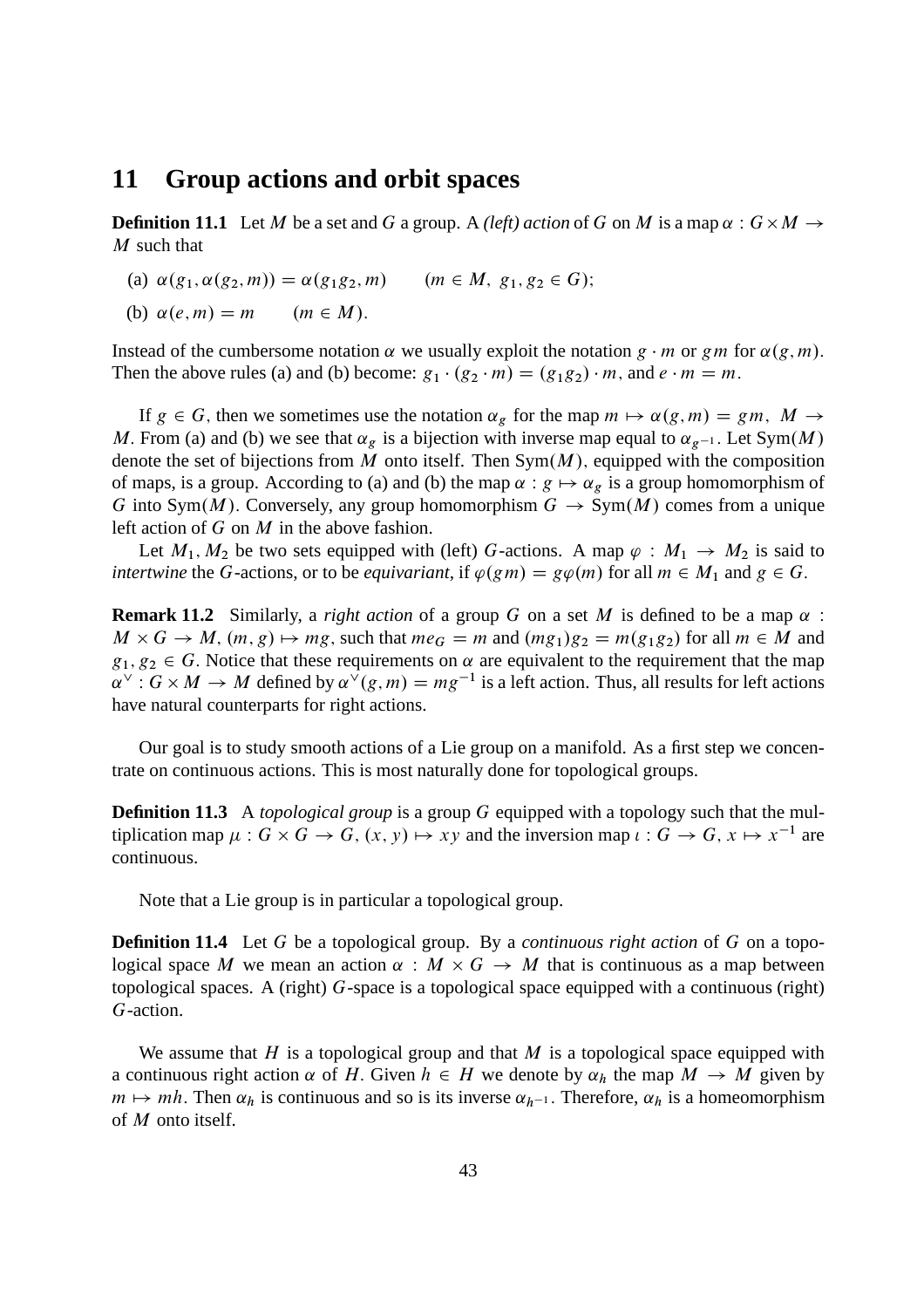### **11 Group actions and orbit spaces**

**Definition 11.1** Let M be a set and G a group. A *(left)* action of G on M is a map  $\alpha$ :  $G \times M \rightarrow$  $M$  such that

- (a)  $\alpha(g_1, \alpha(g_2, m)) = \alpha(g_1g_2, m)$   $(m \in M, g_1, g_2 \in G);$
- (b)  $\alpha(e, m) = m$   $(m \in M)$ .

Instead of the cumbersome notation  $\alpha$  we usually exploit the notation  $g \cdot m$  or gm for  $\alpha(g, m)$ . Then the above rules (a) and (b) become:  $g_1 \cdot (g_2 \cdot m) = (g_1g_2) \cdot m$ , and  $e \cdot m = m$ .

If  $g \in G$ , then we sometimes use the notation  $\alpha_g$  for the map  $m \mapsto \alpha(g, m) = gm$ ,  $M \rightarrow$ M. From (a) and (b) we see that  $\alpha_g$  is a bijection with inverse map equal to  $\alpha_{g-1}$ . Let Sym $(M)$ denote the set of bijections from M onto itself. Then  $Sym(M)$ , equipped with the composition of maps, is a group. According to (a) and (b) the map  $\alpha : g \mapsto \alpha_g$  is a group homomorphism of G into Sym $(M)$ . Conversely, any group homomorphism  $G \to Sym(M)$  comes from a unique left action of  $G$  on  $M$  in the above fashion.

Let  $M_1, M_2$  be two sets equipped with (left) G-actions. A map  $\varphi : M_1 \to M_2$  is said to *intertwine* the G-actions, or to be *equivariant*, if  $\varphi(gm) = g\varphi(m)$  for all  $m \in M_1$  and  $g \in G$ .

**Remark 11.2** Similarly, a *right action* of a group G on a set M is defined to be a map  $\alpha$ :  $M \times G \to M$ ,  $(m, g) \mapsto mg$ , such that  $me_G = m$  and  $(mg_1)g_2 = m(g_1g_2)$  for all  $m \in M$  and  $g_1, g_2 \in G$ . Notice that these requirements on  $\alpha$  are equivalent to the requirement that the map  $\alpha^{\vee}: G \times M \to M$  defined by  $\alpha^{\vee}(g,m) = mg^{-1}$  is a left action. Thus, all results for left actions have natural counterparts for right actions.

Our goal is to study smooth actions of a Lie group on a manifold. As a first step we concentrate on continuous actions. This is most naturally done for topological groups.

**Definition 11.3** A *topological group* is a group G equipped with a topology such that the multiplication map  $\mu: G \times G \to G$ ,  $(x, y) \mapsto xy$  and the inversion map  $\iota: G \to G$ ,  $x \mapsto x^{-1}$  are continuous.

Note that a Lie group is in particular a topological group.

**Definition 11.4** Let G be a topological group. By a *continuous right action* of G on a topological space M we mean an action  $\alpha : M \times G \to M$  that is continuous as a map between topological spaces. A (right) G-space is a topological space equipped with a continuous (right) G-action.

We assume that H is a topological group and that M is a topological space equipped with a continuous right action  $\alpha$  of H. Given  $h \in H$  we denote by  $\alpha_h$  the map  $M \to M$  given by  $m \mapsto mh$ . Then  $\alpha_h$  is continuous and so is its inverse  $\alpha_{h-1}$ . Therefore,  $\alpha_h$  is a homeomorphism of M onto itself.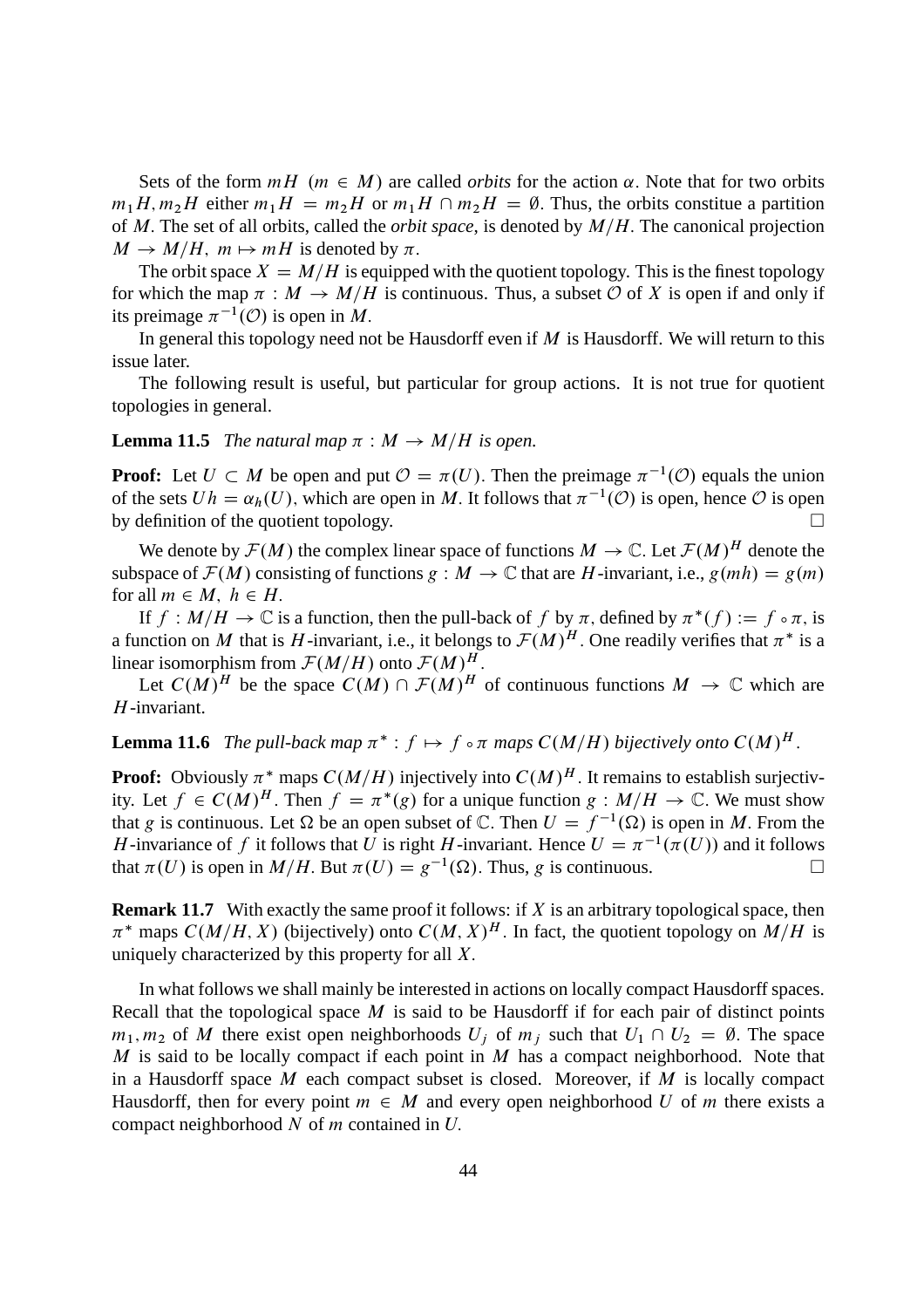Sets of the form  $mH$  ( $m \in M$ ) are called *orbits* for the action  $\alpha$ . Note that for two orbits  $m_1H, m_2H$  either  $m_1H = m_2H$  or  $m_1H \cap m_2H = \emptyset$ . Thus, the orbits constitue a partition of M. The set of all orbits, called the *orbit space*, is denoted by  $M/H$ . The canonical projection  $M \to M/H$ ,  $m \mapsto mH$  is denoted by  $\pi$ .

The orbit space  $X = M/H$  is equipped with the quotient topology. This is the finest topology for which the map  $\pi : M \to M/H$  is continuous. Thus, a subset O of X is open if and only if its preimage  $\pi^{-1}(\mathcal{O})$  is open in M.

In general this topology need not be Hausdorff even if  $M$  is Hausdorff. We will return to this issue later.

The following result is useful, but particular for group actions. It is not true for quotient topologies in general.

**Lemma 11.5** *The natural map*  $\pi : M \rightarrow M/H$  *is open.* 

**Proof:** Let  $U \subset M$  be open and put  $\mathcal{O} = \pi(U)$ . Then the preimage  $\pi^{-1}(\mathcal{O})$  equals the union of the sets  $Uh = \alpha_h(U)$ , which are open in M. It follows that  $\pi^{-1}(\mathcal{O})$  is open, hence  $\mathcal O$  is open by definition of the quotient topology.  $\Box$ 

We denote by  $\mathcal{F}(M)$  the complex linear space of functions  $M \to \mathbb{C}$ . Let  $\mathcal{F}(M)^H$  denote the subspace of  $\mathcal{F}(M)$  consisting of functions  $g : M \to \mathbb{C}$  that are H-invariant, i.e.,  $g(mh) = g(m)$ for all  $m \in M$ ,  $h \in H$ .

If  $f : M/H \to \mathbb{C}$  is a function, then the pull-back of f by  $\pi$ , defined by  $\pi^*(f) := f \circ \pi$ , is a function on M that is H-invariant, i.e., it belongs to  $\mathcal{F}(M)^H$ . One readily verifies that  $\pi^*$  is a linear isomorphism from  $\mathcal{F}(M/H)$  onto  $\mathcal{F}(M)^H$ .

Let  $C(M)^H$  be the space  $C(M) \cap \mathcal{F}(M)^H$  of continuous functions  $M \to \mathbb{C}$  which are H-invariant.

# **Lemma 11.6** *The pull-back map*  $\pi^*$  :  $f \mapsto f \circ \pi$  *maps*  $C(M/H)$  *bijectively onto*  $C(M)^H$ .

**Proof:** Obviously  $\pi^*$  maps  $C(M/H)$  injectively into  $C(M)^H$ . It remains to establish surjectivity. Let  $f \in C(M)^H$ . Then  $f = \pi^*(g)$  for a unique function  $g : M/H \to \mathbb{C}$ . We must show that g is continuous. Let  $\Omega$  be an open subset of  $\mathbb{C}$ . Then  $U = f^{-1}(\Omega)$  is open in M. From the H-invariance of f it follows that U is right H-invariant. Hence  $U = \pi^{-1}(\pi(U))$  and it follows that  $\pi(U)$  is open in  $M/H$ . But  $\pi(U) = g^{-1}(\Omega)$ . Thus, g is continuous.

**Remark 11.7** With exactly the same proof it follows: if X is an arbitrary topological space, then  $\pi^*$  maps  $C(M/H, X)$  (bijectively) onto  $C(M, X)^H$ . In fact, the quotient topology on  $M/H$  is uniquely characterized by this property for all  $X$ .

In what follows we shall mainly be interested in actions on locally compact Hausdorff spaces. Recall that the topological space  $M$  is said to be Hausdorff if for each pair of distinct points  $m_1, m_2$  of M there exist open neighborhoods  $U_i$  of  $m_i$  such that  $U_1 \cap U_2 = \emptyset$ . The space M is said to be locally compact if each point in  $M$  has a compact neighborhood. Note that in a Hausdorff space  $M$  each compact subset is closed. Moreover, if  $M$  is locally compact Hausdorff, then for every point  $m \in M$  and every open neighborhood U of m there exists a compact neighborhood  $N$  of  $m$  contained in  $U$ .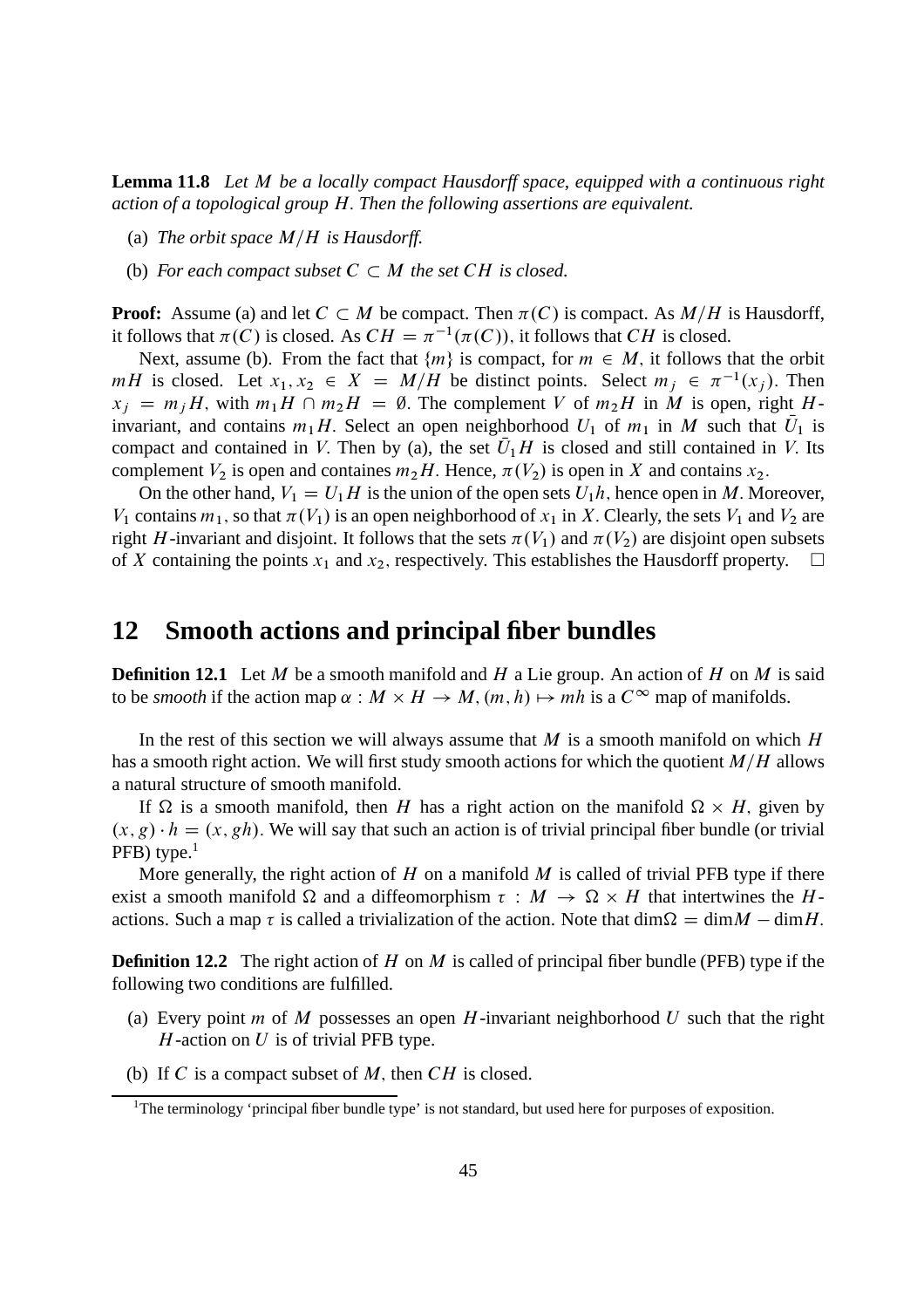**Lemma 11.8** *Let* M *be a locally compact Hausdorff space, equipped with a continuous right action of a topological group* H: *Then the following assertions are equivalent.*

- (a) *The orbit space*  $M/H$  *is Hausdorff.*
- (b) For each compact subset  $C \subset M$  the set  $CH$  is closed.

**Proof:** Assume (a) and let  $C \subset M$  be compact. Then  $\pi(C)$  is compact. As  $M/H$  is Hausdorff, it follows that  $\pi(C)$  is closed. As  $CH = \pi^{-1}(\pi(C))$ , it follows that CH is closed.

Next, assume (b). From the fact that  $\{m\}$  is compact, for  $m \in M$ , it follows that the orbit  $mH$  is closed. Let  $x_1, x_2 \in X = M/H$  be distinct points. Select  $m_j \in \pi^{-1}(x_j)$ . Then  $x_i = m_iH$ , with  $m_1H \cap m_2H = \emptyset$ . The complement V of  $m_2H$  in M is open, right Hinvariant, and contains  $m_1H$ . Select an open neighborhood  $U_1$  of  $m_1$  in M such that  $U_1$  is compact and contained in V. Then by (a), the set  $U_1H$  is closed and still contained in V. Its complement  $V_2$  is open and containes  $m_2H$ . Hence,  $\pi(V_2)$  is open in X and contains  $x_2$ .

On the other hand,  $V_1 = U_1H$  is the union of the open sets  $U_1h$ , hence open in M. Moreover,  $V_1$  contains  $m_1$ , so that  $\pi(V_1)$  is an open neighborhood of  $x_1$  in X. Clearly, the sets  $V_1$  and  $V_2$  are right H-invariant and disjoint. It follows that the sets  $\pi(V_1)$  and  $\pi(V_2)$  are disjoint open subsets of X containing the points  $x_1$  and  $x_2$ , respectively. This establishes the Hausdorff property.  $\Box$ 

## **12 Smooth actions and principal fiber bundles**

**Definition 12.1** Let M be a smooth manifold and H a Lie group. An action of H on M is said to be *smooth* if the action map  $\alpha : M \times H \to M$ ,  $(m, h) \mapsto mh$  is a  $C^{\infty}$  map of manifolds.

In the rest of this section we will always assume that M is a smooth manifold on which  $H$ has a smooth right action. We will first study smooth actions for which the quotient  $M/H$  allows a natural structure of smooth manifold.

If  $\Omega$  is a smooth manifold, then H has a right action on the manifold  $\Omega \times H$ , given by  $(x, g) \cdot h = (x, gh)$ . We will say that such an action is of trivial principal fiber bundle (or trivial  $PFB)$  type.<sup>1</sup>

More generally, the right action of  $H$  on a manifold  $M$  is called of trivial PFB type if there exist a smooth manifold  $\Omega$  and a diffeomorphism  $\tau : M \to \Omega \times H$  that intertwines the Hactions. Such a map  $\tau$  is called a trivialization of the action. Note that dim  $\Omega = \dim M - \dim H$ .

**Definition 12.2** The right action of H on M is called of principal fiber bundle (PFB) type if the following two conditions are fulfilled.

- (a) Every point m of M possesses an open H-invariant neighborhood U such that the right  $H$ -action on  $U$  is of trivial PFB type.
- (b) If C is a compact subset of  $M$ , then  $CH$  is closed.

<sup>&</sup>lt;sup>1</sup>The terminology 'principal fiber bundle type' is not standard, but used here for purposes of exposition.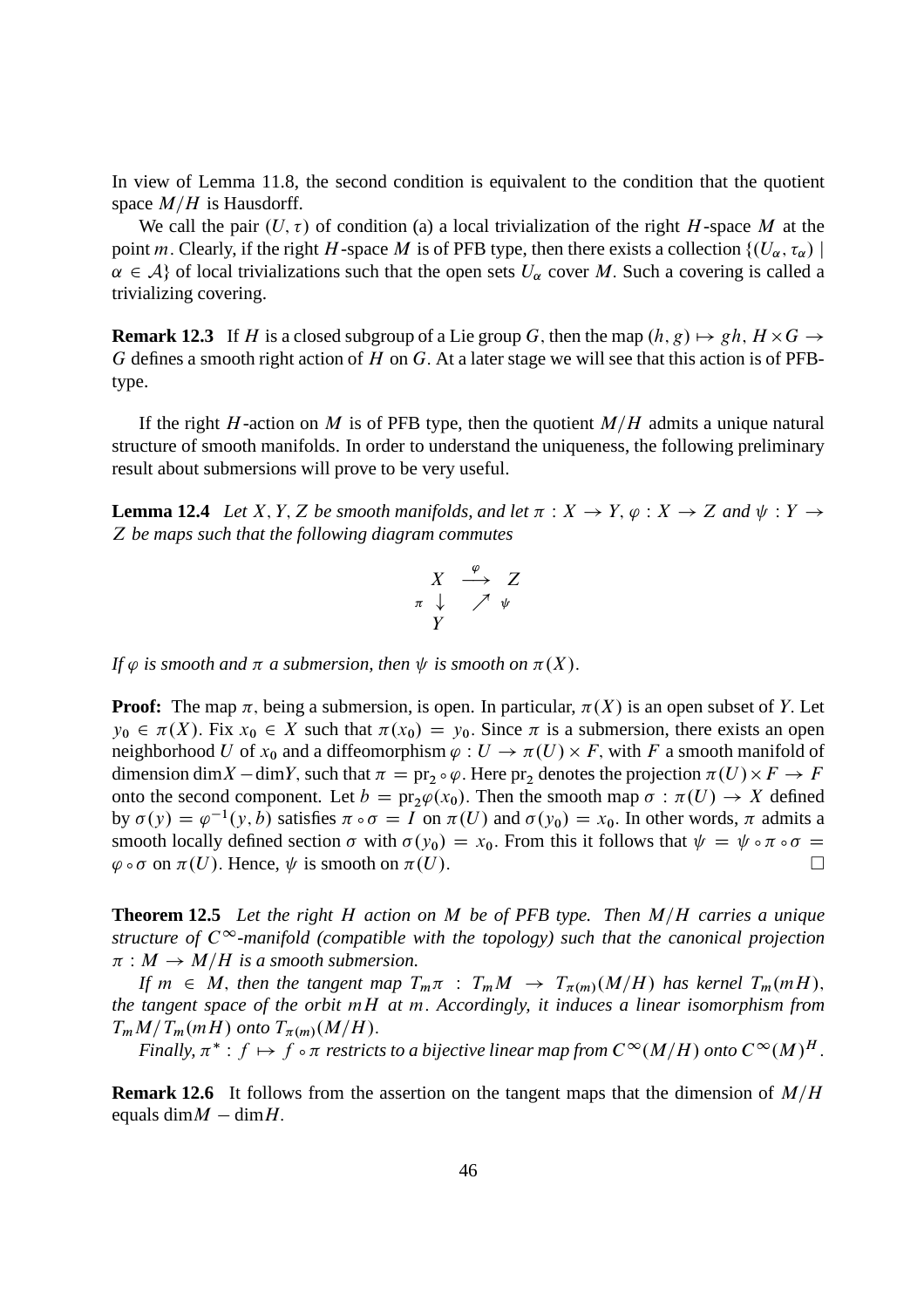In view of Lemma 11.8, the second condition is equivalent to the condition that the quotient space  $M/H$  is Hausdorff.

We call the pair  $(U, \tau)$  of condition (a) a local trivialization of the right H-space M at the point m. Clearly, if the right H-space M is of PFB type, then there exists a collection  $\{(U_\alpha, \tau_\alpha) \mid$  $\alpha \in \mathcal{A}$  of local trivializations such that the open sets  $U_\alpha$  cover M. Such a covering is called a trivializing covering.

**Remark 12.3** If H is a closed subgroup of a Lie group G, then the map  $(h, g) \mapsto gh, H \times G \rightarrow$ G defines a smooth right action of H on G. At a later stage we will see that this action is of PFBtype.

If the right H-action on M is of PFB type, then the quotient  $M/H$  admits a unique natural structure of smooth manifolds. In order to understand the uniqueness, the following preliminary result about submersions will prove to be very useful.

**Lemma 12.4** *Let* X, Y, Z *be smooth manifolds, and let*  $\pi : X \to Y$ ,  $\varphi : X \to Z$  *and*  $\psi : Y \to Z$ Z *be maps such that the following diagram commutes*

$$
\begin{array}{ccc}\nX & \xrightarrow{\varphi} & Z \\
\pi & \downarrow & \nearrow & \psi \\
Y & & & \n\end{array}
$$

*If*  $\varphi$  *is smooth and*  $\pi$  *a submersion, then*  $\psi$  *is smooth on*  $\pi(X)$ *.* 

**Proof:** The map  $\pi$ , being a submersion, is open. In particular,  $\pi(X)$  is an open subset of Y. Let  $y_0 \in \pi(X)$ . Fix  $x_0 \in X$  such that  $\pi(x_0) = y_0$ . Since  $\pi$  is a submersion, there exists an open neighborhood U of  $x_0$  and a diffeomorphism  $\varphi : U \to \pi(U) \times F$ , with F a smooth manifold of dimension dim X – dim Y, such that  $\pi = \text{pr}_2 \circ \varphi$ . Here  $\text{pr}_2$  denotes the projection  $\pi(U) \times F \to F$ onto the second component. Let  $b = \text{pr}_2 \varphi(x_0)$ . Then the smooth map  $\sigma : \pi(U) \to X$  defined by  $\sigma(y) = \varphi^{-1}(y, b)$  satisfies  $\pi \circ \sigma = I$  on  $\pi(U)$  and  $\sigma(y_0) = x_0$ . In other words,  $\pi$  admits a smooth locally defined section  $\sigma$  with  $\sigma(y_0) = x_0$ . From this it follows that  $\psi = \psi \circ \pi \circ \sigma = \varphi \circ \sigma$  on  $\pi(U)$ . Hence,  $\psi$  is smooth on  $\pi(U)$ .  $\varphi \circ \sigma$  on  $\pi(U)$ . Hence,  $\psi$  is smooth on  $\pi(U)$ .

**Theorem 12.5** Let the right H action on M be of PFB type. Then M/H carries a unique *structure of*  $C^{\infty}$ -manifold (compatible with the topology) such that the canonical projection  $\pi : M \to M/H$  is a smooth submersion.

*If*  $m \in M$ , *then the tangent map*  $T_m \pi : T_m M \to T_{\pi(m)} (M/H)$  *has kernel*  $T_m (mH)$ , *the tangent space of the orbit* mH *at* m: *Accordingly, it induces a linear isomorphism from*  $T_m M/T_m(mH)$  onto  $T_{\pi(m)}(M/H)$ .

Finally,  $\pi^*: f \mapsto f \circ \pi$  restricts to a bijective linear map from  $C^\infty(M/H)$  onto  $C^\infty(M)^H$  .

**Remark 12.6** It follows from the assertion on the tangent maps that the dimension of  $M/H$ equals dim $M - \text{dim}H$ .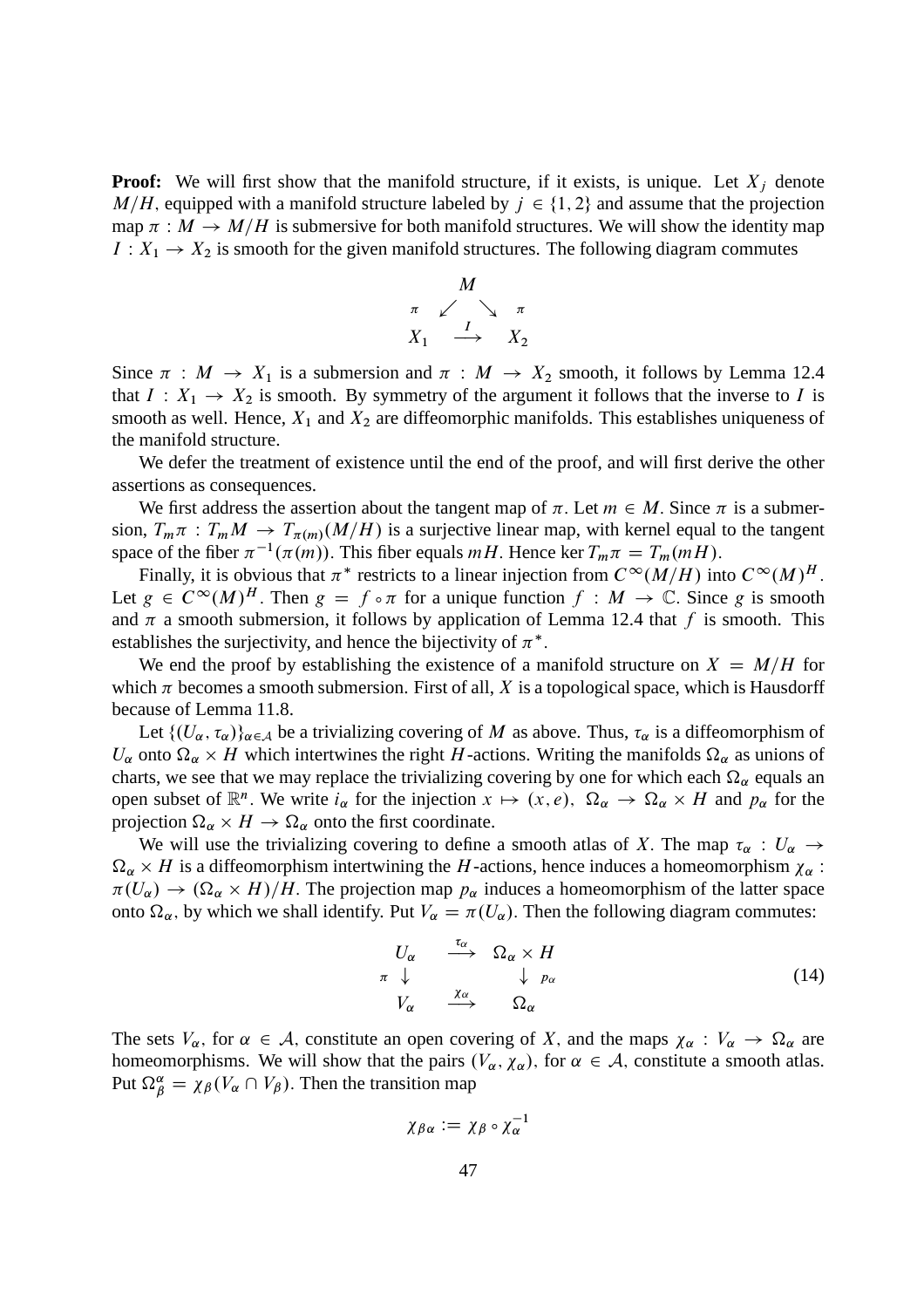**Proof:** We will first show that the manifold structure, if it exists, is unique. Let  $X_i$  denote  $M/H$ , equipped with a manifold structure labeled by  $j \in \{1, 2\}$  and assume that the projection map  $\pi : M \to M/H$  is submersive for both manifold structures. We will show the identity map  $I: X_1 \rightarrow X_2$  is smooth for the given manifold structures. The following diagram commutes



Since  $\pi : M \to X_1$  is a submersion and  $\pi : M \to X_2$  smooth, it follows by Lemma 12.4 that  $I: X_1 \to X_2$  is smooth. By symmetry of the argument it follows that the inverse to I is smooth as well. Hence,  $X_1$  and  $X_2$  are diffeomorphic manifolds. This establishes uniqueness of the manifold structure.

We defer the treatment of existence until the end of the proof, and will first derive the other assertions as consequences.

We first address the assertion about the tangent map of  $\pi$ . Let  $m \in M$ . Since  $\pi$  is a submersion,  $T_m \pi : T_m M \to T_{\pi(m)}(M/H)$  is a surjective linear map, with kernel equal to the tangent space of the fiber  $\pi^{-1}(\pi(m))$ . This fiber equals  $mH$ . Hence ker  $T_m \pi = T_m(mH)$ .

Finally, it is obvious that  $\pi^*$  restricts to a linear injection from  $C^{\infty}(M/H)$  into  $C^{\infty}(M)^H$ . Let  $g \in C^{\infty}(M)^{H}$ . Then  $g = f \circ \pi$  for a unique function  $f : M \to \mathbb{C}$ . Since g is smooth and  $\pi$  a smooth submersion, it follows by application of Lemma 12.4 that f is smooth. This establishes the surjectivity, and hence the bijectivity of  $\pi^*$ .

We end the proof by establishing the existence of a manifold structure on  $X = M/H$  for which  $\pi$  becomes a smooth submersion. First of all, X is a topological space, which is Hausdorff because of Lemma 11.8.

Let  $\{(U_\alpha, \tau_\alpha)\}_{\alpha \in A}$  be a trivializing covering of M as above. Thus,  $\tau_\alpha$  is a diffeomorphism of  $U_{\alpha}$  onto  $\Omega_{\alpha} \times H$  which intertwines the right H-actions. Writing the manifolds  $\Omega_{\alpha}$  as unions of charts, we see that we may replace the trivializing covering by one for which each  $\Omega_{\alpha}$  equals an open subset of  $\mathbb{R}^n$ . We write  $i_\alpha$  for the injection  $x \mapsto (x, e)$ ,  $\Omega_\alpha \to \Omega_\alpha \times H$  and  $p_\alpha$  for the projection  $\Omega_{\alpha} \times H \to \Omega_{\alpha}$  onto the first coordinate.

We will use the trivializing covering to define a smooth atlas of X. The map  $\tau_{\alpha}: U_{\alpha} \to$  $\Omega_{\alpha} \times H$  is a diffeomorphism intertwining the H-actions, hence induces a homeomorphism  $\chi_{\alpha}$ :  $\pi(U_{\alpha}) \to (\Omega_{\alpha} \times H)/H$ . The projection map  $p_{\alpha}$  induces a homeomorphism of the latter space onto  $\Omega_{\alpha}$ , by which we shall identify. Put  $V_{\alpha} = \pi(U_{\alpha})$ . Then the following diagram commutes:

$$
U_{\alpha} \xrightarrow{\tau_{\alpha}} \Omega_{\alpha} \times H
$$
  
\n
$$
\tau \downarrow \qquad \qquad \downarrow \qquad p_{\alpha}
$$
  
\n
$$
V_{\alpha} \xrightarrow{\chi_{\alpha}} \Omega_{\alpha}
$$
 (14)

The sets  $V_\alpha$ , for  $\alpha \in A$ , constitute an open covering of X, and the maps  $\chi_\alpha : V_\alpha \to \Omega_\alpha$  are homeomorphisms. We will show that the pairs  $(V_\alpha, \chi_\alpha)$ , for  $\alpha \in \mathcal{A}$ , constitute a smooth atlas. Put  $\Omega_{\beta}^{\alpha} = \chi_{\beta}(V_{\alpha} \cap V_{\beta})$ . Then the transition map

$$
\chi_{\beta\alpha}:=\chi_{\beta}\circ\chi_{\alpha}^{-1}
$$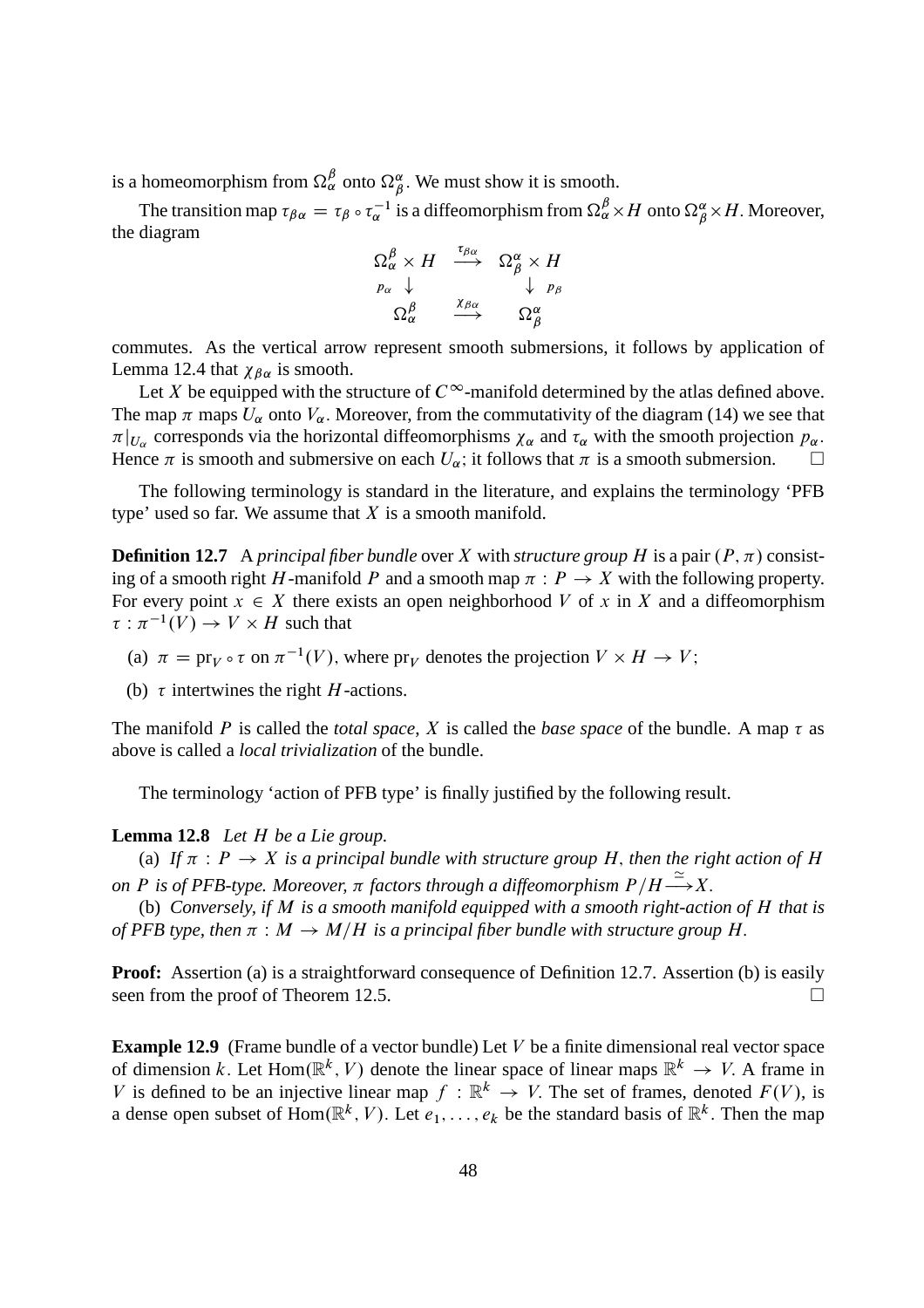is a homeomorphism from  $\Omega^{\beta}_{\alpha}$  onto  $\Omega^{\alpha}_{\beta}$ . We must show it is smooth.

The transition map  $\tau_{\beta\alpha} = \tau_{\beta} \circ \tau_{\alpha}^{-1}$  is a diffeomorphism from  $\Omega_{\alpha}^{\beta} \times H$  onto  $\Omega_{\beta}^{\alpha} \times H$ . Moreover, the diagram

$$
\begin{array}{ccc}\n\Omega^{\beta}_{\alpha} \times H & \stackrel{\tau_{\beta\alpha}}{\longrightarrow} & \Omega^{\alpha}_{\beta} \times H \\
p_{\alpha} & \downarrow & & \downarrow p_{\beta} \\
\Omega^{\beta}_{\alpha} & \stackrel{\chi_{\beta\alpha}}{\longrightarrow} & \Omega^{\alpha}_{\beta}\n\end{array}
$$

commutes. As the vertical arrow represent smooth submersions, it follows by application of Lemma 12.4 that  $\chi_{\beta\alpha}$  is smooth.

Let X be equipped with the structure of  $C^{\infty}$ -manifold determined by the atlas defined above. The map  $\pi$  maps  $U_{\alpha}$  onto  $V_{\alpha}$ . Moreover, from the commutativity of the diagram (14) we see that  $\pi|_{U_\alpha}$  corresponds via the horizontal diffeomorphisms  $\chi_\alpha$  and  $\tau_\alpha$  with the smooth projection  $p_\alpha$ . Hence  $\pi$  is smooth and submersive on each  $U_{\alpha}$ ; it follows that  $\pi$  is a smooth submersion.  $\square$ 

The following terminology is standard in the literature, and explains the terminology 'PFB type' used so far. We assume that  $X$  is a smooth manifold.

**Definition 12.7** A *principal fiber bundle* over X with *structure group* H is a pair  $(P, \pi)$  consisting of a smooth right H-manifold P and a smooth map  $\pi$ :  $P \to X$  with the following property. For every point  $x \in X$  there exists an open neighborhood V of x in X and a diffeomorphism  $\tau : \pi^{-1}(V) \to V \times H$  such that

(a)  $\pi = \text{pr}_V \circ \tau$  on  $\pi^{-1}(V)$ , where  $\text{pr}_V$  denotes the projection  $V \times H \to V$ ;

(b)  $\tau$  intertwines the right *H*-actions.

The manifold P is called the *total space*, X is called the *base space* of the bundle. A map  $\tau$  as above is called a *local trivialization* of the bundle.

The terminology 'action of PFB type' is finally justified by the following result.

#### **Lemma 12.8** *Let* H *be a Lie group.*

(a) If  $\pi$  :  $P \to X$  *is a principal bundle with structure group* H, *then the right action of* H *on* P is of PFB-type. Moreover,  $\pi$  factors through a diffeomorphism  $P/H \stackrel{\simeq}{\longrightarrow} X$ .

(b) *Conversely, if* M *is a smooth manifold equipped with a smooth right-action of* H *that is of PFB type, then*  $\pi : M \to M/H$  *is a principal fiber bundle with structure group* H.

**Proof:** Assertion (a) is a straightforward consequence of Definition 12.7. Assertion (b) is easily seen from the proof of Theorem 12.5.

**Example 12.9** (Frame bundle of a vector bundle) Let V be a finite dimensional real vector space of dimension k. Let Hom( $\mathbb{R}^k$ , V) denote the linear space of linear maps  $\mathbb{R}^k \to V$ . A frame in V is defined to be an injective linear map  $f : \mathbb{R}^k \to V$ . The set of frames, denoted  $F(V)$ , is a dense open subset of  $Hom(\mathbb{R}^k, V)$ . Let  $e_1, \ldots, e_k$  be the standard basis of  $\mathbb{R}^k$ . Then the map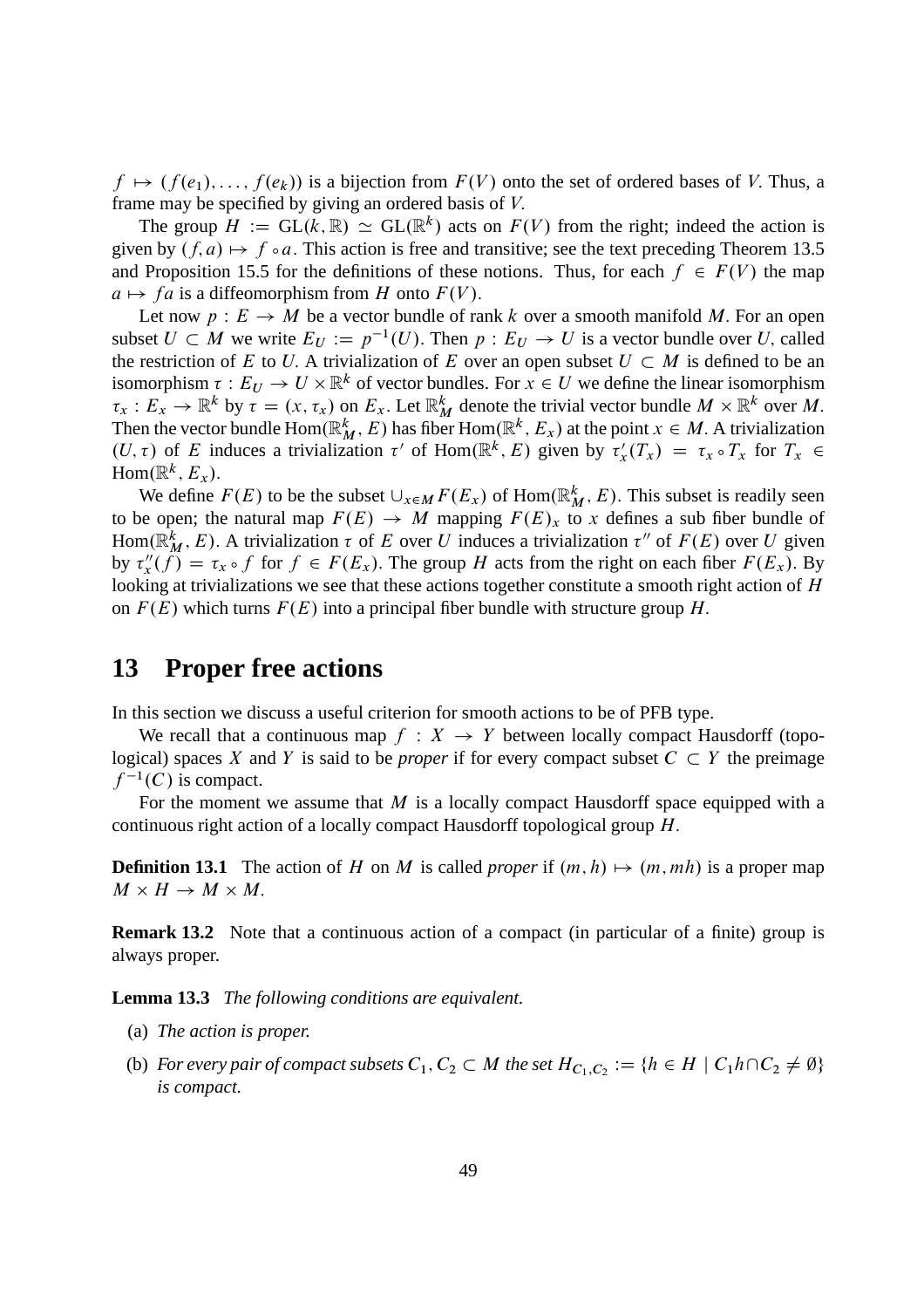$f \mapsto (f(e_1), \ldots, f(e_k))$  is a bijection from  $F(V)$  onto the set of ordered bases of V. Thus, a frame may be specified by giving an ordered basis of V:

The group  $H := GL(k, \mathbb{R}) \simeq GL(\mathbb{R}^k)$  acts on  $F(V)$  from the right; indeed the action is given by  $(f, a) \mapsto f \circ a$ . This action is free and transitive; see the text preceding Theorem 13.5 and Proposition 15.5 for the definitions of these notions. Thus, for each  $f \in F(V)$  the map  $a \mapsto fa$  is a diffeomorphism from H onto  $F(V)$ .

Let now  $p : E \to M$  be a vector bundle of rank k over a smooth manifold M. For an open subset  $U \subset M$  we write  $E_U := p^{-1}(U)$ . Then  $p : E_U \to U$  is a vector bundle over U, called the restriction of E to U. A trivialization of E over an open subset  $U \subset M$  is defined to be an isomorphism  $\tau: E_U \to U \times \mathbb{R}^k$  of vector bundles. For  $x \in U$  we define the linear isomorphism  $\tau_x : E_x \to \mathbb{R}^k$  by  $\tau = (x, \tau_x)$  on  $E_x$ . Let  $\mathbb{R}^k_M$  denote the trivial vector bundle  $M \times \mathbb{R}^k$  over M. Then the vector bundle  $\text{Hom}(\mathbb{R}^k, E)$  has fiber  $\text{Hom}(\mathbb{R}^k, E_x)$  at the point  $x \in M$ . A trivialization  $(U, \tau)$  of E induces a trivialization  $\tau'$  of Hom( $\mathbb{R}^k$ , E) given by  $\tau'_x(T_x) = \tau_x \circ T_x$  for  $T_x \in$  $\text{Hom}(\mathbb{R}^k, E_x)$ .

We define  $F(E)$  to be the subset  $\cup_{x \in M} F(E_x)$  of  $\text{Hom}(\mathbb{R}^k_M, E)$ . This subset is readily seen to be open; the natural map  $F(E) \rightarrow M$  mapping  $F(E)_x$  to x defines a sub fiber bundle of Hom( $\mathbb{R}^k_M$ , E). A trivialization  $\tau$  of E over U induces a trivialization  $\tau''$  of  $F(E)$  over U given by  $\tau''_x(f) = \tau_x \circ f$  for  $f \in F(E_x)$ . The group H acts from the right on each fiber  $F(E_x)$ . By looking at trivializations we see that these actions together constitute a smooth right action of H on  $F(E)$  which turns  $F(E)$  into a principal fiber bundle with structure group H.

#### **13 Proper free actions**

In this section we discuss a useful criterion for smooth actions to be of PFB type.

We recall that a continuous map  $f : X \rightarrow Y$  between locally compact Hausdorff (topological) spaces X and Y is said to be *proper* if for every compact subset  $C \subset Y$  the preimage  $f^{-1}(C)$  is compact.

For the moment we assume that  $M$  is a locally compact Hausdorff space equipped with a continuous right action of a locally compact Hausdorff topological group H:

**Definition 13.1** The action of H on M is called *proper* if  $(m, h) \mapsto (m, mh)$  is a proper map  $M \times H \to M \times M$ .

**Remark 13.2** Note that a continuous action of a compact (in particular of a finite) group is always proper.

**Lemma 13.3** *The following conditions are equivalent.*

- (a) *The action is proper.*
- (b) For every pair of compact subsets  $C_1, C_2 \subset M$  the set  $H_{C_1,C_2} := \{h \in H \mid C_1h\cap C_2 \neq \emptyset\}$ *is compact.*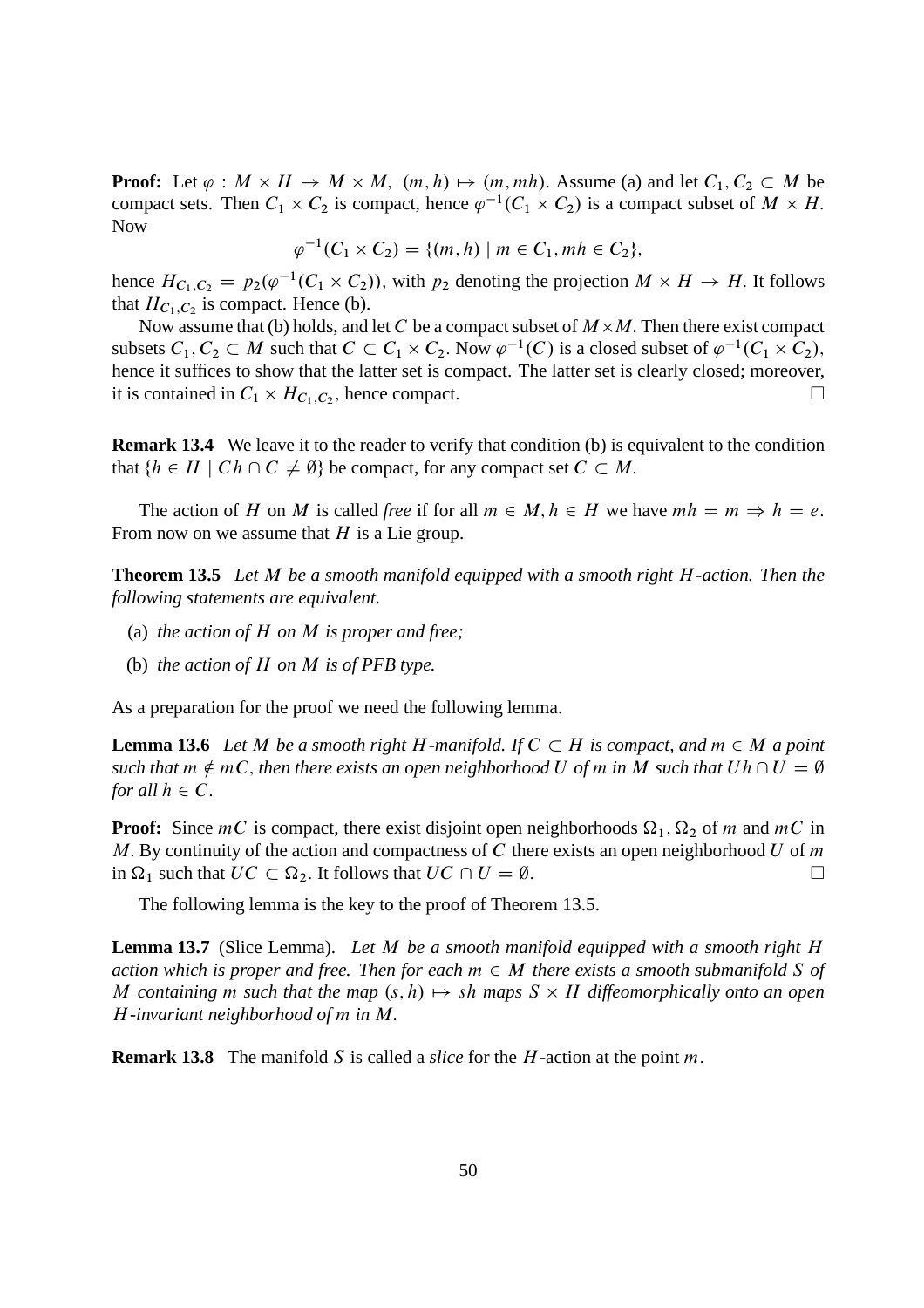**Proof:** Let  $\varphi : M \times H \to M \times M$ ,  $(m, h) \mapsto (m, mh)$ . Assume (a) and let  $C_1, C_2 \subset M$  be compact sets. Then  $C_1 \times C_2$  is compact, hence  $\varphi^{-1}(C_1 \times C_2)$  is a compact subset of  $M \times H$ . Now

$$
\varphi^{-1}(C_1 \times C_2) = \{(m, h) \mid m \in C_1, mh \in C_2\},\
$$

hence  $H_{C_1, C_2} = p_2(\varphi^{-1}(C_1 \times C_2))$ , with  $p_2$  denoting the projection  $M \times H \to H$ . It follows that  $H_{C_1, C_2}$  is compact. Hence (b).

Now assume that (b) holds, and let C be a compact subset of  $M \times M$ . Then there exist compact subsets  $C_1, C_2 \subset M$  such that  $C \subset C_1 \times C_2$ . Now  $\varphi^{-1}(C)$  is a closed subset of  $\varphi^{-1}(C_1 \times C_2)$ , hence it suffices to show that the latter set is compact. The latter set is clearly closed; moreover, it is contained in  $C_1 \times H_{C_1, C_2}$ , hence compact.

**Remark 13.4** We leave it to the reader to verify that condition (b) is equivalent to the condition that  $\{h \in H \mid Ch \cap C \neq \emptyset\}$  be compact, for any compact set  $C \subset M$ .

The action of H on M is called *free* if for all  $m \in M$ ,  $h \in H$  we have  $mh = m \Rightarrow h = e$ . From now on we assume that  $H$  is a Lie group.

**Theorem 13.5** *Let* M *be a smooth manifold equipped with a smooth right* H*-action. Then the following statements are equivalent.*

- (a) *the action of* H *on* M *is proper and free;*
- (b) *the action of* H *on* M *is of PFB type.*

As a preparation for the proof we need the following lemma.

**Lemma 13.6** Let M be a smooth right H-manifold. If  $C \subset H$  is compact, and  $m \in M$  a point *such that*  $m \notin mC$ , *then there exists an open neighborhood* U *of* m *in* M *such that*  $Uh \cap U = \emptyset$ *for all*  $h \in C$ .

**Proof:** Since  $mC$  is compact, there exist disjoint open neighborhoods  $\Omega_1$ ,  $\Omega_2$  of m and  $mC$  in M. By continuity of the action and compactness of  $C$  there exists an open neighborhood  $U$  of  $m$ in  $\Omega_1$  such that  $UC \subset \Omega_2$ . It follows that  $UC \cap U = \emptyset$ .

The following lemma is the key to the proof of Theorem 13.5.

**Lemma 13.7** (Slice Lemma). *Let* M *be a smooth manifold equipped with a smooth right* H *action which is proper and free. Then for each*  $m \in M$  *there exists a smooth submanifold* S *of* M containing m such that the map  $(s, h) \mapsto sh$  maps  $S \times H$  diffeomorphically onto an open H*-invariant neighborhood of* m *in* M:

**Remark 13.8** The manifold S is called a *slice* for the H-action at the point m.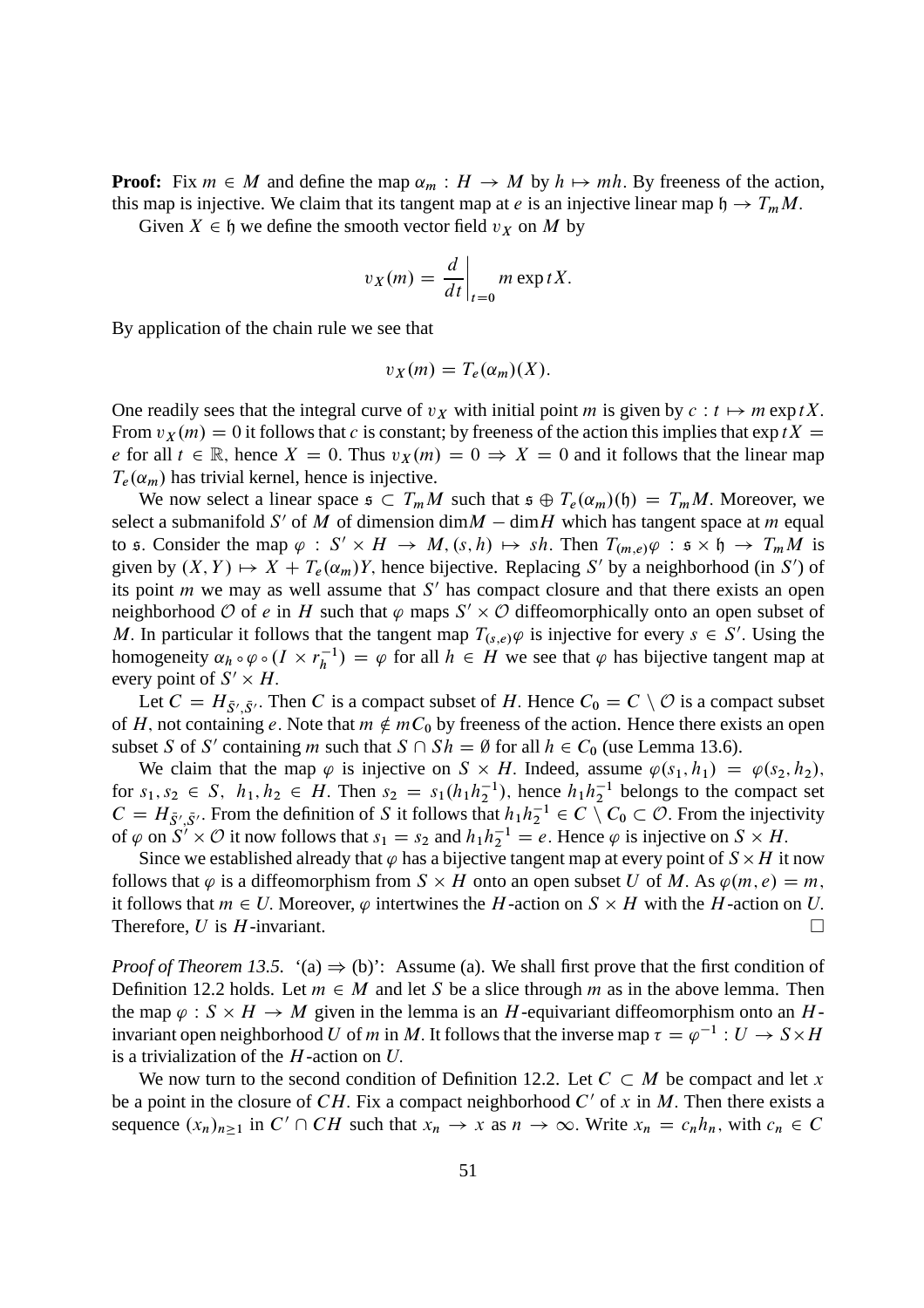**Proof:** Fix  $m \in M$  and define the map  $\alpha_m : H \to M$  by  $h \mapsto mh$ . By freeness of the action, this map is injective. We claim that its tangent map at e is an injective linear map  $h \to T_mM$ .

Given  $X \in \mathfrak{h}$  we define the smooth vector field  $v_X$  on M by

$$
v_X(m) = \frac{d}{dt}\bigg|_{t=0} m \exp tX.
$$

By application of the chain rule we see that

$$
v_X(m) = T_e(\alpha_m)(X).
$$

One readily sees that the integral curve of  $v<sub>X</sub>$  with initial point m is given by  $c : t \mapsto m \exp tX$ . From  $v_X(m) = 0$  it follows that c is constant; by freeness of the action this implies that  $\exp tX =$ e for all  $t \in \mathbb{R}$ , hence  $X = 0$ . Thus  $v_X(m) = 0 \Rightarrow X = 0$  and it follows that the linear map  $T_e(\alpha_m)$  has trivial kernel, hence is injective.

We now select a linear space  $\epsilon \subset T_mM$  such that  $\epsilon \oplus T_e(\alpha_m)(\mathfrak{h}) = T_mM$ . Moreover, we select a submanifold S' of M of dimension dim $M - \text{dim}H$  which has tangent space at m equal to s. Consider the map  $\varphi : S' \times H \to M$ ,  $(s, h) \mapsto sh$ . Then  $T_{(m,e)}\varphi : s \times h \to T_mM$  is given by  $(X, Y) \mapsto X + T_e(\alpha_m)Y$ , hence bijective. Replacing S' by a neighborhood (in S') of its point  $m$  we may as well assume that  $S'$  has compact closure and that there exists an open neighborhood O of e in H such that  $\varphi$  maps  $S' \times \mathcal{O}$  diffeomorphically onto an open subset of M. In particular it follows that the tangent map  $T_{(s,e)}\varphi$  is injective for every  $s \in S'$ . Using the homogeneity  $\alpha_h \circ \varphi \circ (I \times r_h^{-1})$  $h<sup>-1</sup>$  =  $\varphi$  for all  $h \in H$  we see that  $\varphi$  has bijective tangent map at every point of  $S' \times H$ .

Let  $C = H_{\bar{S}', \bar{S}'}$ . Then C is a compact subset of H. Hence  $C_0 = C \setminus \mathcal{O}$  is a compact subset of H, not containing e. Note that  $m \notin mC_0$  by freeness of the action. Hence there exists an open subset S of S' containing m such that  $S \cap Sh = \emptyset$  for all  $h \in C_0$  (use Lemma 13.6).

We claim that the map  $\varphi$  is injective on  $S \times H$ . Indeed, assume  $\varphi(s_1, h_1) = \varphi(s_2, h_2)$ , for  $s_1, s_2 \in S$ ,  $h_1, h_2 \in H$ . Then  $s_2 = s_1(h_1h_2^{-1})$ , hence  $h_1h_2^{-1}$  belongs to the compact set  $C = H_{\bar{S}', \bar{S}'}$ . From the definition of S it follows that  $h_1 h_2^{-1} \in C \setminus C_0 \subset \mathcal{O}$ . From the injectivity of  $\varphi$  on  $S^7 \times \mathcal{O}$  it now follows that  $s_1 = s_2$  and  $h_1 h_2^{-1} = e$ . Hence  $\varphi$  is injective on  $S \times H$ .

Since we established already that  $\varphi$  has a bijective tangent map at every point of  $S \times H$  it now follows that  $\varphi$  is a diffeomorphism from  $S \times H$  onto an open subset U of M. As  $\varphi(m, e) = m$ , it follows that  $m \in U$ . Moreover,  $\varphi$  intertwines the H-action on  $S \times H$  with the H-action on U. Therefore, U is H-invariant.

*Proof of Theorem 13.5.* '(a)  $\Rightarrow$  (b)': Assume (a). We shall first prove that the first condition of Definition 12.2 holds. Let  $m \in M$  and let S be a slice through m as in the above lemma. Then the map  $\varphi : S \times H \to M$  given in the lemma is an H-equivariant diffeomorphism onto an Hinvariant open neighborhood U of m in M. It follows that the inverse map  $\tau = \varphi^{-1} : U \to S \times H$ is a trivialization of the  $H$ -action on  $U$ .

We now turn to the second condition of Definition 12.2. Let  $C \subset M$  be compact and let x be a point in the closure of CH. Fix a compact neighborhood  $C'$  of x in M. Then there exists a sequence  $(x_n)_{n\geq 1}$  in  $C' \cap CH$  such that  $x_n \to x$  as  $n \to \infty$ . Write  $x_n = c_n h_n$ , with  $c_n \in C$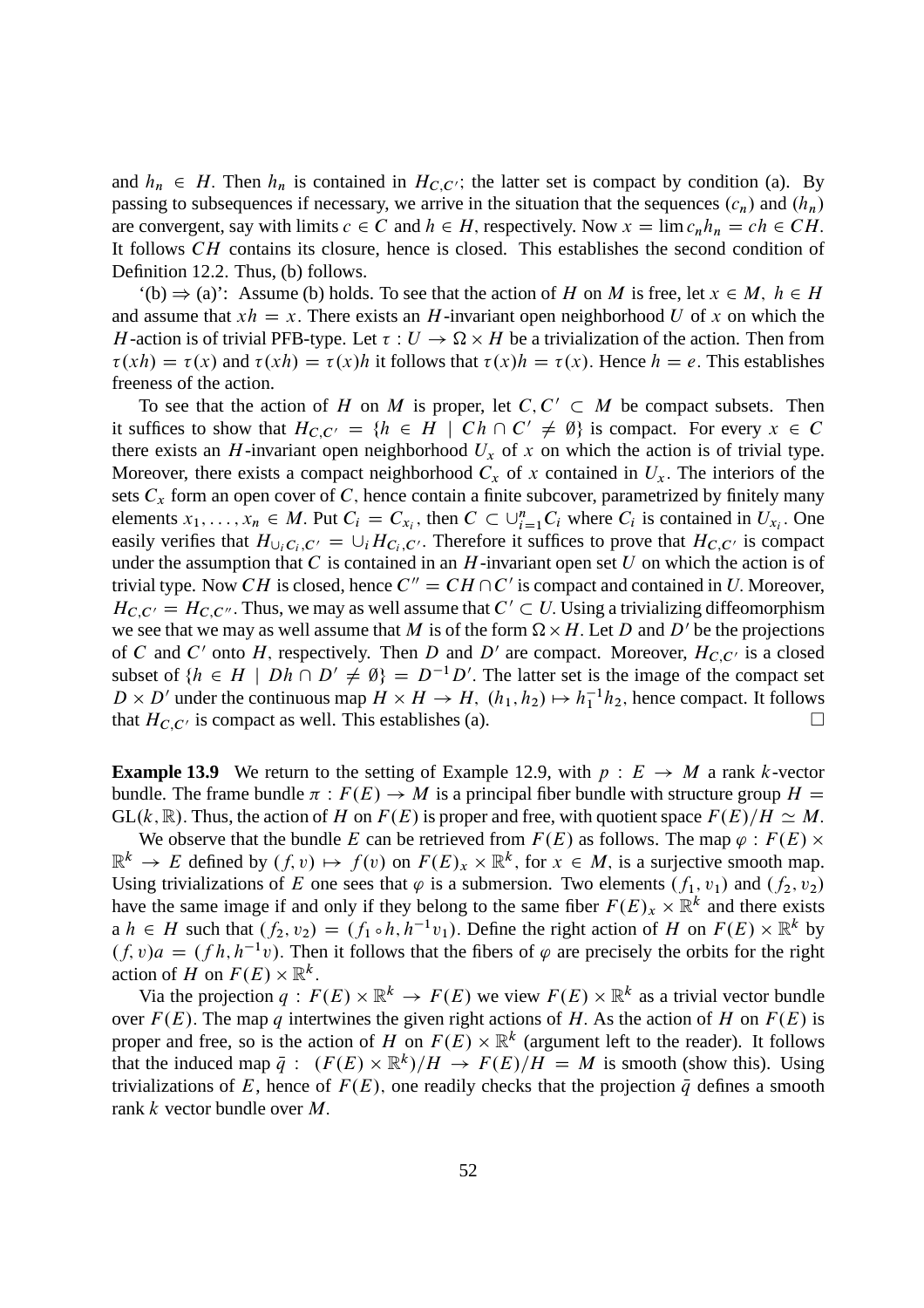and  $h_n \in H$ . Then  $h_n$  is contained in  $H_{C,C'}$ ; the latter set is compact by condition (a). By passing to subsequences if necessary, we arrive in the situation that the sequences  $(c_n)$  and  $(h_n)$ are convergent, say with limits  $c \in C$  and  $h \in H$ , respectively. Now  $x = \lim_{n \to \infty} c_n h_n = ch \in CH$ . It follows CH contains its closure, hence is closed. This establishes the second condition of Definition 12.2. Thus, (b) follows.

 $'(b) \Rightarrow (a)$ : Assume (b) holds. To see that the action of H on M is free, let  $x \in M$ ,  $h \in H$ and assume that  $xh = x$ . There exists an H-invariant open neighborhood U of x on which the H-action is of trivial PFB-type. Let  $\tau : U \to \Omega \times H$  be a trivialization of the action. Then from  $\tau(xh) = \tau(x)$  and  $\tau(xh) = \tau(x)h$  it follows that  $\tau(x)h = \tau(x)$ . Hence  $h = e$ . This establishes freeness of the action.

To see that the action of H on M is proper, let  $C, C' \subset M$  be compact subsets. Then it suffices to show that  $H_{C,C'} = \{h \in H \mid Ch \cap C' \neq \emptyset\}$  is compact. For every  $x \in C$ there exists an H-invariant open neighborhood  $U_x$  of x on which the action is of trivial type. Moreover, there exists a compact neighborhood  $C_x$  of x contained in  $U_x$ . The interiors of the sets  $C_x$  form an open cover of C, hence contain a finite subcover, parametrized by finitely many elements  $x_1, \ldots, x_n \in M$ . Put  $C_i = C_{x_i}$ , then  $C \subset \bigcup_{i=1}^n C_i$  where  $C_i$  is contained in  $U_{x_i}$ . One easily verifies that  $H_{\cup_i C_i, C'} = \cup_i H_{C_i, C'}$ . Therefore it suffices to prove that  $H_{C, C'}$  is compact under the assumption that  $C$  is contained in an  $H$ -invariant open set  $U$  on which the action is of trivial type. Now CH is closed, hence  $C'' = CH \cap C'$  is compact and contained in U. Moreover,  $H_{C,C'} = H_{C,C''}$ . Thus, we may as well assume that  $C' \subset U$ . Using a trivializing diffeomorphism we see that we may as well assume that M is of the form  $\Omega \times H$ . Let D and D' be the projections of C and C' onto H, respectively. Then D and D' are compact. Moreover,  $H_{C,C'}$  is a closed subset of  $\{h \in H \mid Dh \cap D' \neq \emptyset\} = D^{-1}D'$ . The latter set is the image of the compact set  $D \times D'$  under the continuous map  $H \times H \to H$ ,  $(h_1, h_2) \mapsto h_1^{-1}h_2$ , hence compact. It follows that  $H_{C,C'}$  is compact as well. This establishes (a).

**Example 13.9** We return to the setting of Example 12.9, with  $p: E \rightarrow M$  a rank k-vector bundle. The frame bundle  $\pi : F(E) \to M$  is a principal fiber bundle with structure group  $H =$  $GL(k, \mathbb{R})$ . Thus, the action of H on  $F(E)$  is proper and free, with quotient space  $F(E)/H \simeq M$ .

We observe that the bundle E can be retrieved from  $F(E)$  as follows. The map  $\varphi : F(E) \times$  $\mathbb{R}^k \to E$  defined by  $(f, v) \mapsto f(v)$  on  $F(E)_x \times \mathbb{R}^k$ , for  $x \in M$ , is a surjective smooth map. Using trivializations of E one sees that  $\varphi$  is a submersion. Two elements  $(f_1, v_1)$  and  $(f_2, v_2)$ have the same image if and only if they belong to the same fiber  $F(E)_x \times \mathbb{R}^k$  and there exists a  $h \in H$  such that  $(f_2, v_2) = (f_1 \circ h, h^{-1}v_1)$ . Define the right action of H on  $F(E) \times \mathbb{R}^k$  by  $(f, v)a = (fh, h^{-1}v)$ . Then it follows that the fibers of  $\varphi$  are precisely the orbits for the right action of H on  $F(E) \times \mathbb{R}^k$ .

Via the projection  $q: F(E) \times \mathbb{R}^k \to F(E)$  we view  $F(E) \times \mathbb{R}^k$  as a trivial vector bundle over  $F(E)$ . The map q intertwines the given right actions of H. As the action of H on  $F(E)$  is proper and free, so is the action of H on  $F(E) \times \mathbb{R}^k$  (argument left to the reader). It follows that the induced map  $\bar{q}$  :  $(F(E) \times \mathbb{R}^k)/H \to F(E)/H = M$  is smooth (show this). Using trivializations of E, hence of  $F(E)$ , one readily checks that the projection  $\bar{q}$  defines a smooth rank k vector bundle over M: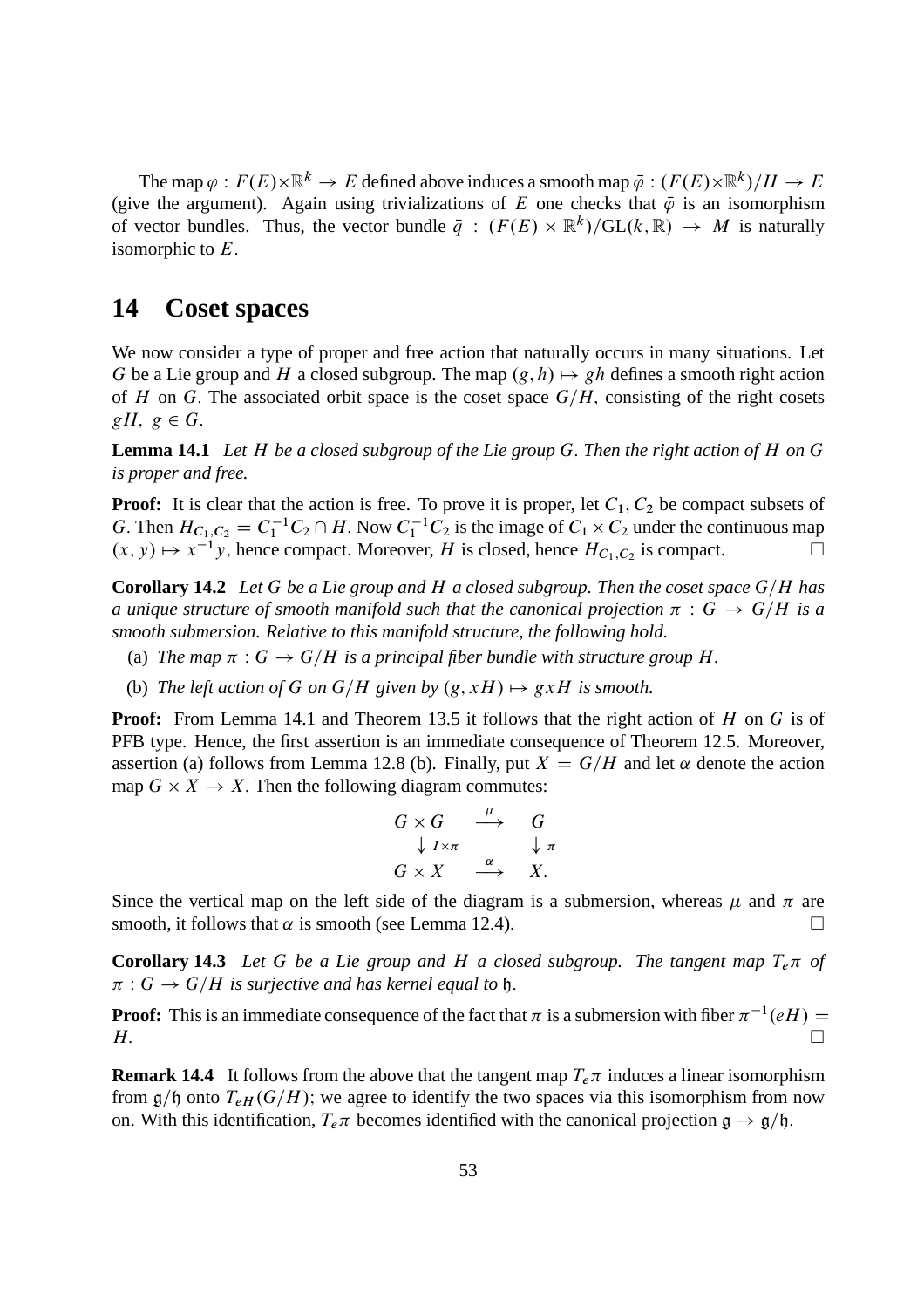The map  $\varphi : F(E) \times \mathbb{R}^k \to E$  defined above induces a smooth map  $\bar{\varphi} : (F(E) \times \mathbb{R}^k)/H \to E$ (give the argument). Again using trivializations of E one checks that  $\bar{\varphi}$  is an isomorphism of vector bundles. Thus, the vector bundle  $\bar{q}$  :  $(F(E) \times \mathbb{R}^k)/GL(k, \mathbb{R}) \rightarrow M$  is naturally isomorphic to  $E$ .

## **14 Coset spaces**

We now consider a type of proper and free action that naturally occurs in many situations. Let G be a Lie group and H a closed subgroup. The map  $(g, h) \mapsto gh$  defines a smooth right action of H on G. The associated orbit space is the coset space  $G/H$ , consisting of the right cosets  $gH, g \in G.$ 

**Lemma 14.1** *Let* H *be a closed subgroup of the Lie group* G: *Then the right action of* H *on* G *is proper and free.*

**Proof:** It is clear that the action is free. To prove it is proper, let  $C_1$ ,  $C_2$  be compact subsets of G. Then  $H_{C_1, C_2} = C_1^{-1} C_2 \cap H$ . Now  $C_1^{-1} C_2$  is the image of  $C_1 \times C_2$  under the continuous map  $(x, y) \mapsto x^{-1}y$ , hence compact. Moreover, H is closed, hence  $H_{C_1, C_2}$  is compact.

**Corollary 14.2** *Let* G *be a Lie group and* H *a closed subgroup. Then the coset space* G/H *has a unique structure of smooth manifold such that the canonical projection*  $\pi : G \to G/H$  *is a smooth submersion. Relative to this manifold structure, the following hold.*

- (a) The map  $\pi : G \to G/H$  is a principal fiber bundle with structure group H.
- (b) *The left action of G on G/H given by*  $(g, xH) \mapsto gxH$  *is smooth.*

**Proof:** From Lemma 14.1 and Theorem 13.5 it follows that the right action of H on G is of PFB type. Hence, the first assertion is an immediate consequence of Theorem 12.5. Moreover, assertion (a) follows from Lemma 12.8 (b). Finally, put  $X = G/H$  and let  $\alpha$  denote the action map  $G \times X \to X$ . Then the following diagram commutes:

$$
G \times G \xrightarrow{\mu} G
$$
  

$$
\downarrow I \times \pi \xrightarrow{\alpha} \downarrow \pi
$$
  

$$
G \times X \xrightarrow{\alpha} X.
$$

Since the vertical map on the left side of the diagram is a submersion, whereas  $\mu$  and  $\pi$  are smooth, it follows that  $\alpha$  is smooth (see Lemma 12.4).

**Corollary 14.3** Let G be a Lie group and H a closed subgroup. The tangent map  $T_e\pi$  of  $\pi: G \to G/H$  is surjective and has kernel equal to  $\mathfrak h$ .

**Proof:** This is an immediate consequence of the fact that  $\pi$  is a submersion with fiber  $\pi^{-1}(eH)$  =  $H.$ 

**Remark 14.4** It follows from the above that the tangent map  $T_e \pi$  induces a linear isomorphism from  $g/\mathfrak{h}$  onto  $T_{eH}(G/H)$ ; we agree to identify the two spaces via this isomorphism from now on. With this identification,  $T_e \pi$  becomes identified with the canonical projection  $\mathfrak{g} \to \mathfrak{g}/\mathfrak{h}$ .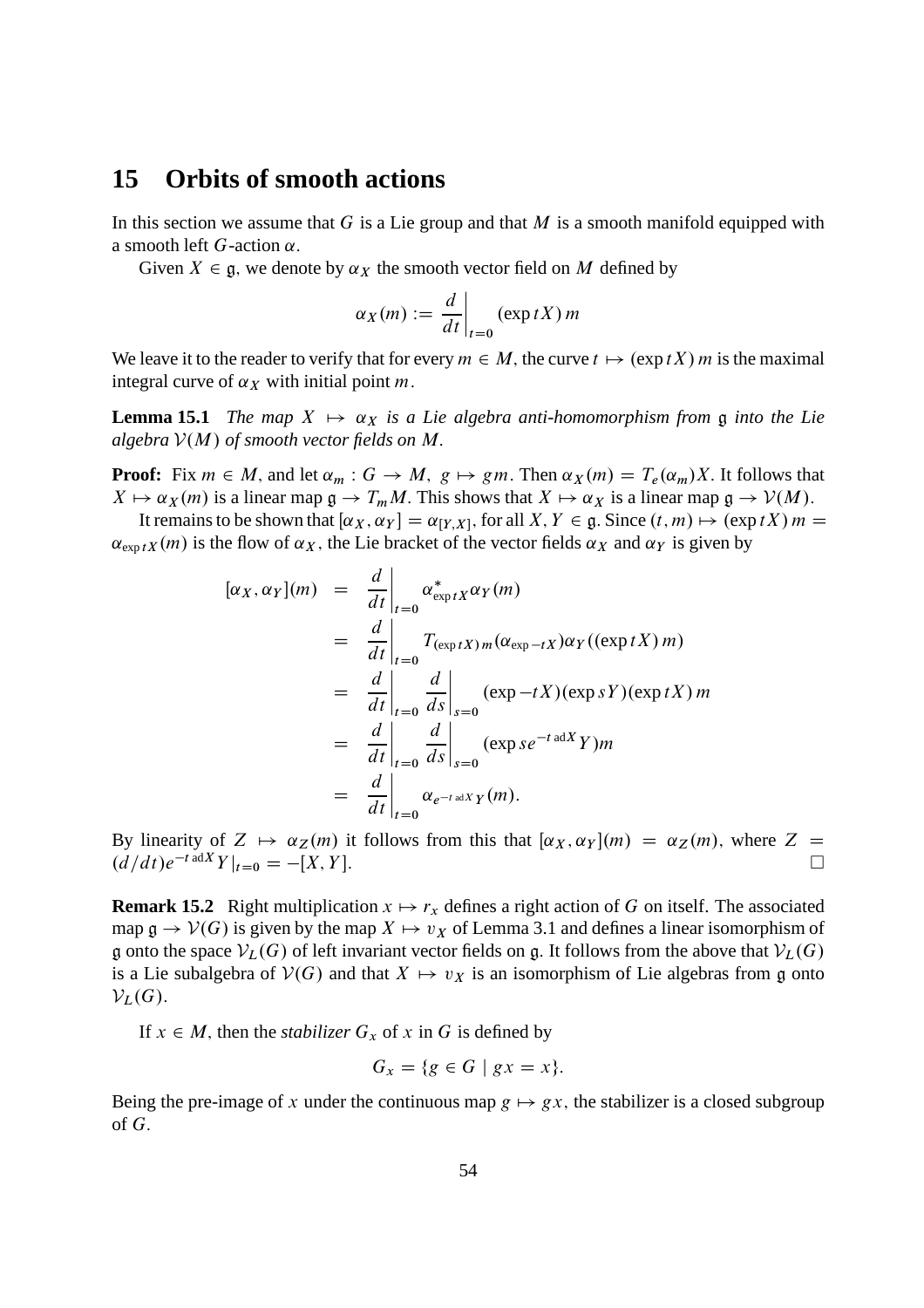### **15 Orbits of smooth actions**

In this section we assume that G is a Lie group and that M is a smooth manifold equipped with a smooth left  $G$ -action  $\alpha$ .

Given  $X \in \mathfrak{g}$ , we denote by  $\alpha_X$  the smooth vector field on M defined by

$$
\alpha_X(m) := \frac{d}{dt}\bigg|_{t=0} (\exp tX) m
$$

We leave it to the reader to verify that for every  $m \in M$ , the curve  $t \mapsto (\exp tX) m$  is the maximal integral curve of  $\alpha_X$  with initial point m.

**Lemma 15.1** *The map*  $X \mapsto \alpha_X$  *is a Lie algebra anti-homomorphism from* g *into the Lie algebra*  $V(M)$  *of smooth vector fields on* M.

**Proof:** Fix  $m \in M$ , and let  $\alpha_m : G \to M$ ,  $g \mapsto gm$ . Then  $\alpha_X(m) = T_e(\alpha_m)X$ . It follows that  $X \mapsto \alpha_X(m)$  is a linear map  $\mathfrak{g} \to T_mM$ . This shows that  $X \mapsto \alpha_X$  is a linear map  $\mathfrak{g} \to V(M)$ .

It remains to be shown that  $[\alpha_X, \alpha_Y] = \alpha_{[Y,X]}$ , for all  $X, Y \in \mathfrak{g}$ . Since  $(t, m) \mapsto (\exp tX) m =$  $\alpha_{\exp tX}(m)$  is the flow of  $\alpha_X$ , the Lie bracket of the vector fields  $\alpha_X$  and  $\alpha_Y$  is given by

$$
[\alpha_X, \alpha_Y](m) = \frac{d}{dt}\Big|_{t=0} \alpha_{\exp tX}^* \alpha_Y(m)
$$
  
\n
$$
= \frac{d}{dt}\Big|_{t=0} T_{(\exp tX)m} (\alpha_{\exp-tX}) \alpha_Y((\exp tX)m)
$$
  
\n
$$
= \frac{d}{dt}\Big|_{t=0} \frac{d}{ds}\Big|_{s=0} (\exp -tX)(\exp sY)(\exp tX)m
$$
  
\n
$$
= \frac{d}{dt}\Big|_{t=0} \frac{d}{ds}\Big|_{s=0} (\exp s e^{-t \text{ ad } X} Y)m
$$
  
\n
$$
= \frac{d}{dt}\Big|_{t=0} \alpha_{e^{-t \text{ ad } X} Y}(m).
$$

By linearity of  $Z \mapsto \alpha_Z(m)$  it follows from this that  $[\alpha_X, \alpha_Y](m) = \alpha_Z(m)$ , where  $Z = (d/dt)e^{-t \text{ ad }X}Y|_{t=0} = -[X, Y]$  $\left(d/dt\right)e^{-t}$  ad  $Y|_{t=0} = -[X, Y].$ 

**Remark 15.2** Right multiplication  $x \mapsto r_x$  defines a right action of G on itself. The associated map  $\mathfrak{g} \to \mathcal{V}(G)$  is given by the map  $X \mapsto v_X$  of Lemma 3.1 and defines a linear isomorphism of g onto the space  $V_L(G)$  of left invariant vector fields on g. It follows from the above that  $V_L(G)$ is a Lie subalgebra of  $V(G)$  and that  $X \mapsto v_X$  is an isomorphism of Lie algebras from g onto  $\mathcal{V}_L(G)$ .

If  $x \in M$ , then the *stabilizer*  $G_x$  of x in G is defined by

$$
G_x = \{ g \in G \mid gx = x \}.
$$

Being the pre-image of x under the continuous map  $g \mapsto gx$ , the stabilizer is a closed subgroup of  $G$ .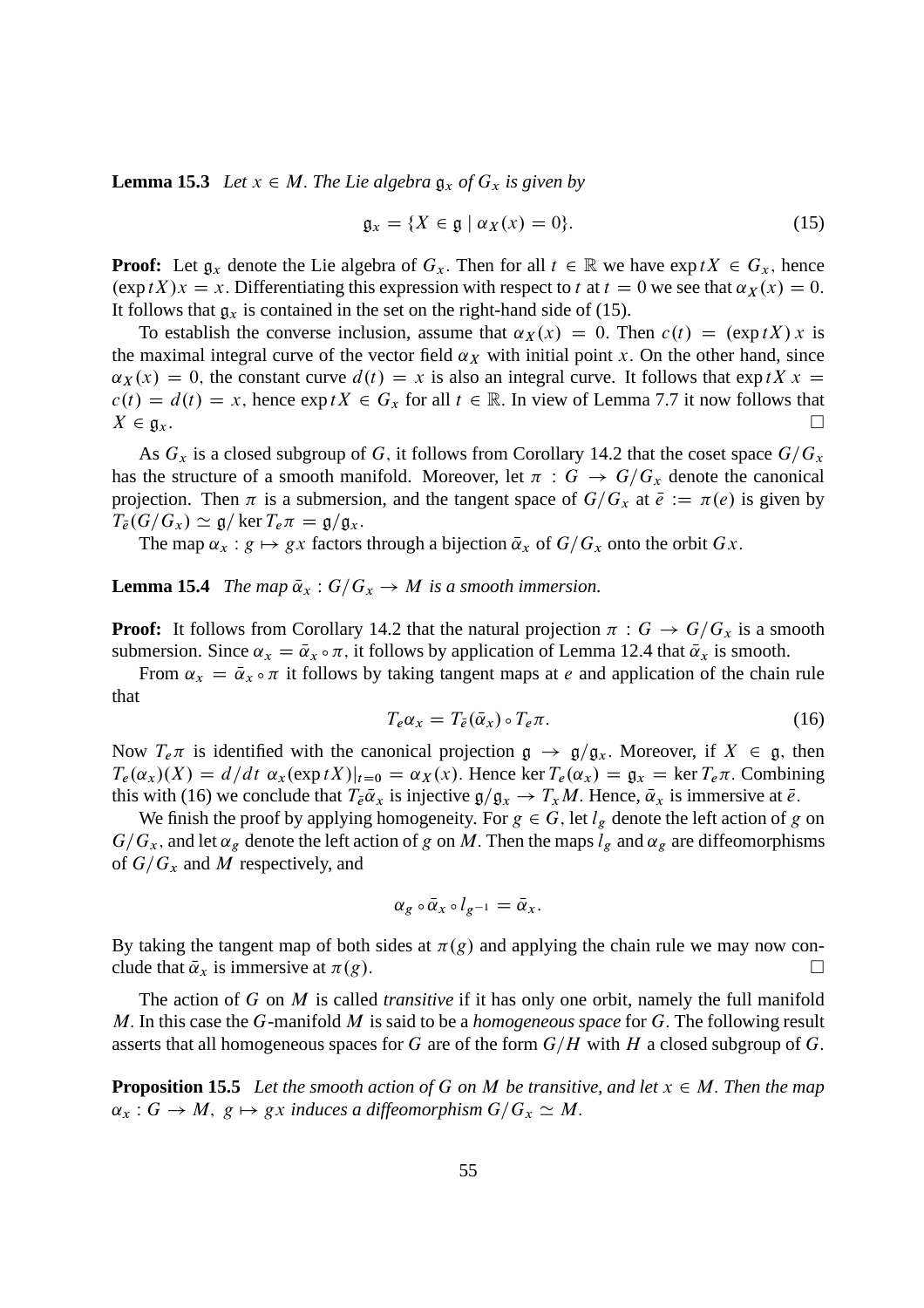**Lemma 15.3** *Let*  $x \in M$ *. The Lie algebra*  $\mathfrak{g}_x$  *of*  $G_x$  *is given by* 

$$
\mathfrak{g}_x = \{ X \in \mathfrak{g} \mid \alpha_X(x) = 0 \}. \tag{15}
$$

**Proof:** Let  $g_x$  denote the Lie algebra of  $G_x$ . Then for all  $t \in \mathbb{R}$  we have  $\exp(tX) \in G_x$ , hence  $(\exp tX)x = x.$  Differentiating this expression with respect to t at  $t = 0$  we see that  $\alpha_X(x) = 0$ . It follows that  $g_x$  is contained in the set on the right-hand side of (15).

To establish the converse inclusion, assume that  $\alpha_X(x) = 0$ . Then  $c(t) = (\exp tX) x$  is the maximal integral curve of the vector field  $\alpha_X$  with initial point x. On the other hand, since  $\alpha_X(x) = 0$ , the constant curve  $d(t) = x$  is also an integral curve. It follows that exp tX x =  $c(t) = d(t) = x$ , hence  $\exp tX \in G_x$  for all  $t \in \mathbb{R}$ . In view of Lemma 7.7 it now follows that  $X \in \mathfrak{g}_x$ .  $X \in \mathfrak{g}_x.$ 

As  $G_x$  is a closed subgroup of G, it follows from Corollary 14.2 that the coset space  $G/G_x$ has the structure of a smooth manifold. Moreover, let  $\pi : G \to G/G_x$  denote the canonical projection. Then  $\pi$  is a submersion, and the tangent space of  $G/G_x$  at  $\bar{e} := \pi(e)$  is given by  $T_{\bar{e}}(G/G_x) \simeq \mathfrak{g}/\ker T_e \pi = \mathfrak{g}/\mathfrak{g}_x.$ 

The map  $\alpha_x : g \mapsto gx$  factors through a bijection  $\overline{\alpha}_x$  of  $G/G_x$  onto the orbit  $Gx$ .

**Lemma 15.4** *The map*  $\bar{\alpha}_x$  :  $G/G_x \rightarrow M$  *is a smooth immersion.* 

**Proof:** It follows from Corollary 14.2 that the natural projection  $\pi$ :  $G \rightarrow G/G_x$  is a smooth submersion. Since  $\alpha_x = \overline{\alpha}_x \circ \pi$ , it follows by application of Lemma 12.4 that  $\overline{\alpha}_x$  is smooth.

From  $\alpha_x = \bar{\alpha}_x \circ \pi$  it follows by taking tangent maps at *e* and application of the chain rule that

$$
T_e \alpha_x = T_{\bar{e}}(\bar{\alpha}_x) \circ T_e \pi.
$$
 (16)

Now  $T_e \pi$  is identified with the canonical projection  $\mathfrak{g} \to \mathfrak{g}/\mathfrak{g}_x$ . Moreover, if  $X \in \mathfrak{g}$ , then  $T_e(\alpha_x)(X) = d/dt \alpha_x(\exp tX)|_{t=0} = \alpha_X(x)$ . Hence ker  $T_e(\alpha_x) = \mathfrak{g}_x = \ker T_e \pi$ . Combining this with (16) we conclude that  $T_{\bar{e}}\bar{\alpha}_x$  is injective  $\mathfrak{g}/\mathfrak{g}_x \to T_xM$ . Hence,  $\bar{\alpha}_x$  is immersive at  $\bar{e}$ .

We finish the proof by applying homogeneity. For  $g \in G$ , let  $l_g$  denote the left action of g on  $G/G_x$ , and let  $\alpha_g$  denote the left action of g on M. Then the maps  $l_g$  and  $\alpha_g$  are diffeomorphisms of  $G/G_x$  and M respectively, and

$$
\alpha_g \circ \bar{\alpha}_x \circ l_{g^{-1}} = \bar{\alpha}_x.
$$

By taking the tangent map of both sides at  $\pi(g)$  and applying the chain rule we may now conclude that  $\bar{\alpha}_x$  is immersive at  $\pi(g)$ .

The action of G on M is called *transitive* if it has only one orbit, namely the full manifold M: In this case the G-manifold M is said to be a *homogeneous space* for G: The following result asserts that all homogeneous spaces for G are of the form  $G/H$  with H a closed subgroup of G.

**Proposition 15.5** Let the smooth action of G on M be transitive, and let  $x \in M$ . Then the map  $\alpha_x : G \to M$ ,  $g \mapsto gx$  *induces a diffeomorphism*  $G/G_x \simeq M$ .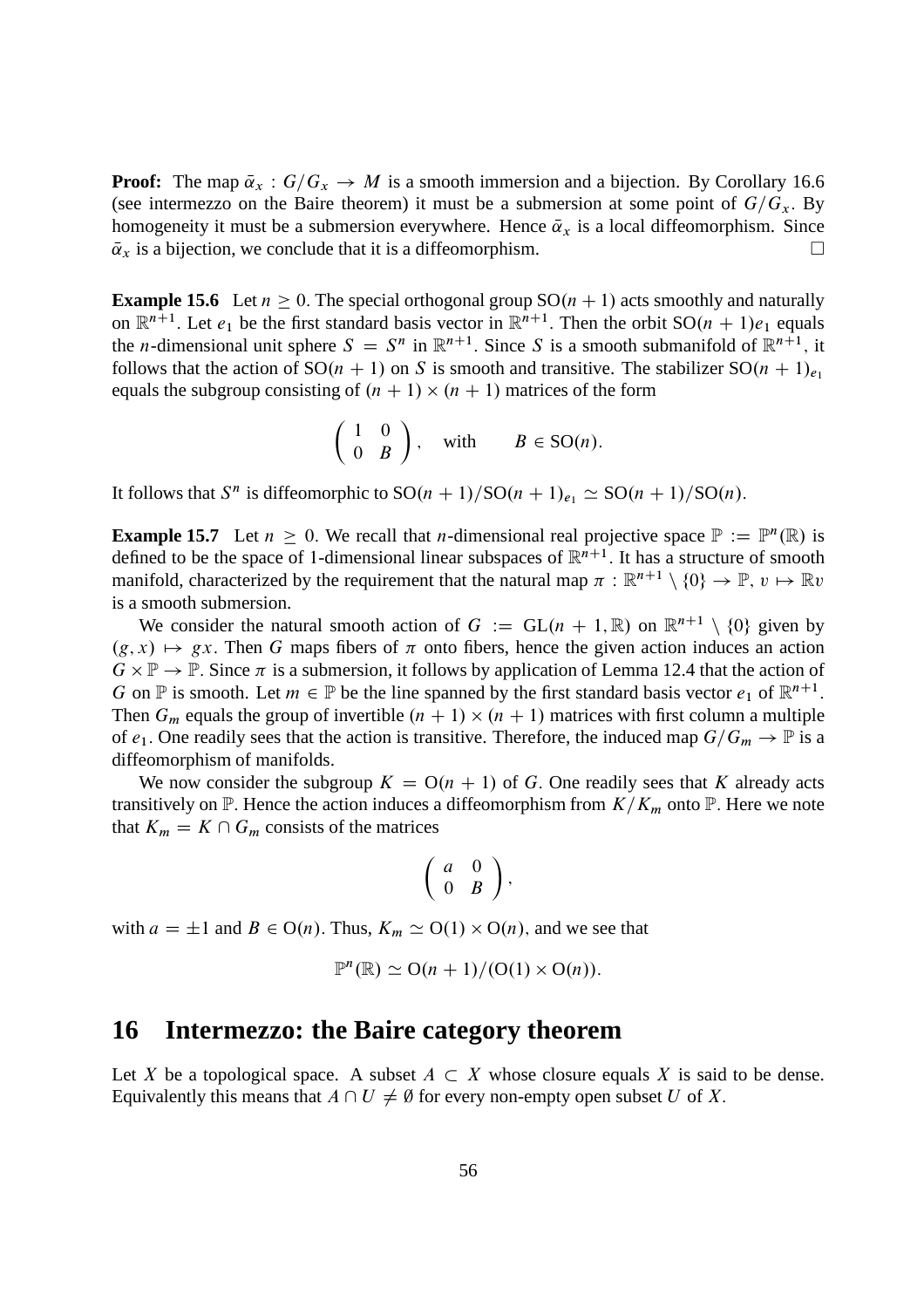**Proof:** The map  $\bar{\alpha}_x$ :  $G/G_x \rightarrow M$  is a smooth immersion and a bijection. By Corollary 16.6 (see intermezzo on the Baire theorem) it must be a submersion at some point of  $G/G_x$ . By homogeneity it must be a submersion everywhere. Hence  $\bar{\alpha}_x$  is a local diffeomorphism. Since  $\bar{\alpha}_x$  is a bijection, we conclude that it is a diffeomorphism.  $\overline{\alpha}_x$  is a bijection, we conclude that it is a diffeomorphism.

**Example 15.6** Let  $n \ge 0$ . The special orthogonal group  $SO(n + 1)$  acts smoothly and naturally on  $\mathbb{R}^{n+1}$ . Let  $e_1$  be the first standard basis vector in  $\mathbb{R}^{n+1}$ . Then the orbit  $SO(n + 1)e_1$  equals the *n*-dimensional unit sphere  $S = S^n$  in  $\mathbb{R}^{n+1}$ . Since S is a smooth submanifold of  $\mathbb{R}^{n+1}$ , it follows that the action of  $SO(n + 1)$  on S is smooth and transitive. The stabilizer  $SO(n + 1)_{e_1}$ equals the subgroup consisting of  $(n + 1) \times (n + 1)$  matrices of the form

$$
\left(\begin{array}{cc} 1 & 0 \\ 0 & B \end{array}\right), \quad \text{with} \qquad B \in \text{SO}(n).
$$

It follows that  $S^n$  is diffeomorphic to  $SO(n + 1)/SO(n + 1)_{e_1} \simeq SO(n + 1)/SO(n)$ .

**Example 15.7** Let  $n \geq 0$ . We recall that *n*-dimensional real projective space  $\mathbb{P} := \mathbb{P}^n(\mathbb{R})$  is defined to be the space of 1-dimensional linear subspaces of  $\mathbb{R}^{n+1}$ . It has a structure of smooth manifold, characterized by the requirement that the natural map  $\pi : \mathbb{R}^{n+1} \setminus \{0\} \to \mathbb{P}, v \mapsto \mathbb{R}v$ is a smooth submersion.

We consider the natural smooth action of  $G := GL(n + 1, \mathbb{R})$  on  $\mathbb{R}^{n+1} \setminus \{0\}$  given by  $(g, x) \mapsto gx$ . Then G maps fibers of  $\pi$  onto fibers, hence the given action induces an action  $G \times \mathbb{P} \to \mathbb{P}$ . Since  $\pi$  is a submersion, it follows by application of Lemma 12.4 that the action of G on  $\mathbb P$  is smooth. Let  $m \in \mathbb P$  be the line spanned by the first standard basis vector  $e_1$  of  $\mathbb R^{n+1}$ . Then  $G_m$  equals the group of invertible  $(n + 1) \times (n + 1)$  matrices with first column a multiple of  $e_1$ . One readily sees that the action is transitive. Therefore, the induced map  $G/G_m \to \mathbb{P}$  is a diffeomorphism of manifolds.

We now consider the subgroup  $K = O(n + 1)$  of G. One readily sees that K already acts transitively on  $\mathbb P$ . Hence the action induces a diffeomorphism from  $K/K_m$  onto  $\mathbb P$ . Here we note that  $K_m = K \cap G_m$  consists of the matrices

$$
\left(\begin{array}{cc}a&0\\0&B\end{array}\right),
$$

with  $a = \pm 1$  and  $B \in O(n)$ . Thus,  $K_m \simeq O(1) \times O(n)$ , and we see that

$$
\mathbb{P}^n(\mathbb{R}) \simeq \mathrm{O}(n+1)/( \mathrm{O}(1) \times \mathrm{O}(n)).
$$

## **16 Intermezzo: the Baire category theorem**

Let X be a topological space. A subset  $A \subset X$  whose closure equals X is said to be dense. Equivalently this means that  $A \cap U \neq \emptyset$  for every non-empty open subset U of X.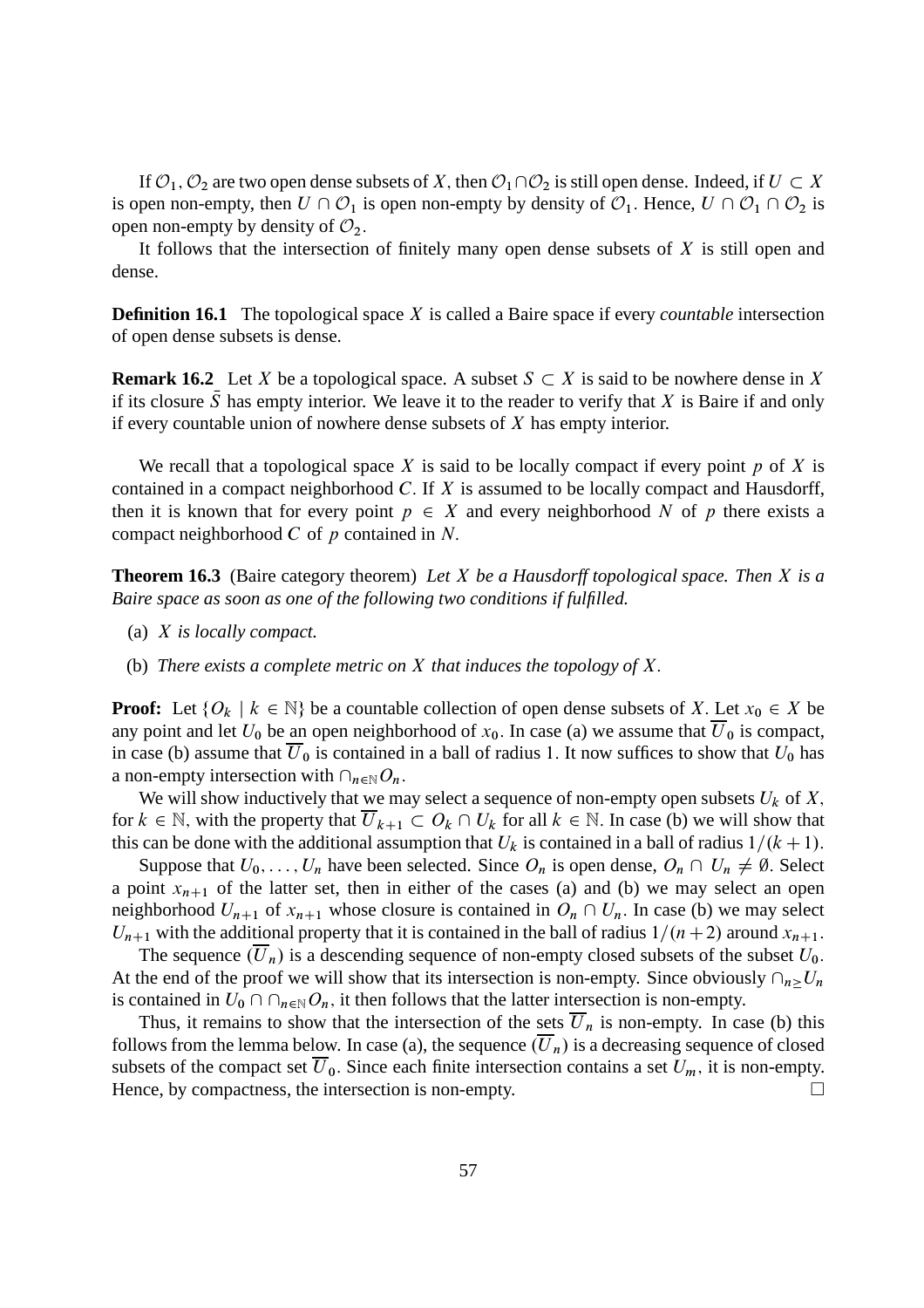If  $\mathcal{O}_1$ ,  $\mathcal{O}_2$  are two open dense subsets of X, then  $\mathcal{O}_1\cap\mathcal{O}_2$  is still open dense. Indeed, if  $U \subset X$ is open non-empty, then  $U \cap \mathcal{O}_1$  is open non-empty by density of  $\mathcal{O}_1$ . Hence,  $U \cap \mathcal{O}_1 \cap \mathcal{O}_2$  is open non-empty by density of  $\mathcal{O}_2$ .

It follows that the intersection of finitely many open dense subsets of  $X$  is still open and dense.

**Definition 16.1** The topological space X is called a Baire space if every *countable* intersection of open dense subsets is dense.

**Remark 16.2** Let X be a topological space. A subset  $S \subset X$  is said to be nowhere dense in X if its closure  $\bar{S}$  has empty interior. We leave it to the reader to verify that X is Baire if and only if every countable union of nowhere dense subsets of  $X$  has empty interior.

We recall that a topological space X is said to be locally compact if every point  $p$  of X is contained in a compact neighborhood  $C$ . If  $X$  is assumed to be locally compact and Hausdorff, then it is known that for every point  $p \in X$  and every neighborhood N of p there exists a compact neighborhood  $C$  of  $p$  contained in  $N$ .

**Theorem 16.3** (Baire category theorem) *Let* X *be a Hausdorff topological space. Then* X *is a Baire space as soon as one of the following two conditions if fulfilled.*

- (a) X *is locally compact.*
- (b) *There exists a complete metric on* X *that induces the topology of* X:

**Proof:** Let  $\{O_k \mid k \in \mathbb{N}\}\$  be a countable collection of open dense subsets of X. Let  $x_0 \in X$  be any point and let  $U_0$  be an open neighborhood of  $x_0$ . In case (a) we assume that  $\overline{U}_0$  is compact, in case (b) assume that  $U_0$  is contained in a ball of radius 1. It now suffices to show that  $U_0$  has a non-empty intersection with  $\cap_{n\in\mathbb{N}}O_n$ .

We will show inductively that we may select a sequence of non-empty open subsets  $U_k$  of X, for  $k \in \mathbb{N}$ , with the property that  $\overline{U}_{k+1} \subset O_k \cap U_k$  for all  $k \in \mathbb{N}$ . In case (b) we will show that this can be done with the additional assumption that  $U_k$  is contained in a ball of radius  $1/(k+1)$ .

Suppose that  $U_0, \ldots, U_n$  have been selected. Since  $O_n$  is open dense,  $O_n \cap U_n \neq \emptyset$ . Select a point  $x_{n+1}$  of the latter set, then in either of the cases (a) and (b) we may select an open neighborhood  $U_{n+1}$  of  $x_{n+1}$  whose closure is contained in  $O_n \cap U_n$ . In case (b) we may select  $U_{n+1}$  with the additional property that it is contained in the ball of radius  $1/(n+2)$  around  $x_{n+1}$ .

The sequence  $(\overline{U}_n)$  is a descending sequence of non-empty closed subsets of the subset  $U_0$ . At the end of the proof we will show that its intersection is non-empty. Since obviously  $\cap_{n>U_n}$ is contained in  $U_0 \cap \cap_{n \in \mathbb{N}} O_n$ , it then follows that the latter intersection is non-empty.

Thus, it remains to show that the intersection of the sets  $\overline{U}_n$  is non-empty. In case (b) this follows from the lemma below. In case (a), the sequence  $(\overline{U}_n)$  is a decreasing sequence of closed subsets of the compact set  $\overline{U}_0$ . Since each finite intersection contains a set  $U_m$ , it is non-empty. Hence, by compactness, the intersection is non-empty.  $\Box$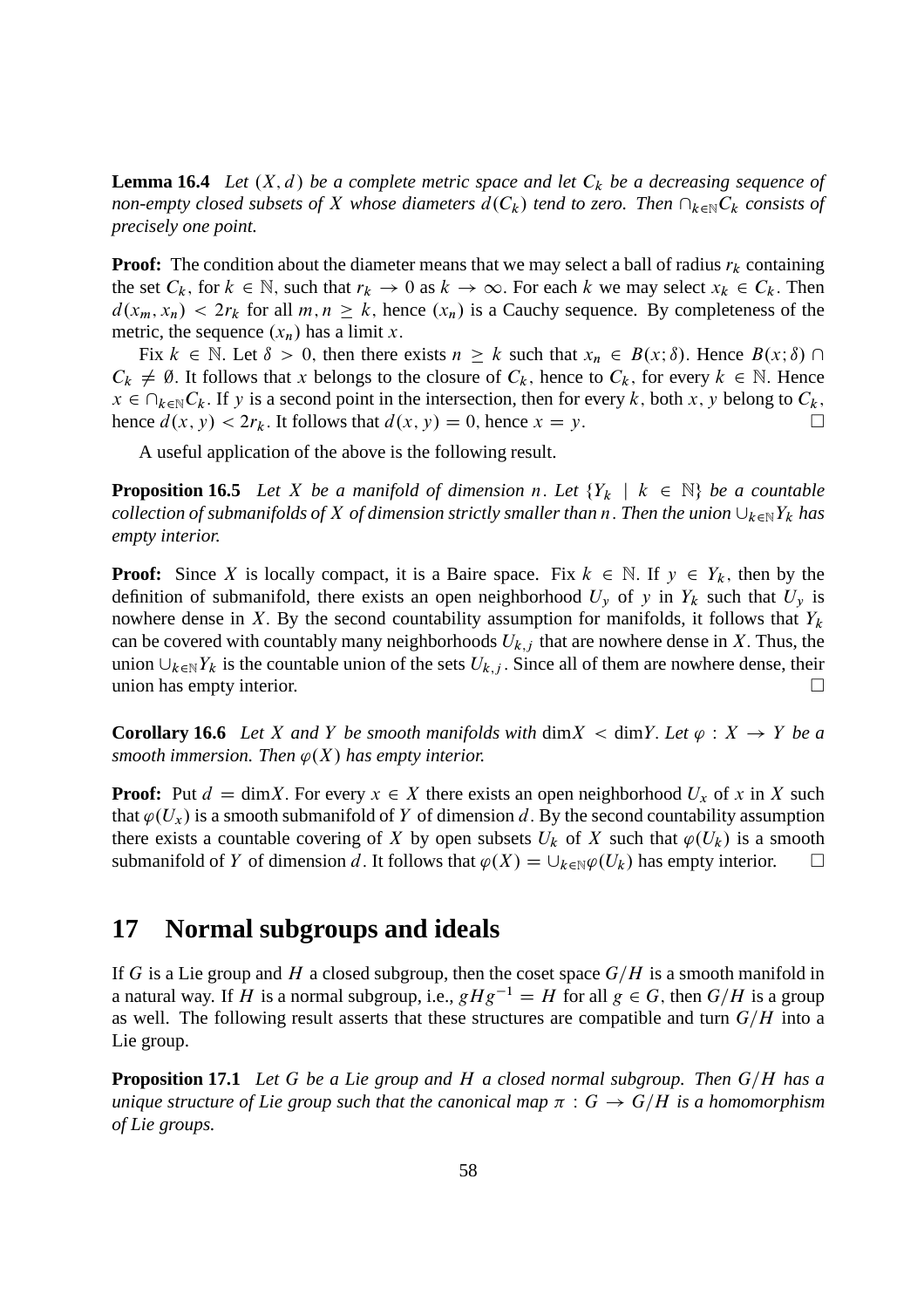**Lemma 16.4** *Let*  $(X, d)$  *be a complete metric space and let*  $C_k$  *be a decreasing sequence of non-empty closed subsets of* X *whose diameters*  $d(C_k)$  *tend to zero. Then*  $\bigcap_{k\in\mathbb{N}} C_k$  *consists of precisely one point.*

**Proof:** The condition about the diameter means that we may select a ball of radius  $r_k$  containing the set  $C_k$ , for  $k \in \mathbb{N}$ , such that  $r_k \to 0$  as  $k \to \infty$ . For each k we may select  $x_k \in C_k$ . Then  $d(x_m, x_n) < 2r_k$  for all  $m, n \geq k$ , hence  $(x_n)$  is a Cauchy sequence. By completeness of the metric, the sequence  $(x_n)$  has a limit x.

Fix  $k \in \mathbb{N}$ . Let  $\delta > 0$ , then there exists  $n \geq k$  such that  $x_n \in B(x;\delta)$ . Hence  $B(x;\delta) \cap$  $C_k \neq \emptyset$ . It follows that x belongs to the closure of  $C_k$ , hence to  $C_k$ , for every  $k \in \mathbb{N}$ . Hence  $x \in \bigcap_{k \in \mathbb{N}} C_k$ . If y is a second point in the intersection, then for every k; both x; y belong to  $C_k$ ;<br>hence  $d(x, y) < 2r_k$ . It follows that  $d(x, y) = 0$  hence  $x = y$ hence  $d(x, y) < 2r_k$ . It follows that  $d(x, y) = 0$ , hence  $x = y$ .

A useful application of the above is the following result.

**Proposition 16.5** Let X be a manifold of dimension n. Let  ${Y_k \mid k \in \mathbb{N}}$  be a countable *collection of submanifolds of* X *of dimension strictly smaller than* n. Then the union  $\bigcup_{k\in\mathbb{N}}Y_k$  has *empty interior.*

**Proof:** Since X is locally compact, it is a Baire space. Fix  $k \in \mathbb{N}$ . If  $y \in Y_k$ , then by the definition of submanifold, there exists an open neighborhood  $U_y$  of y in  $Y_k$  such that  $U_y$  is nowhere dense in X. By the second countability assumption for manifolds, it follows that  $Y_k$ can be covered with countably many neighborhoods  $U_{k,j}$  that are nowhere dense in X. Thus, the union  $\bigcup_{k\in\mathbb{N}}Y_k$  is the countable union of the sets  $U_{k,j}$ . Since all of them are nowhere dense, their union has empty interior union has empty interior.

**Corollary 16.6** *Let* X and Y *be smooth manifolds with* dim  $X <$  dim Y. Let  $\varphi : X \to Y$  *be a smooth immersion. Then*  $\varphi(X)$  *has empty interior.* 

**Proof:** Put  $d = \dim X$ . For every  $x \in X$  there exists an open neighborhood  $U_x$  of x in X such that  $\varphi(U_x)$  is a smooth submanifold of Y of dimension d. By the second countability assumption there exists a countable covering of X by open subsets  $U_k$  of X such that  $\varphi(U_k)$  is a smooth submanifold of Y of dimension d. It follows that  $\varphi(X) = \bigcup_{k \in \mathbb{N}} \varphi(U_k)$  has empty interior.  $\square$ 

# **17 Normal subgroups and ideals**

If G is a Lie group and H a closed subgroup, then the coset space  $G/H$  is a smooth manifold in a natural way. If H is a normal subgroup, i.e.,  $gHg^{-1} = H$  for all  $g \in G$ , then  $G/H$  is a group as well. The following result asserts that these structures are compatible and turn  $G/H$  into a Lie group.

**Proposition 17.1** *Let* G *be a Lie group and* H *a closed normal subgroup. Then* G/H *has a unique structure of Lie group such that the canonical map*  $\pi$  :  $G \rightarrow G/H$  *is a homomorphism of Lie groups.*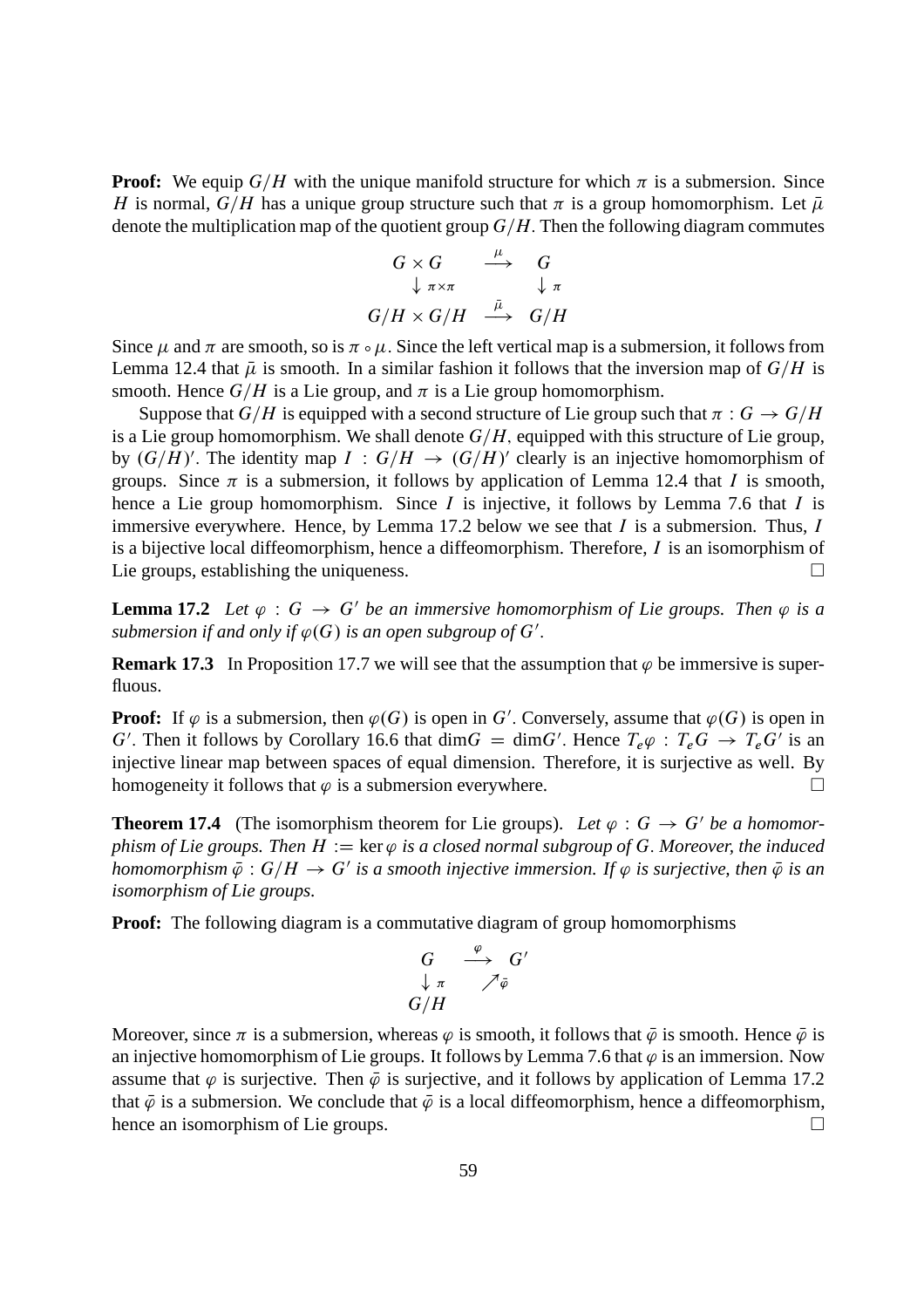**Proof:** We equip  $G/H$  with the unique manifold structure for which  $\pi$  is a submersion. Since H is normal,  $G/H$  has a unique group structure such that  $\pi$  is a group homomorphism. Let  $\bar{\mu}$ denote the multiplication map of the quotient group  $G/H$ . Then the following diagram commutes

$$
G \times G \qquad \xrightarrow{\mu} \qquad G
$$
  

$$
\downarrow \pi \times \pi \qquad \qquad \downarrow \pi
$$
  

$$
G/H \times G/H \qquad \xrightarrow{\bar{\mu}} \qquad G/H
$$

Since  $\mu$  and  $\pi$  are smooth, so is  $\pi \circ \mu$ . Since the left vertical map is a submersion, it follows from Lemma 12.4 that  $\bar{\mu}$  is smooth. In a similar fashion it follows that the inversion map of  $G/H$  is smooth. Hence  $G/H$  is a Lie group, and  $\pi$  is a Lie group homomorphism.

Suppose that  $G/H$  is equipped with a second structure of Lie group such that  $\pi : G \to G/H$ is a Lie group homomorphism. We shall denote  $G/H$ , equipped with this structure of Lie group, by  $(G/H)'$ . The identity map  $I : G/H \to (G/H)'$  clearly is an injective homomorphism of groups. Since  $\pi$  is a submersion, it follows by application of Lemma 12.4 that I is smooth, hence a Lie group homomorphism. Since  $I$  is injective, it follows by Lemma 7.6 that  $I$  is immersive everywhere. Hence, by Lemma 17.2 below we see that  $I$  is a submersion. Thus,  $I$ is a bijective local diffeomorphism, hence a diffeomorphism. Therefore,  $I$  is an isomorphism of Lie groups, establishing the uniqueness.

**Lemma 17.2** Let  $\varphi$  :  $G \to G'$  be an immersive homomorphism of Lie groups. Then  $\varphi$  is a submersion if and only if  $\varphi(G)$  is an open subgroup of  $G'$ .

**Remark 17.3** In Proposition 17.7 we will see that the assumption that  $\varphi$  be immersive is superfluous.

**Proof:** If  $\varphi$  is a submersion, then  $\varphi(G)$  is open in G'. Conversely, assume that  $\varphi(G)$  is open in G'. Then it follows by Corollary 16.6 that  $\dim G = \dim G'$ . Hence  $T_e \varphi : T_e G \to T_e G'$  is an injective linear map between spaces of equal dimension. Therefore, it is surjective as well. By homogeneity it follows that  $\varphi$  is a submersion everywhere.

**Theorem 17.4** (The isomorphism theorem for Lie groups). Let  $\varphi : G \to G'$  be a homomor*phism of Lie groups. Then*  $H := \ker \varphi$  *is a closed normal subgroup of G. Moreover, the induced homomorphism*  $\bar{\varphi}$  :  $G/H \to G'$  is a smooth injective immersion. If  $\varphi$  is surjective, then  $\bar{\varphi}$  is an *isomorphism of Lie groups.*

**Proof:** The following diagram is a commutative diagram of group homomorphisms

$$
\begin{array}{ccc}G&\stackrel{\varphi}{\longrightarrow}&G'\\ \downarrow_{\pi}&\nearrow_{\bar{\varphi}}\\ G/H\end{array}
$$

Moreover, since  $\pi$  is a submersion, whereas  $\varphi$  is smooth, it follows that  $\bar{\varphi}$  is smooth. Hence  $\bar{\varphi}$  is an injective homomorphism of Lie groups. It follows by Lemma 7.6 that  $\varphi$  is an immersion. Now assume that  $\varphi$  is surjective. Then  $\bar{\varphi}$  is surjective, and it follows by application of Lemma 17.2 that  $\overline{\varphi}$  is a submersion. We conclude that  $\overline{\varphi}$  is a local diffeomorphism, hence a diffeomorphism, hence an isomorphism of Lie groups. hence an isomorphism of Lie groups.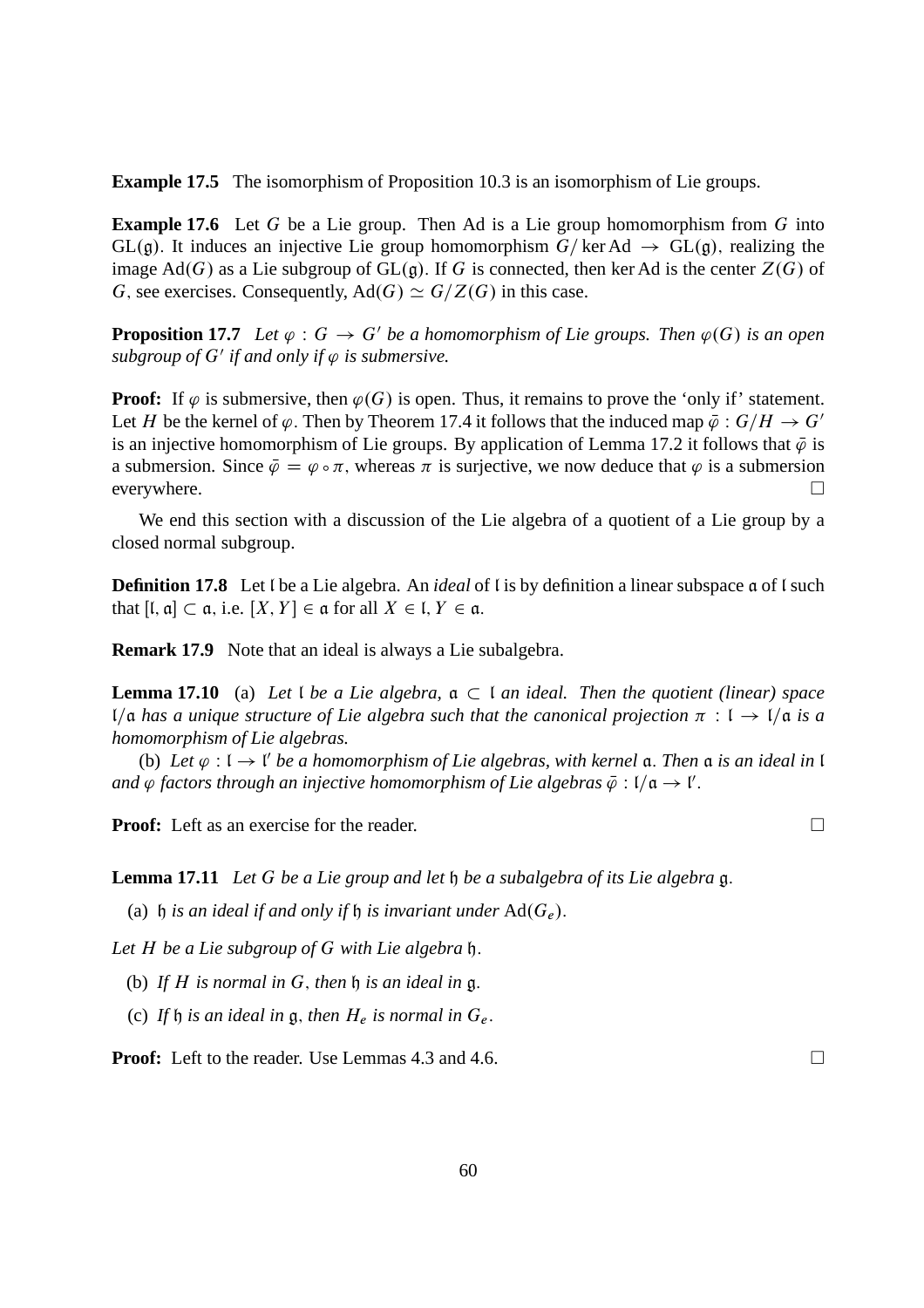**Example 17.5** The isomorphism of Proposition 10.3 is an isomorphism of Lie groups.

**Example 17.6** Let G be a Lie group. Then Ad is a Lie group homomorphism from G into  $GL(\mathfrak{g})$ . It induces an injective Lie group homomorphism  $G/\text{ker Ad} \rightarrow GL(\mathfrak{g})$ , realizing the image Ad(G) as a Lie subgroup of  $GL(\mathfrak{g})$ . If G is connected, then ker Ad is the center  $Z(G)$  of G, see exercises. Consequently,  $\text{Ad}(G) \simeq G/Z(G)$  in this case.

**Proposition 17.7** Let  $\varphi$ :  $G \to G'$  be a homomorphism of Lie groups. Then  $\varphi(G)$  is an open subgroup of  $G'$  if and only if  $\varphi$  is submersive.

**Proof:** If  $\varphi$  is submersive, then  $\varphi(G)$  is open. Thus, it remains to prove the 'only if' statement. Let H be the kernel of  $\varphi$ . Then by Theorem 17.4 it follows that the induced map  $\bar{\varphi}: G/H \to G'$ is an injective homomorphism of Lie groups. By application of Lemma 17.2 it follows that  $\bar{\varphi}$  is a submersion. Since  $\bar{\varphi} = \varphi \circ \pi$ , whereas  $\pi$  is surjective, we now deduce that  $\varphi$  is a submersion everywhere everywhere.

We end this section with a discussion of the Lie algebra of a quotient of a Lie group by a closed normal subgroup.

**Definition 17.8** Let I be a Lie algebra. An *ideal* of I is by definition a linear subspace a of I such that  $[I, \mathfrak{a}] \subset \mathfrak{a}$ , i.e.  $[X, Y] \in \mathfrak{a}$  for all  $X \in I, Y \in \mathfrak{a}$ .

**Remark 17.9** Note that an ideal is always a Lie subalgebra.

**Lemma 17.10** (a) Let I be a Lie algebra,  $a \subset I$  an ideal. Then the quotient (linear) space l/ $\alpha$  *has a unique structure of Lie algebra such that the canonical projection*  $\pi$  :  $\iota \rightarrow \iota/\alpha$  *is a homomorphism of Lie algebras.*

(b) Let  $\varphi : I \to I'$  be a homomorphism of Lie algebras, with kernel  $\mathfrak{a}$ . Then  $\mathfrak{a}$  *is an ideal in* l and  $\varphi$  factors through an injective homomorphism of Lie algebras  $\bar{\varphi}$  : l/ $\mathfrak{a} \to \mathfrak{l}'$ .

**Proof:** Left as an exercise for the reader. □

**Lemma 17.11** *Let* G *be a Lie group and let* h *be a subalgebra of its Lie algebra* g:

(a) h *is an ideal if and only if* h *is invariant under*  $Ad(G_e)$ .

*Let* H *be a Lie subgroup of* G *with Lie algebra* h:

(b) *If* H *is normal in* G; *then* h *is an ideal in* g:

(c) If  $\mathfrak h$  *is an ideal in*  $\mathfrak g$ , *then*  $H_e$  *is normal in*  $G_e$ .

**Proof:** Left to the reader. Use Lemmas 4.3 and 4.6. □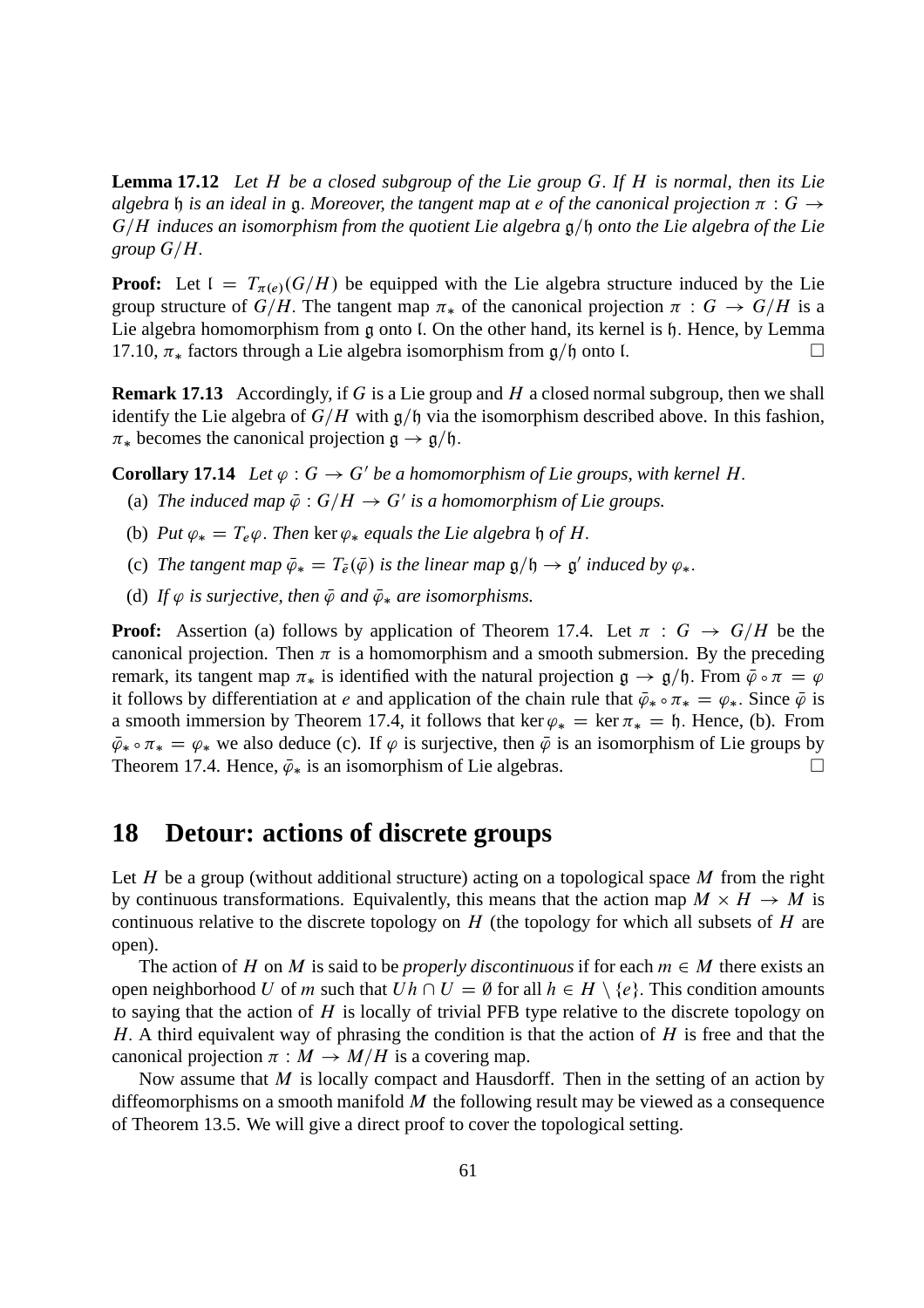**Lemma 17.12** *Let* H *be a closed subgroup of the Lie group* G: *If* H *is normal, then its Lie algebra* h *is an ideal in* g. Moreover, the tangent map at e of the canonical projection  $\pi$  :  $G \rightarrow$  $G/H$  *induces an isomorphism from the quotient Lie algebra*  $\mathfrak{g}/\mathfrak{h}$  *onto the Lie algebra of the Lie group*  $G/H$ .

**Proof:** Let  $I = T_{\pi(e)}(G/H)$  be equipped with the Lie algebra structure induced by the Lie group structure of  $G/H$ . The tangent map  $\pi_*$  of the canonical projection  $\pi : G \to G/H$  is a Lie algebra homomorphism from g onto l. On the other hand, its kernel is h. Hence, by Lemma 17.10,  $\pi_*$  factors through a Lie algebra isomorphism from  $g/\mathfrak{h}$  onto l.

**Remark 17.13** Accordingly, if G is a Lie group and H a closed normal subgroup, then we shall identify the Lie algebra of  $G/H$  with  $g/\mathfrak{h}$  via the isomorphism described above. In this fashion,  $\pi_*$  becomes the canonical projection  $\mathfrak{g} \to \mathfrak{g}/\mathfrak{h}$ .

**Corollary 17.14** *Let*  $\varphi$  :  $G \to G'$  *be a homomorphism of Lie groups, with kernel H.* 

- (a) The induced map  $\bar{\varphi}$  :  $G/H \to G'$  is a homomorphism of Lie groups.
- (b) *Put*  $\varphi_* = T_e \varphi$ . *Then* ker  $\varphi_*$  *equals the Lie algebra*  $\varphi$  *of H*.
- (c) The tangent map  $\bar{\varphi}_* = T_{\bar{e}}(\bar{\varphi})$  is the linear map  $\mathfrak{g}/\mathfrak{h} \to \mathfrak{g}'$  induced by  $\varphi_*$ .
- (d) If  $\varphi$  is surjective, then  $\bar{\varphi}$  and  $\bar{\varphi}_*$  are isomorphisms.

**Proof:** Assertion (a) follows by application of Theorem 17.4. Let  $\pi : G \rightarrow G/H$  be the canonical projection. Then  $\pi$  is a homomorphism and a smooth submersion. By the preceding remark, its tangent map  $\pi_*$  is identified with the natural projection  $g \to g/h$ . From  $\bar{\varphi} \circ \pi = \varphi$ it follows by differentiation at e and application of the chain rule that  $\bar{\varphi}_* \circ \pi_* = \varphi_*$ . Since  $\bar{\varphi}$  is a smooth immersion by Theorem 17.4, it follows that ker  $\varphi_* = \ker \pi_* = \mathfrak{h}$ . Hence, (b). From  $\bar{\varphi}_* \circ \pi_* = \varphi_*$  we also deduce (c). If  $\varphi$  is surjective, then  $\bar{\varphi}$  is an isomorphism of Lie groups by Theorem 17.4. Hence  $\bar{\varphi}_*$  is an isomorphism of Lie algebras. Theorem 17.4. Hence,  $\bar{\varphi}_*$  is an isomorphism of Lie algebras.

## **18 Detour: actions of discrete groups**

Let H be a group (without additional structure) acting on a topological space  $M$  from the right by continuous transformations. Equivalently, this means that the action map  $M \times H \to M$  is continuous relative to the discrete topology on  $H$  (the topology for which all subsets of  $H$  are open).

The action of H on M is said to be *properly discontinuous* if for each  $m \in M$  there exists an open neighborhood U of m such that  $Uh \cap U = \emptyset$  for all  $h \in H \setminus \{e\}$ . This condition amounts to saying that the action of  $H$  is locally of trivial PFB type relative to the discrete topology on H. A third equivalent way of phrasing the condition is that the action of  $H$  is free and that the canonical projection  $\pi : M \to M/H$  is a covering map.

Now assume that  $M$  is locally compact and Hausdorff. Then in the setting of an action by diffeomorphisms on a smooth manifold  $M$  the following result may be viewed as a consequence of Theorem 13.5. We will give a direct proof to cover the topological setting.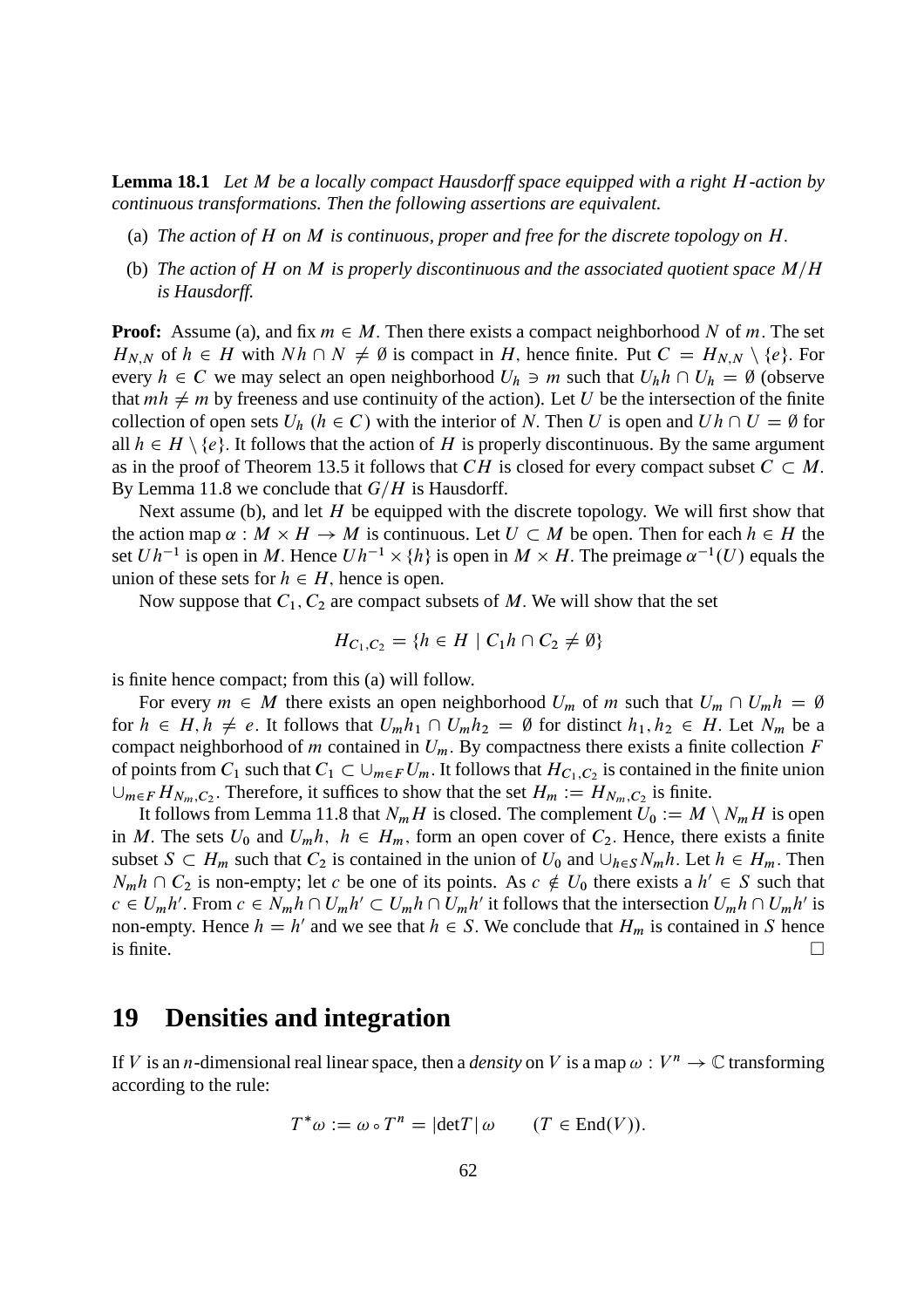**Lemma 18.1** *Let* M *be a locally compact Hausdorff space equipped with a right* H*-action by continuous transformations. Then the following assertions are equivalent.*

- (a) *The action of* H *on* M *is continuous, proper and free for the discrete topology on* H:
- (b) The action of H on M is properly discontinuous and the associated quotient space  $M/H$ *is Hausdorff.*

**Proof:** Assume (a), and fix  $m \in M$ . Then there exists a compact neighborhood N of m. The set  $H_{N,N}$  of  $h \in H$  with  $Nh \cap N \neq \emptyset$  is compact in H, hence finite. Put  $C = H_{N,N} \setminus \{e\}$ . For every  $h \in C$  we may select an open neighborhood  $U_h \ni m$  such that  $U_h h \cap U_h = \emptyset$  (observe that  $mh \neq m$  by freeness and use continuity of the action). Let U be the intersection of the finite collection of open sets  $U_h$   $(h \in C)$  with the interior of N. Then U is open and  $Uh \cap U = \emptyset$  for all  $h \in H \setminus \{e\}$ . It follows that the action of H is properly discontinuous. By the same argument as in the proof of Theorem 13.5 it follows that CH is closed for every compact subset  $C \subset M$ . By Lemma 11.8 we conclude that  $G/H$  is Hausdorff.

Next assume (b), and let  $H$  be equipped with the discrete topology. We will first show that the action map  $\alpha : M \times H \to M$  is continuous. Let  $U \subset M$  be open. Then for each  $h \in H$  the set  $Uh^{-1}$  is open in M. Hence  $Uh^{-1} \times \{h\}$  is open in  $M \times H$ . The preimage  $\alpha^{-1}(U)$  equals the union of these sets for  $h \in H$ , hence is open.

Now suppose that  $C_1$ ,  $C_2$  are compact subsets of M. We will show that the set

$$
H_{C_1,C_2} = \{ h \in H \mid C_1 h \cap C_2 \neq \emptyset \}
$$

is finite hence compact; from this (a) will follow.

For every  $m \in M$  there exists an open neighborhood  $U_m$  of m such that  $U_m \cap U_m h = \emptyset$ for  $h \in H, h \neq e$ . It follows that  $U_m h_1 \cap U_m h_2 = \emptyset$  for distinct  $h_1, h_2 \in H$ . Let  $N_m$  be a compact neighborhood of m contained in  $U_m$ . By compactness there exists a finite collection F of points from  $C_1$  such that  $C_1 \subset \bigcup_{m \in F} U_m$ . It follows that  $H_{C_1,C_2}$  is contained in the finite union  $\bigcup_{m \in F} H_{N_m, C_2}$ . Therefore, it suffices to show that the set  $H_m := H_{N_m, C_2}$  is finite.

It follows from Lemma 11.8 that  $N_mH$  is closed. The complement  $U_0 := M \setminus N_mH$  is open in M. The sets  $U_0$  and  $U_m h$ ,  $h \in H_m$ , form an open cover of  $C_2$ . Hence, there exists a finite subset  $S \subset H_m$  such that  $C_2$  is contained in the union of  $U_0$  and  $\cup_{h \in S} N_m h$ . Let  $h \in H_m$ . Then  $N_m h \cap C_2$  is non-empty; let c be one of its points. As  $c \notin U_0$  there exists a  $h' \in S$  such that  $c \in U_m h'$ . From  $c \in N_m h \cap U_m h' \subset U_m h \cap U_m h'$  it follows that the intersection  $U_m h \cap U_m h'$  is non-empty. Hence  $h = h'$  and we see that  $h \in S$ . We conclude that  $H_m$  is contained in S hence is finite.  $\Box$ 

## **19 Densities and integration**

If V is an *n*-dimensional real linear space, then a *density* on V is a map  $\omega : V^n \to \mathbb{C}$  transforming according to the rule:

$$
T^*\omega := \omega \circ T^n = |\text{det} T| \omega \qquad (T \in \text{End}(V)).
$$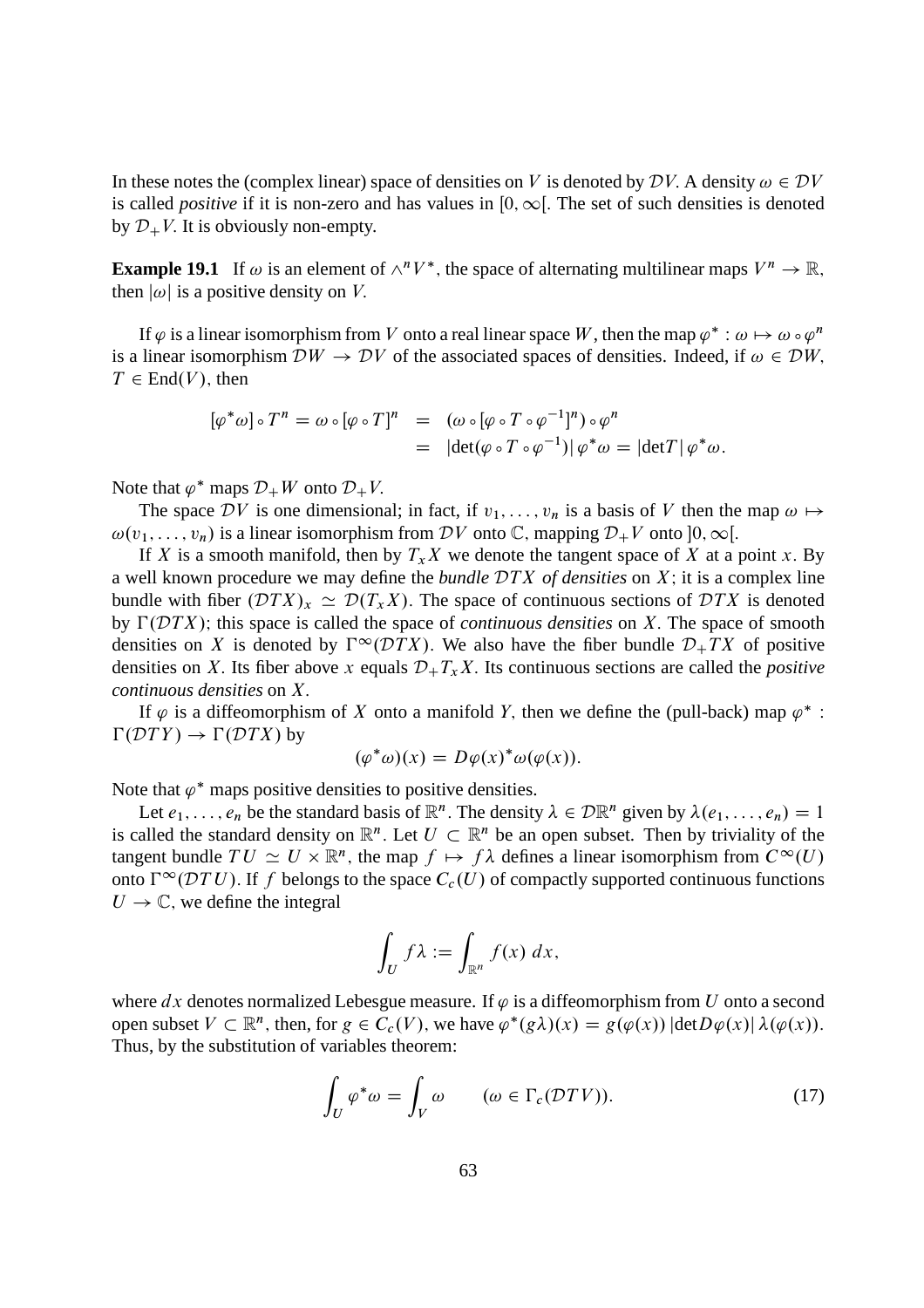In these notes the (complex linear) space of densities on V is denoted by  $\mathcal{D}V$ . A density  $\omega \in \mathcal{D}V$ is called *positive* if it is non-zero and has values in  $[0, \infty]$ . The set of such densities is denoted by  $\mathcal{D}_+ V$ . It is obviously non-empty.

**Example 19.1** If  $\omega$  is an element of  $\wedge^n V^*$ , the space of alternating multilinear maps  $V^n \to \mathbb{R}$ , then  $|\omega|$  is a positive density on V.

If  $\varphi$  is a linear isomorphism from V onto a real linear space W, then the map  $\varphi^* : \omega \mapsto \omega \circ \varphi^n$ is a linear isomorphism  $DW \to DV$  of the associated spaces of densities. Indeed, if  $\omega \in DW$ ,  $T \in End(V)$ , then

$$
[\varphi^* \omega] \circ T^n = \omega \circ [\varphi \circ T]^n = (\omega \circ [\varphi \circ T \circ \varphi^{-1}]^n) \circ \varphi^n
$$
  
= 
$$
|\det(\varphi \circ T \circ \varphi^{-1})| \varphi^* \omega = |\det T| \varphi^* \omega.
$$

Note that  $\varphi^*$  maps  $\mathcal{D}_+W$  onto  $\mathcal{D}_+V$ .

The space DV is one dimensional; in fact, if  $v_1, \ldots, v_n$  is a basis of V then the map  $\omega \mapsto$  $\omega(v_1, \ldots, v_n)$  is a linear isomorphism from DV onto C, mapping  $\mathcal{D}_+ V$  onto  $]0, \infty[$ .

If X is a smooth manifold, then by  $T<sub>x</sub>X$  we denote the tangent space of X at a point x. By a well known procedure we may define the *bundle* DTX of densities on X; it is a complex line bundle with fiber  $(\mathcal{D}TX)_x \simeq \mathcal{D}(T_xX)$ . The space of continuous sections of  $\mathcal{D}TX$  is denoted by  $\Gamma(DTX)$ ; this space is called the space of *continuous densities* on X. The space of smooth densities on X is denoted by  $\Gamma^{\infty}(\mathcal{D}TX)$ . We also have the fiber bundle  $\mathcal{D}_+TX$  of positive densities on X. Its fiber above x equals  $\mathcal{D}_+T_xX$ . Its continuous sections are called the *positive continuous densities* on X:

If  $\varphi$  is a diffeomorphism of X onto a manifold Y, then we define the (pull-back) map  $\varphi^*$ :  $\Gamma(DTY) \to \Gamma(DTX)$  by

$$
(\varphi^*\omega)(x) = D\varphi(x)^*\omega(\varphi(x)).
$$

Note that  $\varphi^*$  maps positive densities to positive densities.

Let  $e_1, \ldots, e_n$  be the standard basis of  $\mathbb{R}^n$ . The density  $\lambda \in \mathcal{D}\mathbb{R}^n$  given by  $\lambda(e_1, \ldots, e_n) = 1$ is called the standard density on  $\mathbb{R}^n$ . Let  $U \subset \mathbb{R}^n$  be an open subset. Then by triviality of the tangent bundle  $TU \simeq U \times \mathbb{R}^n$ , the map  $f \mapsto f\lambda$  defines a linear isomorphism from  $C^{\infty}(U)$ onto  $\Gamma^{\infty}(\mathcal{D}TU)$ . If f belongs to the space  $C_c(U)$  of compactly supported continuous functions  $U \rightarrow \mathbb{C}$ , we define the integral

$$
\int_U f\lambda := \int_{\mathbb{R}^n} f(x) \, dx,
$$

where dx denotes normalized Lebesgue measure. If  $\varphi$  is a diffeomorphism from U onto a second open subset  $V \subset \mathbb{R}^n$ , then, for  $g \in C_c(V)$ , we have  $\varphi^*(g\lambda)(x) = g(\varphi(x)) |\text{det} D\varphi(x)| \lambda(\varphi(x)).$ Thus, by the substitution of variables theorem:

$$
\int_{U} \varphi^* \omega = \int_{V} \omega \qquad (\omega \in \Gamma_c(\mathcal{D}TV)).
$$
\n(17)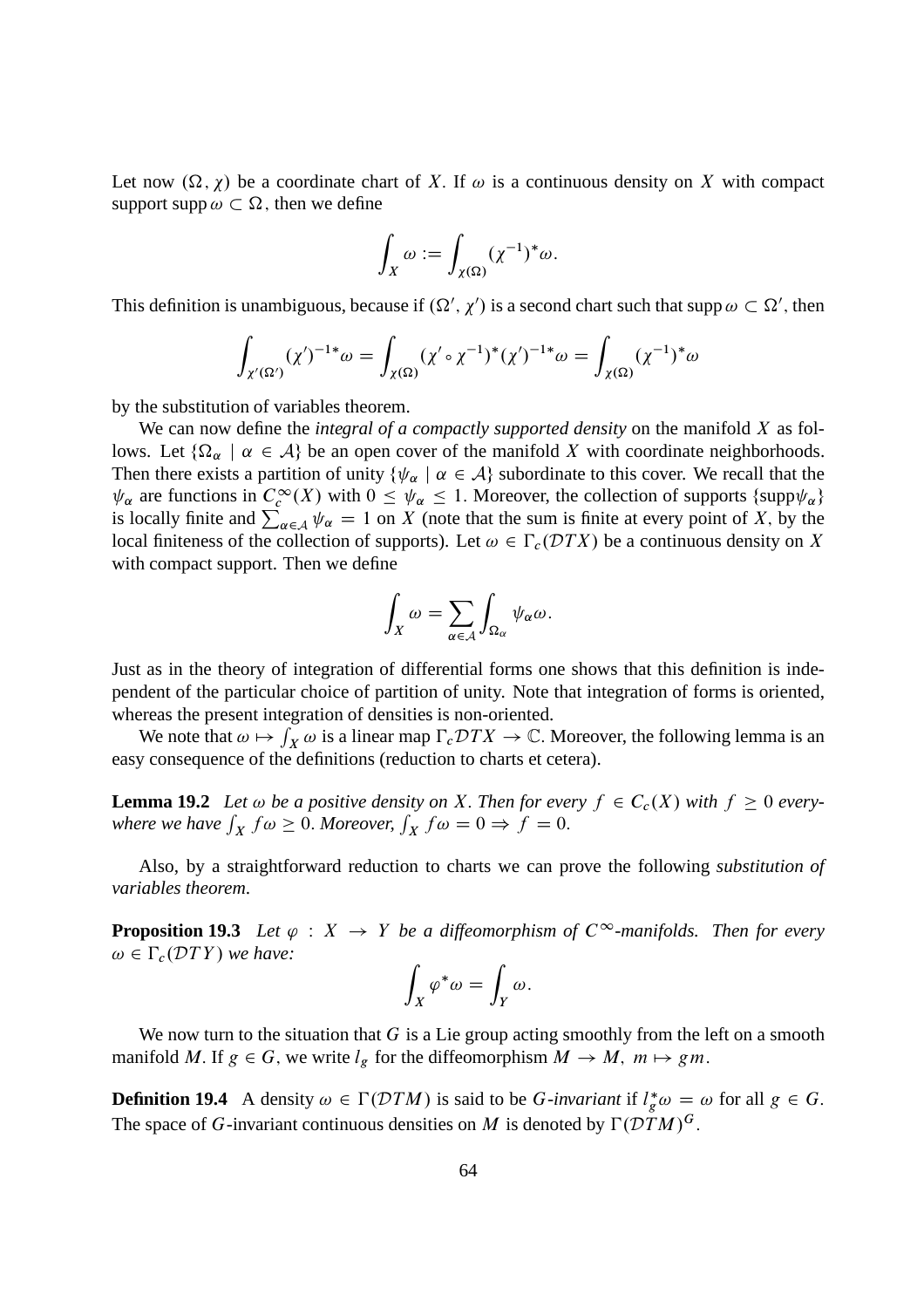Let now  $(\Omega, \chi)$  be a coordinate chart of X. If  $\omega$  is a continuous density on X with compact support supp  $\omega \subset \Omega$ , then we define

$$
\int_X \omega := \int_{\chi(\Omega)} (\chi^{-1})^* \omega.
$$

This definition is unambiguous, because if  $(\Omega', \chi')$  is a second chart such that supp  $\omega \subset \Omega'$ , then

$$
\int_{\chi'(\Omega')} (\chi')^{-1*}\omega = \int_{\chi(\Omega)} (\chi' \circ \chi^{-1})^*(\chi')^{-1*}\omega = \int_{\chi(\Omega)} (\chi^{-1})^*\omega
$$

by the substitution of variables theorem.

We can now define the *integral of a compactly supported density* on the manifold X as follows. Let  $\{\Omega_{\alpha} \mid \alpha \in \mathcal{A}\}$  be an open cover of the manifold X with coordinate neighborhoods. Then there exists a partition of unity  $\{\psi_\alpha \mid \alpha \in A\}$  subordinate to this cover. We recall that the  $\psi_{\alpha}$  are functions in  $C_c^{\infty}(X)$  with  $0 \le \psi_{\alpha} \le 1$ . Moreover, the collection of supports {supp $\psi_{\alpha}$ } is locally finite and  $\sum_{\alpha \in A} \psi_{\alpha} = 1$  on X (note that the sum is finite at every point of X, by the local finiteness of the collection of supports). Let  $\omega \in \Gamma_c(\mathcal{D}TX)$  be a continuous density on X with compact support. Then we define

$$
\int_X \omega = \sum_{\alpha \in A} \int_{\Omega_{\alpha}} \psi_{\alpha} \omega.
$$

Just as in the theory of integration of differential forms one shows that this definition is independent of the particular choice of partition of unity. Note that integration of forms is oriented, whereas the present integration of densities is non-oriented.

We note that  $\omega \mapsto \int_X \omega$  is a linear map  $\Gamma_c DTX \to \mathbb{C}$ . Moreover, the following lemma is an easy consequence of the definitions (reduction to charts et cetera).

**Lemma 19.2** Let  $\omega$  be a positive density on X. Then for every  $f \in C_c(X)$  with  $f \ge 0$  everywhere we have  $\int_X f \omega \ge 0$ . Moreover,  $\int_X f \omega = 0 \Rightarrow f = 0$ .

Also, by a straightforward reduction to charts we can prove the following *substitution of variables theorem*.

**Proposition 19.3** Let  $\varphi : X \to Y$  be a diffeomorphism of  $C^{\infty}$ -manifolds. Then for every  $\omega \in \Gamma_c(DTY)$  *we have:* 

$$
\int_X \varphi^* \omega = \int_Y \omega.
$$

We now turn to the situation that  $G$  is a Lie group acting smoothly from the left on a smooth manifold M. If  $g \in G$ , we write  $l_g$  for the diffeomorphism  $M \to M$ ,  $m \mapsto gm$ .

**Definition 19.4** A density  $\omega \in \Gamma(DTM)$  is said to be G-invariant if  $l_g^* \omega = \omega$  for all  $g \in G$ . The space of G-invariant continuous densities on M is denoted by  $\Gamma(DTM)^G$ .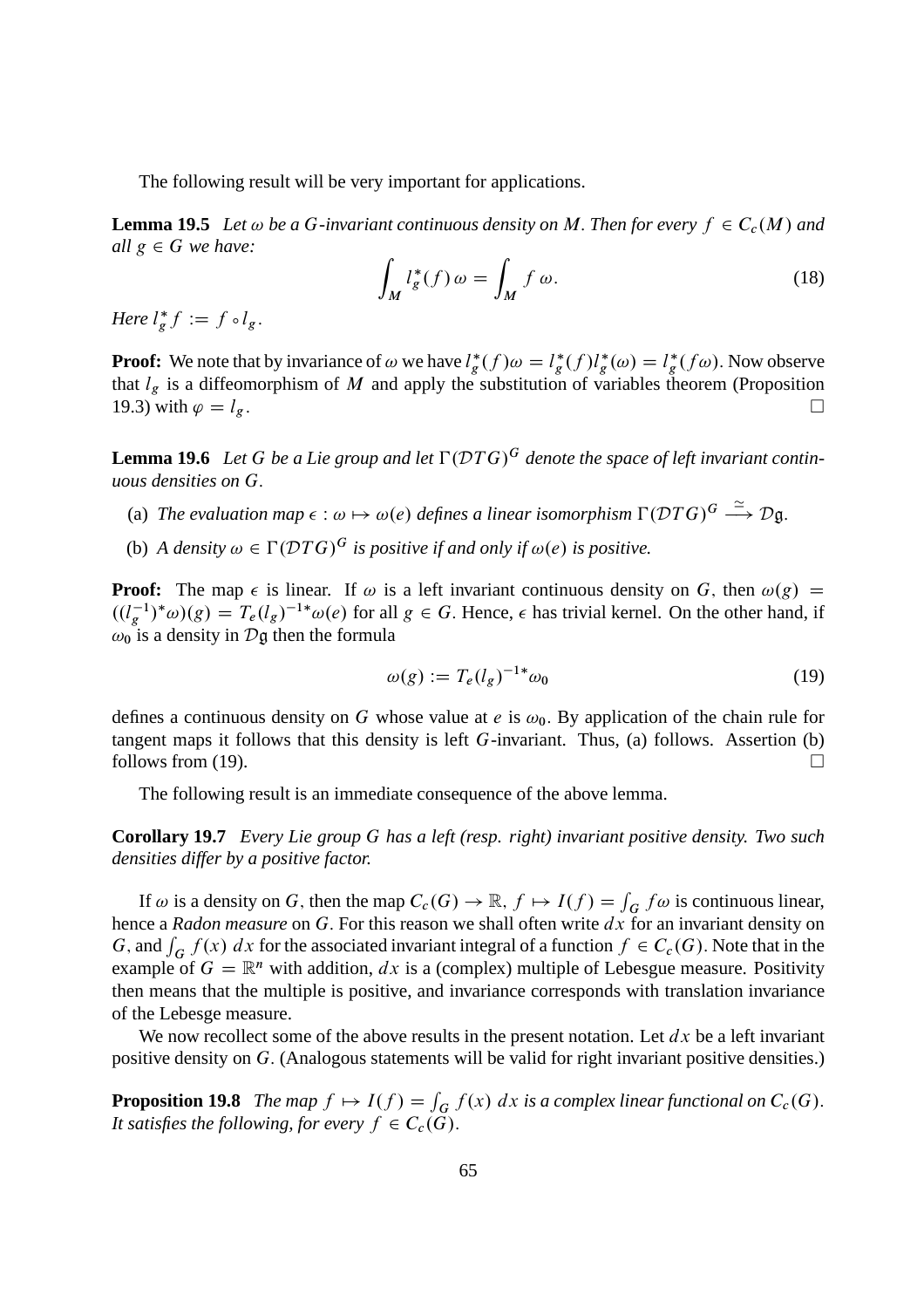The following result will be very important for applications.

**Lemma 19.5** Let  $\omega$  be a G-invariant continuous density on M. Then for every  $f \in C_c(M)$  and *all*  $g \in G$  *we have:* 

$$
\int_{M} l_{g}^{*}(f) \omega = \int_{M} f \omega.
$$
\n(18)

*Here*  $l_g^* f := f \circ l_g$ .

**Proof:** We note that by invariance of  $\omega$  we have  $l_g^*(f)\omega = l_g^*(f)l_g^*(\omega) = l_g^*(f\omega)$ . Now observe that  $l_g$  is a diffeomorphism of M and apply the substitution of variables theorem (Proposition 19.3) with  $\varphi = l_g$ .

**Lemma 19.6** Let G be a Lie group and let  $\Gamma(DTG)^G$  denote the space of left invariant contin*uous densities on* G:

- (a) The evaluation map  $\epsilon : \omega \mapsto \omega(e)$  defines a linear isomorphism  $\Gamma(\mathcal{D}TG)^G \stackrel{\simeq}{\longrightarrow} \mathcal{D} \mathfrak{g}$ .
- (b) *A density*  $\omega \in \Gamma(DTG)^G$  *is positive if and only if*  $\omega(e)$  *is positive.*

**Proof:** The map  $\epsilon$  is linear. If  $\omega$  is a left invariant continuous density on G, then  $\omega(g)$  =  $((l_g^{-1})^*\omega)(g) = T_e(l_g)^{-1*}\omega(e)$  for all  $g \in G$ . Hence,  $\epsilon$  has trivial kernel. On the other hand, if  $\omega_0$  is a density in  $\mathcal{D}$ g then the formula

$$
\omega(g) := T_e(l_g)^{-1*} \omega_0 \tag{19}
$$

defines a continuous density on G whose value at e is  $\omega_0$ . By application of the chain rule for tangent maps it follows that this density is left G-invariant. Thus, (a) follows. Assertion (b) follows from (19).  $\Box$ 

The following result is an immediate consequence of the above lemma.

**Corollary 19.7** *Every Lie group* G *has a left (resp. right) invariant positive density. Two such densities differ by a positive factor.*

If  $\omega$  is a density on G, then the map  $C_c(G) \to \mathbb{R}$ ,  $f \mapsto I(f) = \int_G f \omega$  is continuous linear, hence a *Radon measure* on G. For this reason we shall often write dx for an invariant density on G, and  $\int_G f(x) dx$  for the associated invariant integral of a function  $f \in C_c(G)$ . Note that in the example of  $G = \mathbb{R}^n$  with addition, dx is a (complex) multiple of Lebesgue measure. Positivity then means that the multiple is positive, and invariance corresponds with translation invariance of the Lebesge measure.

We now recollect some of the above results in the present notation. Let  $dx$  be a left invariant positive density on G: (Analogous statements will be valid for right invariant positive densities.)

**Proposition 19.8** *The map*  $f \mapsto I(f) = \int_G f(x) dx$  *is a complex linear functional on*  $C_c(G)$ . *It satisfies the following, for every*  $f \in C_c(\bar{G})$ .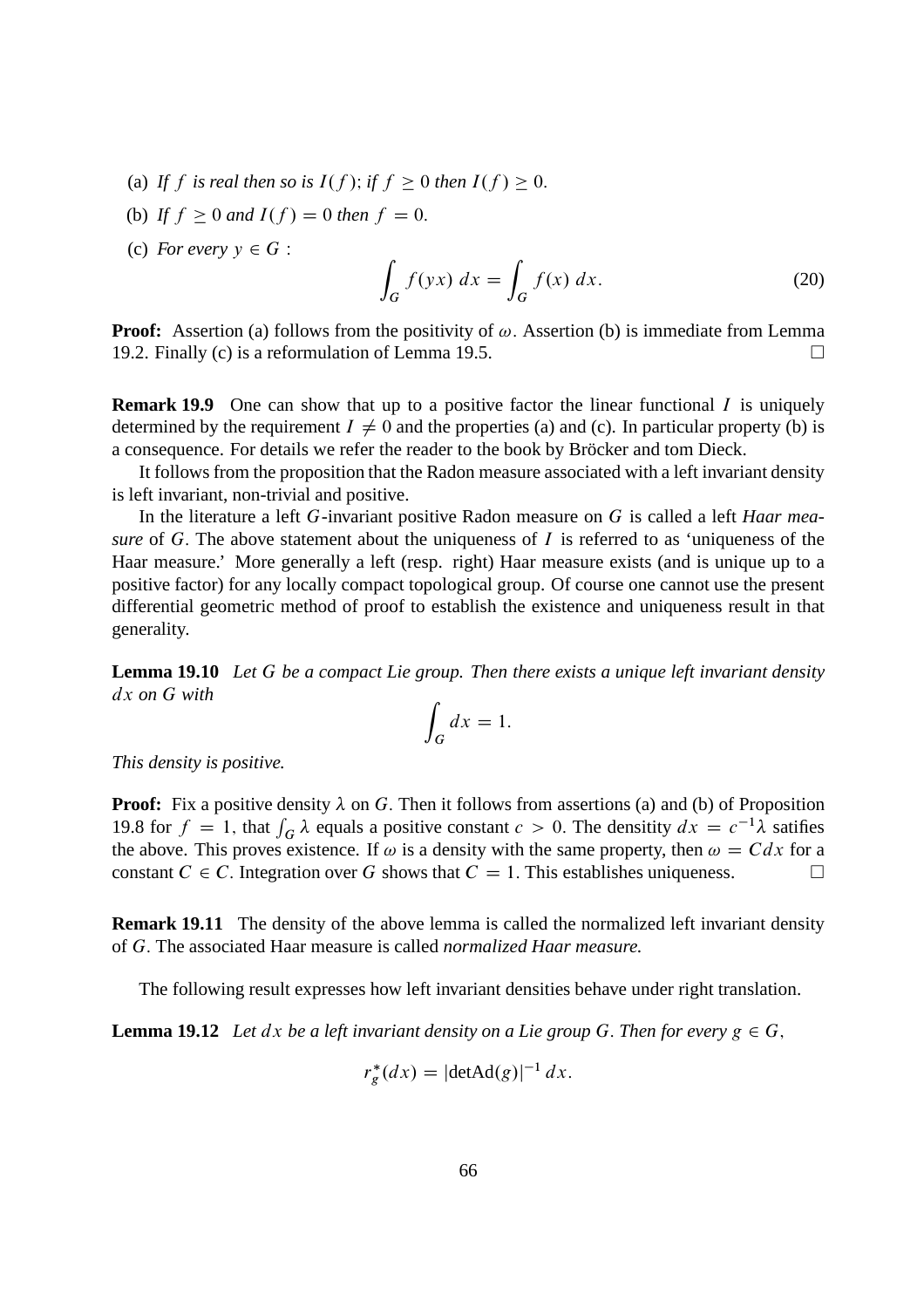- (a) If f is real then so is  $I(f)$ ; if  $f \ge 0$  then  $I(f) \ge 0$ .
- (b) If  $f \ge 0$  and  $I(f) = 0$  then  $f = 0$ .
- (c) *For every*  $y \in G$  :

$$
\int_{G} f(yx) dx = \int_{G} f(x) dx.
$$
\n(20)

**Proof:** Assertion (a) follows from the positivity of  $\omega$ . Assertion (b) is immediate from Lemma 19.2. Finally (c) is a reformulation of Lemma 19.5.  $\Box$ 

**Remark 19.9** One can show that up to a positive factor the linear functional I is uniquely determined by the requirement  $I \neq 0$  and the properties (a) and (c). In particular property (b) is a consequence. For details we refer the reader to the book by Bröcker and tom Dieck.

It follows from the proposition that the Radon measure associated with a left invariant density is left invariant, non-trivial and positive.

In the literature a left G-invariant positive Radon measure on G is called a left *Haar measure* of G. The above statement about the uniqueness of I is referred to as 'uniqueness of the Haar measure.' More generally a left (resp. right) Haar measure exists (and is unique up to a positive factor) for any locally compact topological group. Of course one cannot use the present differential geometric method of proof to establish the existence and uniqueness result in that generality.

**Lemma 19.10** *Let* G *be a compact Lie group. Then there exists a unique left invariant density* dx *on* G *with*

$$
\int_G dx = 1.
$$

*This density is positive.*

**Proof:** Fix a positive density  $\lambda$  on G. Then it follows from assertions (a) and (b) of Proposition 19.8 for  $f = 1$ , that  $\int_G \lambda$  equals a positive constant  $c > 0$ . The densitity  $dx = c^{-1}\lambda$  satifies the above. This proves existence. If  $\omega$  is a density with the same property, then  $\omega = C dx$  for a constant  $C \in C$ . Integration over G shows that  $C = 1$ . This establishes uniqueness. constant  $C \in C$ . Integration over G shows that  $C = 1$ . This establishes uniqueness.

**Remark 19.11** The density of the above lemma is called the normalized left invariant density of G: The associated Haar measure is called *normalized Haar measure.*

The following result expresses how left invariant densities behave under right translation.

**Lemma 19.12** Let  $dx$  be a left invariant density on a Lie group G. Then for every  $g \in G$ ,

$$
r_g^*(dx) = |\text{detAd}(g)|^{-1} dx.
$$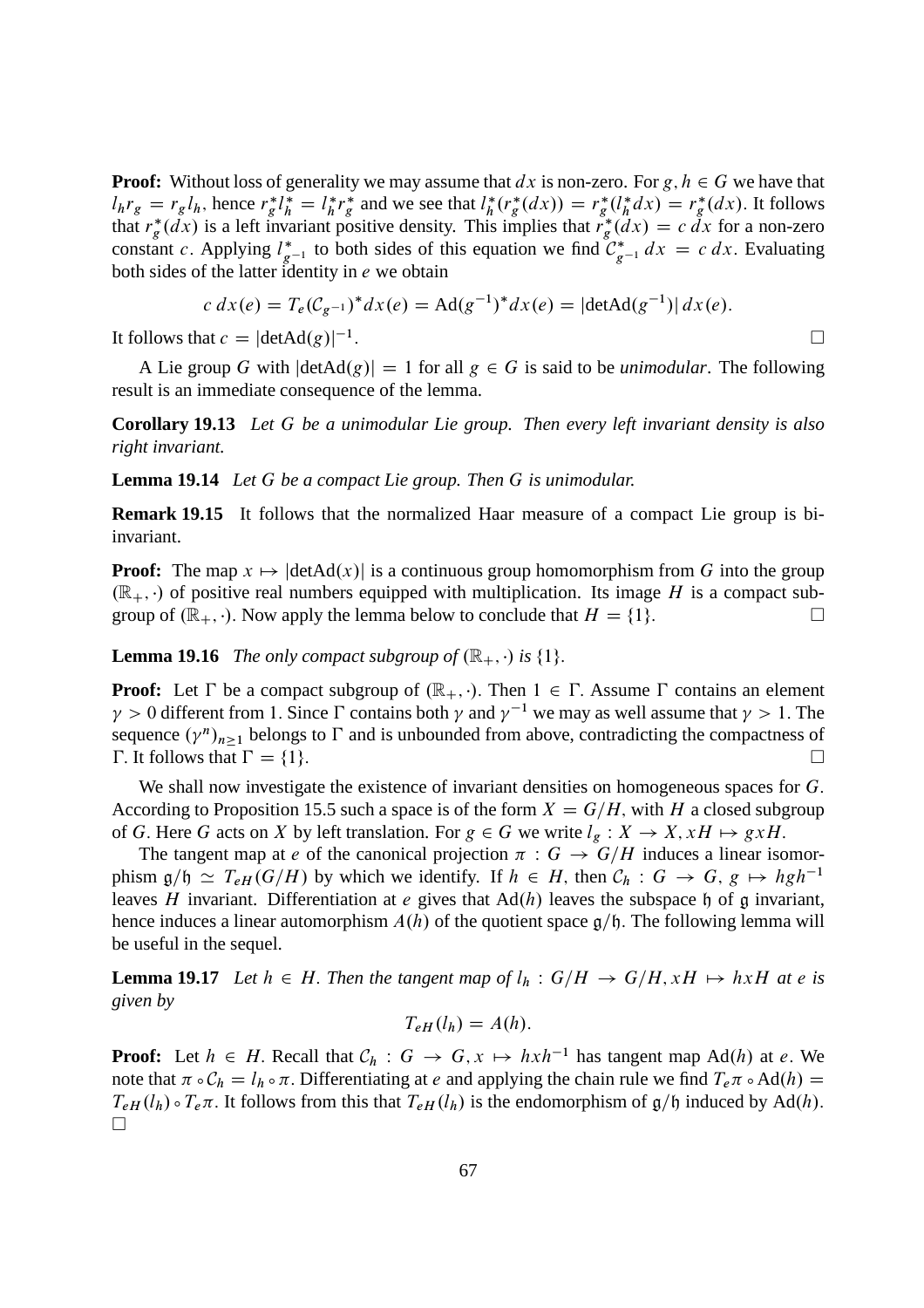**Proof:** Without loss of generality we may assume that  $dx$  is non-zero. For  $g, h \in G$  we have that  $l_h r_g = r_g l_h$ , hence  $r_g^* l_h^* = l_h^*$  ${}_{h}^{*}r_{g}^{*}$  and we see that  $l_{h}^{*}$  $r_h^*(r_g^*(dx)) = r_g^*(l_h^*dx) = r_g^*(dx)$ . It follows that  $r_g^*(dx)$  is a left invariant positive density. This implies that  $r_g^*(dx) = c dx$  for a non-zero constant c. Applying  $l_{g^{-1}}^*$  to both sides of this equation we find  $\mathcal{C}_{g^{-1}}^* dx = c dx$ . Evaluating both sides of the latter identity in  $e$  we obtain

$$
c dx(e) = T_e(C_{g^{-1}})^* dx(e) = \text{Ad}(g^{-1})^* dx(e) = |\text{detAd}(g^{-1})| dx(e).
$$
  
at  $c = |\text{detAd}(g)|^{-1}$ .

It follows that  $c = |\text{detAd}(g)|^{-1}$ 

A Lie group G with  $|\text{detAd}(g)| = 1$  for all  $g \in G$  is said to be *unimodular*. The following result is an immediate consequence of the lemma.

**Corollary 19.13** *Let* G *be a unimodular Lie group. Then every left invariant density is also right invariant.*

#### **Lemma 19.14** *Let* G *be a compact Lie group. Then* G *is unimodular.*

**Remark 19.15** It follows that the normalized Haar measure of a compact Lie group is biinvariant.

**Proof:** The map  $x \mapsto |\text{detAd}(x)|$  is a continuous group homomorphism from G into the group  $(\mathbb{R}_+, \cdot)$  of positive real numbers equipped with multiplication. Its image H is a compact subgroup of  $(\mathbb{R}_+, \cdot)$ . Now apply the lemma below to conclude that  $H = \{1\}$ . group of  $(\mathbb{R}_+, \cdot)$ . Now apply the lemma below to conclude that  $H = \{1\}$ .

**Lemma 19.16** *The only compact subgroup of*  $(\mathbb{R}_+, \cdot)$  *is*  $\{1\}$ *.* 

**Proof:** Let  $\Gamma$  be a compact subgroup of  $(\mathbb{R}_+, \cdot)$ . Then  $1 \in \Gamma$ . Assume  $\Gamma$  contains an element  $\gamma > 0$  different from 1. Since  $\Gamma$  contains both  $\gamma$  and  $\gamma^{-1}$  we may as well assume that  $\gamma > 1$ . The sequence  $(\gamma^n)_{n\geq 1}$  belongs to  $\Gamma$  and is unbounded from above, contradicting the compactness of  $\Gamma$ . It follows that  $\Gamma = \{1\}$ .

We shall now investigate the existence of invariant densities on homogeneous spaces for G. According to Proposition 15.5 such a space is of the form  $X = G/H$ , with H a closed subgroup of G. Here G acts on X by left translation. For  $g \in G$  we write  $l_g : X \to X, xH \mapsto gxH$ .

The tangent map at e of the canonical projection  $\pi: G \to G/H$  induces a linear isomorphism  $g/\mathfrak{h} \simeq T_{eH} (G/H)$  by which we identify. If  $h \in H$ , then  $\mathcal{C}_h : G \to G$ ,  $g \mapsto hgh^{-1}$ leaves H invariant. Differentiation at e gives that  $Ad(h)$  leaves the subspace h of g invariant, hence induces a linear automorphism  $A(h)$  of the quotient space  $\mathfrak{g}/\mathfrak{h}$ . The following lemma will be useful in the sequel.

**Lemma 19.17** Let  $h \in H$ . Then the tangent map of  $l_h : G/H \rightarrow G/H$ ,  $xH \mapsto hxH$  at e is *given by*

$$
T_{eH}(l_h) = A(h).
$$

**Proof:** Let  $h \in H$ . Recall that  $C_h : G \to G$ ,  $x \mapsto hxh^{-1}$  has tangent map Ad(h) at e. We note that  $\pi \circ C_h = l_h \circ \pi$ . Differentiating at e and applying the chain rule we find  $T_e \pi \circ Ad(h) =$  $T_{eH}(l_h) \circ T_e\pi$ . It follows from this that  $T_{eH}(l_h)$  is the endomorphism of  $g/\mathfrak{h}$  induced by Ad(h).  $\Box$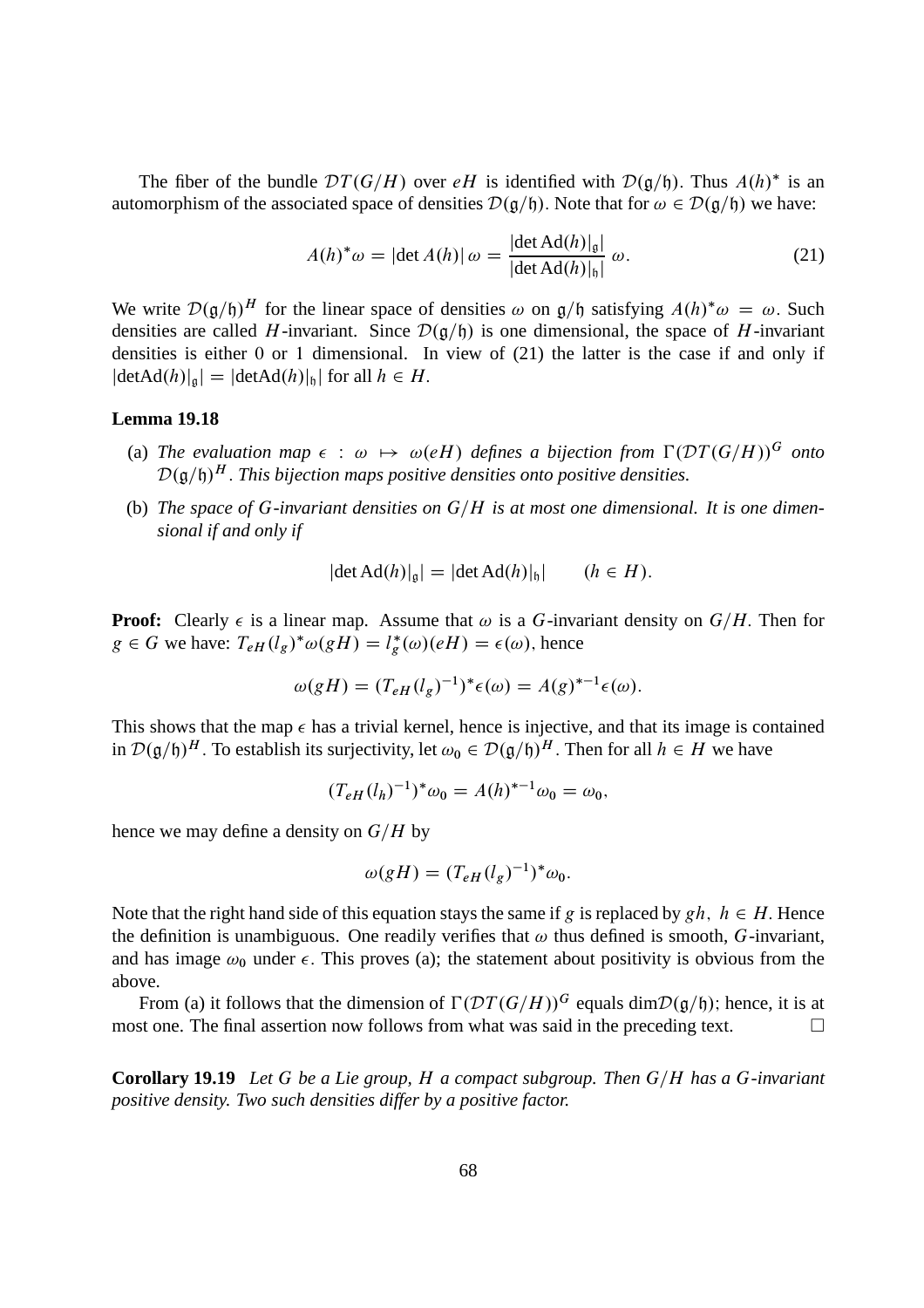The fiber of the bundle  $DT(G/H)$  over eH is identified with  $D(g/h)$ . Thus  $A(h)^*$  is an automorphism of the associated space of densities  $\mathcal{D}(\mathfrak{g}/\mathfrak{h})$ . Note that for  $\omega \in \mathcal{D}(\mathfrak{g}/\mathfrak{h})$  we have:

$$
A(h)^{*}\omega = |\det A(h)| \omega = \frac{|\det \text{Ad}(h)|_{\mathfrak{g}}|}{|\det \text{Ad}(h)|_{\mathfrak{h}}|} \omega.
$$
 (21)

We write  $\mathcal{D}(\mathfrak{g}/\mathfrak{h})^H$  for the linear space of densities  $\omega$  on  $\mathfrak{g}/\mathfrak{h}$  satisfying  $A(h)^*\omega = \omega$ . Such densities are called H-invariant. Since  $\mathcal{D}(\mathfrak{g}/\mathfrak{h})$  is one dimensional, the space of H-invariant densities is either 0 or 1 dimensional. In view of (21) the latter is the case if and only if  $|\text{detAd}(h)|_{\mathfrak{g}}| = |\text{detAd}(h)|_{\mathfrak{h}}|$  for all  $h \in H$ .

#### **Lemma 19.18**

- (a) The evaluation map  $\epsilon$  :  $\omega \mapsto \omega(eH)$  defines a bijection from  $\Gamma(\mathcal{D}(\mathcal{T}(G/H))^G$  onto  $\mathcal{D}(\mathfrak{g}/\mathfrak{h})^H$ . This bijection maps positive densities onto positive densities.
- (b) The space of G-invariant densities on  $G/H$  is at most one dimensional. It is one dimen*sional if and only if*

$$
|\det \mathrm{Ad}(h)|_{\mathfrak{g}}| = |\det \mathrm{Ad}(h)|_{\mathfrak{h}}| \qquad (h \in H).
$$

**Proof:** Clearly  $\epsilon$  is a linear map. Assume that  $\omega$  is a G-invariant density on  $G/H$ . Then for  $g \in G$  we have:  $T_{eH}(l_g)^* \omega(gH) = l_g^*(\omega)(eH) = \epsilon(\omega)$ , hence

$$
\omega(gH) = (T_{eH}(l_g)^{-1})^* \epsilon(\omega) = A(g)^{*-1} \epsilon(\omega).
$$

This shows that the map  $\epsilon$  has a trivial kernel, hence is injective, and that its image is contained in  $\mathcal{D}(\mathfrak{g}/\mathfrak{h})^H$ . To establish its surjectivity, let  $\omega_0 \in \mathcal{D}(\mathfrak{g}/\mathfrak{h})^H$ . Then for all  $h \in H$  we have

$$
(T_{eH}(l_h)^{-1})^*\omega_0 = A(h)^{*-1}\omega_0 = \omega_0,
$$

hence we may define a density on  $G/H$  by

$$
\omega(gH) = (T_{eH}(l_g)^{-1})^* \omega_0.
$$

Note that the right hand side of this equation stays the same if g is replaced by  $gh$ ,  $h \in H$ . Hence the definition is unambiguous. One readily verifies that  $\omega$  thus defined is smooth, G-invariant, and has image  $\omega_0$  under  $\epsilon$ . This proves (a); the statement about positivity is obvious from the above.

From (a) it follows that the dimension of  $\Gamma(\mathcal{D}T(G/H))^G$  equals dim $\mathcal{D}(\mathfrak{g}/\mathfrak{h})$ ; hence, it is at st one. The final assertion now follows from what was said in the preceding text. most one. The final assertion now follows from what was said in the preceding text.

**Corollary 19.19** *Let* G *be a Lie group, H a compact subgroup. Then*  $G/H$  *has a* G-invariant *positive density. Two such densities differ by a positive factor.*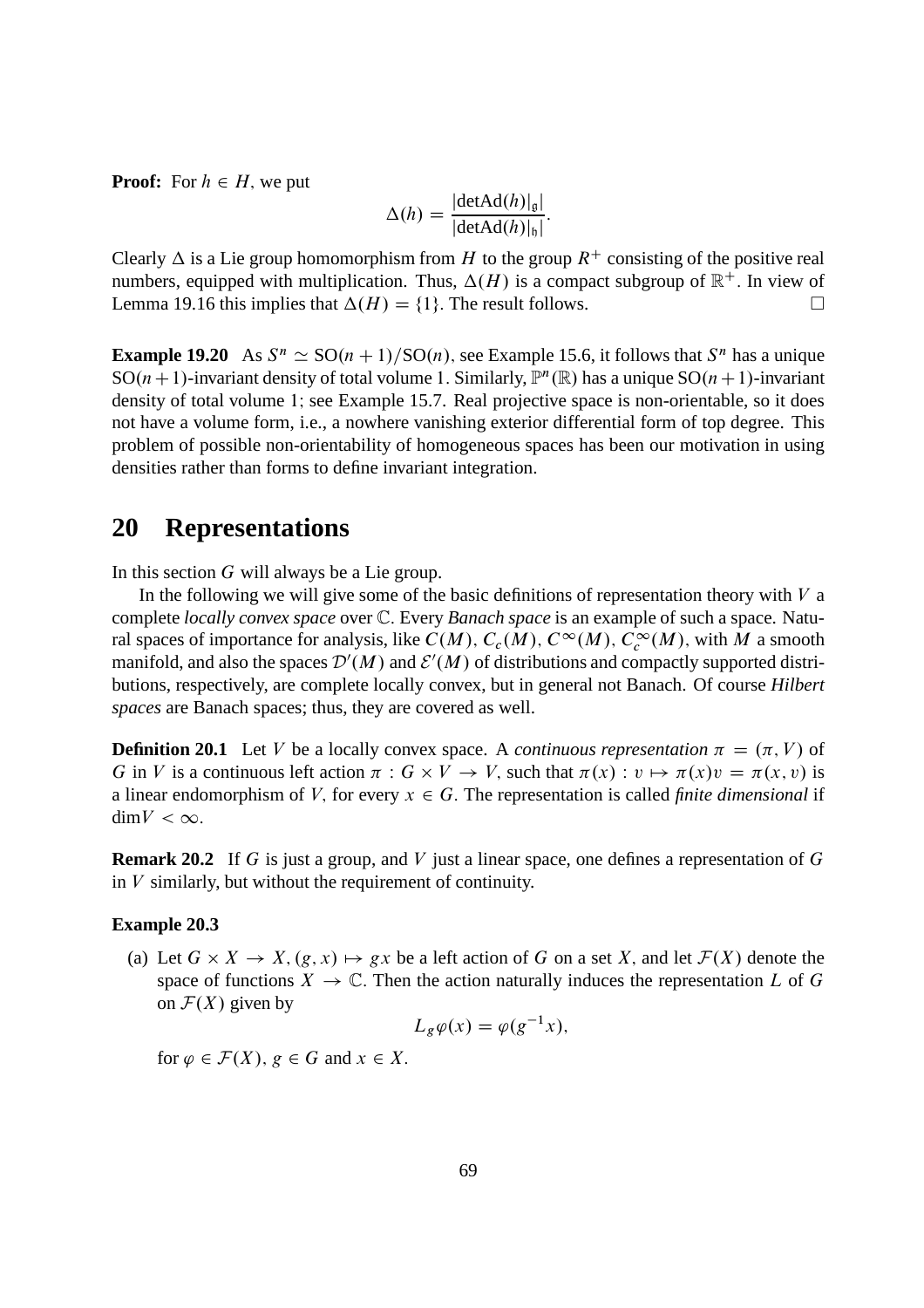**Proof:** For  $h \in H$ , we put

$$
\Delta(h) = \frac{|\text{detAd}(h)|_{\mathfrak{g}}|}{|\text{detAd}(h)|_{\mathfrak{h}}|}.
$$

Clearly  $\Delta$  is a Lie group homomorphism from H to the group  $R^+$  consisting of the positive real numbers, equipped with multiplication. Thus,  $\Delta(H)$  is a compact subgroup of  $\mathbb{R}^+$ . In view of Lemma 19.16 this implies that  $\Delta(H) = \{1\}$ . The result follows.

**Example 19.20** As  $S^n \simeq SO(n+1)/SO(n)$ , see Example 15.6, it follows that  $S^n$  has a unique SO(*n* + 1)-invariant density of total volume 1. Similarly,  $\mathbb{P}^n(\mathbb{R})$  has a unique SO(*n* + 1)-invariant density of total volume 1; see Example 15.7. Real projective space is non-orientable, so it does not have a volume form, i.e., a nowhere vanishing exterior differential form of top degree. This problem of possible non-orientability of homogeneous spaces has been our motivation in using densities rather than forms to define invariant integration.

## **20 Representations**

In this section G will always be a Lie group.

In the following we will give some of the basic definitions of representation theory with  $V$  a complete *locally convex space* over C: Every *Banach space* is an example of such a space. Natural spaces of importance for analysis, like  $C(M)$ ,  $C_c(M)$ ,  $C^{\infty}(M)$ ,  $C_c^{\infty}(M)$ , with M a smooth manifold, and also the spaces  $\mathcal{D}'(M)$  and  $\mathcal{E}'(M)$  of distributions and compactly supported distributions, respectively, are complete locally convex, but in general not Banach. Of course *Hilbert spaces* are Banach spaces; thus, they are covered as well.

**Definition 20.1** Let V be a locally convex space. A *continuous representation*  $\pi = (\pi, V)$  of G in V is a continuous left action  $\pi : G \times V \to V$ , such that  $\pi(x) : v \mapsto \pi(x)v = \pi(x, v)$  is a linear endomorphism of V, for every  $x \in G$ . The representation is called *finite dimensional* if  $\dim V < \infty$ .

**Remark 20.2** If G is just a group, and V just a linear space, one defines a representation of G in  $V$  similarly, but without the requirement of continuity.

#### **Example 20.3**

(a) Let  $G \times X \to X$ ,  $(g, x) \mapsto gx$  be a left action of G on a set X, and let  $\mathcal{F}(X)$  denote the space of functions  $X \to \mathbb{C}$ . Then the action naturally induces the representation L of G on  $\mathcal{F}(X)$  given by

$$
L_g \varphi(x) = \varphi(g^{-1}x),
$$

for  $\varphi \in \mathcal{F}(X), g \in G$  and  $x \in X$ .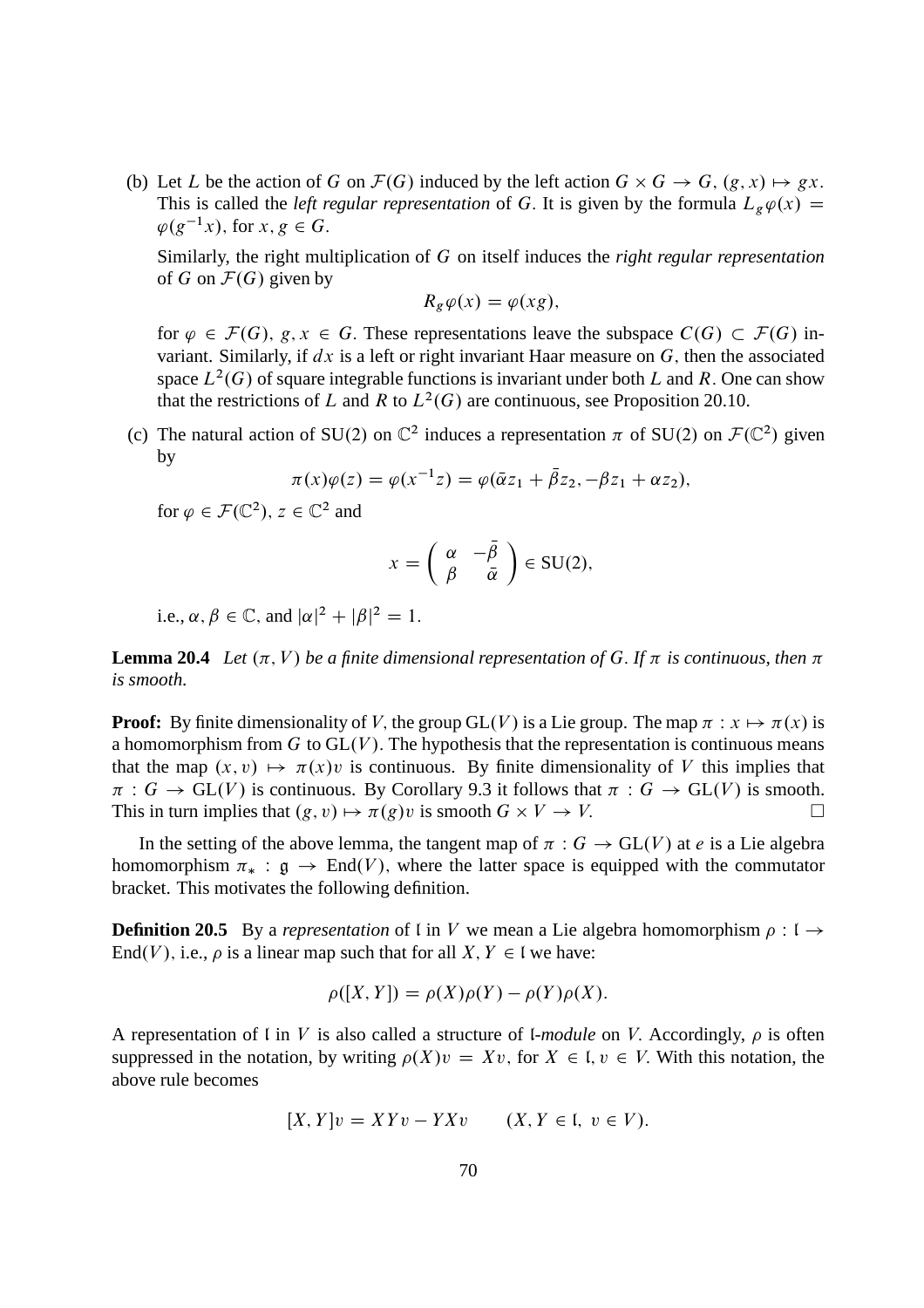(b) Let L be the action of G on  $\mathcal{F}(G)$  induced by the left action  $G \times G \to G$ ,  $(g, x) \mapsto gx$ . This is called the *left regular representation* of G. It is given by the formula  $L_g \varphi(x) =$  $\varphi(g^{-1}x)$ , for  $x, g \in G$ .

Similarly, the right multiplication of G on itself induces the *right regular representation* of G on  $\mathcal{F}(G)$  given by

$$
R_g\varphi(x)=\varphi(xg),
$$

for  $\varphi \in \mathcal{F}(G)$ ,  $g, x \in G$ . These representations leave the subspace  $C(G) \subset \mathcal{F}(G)$  invariant. Similarly, if  $dx$  is a left or right invariant Haar measure on  $G$ , then the associated space  $L^2(G)$  of square integrable functions is invariant under both L and R. One can show that the restrictions of L and R to  $L^2(G)$  are continuous, see Proposition 20.10.

(c) The natural action of SU(2) on  $\mathbb{C}^2$  induces a representation  $\pi$  of SU(2) on  $\mathcal{F}(\mathbb{C}^2)$  given by

$$
\pi(x)\varphi(z) = \varphi(x^{-1}z) = \varphi(\bar{\alpha}z_1 + \bar{\beta}z_2, -\beta z_1 + \alpha z_2),
$$

for  $\varphi \in \mathcal{F}(\mathbb{C}^2)$ ,  $z \in \mathbb{C}^2$  and

$$
x = \begin{pmatrix} \alpha & -\bar{\beta} \\ \beta & \bar{\alpha} \end{pmatrix} \in \text{SU}(2),
$$

i.e.,  $\alpha, \beta \in \mathbb{C}$ , and  $|\alpha|^2 + |\beta|^2 = 1$ .

**Lemma 20.4** *Let*  $(\pi, V)$  *be a finite dimensional representation of G. If*  $\pi$  *is continuous, then*  $\pi$ *is smooth.*

**Proof:** By finite dimensionality of V, the group GL(V) is a Lie group. The map  $\pi : x \mapsto \pi(x)$  is a homomorphism from  $G$  to  $GL(V)$ . The hypothesis that the representation is continuous means that the map  $(x, v) \mapsto \pi(x)v$  is continuous. By finite dimensionality of V this implies that  $\pi : G \to GL(V)$  is continuous. By Corollary 9.3 it follows that  $\pi : G \to GL(V)$  is smooth.<br>This in turn implies that  $(\varrho, v) \mapsto \pi(\varrho)v$  is smooth  $G \times V \to V$ . This in turn implies that  $(g, v) \mapsto \pi(g)v$  is smooth  $G \times V \to V$ .

In the setting of the above lemma, the tangent map of  $\pi : G \to GL(V)$  at e is a Lie algebra homomorphism  $\pi_* : \mathfrak{g} \to \text{End}(V)$ , where the latter space is equipped with the commutator bracket. This motivates the following definition.

**Definition 20.5** By a *representation* of l in V we mean a Lie algebra homomorphism  $\rho : I \rightarrow$ End(V), i.e.,  $\rho$  is a linear map such that for all  $X, Y \in I$  we have:

$$
\rho([X,Y]) = \rho(X)\rho(Y) - \rho(Y)\rho(X).
$$

A representation of  $\mathfrak l$  in  $V$  is also called a structure of  $\mathfrak l$ -module on  $V$ . Accordingly,  $\rho$  is often suppressed in the notation, by writing  $\rho(X)v = Xv$ , for  $X \in I$ ,  $v \in V$ . With this notation, the above rule becomes

$$
[X,Y]v = XYv - YXv \qquad (X,Y \in \mathfrak{l}, v \in V).
$$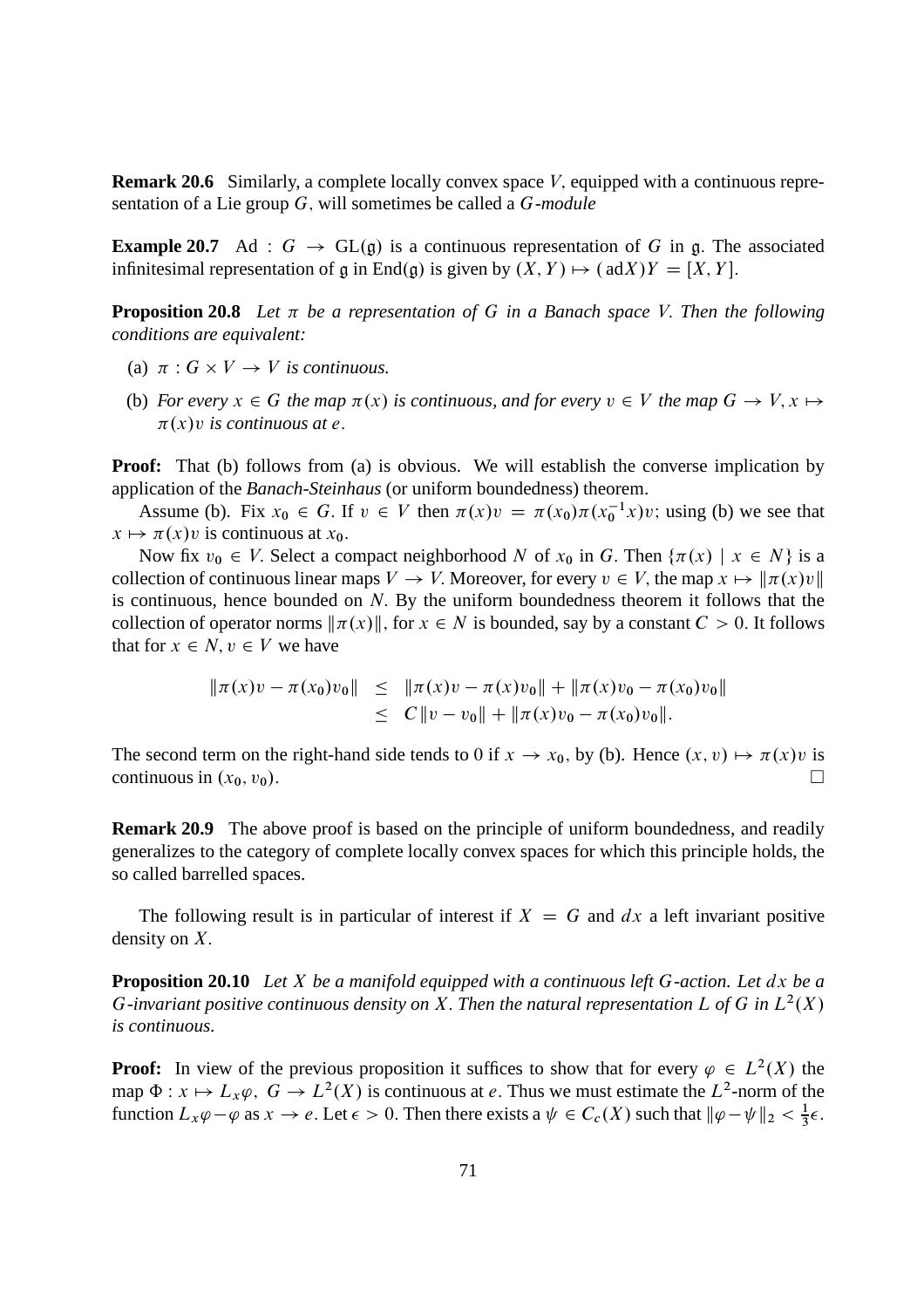**Remark 20.6** Similarly, a complete locally convex space V, equipped with a continuous representation of a Lie group G; will sometimes be called a G-*module*

**Example 20.7** Ad :  $G \rightarrow GL(\mathfrak{g})$  is a continuous representation of G in g. The associated infinitesimal representation of g in End(g) is given by  $(X, Y) \mapsto (adX)Y = [X, Y]$ .

**Proposition 20.8** Let  $\pi$  be a representation of G in a Banach space V. Then the following *conditions are equivalent:*

- (a)  $\pi: G \times V \to V$  *is continuous.*
- (b) *For every*  $x \in G$  *the map*  $\pi(x)$  *is continuous, and for every*  $v \in V$  *the map*  $G \to V$ ,  $x \mapsto$  $\pi(x)v$  *is continuous at e.*

**Proof:** That (b) follows from (a) is obvious. We will establish the converse implication by application of the *Banach-Steinhaus* (or uniform boundedness) theorem.

Assume (b). Fix  $x_0 \in G$ . If  $v \in V$  then  $\pi(x)v = \pi(x_0)\pi(x_0^{-1}x)v$ ; using (b) we see that  $x \mapsto \pi(x)v$  is continuous at  $x_0$ .

Now fix  $v_0 \in V$ . Select a compact neighborhood N of  $x_0$  in G. Then  $\{\pi(x) \mid x \in N\}$  is a collection of continuous linear maps  $V \to V$ . Moreover, for every  $v \in V$ , the map  $x \mapsto ||\pi(x)v||$ is continuous, hence bounded on  $N$ . By the uniform boundedness theorem it follows that the collection of operator norms  $\|\pi(x)\|$ , for  $x \in N$  is bounded, say by a constant  $C > 0$ . It follows that for  $x \in N$ ,  $v \in V$  we have

$$
\begin{array}{rcl}\n\|\pi(x)v - \pi(x_0)v_0\| & \leq & \|\pi(x)v - \pi(x)v_0\| + \|\pi(x)v_0 - \pi(x_0)v_0\| \\
& \leq & C\|v - v_0\| + \|\pi(x)v_0 - \pi(x_0)v_0\|.\n\end{array}
$$

The second term on the right-hand side tends to 0 if  $x \to x_0$ , by (b). Hence  $(x, v) \mapsto \pi(x)v$  is continuous in  $(x_0, v_0)$ . continuous in  $(x_0, v_0)$ .

**Remark 20.9** The above proof is based on the principle of uniform boundedness, and readily generalizes to the category of complete locally convex spaces for which this principle holds, the so called barrelled spaces.

The following result is in particular of interest if  $X = G$  and dx a left invariant positive density on  $X$ .

**Proposition 20.10** *Let* X *be a manifold equipped with a continuous left* G*-action. Let* dx *be a* G-invariant positive continuous density on X. Then the natural representation L of G in  $L^2(X)$ *is continuous.*

**Proof:** In view of the previous proposition it suffices to show that for every  $\varphi \in L^2(X)$  the map  $\Phi: x \mapsto L_x\varphi$ ,  $G \to L^2(X)$  is continuous at e. Thus we must estimate the  $L^2$ -norm of the function  $L_x\varphi-\varphi$  as  $x\to e$ . Let  $\epsilon>0$ . Then there exists a  $\psi\in C_c(X)$  such that  $\|\varphi-\psi\|_2<\frac{1}{3}$  $rac{1}{3}\epsilon$ .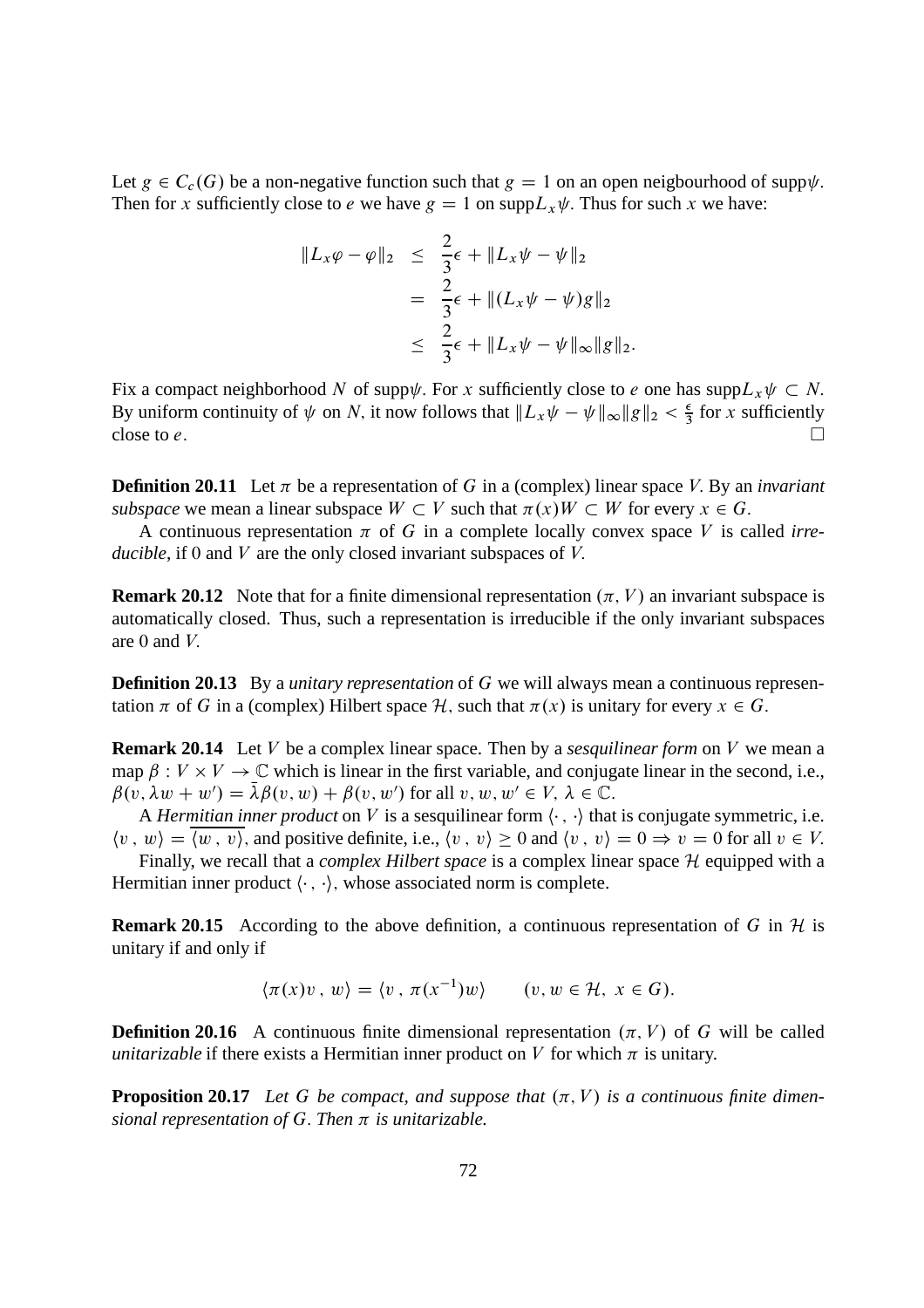Let  $g \in C_c(G)$  be a non-negative function such that  $g = 1$  on an open neigbourhood of supp $\psi$ . Then for x sufficiently close to e we have  $g = 1$  on  $\text{supp}L_x \psi$ . Thus for such x we have:

$$
||L_x \varphi - \varphi||_2 \leq \frac{2}{3}\epsilon + ||L_x \psi - \psi||_2
$$
  
= 
$$
\frac{2}{3}\epsilon + ||(L_x \psi - \psi)g||_2
$$
  

$$
\leq \frac{2}{3}\epsilon + ||L_x \psi - \psi||_{\infty}||g||_2.
$$

Fix a compact neighborhood N of supp $\psi$ . For x sufficiently close to e one has supp $L_x \psi \subset N$ . By uniform continuity of  $\psi$  on N, it now follows that  $||L_x \psi - \psi||_{\infty} ||g||_2 < \frac{\epsilon}{3}$  $\frac{\epsilon}{3}$  for x sufficiently close to  $e$ .

**Definition 20.11** Let  $\pi$  be a representation of G in a (complex) linear space V. By an *invariant subspace* we mean a linear subspace  $W \subset V$  such that  $\pi(x)W \subset W$  for every  $x \in G$ .

A continuous representation  $\pi$  of G in a complete locally convex space V is called *irreducible*, if 0 and *V* are the only closed invariant subspaces of *V*.

**Remark 20.12** Note that for a finite dimensional representation  $(\pi, V)$  an invariant subspace is automatically closed. Thus, such a representation is irreducible if the only invariant subspaces are  $0$  and  $V$ .

**Definition 20.13** By a *unitary representation* of G we will always mean a continuous representation  $\pi$  of G in a (complex) Hilbert space H, such that  $\pi(x)$  is unitary for every  $x \in G$ .

**Remark 20.14** Let V be a complex linear space. Then by a *sesquilinear form* on V we mean a map  $\beta : V \times V \to \mathbb{C}$  which is linear in the first variable, and conjugate linear in the second, i.e.,  $\beta(v, \lambda w + w') = \overline{\lambda}\beta(v, w) + \beta(v, w')$  for all  $v, w, w' \in V$ ,  $\lambda \in \mathbb{C}$ .

A *Hermitian inner product* on V is a sesquilinear form  $\langle \cdot, \cdot \rangle$  that is conjugate symmetric, i.e.  $\langle v, w \rangle = \langle w, v \rangle$ , and positive definite, i.e.,  $\langle v, v \rangle \ge 0$  and  $\langle v, v \rangle = 0 \Rightarrow v = 0$  for all  $v \in V$ .

Finally, we recall that a *complex Hilbert space* is a complex linear space H equipped with a Hermitian inner product  $\langle \cdot, \cdot \rangle$ , whose associated norm is complete.

**Remark 20.15** According to the above definition, a continuous representation of G in  $H$  is unitary if and only if

$$
\langle \pi(x)v, w \rangle = \langle v, \pi(x^{-1})w \rangle \qquad (v, w \in \mathcal{H}, x \in G).
$$

**Definition 20.16** A continuous finite dimensional representation  $(\pi, V)$  of G will be called *unitarizable* if there exists a Hermitian inner product on V for which  $\pi$  is unitary.

**Proposition 20.17** Let G be compact, and suppose that  $(\pi, V)$  is a continuous finite dimen*sional representation of* G: *Then is unitarizable.*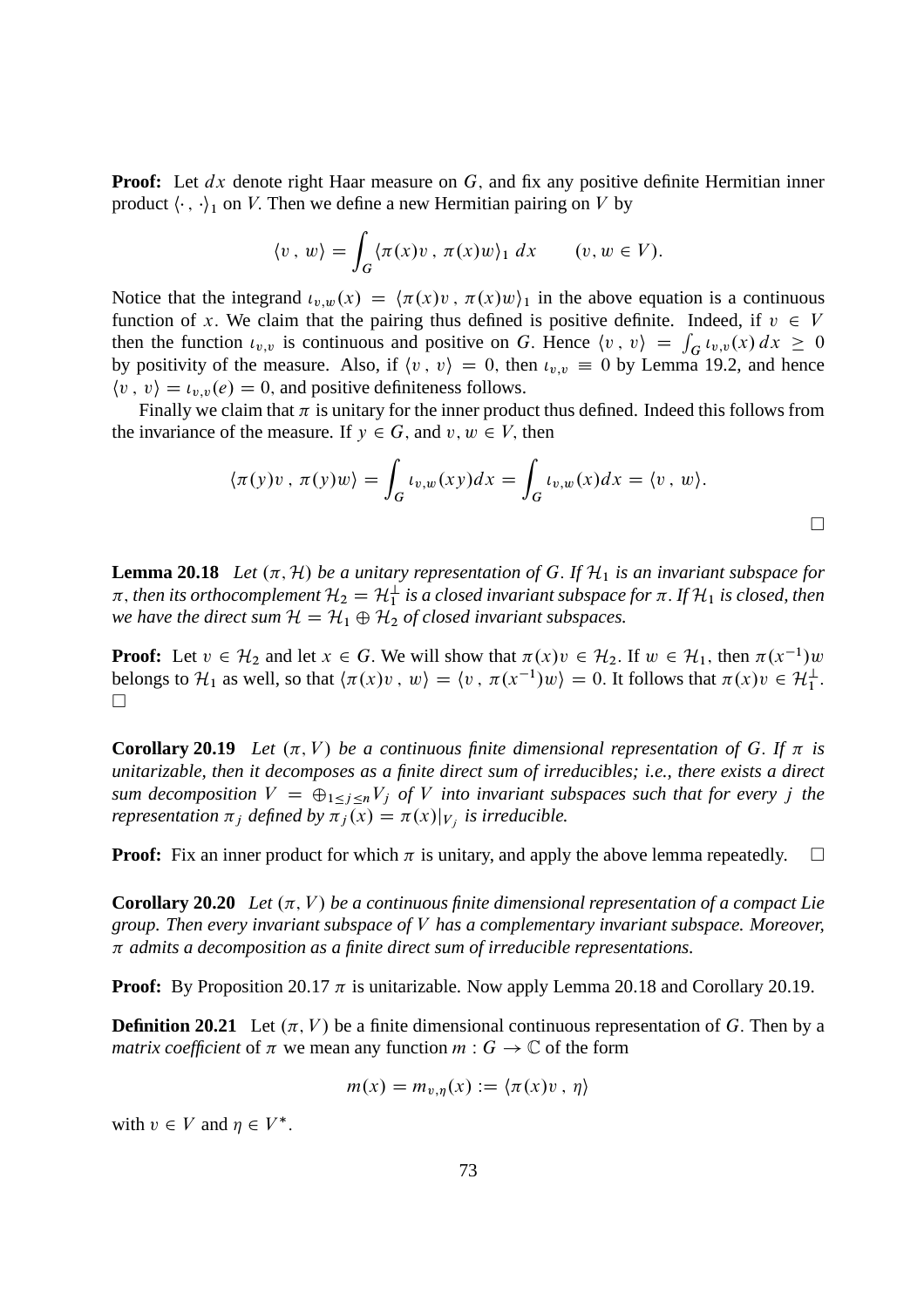**Proof:** Let dx denote right Haar measure on G, and fix any positive definite Hermitian inner product  $\langle \cdot, \cdot \rangle_1$  on V. Then we define a new Hermitian pairing on V by

$$
\langle v \, , \, w \rangle = \int_G \langle \pi(x)v \, , \, \pi(x)w \rangle_1 \, dx \qquad (v, w \in V).
$$

Notice that the integrand  $u_{v,w}(x) = \langle \pi(x)v, \pi(x)w \rangle_1$  in the above equation is a continuous function of x. We claim that the pairing thus defined is positive definite. Indeed, if  $v \in V$ then the function  $u_{v,v}$  is continuous and positive on G. Hence  $\langle v, v \rangle = \int_G u_{v,v}(x) dx \ge 0$ by positivity of the measure. Also, if  $\langle v, v \rangle = 0$ , then  $\iota_{v,v} \equiv 0$  by Lemma 19.2, and hence  $\langle v, v \rangle = \iota_{v,v}(e) = 0$ , and positive definiteness follows.

Finally we claim that  $\pi$  is unitary for the inner product thus defined. Indeed this follows from the invariance of the measure. If  $y \in G$ , and  $v, w \in V$ , then

$$
\langle \pi(y)v, \pi(y)w \rangle = \int_G \iota_{v,w}(xy) dx = \int_G \iota_{v,w}(x) dx = \langle v, w \rangle.
$$

**Lemma 20.18** *Let*  $(\pi, \mathcal{H})$  *be a unitary representation of* G. If  $\mathcal{H}_1$  *is an invariant subspace for*  $\pi$ , then its orthocomplement  $\mathcal{H}_2 = \mathcal{H}_1^\perp$  is a closed invariant subspace for  $\pi$ . If  $\mathcal{H}_1$  is closed, then *we have the direct sum*  $H = H_1 \oplus H_2$  *of closed invariant subspaces.* 

**Proof:** Let  $v \in \mathcal{H}_2$  and let  $x \in G$ . We will show that  $\pi(x)v \in \mathcal{H}_2$ . If  $w \in \mathcal{H}_1$ , then  $\pi(x^{-1})w$ belongs to  $\mathcal{H}_1$  as well, so that  $\langle \pi(x)v, w \rangle = \langle v, \pi(x^{-1})w \rangle = 0$ . It follows that  $\pi(x)v \in \mathcal{H}_1^{\perp}$ .  $\Box$ 

**Corollary 20.19** Let  $(\pi, V)$  be a continuous finite dimensional representation of G. If  $\pi$  is *unitarizable, then it decomposes as a finite direct sum of irreducibles; i.e., there exists a direct sum decomposition*  $V = \bigoplus_{1 \leq j \leq n} V_j$  *of* V *into invariant subspaces such that for every j the representation*  $\pi_j$  *defined by*  $\pi_j(x) = \pi(x)|_{V_j}$  *is irreducible.* 

**Proof:** Fix an inner product for which  $\pi$  is unitary, and apply the above lemma repeatedly.  $\square$ 

**Corollary 20.20** *Let*  $(\pi, V)$  *be a continuous finite dimensional representation of a compact Lie group. Then every invariant subspace of* V *has a complementary invariant subspace. Moreover, admits a decomposition as a finite direct sum of irreducible representations.*

**Proof:** By Proposition 20.17  $\pi$  is unitarizable. Now apply Lemma 20.18 and Corollary 20.19.

**Definition 20.21** Let  $(\pi, V)$  be a finite dimensional continuous representation of G. Then by a *matrix coefficient* of  $\pi$  we mean any function  $m : G \to \mathbb{C}$  of the form

$$
m(x) = m_{v,\eta}(x) := \langle \pi(x)v, \eta \rangle
$$

with  $v \in V$  and  $\eta \in V^*$ .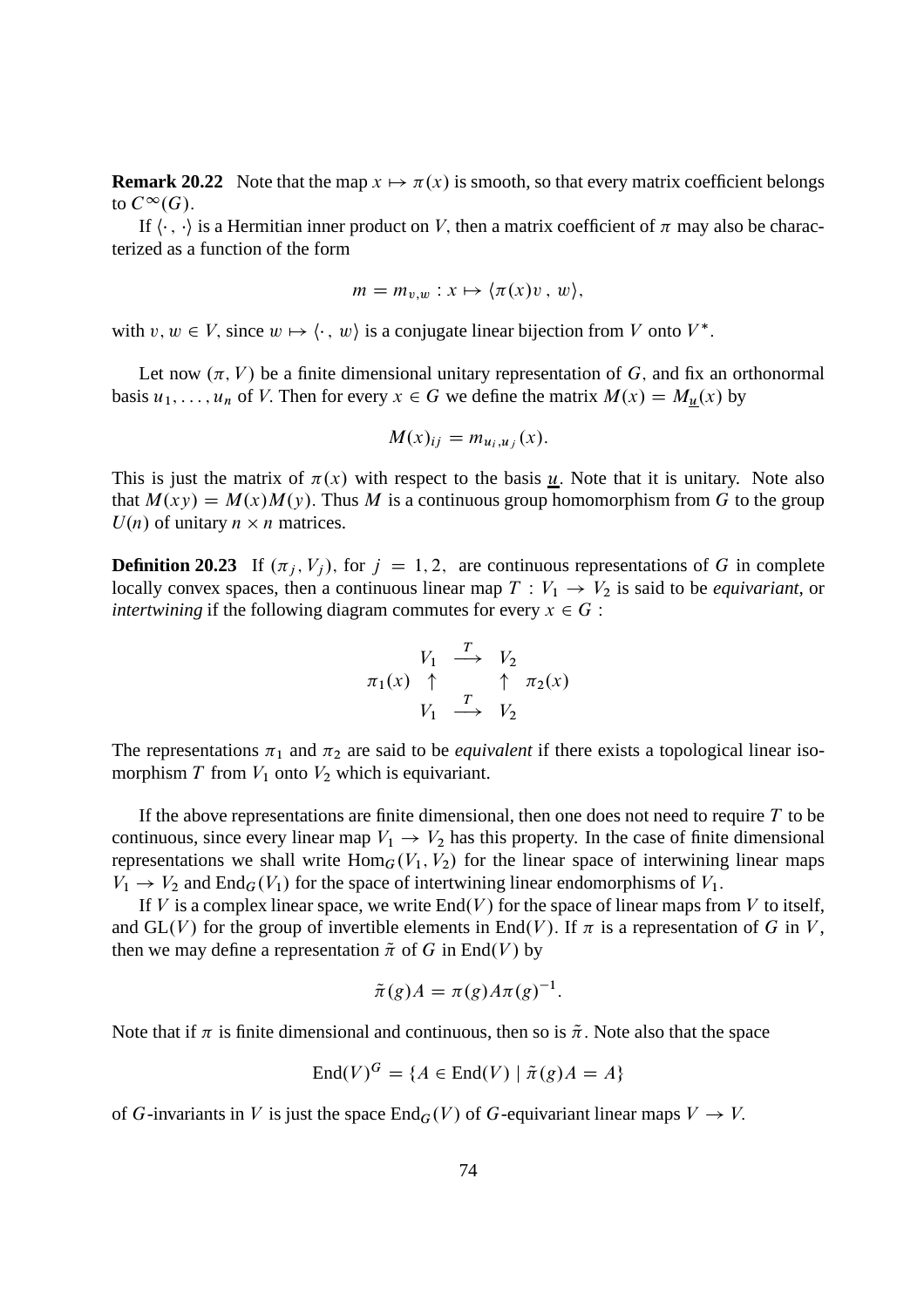**Remark 20.22** Note that the map  $x \mapsto \pi(x)$  is smooth, so that every matrix coefficient belongs to  $C^{\infty}(G)$ .

If  $\langle \cdot, \cdot \rangle$  is a Hermitian inner product on V, then a matrix coefficient of  $\pi$  may also be characterized as a function of the form

$$
m = m_{v,w} : x \mapsto \langle \pi(x)v, w \rangle,
$$

with  $v, w \in V$ , since  $w \mapsto \langle \cdot, w \rangle$  is a conjugate linear bijection from V onto  $V^*$ .

Let now  $(\pi, V)$  be a finite dimensional unitary representation of G, and fix an orthonormal basis  $u_1, \ldots, u_n$  of V. Then for every  $x \in G$  we define the matrix  $M(x) = M_u(x)$  by

$$
M(x)_{ij} = m_{u_i, u_j}(x).
$$

This is just the matrix of  $\pi(x)$  with respect to the basis u. Note that it is unitary. Note also that  $M(xy) = M(x)M(y)$ . Thus M is a continuous group homomorphism from G to the group  $U(n)$  of unitary  $n \times n$  matrices.

**Definition 20.23** If  $(\pi_j, V_j)$ , for  $j = 1, 2$ , are continuous representations of G in complete locally convex spaces, then a continuous linear map  $T: V_1 \to V_2$  is said to be *equivariant*, or *intertwining* if the following diagram commutes for every  $x \in G$ :

$$
\begin{array}{ccc}\nV_1 & \xrightarrow{T} & V_2 \\
\pi_1(x) & \uparrow & \uparrow & \pi_2(x) \\
V_1 & \xrightarrow{T} & V_2\n\end{array}
$$

The representations  $\pi_1$  and  $\pi_2$  are said to be *equivalent* if there exists a topological linear isomorphism  $T$  from  $V_1$  onto  $V_2$  which is equivariant.

If the above representations are finite dimensional, then one does not need to require  $T$  to be continuous, since every linear map  $V_1 \rightarrow V_2$  has this property. In the case of finite dimensional representations we shall write  $\text{Hom}_G(V_1, V_2)$  for the linear space of interwining linear maps  $V_1 \rightarrow V_2$  and End<sub>G</sub>( $V_1$ ) for the space of intertwining linear endomorphisms of  $V_1$ .

If V is a complex linear space, we write  $End(V)$  for the space of linear maps from V to itself, and GL(V) for the group of invertible elements in End(V). If  $\pi$  is a representation of G in V, then we may define a representation  $\tilde{\pi}$  of G in End(V) by

$$
\tilde{\pi}(g)A = \pi(g)A\pi(g)^{-1}.
$$

Note that if  $\pi$  is finite dimensional and continuous, then so is  $\tilde{\pi}$ . Note also that the space

$$
End(V)^G = \{ A \in End(V) \mid \tilde{\pi}(g)A = A \}
$$

of G-invariants in V is just the space  $\text{End}_G(V)$  of G-equivariant linear maps  $V \to V$ .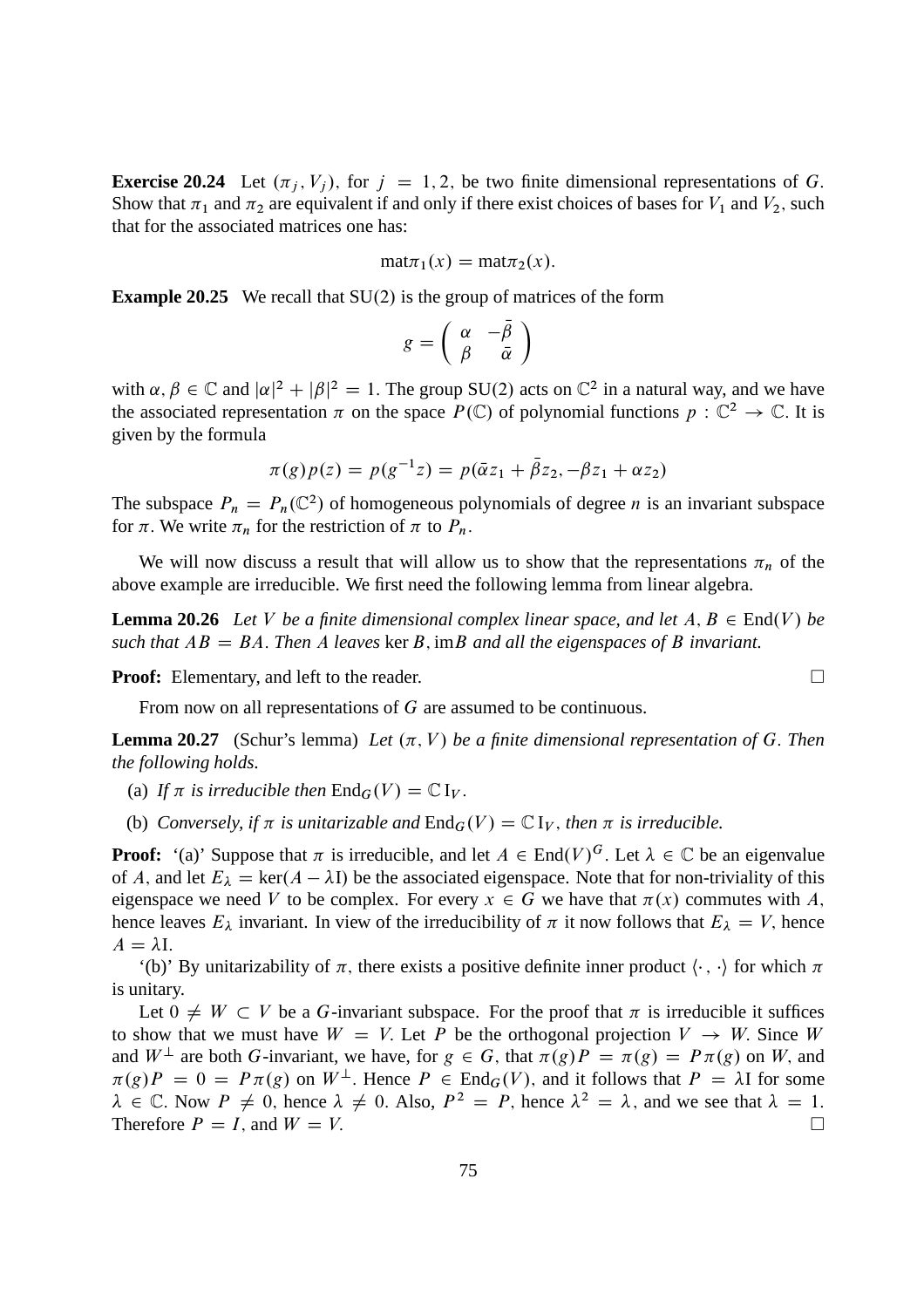**Exercise 20.24** Let  $(\pi_j, V_j)$ , for  $j = 1, 2$ , be two finite dimensional representations of G. Show that  $\pi_1$  and  $\pi_2$  are equivalent if and only if there exist choices of bases for  $V_1$  and  $V_2$ , such that for the associated matrices one has:

$$
\text{mat}\pi_1(x) = \text{mat}\pi_2(x).
$$

**Example 20.25** We recall that  $SU(2)$  is the group of matrices of the form

$$
g=\left(\begin{array}{cc} \alpha & -\bar{\beta} \\ \beta & \bar{\alpha} \end{array}\right)
$$

with  $\alpha, \beta \in \mathbb{C}$  and  $|\alpha|^2 + |\beta|^2 = 1$ . The group SU(2) acts on  $\mathbb{C}^2$  in a natural way, and we have the associated representation  $\pi$  on the space  $P(\mathbb{C})$  of polynomial functions  $p : \mathbb{C}^2 \to \mathbb{C}$ . It is given by the formula

$$
\pi(g)p(z) = p(g^{-1}z) = p(\bar{\alpha}z_1 + \bar{\beta}z_2, -\beta z_1 + \alpha z_2)
$$

The subspace  $P_n = P_n(\mathbb{C}^2)$  of homogeneous polynomials of degree *n* is an invariant subspace for  $\pi$ . We write  $\pi_n$  for the restriction of  $\pi$  to  $P_n$ .

We will now discuss a result that will allow us to show that the representations  $\pi_n$  of the above example are irreducible. We first need the following lemma from linear algebra.

**Lemma 20.26** Let V be a finite dimensional complex linear space, and let  $A, B \in End(V)$  be *such that*  $AB = BA$ . *Then* A *leaves* ker B, imB *and all the eigenspaces of* B *invariant.* 

**Proof:** Elementary, and left to the reader. □

From now on all representations of G are assumed to be continuous.

**Lemma 20.27** (Schur's lemma) Let  $(\pi, V)$  be a finite dimensional representation of G. Then *the following holds.*

- (a) If  $\pi$  is irreducible then  $\text{End}_G(V) = \mathbb{C} I_V$ .
- (b) *Conversely, if*  $\pi$  *is unitarizable and*  $\text{End}_G(V) = \mathbb{C} I_V$ *, then*  $\pi$  *is irreducible.*

**Proof:** '(a)' Suppose that  $\pi$  is irreducible, and let  $A \in End(V)^G$ . Let  $\lambda \in \mathbb{C}$  be an eigenvalue of A, and let  $E_{\lambda} = \text{ker}(A - \lambda I)$  be the associated eigenspace. Note that for non-triviality of this eigenspace we need V to be complex. For every  $x \in G$  we have that  $\pi(x)$  commutes with A, hence leaves  $E_{\lambda}$  invariant. In view of the irreducibility of  $\pi$  it now follows that  $E_{\lambda} = V$ , hence  $A = \lambda I.$ 

'(b)' By unitarizability of  $\pi$ , there exists a positive definite inner product  $\langle \cdot, \cdot \rangle$  for which  $\pi$ is unitary.

Let  $0 \neq W \subset V$  be a G-invariant subspace. For the proof that  $\pi$  is irreducible it suffices to show that we must have  $W = V$ . Let P be the orthogonal projection  $V \rightarrow W$ . Since W and  $W^{\perp}$  are both G-invariant, we have, for  $g \in G$ , that  $\pi(g)P = \pi(g) = P \pi(g)$  on W, and  $\pi(g)P = 0 = P \pi(g)$  on  $W^{\perp}$ . Hence  $P \in \text{End}_G(V)$ , and it follows that  $P = \lambda I$  for some  $\lambda \in \mathbb{C}$ . Now  $P \neq 0$ , hence  $\lambda \neq 0$ . Also,  $P^2 = P$ , hence  $\lambda^2 = \lambda$ , and we see that  $\lambda = 1$ . Therefore  $P = I$ , and  $W = V$ .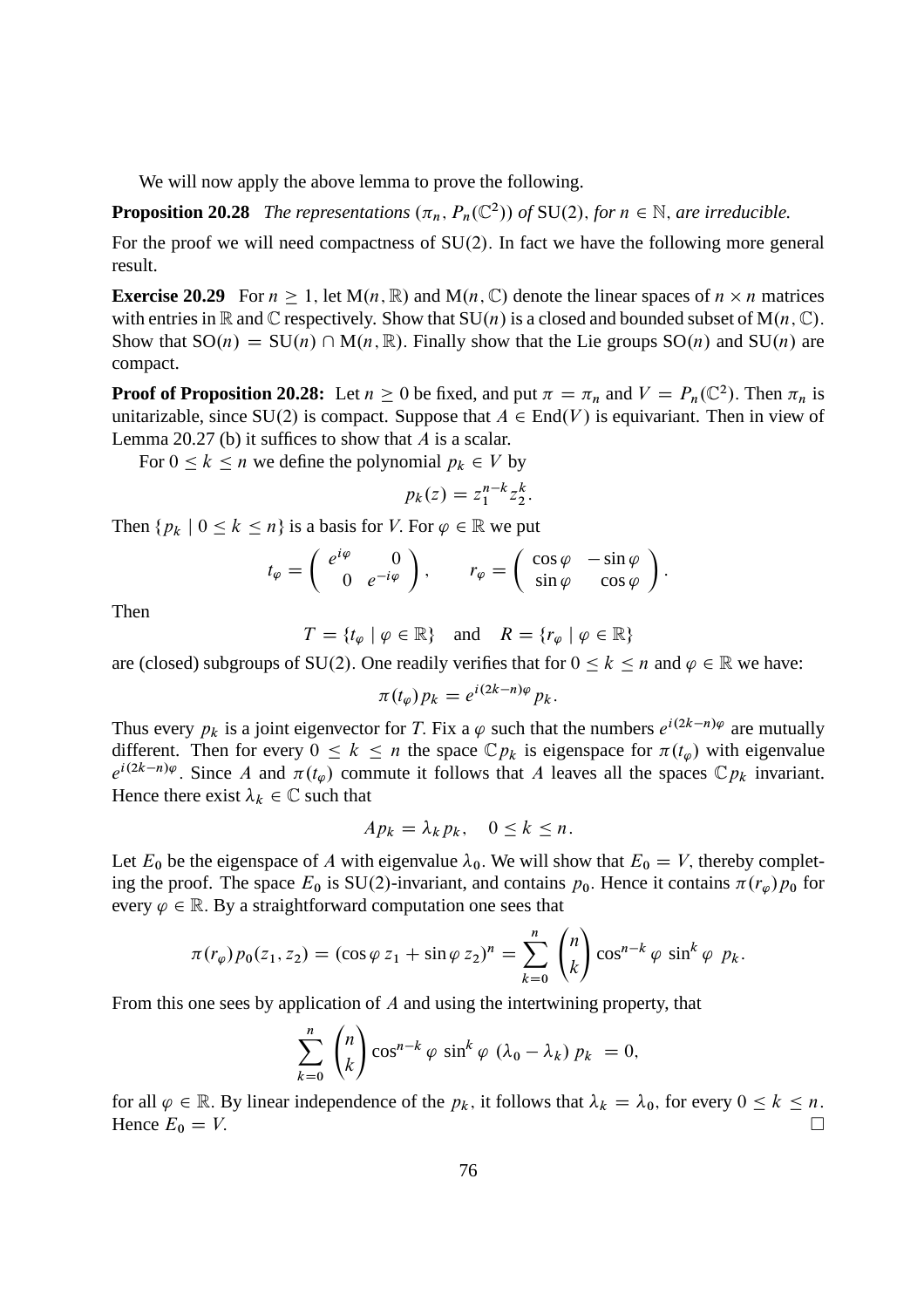We will now apply the above lemma to prove the following.

**Proposition 20.28** *The representations*  $(\pi_n, P_n(\mathbb{C}^2))$  *of* SU(2), *for*  $n \in \mathbb{N}$ *, are irreducible.* 

For the proof we will need compactness of  $SU(2)$ . In fact we have the following more general result.

**Exercise 20.29** For  $n \ge 1$ , let  $M(n, \mathbb{R})$  and  $M(n, \mathbb{C})$  denote the linear spaces of  $n \times n$  matrices with entries in  $\mathbb R$  and  $\mathbb C$  respectively. Show that  $SU(n)$  is a closed and bounded subset of  $M(n, \mathbb C)$ . Show that  $SO(n) = SU(n) \cap M(n, \mathbb{R})$ . Finally show that the Lie groups  $SO(n)$  and  $SU(n)$  are compact.

**Proof of Proposition 20.28:** Let  $n \ge 0$  be fixed, and put  $\pi = \pi_n$  and  $V = P_n(\mathbb{C}^2)$ . Then  $\pi_n$  is unitarizable, since SU(2) is compact. Suppose that  $A \in End(V)$  is equivariant. Then in view of Lemma 20.27 (b) it suffices to show that  $A$  is a scalar.

For  $0 \le k \le n$  we define the polynomial  $p_k \in V$  by

$$
p_k(z) = z_1^{n-k} z_2^k.
$$

Then  ${p_k \mid 0 \le k \le n}$  is a basis for V. For  $\varphi \in \mathbb{R}$  we put

$$
t_{\varphi} = \begin{pmatrix} e^{i\varphi} & 0 \\ 0 & e^{-i\varphi} \end{pmatrix}, \qquad r_{\varphi} = \begin{pmatrix} \cos\varphi & -\sin\varphi \\ \sin\varphi & \cos\varphi \end{pmatrix}.
$$

Then

$$
T = \{ t_{\varphi} \mid \varphi \in \mathbb{R} \} \quad \text{and} \quad R = \{ r_{\varphi} \mid \varphi \in \mathbb{R} \}
$$

are (closed) subgroups of SU(2). One readily verifies that for  $0 \le k \le n$  and  $\varphi \in \mathbb{R}$  we have:

$$
\pi(t_{\varphi})p_k = e^{i(2k-n)\varphi}p_k.
$$

Thus every  $p_k$  is a joint eigenvector for T. Fix a  $\varphi$  such that the numbers  $e^{i(2k-n)\varphi}$  are mutually different. Then for every  $0 \le k \le n$  the space  $\mathbb{C} p_k$  is eigenspace for  $\pi(t_\varphi)$  with eigenvalue  $e^{i(2k-n)\varphi}$ . Since A and  $\pi(t_{\varphi})$  commute it follows that A leaves all the spaces  $\mathbb{C} p_k$  invariant. Hence there exist  $\lambda_k \in \mathbb{C}$  such that

$$
Ap_k = \lambda_k p_k, \quad 0 \le k \le n.
$$

Let  $E_0$  be the eigenspace of A with eigenvalue  $\lambda_0$ . We will show that  $E_0 = V$ , thereby completing the proof. The space  $E_0$  is SU(2)-invariant, and contains  $p_0$ . Hence it contains  $\pi(r_\varphi)p_0$  for every  $\varphi \in \mathbb{R}$ . By a straightforward computation one sees that

$$
\pi(r_{\varphi})p_0(z_1, z_2) = (\cos \varphi z_1 + \sin \varphi z_2)^n = \sum_{k=0}^n {n \choose k} \cos^{n-k} \varphi \sin^k \varphi p_k.
$$

From this one sees by application of A and using the intertwining property, that

$$
\sum_{k=0}^{n} {n \choose k} \cos^{n-k} \varphi \sin^{k} \varphi (\lambda_0 - \lambda_k) p_k = 0,
$$

for all  $\varphi \in \mathbb{R}$ . By linear independence of the  $p_k$ , it follows that  $\lambda_k = \lambda_0$ , for every  $0 \le k \le n$ .<br>Hence  $F_0 = V$ Hence  $E_0 = V$ .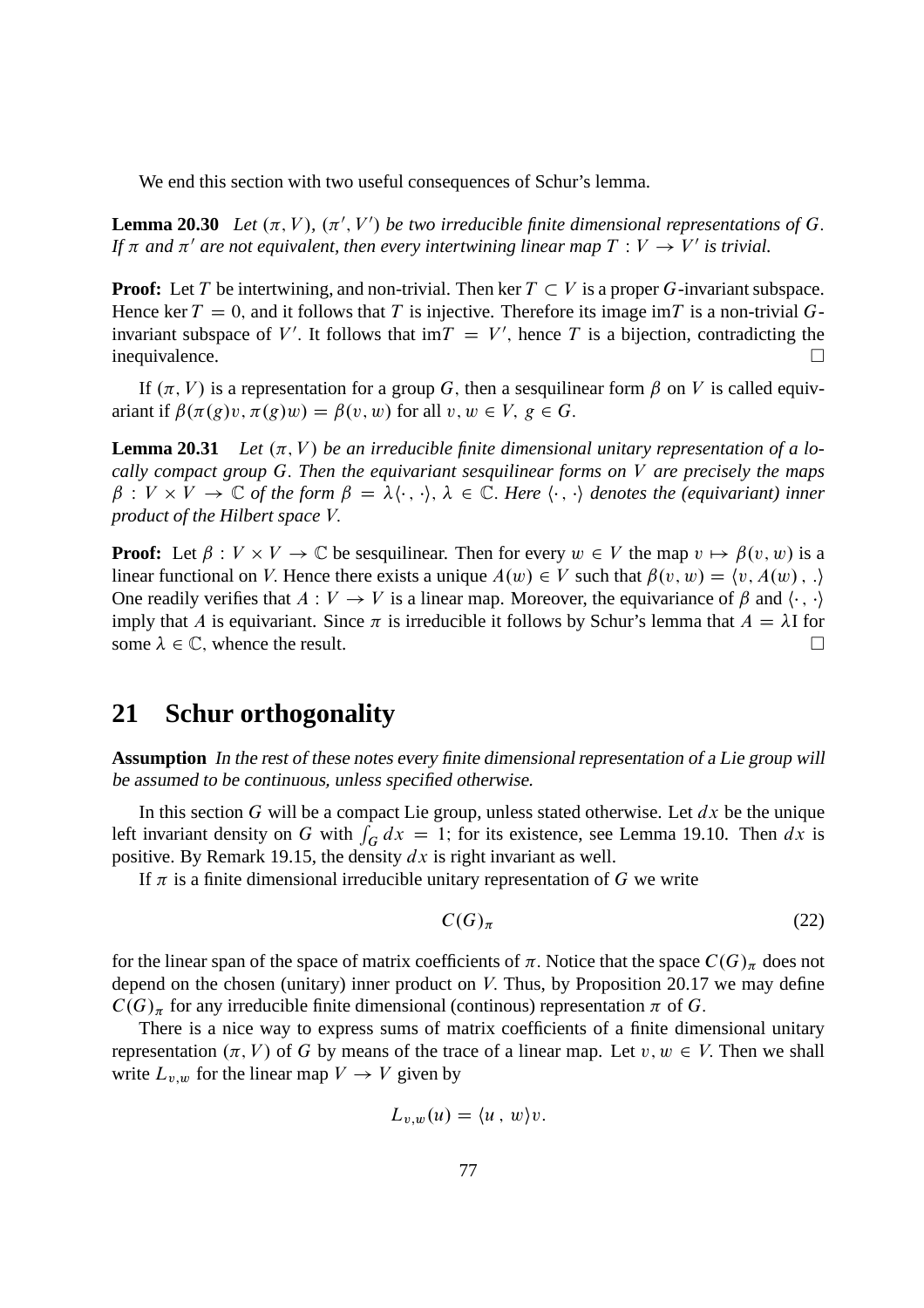We end this section with two useful consequences of Schur's lemma.

**Lemma 20.30** Let  $(\pi, V)$ ,  $(\pi', V')$  be two irreducible finite dimensional representations of G. *If*  $\pi$  and  $\pi'$  are not equivalent, then every intertwining linear map  $T: V \to V'$  is trivial.

**Proof:** Let T be intertwining, and non-trivial. Then ker  $T \subset V$  is a proper G-invariant subspace. Hence ker  $T = 0$ , and it follows that T is injective. Therefore its image imT is a non-trivial Ginvariant subspace of V'. It follows that  $\text{im} T = V'$ , hence T is a bijection, contradicting the inequivalence.

If  $(\pi, V)$  is a representation for a group G, then a sesquilinear form  $\beta$  on V is called equivariant if  $\beta(\pi(g)v, \pi(g)w) = \beta(v, w)$  for all  $v, w \in V$ ,  $g \in G$ .

**Lemma 20.31** Let  $(\pi, V)$  be an irreducible finite dimensional unitary representation of a lo*cally compact group* G: *Then the equivariant sesquilinear forms on* V *are precisely the maps*  $\beta: V \times V \to \mathbb{C}$  *of the form*  $\beta = \lambda \langle \cdot, \cdot \rangle$ ,  $\lambda \in \mathbb{C}$ . *Here*  $\langle \cdot, \cdot \rangle$  *denotes the (equivariant) inner product of the Hilbert space* V:

**Proof:** Let  $\beta : V \times V \to \mathbb{C}$  be sesquilinear. Then for every  $w \in V$  the map  $v \mapsto \beta(v, w)$  is a linear functional on V. Hence there exists a unique  $A(w) \in V$  such that  $\beta(v, w) = \langle v, A(w), \cdot \rangle$ One readily verifies that  $A: V \to V$  is a linear map. Moreover, the equivariance of  $\beta$  and  $\langle \cdot, \cdot \rangle$ imply that A is equivariant. Since  $\pi$  is irreducible it follows by Schur's lemma that  $A = \lambda I$  for some  $\lambda \in \mathbb{C}$  whence the result some  $\lambda \in \mathbb{C}$ , whence the result.

# **21 Schur orthogonality**

**Assumption** In the rest of these notes every finite dimensional representation of <sup>a</sup> Lie group will be assumed to be continuous, unless specified otherwise.

In this section G will be a compact Lie group, unless stated otherwise. Let  $dx$  be the unique left invariant density on G with  $\int_G dx = 1$ ; for its existence, see Lemma 19.10. Then  $dx$  is positive. By Remark 19.15, the density  $dx$  is right invariant as well.

If  $\pi$  is a finite dimensional irreducible unitary representation of G we write

$$
C(G)_{\pi} \tag{22}
$$

for the linear span of the space of matrix coefficients of  $\pi$ . Notice that the space  $C(G)_{\pi}$  does not depend on the chosen (unitary) inner product on  $V$ . Thus, by Proposition 20.17 we may define  $C(G)_{\pi}$  for any irreducible finite dimensional (continous) representation  $\pi$  of G.

There is a nice way to express sums of matrix coefficients of a finite dimensional unitary representation  $(\pi, V)$  of G by means of the trace of a linear map. Let  $v, w \in V$ . Then we shall write  $L_{v,w}$  for the linear map  $V \to V$  given by

$$
L_{v,w}(u) = \langle u \, , \, w \rangle v.
$$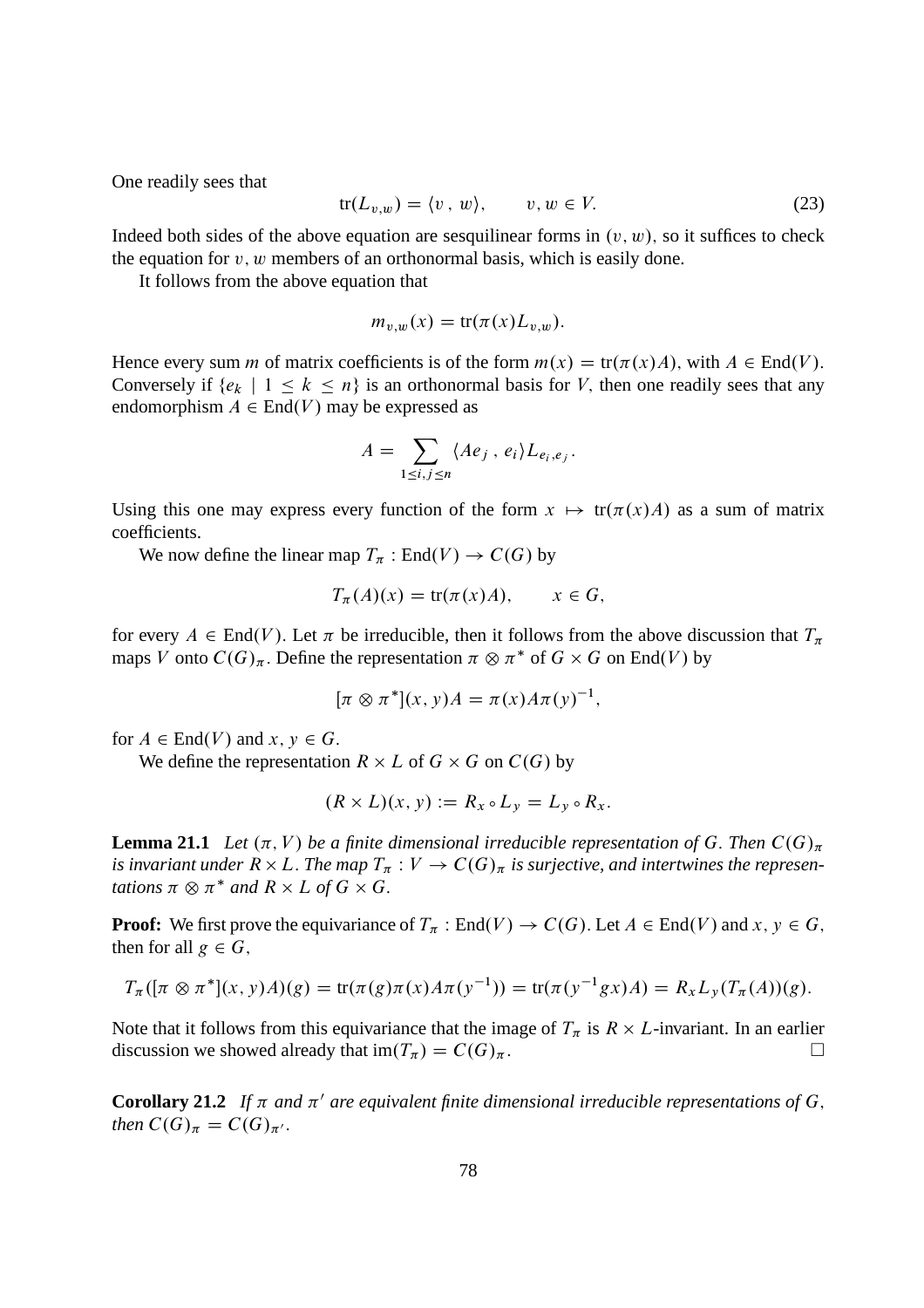One readily sees that

$$
tr(L_{v,w}) = \langle v, w \rangle, \qquad v, w \in V. \tag{23}
$$

Indeed both sides of the above equation are sesquilinear forms in  $(v, w)$ , so it suffices to check the equation for  $v, w$  members of an orthonormal basis, which is easily done.

It follows from the above equation that

$$
m_{v,w}(x) = \text{tr}(\pi(x)L_{v,w}).
$$

Hence every sum *m* of matrix coefficients is of the form  $m(x) = \text{tr}(\pi(x)A)$ , with  $A \in \text{End}(V)$ . Conversely if  $\{e_k \mid 1 \le k \le n\}$  is an orthonormal basis for V, then one readily sees that any endomorphism  $A \in End(V)$  may be expressed as

$$
A = \sum_{1 \leq i,j \leq n} \langle Ae_j, e_i \rangle L_{e_i,e_j}.
$$

Using this one may express every function of the form  $x \mapsto \text{tr}(\pi(x)A)$  as a sum of matrix coefficients.

We now define the linear map  $T_\pi : \text{End}(V) \to C(G)$  by

$$
T_{\pi}(A)(x) = \text{tr}(\pi(x)A), \qquad x \in G,
$$

for every  $A \in End(V)$ . Let  $\pi$  be irreducible, then it follows from the above discussion that  $T_{\pi}$ maps V onto  $C(G)_{\pi}$ . Define the representation  $\pi \otimes \pi^*$  of  $G \times G$  on End(V) by

$$
[\pi \otimes \pi^*](x, y)A = \pi(x)A\pi(y)^{-1},
$$

for  $A \in End(V)$  and  $x, y \in G$ .

We define the representation  $R \times L$  of  $G \times G$  on  $C(G)$  by

$$
(R \times L)(x, y) := R_x \circ L_y = L_y \circ R_x.
$$

**Lemma 21.1** Let  $(\pi, V)$  be a finite dimensional irreducible representation of G. Then  $C(G)_{\pi}$ is invariant under  $R \times L$ . The map  $T_\pi : V \to C(G)_\pi$  is surjective, and intertwines the represen*tations*  $\pi \otimes \pi^*$  *and*  $R \times L$  *of*  $G \times G$ .

**Proof:** We first prove the equivariance of  $T_\pi$ : End $(V) \to C(G)$ . Let  $A \in End(V)$  and  $x, y \in G$ , then for all  $g \in G$ ,

$$
T_{\pi}([\pi \otimes \pi^*](x, y)A)(g) = \text{tr}(\pi(g)\pi(x)A\pi(y^{-1})) = \text{tr}(\pi(y^{-1}gx)A) = R_xL_y(T_{\pi}(A))(g).
$$

Note that it follows from this equivariance that the image of  $T_{\pi}$  is  $R \times L$ -invariant. In an earlier discussion we showed already that  $\text{im}(T_\pi) = C(G)_{\pi}$ .

**Corollary 21.2** If  $\pi$  and  $\pi'$  are equivalent finite dimensional irreducible representations of G, *then*  $C(G)_{\pi} = C(G)_{\pi'}$ .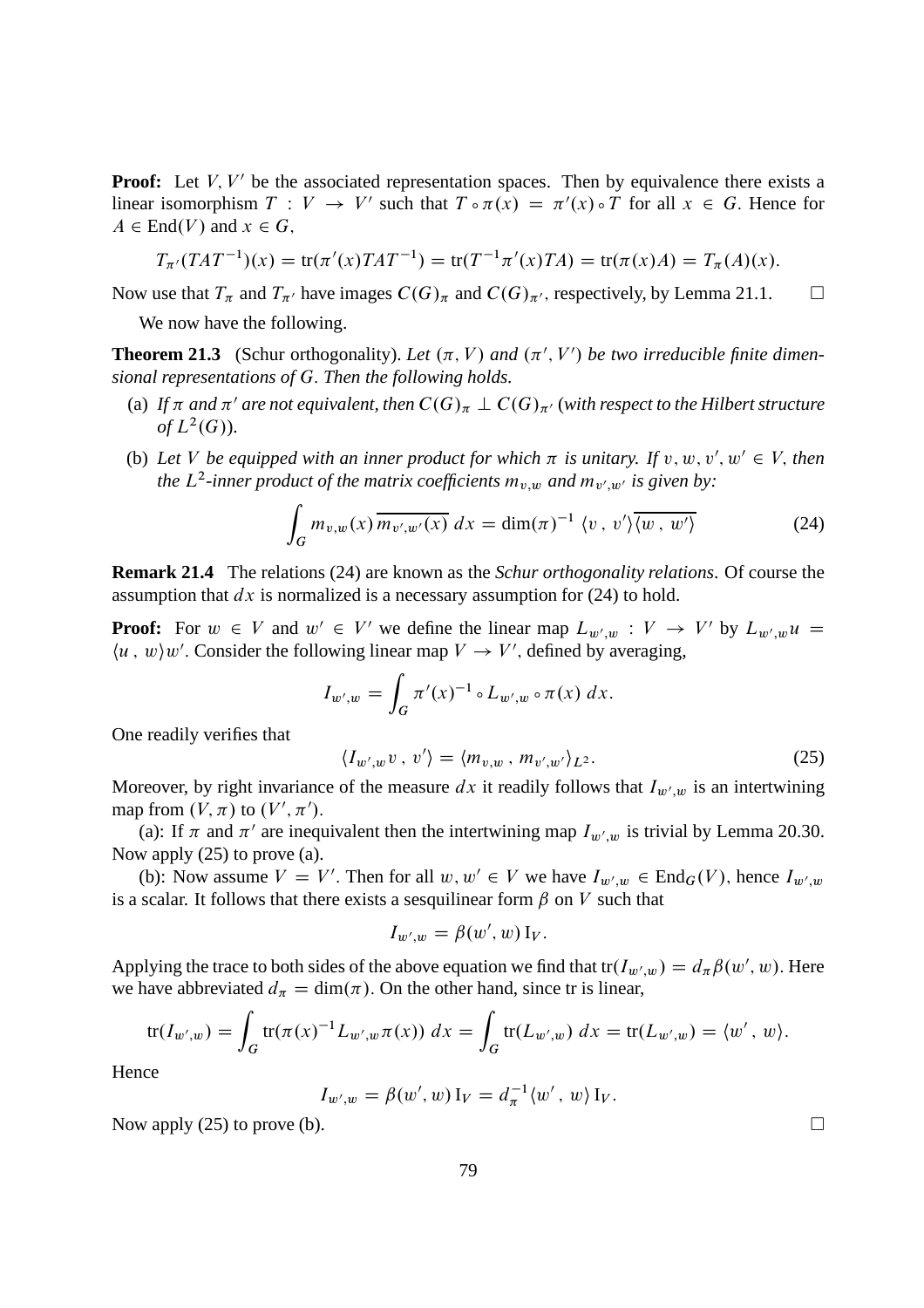**Proof:** Let  $V, V'$  be the associated representation spaces. Then by equivalence there exists a linear isomorphism  $T: V \to V'$  such that  $T \circ \pi(x) = \pi'(x) \circ T$  for all  $x \in G$ . Hence for  $A \in End(V)$  and  $x \in G$ ,

$$
T_{\pi'}(TAT^{-1})(x) = \text{tr}(\pi'(x)TAT^{-1}) = \text{tr}(T^{-1}\pi'(x)TA) = \text{tr}(\pi(x)A) = T_{\pi}(A)(x).
$$

Now use that  $T_{\pi}$  and  $T_{\pi'}$  have images  $C(G)_{\pi}$  and  $C(G)_{\pi'}$ , respectively, by Lemma 21.1.  $\square$ 

We now have the following.

**Theorem 21.3** (Schur orthogonality). Let  $(\pi, V)$  and  $(\pi', V')$  be two irreducible finite dimen*sional representations of* G: *Then the following holds.*

- (a) If  $\pi$  and  $\pi'$  are not equivalent, then  $C(G)_{\pi} \perp C(G)_{\pi'}$  (with respect to the Hilbert structure of  $L^2(G)$ ).
- (b) Let V be equipped with an inner product for which  $\pi$  is unitary. If  $v, w, v', w' \in V$ , then *the*  $L^2$ -inner product of the matrix coefficients  $m_{v,w}$  and  $m_{v',w'}$  is given by:

$$
\int_G m_{v,w}(x) \overline{m_{v',w'}(x)} dx = \dim(\pi)^{-1} \langle v, v' \rangle \overline{\langle w, w' \rangle}
$$
 (24)

**Remark 21.4** The relations (24) are known as the *Schur orthogonality relations*. Of course the assumption that  $dx$  is normalized is a necessary assumption for (24) to hold.

**Proof:** For  $w \in V$  and  $w' \in V'$  we define the linear map  $L_{w',w} : V \to V'$  by  $L_{w',w}u =$  $\langle u, w \rangle w'$ . Consider the following linear map  $V \to V'$ , defined by averaging,

$$
I_{w',w} = \int_G \pi'(x)^{-1} \circ L_{w',w} \circ \pi(x) \, dx.
$$

One readily verifies that

$$
\langle I_{w',w}v \, , \, v' \rangle = \langle m_{v,w} \, , \, m_{v',w'} \rangle_{L^2}.\tag{25}
$$

Moreover, by right invariance of the measure dx it readily follows that  $I_{w',w}$  is an intertwining map from  $(V, \pi)$  to  $(V', \pi').$ 

(a): If  $\pi$  and  $\pi'$  are inequivalent then the intertwining map  $I_{w',w}$  is trivial by Lemma 20.30. Now apply (25) to prove (a).

(b): Now assume  $V = V'$ . Then for all  $w, w' \in V$  we have  $I_{w',w} \in \text{End}_G(V)$ , hence  $I_{w',w}$ is a scalar. It follows that there exists a sesquilinear form  $\beta$  on V such that

$$
I_{w',w} = \beta(w',w) \mathbf{I}_V.
$$

Applying the trace to both sides of the above equation we find that  $tr(I_{w',w}) = d_{\pi}\beta(w', w)$ . Here we have abbreviated  $d_{\pi} = \dim(\pi)$ . On the other hand, since tr is linear,

$$
\text{tr}(I_{w',w}) = \int_G \text{tr}(\pi(x)^{-1} L_{w',w} \pi(x)) \ dx = \int_G \text{tr}(L_{w',w}) \ dx = \text{tr}(L_{w',w}) = \langle w', w \rangle.
$$

Hence

$$
I_{w',w} = \beta(w', w) I_V = d_{\pi}^{-1} \langle w', w \rangle I_V.
$$

Now apply (25) to prove (b).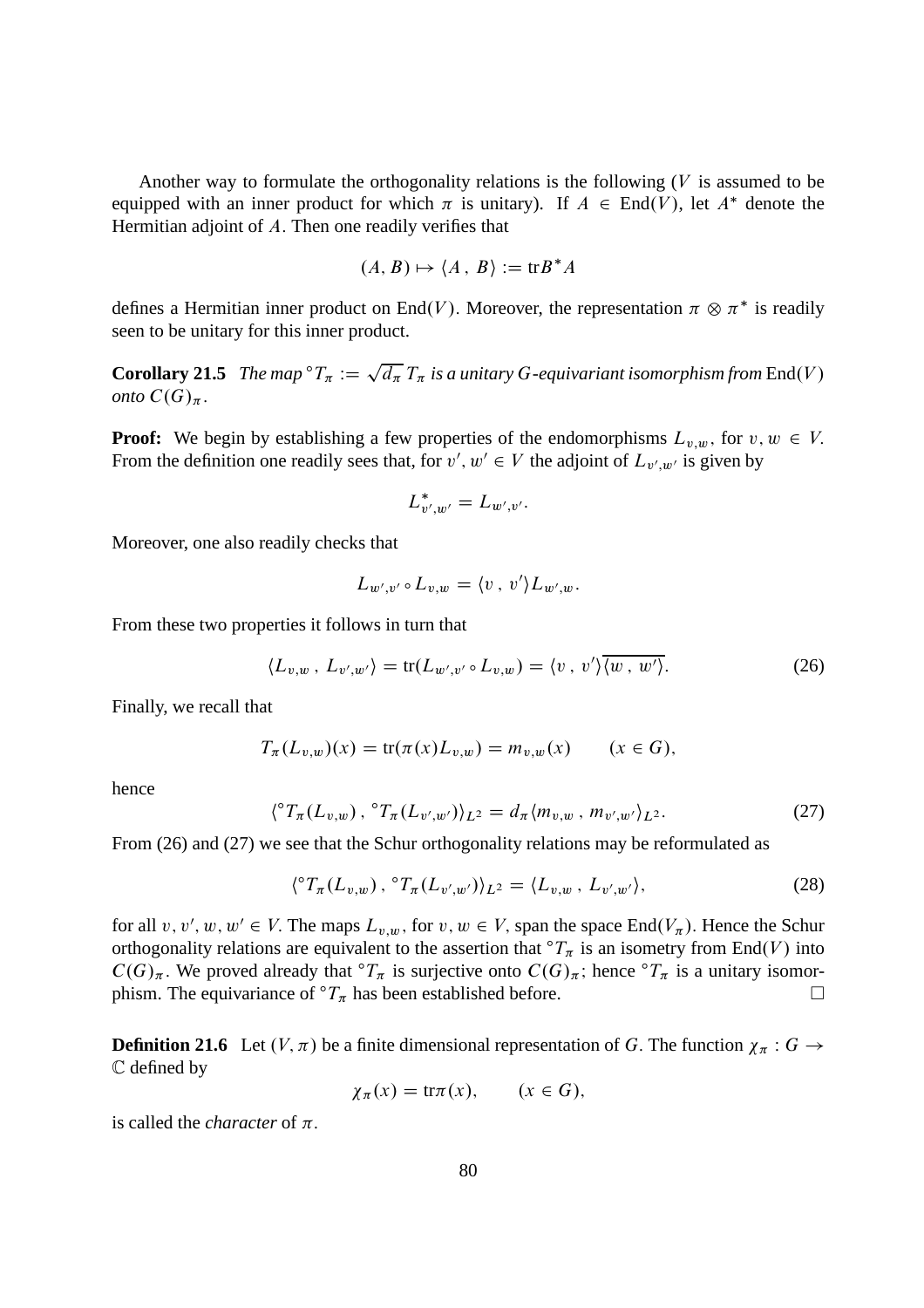Another way to formulate the orthogonality relations is the following  $(V)$  is assumed to be equipped with an inner product for which  $\pi$  is unitary). If  $A \in End(V)$ , let  $A^*$  denote the Hermitian adjoint of  $A$ . Then one readily verifies that

$$
(A, B) \mapsto \langle A, B \rangle := \text{tr} B^* A
$$

defines a Hermitian inner product on End $(V)$ . Moreover, the representation  $\pi \otimes \pi^*$  is readily seen to be unitary for this inner product.

**Corollary 21.5** *The map*  ${}^{\circ}T_{\pi} := \sqrt{d_{\pi}} T_{\pi}$  *is a unitary G-equivariant isomorphism from* End(V) *onto*  $C(G)_{\pi}$ .

**Proof:** We begin by establishing a few properties of the endomorphisms  $L_{v,w}$ , for  $v, w \in V$ . From the definition one readily sees that, for  $v', w' \in V$  the adjoint of  $L_{v',w'}$  is given by

$$
L^*_{v',w'}=L_{w',v'}.
$$

Moreover, one also readily checks that

$$
L_{w',v'} \circ L_{v,w} = \langle v \, , \, v' \rangle L_{w',w}.
$$

From these two properties it follows in turn that

$$
\langle L_{v,w}, L_{v',w'} \rangle = \text{tr}(L_{w',v'} \circ L_{v,w}) = \langle v, v' \rangle \overline{\langle w, w' \rangle}.
$$
 (26)

Finally, we recall that

$$
T_{\pi}(L_{v,w})(x) = \text{tr}(\pi(x)L_{v,w}) = m_{v,w}(x) \qquad (x \in G),
$$

hence

$$
\langle \,^{\circ}T_{\pi}(L_{v,w}) \, , \,^{\circ}T_{\pi}(L_{v',w'}) \rangle_{L^{2}} = d_{\pi}\langle m_{v,w} \, , \, m_{v',w'} \rangle_{L^{2}}.
$$

From (26) and (27) we see that the Schur orthogonality relations may be reformulated as

$$
\langle {}^{\circ}T_{\pi}(L_{v,w})\, , \, {}^{\circ}T_{\pi}(L_{v',w'})\rangle_{L^{2}} = \langle L_{v,w}\, , \, L_{v',w'}\rangle, \tag{28}
$$

for all  $v, v', w, w' \in V$ . The maps  $L_{v,w}$ , for  $v, w \in V$ , span the space End $(V_{\pi})$ . Hence the Schur orthogonality relations are equivalent to the assertion that  ${}^{\circ}T_{\pi}$  is an isometry from End(V) into  $C(G)_{\pi}$ . We proved already that  ${}^{\circ}T_{\pi}$  is surjective onto  $C(G)_{\pi}$ ; hence  ${}^{\circ}T_{\pi}$  is a unitary isomor-<br>phism. The equivariance of  ${}^{\circ}T_{\pi}$  has been established before. phism. The equivariance of  ${}^{\circ}T_{\pi}$  has been established before.

**Definition 21.6** Let  $(V, \pi)$  be a finite dimensional representation of G. The function  $\chi_{\pi}: G \to$ C defined by

$$
\chi_{\pi}(x) = \operatorname{tr}\pi(x), \qquad (x \in G),
$$

is called the *character* of  $\pi$ .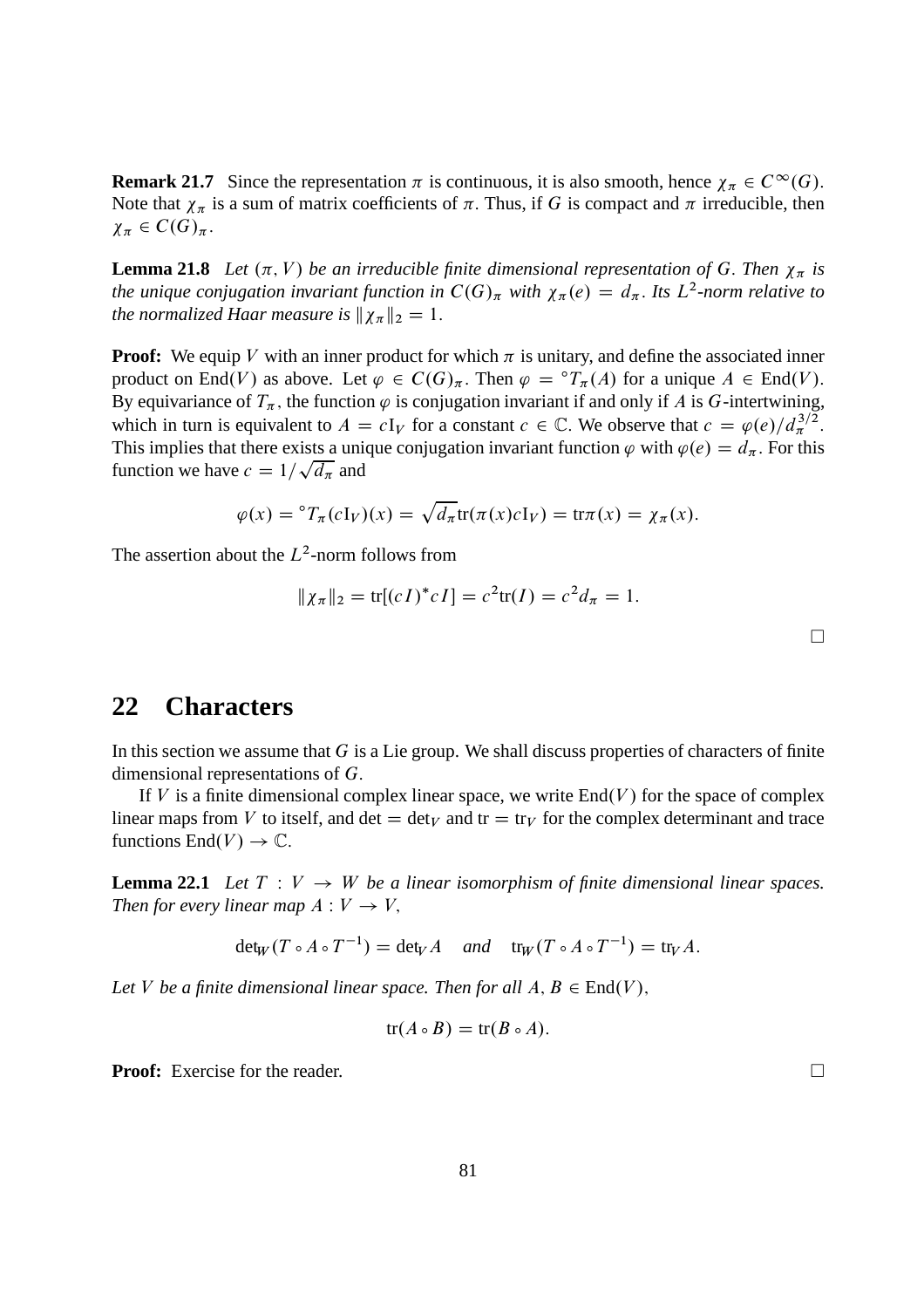**Remark 21.7** Since the representation  $\pi$  is continuous, it is also smooth, hence  $\chi_{\pi} \in C^{\infty}(G)$ . Note that  $\chi_{\pi}$  is a sum of matrix coefficients of  $\pi$ . Thus, if G is compact and  $\pi$  irreducible, then  $\chi_{\pi} \in C(G)_{\pi}.$ 

**Lemma 21.8** Let  $(\pi, V)$  be an irreducible finite dimensional representation of G. Then  $\chi_{\pi}$  is *the unique conjugation invariant function in*  $C(G)_{\pi}$  with  $\chi_{\pi}(e) = d_{\pi}$ . Its  $L^2$ -norm relative to *the normalized Haar measure is*  $\|\chi_{\pi}\|_2 = 1$ .

**Proof:** We equip V with an inner product for which  $\pi$  is unitary, and define the associated inner product on End(V) as above. Let  $\varphi \in C(G)_{\pi}$ . Then  $\varphi = {}^{\circ}T_{\pi}(A)$  for a unique  $A \in End(V)$ . By equivariance of  $T_{\pi}$ , the function  $\varphi$  is conjugation invariant if and only if A is G-intertwining, which in turn is equivalent to  $A = cI_V$  for a constant  $c \in \mathbb{C}$ . We observe that  $c = \varphi(e)/d_{\pi}^{3/2}$ . This implies that there exists a unique conjugation invariant function  $\varphi$  with  $\varphi(e) = d_{\pi}$ . For this function we have  $c = 1/\sqrt{d_{\pi}}$  and

$$
\varphi(x) = {}^{\circ}T_{\pi}(cI_V)(x) = \sqrt{d_{\pi}} \text{tr}(\pi(x)cI_V) = \text{tr}\pi(x) = \chi_{\pi}(x).
$$

The assertion about the  $L^2$ -norm follows from

$$
\|\chi_{\pi}\|_2 = \text{tr}[(cI)^* cI] = c^2 \text{tr}(I) = c^2 d_{\pi} = 1.
$$

### **22 Characters**

In this section we assume that  $G$  is a Lie group. We shall discuss properties of characters of finite dimensional representations of G:

If V is a finite dimensional complex linear space, we write  $End(V)$  for the space of complex linear maps from V to itself, and det  $=\det_V$  and tr  $=\operatorname{tr}_V$  for the complex determinant and trace functions  $End(V) \to \mathbb{C}$ .

**Lemma 22.1** Let  $T: V \rightarrow W$  be a linear isomorphism of finite dimensional linear spaces. *Then for every linear map*  $A: V \rightarrow V$ ,

 $\det_W(T \circ A \circ T^{-1}) = \det_V A$  *and*  $\operatorname{tr}_W(T \circ A \circ T^{-1}) = \operatorname{tr}_V A$ .

Let V be a finite dimensional linear space. Then for all  $A, B \in End(V)$ ,

$$
tr(A \circ B) = tr(B \circ A).
$$

**Proof:** Exercise for the reader. □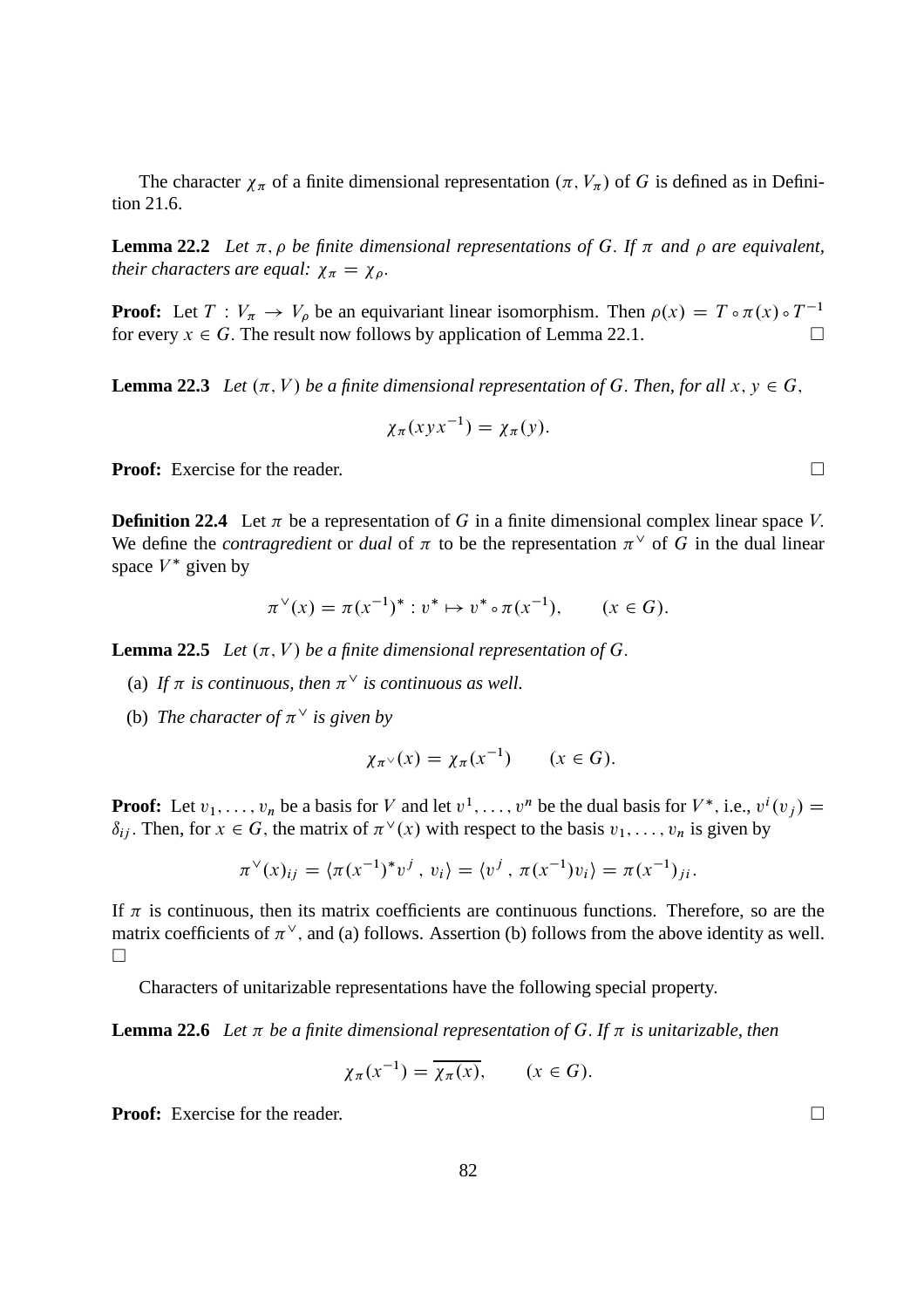The character  $\chi_{\pi}$  of a finite dimensional representation  $(\pi, V_{\pi})$  of G is defined as in Definition 21.6.

**Lemma 22.2** *Let*  $\pi$ ,  $\rho$  *be finite dimensional representations of* G. If  $\pi$  *and*  $\rho$  *are equivalent, their characters are equal:*  $\chi_{\pi} = \chi_{\rho}$ .

**Proof:** Let  $T: V_{\pi} \to V_{\rho}$  be an equivariant linear isomorphism. Then  $\rho(x) = T \circ \pi(x) \circ T^{-1}$ for every  $x \in G$ . The result now follows by application of Lemma 22.1.

**Lemma 22.3** *Let*  $(\pi, V)$  *be a finite dimensional representation of G. Then, for all*  $x, y \in G$ ,

$$
\chi_{\pi}(xyx^{-1}) = \chi_{\pi}(y).
$$

**Proof:** Exercise for the reader. □

**Definition 22.4** Let  $\pi$  be a representation of G in a finite dimensional complex linear space V. We define the *contragredient* or *dual* of  $\pi$  to be the representation  $\pi^{\vee}$  of G in the dual linear space  $V^*$  given by

$$
\pi^{\vee}(x) = \pi(x^{-1})^* : v^* \mapsto v^* \circ \pi(x^{-1}), \qquad (x \in G).
$$

**Lemma 22.5** *Let*  $(\pi, V)$  *be a finite dimensional representation of G.* 

- (a) If  $\pi$  is continuous, then  $\pi^{\vee}$  is continuous as well.
- (b) The character of  $\pi^{\vee}$  is given by

$$
\chi_{\pi^{\vee}}(x) = \chi_{\pi}(x^{-1}) \qquad (x \in G).
$$

**Proof:** Let  $v_1, \ldots, v_n$  be a basis for V and let  $v^1, \ldots, v^n$  be the dual basis for  $V^*$ , i.e.,  $v^i(v_j)$  =  $\delta_{ij}$ . Then, for  $x \in G$ , the matrix of  $\pi^{\vee}(x)$  with respect to the basis  $v_1, \ldots, v_n$  is given by

$$
\pi^{\vee}(x)_{ij} = \langle \pi(x^{-1})^* v^j, v_i \rangle = \langle v^j, \pi(x^{-1}) v_i \rangle = \pi(x^{-1})_{ji}.
$$

If  $\pi$  is continuous, then its matrix coefficients are continuous functions. Therefore, so are the matrix coefficients of  $\pi^{\vee}$ , and (a) follows. Assertion (b) follows from the above identity as well.  $\Box$ 

Characters of unitarizable representations have the following special property.

**Lemma 22.6** Let  $\pi$  be a finite dimensional representation of G. If  $\pi$  is unitarizable, then

$$
\chi_{\pi}(x^{-1}) = \overline{\chi_{\pi}(x)}, \qquad (x \in G).
$$

**Proof:** Exercise for the reader. □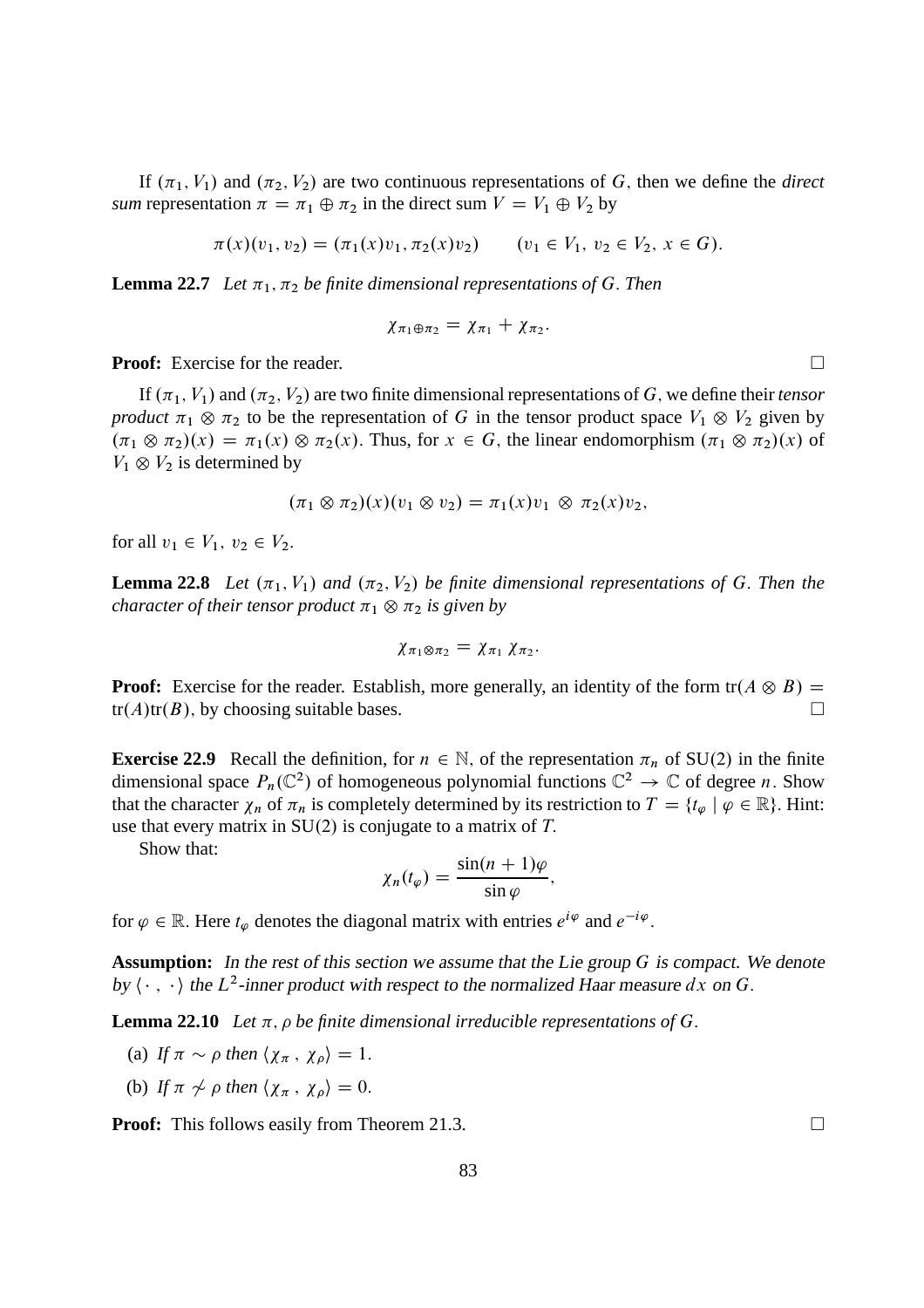If  $(\pi_1, V_1)$  and  $(\pi_2, V_2)$  are two continuous representations of G, then we define the *direct sum* representation  $\pi = \pi_1 \oplus \pi_2$  in the direct sum  $V = V_1 \oplus V_2$  by

$$
\pi(x)(v_1, v_2) = (\pi_1(x)v_1, \pi_2(x)v_2) \qquad (v_1 \in V_1, v_2 \in V_2, x \in G).
$$

**Lemma 22.7** *Let*  $\pi_1$ ,  $\pi_2$  *be finite dimensional representations of G. Then* 

$$
\chi_{\pi_1\oplus\pi_2}=\chi_{\pi_1}+\chi_{\pi_2}.
$$

**Proof:** Exercise for the reader. □

If  $(\pi_1, V_1)$  and  $(\pi_2, V_2)$  are two finite dimensional representations of G, we define their *tensor product*  $\pi_1 \otimes \pi_2$  to be the representation of G in the tensor product space  $V_1 \otimes V_2$  given by  $(\pi_1 \otimes \pi_2)(x) = \pi_1(x) \otimes \pi_2(x)$ . Thus, for  $x \in G$ , the linear endomorphism  $(\pi_1 \otimes \pi_2)(x)$  of  $V_1 \otimes V_2$  is determined by

$$
(\pi_1 \otimes \pi_2)(x)(v_1 \otimes v_2) = \pi_1(x)v_1 \otimes \pi_2(x)v_2,
$$

for all  $v_1 \in V_1$ ,  $v_2 \in V_2$ .

**Lemma 22.8** *Let*  $(\pi_1, V_1)$  *and*  $(\pi_2, V_2)$  *be finite dimensional representations of* G. *Then the character of their tensor product*  $\pi_1 \otimes \pi_2$  *is given by* 

$$
\chi_{\pi_1\otimes\pi_2}=\chi_{\pi_1}\,\chi_{\pi_2}.
$$

**Proof:** Exercise for the reader. Establish, more generally, an identity of the form  $tr(A \otimes B) = tr(A)tr(B)$  by choosing suitable bases  $tr(A)tr(B)$ , by choosing suitable bases.

**Exercise 22.9** Recall the definition, for  $n \in \mathbb{N}$ , of the representation  $\pi_n$  of SU(2) in the finite dimensional space  $P_n(\mathbb{C}^2)$  of homogeneous polynomial functions  $\mathbb{C}^2 \to \mathbb{C}$  of degree *n*. Show that the character  $\chi_n$  of  $\pi_n$  is completely determined by its restriction to  $T = \{t_{\varphi} \mid \varphi \in \mathbb{R}\}\.$  Hint: use that every matrix in  $SU(2)$  is conjugate to a matrix of T.

Show that:

$$
\chi_n(t_\varphi)=\frac{\sin((n+1)\varphi)}{\sin\varphi},
$$

for  $\varphi \in \mathbb{R}$ . Here  $t_{\varphi}$  denotes the diagonal matrix with entries  $e^{i\varphi}$  and  $e^{-i\varphi}$ .

**Assumption:** In the rest of this section we assume that the Lie group G is compact. We denote by  $\langle \cdot, \cdot \rangle$  the  $L^2$ -inner product with respect to the normalized Haar measure dx on G.

**Lemma 22.10** Let  $\pi$ ,  $\rho$  be finite dimensional irreducible representations of G.

(a) If 
$$
\pi \sim \rho
$$
 then  $\langle \chi_{\pi}, \chi_{\rho} \rangle = 1$ .

(b) If  $\pi \nsim \rho$  then  $\langle \chi_{\pi}, \chi_{\rho} \rangle = 0$ .

**Proof:** This follows easily from Theorem 21.3. □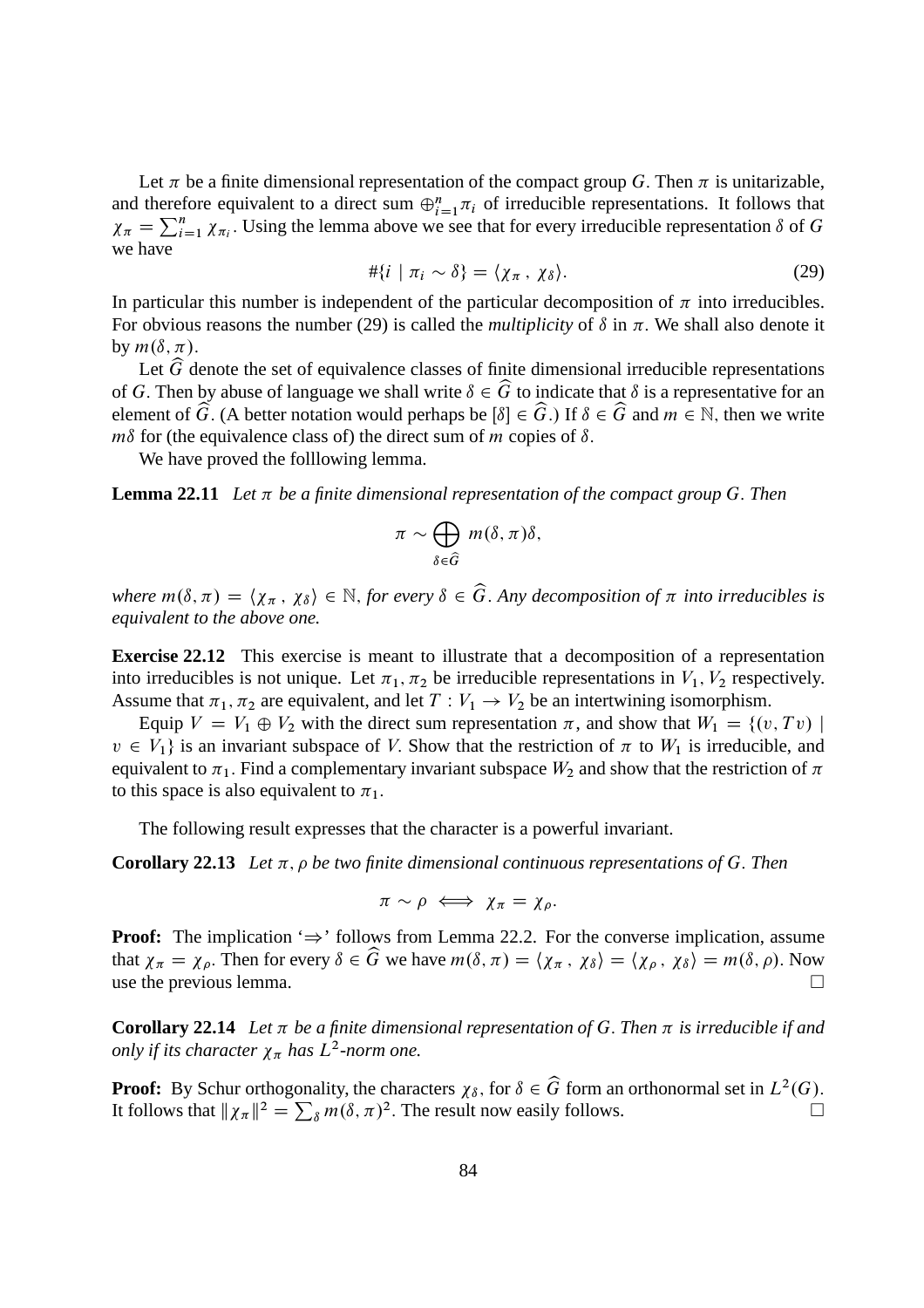Let  $\pi$  be a finite dimensional representation of the compact group G. Then  $\pi$  is unitarizable, and therefore equivalent to a direct sum  $\bigoplus_{i=1}^{n} \pi_i$  of irreducible representations. It follows that  $\chi_{\pi} = \sum_{i=1}^{n} \chi_{\pi_i}$ . Using the lemma above we see that for every irreducible representation  $\delta$  of G we have

$$
\#\{i \mid \pi_i \sim \delta\} = \langle \chi_{\pi}, \chi_{\delta} \rangle. \tag{29}
$$

In particular this number is independent of the particular decomposition of  $\pi$  into irreducibles. For obvious reasons the number (29) is called the *multiplicity* of  $\delta$  in  $\pi$ . We shall also denote it by  $m(\delta, \pi)$ .

Let  $\widehat{G}$  denote the set of equivalence classes of finite dimensional irreducible representations of G. Then by abuse of language we shall write  $\delta \in \widehat{G}$  to indicate that  $\delta$  is a representative for an element of  $\widehat{G}$ . (A better notation would perhaps be  $\delta | \in \widehat{G}$ .) If  $\delta \in \widehat{G}$  and  $m \in \mathbb{N}$ , then we write  $m\delta$  for (the equivalence class of) the direct sum of m copies of  $\delta$ .

We have proved the folllowing lemma.

**Lemma 22.11** Let  $\pi$  be a finite dimensional representation of the compact group G. Then

$$
\pi \sim \bigoplus_{\delta \in \widehat{G}} m(\delta, \pi) \delta,
$$

*where*  $m(\delta, \pi) = \langle \chi_{\pi}, \chi_{\delta} \rangle \in \mathbb{N}$ , *for every*  $\delta \in \widehat{G}$ . Any decomposition of  $\pi$  into irreducibles is *equivalent to the above one.*

**Exercise 22.12** This exercise is meant to illustrate that a decomposition of a representation into irreducibles is not unique. Let  $\pi_1$ ,  $\pi_2$  be irreducible representations in  $V_1$ ,  $V_2$  respectively. Assume that  $\pi_1$ ,  $\pi_2$  are equivalent, and let  $T : V_1 \to V_2$  be an intertwining isomorphism.

Equip  $V = V_1 \oplus V_2$  with the direct sum representation  $\pi$ , and show that  $W_1 = \{(v, Tv) \mid$  $v \in V_1$  is an invariant subspace of V. Show that the restriction of  $\pi$  to  $W_1$  is irreducible, and equivalent to  $\pi_1$ . Find a complementary invariant subspace  $W_2$  and show that the restriction of  $\pi$ to this space is also equivalent to  $\pi_1$ .

The following result expresses that the character is a powerful invariant.

**Corollary 22.13** Let  $\pi$ ,  $\rho$  be two finite dimensional continuous representations of G. Then

$$
\pi \sim \rho \iff \chi_{\pi} = \chi_{\rho}.
$$

**Proof:** The implication  $\Rightarrow$  ' follows from Lemma 22.2. For the converse implication, assume that  $\chi_{\pi} = \chi_{\rho}$ . Then for every  $\delta \in \widehat{G}$  we have  $m(\delta, \pi) = \langle \chi_{\pi}, \chi_{\delta} \rangle = \langle \chi_{\rho}, \chi_{\delta} \rangle = m(\delta, \rho)$ . Now use the previous lemma. use the previous lemma.

**Corollary 22.14** Let  $\pi$  be a finite dimensional representation of G. Then  $\pi$  is irreducible if and *only if its character*  $\chi_{\pi}$  *has*  $L^2$ -norm one.

**Proof:** By Schur orthogonality, the characters  $\chi_{\delta}$ , for  $\delta \in \widehat{G}$  form an orthonormal set in  $L^2(G)$ . It follows that  $\|\chi_{\pi}\|^2 = \sum_{\delta} m(\delta, \pi)^2$ . The result now easily follows.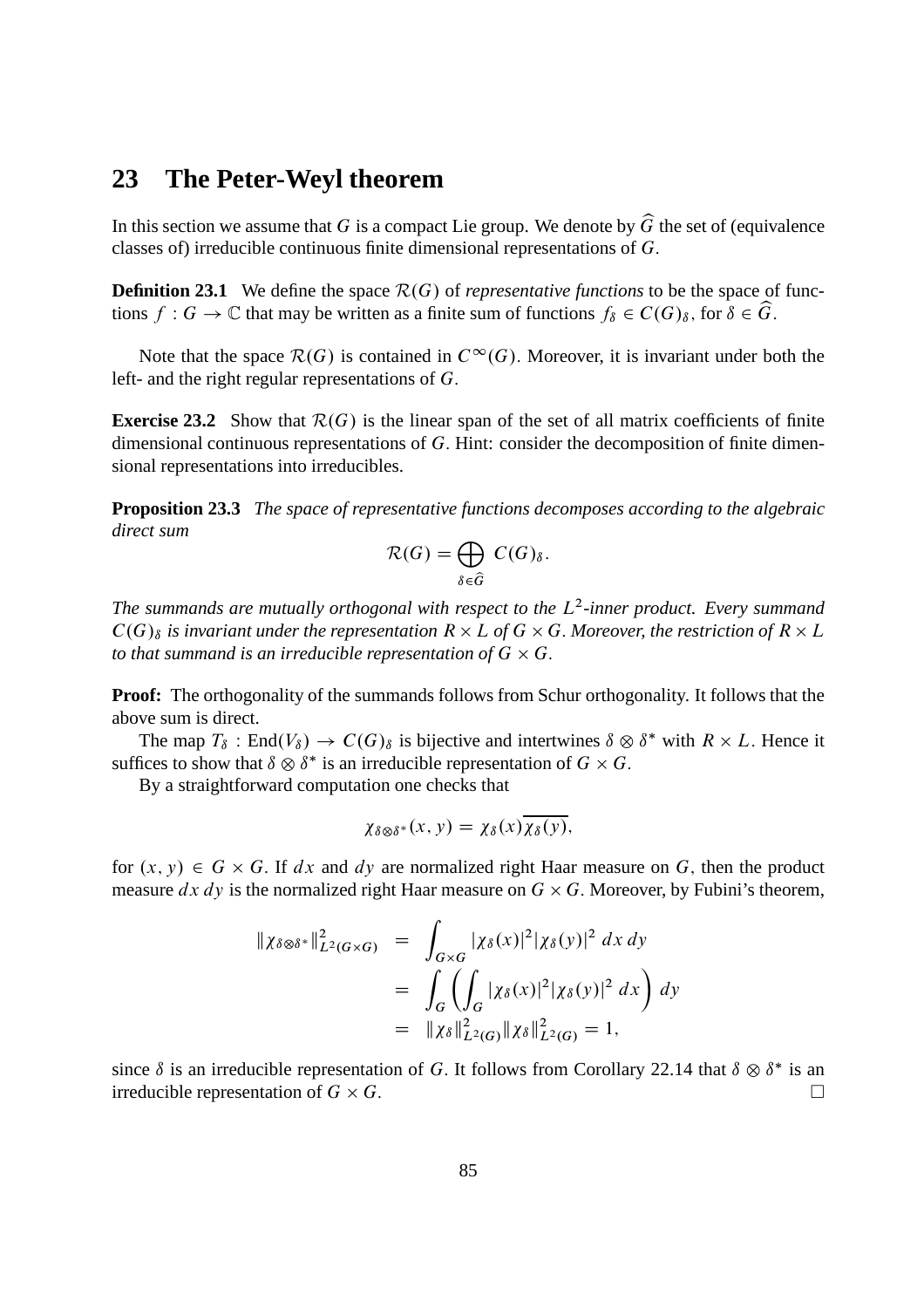#### **23 The Peter-Weyl theorem**

In this section we assume that G is a compact Lie group. We denote by  $\widehat{G}$  the set of (equivalence classes of) irreducible continuous finite dimensional representations of G:

**Definition 23.1** We define the space  $\mathcal{R}(G)$  of *representative functions* to be the space of functions  $f: G \to \mathbb{C}$  that may be written as a finite sum of functions  $f_{\delta} \in C(G)_{\delta}$ , for  $\delta \in \widehat{G}$ .

Note that the space  $\mathcal{R}(G)$  is contained in  $C^{\infty}(G)$ . Moreover, it is invariant under both the left- and the right regular representations of G:

**Exercise 23.2** Show that  $\mathcal{R}(G)$  is the linear span of the set of all matrix coefficients of finite dimensional continuous representations of G. Hint: consider the decomposition of finite dimensional representations into irreducibles.

**Proposition 23.3** *The space of representative functions decomposes according to the algebraic direct sum*

$$
\mathcal{R}(G) = \bigoplus_{\delta \in \widehat{G}} C(G)_{\delta}.
$$

The summands are mutually orthogonal with respect to the L<sup>2</sup>-inner product. Every summand  $C(G)_{\delta}$  is invariant under the representation  $R \times L$  of  $G \times G$ . Moreover, the restriction of  $R \times L$ to that summand is an irreducible representation of  $G\times G.$ 

**Proof:** The orthogonality of the summands follows from Schur orthogonality. It follows that the above sum is direct.

The map  $T_{\delta}$ : End $(V_{\delta}) \to C(G)_{\delta}$  is bijective and intertwines  $\delta \otimes \delta^*$  with  $R \times L$ . Hence it suffices to show that  $\delta \otimes \delta^*$  is an irreducible representation of  $G \times G$ .

By a straightforward computation one checks that

$$
\chi_{\delta\otimes\delta^*}(x,y)=\chi_{\delta}(x)\chi_{\delta}(y),
$$

for  $(x, y) \in G \times G$ . If dx and dy are normalized right Haar measure on G, then the product measure  $dx dy$  is the normalized right Haar measure on  $G \times G$ . Moreover, by Fubini's theorem,

$$
\|\chi_{\delta \otimes \delta^*}\|_{L^2(G \times G)}^2 = \int_{G \times G} |\chi_{\delta}(x)|^2 |\chi_{\delta}(y)|^2 dx dy
$$
  
= 
$$
\int_G \left( \int_G |\chi_{\delta}(x)|^2 |\chi_{\delta}(y)|^2 dx \right) dy
$$
  
= 
$$
\|\chi_{\delta}\|_{L^2(G)}^2 \|\chi_{\delta}\|_{L^2(G)}^2 = 1,
$$

since  $\delta$  is an irreducible representation of G. It follows from Corollary 22.14 that  $\delta \otimes \delta^*$  is an irreducible representation of  $G \times G$ .  $G.$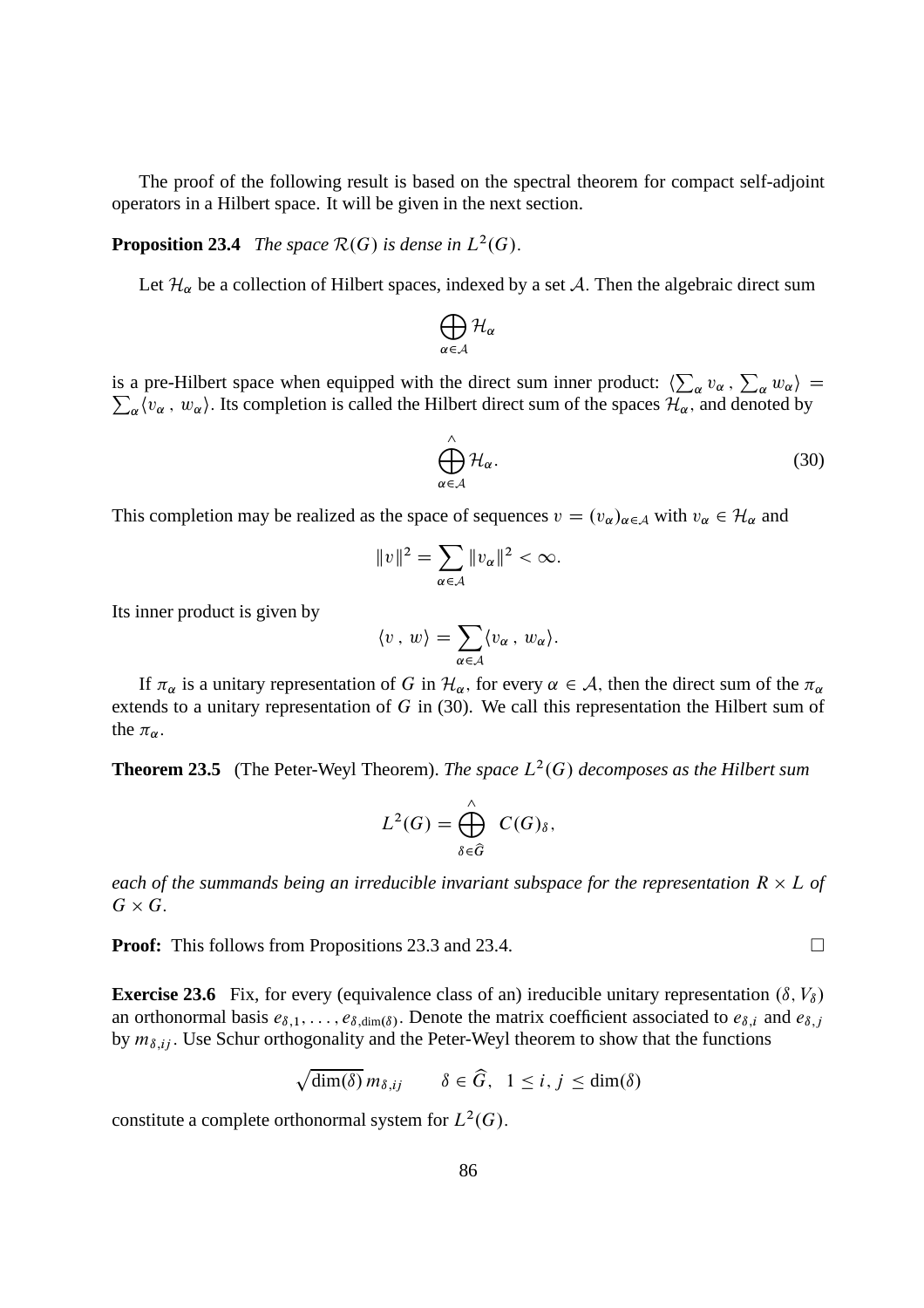The proof of the following result is based on the spectral theorem for compact self-adjoint operators in a Hilbert space. It will be given in the next section.

#### **Proposition 23.4** *The space*  $\mathcal{R}(G)$  *is dense in*  $L^2(G)$ *.*

Let  $\mathcal{H}_{\alpha}$  be a collection of Hilbert spaces, indexed by a set A. Then the algebraic direct sum

$$
\bigoplus_{\alpha\in\mathcal{A}}\mathcal{H}_\alpha
$$

is a pre-Hilbert space when equipped with the direct sum inner product:  $\langle \sum_{\alpha} v_{\alpha}, \sum_{\alpha} w_{\alpha} \rangle = \sum_{\alpha} \langle v_{\alpha}, w_{\alpha} \rangle$ . Its completion is called the Hilbert direct sum of the spaces  $\mathcal{H}_{\alpha}$ , and denoted by  $_{\alpha}(v_{\alpha}, w_{\alpha})$ . Its completion is called the Hilbert direct sum of the spaces  $\mathcal{H}_{\alpha}$ , and denoted by

$$
\bigoplus_{\alpha \in \mathcal{A}}^{\wedge} \mathcal{H}_{\alpha}.
$$
\n(30)

This completion may be realized as the space of sequences  $v = (v_\alpha)_{\alpha \in A}$  with  $v_\alpha \in \mathcal{H}_\alpha$  and

$$
||v||^2 = \sum_{\alpha \in \mathcal{A}} ||v_{\alpha}||^2 < \infty.
$$

Its inner product is given by

$$
\langle v \, , \, w \rangle = \sum_{\alpha \in A} \langle v_{\alpha} \, , \, w_{\alpha} \rangle.
$$

If  $\pi_\alpha$  is a unitary representation of G in  $\mathcal{H}_\alpha$ , for every  $\alpha \in \mathcal{A}$ , then the direct sum of the  $\pi_\alpha$ extends to a unitary representation of G in (30). We call this representation the Hilbert sum of the  $\pi_{\alpha}$ .

**Theorem 23.5** (The Peter-Weyl Theorem). *The space*  $L^2(G)$  *decomposes as the Hilbert sum* 

$$
L^2(G) = \bigoplus_{\delta \in \widehat{G}}^{\wedge} C(G)_{\delta},
$$

each of the summands being an irreducible invariant subspace for the representation  $R \times L$  of  $G\times G.$ 

**Proof:** This follows from Propositions 23.3 and 23.4. □

**Exercise 23.6** Fix, for every (equivalence class of an) ireducible unitary representation  $(\delta, V_{\delta})$ an orthonormal basis  $e_{\delta,1}, \ldots, e_{\delta,\dim(\delta)}$ . Denote the matrix coefficient associated to  $e_{\delta,i}$  and  $e_{\delta,j}$ by  $m_{\delta,ij}$ . Use Schur orthogonality and the Peter-Weyl theorem to show that the functions

$$
\sqrt{\dim(\delta)} m_{\delta,ij} \qquad \delta \in \widehat{G}, \ \ 1 \le i,j \le \dim(\delta)
$$

constitute a complete orthonormal system for  $L^2(G)$ .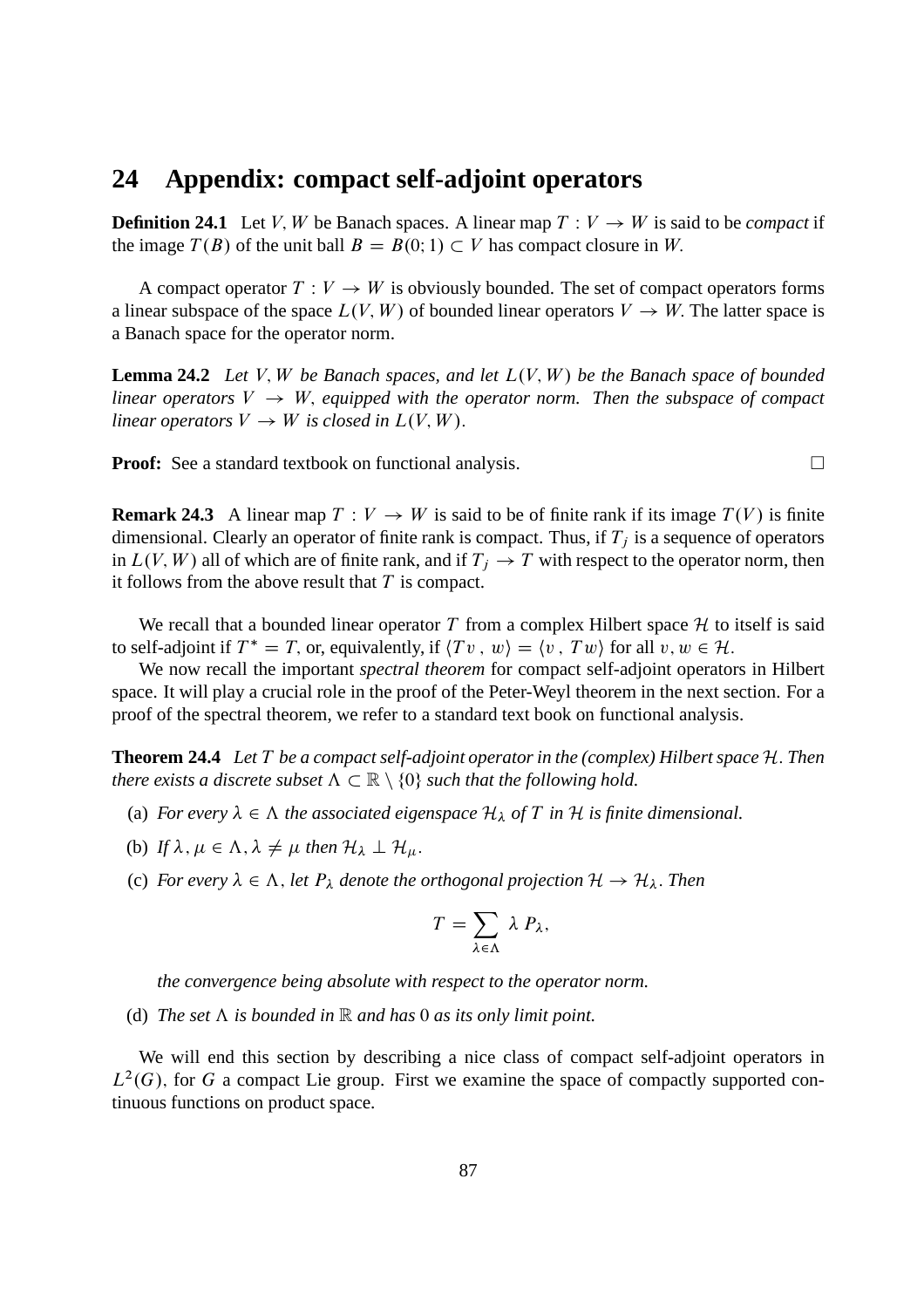#### **24 Appendix: compact self-adjoint operators**

**Definition 24.1** Let V, W be Banach spaces. A linear map  $T: V \rightarrow W$  is said to be *compact* if the image  $T(B)$  of the unit ball  $B = B(0, 1) \subset V$  has compact closure in W.

A compact operator  $T: V \to W$  is obviously bounded. The set of compact operators forms a linear subspace of the space  $L(V, W)$  of bounded linear operators  $V \to W$ . The latter space is a Banach space for the operator norm.

**Lemma 24.2** *Let* V, W *be Banach spaces, and let*  $L(V, W)$  *be the Banach space of bounded linear operators*  $V \rightarrow W$ , *equipped with the operator norm. Then the subspace of compact linear operators*  $V \to W$  *is closed in*  $L(V, W)$ .

**Proof:** See a standard textbook on functional analysis. □

**Remark 24.3** A linear map  $T: V \to W$  is said to be of finite rank if its image  $T(V)$  is finite dimensional. Clearly an operator of finite rank is compact. Thus, if  $T_i$  is a sequence of operators in  $L(V, W)$  all of which are of finite rank, and if  $T_i \to T$  with respect to the operator norm, then it follows from the above result that  $T$  is compact.

We recall that a bounded linear operator T from a complex Hilbert space  $H$  to itself is said to self-adjoint if  $T^* = T$ , or, equivalently, if  $\langle Tv, w \rangle = \langle v, Tw \rangle$  for all  $v, w \in \mathcal{H}$ .

We now recall the important *spectral theorem* for compact self-adjoint operators in Hilbert space. It will play a crucial role in the proof of the Peter-Weyl theorem in the next section. For a proof of the spectral theorem, we refer to a standard text book on functional analysis.

**Theorem 24.4** Let T be a compact self-adjoint operator in the (complex) Hilbert space H. Then *there exists a discrete subset*  $\Lambda \subset \mathbb{R} \setminus \{0\}$  *such that the following hold.* 

- (a) *For every*  $\lambda \in \Lambda$  *the associated eigenspace*  $\mathcal{H}_{\lambda}$  *of T in*  $\mathcal{H}$  *is finite dimensional.*
- (b) If  $\lambda, \mu \in \Lambda, \lambda \neq \mu$  then  $\mathcal{H}_{\lambda} \perp \mathcal{H}_{\mu}$ .
- (c) *For every*  $\lambda \in \Lambda$ , *let*  $P_{\lambda}$  *denote the orthogonal projection*  $\mathcal{H} \to \mathcal{H}_{\lambda}$ *. Then*

$$
T=\sum_{\lambda\in\Lambda}\lambda P_{\lambda},
$$

*the convergence being absolute with respect to the operator norm.*

(d) The set  $\Lambda$  is bounded in  $\mathbb R$  and has 0 as its only limit point.

We will end this section by describing a nice class of compact self-adjoint operators in  $L^2(G)$ , for G a compact Lie group. First we examine the space of compactly supported continuous functions on product space.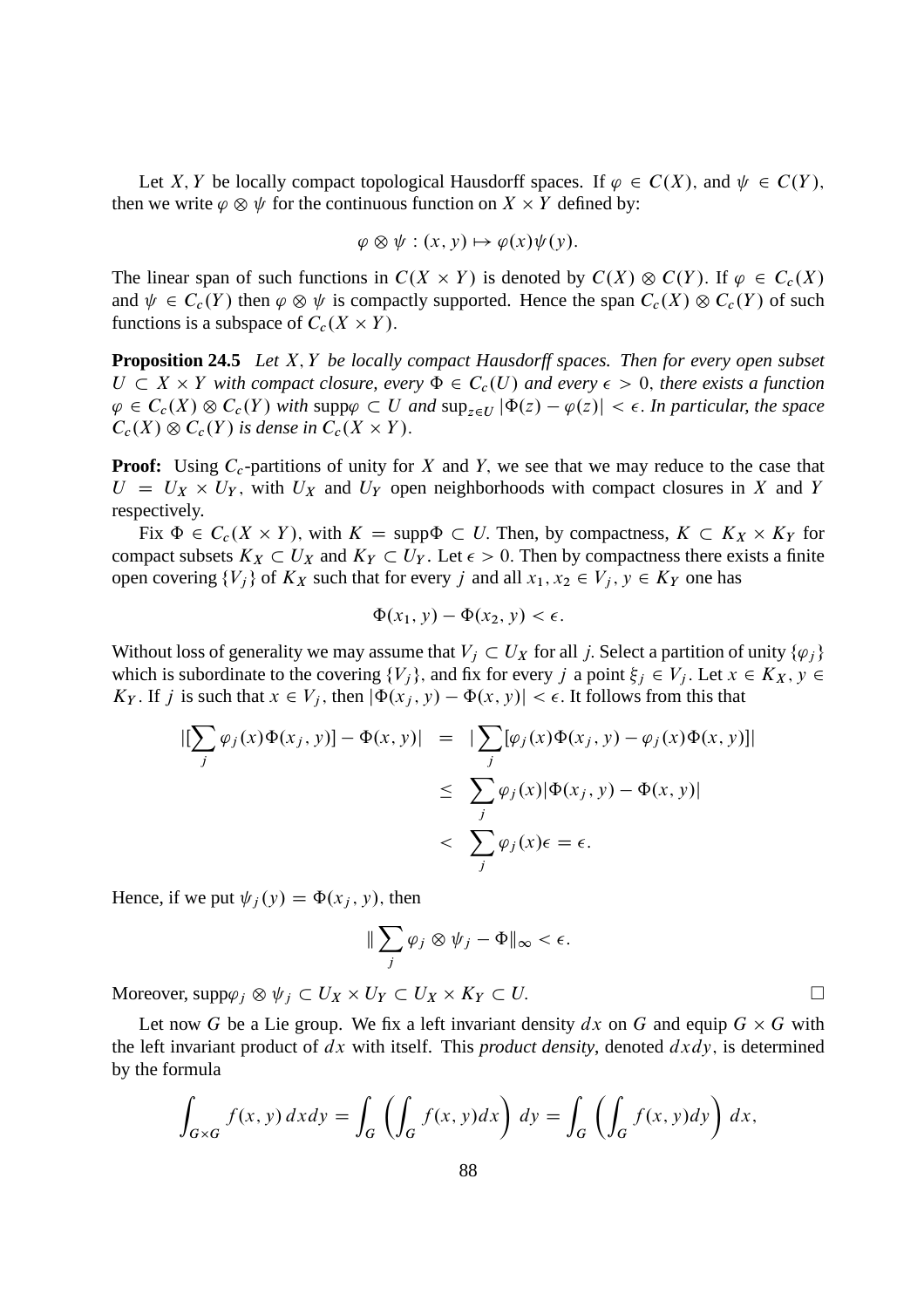Let X, Y be locally compact topological Hausdorff spaces. If  $\varphi \in C(X)$ , and  $\psi \in C(Y)$ . then we write  $\varphi \otimes \psi$  for the continuous function on  $X \times Y$  defined by:

$$
\varphi \otimes \psi : (x, y) \mapsto \varphi(x)\psi(y).
$$

The linear span of such functions in  $C(X \times Y)$  is denoted by  $C(X) \otimes C(Y)$ . If  $\varphi \in C_c(X)$ and  $\psi \in C_c(Y)$  then  $\varphi \otimes \psi$  is compactly supported. Hence the span  $C_c(X) \otimes C_c(Y)$  of such functions is a subspace of  $C_c(X \times Y)$ .

**Proposition 24.5** *Let* X; Y *be locally compact Hausdorff spaces. Then for every open subset*  $U \subset X \times Y$  with compact closure, every  $\Phi \in C_c(U)$  and every  $\epsilon > 0$ , there exists a function  $\varphi \in C_c(X) \otimes C_c(Y)$  with supp $\varphi \subset U$  and  $\sup_{z \in U} |\Phi(z) - \varphi(z)| < \epsilon$ . In particular, the space  $C_c(X) \otimes C_c(Y)$  is dense in  $C_c(X \times Y)$ .

**Proof:** Using  $C_c$ -partitions of unity for X and Y, we see that we may reduce to the case that  $U = U_X \times U_Y$ , with  $U_X$  and  $U_Y$  open neighborhoods with compact closures in X and Y respectively.

Fix  $\Phi \in C_c(X \times Y)$ , with  $K = \text{supp}\Phi \subset U$ . Then, by compactness,  $K \subset K_X \times K_Y$  for compact subsets  $K_X \subset U_X$  and  $K_Y \subset U_Y$ . Let  $\epsilon > 0$ . Then by compactness there exists a finite open covering  $\{V_i\}$  of  $K_X$  such that for every j and all  $x_1, x_2 \in V_j$ ,  $y \in K_Y$  one has

$$
\Phi(x_1, y) - \Phi(x_2, y) < \epsilon.
$$

Without loss of generality we may assume that  $V_j \subset U_X$  for all j. Select a partition of unity  $\{\varphi_j\}$ which is subordinate to the covering  $\{V_i\}$ , and fix for every j a point  $\xi_i \in V_i$ . Let  $x \in K_X$ ,  $y \in$  $K_Y$ . If j is such that  $x \in V_j$ , then  $|\Phi(x_j, y) - \Phi(x, y)| < \epsilon$ . It follows from this that

$$
\begin{aligned} |[\sum_j \varphi_j(x)\Phi(x_j, y)] - \Phi(x, y)| &= | \sum_j [\varphi_j(x)\Phi(x_j, y) - \varphi_j(x)\Phi(x, y)] | \\ &\leq \sum_j \varphi_j(x) |\Phi(x_j, y) - \Phi(x, y)| \\ &< \sum_j \varphi_j(x)\epsilon = \epsilon. \end{aligned}
$$

Hence, if we put  $\psi_i(y) = \Phi(x_i, y)$ , then

$$
\|\sum_j \varphi_j \otimes \psi_j - \Phi\|_{\infty} < \epsilon.
$$

Moreover,  $\text{supp}\varphi_j \otimes \psi_j \subset U_X \times U_Y \subset U_X \times K_Y \subset U.$ 

Let now G be a Lie group. We fix a left invariant density  $dx$  on G and equip  $G \times G$  with the left invariant product of  $dx$  with itself. This *product density*, denoted  $dx dy$ , is determined by the formula

$$
\int_{G\times G} f(x, y) dx dy = \int_G \left( \int_G f(x, y) dx \right) dy = \int_G \left( \int_G f(x, y) dy \right) dx,
$$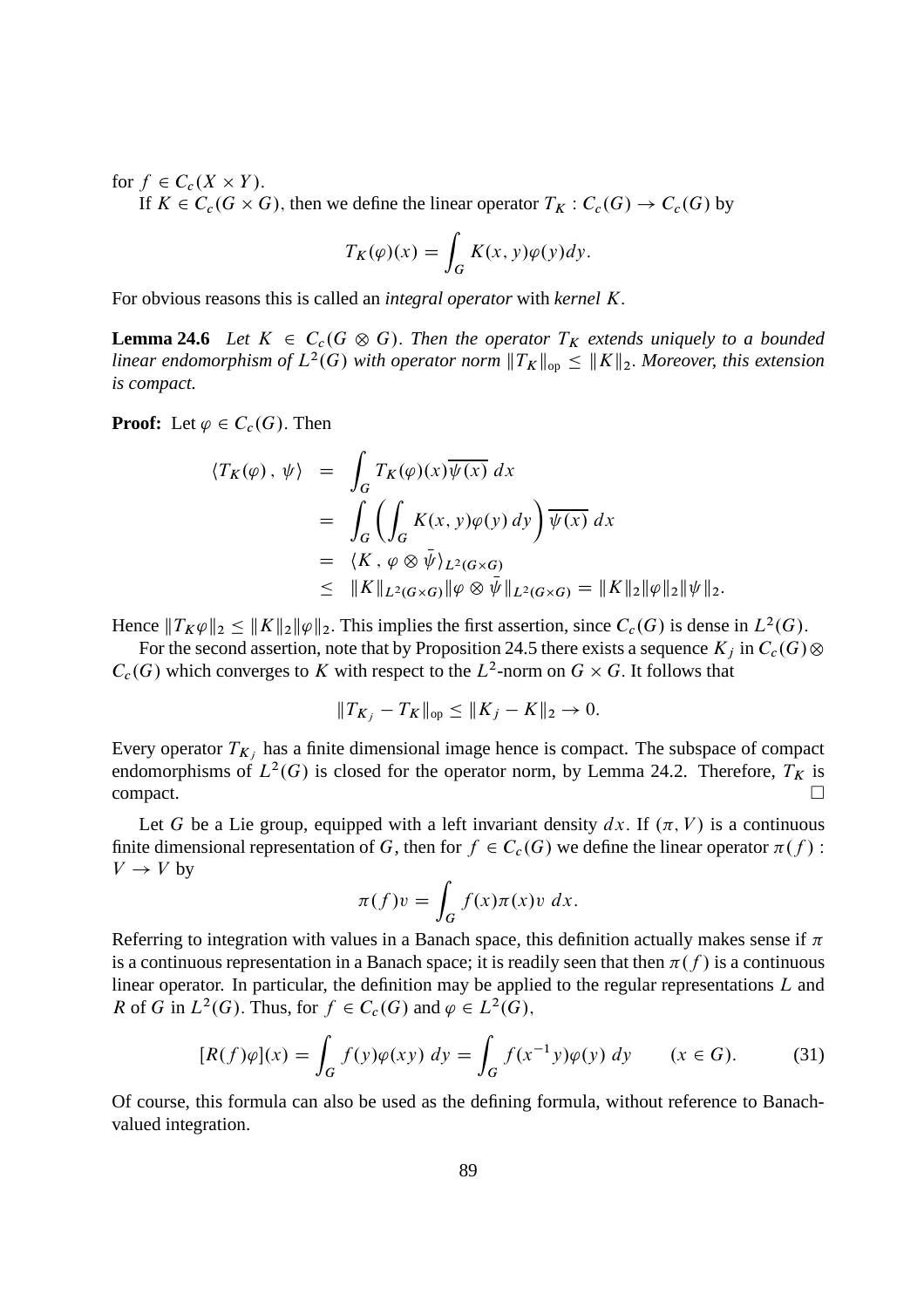for  $f \in C_c(X \times Y)$ .

If  $K \in C_c(G \times G)$ , then we define the linear operator  $T_K : C_c(G) \to C_c(G)$  by

$$
T_K(\varphi)(x) = \int_G K(x, y)\varphi(y)dy.
$$

For obvious reasons this is called an *integral operator* with *kernel* K:

**Lemma 24.6** *Let*  $K \in C_c(G \otimes G)$ . *Then the operator*  $T_K$  *extends uniquely to a bounded* linear endomorphism of  $L^2(G)$  with operator norm  $||T_K||_{\text{op}} \le ||K||_2$ . Moreover, this extension *is compact.*

**Proof:** Let  $\varphi \in C_c(G)$ . Then

$$
\langle T_K(\varphi), \psi \rangle = \int_G T_K(\varphi)(x) \overline{\psi(x)} dx
$$
  
= 
$$
\int_G \left( \int_G K(x, y) \varphi(y) dy \right) \overline{\psi(x)} dx
$$
  
= 
$$
\langle K, \varphi \otimes \overline{\psi} \rangle_{L^2(G \times G)}
$$
  

$$
\leq ||K||_{L^2(G \times G)} ||\varphi \otimes \overline{\psi}||_{L^2(G \times G)} = ||K||_2 ||\varphi||_2 ||\psi||_2.
$$

Hence  $||T_K\varphi||_2 \le ||K||_2 ||\varphi||_2$ . This implies the first assertion, since  $C_c(G)$  is dense in  $L^2(G)$ .

For the second assertion, note that by Proposition 24.5 there exists a sequence  $K_i$  in  $C_c(G)$   $\otimes$  $C_c(G)$  which converges to K with respect to the  $L^2$ -norm on  $G \times G$ . It follows that

$$
||T_{K_j} - T_K||_{op} \le ||K_j - K||_2 \to 0.
$$

Every operator  $T_{K_j}$  has a finite dimensional image hence is compact. The subspace of compact endomorphisms of  $L^2(G)$  is closed for the operator norm, by Lemma 24.2. Therefore,  $T_K$  is  $\Box$ compact.

Let G be a Lie group, equipped with a left invariant density dx. If  $(\pi, V)$  is a continuous finite dimensional representation of G, then for  $f \in C_c(G)$  we define the linear operator  $\pi(f)$ :  $V \rightarrow V$  by

$$
\pi(f)v = \int_G f(x)\pi(x)v \ dx.
$$

Referring to integration with values in a Banach space, this definition actually makes sense if  $\pi$ is a continuous representation in a Banach space; it is readily seen that then  $\pi(f)$  is a continuous linear operator. In particular, the definition may be applied to the regular representations L and R of G in  $L^2(G)$ . Thus, for  $f \in C_c(G)$  and  $\varphi \in L^2(G)$ ,

$$
[R(f)\varphi](x) = \int_G f(y)\varphi(xy) \, dy = \int_G f(x^{-1}y)\varphi(y) \, dy \qquad (x \in G). \tag{31}
$$

Of course, this formula can also be used as the defining formula, without reference to Banachvalued integration.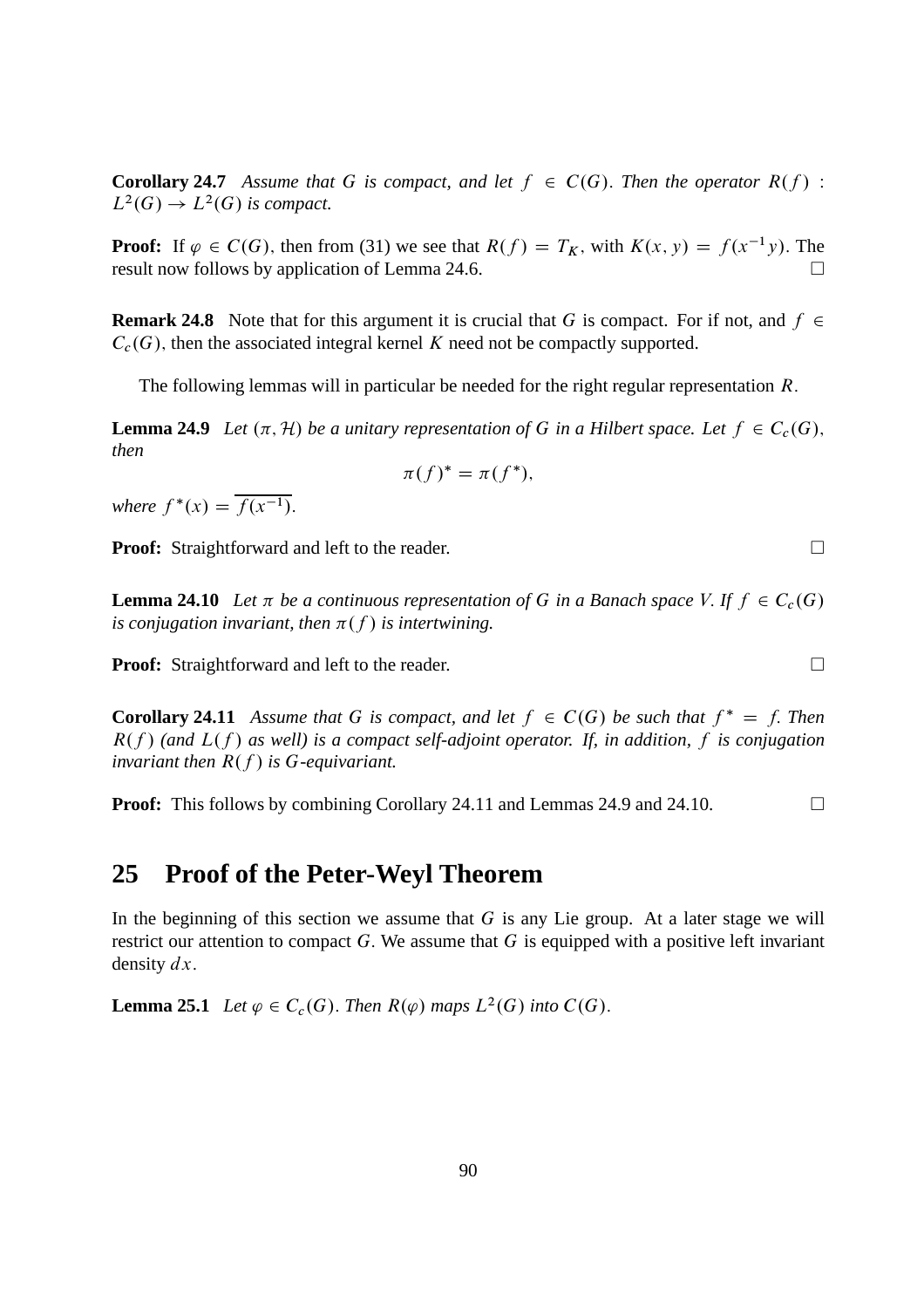**Corollary 24.7** *Assume that* G *is compact, and let*  $f \in C(G)$ *. Then the operator*  $R(f)$  :  $L^2(G) \to L^2(G)$  is compact.

**Proof:** If  $\varphi \in C(G)$ , then from (31) we see that  $R(f) = T_K$ , with  $K(x, y) = f(x^{-1}y)$ . The result now follows by application of Lemma 24.6 result now follows by application of Lemma 24.6.

**Remark 24.8** Note that for this argument it is crucial that G is compact. For if not, and  $f \in$  $C_c(G)$ , then the associated integral kernel K need not be compactly supported.

The following lemmas will in particular be needed for the right regular representation  $R$ .

**Lemma 24.9** *Let*  $(\pi, \mathcal{H})$  *be a unitary representation of* G *in a Hilbert space. Let*  $f \in C_c(G)$ , *then*

$$
\pi(f)^* = \pi(f^*),
$$

*where*  $f^*(x) = \overline{f(x^{-1})}.$ 

**Proof:** Straightforward and left to the reader.

**Lemma 24.10** Let  $\pi$  be a continuous representation of G in a Banach space V. If  $f \in C_c(G)$ *is conjugation invariant, then*  $\pi(f)$  *is intertwining.* 

**Proof:** Straightforward and left to the reader. □

**Corollary 24.11** Assume that G is compact, and let  $f \in C(G)$  be such that  $f^* = f$ . Then  $R(f)$  (and  $L(f)$  as well) is a compact self-adjoint operator. If, in addition, f is conjugation *invariant then*  $R(f)$  *is* G-equivariant.

**Proof:** This follows by combining Corollary 24.11 and Lemmas 24.9 and 24.10. □

#### **25 Proof of the Peter-Weyl Theorem**

In the beginning of this section we assume that  $G$  is any Lie group. At a later stage we will restrict our attention to compact  $G$ . We assume that  $G$  is equipped with a positive left invariant density  $dx$ .

**Lemma 25.1** *Let*  $\varphi \in C_c(G)$ *. Then*  $R(\varphi)$  *maps*  $L^2(G)$  *into*  $C(G)$ *.*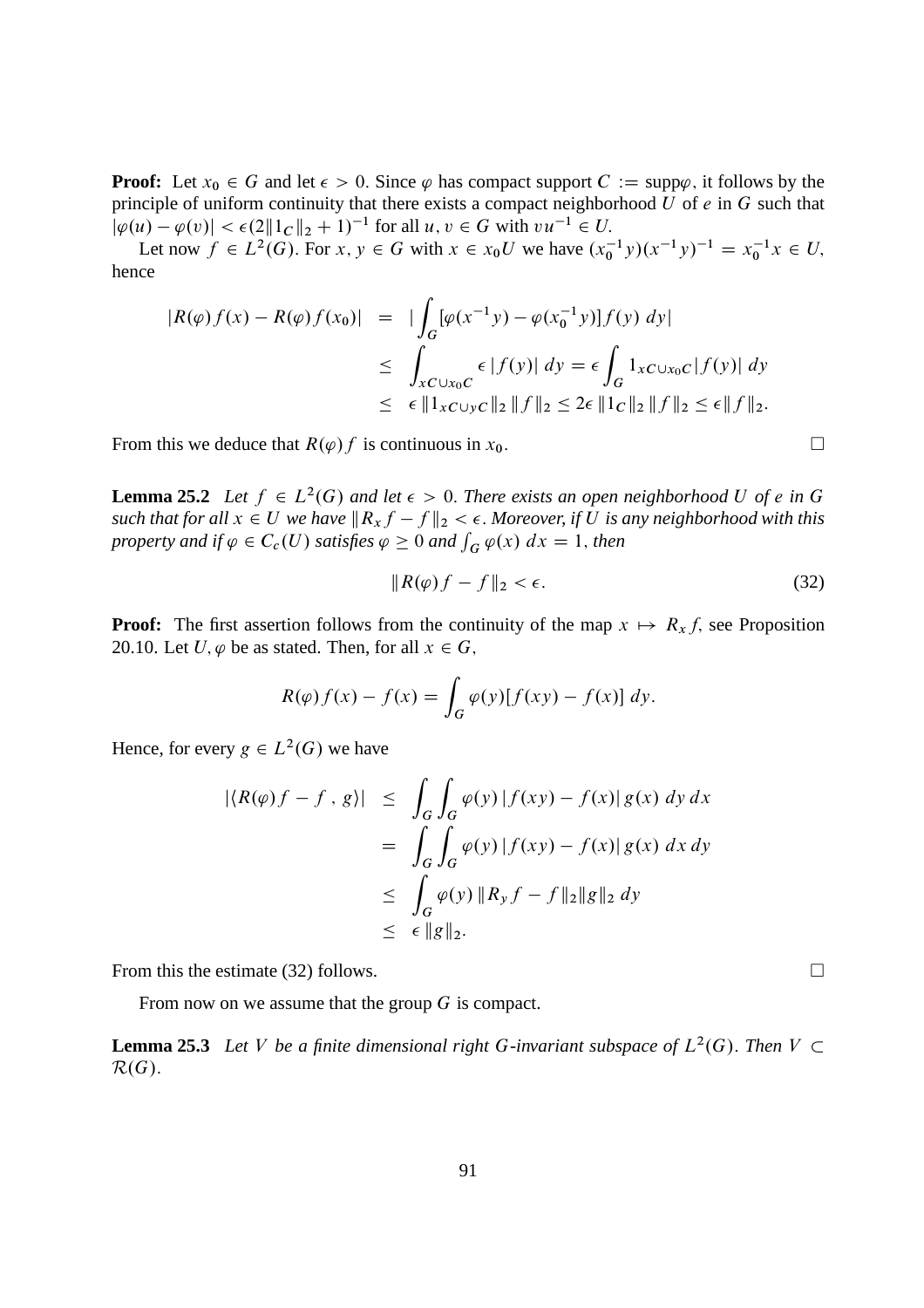**Proof:** Let  $x_0 \in G$  and let  $\epsilon > 0$ . Since  $\varphi$  has compact support  $C := \text{supp}\varphi$ , it follows by the principle of uniform continuity that there exists a compact neighborhood  $\hat{U}$  of  $e$  in  $G$  such that  $|\varphi(u) - \varphi(v)| < \epsilon (2||1_C||_2 + 1)^{-1}$  for all  $u, v \in G$  with  $vu^{-1} \in U$ .

Let now  $f \in L^2(G)$ . For  $x, y \in G$  with  $x \in x_0U$  we have  $(x_0^{-1}y)(x^{-1}y)^{-1} = x_0^{-1}x \in U$ , hence

$$
|R(\varphi)f(x) - R(\varphi)f(x_0)| = |\int_G [\varphi(x^{-1}y) - \varphi(x_0^{-1}y)]f(y) \, dy|
$$
  
\n
$$
\leq \int_{xC \cup x_0C} \epsilon |f(y)| \, dy = \epsilon \int_G 1_{xC \cup x_0C} |f(y)| \, dy
$$
  
\n
$$
\leq \epsilon ||1_{xC \cup yC}||_2 ||f||_2 \leq 2\epsilon ||1_C||_2 ||f||_2 \leq \epsilon ||f||_2.
$$

From this we deduce that  $R(\varphi) f$  is continuous in  $x_0$ .

**Lemma 25.2** Let  $f \in L^2(G)$  and let  $\epsilon > 0$ . There exists an open neighborhood U of e in G *such that for all*  $x \in U$  *we have*  $||R_x f - f||_2 < \epsilon$ *. Moreover, if* U *is any neighborhood with this property and if*  $\varphi \in C_c(U)$  *satisfies*  $\varphi \geq 0$  *and*  $\int_G \varphi(x) dx = 1$ *, then* 

$$
||R(\varphi)f - f||_2 < \epsilon. \tag{32}
$$

**Proof:** The first assertion follows from the continuity of the map  $x \mapsto R_x f$ , see Proposition 20.10. Let U,  $\varphi$  be as stated. Then, for all  $x \in G$ ,

$$
R(\varphi)f(x) - f(x) = \int_G \varphi(y)[f(xy) - f(x)] dy.
$$

Hence, for every  $g \in L^2(G)$  we have

$$
\begin{aligned} |\langle R(\varphi)f - f, g \rangle| &\leq \int_G \int_G \varphi(y) |f(xy) - f(x)| g(x) \, dy \, dx \\ &= \int_G \int_G \varphi(y) |f(xy) - f(x)| g(x) \, dx \, dy \\ &\leq \int_G \varphi(y) \|R_y f - f\|_2 \|g\|_2 \, dy \\ &\leq \epsilon \|g\|_2. \end{aligned}
$$

From this the estimate (32) follows.  $\Box$ 

From now on we assume that the group G is compact.

**Lemma 25.3** Let V be a finite dimensional right G-invariant subspace of  $L^2(G)$ . Then  $V \subset$  $\mathcal{R}(G)$ .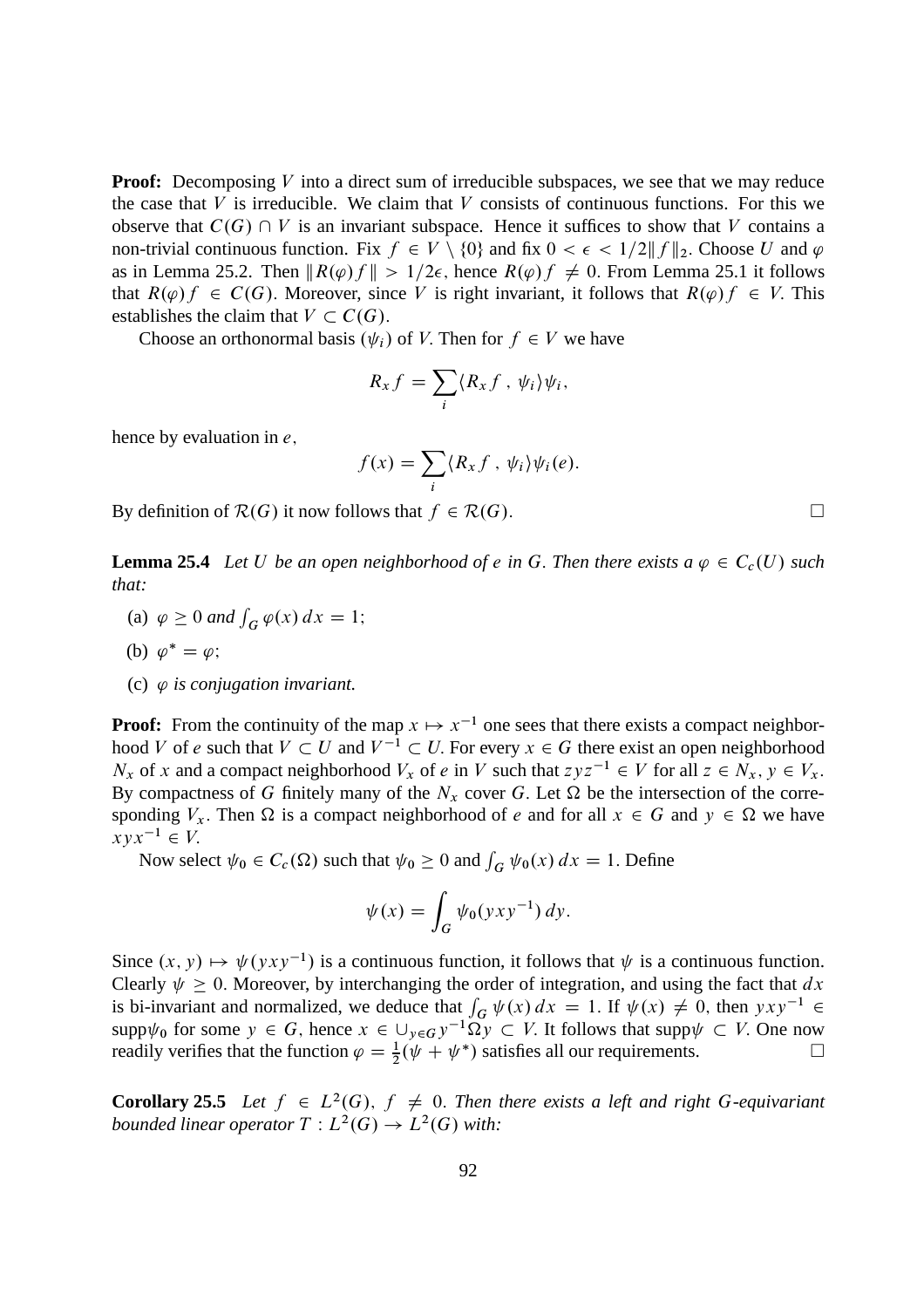**Proof:** Decomposing V into a direct sum of irreducible subspaces, we see that we may reduce the case that  $V$  is irreducible. We claim that  $V$  consists of continuous functions. For this we observe that  $C(G) \cap V$  is an invariant subspace. Hence it suffices to show that V contains a non-trivial continuous function. Fix  $f \in V \setminus \{0\}$  and fix  $0 < \epsilon < 1/2 || f ||_2$ . Choose U and  $\varphi$ as in Lemma 25.2. Then  $||R(\varphi)f|| > 1/2\epsilon$ , hence  $R(\varphi)f \neq 0$ . From Lemma 25.1 it follows that  $R(\varphi)f \in C(G)$ . Moreover, since V is right invariant, it follows that  $R(\varphi)f \in V$ . This establishes the claim that  $V \subset C(G)$ .

Choose an orthonormal basis  $(\psi_i)$  of V. Then for  $f \in V$  we have

$$
R_x f = \sum_i \langle R_x f, \psi_i \rangle \psi_i,
$$

hence by evaluation in  $e$ ,

$$
f(x) = \sum_{i} \langle R_x f, \psi_i \rangle \psi_i(e).
$$

By definition of  $\mathcal{R}(G)$  it now follows that  $f \in \mathcal{R}(G)$ .

**Lemma 25.4** Let U be an open neighborhood of e in G. Then there exists a  $\varphi \in C_c(U)$  such *that:*

(a)  $\varphi \ge 0$  and  $\int_G \varphi(x) dx = 1$ ;

$$
(b) \varphi^* = \varphi;
$$

(c)  $\varphi$  *is conjugation invariant.* 

**Proof:** From the continuity of the map  $x \mapsto x^{-1}$  one sees that there exists a compact neighborhood V of e such that  $V \subset U$  and  $V^{-1} \subset U$ . For every  $x \in G$  there exist an open neighborhood  $N_x$  of x and a compact neighborhood  $V_x$  of e in V such that  $zyz^{-1} \in V$  for all  $z \in N_x$ ,  $y \in V_x$ . By compactness of G finitely many of the  $N_x$  cover G. Let  $\Omega$  be the intersection of the corresponding  $V_x$ . Then  $\Omega$  is a compact neighborhood of e and for all  $x \in G$  and  $y \in \Omega$  we have  $xyx^{-1} \in V.$ 

Now select  $\psi_0 \in C_c(\Omega)$  such that  $\psi_0 \ge 0$  and  $\int_G \psi_0(x) dx = 1$ . Define

$$
\psi(x) = \int_G \psi_0(yxy^{-1}) dy.
$$

Since  $(x, y) \mapsto \psi(yxy^{-1})$  is a continuous function, it follows that  $\psi$  is a continuous function. Clearly  $\psi \geq 0$ . Moreover, by interchanging the order of integration, and using the fact that dx is bi-invariant and normalized, we deduce that  $\int_G \psi(x) dx = 1$ . If  $\psi(x) \neq 0$ , then  $yxy^{-1} \in$  $\text{supp}\psi_0$  for some  $y \in G$ , hence  $x \in \bigcup_{y \in G} y^{-1} \Omega y \subset V$ . It follows that  $\text{supp}\psi \subset V$ . One now readily verifies that the function  $\varphi = \frac{1}{2}(\psi + \psi^*)$  satisfies all our requirements.

**Corollary 25.5** Let  $f \in L^2(G)$ ,  $f \neq 0$ . Then there exists a left and right G-equivariant bounded linear operator  $T: L^2(G) \to L^2(G)$  with: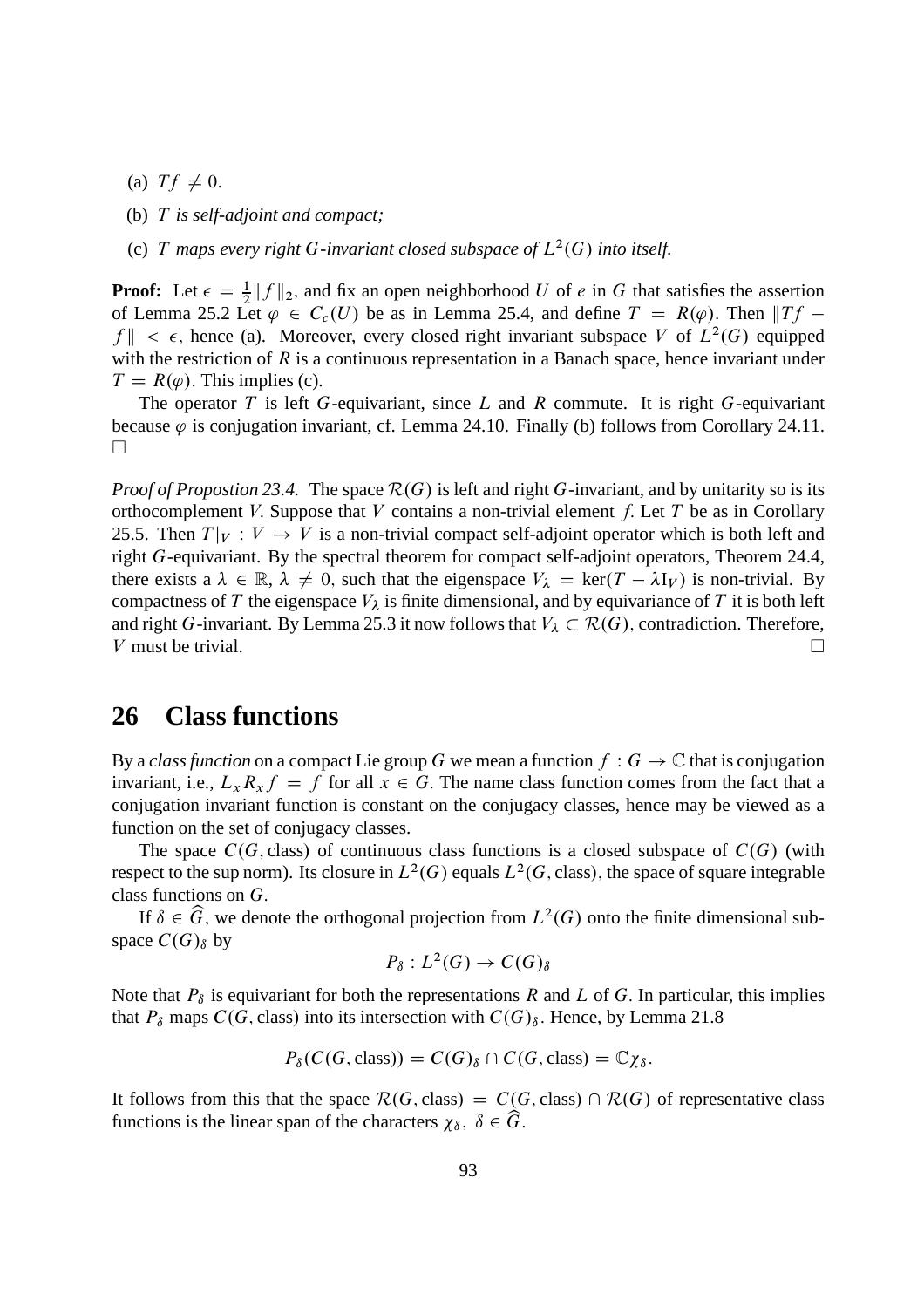- (a)  $Tf \neq 0$ .
- (b) T *is self-adjoint and compact;*
- (c) T maps every right G-invariant closed subspace of  $L^2(G)$  into itself.

**Proof:** Let  $\epsilon = \frac{1}{2} ||f||_2$ , and fix an open neighborhood U of e in G that satisfies the assertion of Lemma 25.2 Let  $\varphi \in C_c(U)$  be as in Lemma 25.4, and define  $T = R(\varphi)$ . Then  $||Tf$  $f \| < \epsilon$ , hence (a). Moreover, every closed right invariant subspace V of  $L^2(G)$  equipped with the restriction of  $R$  is a continuous representation in a Banach space, hence invariant under  $T = R(\varphi)$ . This implies (c).

The operator T is left G-equivariant, since L and R commute. It is right G-equivariant because  $\varphi$  is conjugation invariant, cf. Lemma 24.10. Finally (b) follows from Corollary 24.11.  $\Box$ 

*Proof of Propostion 23.4.* The space  $\mathcal{R}(G)$  is left and right G-invariant, and by unitarity so is its orthocomplement V. Suppose that V contains a non-trivial element f. Let T be as in Corollary 25.5. Then  $T|_V : V \to V$  is a non-trivial compact self-adjoint operator which is both left and right G-equivariant. By the spectral theorem for compact self-adjoint operators, Theorem 24.4, there exists a  $\lambda \in \mathbb{R}$ ,  $\lambda \neq 0$ , such that the eigenspace  $V_{\lambda} = \text{ker}(T - \lambda I_V)$  is non-trivial. By compactness of T the eigenspace  $V_{\lambda}$  is finite dimensional, and by equivariance of T it is both left and right G-invariant. By Lemma 25.3 it now follows that  $V_{\lambda} \subset \mathcal{R}(G)$ , contradiction. Therefore, <br>V must be trivial. V must be trivial.

#### **26 Class functions**

By a *class function* on a compact Lie group G we mean a function  $f : G \to \mathbb{C}$  that is conjugation invariant, i.e.,  $L_x R_x f = f$  for all  $x \in G$ . The name class function comes from the fact that a conjugation invariant function is constant on the conjugacy classes, hence may be viewed as a function on the set of conjugacy classes.

The space  $C(G, class)$  of continuous class functions is a closed subspace of  $C(G)$  (with respect to the sup norm). Its closure in  $L^2(G)$  equals  $L^2(G)$ , class), the space of square integrable class functions on G:

If  $\delta \in \widehat{G}$ , we denote the orthogonal projection from  $L^2(G)$  onto the finite dimensional subspace  $C(G)_{\delta}$  by

$$
P_{\delta}:L^2(G)\to C(G)_{\delta}
$$

Note that  $P_{\delta}$  is equivariant for both the representations R and L of G. In particular, this implies that  $P_\delta$  maps  $C(G, class)$  into its intersection with  $C(G)_\delta$ . Hence, by Lemma 21.8

$$
P_{\delta}(C(G, \text{class})) = C(G)_{\delta} \cap C(G, \text{class}) = \mathbb{C}\chi_{\delta}.
$$

It follows from this that the space  $\mathcal{R}(G, \text{class}) = C(G, \text{class}) \cap \mathcal{R}(G)$  of representative class functions is the linear span of the characters  $\chi_{\delta}$ ,  $\delta \in \widehat{G}$ .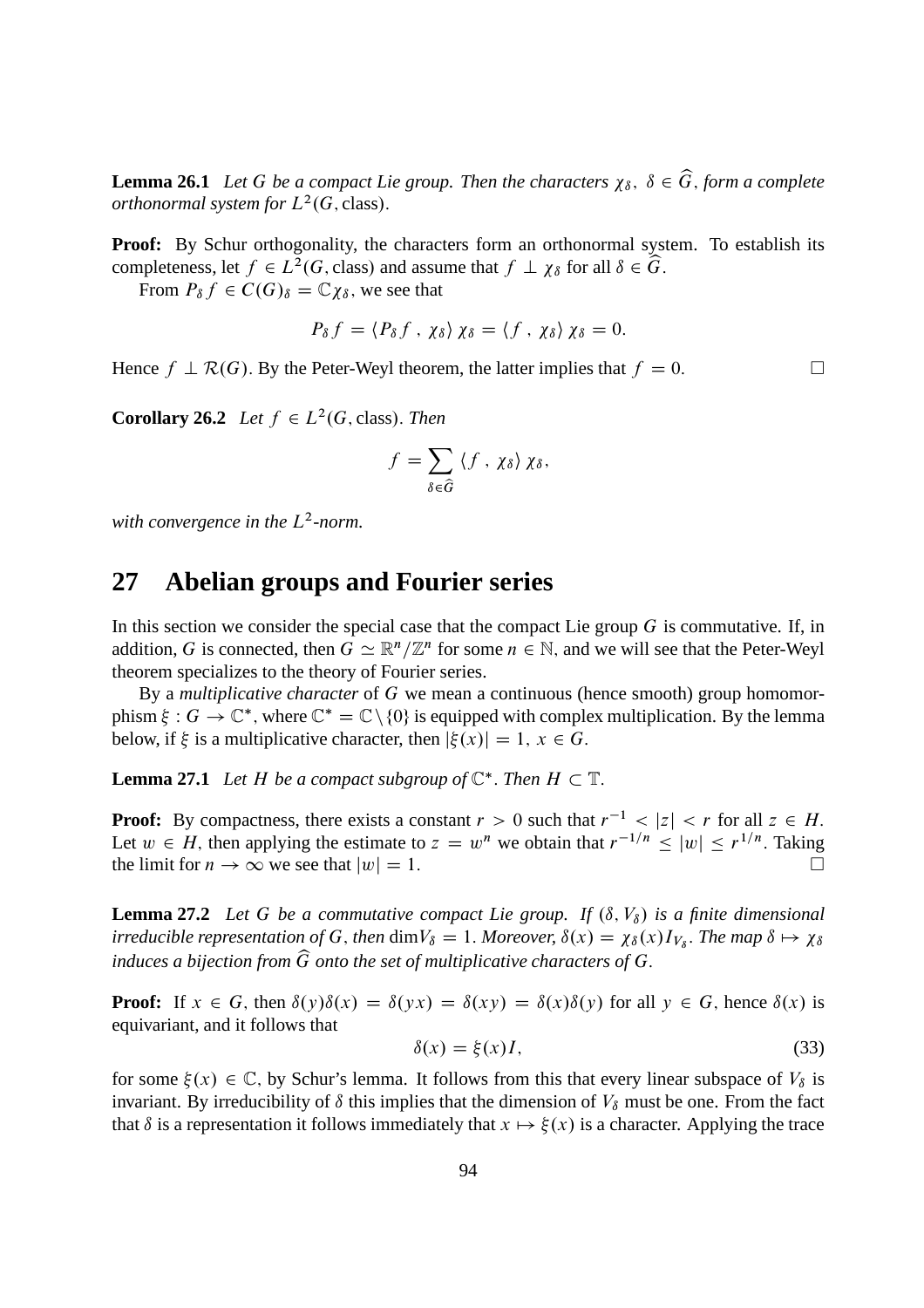**Lemma 26.1** *Let* G *be a compact Lie group. Then the characters*  $\chi_{\delta}$ ,  $\delta \in \widehat{G}$ , form a complete *orthonormal system for*  $L^2(G, class)$ .

**Proof:** By Schur orthogonality, the characters form an orthonormal system. To establish its completeness, let  $f \in L^2(G, \text{class})$  and assume that  $f \perp \chi_\delta$  for all  $\delta \in \widehat{G}$ .

From  $P_{\delta} f \in C(G)_{\delta} = \mathbb{C} \gamma_{\delta}$ , we see that

$$
P_{\delta} f = \langle P_{\delta} f , \chi_{\delta} \rangle \chi_{\delta} = \langle f , \chi_{\delta} \rangle \chi_{\delta} = 0.
$$

Hence  $f \perp \mathcal{R}(G)$ . By the Peter-Weyl theorem, the latter implies that  $f = 0$ .

**Corollary 26.2** *Let*  $f \in L^2(G, \text{class})$ *. Then* 

$$
f = \sum_{\delta \in \widehat{G}} \langle f, \chi_{\delta} \rangle \chi_{\delta},
$$

with convergence in the  $L^2$ -norm.

#### **27 Abelian groups and Fourier series**

In this section we consider the special case that the compact Lie group  $G$  is commutative. If, in addition, G is connected, then  $G \simeq \mathbb{R}^n / \mathbb{Z}^n$  for some  $n \in \mathbb{N}$ , and we will see that the Peter-Weyl theorem specializes to the theory of Fourier series.

By a *multiplicative character* of G we mean a continuous (hence smooth) group homomorphism  $\xi: G \to \mathbb{C}^*$ , where  $\mathbb{C}^* = \mathbb{C} \setminus \{0\}$  is equipped with complex multiplication. By the lemma below, if  $\xi$  is a multiplicative character, then  $|\xi(x)| = 1, x \in G$ .

**Lemma 27.1** *Let*  $H$  *be a compact subgroup of*  $\mathbb{C}^*$ *. Then*  $H \subset \mathbb{T}$ *.* 

**Proof:** By compactness, there exists a constant  $r > 0$  such that  $r^{-1} < |z| < r$  for all  $z \in H$ . Let  $w \in H$ , then applying the estimate to  $z = w^n$  we obtain that  $r^{-1/n} \le |w| \le r^{1/n}$ . Taking the limit for  $n \to \infty$  we see that  $|w| = 1$ .

**Lemma 27.2** *Let* G *be a commutative compact Lie group.* If  $(\delta, V_{\delta})$  *is a finite dimensional irreducible representation of* G, then  $\dim V_\delta = 1$ . Moreover,  $\delta(x) = \chi_\delta(x)I_{V_\delta}$ . The map  $\delta \mapsto \chi_\delta$ *induces a bijection from*  $\widehat{G}$  *onto the set of multiplicative characters of*  $G$ .

**Proof:** If  $x \in G$ , then  $\delta(y)\delta(x) = \delta(yx) = \delta(xy) = \delta(x)\delta(y)$  for all  $y \in G$ , hence  $\delta(x)$  is equivariant, and it follows that

$$
\delta(x) = \xi(x)I,\tag{33}
$$

for some  $\xi(x) \in \mathbb{C}$ , by Schur's lemma. It follows from this that every linear subspace of  $V_\delta$  is invariant. By irreducibility of  $\delta$  this implies that the dimension of  $V_\delta$  must be one. From the fact that  $\delta$  is a representation it follows immediately that  $x \mapsto \xi(x)$  is a character. Applying the trace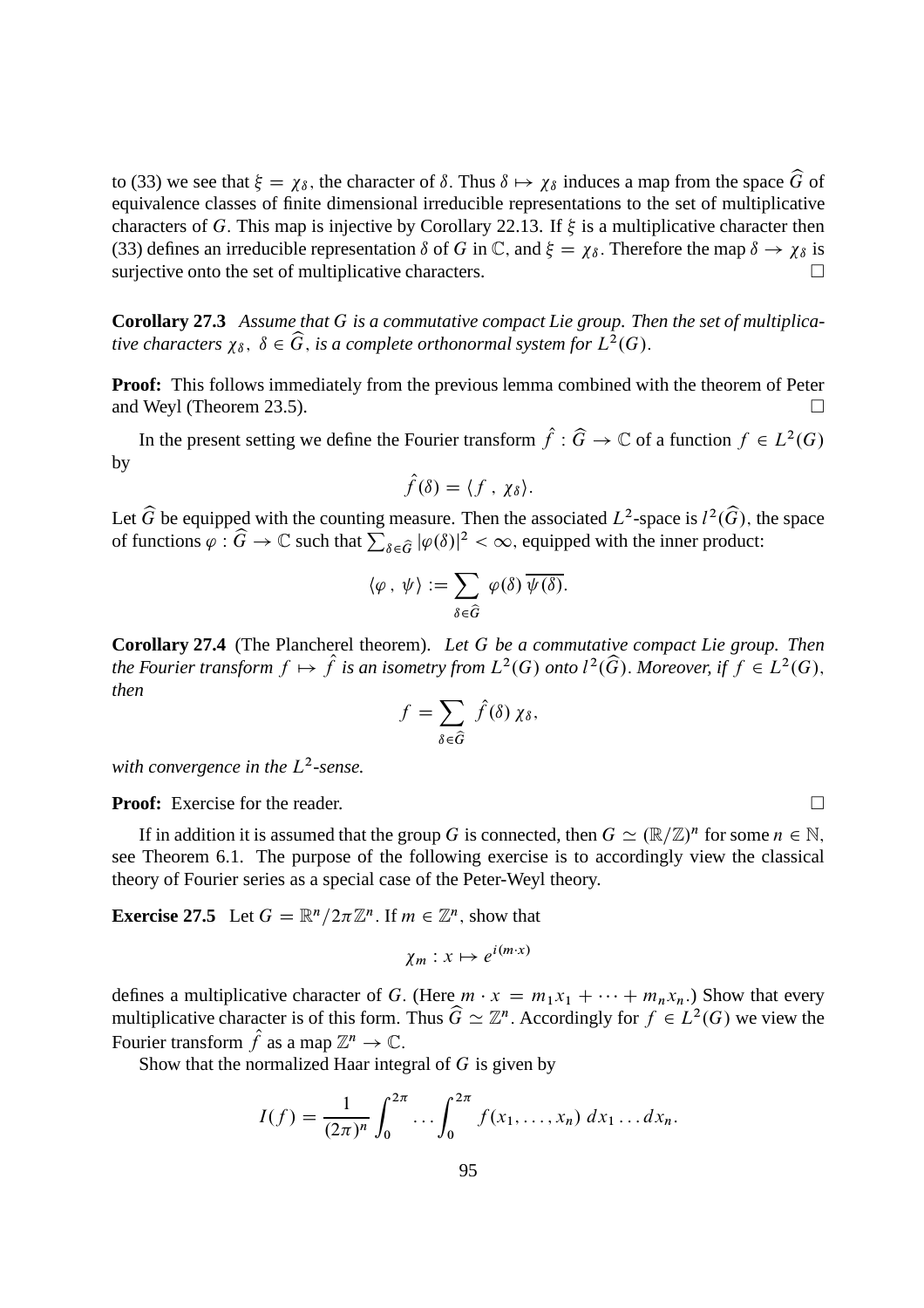to (33) we see that  $\xi = \chi_{\delta}$ , the character of  $\delta$ . Thus  $\delta \mapsto \chi_{\delta}$  induces a map from the space  $\widehat{G}$  of equivalence classes of finite dimensional irreducible representations to the set of multiplicative characters of G. This map is injective by Corollary 22.13. If  $\xi$  is a multiplicative character then (33) defines an irreducible representation  $\delta$  of G in C, and  $\xi = \chi_{\delta}$ . Therefore the map  $\delta \to \chi_{\delta}$  is surjective onto the set of multiplicative characters surjective onto the set of multiplicative characters.

**Corollary 27.3** *Assume that* G *is a commutative compact Lie group. Then the set of multiplica*tive characters  $\chi_{\delta}$ ,  $\delta \in \widehat{G}$ , is a complete orthonormal system for  $L^2(G)$ .

**Proof:** This follows immediately from the previous lemma combined with the theorem of Peter and Weyl (Theorem 23.5).

In the present setting we define the Fourier transform  $\hat{f}: \hat{G} \to \mathbb{C}$  of a function  $f \in L^2(G)$ by

$$
\hat{f}(\delta) = \langle f, \chi_{\delta} \rangle.
$$

Let  $\widehat{G}$  be equipped with the counting measure. Then the associated  $L^2$ -space is  $l^2(\widehat{G})$ , the space of functions  $\varphi : \widehat{G} \to \mathbb{C}$  such that  $\sum_{\delta \in \widehat{G}} |\varphi(\delta)|^2 < \infty$ , equipped with the inner product:

$$
\langle \varphi \, , \, \psi \rangle := \sum_{\delta \in \widehat{G}} \, \varphi(\delta) \, \overline{\psi(\delta)}.
$$

**Corollary 27.4** (The Plancherel theorem). *Let* G *be a commutative compact Lie group. Then* the Fourier transform  $f \mapsto \hat{f}$  is an isometry from  $L^2(G)$  onto  $l^2(\widehat{G})$ . Moreover, if  $f \in L^2(G)$ , *then*

$$
f = \sum_{\delta \in \widehat{G}} \widehat{f}(\delta) \chi_{\delta},
$$

with convergence in the L<sup>2</sup>-sense.

**Proof:** Exercise for the reader. □

If in addition it is assumed that the group G is connected, then  $G \simeq (\mathbb{R}/\mathbb{Z})^n$  for some  $n \in \mathbb{N}$ , see Theorem 6.1. The purpose of the following exercise is to accordingly view the classical theory of Fourier series as a special case of the Peter-Weyl theory.

**Exercise 27.5** Let  $G = \mathbb{R}^n / 2\pi \mathbb{Z}^n$ . If  $m \in \mathbb{Z}^n$ , show that

$$
\chi_m: x \mapsto e^{i(m \cdot x)}
$$

defines a multiplicative character of G. (Here  $m \cdot x = m_1x_1 + \cdots + m_nx_n$ .) Show that every multiplicative character is of this form. Thus  $\widehat{G} \simeq \mathbb{Z}^n$ . Accordingly for  $f \in L^2(G)$  we view the Fourier transform  $\hat{f}$  as a map  $\mathbb{Z}^n \to \mathbb{C}$ .

Show that the normalized Haar integral of  $G$  is given by

$$
I(f) = \frac{1}{(2\pi)^n} \int_0^{2\pi} \dots \int_0^{2\pi} f(x_1, \dots, x_n) \, dx_1 \dots dx_n.
$$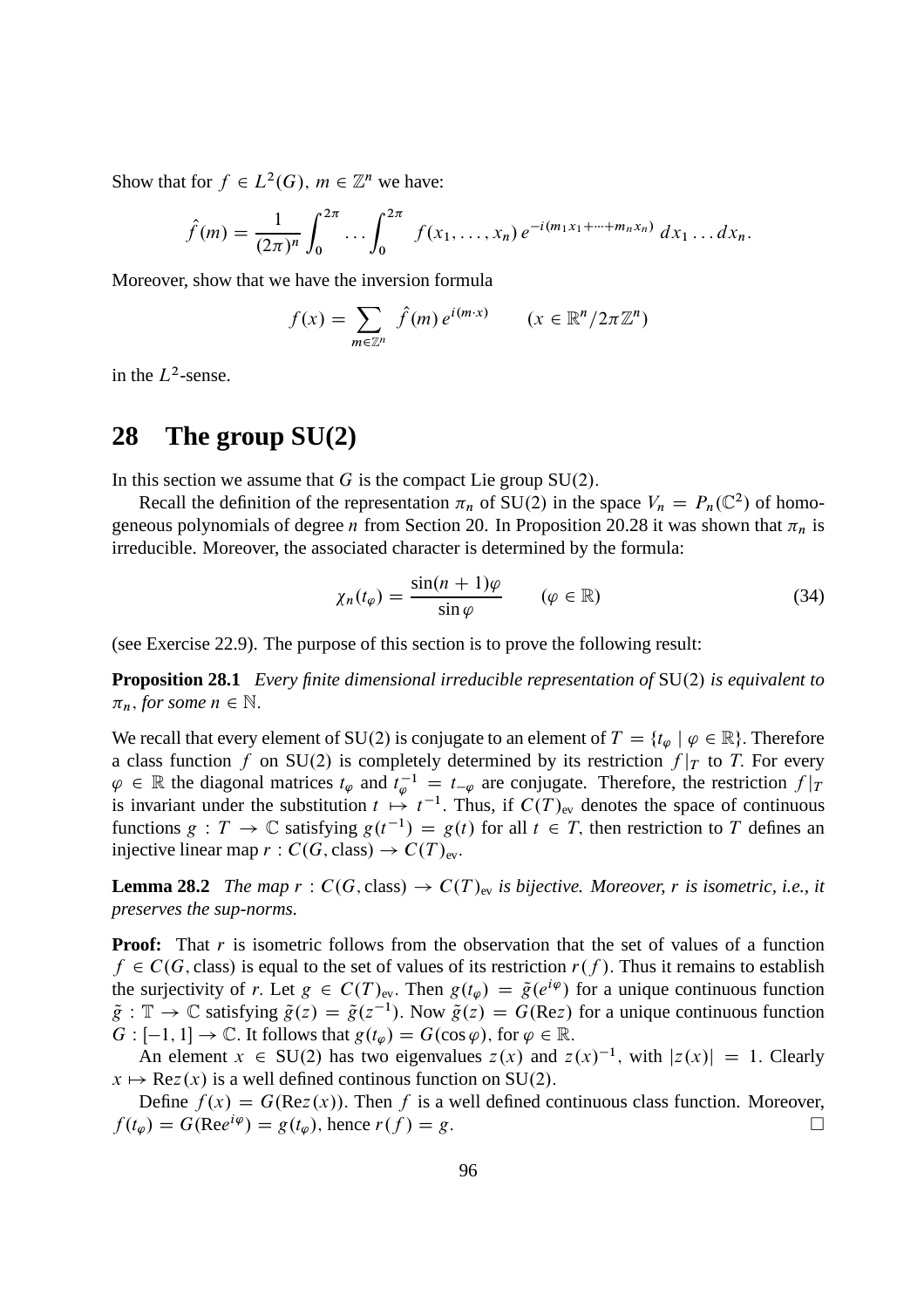Show that for  $f \in L^2(G)$ ,  $m \in \mathbb{Z}^n$  we have:

$$
\hat{f}(m) = \frac{1}{(2\pi)^n} \int_0^{2\pi} \dots \int_0^{2\pi} f(x_1, \dots, x_n) e^{-i(m_1x_1 + \dots + m_nx_n)} dx_1 \dots dx_n.
$$

Moreover, show that we have the inversion formula

$$
f(x) = \sum_{m \in \mathbb{Z}^n} \hat{f}(m) e^{i(m \cdot x)} \qquad (x \in \mathbb{R}^n / 2\pi \mathbb{Z}^n)
$$

in the  $L^2$ -sense.

## **28 The group SU(2)**

In this section we assume that G is the compact Lie group  $SU(2)$ .

Recall the definition of the representation  $\pi_n$  of SU(2) in the space  $V_n = P_n(\mathbb{C}^2)$  of homogeneous polynomials of degree *n* from Section 20. In Proposition 20.28 it was shown that  $\pi_n$  is irreducible. Moreover, the associated character is determined by the formula:

$$
\chi_n(t_\varphi) = \frac{\sin((n+1)\varphi)}{\sin(\varphi)} \qquad (\varphi \in \mathbb{R}) \tag{34}
$$

(see Exercise 22.9). The purpose of this section is to prove the following result:

**Proposition 28.1** *Every finite dimensional irreducible representation of* SU(2) *is equivalent to*  $\pi_n$ , *for some*  $n \in \mathbb{N}$ .

We recall that every element of SU(2) is conjugate to an element of  $T = \{t_{\omega} \mid \varphi \in \mathbb{R}\}\.$  Therefore a class function f on SU(2) is completely determined by its restriction  $f|_T$  to T. For every  $\varphi \in \mathbb{R}$  the diagonal matrices  $t_{\varphi}$  and  $t_{\varphi}^{-1} = t_{-\varphi}$  are conjugate. Therefore, the restriction  $f|_{T}$ is invariant under the substitution  $t \mapsto t^{-1}$ . Thus, if  $C(T)_{ev}$  denotes the space of continuous functions  $g: T \to \mathbb{C}$  satisfying  $g(t^{-1}) = g(t)$  for all  $t \in T$ , then restriction to T defines an injective linear map  $r : C(G, class) \rightarrow C(T)_{ev}$ .

**Lemma 28.2** *The map*  $r : C(G, class) \rightarrow C(T)_{ev}$  *is bijective. Moreover,* r *is isometric, i.e., it preserves the sup-norms.*

**Proof:** That r is isometric follows from the observation that the set of values of a function  $f \in C(G, class)$  is equal to the set of values of its restriction  $r(f)$ . Thus it remains to establish the surjectivity of r. Let  $g \in C(T)_{ev}$ . Then  $g(t_{\varphi}) = \tilde{g}(e^{i\varphi})$  for a unique continuous function  $\tilde{g}: \mathbb{T} \to \mathbb{C}$  satisfying  $\tilde{g}(z) = \tilde{g}(z^{-1})$ . Now  $\tilde{g}(z) = G(\text{Re}z)$  for a unique continuous function  $G : [-1, 1] \to \mathbb{C}$ . It follows that  $g(t_{\varphi}) = G(\cos \varphi)$ , for  $\varphi \in \mathbb{R}$ .

An element  $x \in SU(2)$  has two eigenvalues  $z(x)$  and  $z(x)^{-1}$ , with  $|z(x)| = 1$ . Clearly  $x \mapsto \text{Re}z(x)$  is a well defined continous function on SU(2).

Define  $f(x) = G(Rez(x))$ . Then f is a well defined continuous class function. Moreover,<br>  $g(x) = G(Re^{i\varphi}) = g(t_x)$ , hence  $r(f) = g$ .  $f(t_{\varphi}) = G(\text{Re}e^{i\varphi}) = g(t_{\varphi})$ , hence  $r(f) = g$ .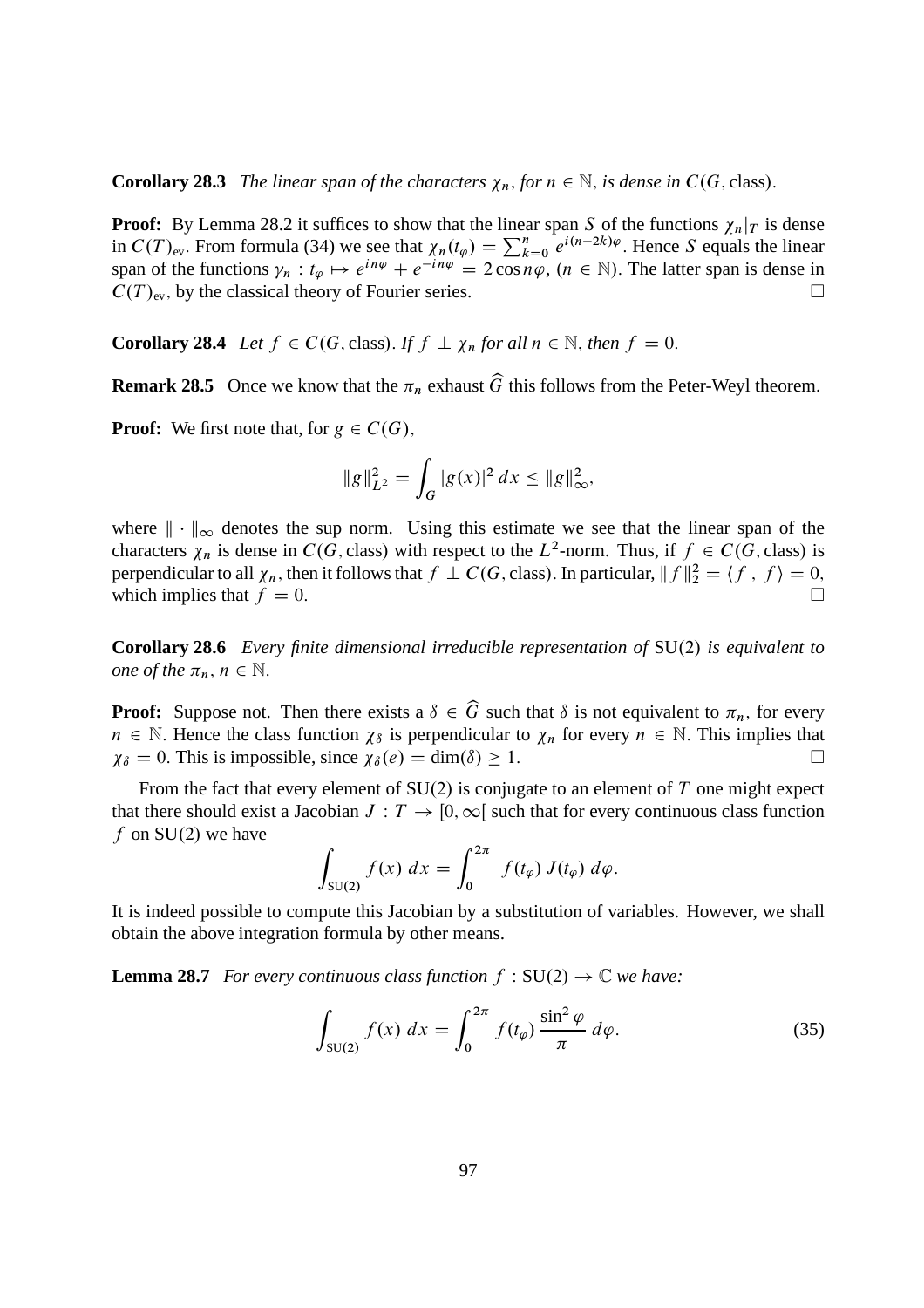**Corollary 28.3** *The linear span of the characters*  $\chi_n$ , *for*  $n \in \mathbb{N}$ , *is dense in*  $C(G, class)$ .

**Proof:** By Lemma 28.2 it suffices to show that the linear span S of the functions  $\chi_n|_T$  is dense in  $C(T)_{\text{ev}}$ . From formula (34) we see that  $\chi_n(t_\varphi) = \sum_{k=0}^n e^{i(n-2k)\varphi}$ . Hence S equals the linear span of the functions  $\gamma_n : t_{\varphi} \mapsto e^{in\varphi} + e^{-in\varphi} = 2 \cos n\varphi$ ,  $(n \in \mathbb{N})$ . The latter span is dense in  $C(T)_{\text{ev}}$ , by the classical theory of Fourier series.

**Corollary 28.4** *Let*  $f \in C(G, \text{class})$ . *If*  $f \perp \chi_n$  *for all*  $n \in \mathbb{N}$ , *then*  $f = 0$ .

**Remark 28.5** Once we know that the  $\pi_n$  exhaust  $\widehat{G}$  this follows from the Peter-Weyl theorem.

**Proof:** We first note that, for  $g \in C(G)$ ,

$$
||g||_{L^2}^2 = \int_G |g(x)|^2 dx \le ||g||_{\infty}^2,
$$

where  $\|\cdot\|_{\infty}$  denotes the sup norm. Using this estimate we see that the linear span of the characters  $\chi_n$  is dense in  $C(G, class)$  with respect to the  $L^2$ -norm. Thus, if  $f \in C(G, class)$  is perpendicular to all  $\chi_n$ , then it follows that  $f \perp C(G, \text{class})$ . In particular,  $|| f ||_2^2 = \langle f, f \rangle = 0$ . which implies that  $f = 0$ .

**Corollary 28.6** *Every finite dimensional irreducible representation of* SU.2/ *is equivalent to one of the*  $\pi_n$ ,  $n \in \mathbb{N}$ .

**Proof:** Suppose not. Then there exists a  $\delta \in \widehat{G}$  such that  $\delta$  is not equivalent to  $\pi_n$ , for every  $n \in \mathbb{N}$ . Hence the class function  $\chi_{\delta}$  is perpendicular to  $\chi_n$  for every  $n \in \mathbb{N}$ . This implies that  $\chi_{\delta} = 0$ . This is impossible, since  $\chi_{\delta}(e) = \dim(\delta) \geq 1$ .

From the fact that every element of  $SU(2)$  is conjugate to an element of T one might expect that there should exist a Jacobian  $J: T \to [0, \infty)$  such that for every continuous class function f on  $SU(2)$  we have

$$
\int_{\text{SU}(2)} f(x) \ dx = \int_0^{2\pi} f(t_\varphi) \ J(t_\varphi) \ d\varphi.
$$

It is indeed possible to compute this Jacobian by a substitution of variables. However, we shall obtain the above integration formula by other means.

**Lemma 28.7** *For every continuous class function*  $f : SU(2) \rightarrow \mathbb{C}$  *we have:* 

$$
\int_{\text{SU(2)}} f(x) dx = \int_0^{2\pi} f(t_\varphi) \frac{\sin^2 \varphi}{\pi} d\varphi.
$$
 (35)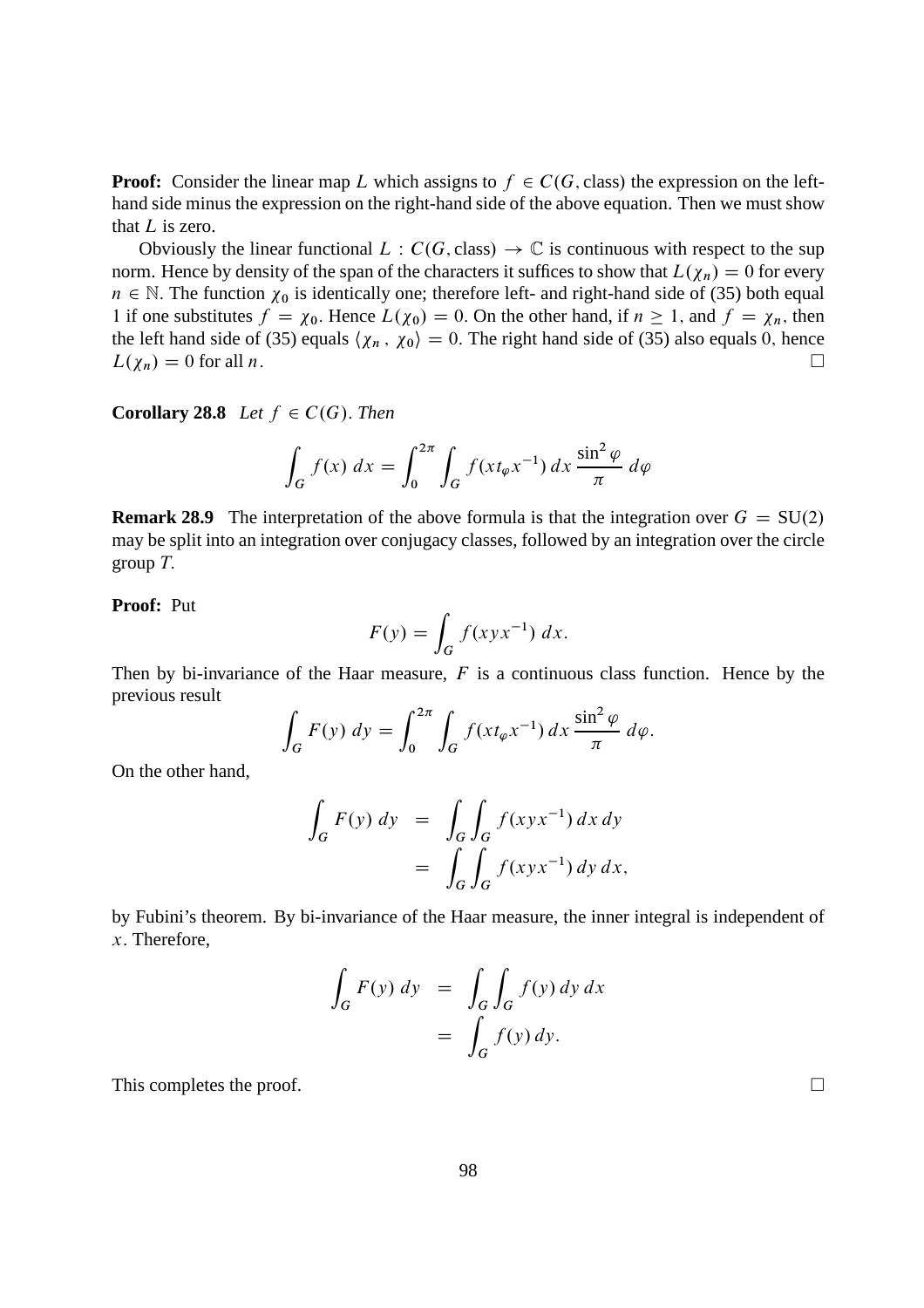**Proof:** Consider the linear map L which assigns to  $f \in C(G, class)$  the expression on the lefthand side minus the expression on the right-hand side of the above equation. Then we must show that  $L$  is zero.

Obviously the linear functional  $L : C(G, class) \to \mathbb{C}$  is continuous with respect to the sup norm. Hence by density of the span of the characters it suffices to show that  $L(\chi_n) = 0$  for every  $n \in \mathbb{N}$ . The function  $\chi_0$  is identically one; therefore left- and right-hand side of (35) both equal 1 if one substitutes  $f = \chi_0$ . Hence  $L(\chi_0) = 0$ . On the other hand, if  $n \ge 1$ , and  $f = \chi_n$ , then the left hand side of (35) equals  $\langle \chi_n, \chi_0 \rangle = 0$ . The right hand side of (35) also equals 0, hence  $L(\gamma_n) = 0$  for all n.  $L(\chi_n) = 0$  for all *n*.

**Corollary 28.8** *Let*  $f \in C(G)$ . *Then* 

$$
\int_G f(x) dx = \int_0^{2\pi} \int_G f(x t_\varphi x^{-1}) dx \frac{\sin^2 \varphi}{\pi} d\varphi
$$

**Remark 28.9** The interpretation of the above formula is that the integration over  $G = SU(2)$ may be split into an integration over conjugacy classes, followed by an integration over the circle group  $T$ .

**Proof:** Put

$$
F(y) = \int_G f(xyx^{-1}) dx.
$$

Then by bi-invariance of the Haar measure,  $F$  is a continuous class function. Hence by the previous result

$$
\int_G F(y) dy = \int_0^{2\pi} \int_G f(x t_\varphi x^{-1}) dx \frac{\sin^2 \varphi}{\pi} d\varphi.
$$

On the other hand,

$$
\int_{G} F(y) dy = \int_{G} \int_{G} f(xyx^{-1}) dx dy
$$

$$
= \int_{G} \int_{G} f(xyx^{-1}) dy dx,
$$

by Fubini's theorem. By bi-invariance of the Haar measure, the inner integral is independent of x: Therefore,

$$
\int_{G} F(y) dy = \int_{G} \int_{G} f(y) dy dx
$$

$$
= \int_{G} f(y) dy.
$$

This completes the proof.  $\Box$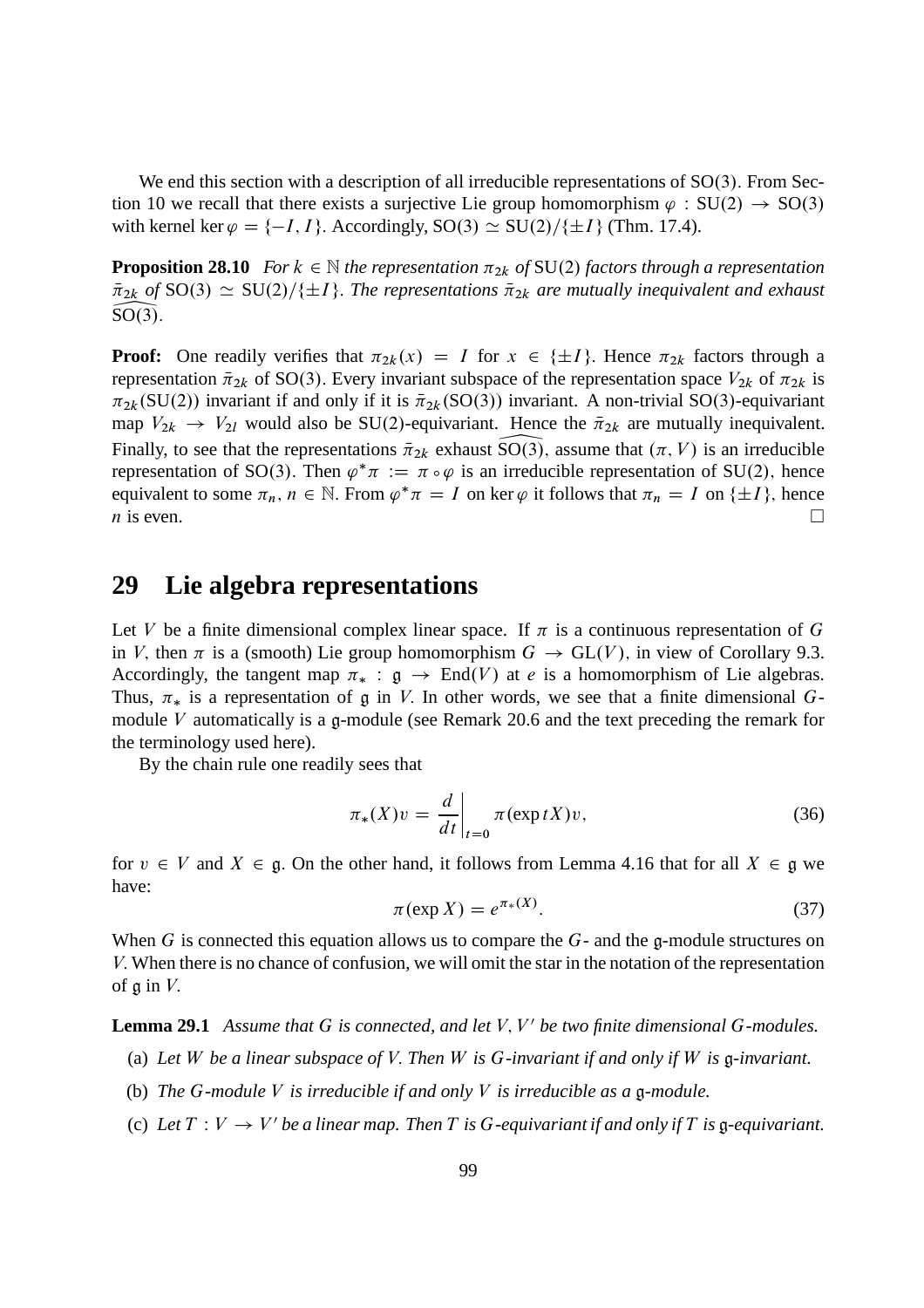We end this section with a description of all irreducible representations of  $SO(3)$ . From Section 10 we recall that there exists a surjective Lie group homomorphism  $\varphi : SU(2) \rightarrow SO(3)$ with kernel ker  $\varphi = \{-I, I\}$ . Accordingly,  $SO(3) \simeq SU(2)/\{\pm I\}$  (Thm. 17.4).

**Proposition 28.10** *For*  $k \in \mathbb{N}$  *the representation*  $\pi_{2k}$  *of* SU(2) *factors through a representation*  $\overline{\pi}_{2k}$  *of* SO(3)  $\simeq$  SU(2)/{ $\pm I$ }. The representations  $\overline{\pi}_{2k}$  *are mutually inequivalent and exhaust*  $\overline{SO(3)}$  $SO(3)$ .

**Proof:** One readily verifies that  $\pi_{2k}(x) = I$  for  $x \in \{\pm I\}$ . Hence  $\pi_{2k}$  factors through a representation  $\bar{\pi}_{2k}$  of SO(3). Every invariant subspace of the representation space  $V_{2k}$  of  $\pi_{2k}$  is  $\pi_{2k}(\text{SU}(2))$  invariant if and only if it is  $\bar{\pi}_{2k}(\text{SO}(3))$  invariant. A non-trivial SO(3)-equivariant map  $V_{2k} \rightarrow V_{2l}$  would also be SU(2)-equivariant. Hence the  $\bar{\pi}_{2k}$  are mutually inequivalent. Finally, to see that the representations  $\bar{\pi}_{2k}$  exhaust  $SO(3)$ , assume that  $(\pi, V)$  is an irreducible representation of SO(3). Then  $\varphi^* \pi := \pi \circ \varphi$  is an irreducible representation of SU(2), hence equivalent to some  $\pi_n$ ,  $n \in \mathbb{N}$ . From  $\varphi^* \pi = I$  on ker  $\varphi$  it follows that  $\pi_n = I$  on  $\{\pm I\}$ , hence  $\overline{n}$  is even.

#### **29 Lie algebra representations**

Let V be a finite dimensional complex linear space. If  $\pi$  is a continuous representation of G in V, then  $\pi$  is a (smooth) Lie group homomorphism  $G \to GL(V)$ , in view of Corollary 9.3. Accordingly, the tangent map  $\pi_* : \mathfrak{g} \to \text{End}(V)$  at *e* is a homomorphism of Lie algebras. Thus,  $\pi_*$  is a representation of g in V. In other words, we see that a finite dimensional Gmodule V automatically is a g-module (see Remark 20.6 and the text preceding the remark for the terminology used here).

By the chain rule one readily sees that

$$
\pi_*(X)v = \frac{d}{dt}\bigg|_{t=0} \pi(\exp tX)v,\tag{36}
$$

for  $v \in V$  and  $X \in \mathfrak{g}$ . On the other hand, it follows from Lemma 4.16 that for all  $X \in \mathfrak{g}$  we have:

$$
\pi(\exp X) = e^{\pi_*(X)}.\tag{37}
$$

When G is connected this equation allows us to compare the  $G$ - and the g-module structures on V: When there is no chance of confusion, we will omit the star in the notation of the representation of  $\mathfrak q$  in  $V$ .

Lemma 29.1 Assume that G is connected, and let V, V' be two finite dimensional G-modules.

- (a) *Let* W *be a linear subspace of* V: *Then* W *is* G*-invariant if and only if* W *is* g*-invariant.*
- (b) *The* G*-module* V *is irreducible if and only* V *is irreducible as a* g*-module.*
- (c) Let  $T: V \to V'$  be a linear map. Then T is G-equivariant if and only if T is  $\mathfrak g$ -equivariant.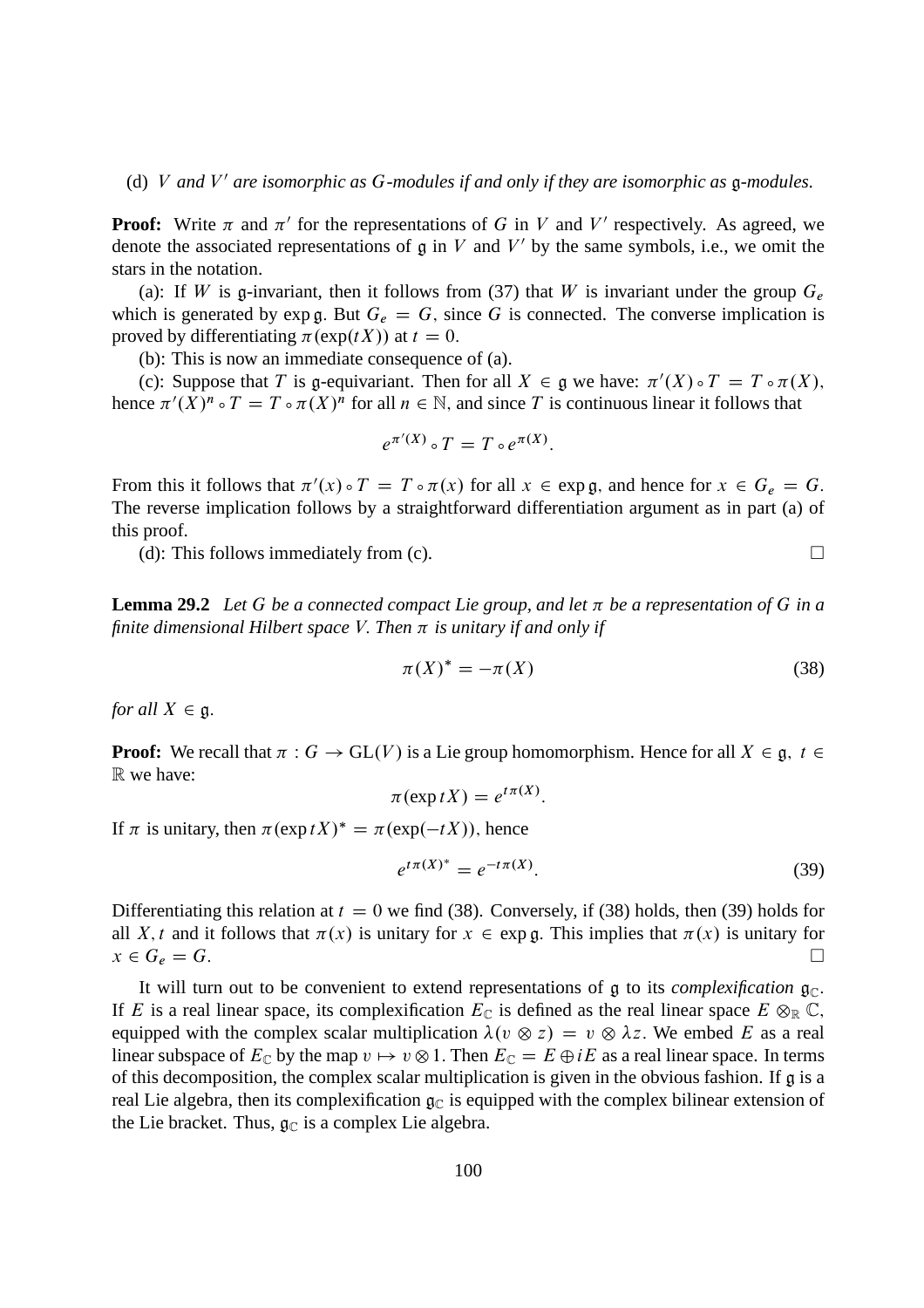(d) V and V' are isomorphic as G-modules if and only if they are isomorphic as  $\mathfrak g$ -modules.

**Proof:** Write  $\pi$  and  $\pi'$  for the representations of G in V and V' respectively. As agreed, we denote the associated representations of  $\mathfrak g$  in V and V' by the same symbols, i.e., we omit the stars in the notation.

(a): If W is g-invariant, then it follows from (37) that W is invariant under the group  $G_e$ which is generated by exp g. But  $G_e = G$ , since G is connected. The converse implication is proved by differentiating  $\pi(\exp(tX))$  at  $t = 0$ .

(b): This is now an immediate consequence of (a).

(c): Suppose that T is g-equivariant. Then for all  $X \in \mathfrak{g}$  we have:  $\pi'(X) \circ T = T \circ \pi(X)$ , hence  $\pi'(X)^n \circ T = T \circ \pi(X)^n$  for all  $n \in \mathbb{N}$ , and since T is continuous linear it follows that

$$
e^{\pi'(X)} \circ T = T \circ e^{\pi(X)}.
$$

From this it follows that  $\pi'(x) \circ T = T \circ \pi(x)$  for all  $x \in \exp \mathfrak{g}$ , and hence for  $x \in G_e = G$ . The reverse implication follows by a straightforward differentiation argument as in part (a) of this proof.

(d): This follows immediately from (c).  $\Box$ 

**Lemma 29.2** Let G be a connected compact Lie group, and let  $\pi$  be a representation of G in a *finite dimensional Hilbert space V. Then*  $\pi$  *is unitary if and only if* 

$$
\pi(X)^* = -\pi(X) \tag{38}
$$

*for all*  $X \in \mathfrak{g}$ .

**Proof:** We recall that  $\pi : G \to GL(V)$  is a Lie group homomorphism. Hence for all  $X \in \mathfrak{g}$ ,  $t \in$ R we have:

$$
\pi(\exp tX) = e^{t\pi(X)}.
$$

If  $\pi$  is unitary, then  $\pi(\exp tX)^* = \pi(\exp(-tX))$ , hence

$$
e^{t\pi(X)^*} = e^{-t\pi(X)}.
$$
\n(39)

Differentiating this relation at  $t = 0$  we find (38). Conversely, if (38) holds, then (39) holds for all X, t and it follows that  $\pi(x)$  is unitary for  $x \in \exp \mathfrak{g}$ . This implies that  $\pi(x)$  is unitary for  $x \in G_e = G$ .  $x \in G_e = G.$ 

It will turn out to be convenient to extend representations of  $\mathfrak g$  to its *complexification*  $\mathfrak g_{\mathbb C}$ . If E is a real linear space, its complexification  $E_{\mathbb{C}}$  is defined as the real linear space  $E \otimes_{\mathbb{R}} \mathbb{C}$ , equipped with the complex scalar multiplication  $\lambda(v \otimes z) = v \otimes \lambda z$ . We embed E as a real linear subspace of  $E_{\mathbb{C}}$  by the map  $v \mapsto v \otimes 1$ . Then  $E_{\mathbb{C}} = E \oplus iE$  as a real linear space. In terms of this decomposition, the complex scalar multiplication is given in the obvious fashion. If g is a real Lie algebra, then its complexification  $g_C$  is equipped with the complex bilinear extension of the Lie bracket. Thus,  $\mathfrak{g}_{\mathbb{C}}$  is a complex Lie algebra.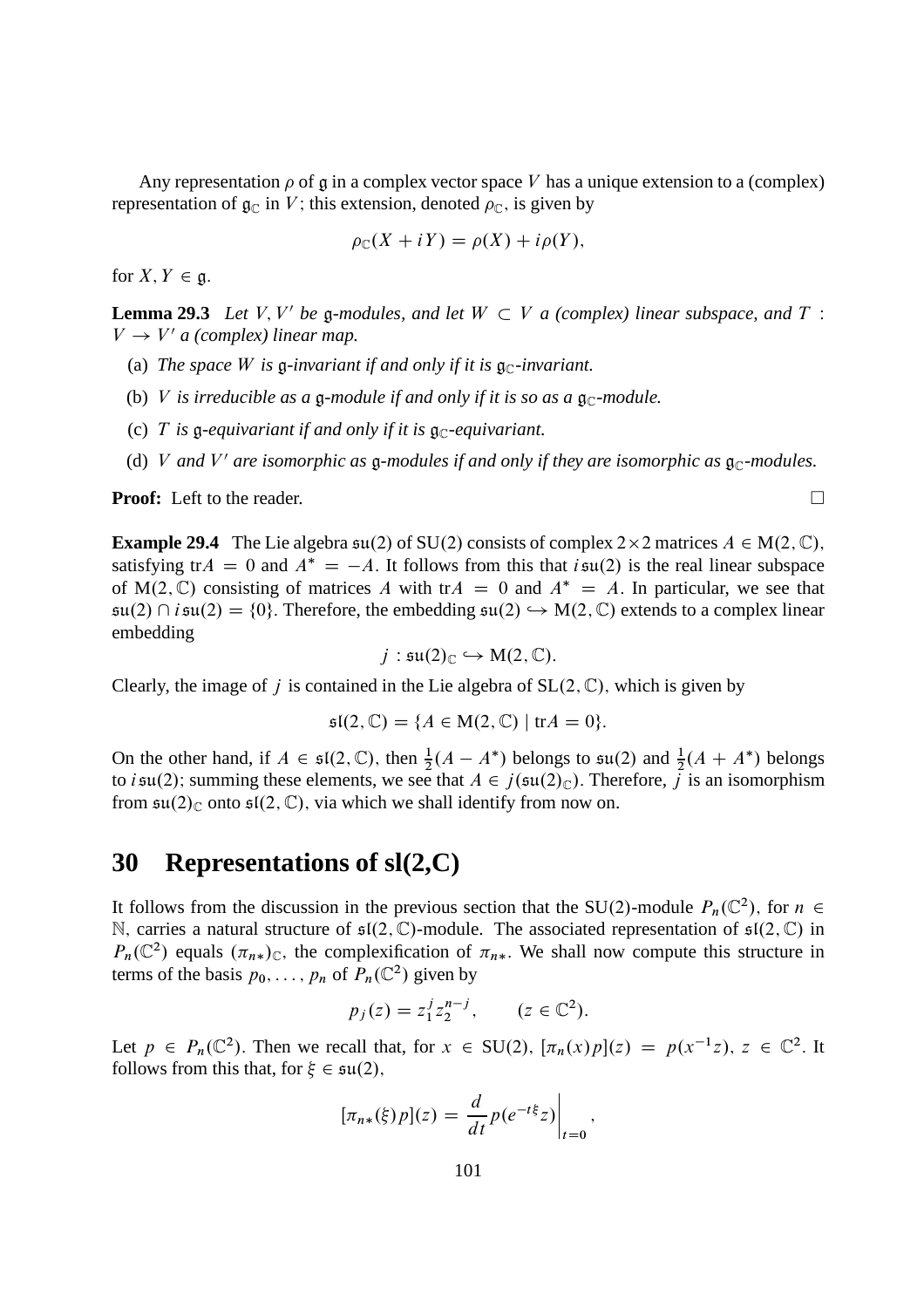Any representation  $\rho$  of g in a complex vector space V has a unique extension to a (complex) representation of  $\mathfrak{g}_{\mathbb{C}}$  in V; this extension, denoted  $\rho_{\mathbb{C}}$ , is given by

$$
\rho_{\mathbb{C}}(X+iY)=\rho(X)+i\rho(Y),
$$

for  $X, Y \in \mathfrak{g}$ .

**Lemma 29.3** Let V, V' be g-modules, and let  $W \subset V$  a (complex) linear subspace, and T :  $V \rightarrow V'$  a (complex) linear map.

- (a) *The space W* is g-invariant if and only if it is  $\mathfrak{g}_\mathbb{C}$ -invariant.
- (b) V *is irreducible as a*  $\mathfrak g$ -module *if and only if it is so as a*  $\mathfrak g_{\mathbb C}$ -module.
- (c) T is g-equivariant if and only if it is  $\mathfrak{g}_{\mathbb{C}}$ -equivariant.
- (d) V and V' are isomorphic as  $\mathfrak g$ -modules if and only if they are isomorphic as  $\mathfrak g_{\mathbb C}$ -modules.

**Proof:** Left to the reader. □

**Example 29.4** The Lie algebra  $\mathfrak{su}(2)$  of SU(2) consists of complex  $2 \times 2$  matrices  $A \in M(2, \mathbb{C})$ , satisfying  $trA = 0$  and  $A^* = -A$ . It follows from this that  $i\mathfrak{su}(2)$  is the real linear subspace of M(2, C) consisting of matrices A with tr $A = 0$  and  $A^* = A$ . In particular, we see that  $\mathfrak{su}(2) \cap i\mathfrak{su}(2) = \{0\}.$  Therefore, the embedding  $\mathfrak{su}(2) \hookrightarrow M(2,\mathbb{C})$  extends to a complex linear embedding

$$
j: \mathfrak{su}(2)_{\mathbb{C}} \hookrightarrow M(2,\mathbb{C}).
$$

Clearly, the image of j is contained in the Lie algebra of  $SL(2, \mathbb{C})$ , which is given by

$$
\mathfrak{sl}(2,\mathbb{C})=\{A\in\mathrm{M}(2,\mathbb{C})\mid\mathrm{tr}A=0\}.
$$

On the other hand, if  $A \in \mathfrak{sl}(2,\mathbb{C})$ , then  $\frac{1}{2}(A - A^*)$  belongs to  $\mathfrak{su}(2)$  and  $\frac{1}{2}(A + A^*)$  belongs to *i* su(2); summing these elements, we see that  $A \in j(\mathfrak{su}(2)_{\mathbb{C}})$ . Therefore, *j* is an isomorphism from  $\mathfrak{su}(2)_{\mathbb{C}}$  onto  $\mathfrak{sl}(2,\mathbb{C})$ , via which we shall identify from now on.

### **30 Representations of sl(2,C)**

It follows from the discussion in the previous section that the SU(2)-module  $P_n(\mathbb{C}^2)$ , for  $n \in$ N, carries a natural structure of  $\mathfrak{sl}(2,\mathbb{C})$ -module. The associated representation of  $\mathfrak{sl}(2,\mathbb{C})$  in  $P_n(\mathbb{C}^2)$  equals  $(\pi_{n*})_{\mathbb{C}}$ , the complexification of  $\pi_{n*}$ . We shall now compute this structure in terms of the basis  $p_0, \ldots, p_n$  of  $P_n(\mathbb{C}^2)$  given by

$$
p_j(z) = z_1^j z_2^{n-j}, \qquad (z \in \mathbb{C}^2).
$$

Let  $p \in P_n(\mathbb{C}^2)$ . Then we recall that, for  $x \in SU(2)$ ,  $[\pi_n(x)p](z) = p(x^{-1}z)$ ,  $z \in \mathbb{C}^2$ . It follows from this that, for  $\xi \in \mathfrak{su}(2)$ ,

$$
[\pi_{n*}(\xi)p](z) = \frac{d}{dt}p(e^{-t\xi}z)\Big|_{t=0},\,
$$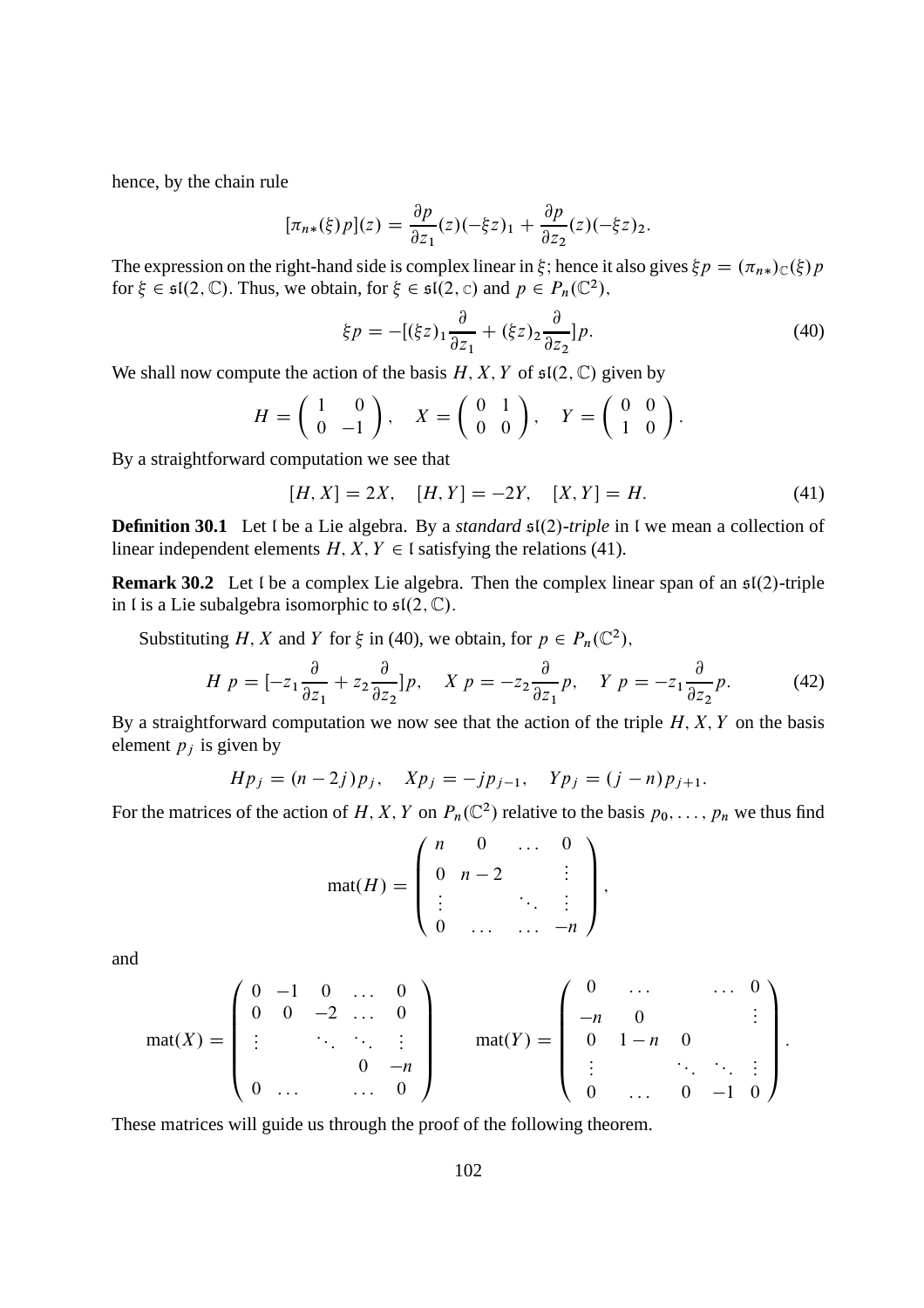hence, by the chain rule

$$
[\pi_{n*}(\xi)p](z) = \frac{\partial p}{\partial z_1}(z)(-\xi z)_1 + \frac{\partial p}{\partial z_2}(z)(-\xi z)_2.
$$

The expression on the right-hand side is complex linear in  $\xi$ ; hence it also gives  $\xi p = (\pi_{n*})_C(\xi) p$ for  $\xi \in \mathfrak{sl}(2,\mathbb{C})$ . Thus, we obtain, for  $\xi \in \mathfrak{sl}(2,\mathbb{C})$  and  $p \in P_n(\mathbb{C}^2)$ ,

$$
\xi p = -[(\xi z)_1 \frac{\partial}{\partial z_1} + (\xi z)_2 \frac{\partial}{\partial z_2}] p. \tag{40}
$$

We shall now compute the action of the basis H, X, Y of  $\mathfrak{sl}(2,\mathbb{C})$  given by

$$
H = \left(\begin{array}{cc} 1 & 0 \\ 0 & -1 \end{array}\right), \quad X = \left(\begin{array}{cc} 0 & 1 \\ 0 & 0 \end{array}\right), \quad Y = \left(\begin{array}{cc} 0 & 0 \\ 1 & 0 \end{array}\right).
$$

By a straightforward computation we see that

$$
[H, X] = 2X, \quad [H, Y] = -2Y, \quad [X, Y] = H.
$$
\n<sup>(41)</sup>

**Definition 30.1** Let I be a Lie algebra. By a *standard*  $\mathfrak{sl}(2)$ -*triple* in I we mean a collection of linear independent elements  $H, X, Y \in \mathfrak{l}$  satisfying the relations (41).

**Remark 30.2** Let I be a complex Lie algebra. Then the complex linear span of an  $\mathfrak{sl}(2)$ -triple in l is a Lie subalgebra isomorphic to  $\mathfrak{sl}(2,\mathbb{C})$ .

Substituting H, X and Y for  $\xi$  in (40), we obtain, for  $p \in P_n(\mathbb{C}^2)$ ,

$$
H p = [-z_1 \frac{\partial}{\partial z_1} + z_2 \frac{\partial}{\partial z_2}] p, \quad X p = -z_2 \frac{\partial}{\partial z_1} p, \quad Y p = -z_1 \frac{\partial}{\partial z_2} p. \tag{42}
$$

By a straightforward computation we now see that the action of the triple  $H, X, Y$  on the basis element  $p_i$  is given by

$$
Hp_j = (n-2j)p_j, \quad Xp_j = -jp_{j-1}, \quad Yp_j = (j-n)p_{j+1}.
$$

For the matrices of the action of H, X, Y on  $P_n(\mathbb{C}^2)$  relative to the basis  $p_0, \ldots, p_n$  we thus find

$$
mat(H) = \begin{pmatrix} n & 0 & \dots & 0 \\ 0 & n-2 & & \vdots \\ \vdots & & \ddots & \vdots \\ 0 & \dots & \dots & -n \end{pmatrix},
$$

and

$$
\text{mat}(X) = \begin{pmatrix} 0 & -1 & 0 & \dots & 0 \\ 0 & 0 & -2 & \dots & 0 \\ \vdots & & \ddots & \ddots & \vdots \\ 0 & \dots & & \dots & 0 \end{pmatrix} \quad \text{mat}(Y) = \begin{pmatrix} 0 & \dots & & \dots & 0 \\ -n & 0 & & \vdots \\ 0 & 1-n & 0 & \vdots \\ \vdots & & \ddots & \ddots & \vdots \\ 0 & \dots & 0 & -1 & 0 \end{pmatrix}.
$$

These matrices will guide us through the proof of the following theorem.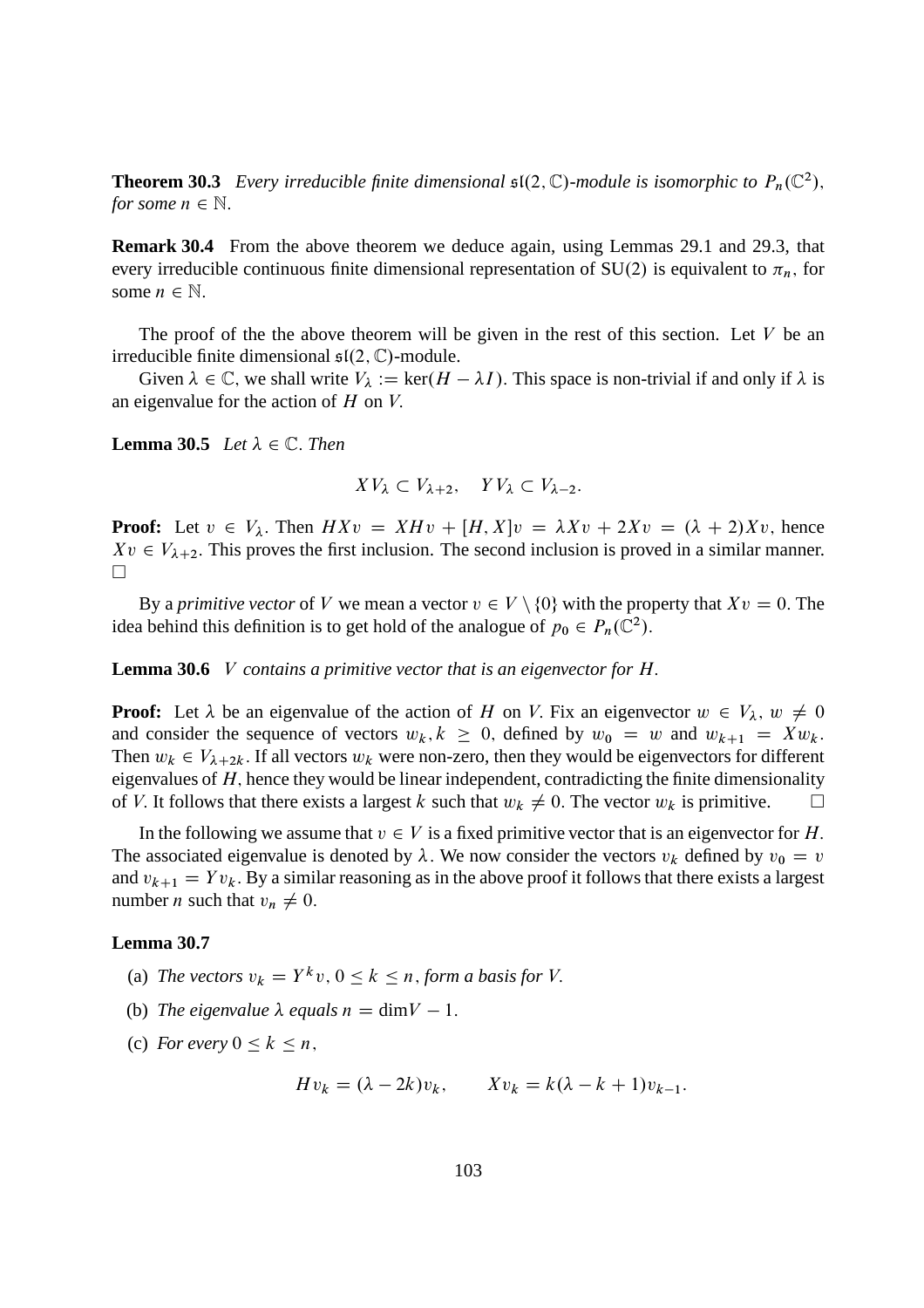**Theorem 30.3** *Every irreducible finite dimensional*  $\mathfrak{sl}(2,\mathbb{C})$ *-module is isomorphic to*  $P_n(\mathbb{C}^2)$ *, for some*  $n \in \mathbb{N}$ .

**Remark 30.4** From the above theorem we deduce again, using Lemmas 29.1 and 29.3, that every irreducible continuous finite dimensional representation of SU(2) is equivalent to  $\pi_n$ , for some  $n \in \mathbb{N}$ .

The proof of the the above theorem will be given in the rest of this section. Let  $V$  be an irreducible finite dimensional  $\mathfrak{sl}(2,\mathbb{C})$ -module.

Given  $\lambda \in \mathbb{C}$ , we shall write  $V_{\lambda} := \ker(H - \lambda I)$ . This space is non-trivial if and only if  $\lambda$  is an eigenvalue for the action of  $H$  on  $V$ .

**Lemma 30.5** *Let*  $\lambda \in \mathbb{C}$ *. Then* 

$$
XV_{\lambda} \subset V_{\lambda+2}, \quad YV_{\lambda} \subset V_{\lambda-2}.
$$

**Proof:** Let  $v \in V_\lambda$ . Then  $H X v = X H v + [H, X] v = \lambda X v + 2 X v = (\lambda + 2) X v$ , hence  $Xv \in V_{\lambda+2}$ . This proves the first inclusion. The second inclusion is proved in a similar manner.  $\Box$ 

By a *primitive vector* of V we mean a vector  $v \in V \setminus \{0\}$  with the property that  $Xv = 0$ . The idea behind this definition is to get hold of the analogue of  $p_0 \in P_n(\mathbb{C}^2)$ .

**Lemma 30.6** V *contains a primitive vector that is an eigenvector for* H:

**Proof:** Let  $\lambda$  be an eigenvalue of the action of H on V. Fix an eigenvector  $w \in V_{\lambda}$ ,  $w \neq 0$ and consider the sequence of vectors  $w_k, k \geq 0$ , defined by  $w_0 = w$  and  $w_{k+1} = Xw_k$ . Then  $w_k \in V_{\lambda+2k}$ . If all vectors  $w_k$  were non-zero, then they would be eigenvectors for different eigenvalues of  $H$ , hence they would be linear independent, contradicting the finite dimensionality of V. It follows that there exists a largest k such that  $w_k \neq 0$ . The vector  $w_k$  is primitive.

In the following we assume that  $v \in V$  is a fixed primitive vector that is an eigenvector for H. The associated eigenvalue is denoted by  $\lambda$ . We now consider the vectors  $v_k$  defined by  $v_0 = v$ and  $v_{k+1} = Y v_k$ . By a similar reasoning as in the above proof it follows that there exists a largest number *n* such that  $v_n \neq 0$ .

#### **Lemma 30.7**

- (a) The vectors  $v_k = Y^k v$ ,  $0 \le k \le n$ , *form a basis for* V.
- (b) The eigenvalue  $\lambda$  equals  $n = \text{dim}V 1$ .
- (c) *For every*  $0 \leq k \leq n$ ,

$$
Hv_k = (\lambda - 2k)v_k, \qquad Xv_k = k(\lambda - k + 1)v_{k-1}.
$$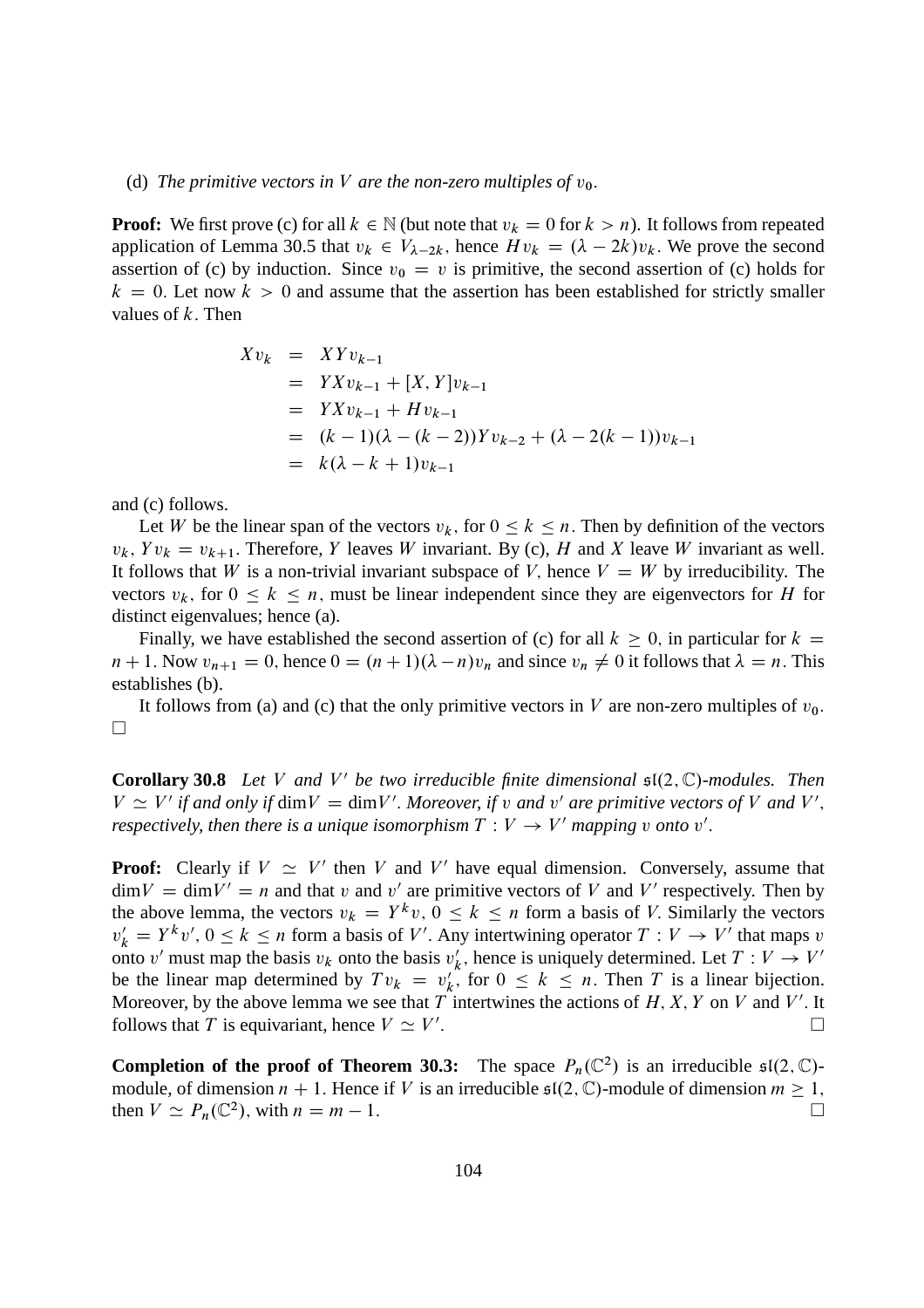#### (d) The primitive vectors in V are the non-zero multiples of  $v_0$ .

**Proof:** We first prove (c) for all  $k \in \mathbb{N}$  (but note that  $v_k = 0$  for  $k > n$ ). It follows from repeated application of Lemma 30.5 that  $v_k \in V_{\lambda-2k}$ , hence  $H v_k = (\lambda - 2k)v_k$ . We prove the second assertion of (c) by induction. Since  $v_0 = v$  is primitive, the second assertion of (c) holds for  $k = 0$ . Let now  $k > 0$  and assume that the assertion has been established for strictly smaller values of  $k$ . Then

$$
Xv_k = XYv_{k-1}
$$
  
=  $YXv_{k-1} + [X, Y]v_{k-1}$   
=  $YXv_{k-1} + Hv_{k-1}$   
=  $(k-1)(\lambda - (k-2))Yv_{k-2} + (\lambda - 2(k-1))v_{k-1}$   
=  $k(\lambda - k + 1)v_{k-1}$ 

and (c) follows.

Let W be the linear span of the vectors  $v_k$ , for  $0 \le k \le n$ . Then by definition of the vectors  $v_k$ ,  $Yv_k = v_{k+1}$ . Therefore, Y leaves W invariant. By (c), H and X leave W invariant as well. It follows that W is a non-trivial invariant subspace of V, hence  $V = W$  by irreducibility. The vectors  $v_k$ , for  $0 \le k \le n$ , must be linear independent since they are eigenvectors for H for distinct eigenvalues; hence (a).

Finally, we have established the second assertion of (c) for all  $k \ge 0$ , in particular for  $k =$  $n + 1$ . Now  $v_{n+1} = 0$ , hence  $0 = (n + 1)(\lambda - n)v_n$  and since  $v_n \neq 0$  it follows that  $\lambda = n$ . This establishes (b).

It follows from (a) and (c) that the only primitive vectors in V are non-zero multiples of  $v_0$ .  $\Box$ 

**Corollary 30.8** Let V and V' be two irreducible finite dimensional  $\mathfrak{sl}(2,\mathbb{C})$ *-modules. Then*  $V \simeq V'$  if and only if dim $V = \dim V'$ . Moreover, if v and v' are primitive vectors of V and V', *respectively, then there is a unique isomorphism*  $T: V \rightarrow V'$  *mapping v onto*  $v'$ .

**Proof:** Clearly if  $V \simeq V'$  then V and V' have equal dimension. Conversely, assume that  $\dim V = \dim V' = n$  and that v and v' are primitive vectors of V and V' respectively. Then by the above lemma, the vectors  $v_k = Y^k v$ ,  $0 \le k \le n$  form a basis of V. Similarly the vectors  $v'_k = Y^k v', 0 \le k \le n$  form a basis of V'. Any intertwining operator  $T : V \to V'$  that maps v onto v' must map the basis  $v_k$  onto the basis  $v'_k$ k, hence is uniquely determined. Let  $T: V \to V'$ be the linear map determined by  $Tv_k = v'_k$  $'_{k}$ , for  $0 \leq k \leq n$ . Then T is a linear bijection. Moreover, by the above lemma we see that T intertwines the actions of H, X, Y on V and V'. It follows that T is equivariant, hence  $V \simeq V'$ :

**Completion of the proof of Theorem 30.3:** The space  $P_n(\mathbb{C}^2)$  is an irreducible  $\mathfrak{sl}(2,\mathbb{C})$ module, of dimension  $n + 1$ . Hence if V is an irreducible  $\mathfrak{sl}(2, \mathbb{C})$ -module of dimension  $m \ge 1$ , then  $V \simeq P_n(\mathbb{C}^2)$ , with  $n = m - 1$ . then  $V \simeq P_n(\mathbb{C}^2)$ , with  $n = m - 1$ .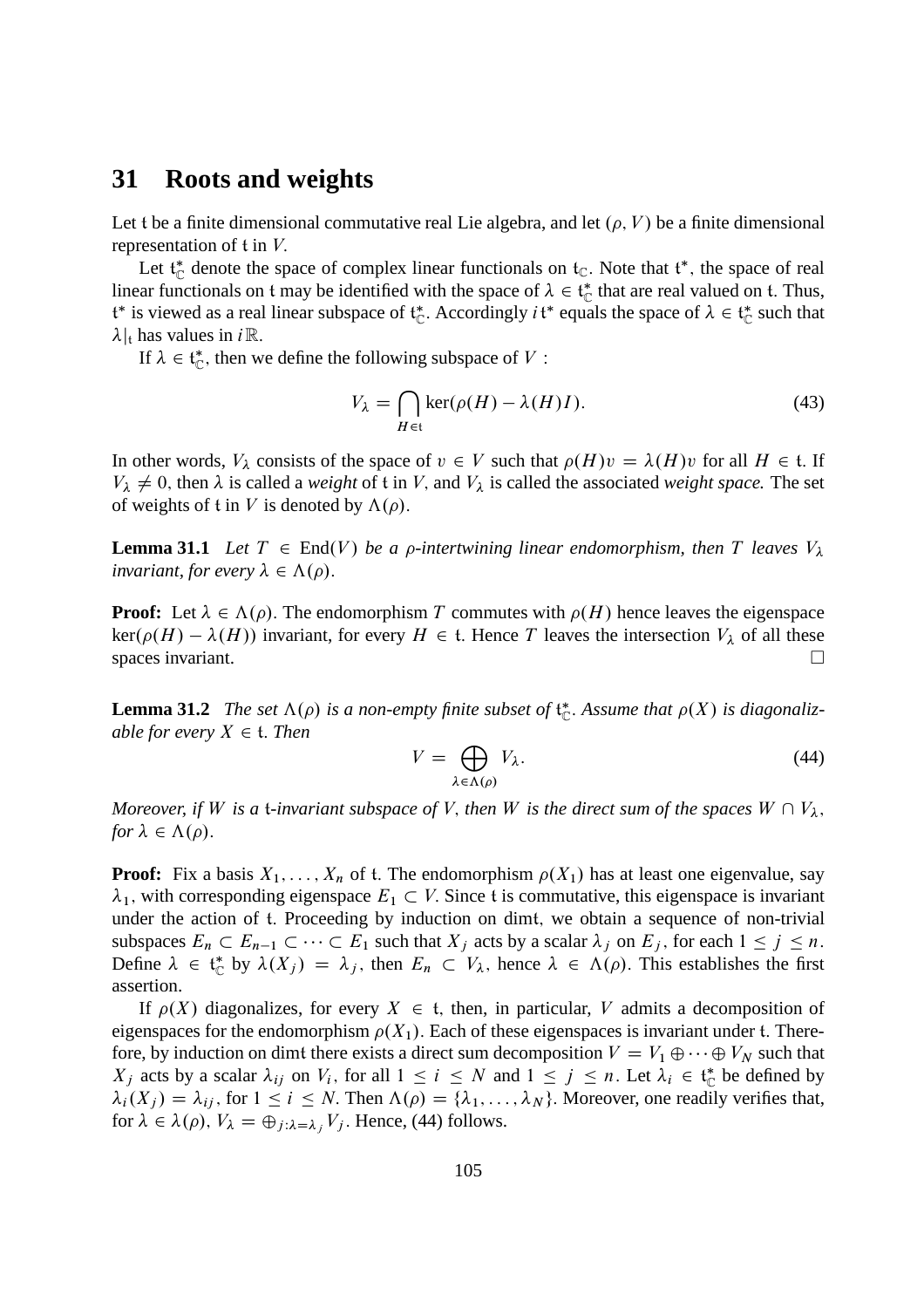#### **31 Roots and weights**

Let t be a finite dimensional commutative real Lie algebra, and let  $(\rho, V)$  be a finite dimensional representation of t in V:

Let  $t_{\mathbb{C}}^*$  denote the space of complex linear functionals on  $t_{\mathbb{C}}$ . Note that  $t^*$ , the space of real linear functionals on t may be identified with the space of  $\lambda \in \mathfrak{t}_{\mathbb{C}}^*$  that are real valued on t. Thus,  $t^*$  is viewed as a real linear subspace of  $t^*_C$ . Accordingly  $it^*$  equals the space of  $\lambda \in t^*_C$  such that  $\lambda|_t$  has values in *i* R.

If  $\lambda \in \mathfrak{t}_{\mathbb{C}}^*$ , then we define the following subspace of V:

$$
V_{\lambda} = \bigcap_{H \in \mathfrak{t}} \ker(\rho(H) - \lambda(H)I). \tag{43}
$$

In other words,  $V_{\lambda}$  consists of the space of  $v \in V$  such that  $\rho(H)v = \lambda(H)v$  for all  $H \in \mathfrak{t}$ . If  $V_{\lambda} \neq 0$ , then  $\lambda$  is called a *weight* of t in V, and  $V_{\lambda}$  is called the associated *weight space*. The set of weights of t in V is denoted by  $\Lambda(\rho)$ .

**Lemma 31.1** Let  $T \in End(V)$  be a p-intertwining linear endomorphism, then T leaves  $V_{\lambda}$ *invariant, for every*  $\lambda \in \Lambda(\rho)$ .

**Proof:** Let  $\lambda \in \Lambda(\rho)$ . The endomorphism T commutes with  $\rho(H)$  hence leaves the eigenspace  $\ker(\rho(H) - \lambda(H))$  invariant, for every  $H \in \mathfrak{t}$ . Hence T leaves the intersection  $V_{\lambda}$  of all these spaces invariant. spaces invariant.

**Lemma 31.2** The set  $\Lambda(\rho)$  is a non-empty finite subset of  $\mathfrak{t}_{\mathbb{C}}^*$ . Assume that  $\rho(X)$  is diagonaliz*able for every*  $X \in \mathfrak{t}$ *. Then* 

$$
V = \bigoplus_{\lambda \in \Lambda(\rho)} V_{\lambda}.
$$
 (44)

*Moreover, if* W *is a t-invariant subspace of* V, *then* W *is the direct sum of the spaces*  $W \cap V_\lambda$ , *for*  $\lambda \in \Lambda(\rho)$ .

**Proof:** Fix a basis  $X_1, \ldots, X_n$  of t. The endomorphism  $\rho(X_1)$  has at least one eigenvalue, say  $\lambda_1$ , with corresponding eigenspace  $E_1 \subset V$ . Since t is commutative, this eigenspace is invariant under the action of t. Proceeding by induction on dimt, we obtain a sequence of non-trivial subspaces  $E_n \subset E_{n-1} \subset \cdots \subset E_1$  such that  $X_j$  acts by a scalar  $\lambda_j$  on  $E_j$ , for each  $1 \leq j \leq n$ . Define  $\lambda \in \mathfrak{t}_{\mathbb{C}}^*$  by  $\lambda(X_j) = \lambda_j$ , then  $E_n \subset V_\lambda$ , hence  $\lambda \in \Lambda(\rho)$ . This establishes the first assertion.

If  $\rho(X)$  diagonalizes, for every  $X \in \mathfrak{t}$ , then, in particular, V admits a decomposition of eigenspaces for the endomorphism  $\rho(X_1)$ . Each of these eigenspaces is invariant under t. Therefore, by induction on dimt there exists a direct sum decomposition  $V = V_1 \oplus \cdots \oplus V_N$  such that  $X_j$  acts by a scalar  $\lambda_{ij}$  on  $V_i$ , for all  $1 \le i \le N$  and  $1 \le j \le n$ . Let  $\lambda_i \in \mathfrak{t}_{\mathbb{C}}^*$  be defined by  $\lambda_i(X_i) = \lambda_{ij}$ , for  $1 \le i \le N$ . Then  $\Lambda(\rho) = {\lambda_1, \dots, \lambda_N}$ . Moreover, one readily verifies that, for  $\lambda \in \lambda(\rho)$ ,  $V_{\lambda} = \bigoplus_{j:\lambda = \lambda} V_j$ . Hence, (44) follows.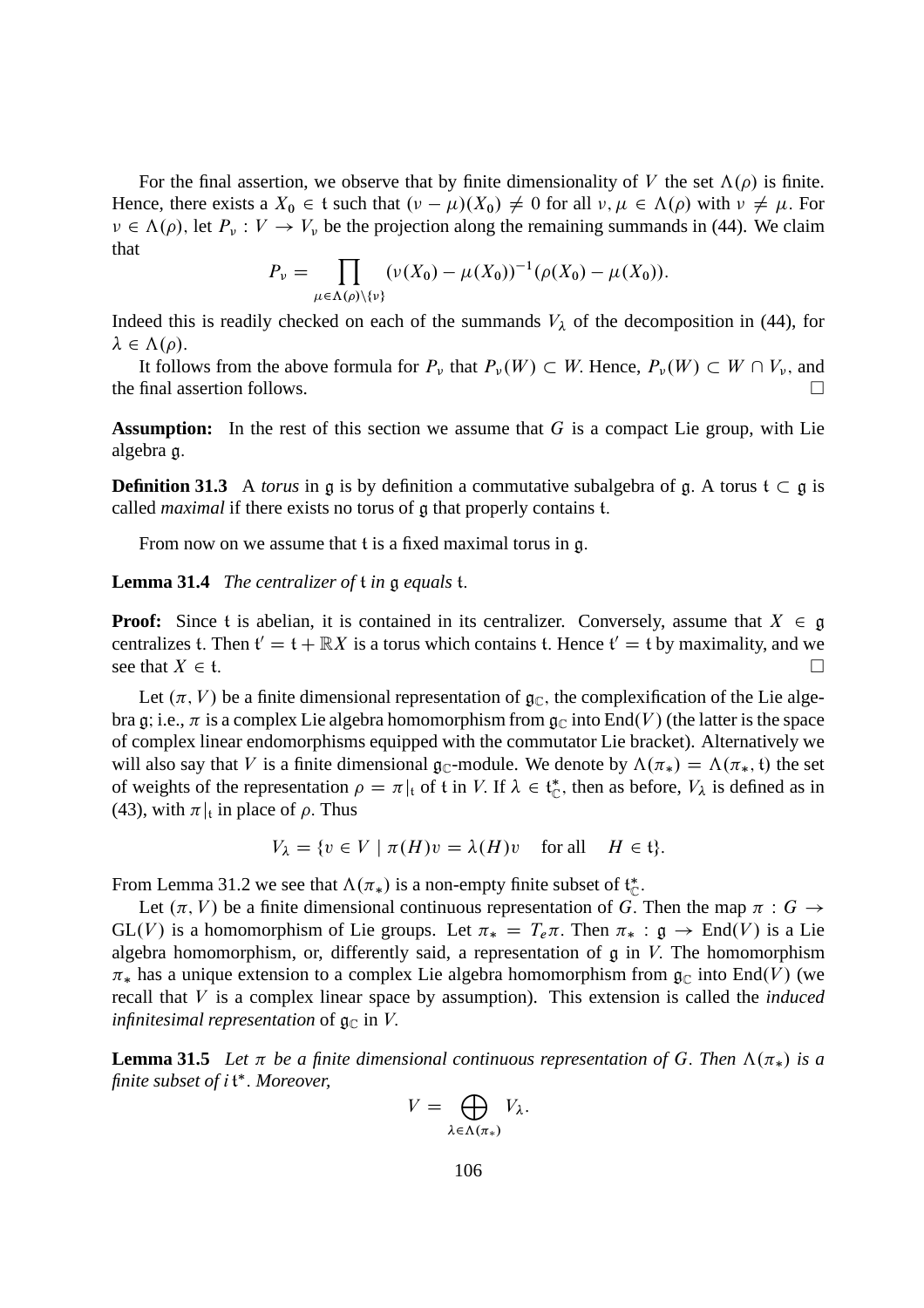For the final assertion, we observe that by finite dimensionality of V the set  $\Lambda(\rho)$  is finite. Hence, there exists a  $X_0 \in \mathfrak{t}$  such that  $(\nu - \mu)(X_0) \neq 0$  for all  $\nu, \mu \in \Lambda(\rho)$  with  $\nu \neq \mu$ . For  $\nu \in \Lambda(\rho)$ , let  $P_{\nu}: V \to V_{\nu}$  be the projection along the remaining summands in (44). We claim that

$$
P_{\nu} = \prod_{\mu \in \Lambda(\rho) \setminus \{\nu\}} (\nu(X_0) - \mu(X_0))^{-1} (\rho(X_0) - \mu(X_0)).
$$

Indeed this is readily checked on each of the summands  $V_{\lambda}$  of the decomposition in (44), for  $\lambda \in \Lambda(\rho).$ 

It follows from the above formula for  $P_\nu$  that  $P_\nu(W) \subset W$ . Hence,  $P_\nu(W) \subset W \cap V_\nu$ , and final assertion follows the final assertion follows.

**Assumption:** In the rest of this section we assume that G is a compact Lie group, with Lie algebra g:

**Definition 31.3** A *torus* in g is by definition a commutative subalgebra of g. A torus  $t \subset g$  is called *maximal* if there exists no torus of g that properly contains t:

From now on we assume that t is a fixed maximal torus in g.

**Lemma 31.4** *The centralizer of* t *in* g *equals* t:

**Proof:** Since t is abelian, it is contained in its centralizer. Conversely, assume that  $X \in \mathfrak{g}$ centralizes t. Then  $f' = f + \mathbb{R}X$  is a torus which contains t. Hence  $f' = f$  by maximality, and we see that  $X \in \mathfrak{t}$ .

Let  $(\pi, V)$  be a finite dimensional representation of  $\mathfrak{g}_{\mathbb{C}}$ , the complexification of the Lie algebra g; i.e.,  $\pi$  is a complex Lie algebra homomorphism from  $\mathfrak{g}_{\mathbb{C}}$  into End(V) (the latter is the space of complex linear endomorphisms equipped with the commutator Lie bracket). Alternatively we will also say that V is a finite dimensional  $\mathfrak{g}_{\mathbb{C}}$ -module. We denote by  $\Lambda(\pi_*) = \Lambda(\pi_*, \mathfrak{t})$  the set of weights of the representation  $\rho = \pi|_t$  of t in V. If  $\lambda \in \mathfrak{t}_{\mathbb{C}}^*$ , then as before,  $V_{\lambda}$  is defined as in (43), with  $\pi|_t$  in place of  $\rho$ . Thus

$$
V_{\lambda} = \{ v \in V \mid \pi(H)v = \lambda(H)v \quad \text{for all} \quad H \in \mathfrak{t} \}.
$$

From Lemma 31.2 we see that  $\Lambda(\pi_*)$  is a non-empty finite subset of  $\mathfrak{t}_{\mathbb{C}}^*$ .

Let  $(\pi, V)$  be a finite dimensional continuous representation of G. Then the map  $\pi : G \to$  $GL(V)$  is a homomorphism of Lie groups. Let  $\pi_* = T_e \pi$ . Then  $\pi_* : \mathfrak{g} \to End(V)$  is a Lie algebra homomorphism, or, differently said, a representation of  $\mathfrak g$  in  $V$ . The homomorphism  $\pi_*$  has a unique extension to a complex Lie algebra homomorphism from  $\mathfrak{g}_{\mathbb{C}}$  into End(V) (we recall that V is a complex linear space by assumption). This extension is called the *induced infinitesimal representation* of  $\mathfrak{g}_{\mathbb{C}}$  in V.

**Lemma 31.5** Let  $\pi$  be a finite dimensional continuous representation of G. Then  $\Lambda(\pi_*)$  is a finite subset of i<sup>t\*</sup>. Moreover,

$$
V=\bigoplus_{\lambda\in\Lambda(\pi_*)}V_\lambda.
$$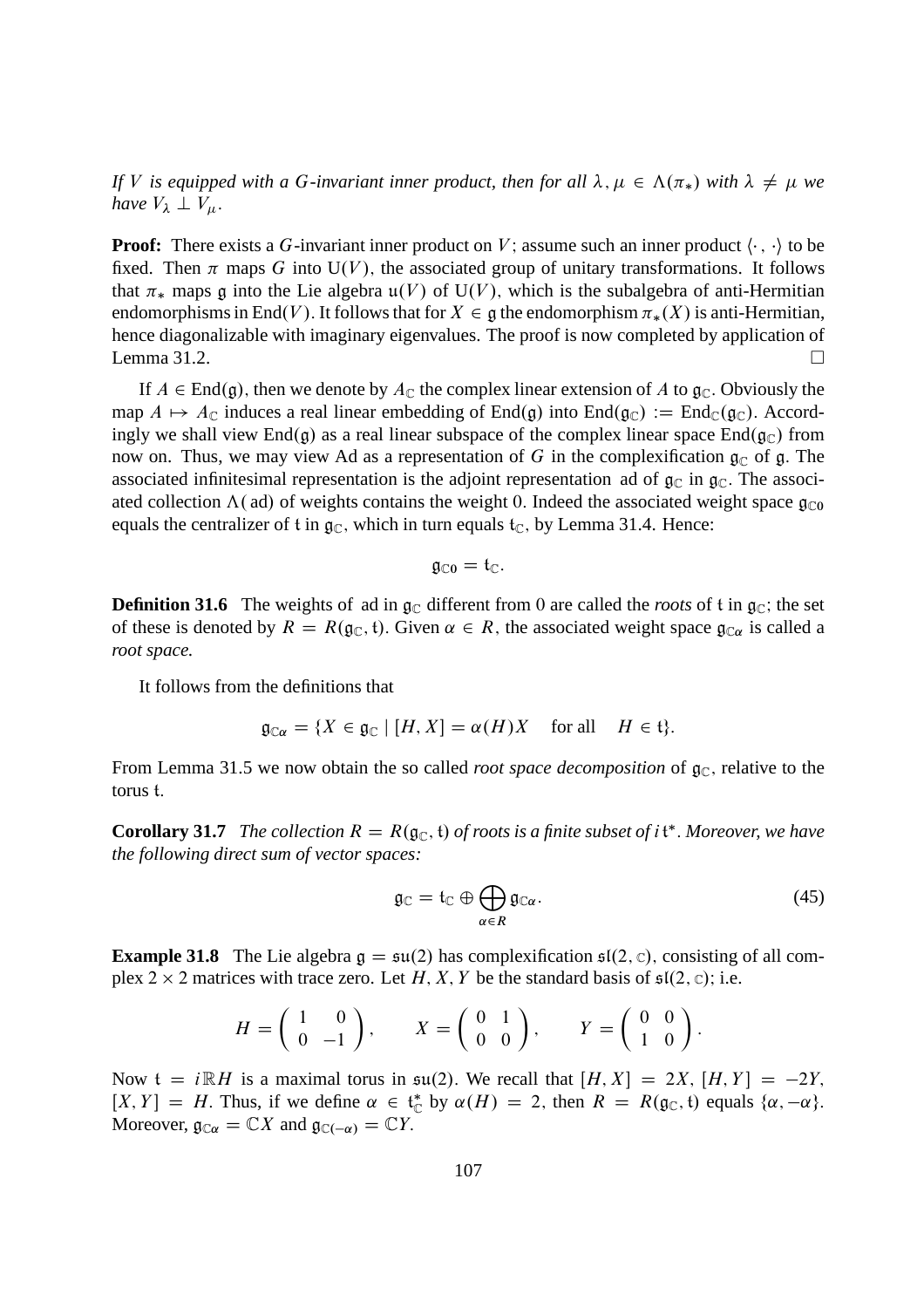*If V* is equipped with a G-invariant inner product, then for all  $\lambda, \mu \in \Lambda(\pi_*)$  with  $\lambda \neq \mu$  we *have*  $V_{\lambda} \perp V_{\mu}$ .

**Proof:** There exists a G-invariant inner product on V; assume such an inner product  $\langle \cdot, \cdot \rangle$  to be fixed. Then  $\pi$  maps G into U(V), the associated group of unitary transformations. It follows that  $\pi_*$  maps g into the Lie algebra  $\mathfrak{u}(V)$  of  $U(V)$ , which is the subalgebra of anti-Hermitian endomorphisms in End(V). It follows that for  $X \in \mathfrak{g}$  the endomorphism  $\pi_*(X)$  is anti-Hermitian, hence diagonalizable with imaginary eigenvalues. The proof is now completed by application of Lemma 31.2.

If  $A \in End(g)$ , then we denote by  $A_{\mathbb{C}}$  the complex linear extension of A to  $g_{\mathbb{C}}$ . Obviously the map  $A \mapsto A_{\mathbb{C}}$  induces a real linear embedding of End(g) into End(g<sub>C</sub>) := End<sub>C</sub>(g<sub>C</sub>). Accordingly we shall view End $(g)$  as a real linear subspace of the complex linear space End $(g_C)$  from now on. Thus, we may view Ad as a representation of G in the complexification  $\mathfrak{g}_{\mathbb{C}}$  of g. The associated infinitesimal representation is the adjoint representation ad of  $\mathfrak{g}_{\mathbb{C}}$  in  $\mathfrak{g}_{\mathbb{C}}$ . The associated collection  $\Lambda$  (ad) of weights contains the weight 0. Indeed the associated weight space  $\mathfrak{g}_{\mathbb{C}^0}$ equals the centralizer of t in  $g_C$ , which in turn equals  $t_C$ , by Lemma 31.4. Hence:

$$
\mathfrak{g}_{\mathbb{C} 0}=\mathfrak{t}_{\mathbb{C}}.
$$

**Definition 31.6** The weights of ad in  $\mathfrak{g}_{\mathbb{C}}$  different from 0 are called the *roots* of t in  $\mathfrak{g}_{\mathbb{C}}$ ; the set of these is denoted by  $R = R(g_{\mathbb{C}}, t)$ . Given  $\alpha \in R$ , the associated weight space  $g_{\mathbb{C}\alpha}$  is called a *root space.*

It follows from the definitions that

$$
\mathfrak{g}_{\mathbb{C}\alpha} = \{ X \in \mathfrak{g}_{\mathbb{C}} \mid [H, X] = \alpha(H)X \quad \text{for all} \quad H \in \mathfrak{t} \}.
$$

From Lemma 31.5 we now obtain the so called *root space decomposition* of  $\mathfrak{g}_{\mathbb{C}}$ , relative to the torus t:

**Corollary 31.7** *The collection*  $R = R(\mathfrak{g}_\mathbb{C}, \mathfrak{t})$  *of roots is a finite subset of i* $\mathfrak{t}^*$ *. Moreover, we have the following direct sum of vector spaces:*

$$
\mathfrak{g}_{\mathbb{C}} = \mathfrak{t}_{\mathbb{C}} \oplus \bigoplus_{\alpha \in R} \mathfrak{g}_{\mathbb{C}\alpha}.
$$
 (45)

**Example 31.8** The Lie algebra  $g = \mathfrak{su}(2)$  has complexification  $\mathfrak{sl}(2, \mathbb{C})$ , consisting of all complex 2  $\times$  2 matrices with trace zero. Let H, X, Y be the standard basis of  $\mathfrak{sl}(2,\mathbb{C})$ ; i.e.

$$
H = \left(\begin{array}{cc} 1 & 0 \\ 0 & -1 \end{array}\right), \qquad X = \left(\begin{array}{cc} 0 & 1 \\ 0 & 0 \end{array}\right), \qquad Y = \left(\begin{array}{cc} 0 & 0 \\ 1 & 0 \end{array}\right).
$$

Now  $t = i\mathbb{R}H$  is a maximal torus in  $\mathfrak{su}(2)$ . We recall that  $[H, X] = 2X$ ;  $[H, Y] = -2Y$ ;  $[X, Y] = H$ . Thus, if we define  $\alpha \in \mathfrak{t}_{\mathbb{C}}^*$  by  $\alpha(H) = 2$ , then  $R = R(\mathfrak{g}_{\mathbb{C}}, \mathfrak{t})$  equals  $\{\alpha, -\alpha\}$ . Moreover,  $\mathfrak{g}_{\mathbb{C}\alpha} = \mathbb{C}X$  and  $\mathfrak{g}_{\mathbb{C}(-\alpha)} = \mathbb{C}Y$ .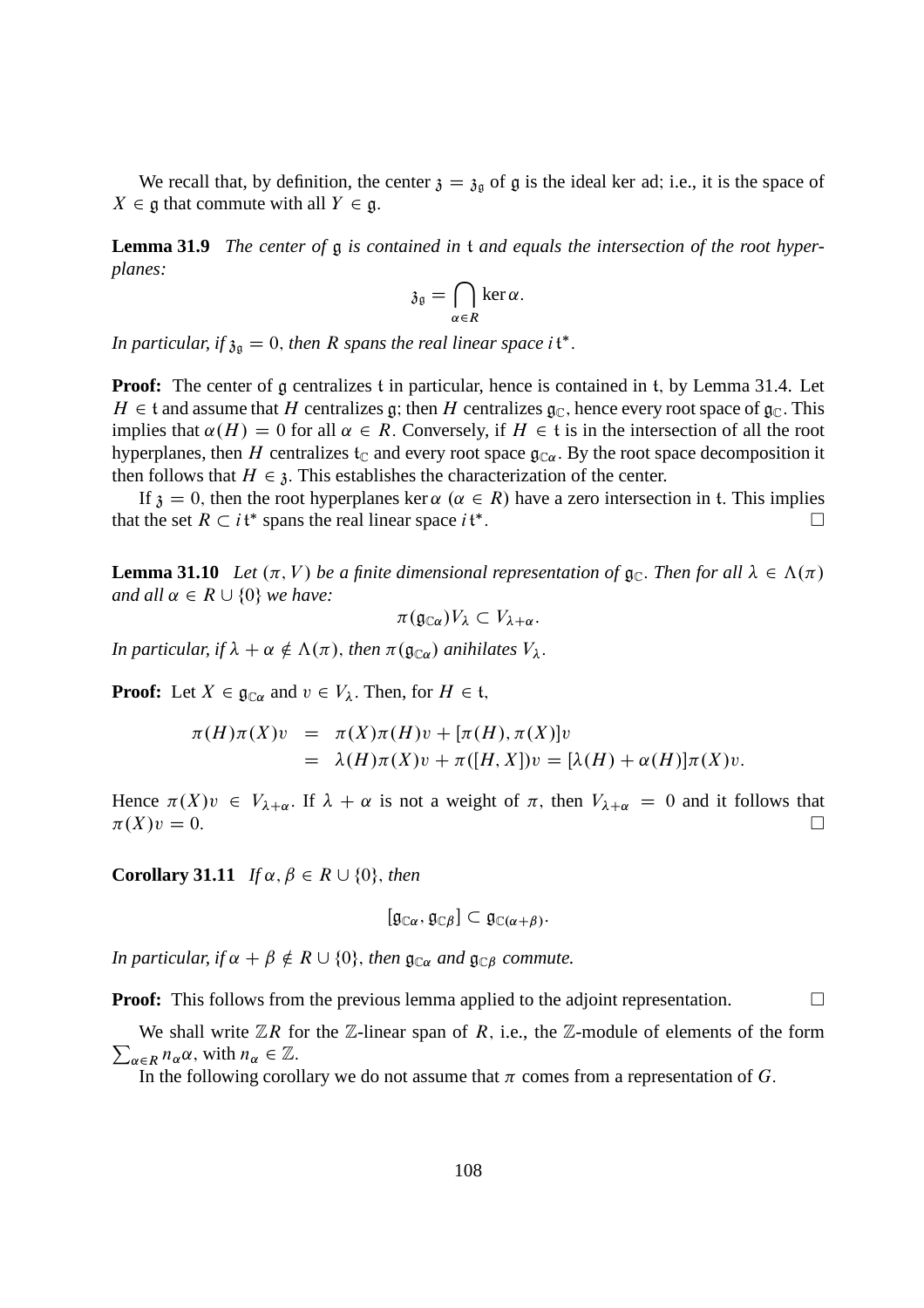We recall that, by definition, the center  $\mathfrak{z} = \mathfrak{z}_{\mathfrak{g}}$  of g is the ideal ker ad; i.e., it is the space of  $X \in \mathfrak{g}$  that commute with all  $Y \in \mathfrak{g}$ .

**Lemma 31.9** *The center of* g *is contained in* t *and equals the intersection of the root hyperplanes:*

$$
\mathfrak{z}_{\mathfrak{g}}=\bigcap_{\alpha\in R}\ker\alpha.
$$

In particular, if  $\mathfrak{z}_{\mathfrak{g}} = 0$ , then R spans the real linear space it<sup>\*</sup>.

**Proof:** The center of g centralizes t in particular, hence is contained in t, by Lemma 31.4. Let  $H \in \mathfrak{t}$  and assume that H centralizes g; then H centralizes g<sub>C</sub>, hence every root space of g<sub>C</sub>. This implies that  $\alpha(H) = 0$  for all  $\alpha \in R$ . Conversely, if  $H \in \mathfrak{t}$  is in the intersection of all the root hyperplanes, then H centralizes  $t_c$  and every root space  $g_{\text{C}\alpha}$ . By the root space decomposition it then follows that  $H \in \mathfrak{z}$ . This establishes the characterization of the center.

If  $\mathfrak{z} = 0$ , then the root hyperplanes ker  $\alpha$  ( $\alpha \in R$ ) have a zero intersection in t. This implies the set  $R \subset i\mathfrak{t}^*$  spans the real linear space  $i\mathfrak{t}^*$ . that the set  $R \subset i\mathfrak{t}^*$  spans the real linear space  $i\mathfrak{t}^*$ :

**Lemma 31.10** *Let*  $(\pi, V)$  *be a finite dimensional representation of*  $\mathfrak{g}_{\mathbb{C}}$ *. Then for all*  $\lambda \in \Lambda(\pi)$ *and all*  $\alpha \in R \cup \{0\}$  *we have:* 

$$
\pi(\mathfrak{g}_{\mathbb{C}\alpha})V_{\lambda}\subset V_{\lambda+\alpha}.
$$

*In particular, if*  $\lambda + \alpha \notin \Lambda(\pi)$ *, then*  $\pi(\mathfrak{g}_{\mathbb{C}\alpha})$  *anihilates*  $V_{\lambda}$ *.* 

**Proof:** Let  $X \in \mathfrak{g}_{\mathbb{C}\alpha}$  and  $v \in V_\lambda$ . Then, for  $H \in \mathfrak{t}$ ,

$$
\pi(H)\pi(X)v = \pi(X)\pi(H)v + [\pi(H), \pi(X)]v
$$
  
=  $\lambda(H)\pi(X)v + \pi([H, X])v = [\lambda(H) + \alpha(H)]\pi(X)v.$ 

Hence  $\pi(X)v \in V_{\lambda+\alpha}$ . If  $\lambda + \alpha$  is not a weight of  $\pi$ , then  $V_{\lambda+\alpha} = 0$  and it follows that  $\pi(X)v = 0$ .  $\pi(X)v = 0.$ 

**Corollary 31.11** *If*  $\alpha, \beta \in R \cup \{0\}$ , *then* 

$$
[\mathfrak{g}_{\mathbb{C}\alpha},\mathfrak{g}_{\mathbb{C}\beta}]\subset \mathfrak{g}_{\mathbb{C}(\alpha+\beta)}.
$$

*In particular, if*  $\alpha + \beta \notin R \cup \{0\}$ *, then*  $\mathfrak{g}_{\mathbb{C}\alpha}$  *and*  $\mathfrak{g}_{\mathbb{C}\beta}$  *commute.* 

**Proof:** This follows from the previous lemma applied to the adjoint representation.

 $\sum_{\alpha \in R} n_{\alpha} \alpha$ , with  $n_{\alpha} \in \mathbb{Z}$ . We shall write  $\mathbb{Z}R$  for the  $\mathbb{Z}$ -linear span of R, i.e., the  $\mathbb{Z}$ -module of elements of the form

In the following corollary we do not assume that  $\pi$  comes from a representation of G.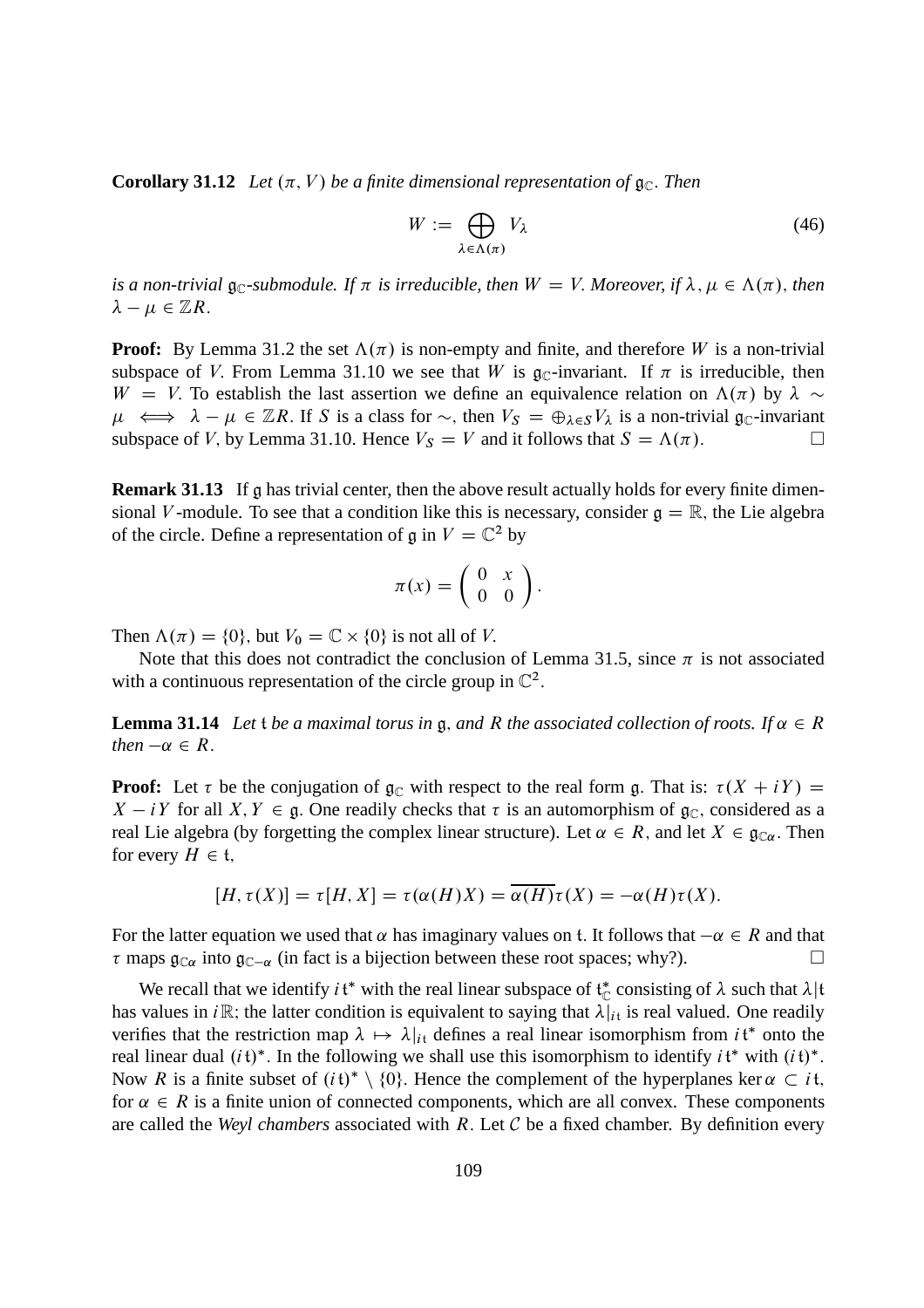**Corollary 31.12** *Let*  $(\pi, V)$  *be a finite dimensional representation of*  $\mathfrak{g}_{\mathbb{C}}$ *. Then* 

$$
W := \bigoplus_{\lambda \in \Lambda(\pi)} V_{\lambda} \tag{46}
$$

*is a non-trivial*  $\mathfrak{g}_\mathbb{C}$ -submodule. If  $\pi$  is irreducible, then  $W = V$ . Moreover, if  $\lambda, \mu \in \Lambda(\pi)$ , then  $\lambda - \mu \in \mathbb{Z}R$ .

**Proof:** By Lemma 31.2 the set  $\Lambda(\pi)$  is non-empty and finite, and therefore W is a non-trivial subspace of V. From Lemma 31.10 we see that W is  $\mathfrak{g}_{\mathbb{C}}$ -invariant. If  $\pi$  is irreducible, then  $W = V$ . To establish the last assertion we define an equivalence relation on  $\Lambda(\pi)$  by  $\lambda \sim$  $\mu \iff \lambda - \mu \in \mathbb{Z}R$ . If S is a class for  $\sim$ , then  $V_S = \bigoplus_{\lambda \in S} V_{\lambda}$  is a non-trivial  $\mathfrak{g}_{\mathbb{C}}$ -invariant subspace of V by Lemma 31.10. Hence  $V_S = V$  and it follows that  $S = \Lambda(\pi)$ subspace of V, by Lemma 31.10. Hence  $V_s = V$  and it follows that  $S = \Lambda(\pi)$ .

**Remark 31.13** If g has trivial center, then the above result actually holds for every finite dimensional V-module. To see that a condition like this is necessary, consider  $\mathfrak{g} = \mathbb{R}$ , the Lie algebra of the circle. Define a representation of  $\mathfrak g$  in  $V = \mathbb C^2$  by

$$
\pi(x) = \left(\begin{array}{cc} 0 & x \\ 0 & 0 \end{array}\right).
$$

Then  $\Lambda(\pi) = \{0\}$ , but  $V_0 = \mathbb{C} \times \{0\}$  is not all of V.

Note that this does not contradict the conclusion of Lemma 31.5, since  $\pi$  is not associated with a continuous representation of the circle group in  $\mathbb{C}^2$ .

**Lemma 31.14** Let *t* be a maximal torus in g, and R the associated collection of roots. If  $\alpha \in R$ *then*  $-\alpha \in R$ .

**Proof:** Let  $\tau$  be the conjugation of  $\mathfrak{g}_{\mathbb{C}}$  with respect to the real form g. That is:  $\tau(X + iY) =$  $X - iY$  for all  $X, Y \in \mathfrak{g}$ . One readily checks that  $\tau$  is an automorphism of  $\mathfrak{g}_{\mathbb{C}}$ , considered as a real Lie algebra (by forgetting the complex linear structure). Let  $\alpha \in R$ , and let  $X \in \mathfrak{g}_{\mathbb{C}\alpha}$ . Then for every  $H \in \mathfrak{t}$ ,

$$
[H, \tau(X)] = \tau[H, X] = \tau(\alpha(H)X) = \overline{\alpha(H)}\tau(X) = -\alpha(H)\tau(X).
$$

For the latter equation we used that  $\alpha$  has imaginary values on t. It follows that  $-\alpha \in R$  and that  $\tau$  maps  $\mathfrak{g}_{\mathbb{C}\alpha}$  into  $\mathfrak{g}_{\mathbb{C}-\alpha}$  (in fact is a bijection between these root spaces; why?).

We recall that we identify  $i \, t^*$  with the real linear subspace of  $t^*_{\mathbb{C}}$  consisting of  $\lambda$  such that  $\lambda | t$ has values in  $i\mathbb{R}$ ; the latter condition is equivalent to saying that  $\lambda|_{i}$  is real valued. One readily verifies that the restriction map  $\lambda \mapsto \lambda|_{it}$  defines a real linear isomorphism from  $it^*$  onto the real linear dual  $(it)^*$ . In the following we shall use this isomorphism to identify  $it^*$  with  $(it)^*$ . Now R is a finite subset of  $(i\mathfrak{t})^* \setminus \{0\}$ . Hence the complement of the hyperplanes ker  $\alpha \subset i\mathfrak{t}$ , for  $\alpha \in R$  is a finite union of connected components, which are all convex. These components are called the *Weyl chambers* associated with R: Let C be a fixed chamber. By definition every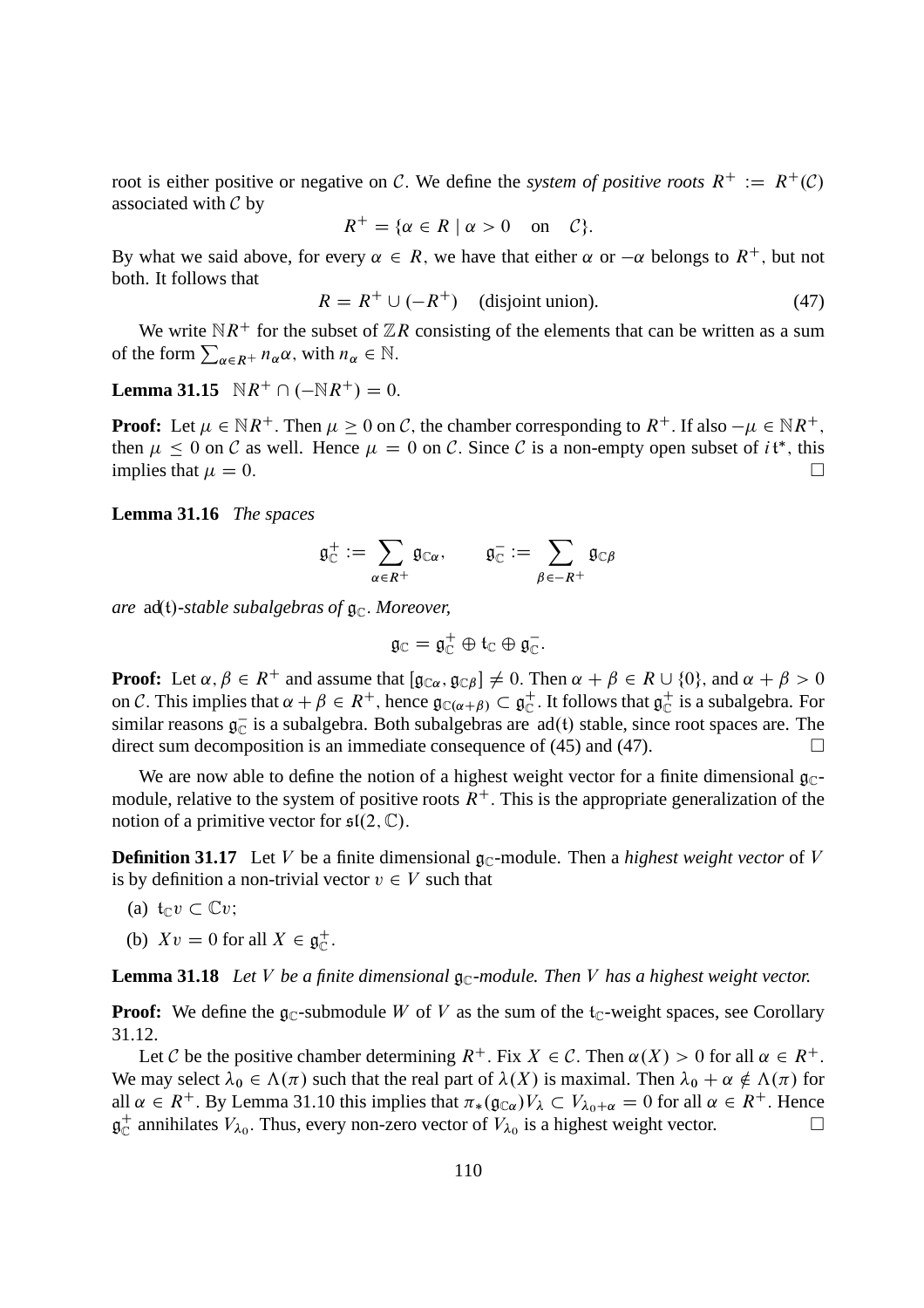root is either positive or negative on C. We define the *system of positive roots*  $R^+ := R^+(\mathcal{C})$ associated with  $C$  by

$$
R^+ = \{ \alpha \in R \mid \alpha > 0 \quad \text{on} \quad C \}.
$$

By what we said above, for every  $\alpha \in R$ , we have that either  $\alpha$  or  $-\alpha$  belongs to  $R^+$ , but not both. It follows that

$$
R = R^{+} \cup (-R^{+}) \quad \text{(disjoint union)}.
$$
 (47)

We write  $\mathbb{N}R^+$  for the subset of  $\mathbb{Z}R$  consisting of the elements that can be written as a sum of the form  $\sum_{\alpha \in R^+} n_{\alpha} \alpha$ , with  $n_{\alpha} \in \mathbb{N}$ .

**Lemma 31.15**  $\mathbb{N}R^+ \cap (-\mathbb{N}R^+) = 0.$ 

**Proof:** Let  $\mu \in \mathbb{N}R^+$ . Then  $\mu \geq 0$  on C, the chamber corresponding to  $R^+$ . If also  $-\mu \in \mathbb{N}R^+$ , then  $\mu \leq 0$  on C as well. Hence  $\mu = 0$  on C. Since C is a non-empty open subset of it\*, this implies that  $\mu = 0$ .

**Lemma 31.16** *The spaces*

$$
\mathfrak{g}^+_{\mathbb{C}}:=\sum_{\alpha\in R^+}\mathfrak{g}_{\mathbb{C}\alpha},\qquad \mathfrak{g}^-_{\mathbb{C}}:=\sum_{\beta\in -R^+}\mathfrak{g}_{\mathbb{C}\beta}
$$

*are* ad(t)-stable subalgebras of  $\mathfrak{g}_{\mathbb{C}}$ . Moreover,

$$
\mathfrak{g}_{\mathbb{C}}=\mathfrak{g}_{\mathbb{C}}^+\oplus\mathfrak{t}_{\mathbb{C}}\oplus\mathfrak{g}_{\mathbb{C}}^-.
$$

**Proof:** Let  $\alpha, \beta \in R^+$  and assume that  $[\mathfrak{g}_{\mathbb{C}\alpha}, \mathfrak{g}_{\mathbb{C}\beta}] \neq 0$ . Then  $\alpha + \beta \in R \cup \{0\}$ , and  $\alpha + \beta > 0$ on C. This implies that  $\alpha + \beta \in R^+$ , hence  $\mathfrak{g}_{\mathbb{C}(\alpha + \beta)} \subset \mathfrak{g}_{\mathbb{C}}^+$  $_{\mathbb{C}}^{+}$ . It follows that  $\mathfrak{g}_{\mathbb{C}}^{+}$  $_{\mathbb{C}}^{+}$  is a subalgebra. For similar reasons  $\mathfrak{g}_{\mathbb{C}}^-$  is a subalgebra. Both subalgebras are  $ad(t)$  stable, since root spaces are. The direct sum decomposition is an immediate consequence of (45) and (47).

We are now able to define the notion of a highest weight vector for a finite dimensional  $g_C$ module, relative to the system of positive roots  $R^+$ . This is the appropriate generalization of the notion of a primitive vector for  $\mathfrak{sl}(2,\mathbb{C})$ .

**Definition 31.17** Let V be a finite dimensional  $\mathfrak{g}_{\mathbb{C}}$ -module. Then a *highest weight vector* of V is by definition a non-trivial vector  $v \in V$  such that

(a) 
$$
\mathfrak{t}_{\mathbb{C}}v \subset \mathbb{C}v;
$$

(b)  $Xv = 0$  for all  $X \in \mathfrak{g}_{\mathbb{C}}^+$  $_{\mathbb{C}}^{+}.$ 

**Lemma 31.18** Let V be a finite dimensional  $\mathfrak{g}_{\mathbb{C}}$ -module. Then V has a highest weight vector.

**Proof:** We define the  $\mathfrak{g}_\mathbb{C}$ -submodule W of V as the sum of the  $t_\mathbb{C}$ -weight spaces, see Corollary 31.12.

Let C be the positive chamber determining  $R^+$ . Fix  $X \in \mathcal{C}$ . Then  $\alpha(X) > 0$  for all  $\alpha \in R^+$ . We may select  $\lambda_0 \in \Lambda(\pi)$  such that the real part of  $\lambda(X)$  is maximal. Then  $\lambda_0 + \alpha \notin \Lambda(\pi)$  for all  $\alpha \in R^+$ . By Lemma 31.10 this implies that  $\pi_*(\mathfrak{g}_{\mathbb{C}\alpha})V_\lambda \subset V_{\lambda_0+\alpha} = 0$  for all  $\alpha \in R^+$ . Hence  $\alpha_{\alpha}^+$  annihilates  $V_{\lambda_0}$ . Thus, every non-zero vector of  $V_{\lambda_0}$  is a highest weight vector.  $\mathfrak{g}^+_\mathbb{C}$  $_{\mathbb{C}}^{+}$  annihilates  $V_{\lambda_0}$ . Thus, every non-zero vector of  $V_{\lambda_0}$  is a highest weight vector.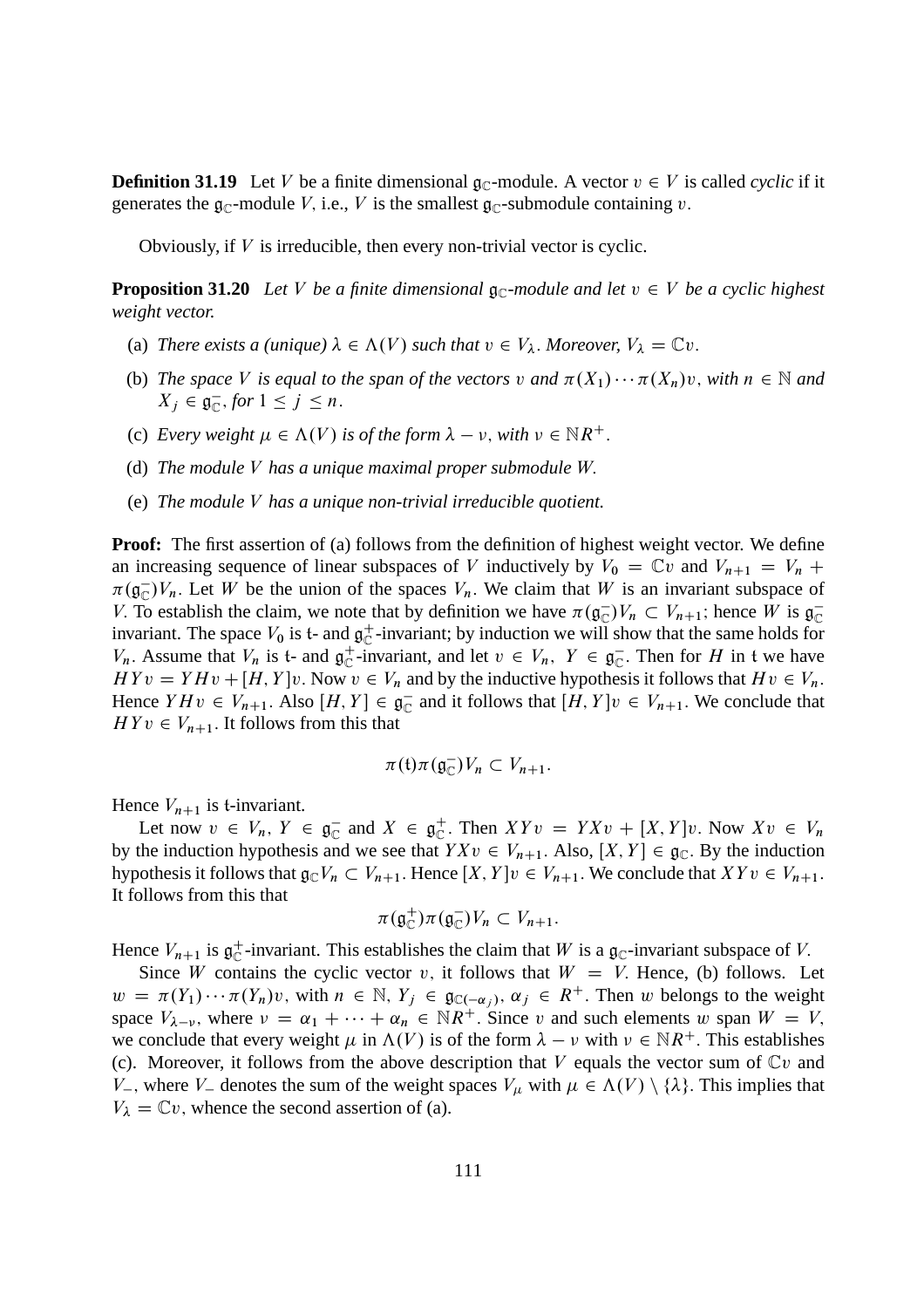**Definition 31.19** Let V be a finite dimensional  $\mathfrak{g}_\mathbb{C}$ -module. A vector  $v \in V$  is called *cyclic* if it generates the  $\mathfrak{g}_{\mathbb{C}}$ -module V, i.e., V is the smallest  $\mathfrak{g}_{\mathbb{C}}$ -submodule containing v.

Obviously, if  $V$  is irreducible, then every non-trivial vector is cyclic.

**Proposition 31.20** Let V be a finite dimensional  $\mathfrak{g}_{\mathbb{C}}$ -module and let  $v \in V$  be a cyclic highest *weight vector.*

- (a) *There exists a (unique)*  $\lambda \in \Lambda(V)$  *such that*  $v \in V_{\lambda}$ *. Moreover,*  $V_{\lambda} = \mathbb{C}v$ *.*
- (b) *The space* V is equal to the span of the vectors v and  $\pi(X_1) \cdots \pi(X_n)v$ , with  $n \in \mathbb{N}$  and  $X_j \in \mathfrak{g}_{\mathbb{C}}^-,$  for  $1 \leq j \leq n$ .
- (c) *Every weight*  $\mu \in \Lambda(V)$  *is of the form*  $\lambda \nu$ , *with*  $\nu \in \mathbb{N}R^+$ .
- (d) *The module* V *has a unique maximal proper submodule* W:
- (e) *The module* V *has a unique non-trivial irreducible quotient.*

**Proof:** The first assertion of (a) follows from the definition of highest weight vector. We define an increasing sequence of linear subspaces of V inductively by  $V_0 = \mathbb{C}v$  and  $V_{n+1} = V_n +$  $\pi(\mathfrak{g}_{\mathbb{C}}^{-})V_n$ . Let W be the union of the spaces  $V_n$ . We claim that W is an invariant subspace of V. To establish the claim, we note that by definition we have  $\pi(\mathfrak{g}_{\mathbb{C}})V_n \subset V_{n+1}$ ; hence W is  $\mathfrak{g}_{\mathbb{C}}$ invariant. The space  $V_0$  is t- and  $\mathfrak{g}_{\mathbb{C}}^+$  $_{\mathbb{C}}^{+}$ -invariant; by induction we will show that the same holds for  $V_n$ . Assume that  $V_n$  is t- and  $\mathfrak{g}_{\mathbb{C}}^+$  $_{\mathbb{C}}^+$ -invariant, and let  $v \in V_n$ ,  $Y \in \mathfrak{g}_{\mathbb{C}}^-$ . Then for H in t we have  $H Y v = Y H v + [H, Y] v$ . Now  $v \in V_n$  and by the inductive hypothesis it follows that  $H v \in V_n$ . Hence  $Y H v \in V_{n+1}$ . Also  $[H, Y] \in \mathfrak{g}_{\mathbb{C}}^-$  and it follows that  $[H, Y] v \in V_{n+1}$ . We conclude that  $H Y v \in V_{n+1}$ . It follows from this that

$$
\pi(\mathfrak{t})\pi(\mathfrak{g}_{\mathbb{C}}^{-})V_{n}\subset V_{n+1}.
$$

Hence  $V_{n+1}$  is t-invariant.

Let now  $v \in V_n$ ,  $Y \in \mathfrak{g}_{\mathbb{C}}^-$  and  $X \in \mathfrak{g}_{\mathbb{C}}^+$  $\int_{\mathbb{C}}^{+}$ . Then  $XYv = YXv + [X, Y]v$ . Now  $Xv \in V_n$ by the induction hypothesis and we see that  $YXv \in V_{n+1}$ . Also,  $[X, Y] \in \mathfrak{g}_{\mathbb{C}}$ . By the induction hypothesis it follows that  $\mathfrak{g}_{\mathbb{C}}V_n \subset V_{n+1}$ . Hence  $[X, Y]v \in V_{n+1}$ . We conclude that  $XYv \in V_{n+1}$ . It follows from this that

$$
\pi(\mathfrak{g}_{\mathbb{C}}^+)\pi(\mathfrak{g}_{\mathbb{C}}^-)V_n\subset V_{n+1}.
$$

Hence  $V_{n+1}$  is  $\mathfrak{g}_{\mathbb{C}}^+$  $_{\mathbb{C}}^{+}$ -invariant. This establishes the claim that W is a  $\mathfrak{g}_{\mathbb{C}}$ -invariant subspace of V.

Since W contains the cyclic vector v, it follows that  $W = V$ . Hence, (b) follows. Let  $w = \pi(Y_1) \cdots \pi(Y_n)v$ , with  $n \in \mathbb{N}$ ,  $Y_j \in \mathfrak{g}_{\mathbb{C}(-\alpha_j)}$ ,  $\alpha_j \in R^+$ . Then w belongs to the weight space  $V_{\lambda-\nu}$ , where  $\nu = \alpha_1 + \cdots + \alpha_n \in \mathbb{N}R^+$ . Since v and such elements w span  $W = V$ ; we conclude that every weight  $\mu$  in  $\Lambda(V)$  is of the form  $\lambda - \nu$  with  $\nu \in \mathbb{N}R^+$ . This establishes (c). Moreover, it follows from the above description that V equals the vector sum of  $Cv$  and V<sub>-</sub>, where V<sub>-</sub> denotes the sum of the weight spaces  $V_\mu$  with  $\mu \in \Lambda(V) \setminus \{\lambda\}$ . This implies that  $V_{\lambda} = \mathbb{C}v$ , whence the second assertion of (a).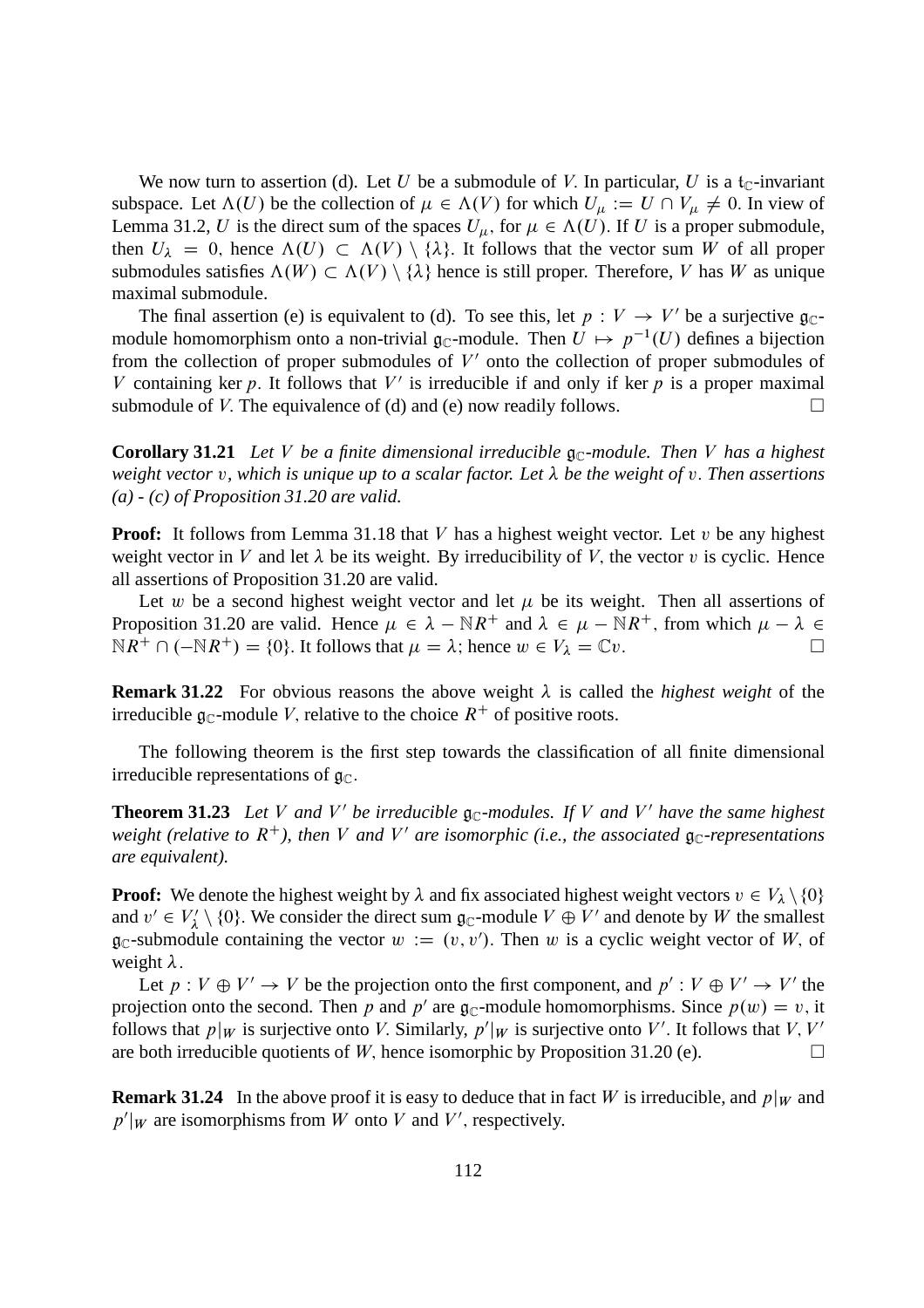We now turn to assertion (d). Let U be a submodule of V. In particular, U is a  $t_{\text{C}}$ -invariant subspace. Let  $\Lambda(U)$  be the collection of  $\mu \in \Lambda(V)$  for which  $U_{\mu} := U \cap V_{\mu} \neq 0$ . In view of Lemma 31.2, U is the direct sum of the spaces  $U_{\mu}$ , for  $\mu \in \Lambda(U)$ . If U is a proper submodule, then  $U_{\lambda} = 0$ , hence  $\Lambda(U) \subset \Lambda(V) \setminus {\lambda}$ . It follows that the vector sum W of all proper submodules satisfies  $\Lambda(W) \subset \Lambda(V) \setminus \{\lambda\}$  hence is still proper. Therefore, V has W as unique maximal submodule.

The final assertion (e) is equivalent to (d). To see this, let  $p: V \to V'$  be a surjective  $\mathfrak{g}_{\mathbb{C}}$ module homomorphism onto a non-trivial  $\mathfrak{g}_{\mathbb{C}}$ -module. Then  $U \mapsto p^{-1}(U)$  defines a bijection from the collection of proper submodules of  $V'$  onto the collection of proper submodules of V containing ker p. It follows that  $V'$  is irreducible if and only if ker p is a proper maximal submodule of V. The equivalence of (d) and (e) now readily follows.  $\Box$ 

**Corollary 31.21** *Let V be a finite dimensional irreducible*  $\mathfrak{g}_{\mathbb{C}}$ *-module. Then V has a highest weight vector* v*, which is unique up to a scalar factor. Let be the weight of* v: *Then assertions (a) - (c) of Proposition 31.20 are valid.*

**Proof:** It follows from Lemma 31.18 that V has a highest weight vector. Let v be any highest weight vector in V and let  $\lambda$  be its weight. By irreducibility of V, the vector v is cyclic. Hence all assertions of Proposition 31.20 are valid.

Let w be a second highest weight vector and let  $\mu$  be its weight. Then all assertions of Proposition 31.20 are valid. Hence  $\mu \in \lambda - \mathbb{N}R^+$  and  $\lambda \in \mu - \mathbb{N}R^+$ , from which  $\mu - \lambda \in \mathbb{N}R^+ \cap (-\mathbb{N}R^+) = \{0\}$ . It follows that  $\mu = \lambda$ ; hence  $w \in V_1 = \mathbb{C}v$ .  $\mathbb{N}R^+ \cap (-\mathbb{N}R^+) = \{0\}.$  It follows that  $\mu = \lambda$ ; hence  $w \in V_{\lambda} = \mathbb{C}v$ .

**Remark 31.22** For obvious reasons the above weight  $\lambda$  is called the *highest weight* of the irreducible  $\mathfrak{g}_{\mathbb{C}}$ -module V, relative to the choice  $R^+$  of positive roots.

The following theorem is the first step towards the classification of all finite dimensional irreducible representations of  $\mathfrak{g}_{\mathbb{C}}$ .

**Theorem 31.23** Let V and V' be irreducible  $\mathfrak{g}_{\mathbb{C}}$ -modules. If V and V' have the same highest weight (relative to  $R^+$ ), then V and V' are isomorphic (i.e., the associated  $\mathfrak{g}_\mathbb{C}$ -representations *are equivalent).*

**Proof:** We denote the highest weight by  $\lambda$  and fix associated highest weight vectors  $v \in V_{\lambda} \setminus \{0\}$ and  $v' \in V'_{\lambda}$  $\mathcal{A} \setminus \{0\}$ . We consider the direct sum  $\mathfrak{g}_{\mathbb{C}}$ -module  $V \oplus V'$  and denote by W the smallest  $\mathfrak{g}_{\mathbb{C}}$ -submodule containing the vector  $w := (v, v')$ . Then w is a cyclic weight vector of W, of weight  $\lambda$ .

Let  $p: V \oplus V' \rightarrow V$  be the projection onto the first component, and  $p': V \oplus V' \rightarrow V'$  the projection onto the second. Then p and p' are  $\mathfrak{g}_{\mathbb{C}}$ -module homomorphisms. Since  $p(w) = v$ , it follows that  $p|_W$  is surjective onto V. Similarly,  $p'|_W$  is surjective onto V'. It follows that V, V' are both irreducible quotients of W, hence isomorphic by Proposition 31.20 (e).  $\Box$ 

**Remark 31.24** In the above proof it is easy to deduce that in fact W is irreducible, and  $p|_W$  and  $p'|_W$  are isomorphisms from W onto V and V', respectively.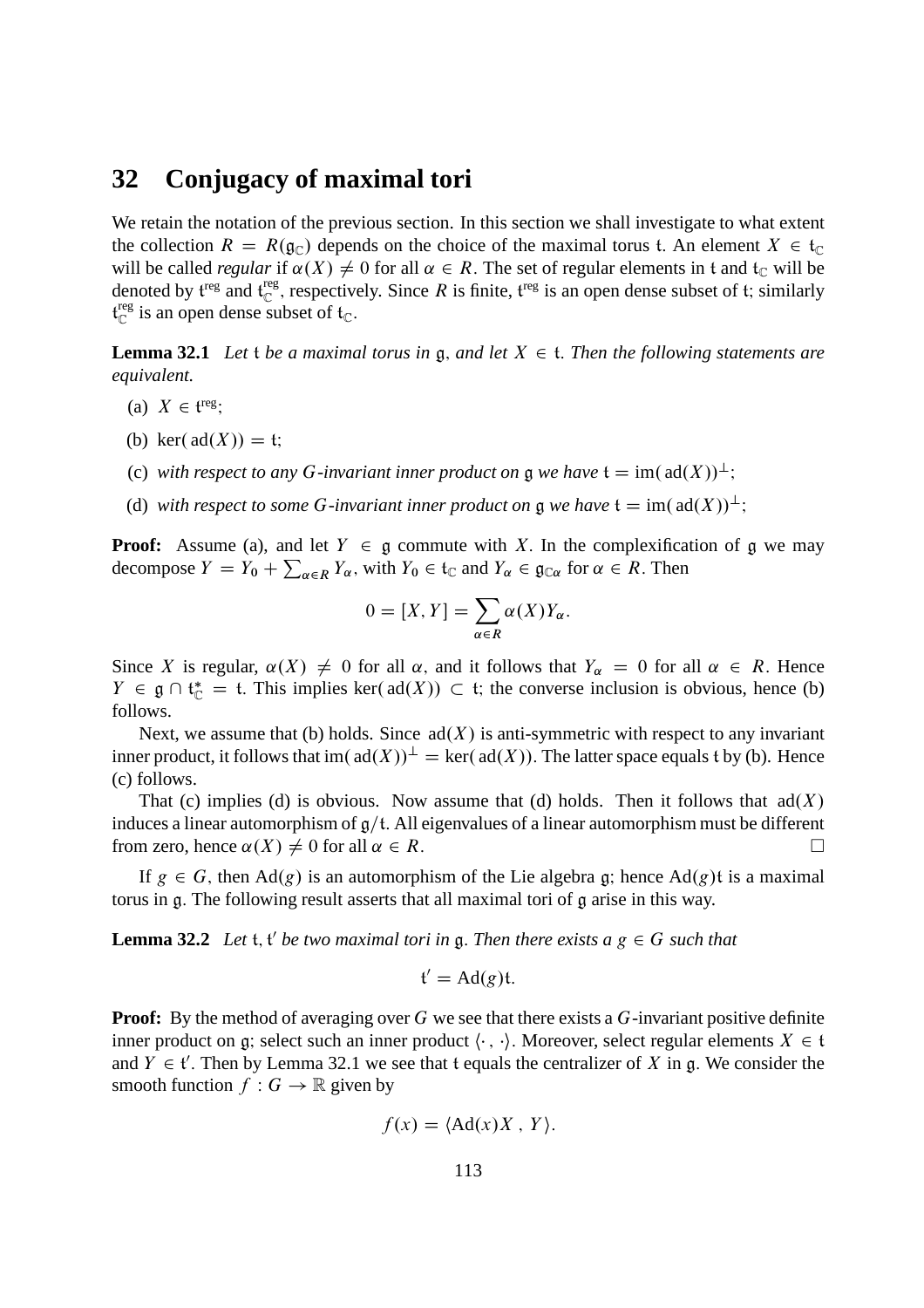### **32 Conjugacy of maximal tori**

We retain the notation of the previous section. In this section we shall investigate to what extent the collection  $R = R(g_C)$  depends on the choice of the maximal torus t. An element  $X \in \mathfrak{t}_\mathbb{C}$ will be called *regular* if  $\alpha(X) \neq 0$  for all  $\alpha \in R$ . The set of regular elements in t and t<sub>C</sub> will be denoted by  $\mathfrak{t}^{\text{reg}}$  and  $\mathfrak{t}^{\text{reg}}$ <sup>reg</sup>, respectively. Since R is finite,  $f^{\text{reg}}$  is an open dense subset of t; similarly t reg  $\int_{\mathbb{C}}^{\text{reg}}$  is an open dense subset of  $\mathfrak{t}_{\mathbb{C}}$ .

**Lemma 32.1** Let *t* be a maximal torus in  $\mathfrak{a}$ , and let  $X \in \mathfrak{t}$ . Then the following statements are *equivalent.*

- (a)  $X \in \mathfrak{t}^{\text{reg}};$
- (b) ker $(\text{ad}(X)) = \mathfrak{t}$ :
- (c) with respect to any G-invariant inner product on g we have  $t = \text{im}(\text{ad}(X))^{\perp}$ ;
- (d) *with respect to some* G-invariant inner product on  $\mathfrak a$  *we have*  $\mathfrak t = \text{im}(\text{ad}(X))^{\perp}$ .

**Proof:** Assume (a), and let  $Y \in \mathfrak{g}$  commute with X. In the complexification of g we may decompose  $Y = Y_0 + \sum_{\alpha \in R} Y_\alpha$ , with  $Y_0 \in \mathfrak{t}_{\mathbb{C}}$  and  $Y_\alpha \in \mathfrak{g}_{\mathbb{C}\alpha}$  for  $\alpha \in R$ . Then

$$
0 = [X, Y] = \sum_{\alpha \in R} \alpha(X) Y_{\alpha}.
$$

Since X is regular,  $\alpha(X) \neq 0$  for all  $\alpha$ , and it follows that  $Y_{\alpha} = 0$  for all  $\alpha \in R$ . Hence  $Y \in \mathfrak{g} \cap \mathfrak{t}_{\mathbb{C}}^* = \mathfrak{t}$ . This implies ker( $ad(X)$ )  $\subset \mathfrak{t}$ ; the converse inclusion is obvious, hence (b) follows.

Next, we assume that (b) holds. Since  $ad(X)$  is anti-symmetric with respect to any invariant inner product, it follows that im( $ad(X)$ )<sup> $\perp$ </sup> = ker( $ad(X)$ ). The latter space equals t by (b). Hence (c) follows.

That (c) implies (d) is obvious. Now assume that (d) holds. Then it follows that  $ad(X)$ induces a linear automorphism of  $g/t$ . All eigenvalues of a linear automorphism must be different from zero, hence  $\alpha(X) \neq 0$  for all  $\alpha \in R$ .

If  $g \in G$ , then Ad(g) is an automorphism of the Lie algebra g; hence Ad(g)t is a maximal torus in g: The following result asserts that all maximal tori of g arise in this way.

**Lemma 32.2** Let  $t$ ,  $t'$  be two maximal tori in  $\mathfrak{g}$ . Then there exists  $a \, g \in G$  such that

$$
\mathfrak{t}'=\mathrm{Ad}(g)\mathfrak{t}.
$$

**Proof:** By the method of averaging over G we see that there exists a G-invariant positive definite inner product on g; select such an inner product  $\langle \cdot, \cdot \rangle$ . Moreover, select regular elements  $X \in \mathfrak{t}$ and  $Y \in \mathfrak{t}'$ . Then by Lemma 32.1 we see that t equals the centralizer of X in g. We consider the smooth function  $f : G \to \mathbb{R}$  given by

$$
f(x) = \langle \mathrm{Ad}(x)X, Y \rangle.
$$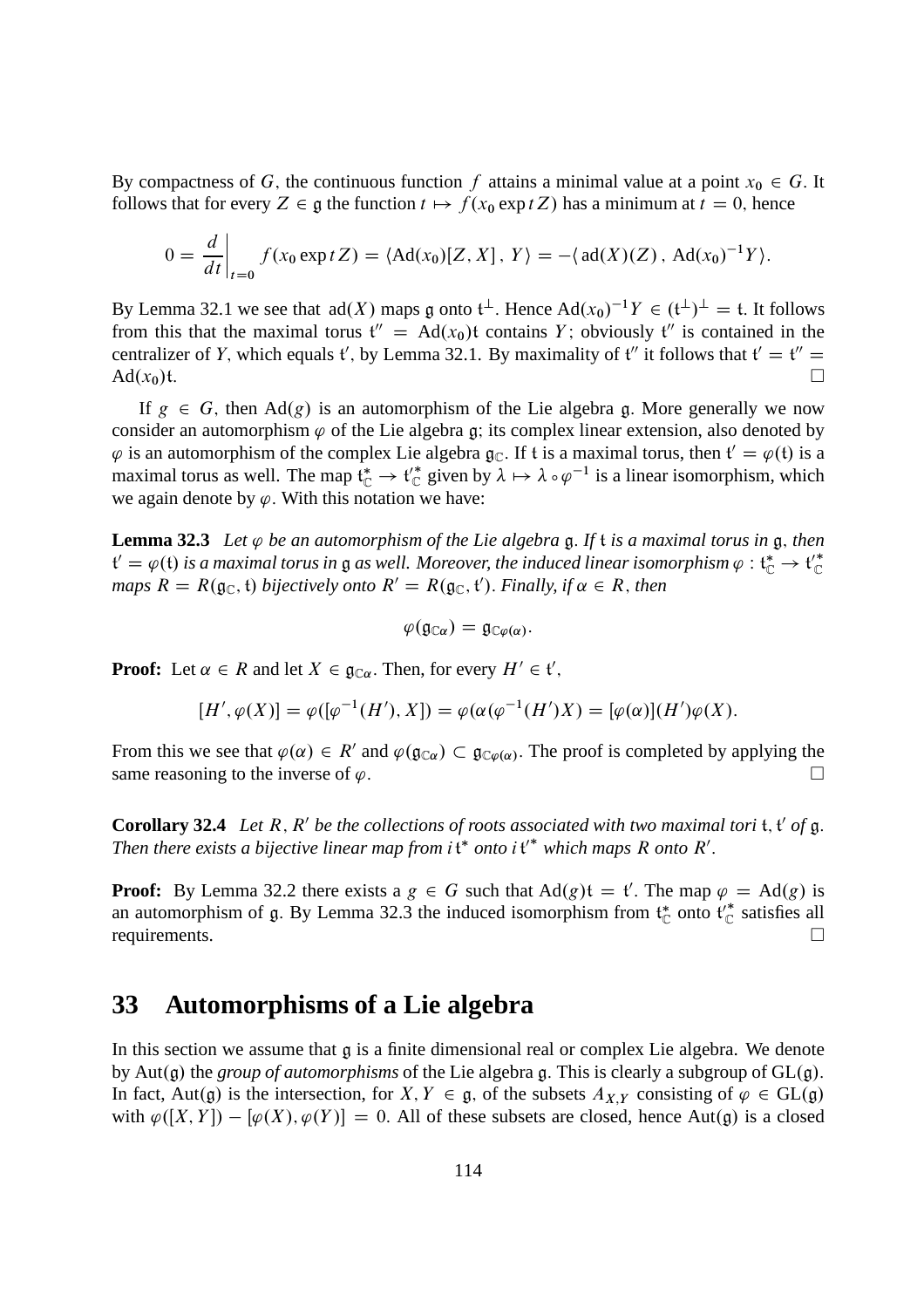By compactness of G, the continuous function f attains a minimal value at a point  $x_0 \in G$ . It follows that for every  $Z \in \mathfrak{g}$  the function  $t \mapsto f(x_0 \exp tZ)$  has a minimum at  $t = 0$ , hence

$$
0 = \frac{d}{dt}\bigg|_{t=0} f(x_0 \exp tZ) = \langle \mathrm{Ad}(x_0)[Z, X], Y \rangle = -\langle \mathrm{ad}(X)(Z), \mathrm{Ad}(x_0)^{-1}Y \rangle.
$$

By Lemma 32.1 we see that  $ad(X)$  maps g onto  $t^{\perp}$ . Hence  $Ad(x_0)^{-1}Y \in (t^{\perp})^{\perp} = t$ . It follows from this that the maximal torus  $t'' = Ad(x_0)t$  contains Y; obviously  $t''$  is contained in the centralizer of Y, which equals t', by Lemma 32.1. By maximality of t'' it follows that  $t' = t'' =$ Ad $(x_0)$ t.

If  $g \in G$ , then Ad $(g)$  is an automorphism of the Lie algebra g. More generally we now consider an automorphism  $\varphi$  of the Lie algebra g; its complex linear extension, also denoted by  $\varphi$  is an automorphism of the complex Lie algebra  $\mathfrak{g}_{\mathbb{C}}$ . If t is a maximal torus, then  $\mathfrak{t}' = \varphi(\mathfrak{t})$  is a maximal torus as well. The map  $\mathfrak{t}_{\mathbb{C}}^* \to \mathfrak{t}_{\mathbb{C}}^*$  given by  $\lambda \mapsto \lambda \circ \varphi^{-1}$  is a linear isomorphism, which we again denote by  $\varphi$ . With this notation we have:

**Lemma 32.3** Let  $\varphi$  be an automorphism of the Lie algebra g. If t is a maximal torus in g, then  $\mathfrak{t}'=\varphi(\mathfrak{t})$  is a maximal torus in  $\mathfrak g$  as well. Moreover, the induced linear isomorphism  $\varphi:\mathfrak{t}_\mathbb C^*\to\mathfrak{t}_\mathbb C'^*$  $maps\ R = R(g_{\mathbb{C}},\mathfrak{t})$  *bijectively onto*  $R' = R(g_{\mathbb{C}},\mathfrak{t}')$ . Finally, if  $\alpha \in R$ , then

$$
\varphi(\mathfrak{g}_{\mathbb{C}\alpha})=\mathfrak{g}_{\mathbb{C}\varphi(\alpha)}.
$$

**Proof:** Let  $\alpha \in R$  and let  $X \in \mathfrak{g}_{\mathbb{C}\alpha}$ . Then, for every  $H' \in \mathfrak{t}'$ ,

$$
[H', \varphi(X)] = \varphi([\varphi^{-1}(H'), X]) = \varphi(\alpha(\varphi^{-1}(H')X) = [\varphi(\alpha)](H')\varphi(X).
$$

From this we see that  $\varphi(\alpha) \in R'$  and  $\varphi(\mathfrak{g}_{\mathbb{C}\alpha}) \subset \mathfrak{g}_{\mathbb{C}\varphi(\alpha)}$ . The proof is completed by applying the same reasoning to the inverse of  $\varphi$ .

**Corollary 32.4** Let  $R$ ,  $R'$  be the collections of roots associated with two maximal tori  $t$ ,  $t'$  of  $g$ . Then there exists a bijective linear map from  $i \mathfrak{t}^*$  onto  $i \mathfrak{t}'^*$  which maps R onto R'.

**Proof:** By Lemma 32.2 there exists a  $g \in G$  such that  $Ad(g)t = t'$ . The map  $\varphi = Ad(g)$  is an automorphism of  $\mathfrak g$ . By Lemma 32.3 the induced isomorphism from  $\mathfrak t_{\mathbb C}^*$  onto  $\mathfrak t_{\mathbb C}^*$  satisfies all requirements.

### **33 Automorphisms of a Lie algebra**

In this section we assume that  $\alpha$  is a finite dimensional real or complex Lie algebra. We denote by Aut(g) the *group of automorphisms* of the Lie algebra g. This is clearly a subgroup of  $GL(g)$ . In fact, Aut(g) is the intersection, for  $X, Y \in \mathfrak{g}$ , of the subsets  $A_{X,Y}$  consisting of  $\varphi \in GL(\mathfrak{g})$ with  $\varphi([X, Y]) - [\varphi(X), \varphi(Y)] = 0$ . All of these subsets are closed, hence Aut(g) is a closed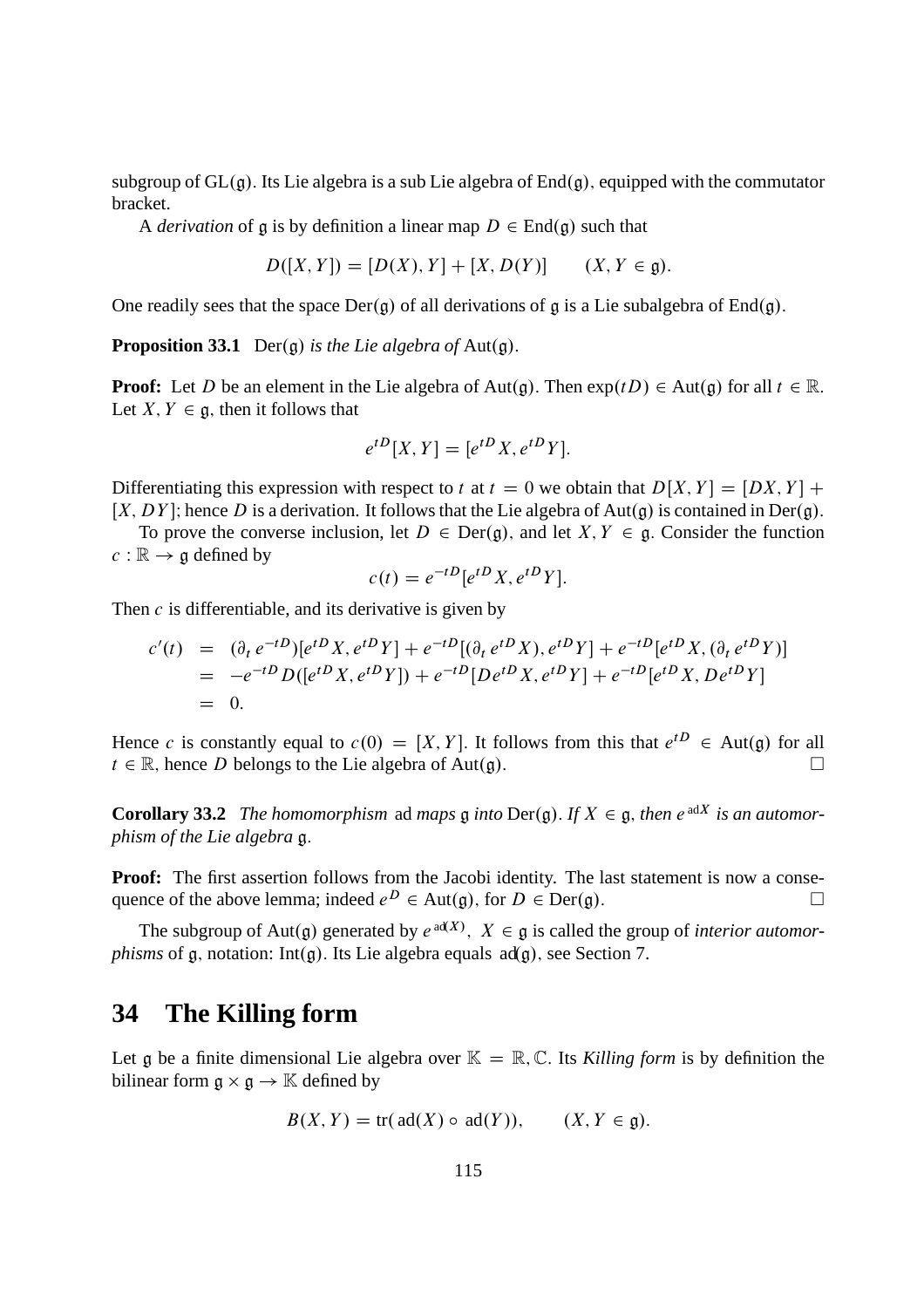subgroup of  $GL(g)$ . Its Lie algebra is a sub Lie algebra of  $End(g)$ , equipped with the commutator bracket.

A *derivation* of g is by definition a linear map  $D \in \text{End}(\mathfrak{g})$  such that

$$
D([X, Y]) = [D(X), Y] + [X, D(Y)] \qquad (X, Y \in \mathfrak{g}).
$$

One readily sees that the space  $Der(q)$  of all derivations of g is a Lie subalgebra of End $(q)$ .

**Proposition 33.1** Der(g) *is the Lie algebra of* Aut(g).

**Proof:** Let D be an element in the Lie algebra of Aut(q). Then  $exp(tD) \in Aut(q)$  for all  $t \in \mathbb{R}$ . Let  $X, Y \in \mathfrak{a}$ , then it follows that

$$
e^{tD}[X,Y] = [e^{tD}X, e^{tD}Y].
$$

Differentiating this expression with respect to t at  $t = 0$  we obtain that  $D[X, Y] = [DX, Y] +$ [X, DY]; hence D is a derivation. It follows that the Lie algebra of Aut(g) is contained in Der(g).

To prove the converse inclusion, let  $D \in \text{Der}(\mathfrak{g})$ , and let  $X, Y \in \mathfrak{g}$ . Consider the function  $c : \mathbb{R} \to \mathfrak{g}$  defined by

$$
c(t) = e^{-tD} [e^{tD} X, e^{tD} Y].
$$

Then  $c$  is differentiable, and its derivative is given by

$$
c'(t) = (\partial_t e^{-tD}) [e^{tD} X, e^{tD} Y] + e^{-tD} [(\partial_t e^{tD} X), e^{tD} Y] + e^{-tD} [e^{tD} X, (\partial_t e^{tD} Y)]
$$
  
=  $-e^{-tD} D([e^{tD} X, e^{tD} Y]) + e^{-tD} [De^{tD} X, e^{tD} Y] + e^{-tD} [e^{tD} X, De^{tD} Y]$   
= 0.

Hence c is constantly equal to  $c(0) = [X, Y]$ . It follows from this that  $e^{tD} \in Aut(\mathfrak{g})$  for all  $t \in \mathbb{R}$ , hence D belongs to the Lie algebra of Aut $(g)$ .

**Corollary 33.2** *The homomorphism* ad *maps*  $\mathfrak{g}$  *into*  $\text{Der}(\mathfrak{g})$ *. If*  $X \in \mathfrak{g}$ *, then*  $e^{adX}$  *is an automorphism of the Lie algebra* g:

**Proof:** The first assertion follows from the Jacobi identity. The last statement is now a consequence of the above lemma; indeed  $e^D \in Aut(\mathfrak{g})$ , for  $D \in Der(\mathfrak{g})$ .

The subgroup of Aut(g) generated by  $e^{ad(X)}$ ,  $X \in \mathfrak{g}$  is called the group of *interior automorphisms* of g, notation: Int(g). Its Lie algebra equals  $ad(g)$ , see Section 7.

# **34 The Killing form**

Let g be a finite dimensional Lie algebra over  $\mathbb{K} = \mathbb{R}, \mathbb{C}$ . Its *Killing form* is by definition the bilinear form  $\mathfrak{g} \times \mathfrak{g} \to \mathbb{K}$  defined by

$$
B(X, Y) = \text{tr}(\text{ad}(X) \circ \text{ad}(Y)), \qquad (X, Y \in \mathfrak{g}).
$$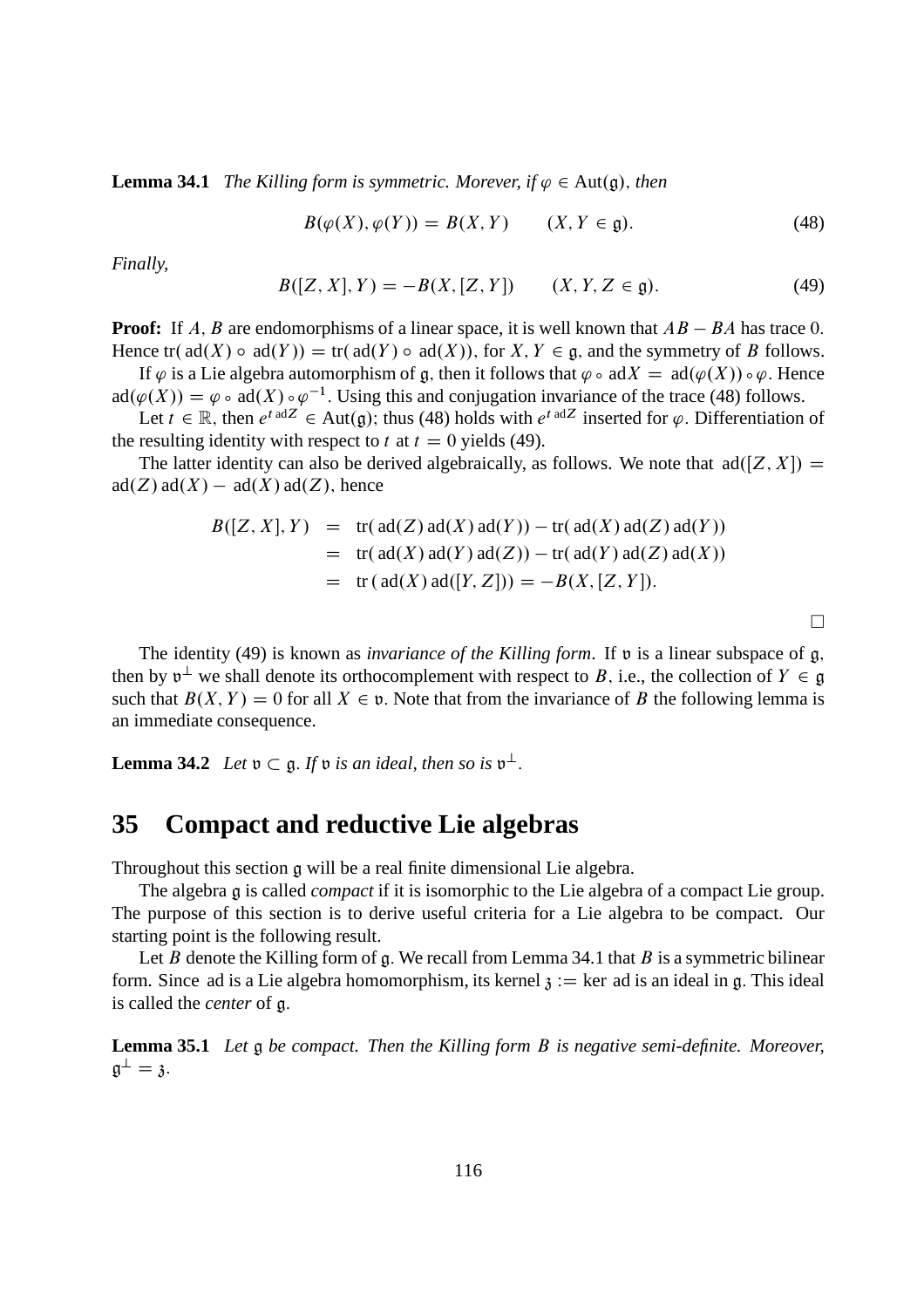**Lemma 34.1** *The Killing form is symmetric. Morever, if*  $\varphi \in \text{Aut}(\mathfrak{g})$ *, then* 

$$
B(\varphi(X), \varphi(Y)) = B(X, Y) \qquad (X, Y \in \mathfrak{g}). \tag{48}
$$

*Finally,*

$$
B([Z, X], Y) = -B(X, [Z, Y]) \qquad (X, Y, Z \in \mathfrak{g}). \tag{49}
$$

**Proof:** If A, B are endomorphisms of a linear space, it is well known that  $AB - BA$  has trace 0. Hence tr( $ad(X) \circ ad(Y) = tr(ad(Y) \circ ad(X))$ , for  $X, Y \in \mathfrak{g}$ , and the symmetry of B follows.

If  $\varphi$  is a Lie algebra automorphism of g, then it follows that  $\varphi \circ \text{ad}X = \text{ad}(\varphi(X)) \circ \varphi$ . Hence  $ad(\varphi(X)) = \varphi \circ ad(X) \circ \varphi^{-1}$ . Using this and conjugation invariance of the trace (48) follows.

Let  $t \in \mathbb{R}$ , then  $e^{t \text{ ad }Z} \in \text{Aut}(\mathfrak{g})$ ; thus (48) holds with  $e^{t \text{ ad }Z}$  inserted for  $\varphi$ . Differentiation of the resulting identity with respect to t at  $t = 0$  yields (49).

The latter identity can also be derived algebraically, as follows. We note that  $ad([Z, X]) =$  $ad(Z)$  ad $(X) - ad(X)$  ad $(Z)$ , hence

$$
B([Z, X], Y) = tr(\text{ad}(Z) \text{ad}(X) \text{ad}(Y)) - tr(\text{ad}(X) \text{ad}(Z) \text{ad}(Y))
$$
  
= tr(\text{ad}(X) \text{ad}(Y) \text{ad}(Z)) - tr(\text{ad}(Y) \text{ad}(Z) \text{ad}(X))  
= tr(\text{ad}(X) \text{ad}([Y, Z])) = -B(X, [Z, Y]).

The identity (49) is known as *invariance of the Killing form*. If  $\mathfrak v$  is a linear subspace of g, then by  $v^{\perp}$  we shall denote its orthocomplement with respect to B, i.e., the collection of  $Y \in \mathfrak{g}$ such that  $B(X, Y) = 0$  for all  $X \in \mathfrak{v}$ . Note that from the invariance of B the following lemma is an immediate consequence.

**Lemma 34.2** *Let*  $v \subset g$ . *If*  $v$  *is an ideal, then so is*  $v^{\perp}$ .

# **35 Compact and reductive Lie algebras**

Throughout this section g will be a real finite dimensional Lie algebra.

The algebra g is called *compact* if it is isomorphic to the Lie algebra of a compact Lie group. The purpose of this section is to derive useful criteria for a Lie algebra to be compact. Our starting point is the following result.

Let B denote the Killing form of g. We recall from Lemma 34.1 that B is a symmetric bilinear form. Since ad is a Lie algebra homomorphism, its kernel  $\lambda := \text{ker}$  ad is an ideal in g. This ideal is called the *center* of g:

**Lemma 35.1** *Let* g *be compact. Then the Killing form* B *is negative semi-definite. Moreover,*  $\mathfrak{g}^{\perp} = \mathfrak{z}.$ 

 $\Box$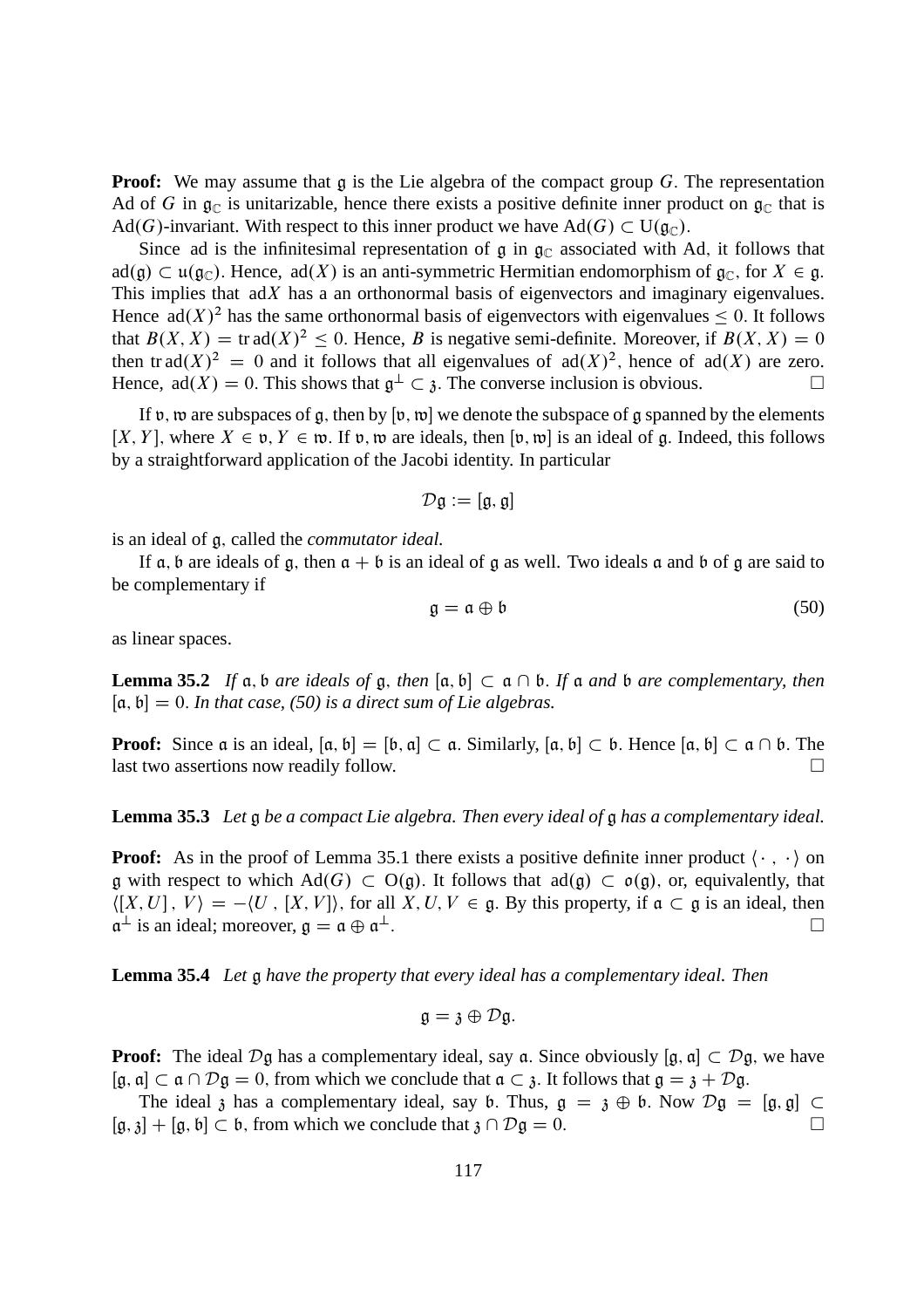**Proof:** We may assume that g is the Lie algebra of the compact group G. The representation Ad of G in  $\mathfrak{g}_{\mathbb{C}}$  is unitarizable, hence there exists a positive definite inner product on  $\mathfrak{g}_{\mathbb{C}}$  that is Ad(G)-invariant. With respect to this inner product we have Ad(G)  $\subset U(\mathfrak{g}_{\mathbb{C}})$ .

Since ad is the infinitesimal representation of  $\mathfrak g$  in  $\mathfrak g_{\mathbb C}$  associated with Ad, it follows that  $ad(g) \subset \mathfrak{u}(\mathfrak{g}_{\mathbb{C}})$ . Hence,  $ad(X)$  is an anti-symmetric Hermitian endomorphism of  $\mathfrak{g}_{\mathbb{C}}$ , for  $X \in \mathfrak{g}$ . This implies that  $adX$  has a an orthonormal basis of eigenvectors and imaginary eigenvalues. Hence  $ad(X)^2$  has the same orthonormal basis of eigenvectors with eigenvalues  $\leq 0$ . It follows that  $B(X, X) = \text{tr } ad(X)^2 \leq 0$ . Hence, B is negative semi-definite. Moreover, if  $B(X, X) = 0$ then tr ad $(X)^2 = 0$  and it follows that all eigenvalues of ad $(X)^2$ , hence of ad $(X)$  are zero. Hence,  $ad(X) = 0$ . This shows that  $\mathfrak{g}^{\perp} \subset \mathfrak{z}$ . The converse inclusion is obvious.

If v, we are subspaces of g, then by  $[v, w]$  we denote the subspace of g spanned by the elements [X, Y], where  $X \in \mathfrak{v}, Y \in \mathfrak{w}$ . If  $\mathfrak{v}, \mathfrak{w}$  are ideals, then  $[\mathfrak{v}, \mathfrak{w}]$  is an ideal of g. Indeed, this follows by a straightforward application of the Jacobi identity. In particular

$$
\mathcal{D}\mathfrak{g}:=[\mathfrak{g},\mathfrak{g}]
$$

is an ideal of g; called the *commutator ideal.*

If a, b are ideals of g, then  $a + b$  is an ideal of g as well. Two ideals a and b of g are said to be complementary if

$$
\mathfrak{g} = \mathfrak{a} \oplus \mathfrak{b} \tag{50}
$$

as linear spaces.

**Lemma 35.2** *If*  $\alpha$ ,  $\beta$  *are ideals of*  $\alpha$ , *then*  $[\alpha, \beta] \subset \alpha \cap \beta$ . *If*  $\alpha$  *and*  $\beta$  *are complementary, then*  $[a, b] = 0$ . *In that case, (50) is a direct sum of Lie algebras.* 

**Proof:** Since  $\alpha$  is an ideal,  $[\alpha, \beta] = [\beta, \alpha] \subset \alpha$ . Similarly,  $[\alpha, \beta] \subset \beta$ . Hence  $[\alpha, \beta] \subset \alpha \cap \beta$ . The last two assertions now readily follow. last two assertions now readily follow.

#### **Lemma 35.3** *Let* g *be a compact Lie algebra. Then every ideal of* g *has a complementary ideal.*

**Proof:** As in the proof of Lemma 35.1 there exists a positive definite inner product  $\langle \cdot, \cdot \rangle$  on g with respect to which Ad(G)  $\subset$  O(g). It follows that ad(g)  $\subset$  o(g), or, equivalently, that  $\langle [X, U], V \rangle = -\langle U, [X, V] \rangle$ , for all  $X, U, V \in \mathfrak{g}$ . By this property, if  $\mathfrak{a} \subset \mathfrak{g}$  is an ideal, then  $\mathfrak{a}^{\perp}$  is an ideal: moreover.  $\mathfrak{a} = \mathfrak{a} \oplus \mathfrak{a}^{\perp}$ .  $a^{\perp}$  is an ideal; moreover,  $\mathfrak{g} = \mathfrak{a} \oplus \mathfrak{a}$ <u>.</u><br>.

**Lemma 35.4** *Let* g *have the property that every ideal has a complementary ideal. Then*

$$
\mathfrak{g}=\mathfrak{z}\oplus\mathcal{D}\mathfrak{g}.
$$

**Proof:** The ideal  $\mathcal{D}g$  has a complementary ideal, say a. Since obviously [g, a]  $\subset \mathcal{D}g$ , we have  $[g, a] \subset a \cap \mathcal{D}g = 0$ , from which we conclude that  $a \subset \mathfrak{z}$ . It follows that  $g = \mathfrak{z} + \mathcal{D}g$ .

The ideal  $\beta$  has a complementary ideal, say b. Thus,  $\mathfrak{g} = \mathfrak{z} \oplus \mathfrak{b}$ . Now  $\mathcal{D}\mathfrak{g} = [\mathfrak{g}, \mathfrak{g}] \subset \mathfrak{z}^1 + [\mathfrak{g}, \mathfrak{b}] \subset \mathfrak{b}$ , from which we conclude that  $\mathfrak{z} \cap \mathcal{D}\mathfrak{g} = 0$  $[g, \zeta] + [g, \zeta] \subset \zeta$ , from which we conclude that  $\zeta \cap \mathcal{D} \zeta = 0$ .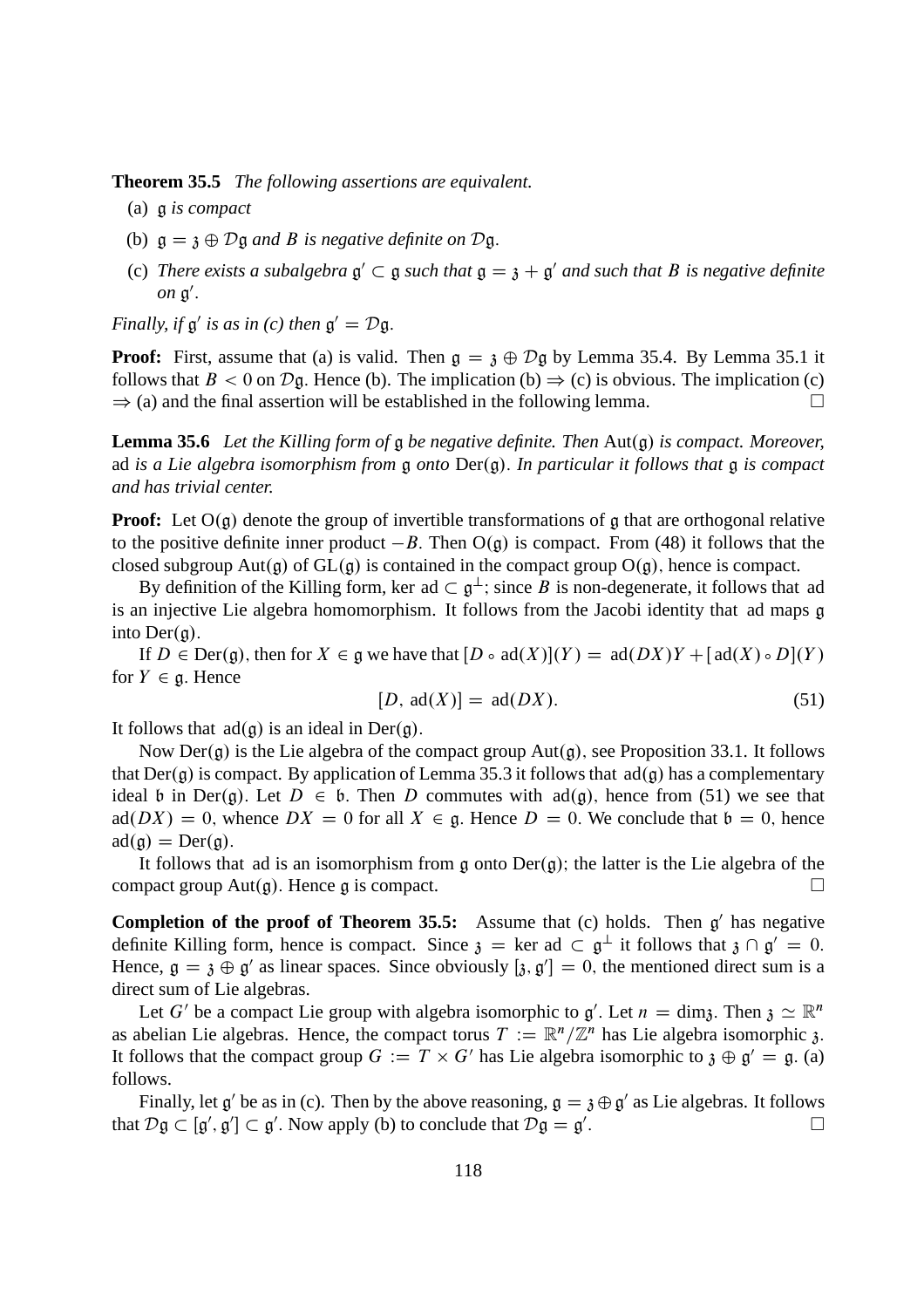**Theorem 35.5** *The following assertions are equivalent.*

- (a) g *is compact*
- (b)  $g = \mathfrak{z} \oplus \mathcal{D} \mathfrak{g}$  *and B is negative definite on*  $\mathcal{D} \mathfrak{g}$ .
- (c) There exists a subalgebra  $\mathfrak{g}' \subset \mathfrak{g}$  such that  $\mathfrak{g} = \mathfrak{z} + \mathfrak{g}'$  and such that B is negative definite *on*  $\mathfrak{g}'$ .

*Finally, if*  $\mathfrak{g}'$  *is as in (c) then*  $\mathfrak{g}' = \mathcal{D}\mathfrak{g}$ *.* 

**Proof:** First, assume that (a) is valid. Then  $g = \chi \oplus \mathcal{D}g$  by Lemma 35.4. By Lemma 35.1 it follows that  $B < 0$  on  $\mathcal{D}g$ . Hence (b). The implication (b)  $\Rightarrow$  (c) is obvious. The implication (c)  $\Rightarrow$  (a) and the final assertion will be established in the following lemma.  $\Rightarrow$  (a) and the final assertion will be established in the following lemma.

**Lemma 35.6** Let the Killing form of  $\mathfrak g$  be negative definite. Then Aut $(\mathfrak g)$  is compact. Moreover, ad *is a Lie algebra isomorphism from* g *onto*  $Der(g)$ . In particular it follows that g is compact *and has trivial center.*

**Proof:** Let  $O(g)$  denote the group of invertible transformations of g that are orthogonal relative to the positive definite inner product  $-B$ . Then  $O(g)$  is compact. From (48) it follows that the closed subgroup Aut(g) of  $GL(g)$  is contained in the compact group  $O(g)$ , hence is compact.

By definition of the Killing form, ker ad  $\subset \mathfrak{g}^{\perp}$ ; since B is non-degenerate, it follows that ad is an injective Lie algebra homomorphism. It follows from the Jacobi identity that ad maps g into  $Der(\mathfrak{g})$ .

If  $D \in \text{Der}(\mathfrak{g})$ , then for  $X \in \mathfrak{g}$  we have that  $[D \circ \text{ad}(X)](Y) = \text{ad}(DX)Y + [\text{ad}(X) \circ D](Y)$ for  $Y \in \mathfrak{g}$ . Hence

$$
[D, ad(X)] = ad(DX). \tag{51}
$$

It follows that  $ad(g)$  is an ideal in Der(g).

Now Der(g) is the Lie algebra of the compact group  $Aut(g)$ , see Proposition 33.1. It follows that Der(g) is compact. By application of Lemma 35.3 it follows that  $ad(g)$  has a complementary ideal b in Der(q). Let  $D \in \mathfrak{b}$ . Then D commutes with  $ad(\mathfrak{q})$ , hence from (51) we see that  $\text{ad}(DX) = 0$ , whence  $DX = 0$  for all  $X \in \mathfrak{g}$ . Hence  $D = 0$ . We conclude that  $\mathfrak{b} = 0$ , hence  $ad(\mathfrak{a}) = Der(\mathfrak{a}).$ 

It follows that ad is an isomorphism from g onto  $Der(g)$ ; the latter is the Lie algebra of the negative roup Aut(a). Hence a is compact. compact group  $Aut(g)$ . Hence g is compact.

**Completion of the proof of Theorem 35.5:** Assume that (c) holds. Then  $g'$  has negative definite Killing form, hence is compact. Since  $\mathfrak{z} = \ker \mathrm{ad} \subset \mathfrak{g}^{\perp}$  it follows that  $\mathfrak{z} \cap \mathfrak{g}' = 0$ . Hence,  $\mathfrak{g} = \mathfrak{z} \oplus \mathfrak{g}'$  as linear spaces. Since obviously  $[\mathfrak{z}, \mathfrak{g}'] = 0$ , the mentioned direct sum is a direct sum of Lie algebras.

Let G' be a compact Lie group with algebra isomorphic to  $g'$ . Let  $n = \dim \mathfrak{z}$ . Then  $\mathfrak{z} \simeq \mathbb{R}^n$ as abelian Lie algebras. Hence, the compact torus  $T := \mathbb{R}^n / \mathbb{Z}^n$  has Lie algebra isomorphic 3. It follows that the compact group  $G := T \times G'$  has Lie algebra isomorphic to  $\mathfrak{z} \oplus \mathfrak{g}' = \mathfrak{g}$ . (a) follows.

Finally, let  $\mathfrak{g}'$  be as in (c). Then by the above reasoning,  $\mathfrak{g} = \mathfrak{z} \oplus \mathfrak{g}'$  as Lie algebras. It follows that  $\mathcal{D} \mathfrak{g} \subset [\mathfrak{g}', \mathfrak{g}'] \subset \mathfrak{g}'.$  Now apply (b) to conclude that  $\mathcal{D} \mathfrak{g} = \mathfrak{g}'$ :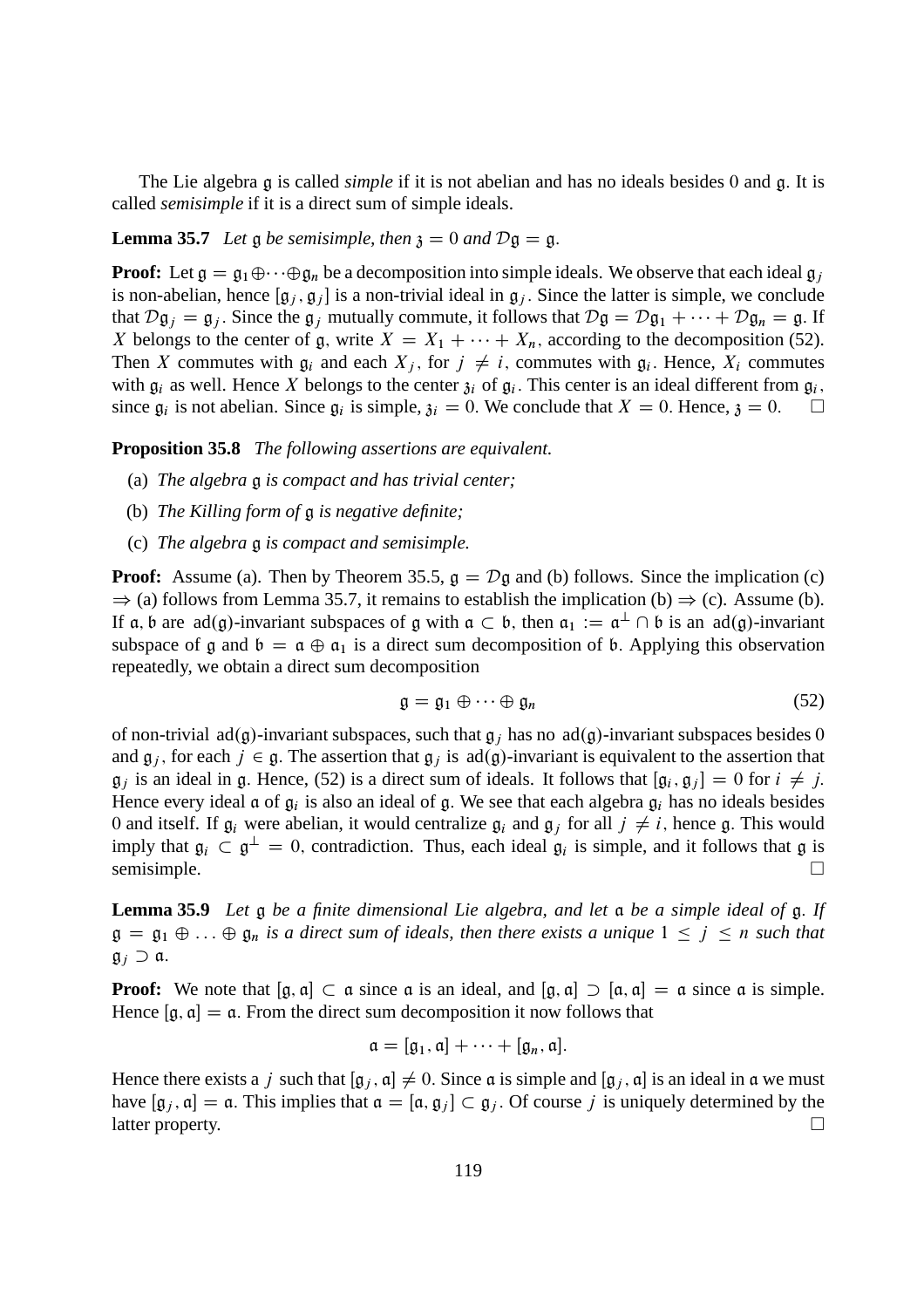The Lie algebra g is called *simple* if it is not abelian and has no ideals besides 0 and g: It is called *semisimple* if it is a direct sum of simple ideals.

#### **Lemma 35.7** *Let*  $\mathfrak g$  *be semisimple, then*  $\mathfrak z = 0$  *and*  $\mathcal D \mathfrak g = \mathfrak g$ .

**Proof:** Let  $g = g_1 \oplus \cdots \oplus g_n$  be a decomposition into simple ideals. We observe that each ideal  $g_i$ is non-abelian, hence  $[g_j, g_j]$  is a non-trivial ideal in  $g_j$ . Since the latter is simple, we conclude that  $D\mathfrak{g}_i = \mathfrak{g}_i$ . Since the  $\mathfrak{g}_i$  mutually commute, it follows that  $D\mathfrak{g} = D\mathfrak{g}_1 + \cdots + D\mathfrak{g}_n = \mathfrak{g}$ . If X belongs to the center of g, write  $X = X_1 + \cdots + X_n$ , according to the decomposition (52). Then X commutes with  $\mathfrak{g}_i$  and each  $X_j$ , for  $j \neq i$ , commutes with  $\mathfrak{g}_i$ . Hence,  $X_i$  commutes with  $\mathfrak{g}_i$  as well. Hence X belongs to the center  $\mathfrak{z}_i$  of  $\mathfrak{g}_i$ . This center is an ideal different from  $\mathfrak{g}_i$ , since  $\mathfrak{g}_i$  is not abelian. Since  $\mathfrak{g}_i$  is simple,  $\mathfrak{z}_i = 0$ . We conclude that  $X = 0$ . Hence,  $\mathfrak{z} = 0$ .

**Proposition 35.8** *The following assertions are equivalent.*

- (a) *The algebra* g *is compact and has trivial center;*
- (b) *The Killing form of* g *is negative definite;*
- (c) *The algebra* g *is compact and semisimple.*

**Proof:** Assume (a). Then by Theorem 35.5,  $g = Dg$  and (b) follows. Since the implication (c)  $\Rightarrow$  (a) follows from Lemma 35.7, it remains to establish the implication (b)  $\Rightarrow$  (c). Assume (b). If  $\alpha$ ,  $\beta$  are  $ad(g)$ -invariant subspaces of g with  $\alpha \subset \beta$ , then  $\alpha_1 := \alpha^{\perp} \cap \beta$  is an  $ad(g)$ -invariant subspace of g and  $\mathfrak{b} = \mathfrak{a} \oplus \mathfrak{a}_1$  is a direct sum decomposition of  $\mathfrak{b}$ . Applying this observation repeatedly, we obtain a direct sum decomposition

$$
\mathfrak{g} = \mathfrak{g}_1 \oplus \cdots \oplus \mathfrak{g}_n \tag{52}
$$

of non-trivial ad(g)-invariant subspaces, such that  $g_i$  has no ad(g)-invariant subspaces besides 0 and  $\mathfrak{g}_i$ , for each  $j \in \mathfrak{g}$ . The assertion that  $\mathfrak{g}_i$  is ad(g)-invariant is equivalent to the assertion that  $\mathfrak{g}_j$  is an ideal in g. Hence, (52) is a direct sum of ideals. It follows that  $[\mathfrak{g}_i, \mathfrak{g}_j] = 0$  for  $i \neq j$ . Hence every ideal  $\mathfrak a$  of  $\mathfrak g_i$  is also an ideal of  $\mathfrak g$ . We see that each algebra  $\mathfrak g_i$  has no ideals besides 0 and itself. If  $g_i$  were abelian, it would centralize  $g_i$  and  $g_j$  for all  $j \neq i$ , hence g. This would imply that  $\mathfrak{g}_i \subset \mathfrak{g}^{\perp} = 0$ , contradiction. Thus, each ideal  $\mathfrak{g}_i$  is simple, and it follows that  $\mathfrak{g}$  is semisimple.

**Lemma 35.9** *Let* g *be a finite dimensional Lie algebra, and let* a *be a simple ideal of* g: *If*  $\mathfrak{g} = \mathfrak{g}_1 \oplus \ldots \oplus \mathfrak{g}_n$  *is a direct sum of ideals, then there exists a unique*  $1 \leq j \leq n$  *such that*  $\mathfrak{g}_i \supset \mathfrak{a}.$ 

**Proof:** We note that  $[g, a] \subset a$  since a is an ideal, and  $[g, a] \supset [a, a] = a$  since a is simple. Hence  $[g, a] = a$ . From the direct sum decomposition it now follows that

$$
\mathfrak{a} = [\mathfrak{g}_1, \mathfrak{a}] + \cdots + [\mathfrak{g}_n, \mathfrak{a}].
$$

Hence there exists a j such that  $[g_i, a] \neq 0$ . Since a is simple and  $[g_i, a]$  is an ideal in a we must have  $[g_j, a] = a$ . This implies that  $a = [a, g_j] \subset g_j$ . Of course j is uniquely determined by the latter property. latter property.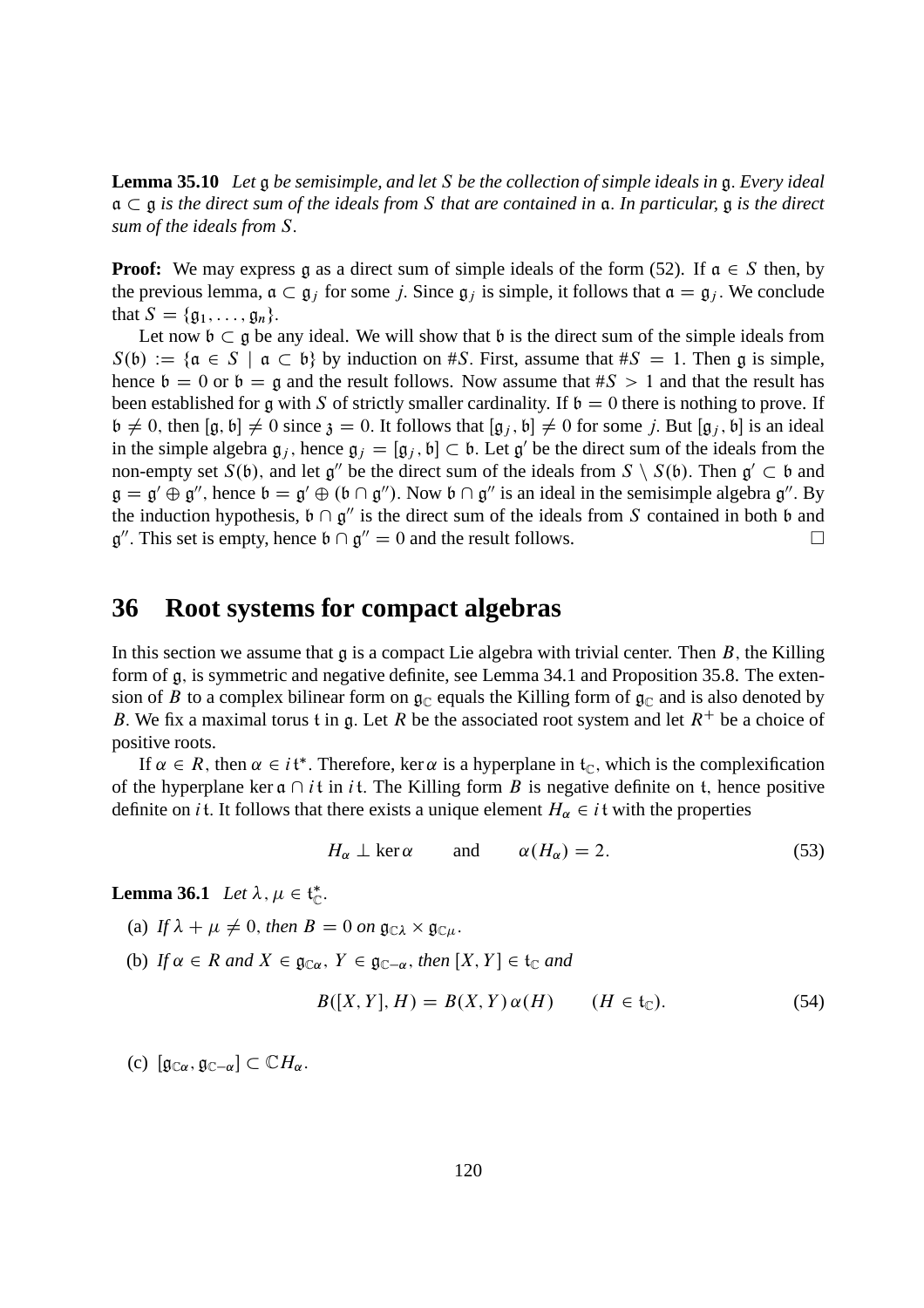**Lemma 35.10** *Let* g *be semisimple, and let* S *be the collection of simple ideals in* g: *Every ideal*  $\mathfrak{a} \subset \mathfrak{g}$  *is the direct sum of the ideals from* S *that are contained in*  $\mathfrak{a}$ . In particular,  $\mathfrak{g}$  *is the direct sum of the ideals from* S:

**Proof:** We may express g as a direct sum of simple ideals of the form (52). If  $a \in S$  then, by the previous lemma,  $\mathfrak{a} \subset \mathfrak{g}_j$  for some j. Since  $\mathfrak{g}_j$  is simple, it follows that  $\mathfrak{a} = \mathfrak{g}_j$ . We conclude that  $S = \{ \mathfrak{g}_1, \ldots, \mathfrak{g}_n \}.$ 

Let now  $\mathfrak{b} \subset \mathfrak{g}$  be any ideal. We will show that  $\mathfrak{b}$  is the direct sum of the simple ideals from  $S(\mathfrak{b}) := \{ \mathfrak{a} \in S \mid \mathfrak{a} \subset \mathfrak{b} \}$  by induction on #S. First, assume that #S = 1. Then g is simple, hence  $b = 0$  or  $b = g$  and the result follows. Now assume that  $\#S > 1$  and that the result has been established for g with S of strictly smaller cardinality. If  $\mathfrak{b} = 0$  there is nothing to prove. If  $\mathfrak{b} \neq 0$ , then  $[\mathfrak{g}, \mathfrak{b}] \neq 0$  since  $\mathfrak{z} = 0$ . It follows that  $[\mathfrak{g}_i, \mathfrak{b}] \neq 0$  for some j. But  $[\mathfrak{g}_i, \mathfrak{b}]$  is an ideal in the simple algebra  $g_j$ , hence  $g_j = [g_j, b] \subset b$ . Let  $g'$  be the direct sum of the ideals from the non-empty set  $S(\mathfrak{b})$ , and let  $\mathfrak{g}''$  be the direct sum of the ideals from  $S \setminus S(\mathfrak{b})$ . Then  $\mathfrak{g}' \subset \mathfrak{b}$  and  $\mathfrak{g} = \mathfrak{g}' \oplus \mathfrak{g}''$ , hence  $\mathfrak{b} = \mathfrak{g}' \oplus (\mathfrak{b} \cap \mathfrak{g}'')$ . Now  $\mathfrak{b} \cap \mathfrak{g}''$  is an ideal in the semisimple algebra  $\mathfrak{g}''$ . By the induction hypothesis,  $\mathfrak{b} \cap \mathfrak{g}''$  is the direct sum of the ideals from S contained in both  $\mathfrak{b}$  and  $\mathfrak{g}''$ . This set is empty, hence  $\mathfrak{b} \cap \mathfrak{g}'' = 0$  and the result follows.

## **36 Root systems for compact algebras**

In this section we assume that  $g$  is a compact Lie algebra with trivial center. Then  $B$ , the Killing form of g, is symmetric and negative definite, see Lemma 34.1 and Proposition 35.8. The extension of B to a complex bilinear form on  $\mathfrak{g}_{\mathbb{C}}$  equals the Killing form of  $\mathfrak{g}_{\mathbb{C}}$  and is also denoted by B. We fix a maximal torus t in g. Let R be the associated root system and let  $R^+$  be a choice of positive roots.

If  $\alpha \in R$ , then  $\alpha \in i\mathfrak{t}^*$ . Therefore, ker  $\alpha$  is a hyperplane in  $\mathfrak{t}_{\mathbb{C}}$ , which is the complexification of the hyperplane ker  $\mathfrak a \cap i\mathfrak t$  in it. The Killing form B is negative definite on t, hence positive definite on *i* t. It follows that there exists a unique element  $H_\alpha \in i$  t with the properties

$$
H_{\alpha} \perp \ker \alpha \qquad \text{and} \qquad \alpha(H_{\alpha}) = 2. \tag{53}
$$

**Lemma 36.1** *Let*  $\lambda, \mu \in \mathfrak{t}_{\mathbb{C}}^*$ .

(a) If  $\lambda + \mu \neq 0$ , then  $B = 0$  on  $\mathfrak{g}_{\mathbb{C}\lambda} \times \mathfrak{g}_{\mathbb{C}\mu}$ .

(b) *If*  $\alpha \in R$  *and*  $X \in \mathfrak{g}_{\mathbb{C}\alpha}$ ,  $Y \in \mathfrak{g}_{\mathbb{C}-\alpha}$ , then  $[X, Y] \in \mathfrak{t}_{\mathbb{C}}$  *and* 

$$
B([X,Y],H) = B(X,Y)\alpha(H) \qquad (H \in \mathfrak{t}_{\mathbb{C}}). \tag{54}
$$

(c)  $[g_{\mathbb{C}\alpha}, g_{\mathbb{C}-\alpha}] \subset \mathbb{C}H_{\alpha}$ .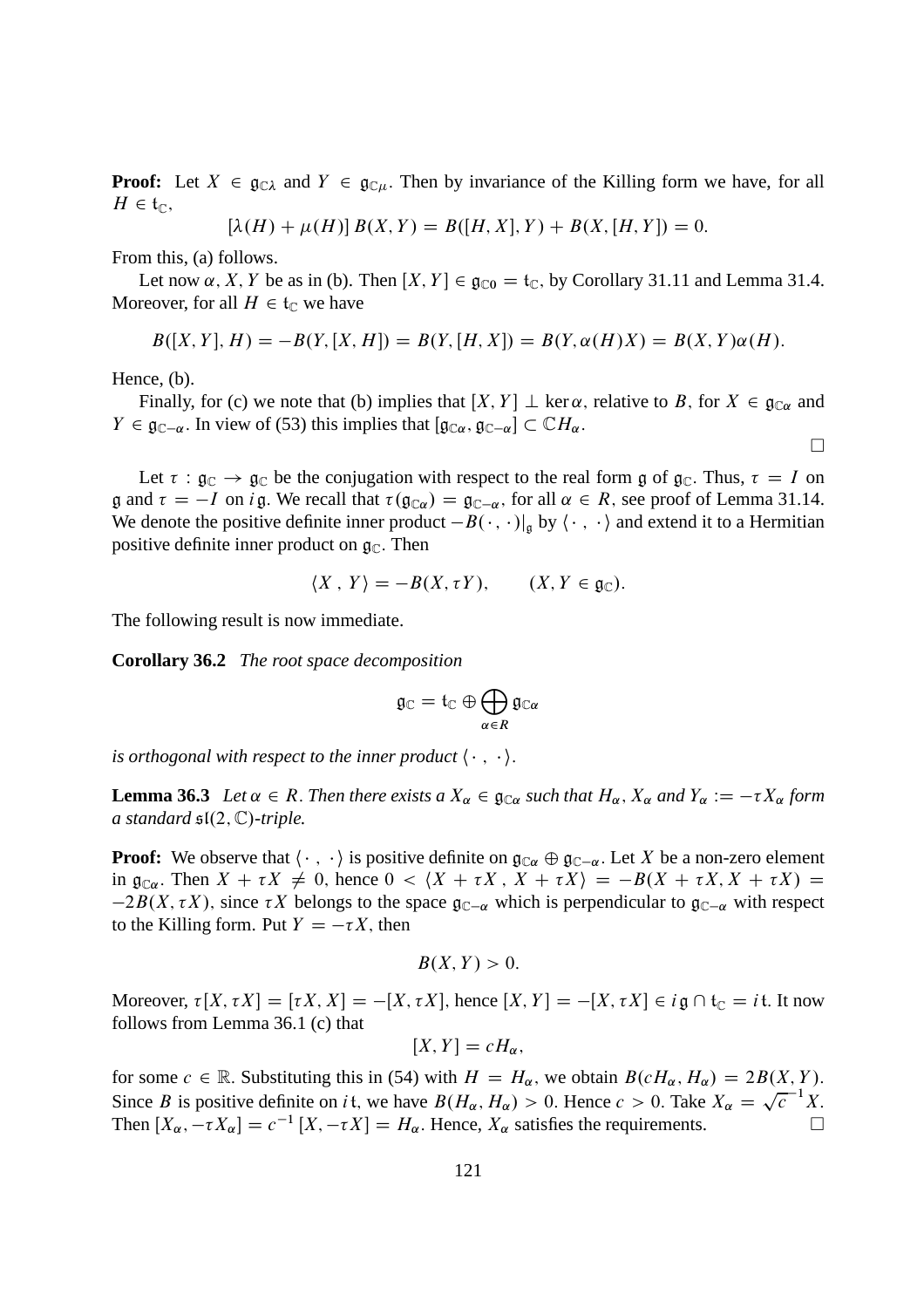**Proof:** Let  $X \in \mathfrak{g}_{\mathbb{C}\lambda}$  and  $Y \in \mathfrak{g}_{\mathbb{C}\mu}$ . Then by invariance of the Killing form we have, for all  $H \in \mathfrak{t}_{\mathbb{C}},$ 

$$
[\lambda(H) + \mu(H)] B(X, Y) = B([H, X], Y) + B(X, [H, Y]) = 0.
$$

From this, (a) follows.

Let now  $\alpha$ , X, Y be as in (b). Then  $[X, Y] \in \mathfrak{g}_{\mathbb{C}0} = \mathfrak{t}_{\mathbb{C}}$ , by Corollary 31.11 and Lemma 31.4. Moreover, for all  $H \in \mathfrak{t}_{\mathbb{C}}$  we have

$$
B([X,Y],H) = -B(Y,[X,H]) = B(Y,[H,X]) = B(Y,\alpha(H)X) = B(X,Y)\alpha(H).
$$

Hence, (b).

Finally, for (c) we note that (b) implies that  $[X, Y] \perp \ker \alpha$ , relative to B, for  $X \in \mathfrak{g}_{\mathbb{C}\alpha}$  and  $Y \in \mathfrak{g}_{\mathbb{C}-\alpha}$ . In view of (53) this implies that  $[\mathfrak{g}_{\mathbb{C}\alpha}, \mathfrak{g}_{\mathbb{C}-\alpha}] \subset \mathbb{C}H_{\alpha}$ .

 $\Box$ 

Let  $\tau : \mathfrak{g}_{\mathbb{C}} \to \mathfrak{g}_{\mathbb{C}}$  be the conjugation with respect to the real form g of  $\mathfrak{g}_{\mathbb{C}}$ . Thus,  $\tau = I$  on  $\mathfrak g$  and  $\tau = -I$  on i $\mathfrak g$ . We recall that  $\tau(\mathfrak g_{\mathbb C\alpha}) = \mathfrak g_{\mathbb C-\alpha}$ , for all  $\alpha \in R$ , see proof of Lemma 31.14. We denote the positive definite inner product  $-B(\cdot, \cdot)|_{\mathfrak{a}}$  by  $\langle \cdot, \cdot \rangle$  and extend it to a Hermitian positive definite inner product on  $\mathfrak{g}_{\mathbb{C}}$ . Then

$$
\langle X \, , \, Y \rangle = -B(X, \tau Y), \qquad (X, Y \in \mathfrak{g}_{\mathbb{C}}).
$$

The following result is now immediate.

**Corollary 36.2** *The root space decomposition*

$$
\mathfrak{g}_\mathbb{C}=\mathfrak{t}_\mathbb{C}\oplus\bigoplus_{\alpha\in R}\mathfrak{g}_{\mathbb{C}\alpha}
$$

*is orthogonal with respect to the inner product*  $\langle \cdot, \cdot \rangle$ *.* 

**Lemma 36.3** *Let*  $\alpha \in R$ . *Then there exists*  $a X_{\alpha} \in \mathfrak{g}_{\mathbb{C}\alpha}$  *such that*  $H_{\alpha}$ ,  $X_{\alpha}$  *and*  $Y_{\alpha} := -\tau X_{\alpha}$  *form a standard*  $\mathfrak{sl}(2,\mathbb{C})$ -triple.

**Proof:** We observe that  $\langle \cdot, \cdot \rangle$  is positive definite on  $\mathfrak{g}_{\mathbb{C}\alpha} \oplus \mathfrak{g}_{\mathbb{C}-\alpha}$ . Let X be a non-zero element in  $\mathfrak{g}_{\mathbb{C}\alpha}$ . Then  $X + \tau X \neq 0$ , hence  $0 < \langle X + \tau X, X + \tau X \rangle = -B(X + \tau X, X + \tau X) =$  $-2B(X, \tau X)$ , since  $\tau X$  belongs to the space  $\mathfrak{g}_{\mathbb{C}-\alpha}$  which is perpendicular to  $\mathfrak{g}_{\mathbb{C}-\alpha}$  with respect to the Killing form. Put  $Y = -\tau X$ , then

$$
B(X,Y)>0.
$$

Moreover,  $\tau[X, \tau X] = [\tau X, X] = -[X, \tau X]$ , hence  $[X, Y] = -[X, \tau X] \in i\mathfrak{g} \cap \mathfrak{t}_{\mathbb{C}} = i\mathfrak{t}$ . It now follows from Lemma 36.1 (c) that

$$
[X,Y]=cH_{\alpha},
$$

for some  $c \in \mathbb{R}$ . Substituting this in (54) with  $H = H_{\alpha}$ , we obtain  $B(cH_{\alpha}, H_{\alpha}) = 2B(X, Y)$ . Since B is positive definite on it, we have  $B(H_\alpha, H_\alpha) > 0$ . Hence  $c > 0$ . Take  $X_\alpha = \sqrt{c^{-1}X}$ . Then  $[X_{\alpha}, -\tau X_{\alpha}] = c^{-1} [X, -\tau X] = H_{\alpha}$ . Hence,  $X_{\alpha}$  satisfies the requirements.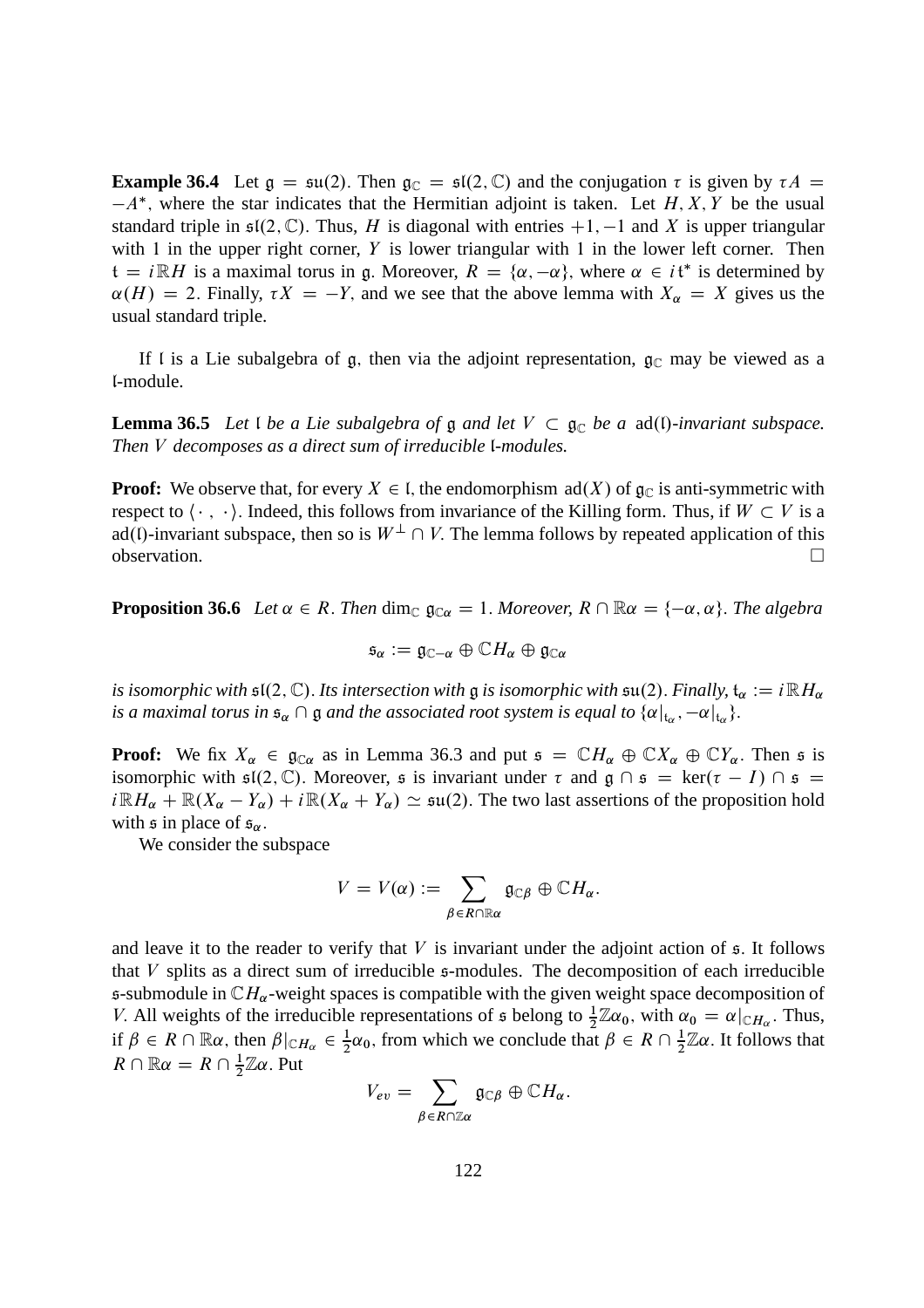**Example 36.4** Let  $g = \mathfrak{su}(2)$ . Then  $g_{\mathbb{C}} = \mathfrak{sl}(2, \mathbb{C})$  and the conjugation  $\tau$  is given by  $\tau A =$  $-A^*$ , where the star indicates that the Hermitian adjoint is taken. Let  $H, X, Y$  be the usual standard triple in  $\mathfrak{sl}(2,\mathbb{C})$ . Thus, H is diagonal with entries  $+1, -1$  and X is upper triangular with 1 in the upper right corner,  $Y$  is lower triangular with 1 in the lower left corner. Then  $t = i \mathbb{R}H$  is a maximal torus in g. Moreover,  $R = \{\alpha, -\alpha\}$ , where  $\alpha \in i\mathfrak{t}^*$  is determined by  $\alpha(H) = 2$ . Finally,  $\tau X = -Y$ , and we see that the above lemma with  $X_\alpha = X$  gives us the usual standard triple.

If I is a Lie subalgebra of g, then via the adjoint representation,  $g_{\mathbb{C}}$  may be viewed as a l-module.

**Lemma 36.5** *Let l be a Lie subalgebra of*  $\mathfrak{g}$  *and let*  $V \subset \mathfrak{g}_\mathbb{C}$  *be a* ad(*l*)*-invariant subspace. Then* V *decomposes as a direct sum of irreducible* l*-modules.*

**Proof:** We observe that, for every  $X \in I$ , the endomorphism ad(X) of  $\mathfrak{g}_{\mathbb{C}}$  is anti-symmetric with respect to  $\langle \cdot, \cdot \rangle$ . Indeed, this follows from invariance of the Killing form. Thus, if  $W \subset V$  is a ad(l)-invariant subspace, then so is  $W^{\perp} \cap V$ . The lemma follows by repeated application of this observation.  $\Box$ observation.

**Proposition 36.6** *Let*  $\alpha \in R$ . *Then* dim<sub>C</sub>  $\mathfrak{g}_{C\alpha} = 1$ . *Moreover,*  $R \cap \mathbb{R}\alpha = \{-\alpha, \alpha\}$ . *The algebra* 

$$
\mathfrak{s}_{\alpha}:=\mathfrak{g}_{\mathbb{C}-\alpha}\oplus \mathbb{C}H_{\alpha}\oplus \mathfrak{g}_{\mathbb{C}\alpha}
$$

*is isomorphic with*  $\mathfrak{sl}(2,\mathbb{C})$ . Its intersection with g is isomorphic with  $\mathfrak{su}(2)$ . *Finally*,  $\mathfrak{t}_{\alpha} := i \mathbb{R} H_{\alpha}$ *is a maximal torus in*  $\mathfrak{s}_\alpha \cap \mathfrak{g}$  *and the associated root system is equal to*  $\{\alpha|_{\mathfrak{t}_\alpha}, -\alpha|_{\mathfrak{t}_\alpha}\}$ .

**Proof:** We fix  $X_\alpha \in \mathfrak{g}_{\mathbb{C}\alpha}$  as in Lemma 36.3 and put  $\mathfrak{s} = \mathbb{C}H_\alpha \oplus \mathbb{C}X_\alpha \oplus \mathbb{C}Y_\alpha$ . Then  $\mathfrak{s}$  is isomorphic with  $\mathfrak{sl}(2,\mathbb{C})$ . Moreover,  $\mathfrak s$  is invariant under  $\tau$  and  $\mathfrak g \cap \mathfrak s = \ker(\tau - I) \cap \mathfrak s =$  $i\mathbb{R}H_{\alpha} + \mathbb{R}(X_{\alpha} - Y_{\alpha}) + i\mathbb{R}(X_{\alpha} + Y_{\alpha}) \simeq \mathfrak{su}(2)$ . The two last assertions of the proposition hold with  $\mathfrak s$  in place of  $\mathfrak s_\alpha$ .

We consider the subspace

$$
V=V(\alpha):=\sum_{\beta\in R\cap\mathbb{R}\alpha}\mathfrak{g}_{\mathbb{C}\beta}\oplus\mathbb{C}H_{\alpha}.
$$

and leave it to the reader to verify that  $V$  is invariant under the adjoint action of  $\mathfrak{s}$ . It follows that  $V$  splits as a direct sum of irreducible  $\mathfrak s$ -modules. The decomposition of each irreducible s-submodule in  $\mathbb{C}H_\alpha$ -weight spaces is compatible with the given weight space decomposition of V. All weights of the irreducible representations of  $\mathfrak s$  belong to  $\frac{1}{2}\mathbb{Z}\alpha_0$ , with  $\alpha_0 = \alpha|_{\mathbb{C}H_\alpha}$ . Thus, if  $\beta \in R \cap \mathbb{R}\alpha$ , then  $\beta|_{\mathbb{C}H_\alpha} \in \frac{1}{2}$  $\frac{1}{2}\alpha_0$ , from which we conclude that  $\beta \in R \cap \frac{1}{2}$  $\frac{1}{2}\mathbb{Z}\alpha$ . It follows that  $R \cap \mathbb{R} \alpha = R \cap \frac{1}{2}$  $\frac{1}{2}\mathbb{Z}\alpha$ . Put

$$
V_{ev} = \sum_{\beta \in R \cap \mathbb{Z}\alpha} \mathfrak{g}_{\mathbb{C}\beta} \oplus \mathbb{C}H_{\alpha}.
$$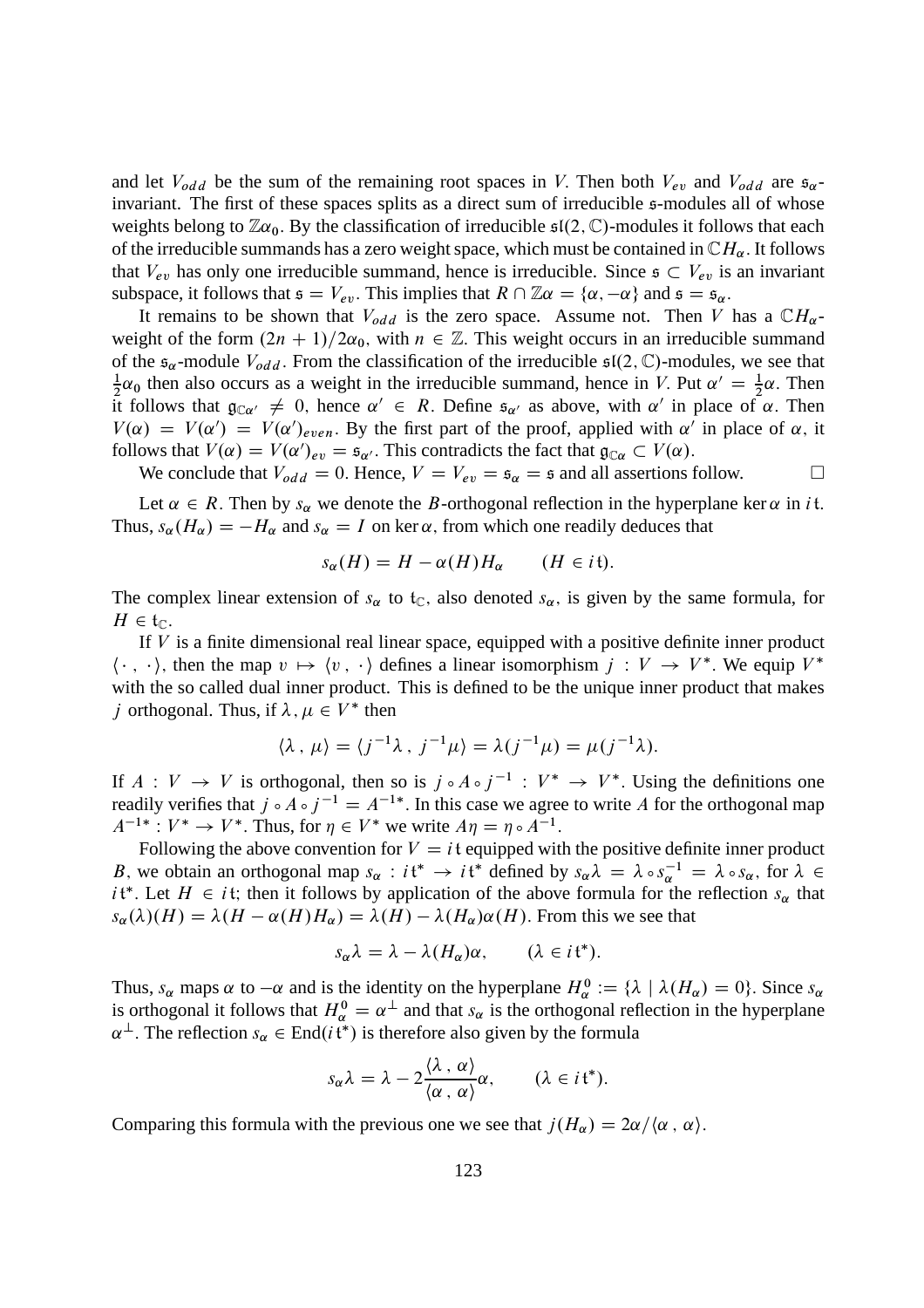and let  $V_{odd}$  be the sum of the remaining root spaces in V. Then both  $V_{ev}$  and  $V_{odd}$  are  $\mathfrak{s}_{\alpha}$ invariant. The first of these spaces splits as a direct sum of irreducible s-modules all of whose weights belong to  $\mathbb{Z}\alpha_0$ . By the classification of irreducible  $\mathfrak{sl}(2,\mathbb{C})$ -modules it follows that each of the irreducible summands has a zero weight space, which must be contained in  $\mathbb{C}H_{\alpha}$ . It follows that  $V_{ev}$  has only one irreducible summand, hence is irreducible. Since  $\epsilon \subset V_{ev}$  is an invariant subspace, it follows that  $\mathfrak{s} = V_{ev}$ . This implies that  $R \cap \mathbb{Z} \alpha = {\alpha, -\alpha}$  and  $\mathfrak{s} = \mathfrak{s}_{\alpha}$ .

It remains to be shown that  $V_{odd}$  is the zero space. Assume not. Then V has a  $\mathbb{C}H_{\alpha}$ weight of the form  $(2n + 1)/2\alpha_0$ , with  $n \in \mathbb{Z}$ . This weight occurs in an irreducible summand of the  $\mathfrak{s}_{\alpha}$ -module  $V_{odd}$ . From the classification of the irreducible  $\mathfrak{sl}(2,\mathbb{C})$ -modules, we see that 1  $\frac{1}{2}\alpha_0$  then also occurs as a weight in the irreducible summand, hence in V. Put  $\alpha' = \frac{1}{2}\alpha$ . Then it follows that  $\mathfrak{g}_{\mathbb{C}\alpha'} \neq 0$ , hence  $\alpha' \in R$ . Define  $\mathfrak{s}_{\alpha'}$  as above, with  $\alpha'$  in place of  $\alpha$ . Then  $V(\alpha) = V(\alpha') = V(\alpha')_{even}$ . By the first part of the proof, applied with  $\alpha'$  in place of  $\alpha$ , it follows that  $V(\alpha) = V(\alpha')_{ev} = \mathfrak{s}_{\alpha'}$ . This contradicts the fact that  $\mathfrak{g}_{\mathbb{C}\alpha} \subset V(\alpha)$ .

We conclude that  $V_{odd} = 0$ . Hence,  $V = V_{ev} = \mathfrak{s}_{\alpha} = \mathfrak{s}$  and all assertions follow.

Let  $\alpha \in R$ . Then by  $s_{\alpha}$  we denote the B-orthogonal reflection in the hyperplane ker  $\alpha$  in *i*t. Thus,  $s_{\alpha}(H_{\alpha}) = -H_{\alpha}$  and  $s_{\alpha} = I$  on ker  $\alpha$ , from which one readily deduces that

$$
s_{\alpha}(H) = H - \alpha(H)H_{\alpha} \qquad (H \in it).
$$

The complex linear extension of  $s_{\alpha}$  to  $t_{\alpha}$ , also denoted  $s_{\alpha}$ , is given by the same formula, for  $H \in \mathfrak{t}_{\mathbb{C}}$ .

If  $V$  is a finite dimensional real linear space, equipped with a positive definite inner product  $\langle \cdot, \cdot \rangle$ , then the map  $v \mapsto \langle v, \cdot \rangle$  defines a linear isomorphism  $j : V \to V^*$ . We equip  $V^*$ with the so called dual inner product. This is defined to be the unique inner product that makes *j* orthogonal. Thus, if  $\lambda, \mu \in V^*$  then

$$
\langle \lambda, \mu \rangle = \langle j^{-1} \lambda, j^{-1} \mu \rangle = \lambda (j^{-1} \mu) = \mu (j^{-1} \lambda).
$$

If  $A: V \to V$  is orthogonal, then so is  $j \circ A \circ j^{-1} : V^* \to V^*$ . Using the definitions one readily verifies that  $j \circ A \circ j^{-1} = A^{-1*}$ . In this case we agree to write A for the orthogonal map  $A^{-1*}: V^* \to V^*$ . Thus, for  $\eta \in V^*$  we write  $A\eta = \eta \circ A^{-1}$ .

Following the above convention for  $V = i$ t equipped with the positive definite inner product B, we obtain an orthogonal map  $s_\alpha : i\mathfrak{t}^* \to i\mathfrak{t}^*$  defined by  $s_\alpha \lambda = \lambda \circ s_\alpha^{-1} = \lambda \circ s_\alpha$ , for  $\lambda \in$  $i \mathfrak{t}^*$ . Let  $H \in i \mathfrak{t}$ ; then it follows by application of the above formula for the reflection  $s_\alpha$  that  $s_{\alpha}(\lambda)(H) = \lambda(H - \alpha(H)H_{\alpha}) = \lambda(H) - \lambda(H_{\alpha})\alpha(H)$ . From this we see that

$$
s_{\alpha}\lambda = \lambda - \lambda(H_{\alpha})\alpha, \qquad (\lambda \in i\mathfrak{t}^*).
$$

Thus,  $s_\alpha$  maps  $\alpha$  to  $-\alpha$  and is the identity on the hyperplane  $H_\alpha^0 := \{\lambda \mid \lambda(H_\alpha) = 0\}$ . Since  $s_\alpha$ is orthogonal it follows that  $H_{\alpha}^0 = \alpha^{\perp}$  and that  $s_{\alpha}$  is the orthogonal reflection in the hyperplane  $\alpha^{\perp}$ . The reflection  $s_{\alpha} \in \text{End}(i\mathfrak{t}^*)$  is therefore also given by the formula

$$
s_{\alpha}\lambda = \lambda - 2\frac{\langle \lambda, \alpha \rangle}{\langle \alpha, \alpha \rangle} \alpha, \qquad (\lambda \in i\mathfrak{t}^*).
$$

Comparing this formula with the previous one we see that  $j(H_\alpha) = 2\alpha/\langle \alpha, \alpha \rangle$ .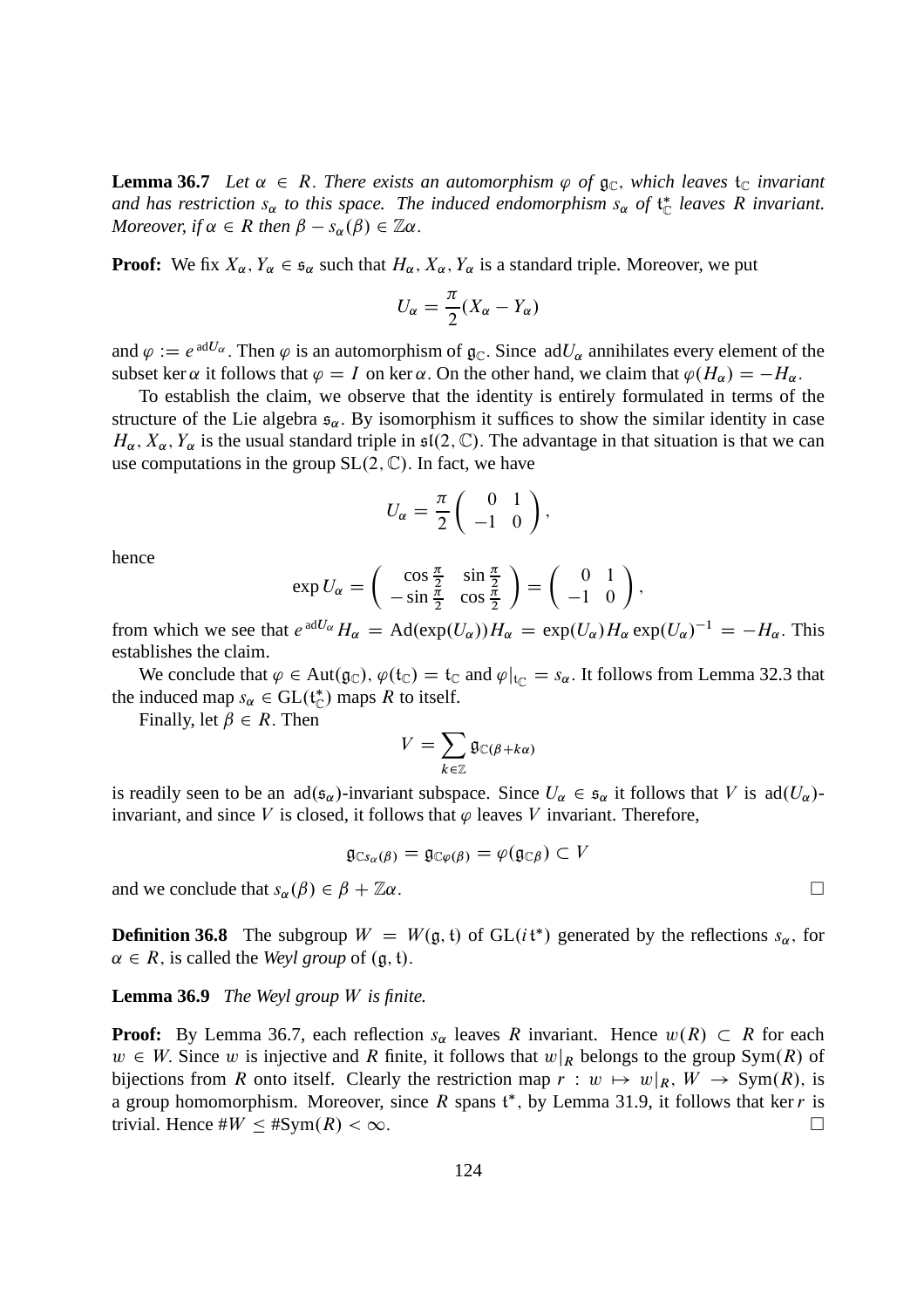**Lemma 36.7** *Let*  $\alpha \in R$ . *There exists an automorphism*  $\varphi$  *of*  $\mathfrak{g}_{\mathbb{C}}$ *, which leaves*  $\mathfrak{t}_{\mathbb{C}}$  *invariant* and has restriction  $s_{\alpha}$  to this space. The induced endomorphism  $s_{\alpha}$  of  $\mathfrak{t}_{\mathbb{C}}^*$  leaves R invariant. *Moreover, if*  $\alpha \in R$  *then*  $\beta - s_{\alpha}(\beta) \in \mathbb{Z}\alpha$ .

**Proof:** We fix  $X_\alpha$ ,  $Y_\alpha \in \mathfrak{s}_\alpha$  such that  $H_\alpha$ ,  $X_\alpha$ ,  $Y_\alpha$  is a standard triple. Moreover, we put

$$
U_{\alpha} = \frac{\pi}{2}(X_{\alpha} - Y_{\alpha})
$$

and  $\varphi := e^{adU_{\alpha}}$ . Then  $\varphi$  is an automorphism of  $\mathfrak{g}_{\mathbb{C}}$ . Since  $adU_{\alpha}$  annihilates every element of the subset ker  $\alpha$  it follows that  $\varphi = I$  on ker  $\alpha$ . On the other hand, we claim that  $\varphi(H_{\alpha}) = -H_{\alpha}$ .

To establish the claim, we observe that the identity is entirely formulated in terms of the structure of the Lie algebra  $\mathfrak{s}_{\alpha}$ . By isomorphism it suffices to show the similar identity in case  $H_{\alpha}$ ,  $X_{\alpha}$ ,  $Y_{\alpha}$  is the usual standard triple in  $\mathfrak{sl}(2,\mathbb{C})$ . The advantage in that situation is that we can use computations in the group  $SL(2, \mathbb{C})$ . In fact, we have

$$
U_{\alpha} = \frac{\pi}{2} \left( \begin{array}{cc} 0 & 1 \\ -1 & 0 \end{array} \right),
$$

hence

$$
\exp U_{\alpha} = \begin{pmatrix} \cos \frac{\pi}{2} & \sin \frac{\pi}{2} \\ -\sin \frac{\pi}{2} & \cos \frac{\pi}{2} \end{pmatrix} = \begin{pmatrix} 0 & 1 \\ -1 & 0 \end{pmatrix},
$$

from which we see that  $e^{adU_{\alpha}}H_{\alpha} = \text{Ad}(\exp(U_{\alpha}))H_{\alpha} = \exp(U_{\alpha})H_{\alpha} \exp(U_{\alpha})^{-1} = -H_{\alpha}$ . This establishes the claim.

We conclude that  $\varphi \in Aut(g_{\mathbb{C}}), \varphi(\mathfrak{t}_{\mathbb{C}}) = \mathfrak{t}_{\mathbb{C}}$  and  $\varphi|_{\mathfrak{t}_{\mathbb{C}}} = s_{\alpha}$ . It follows from Lemma 32.3 that the induced map  $s_{\alpha} \in GL(t_{\mathbb{C}}^{*})$  maps R to itself.

Finally, let  $\beta \in R$ . Then

$$
V = \sum_{k \in \mathbb{Z}} \mathfrak{g}_{\mathbb{C}(\beta + k\alpha)}
$$

is readily seen to be an  $\text{ad}(\mathfrak{s}_{\alpha})$ -invariant subspace. Since  $U_{\alpha} \in \mathfrak{s}_{\alpha}$  it follows that V is  $\text{ad}(U_{\alpha})$ invariant, and since V is closed, it follows that  $\varphi$  leaves V invariant. Therefore,

$$
\mathfrak{g}_{\mathbb{C}s_{\alpha}(\beta)}=\mathfrak{g}_{\mathbb{C}\varphi(\beta)}=\varphi(\mathfrak{g}_{\mathbb{C}\beta})\subset V
$$

and we conclude that  $s_{\alpha}(\beta) \in \beta + \mathbb{Z}\alpha$ .

**Definition 36.8** The subgroup  $W = W(\mathfrak{g}, \mathfrak{t})$  of  $GL(i\mathfrak{t}^*)$  generated by the reflections  $s_{\alpha}$ , for  $\alpha \in R$ , is called the *Weyl group* of  $(a, t)$ .

#### **Lemma 36.9** *The Weyl group* W *is finite.*

**Proof:** By Lemma 36.7, each reflection  $s_{\alpha}$  leaves R invariant. Hence  $w(R) \subset R$  for each  $w \in W$ . Since w is injective and R finite, it follows that  $w\vert_R$  belongs to the group Sym $(R)$  of bijections from R onto itself. Clearly the restriction map  $r : w \mapsto w|_R$ ,  $W \to \text{Sym}(R)$ , is a group homomorphism. Moreover, since R spans  $t^*$ , by Lemma 31.9, it follows that ker r is trivial. Hence  $\#W \leq \#Sym(R) < \infty$ .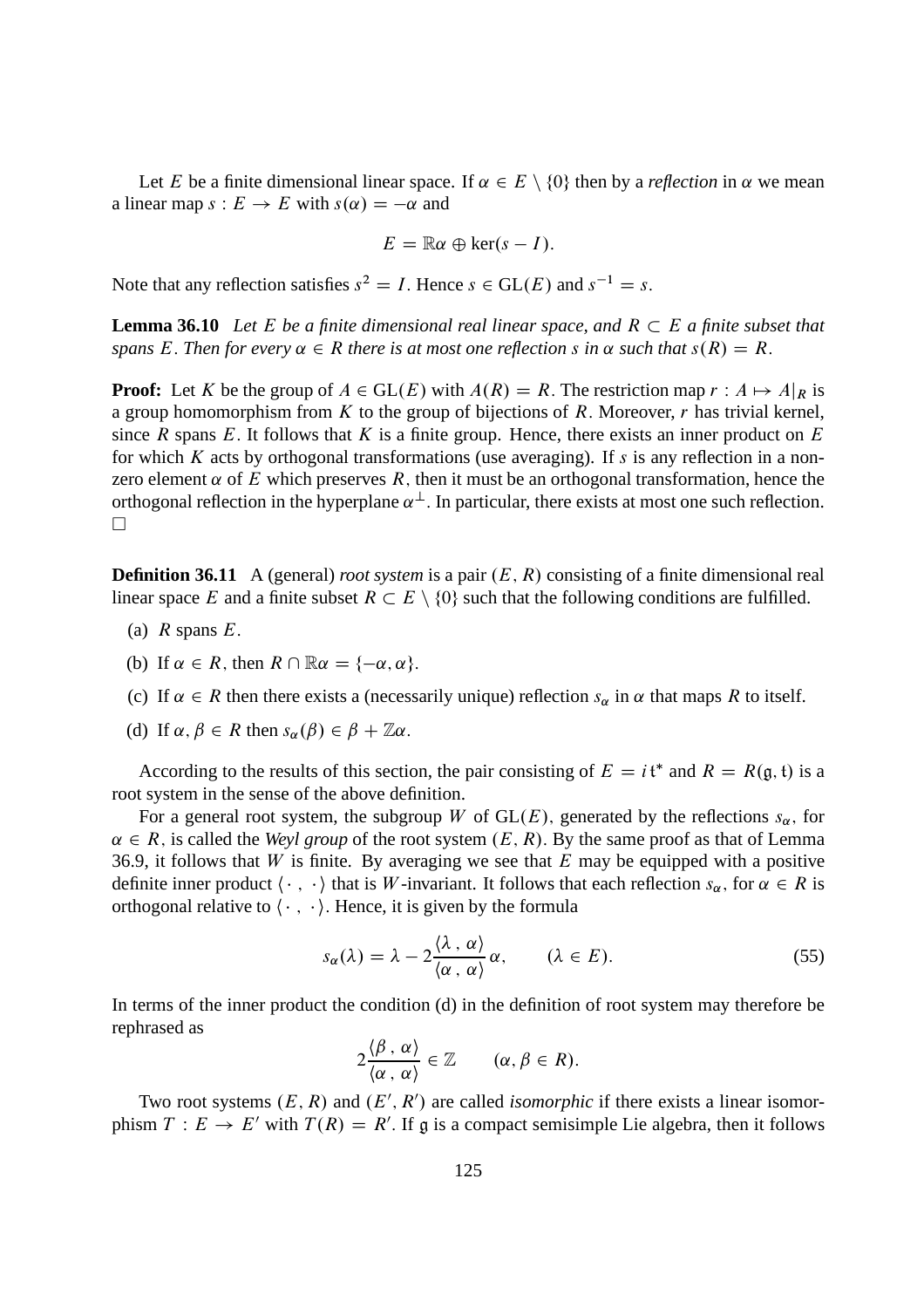Let E be a finite dimensional linear space. If  $\alpha \in E \setminus \{0\}$  then by a *reflection* in  $\alpha$  we mean a linear map  $s : E \to E$  with  $s(\alpha) = -\alpha$  and

$$
E=\mathbb{R}\alpha\oplus\ker(s-I).
$$

Note that any reflection satisfies  $s^2 = I$ . Hence  $s \in GL(E)$  and  $s^{-1} = s$ .

**Lemma 36.10** Let E be a finite dimensional real linear space, and  $R \subset E$  a finite subset that *spans* E. Then for every  $\alpha \in R$  *there is at most one reflection* s *in*  $\alpha$  *such that*  $s(R) = R$ .

**Proof:** Let K be the group of  $A \in GL(E)$  with  $A(R) = R$ . The restriction map  $r : A \mapsto A|_{R}$  is a group homomorphism from K to the group of bijections of R. Moreover,  $r$  has trivial kernel, since R spans E. It follows that K is a finite group. Hence, there exists an inner product on  $E$ for which K acts by orthogonal transformations (use averaging). If s is any reflection in a nonzero element  $\alpha$  of E which preserves R, then it must be an orthogonal transformation, hence the orthogonal reflection in the hyperplane  $\alpha^{\perp}$ . In particular, there exists at most one such reflection.  $\Box$ 

**Definition 36.11** A (general) *root system* is a pair  $(E, R)$  consisting of a finite dimensional real linear space E and a finite subset  $R \subset E \setminus \{0\}$  such that the following conditions are fulfilled.

- (a)  $R$  spans  $E$ .
- (b) If  $\alpha \in R$ , then  $R \cap \mathbb{R}\alpha = \{-\alpha, \alpha\}.$
- (c) If  $\alpha \in R$  then there exists a (necessarily unique) reflection  $s_{\alpha}$  in  $\alpha$  that maps R to itself.
- (d) If  $\alpha, \beta \in R$  then  $s_{\alpha}(\beta) \in \beta + \mathbb{Z}\alpha$ .

According to the results of this section, the pair consisting of  $E = i\mathfrak{t}^*$  and  $R = R(\mathfrak{g}, \mathfrak{t})$  is a root system in the sense of the above definition.

For a general root system, the subgroup W of  $GL(E)$ , generated by the reflections  $s_{\alpha}$ , for  $\alpha \in R$ , is called the *Weyl group* of the root system  $(E, R)$ . By the same proof as that of Lemma 36.9, it follows that  $W$  is finite. By averaging we see that  $E$  may be equipped with a positive definite inner product  $\langle \cdot, \cdot \rangle$  that is W-invariant. It follows that each reflection  $s_\alpha$ , for  $\alpha \in R$  is orthogonal relative to  $\langle \cdot, \cdot \rangle$ . Hence, it is given by the formula

$$
s_{\alpha}(\lambda) = \lambda - 2 \frac{\langle \lambda, \alpha \rangle}{\langle \alpha, \alpha \rangle} \alpha, \qquad (\lambda \in E). \tag{55}
$$

In terms of the inner product the condition (d) in the definition of root system may therefore be rephrased as

$$
2\frac{\langle \beta, \alpha \rangle}{\langle \alpha, \alpha \rangle} \in \mathbb{Z} \qquad (\alpha, \beta \in R).
$$

Two root systems  $(E, R)$  and  $(E', R')$  are called *isomorphic* if there exists a linear isomorphism  $T : E \to E'$  with  $T(R) = R'$ . If g is a compact semisimple Lie algebra, then it follows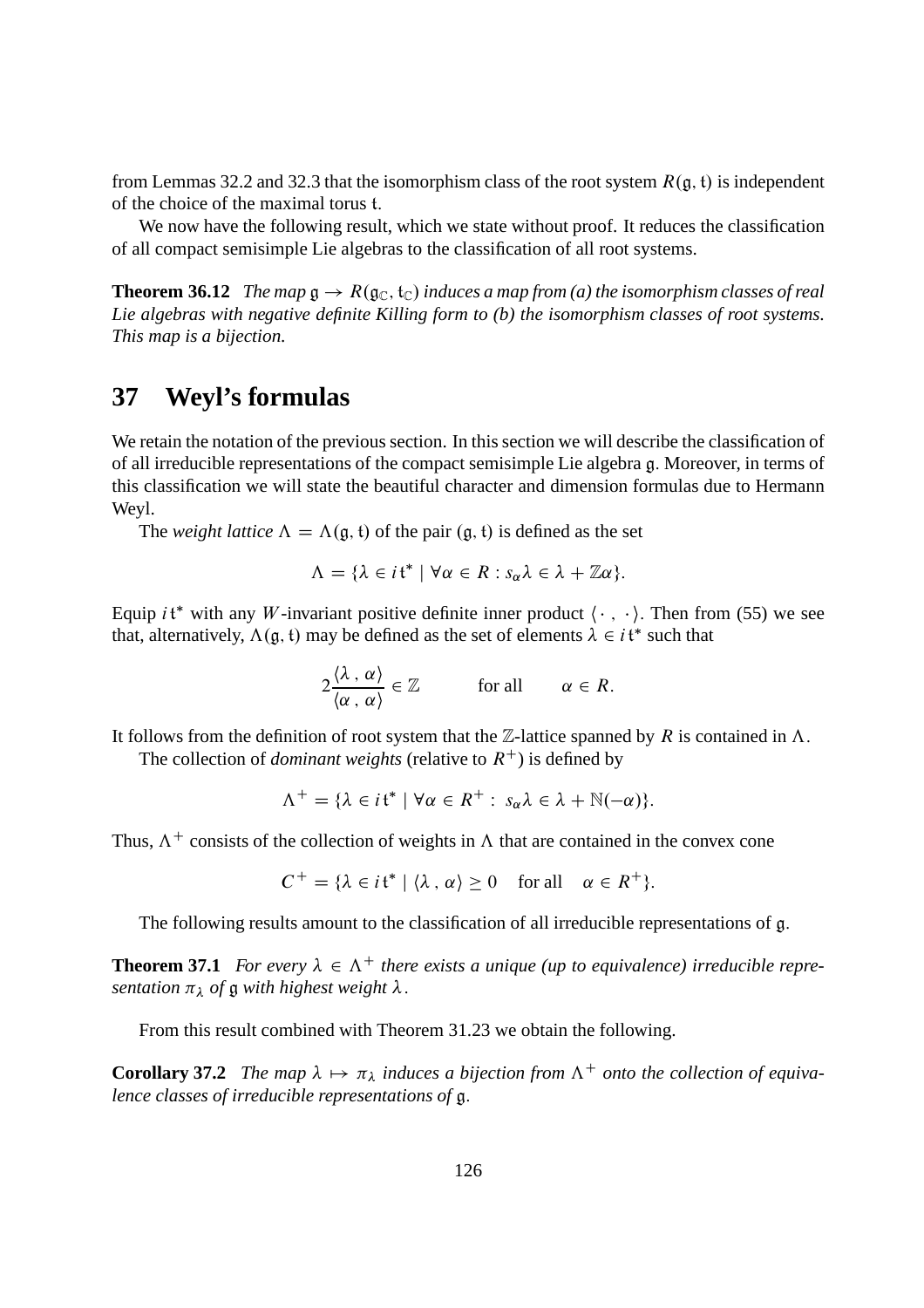from Lemmas 32.2 and 32.3 that the isomorphism class of the root system  $R(g, t)$  is independent of the choice of the maximal torus t:

We now have the following result, which we state without proof. It reduces the classification of all compact semisimple Lie algebras to the classification of all root systems.

**Theorem 36.12** *The map*  $\mathfrak{g} \to R(\mathfrak{g}_{\mathbb{C}}, \mathfrak{t}_{\mathbb{C}})$  *induces a map from* (*a*) *the isomorphism classes of real Lie algebras with negative definite Killing form to (b) the isomorphism classes of root systems. This map is a bijection.*

## **37 Weyl's formulas**

We retain the notation of the previous section. In this section we will describe the classification of of all irreducible representations of the compact semisimple Lie algebra g: Moreover, in terms of this classification we will state the beautiful character and dimension formulas due to Hermann Weyl.

The *weight lattice*  $\Lambda = \Lambda(\mathfrak{g}, \mathfrak{t})$  of the pair  $(\mathfrak{g}, \mathfrak{t})$  is defined as the set

$$
\Lambda = \{ \lambda \in it^* \mid \forall \alpha \in R : s_\alpha \lambda \in \lambda + \mathbb{Z}\alpha \}.
$$

Equip *i*t\* with any *W*-invariant positive definite inner product  $\langle \cdot, \cdot \rangle$ . Then from (55) we see that, alternatively,  $\Lambda(\mathfrak{g}, \mathfrak{t})$  may be defined as the set of elements  $\lambda \in i\mathfrak{t}^*$  such that

$$
2\frac{\langle \lambda, \alpha \rangle}{\langle \alpha, \alpha \rangle} \in \mathbb{Z} \quad \text{for all} \quad \alpha \in R.
$$

It follows from the definition of root system that the  $\mathbb{Z}$ -lattice spanned by R is contained in  $\Lambda$ .

The collection of *dominant weights* (relative to  $R^+$ ) is defined by

$$
\Lambda^+ = \{ \lambda \in i\mathfrak{t}^* \mid \forall \alpha \in R^+ : s_\alpha \lambda \in \lambda + \mathbb{N}(-\alpha) \}.
$$

Thus,  $\Lambda^+$  consists of the collection of weights in  $\Lambda$  that are contained in the convex cone

$$
C^+ = \{ \lambda \in it^* \mid \langle \lambda, \alpha \rangle \ge 0 \quad \text{for all} \quad \alpha \in R^+ \}.
$$

The following results amount to the classification of all irreducible representations of g.

**Theorem 37.1** *For every*  $\lambda \in \Lambda^+$  *there exists a unique (up to equivalence) irreducible representation*  $\pi_{\lambda}$  *of*  $\mathfrak g$  *with highest weight*  $\lambda$ .

From this result combined with Theorem 31.23 we obtain the following.

**Corollary 37.2** *The map*  $\lambda \mapsto \pi_{\lambda}$  *induces a bijection from*  $\Lambda^+$  *onto the collection of equivalence classes of irreducible representations of* g: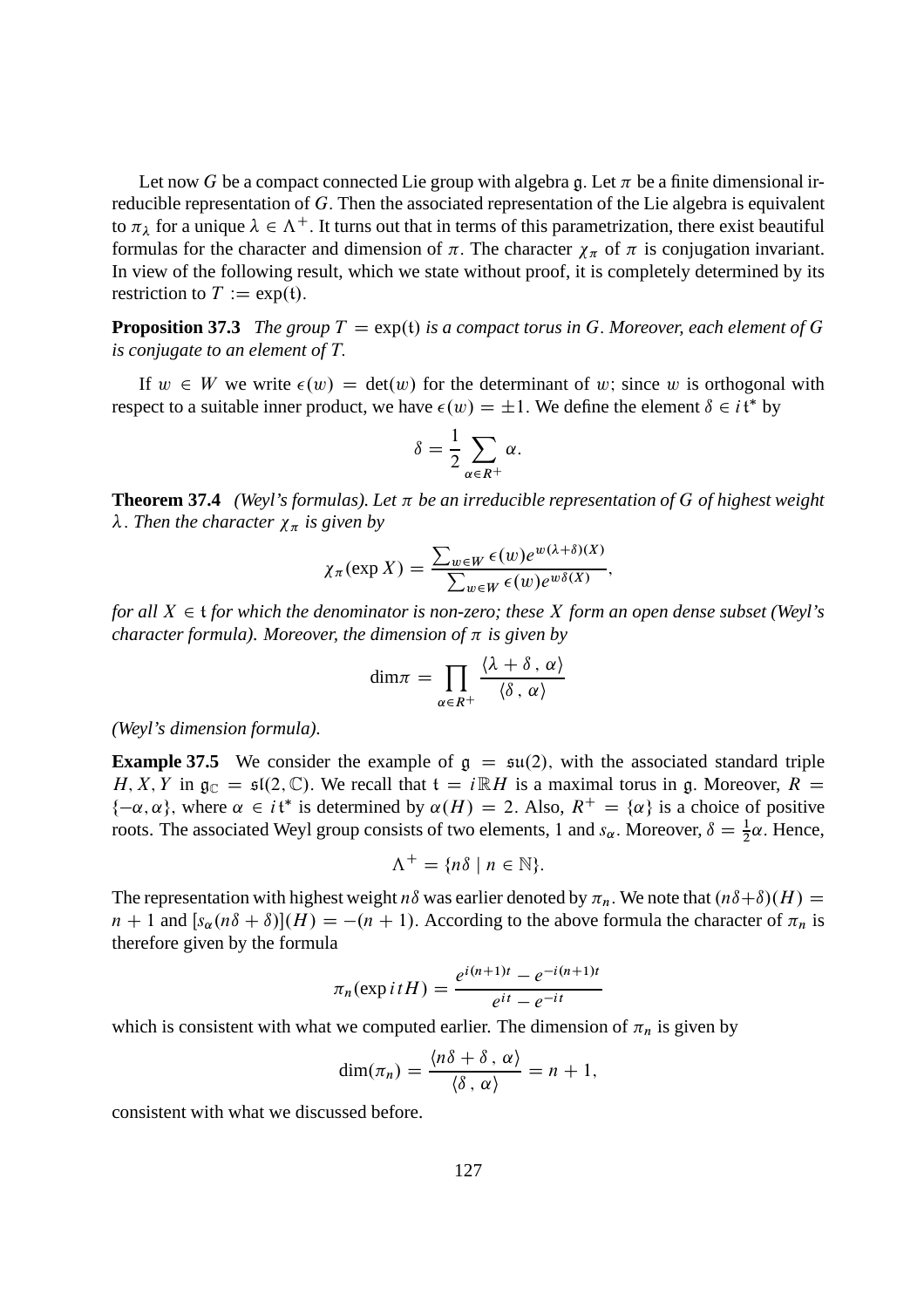Let now G be a compact connected Lie group with algebra g. Let  $\pi$  be a finite dimensional irreducible representation of G: Then the associated representation of the Lie algebra is equivalent to  $\pi_{\lambda}$  for a unique  $\lambda \in \Lambda^{+}$ . It turns out that in terms of this parametrization, there exist beautiful formulas for the character and dimension of  $\pi$ . The character  $\chi_{\pi}$  of  $\pi$  is conjugation invariant. In view of the following result, which we state without proof, it is completely determined by its restriction to  $T := \exp(t)$ .

**Proposition 37.3** *The group*  $T = \exp(t)$  *is a compact torus in* G. Moreover, each element of G *is conjugate to an element of* T:

If  $w \in W$  we write  $\epsilon(w) = \det(w)$  for the determinant of w; since w is orthogonal with respect to a suitable inner product, we have  $\epsilon(w) = \pm 1$ . We define the element  $\delta \in i \mathfrak{t}^*$  by

$$
\delta = \frac{1}{2} \sum_{\alpha \in R^+} \alpha.
$$

**Theorem 37.4** *(Weyl's formulas). Let*  $\pi$  *be an irreducible representation of*  $G$  *of highest weight*  $\lambda$ . *Then the character*  $\chi_{\pi}$  *is given by* 

$$
\chi_{\pi}(\exp X) = \frac{\sum_{w \in W} \epsilon(w) e^{w(\lambda + \delta)(X)}}{\sum_{w \in W} \epsilon(w) e^{w\delta(X)}},
$$

*for all*  $X \in \mathfrak{t}$  *for which the denominator is non-zero; these* X *form an open dense subset (Weyl's character formula). Moreover, the dimension of*  $\pi$  *is given by* 

$$
\dim \pi = \prod_{\alpha \in R^+} \frac{\langle \lambda + \delta, \alpha \rangle}{\langle \delta, \alpha \rangle}
$$

*(Weyl's dimension formula).*

**Example 37.5** We consider the example of  $g = \mathfrak{su}(2)$ , with the associated standard triple H, X, Y in  $\mathfrak{g}_{\mathbb{C}} = \mathfrak{sl}(2,\mathbb{C})$ . We recall that  $\mathfrak{t} = i \mathbb{R}H$  is a maximal torus in g. Moreover,  $R =$  $\{-\alpha, \alpha\}$ , where  $\alpha \in i\mathfrak{t}^*$  is determined by  $\alpha(H) = 2$ . Also,  $R^+ = {\alpha}$  is a choice of positive roots. The associated Weyl group consists of two elements, 1 and  $s_{\alpha}$ . Moreover,  $\delta = \frac{1}{2}\alpha$ . Hence,

$$
\Lambda^+ = \{ n\delta \mid n \in \mathbb{N} \}.
$$

The representation with highest weight n $\delta$  was earlier denoted by  $\pi_n$ . We note that  $(n\delta + \delta)(H) =$  $n + 1$  and  $[s_\alpha(n\delta + \delta)](H) = -(n + 1)$ . According to the above formula the character of  $\pi_n$  is therefore given by the formula

$$
\pi_n(\exp itH) = \frac{e^{i(n+1)t} - e^{-i(n+1)t}}{e^{it} - e^{-it}}
$$

which is consistent with what we computed earlier. The dimension of  $\pi_n$  is given by

$$
\dim(\pi_n) = \frac{\langle n\delta + \delta \,, \,\alpha \rangle}{\langle \delta \,, \,\alpha \rangle} = n + 1,
$$

consistent with what we discussed before.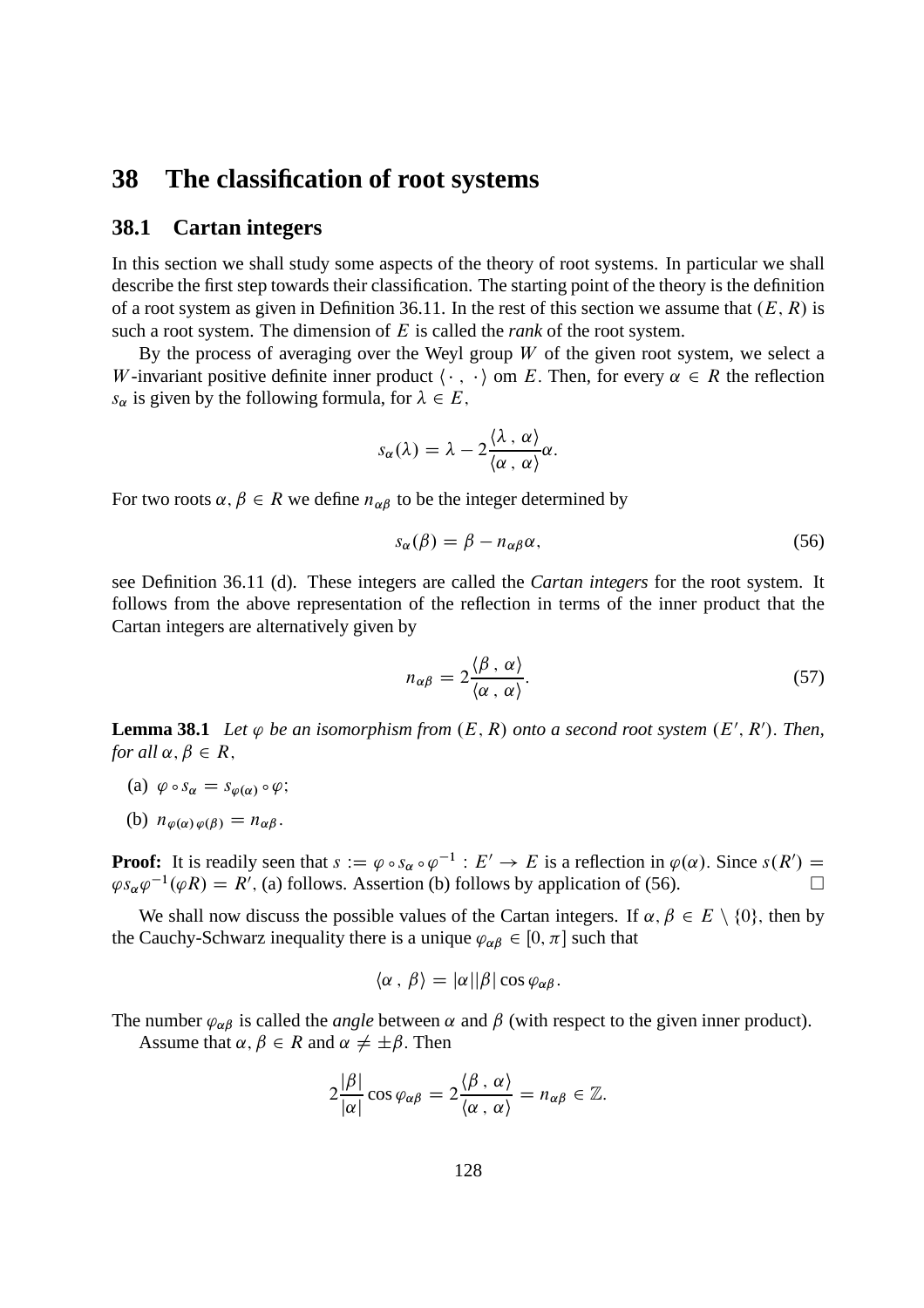### **38 The classification of root systems**

### **38.1 Cartan integers**

In this section we shall study some aspects of the theory of root systems. In particular we shall describe the first step towards their classification. The starting point of the theory is the definition of a root system as given in Definition 36.11. In the rest of this section we assume that  $(E, R)$  is such a root system. The dimension of E is called the *rank* of the root system.

By the process of averaging over the Weyl group  $W$  of the given root system, we select a W-invariant positive definite inner product  $\langle \cdot, \cdot \rangle$  om E. Then, for every  $\alpha \in R$  the reflection  $s_{\alpha}$  is given by the following formula, for  $\lambda \in E$ ,

$$
s_{\alpha}(\lambda)=\lambda-2\frac{\langle\lambda,\alpha\rangle}{\langle\alpha,\alpha\rangle}\alpha.
$$

For two roots  $\alpha, \beta \in R$  we define  $n_{\alpha\beta}$  to be the integer determined by

$$
s_{\alpha}(\beta) = \beta - n_{\alpha\beta}\alpha,\tag{56}
$$

see Definition 36.11 (d). These integers are called the *Cartan integers* for the root system. It follows from the above representation of the reflection in terms of the inner product that the Cartan integers are alternatively given by

$$
n_{\alpha\beta} = 2 \frac{\langle \beta, \alpha \rangle}{\langle \alpha, \alpha \rangle}.
$$
 (57)

**Lemma 38.1** Let  $\varphi$  be an isomorphism from  $(E, R)$  onto a second root system  $(E', R')$ . Then, *for all*  $\alpha, \beta \in R$ ,

- (a)  $\varphi \circ s_{\alpha} = s_{\varphi(\alpha)} \circ \varphi;$
- (b)  $n_{\varphi(\alpha)\varphi(\beta)} = n_{\alpha\beta}$ .

**Proof:** It is readily seen that  $s := \varphi \circ s_\alpha \circ \varphi^{-1} : E' \to E$  is a reflection in  $\varphi(\alpha)$ . Since  $s(R') =$  $\varphi s_{\alpha} \varphi^{-1}(\varphi R) = R'$ , (a) follows. Assertion (b) follows by application of (56).

We shall now discuss the possible values of the Cartan integers. If  $\alpha, \beta \in E \setminus \{0\}$ , then by the Cauchy-Schwarz inequality there is a unique  $\varphi_{\alpha\beta} \in [0, \pi]$  such that

$$
\langle \alpha \, , \, \beta \rangle = |\alpha| |\beta| \cos \varphi_{\alpha\beta}.
$$

The number  $\varphi_{\alpha\beta}$  is called the *angle* between  $\alpha$  and  $\beta$  (with respect to the given inner product).

Assume that  $\alpha, \beta \in R$  and  $\alpha \neq \pm \beta$ . Then

$$
2\frac{|\beta|}{|\alpha|}\cos\varphi_{\alpha\beta}=2\frac{\langle\beta,\,\alpha\rangle}{\langle\alpha,\,\alpha\rangle}=n_{\alpha\beta}\in\mathbb{Z}.
$$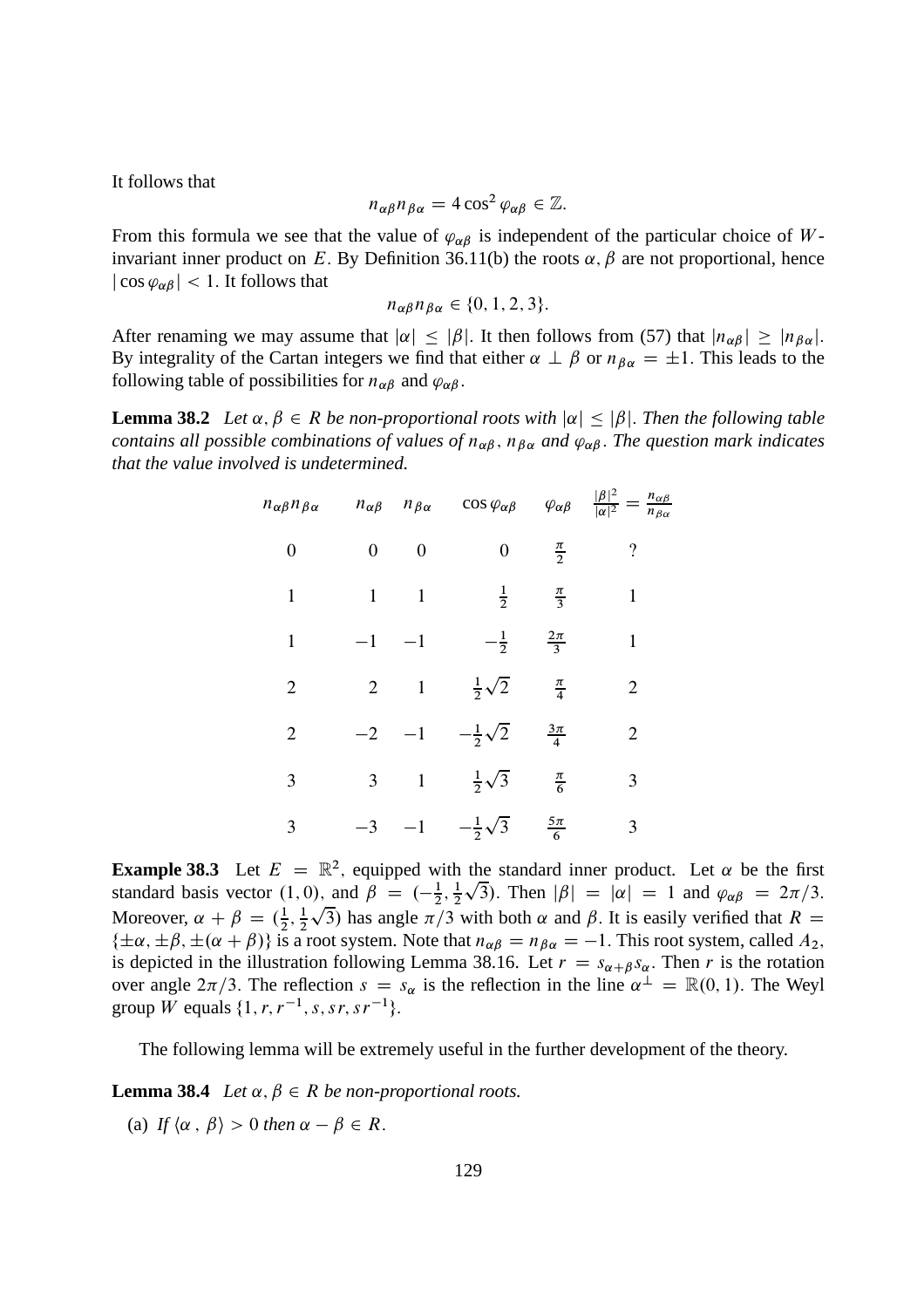It follows that

$$
n_{\alpha\beta}n_{\beta\alpha}=4\cos^2\varphi_{\alpha\beta}\in\mathbb{Z}.
$$

From this formula we see that the value of  $\varphi_{\alpha\beta}$  is independent of the particular choice of W invariant inner product on E. By Definition 36.11(b) the roots  $\alpha$ ,  $\beta$  are not proportional, hence  $|\cos \varphi_{\alpha\beta}|$  < 1. It follows that

$$
n_{\alpha\beta}n_{\beta\alpha}\in\{0,1,2,3\}.
$$

After renaming we may assume that  $|\alpha| \leq |\beta|$ . It then follows from (57) that  $|n_{\alpha\beta}| \geq |n_{\beta\alpha}|$ . By integrality of the Cartan integers we find that either  $\alpha \perp \beta$  or  $n_{\beta \alpha} = \pm 1$ . This leads to the following table of possibilities for  $n_{\alpha\beta}$  and  $\varphi_{\alpha\beta}$ .

**Lemma 38.2** *Let*  $\alpha, \beta \in R$  *be non-proportional roots with*  $|\alpha| < |\beta|$ *. Then the following table contains all possible combinations of values of*  $n_{\alpha\beta}$ ,  $n_{\beta\alpha}$  *and*  $\varphi_{\alpha\beta}$ . The question mark indicates *that the value involved is undetermined.*

| $n_{\alpha\beta}n_{\beta\alpha}$ | $n_{\alpha\beta}$ | $n_{\beta\alpha}$ | $\cos\varphi_{\alpha\beta}$ | $\varphi_{\alpha\beta}$ | $\frac{ \beta ^2}{ \alpha ^2}$<br>$=\frac{n_{\alpha\beta}}{n}$<br>$n_{\beta\alpha}$ |
|----------------------------------|-------------------|-------------------|-----------------------------|-------------------------|-------------------------------------------------------------------------------------|
| $\boldsymbol{0}$                 | 0                 | $\boldsymbol{0}$  | $\boldsymbol{0}$            | $\frac{\pi}{2}$         | $\overline{\cdot}$                                                                  |
| 1                                | 1                 | $\mathbf{1}$      | $\frac{1}{2}$               | $rac{\pi}{3}$           | 1                                                                                   |
| $\mathbf{1}$                     | $-1$              | $-1$              | $-\frac{1}{2}$              | $\frac{2\pi}{3}$        | 1                                                                                   |
| $\overline{2}$                   | $\overline{2}$    | $\mathbf{1}$      | $rac{1}{2}\sqrt{2}$         | $\frac{\pi}{4}$         | $\overline{2}$                                                                      |
| $\overline{2}$                   | $-2$              | $-1$              | $-\frac{1}{2}\sqrt{2}$      | $\frac{3\pi}{4}$        | $\overline{2}$                                                                      |
| 3                                | 3                 | $\mathbf{1}$      | $rac{1}{2}\sqrt{3}$         | $\frac{\pi}{6}$         | 3                                                                                   |
| 3                                | $-3$              | $-1$              | $-\frac{1}{2}\sqrt{3}$      | $rac{5\pi}{6}$          | 3                                                                                   |

**Example 38.3** Let  $E = \mathbb{R}^2$ , equipped with the standard inner product. Let  $\alpha$  be the first standard basis vector  $(1,0)$ , and  $\beta = \left(-\frac{1}{2}\right)$  $\frac{1}{2}, \frac{1}{2}$ 2  $\sqrt{3}$ ). Then  $|\beta| = |\alpha| = 1$  and  $\varphi_{\alpha\beta} = 2\pi/3$ . Moreover,  $\alpha + \beta = (\frac{1}{2})$  $\frac{1}{2}, \frac{1}{2}$ 2  $\sqrt{3}$ ) has angle  $\pi/3$  with both  $\alpha$  and  $\beta$ . It is easily verified that  $R =$  $\{\pm\alpha,\pm\beta,\pm(\alpha+\beta)\}\$ is a root system. Note that  $n_{\alpha\beta}=n_{\beta\alpha}=-1$ . This root system, called  $A_2$ , is depicted in the illustration following Lemma 38.16. Let  $r = s_{\alpha+\beta}s_{\alpha}$ . Then r is the rotation over angle  $2\pi/3$ . The reflection  $s = s_\alpha$  is the reflection in the line  $\alpha^{\perp} = \mathbb{R}(0, 1)$ . The Weyl group *W* equals  $\{1, r, r^{-1}, s, sr, sr^{-1}\}.$ 

The following lemma will be extremely useful in the further development of the theory.

**Lemma 38.4** *Let*  $\alpha$ ,  $\beta \in R$  *be non-proportional roots.* 

(a) *If*  $\langle \alpha, \beta \rangle > 0$  *then*  $\alpha - \beta \in R$ .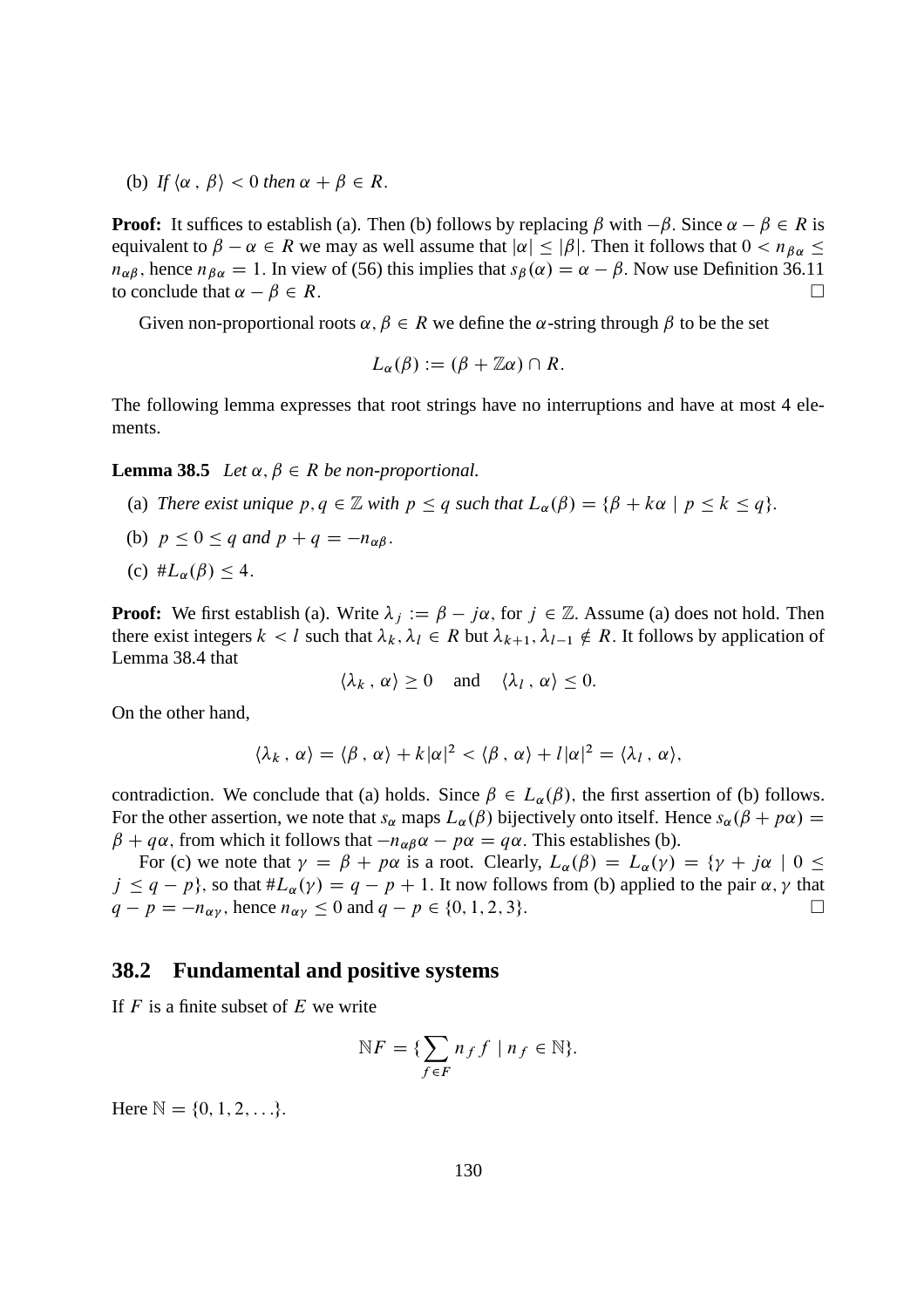(b) *If*  $\langle \alpha, \beta \rangle < 0$  *then*  $\alpha + \beta \in R$ .

**Proof:** It suffices to establish (a). Then (b) follows by replacing  $\beta$  with  $-\beta$ . Since  $\alpha - \beta \in R$  is equivalent to  $\beta - \alpha \in R$  we may as well assume that  $|\alpha| \leq |\beta|$ . Then it follows that  $0 < n_{\beta\alpha} \leq$  $n_{\alpha\beta}$ , hence  $n_{\beta\alpha} = 1$ . In view of (56) this implies that  $s_{\beta}(\alpha) = \alpha - \beta$ . Now use Definition 36.11 to conclude that  $\alpha - \beta \in R$ . to conclude that  $\alpha - \beta \in R$ .

Given non-proportional roots  $\alpha, \beta \in R$  we define the  $\alpha$ -string through  $\beta$  to be the set

$$
L_{\alpha}(\beta) := (\beta + \mathbb{Z}\alpha) \cap R.
$$

The following lemma expresses that root strings have no interruptions and have at most 4 elements.

**Lemma 38.5** *Let*  $\alpha, \beta \in R$  *be non-proportional.* 

- (a) *There exist unique*  $p, q \in \mathbb{Z}$  *with*  $p \leq q$  *such that*  $L_{\alpha}(\beta) = {\beta + k\alpha \mid p \leq k \leq q}$ .
- (b)  $p \le 0 \le q$  and  $p + q = -n_{\alpha\beta}$ .
- (c)  $#L_{\alpha}(\beta) < 4.$

**Proof:** We first establish (a). Write  $\lambda_j := \beta - j\alpha$ , for  $j \in \mathbb{Z}$ . Assume (a) does not hold. Then there exist integers  $k < l$  such that  $\lambda_k, \lambda_l \in R$  but  $\lambda_{k+1}, \lambda_{l-1} \notin R$ . It follows by application of Lemma 38.4 that

$$
\langle \lambda_k, \alpha \rangle \ge 0 \quad \text{and} \quad \langle \lambda_l, \alpha \rangle \le 0.
$$

On the other hand,

$$
\langle \lambda_k, \alpha \rangle = \langle \beta, \alpha \rangle + k |\alpha|^2 < \langle \beta, \alpha \rangle + l |\alpha|^2 = \langle \lambda_l, \alpha \rangle,
$$

contradiction. We conclude that (a) holds. Since  $\beta \in L_{\alpha}(\beta)$ , the first assertion of (b) follows. For the other assertion, we note that  $s_\alpha$  maps  $L_\alpha(\beta)$  bijectively onto itself. Hence  $s_\alpha(\beta + p\alpha) =$  $\beta + q\alpha$ , from which it follows that  $-n_{\alpha\beta}\alpha - p\alpha = q\alpha$ . This establishes (b).

For (c) we note that  $\gamma = \beta + p\alpha$  is a root. Clearly,  $L_{\alpha}(\beta) = L_{\alpha}(\gamma) = {\gamma + j\alpha \mid 0 \le \alpha}$  $j \le q - p$ , so that  $\#L_{\alpha}(\gamma) = q - p + 1$ . It now follows from (b) applied to the pair  $\alpha, \gamma$  that  $q - p = -n_{\alpha\gamma}$ , hence  $n_{\alpha\gamma} \le 0$  and  $q - p \in \{0, 1, 2, 3\}$ .  $q - p = -n_{\alpha\nu}$ , hence  $n_{\alpha\nu} \le 0$  and  $q - p \in \{0, 1, 2, 3\}$ .

### **38.2 Fundamental and positive systems**

If  $F$  is a finite subset of  $E$  we write

$$
\mathbb{N}F = \{ \sum_{f \in F} n_f f \mid n_f \in \mathbb{N} \}.
$$

Here  $\mathbb{N} = \{0, 1, 2, \ldots\}.$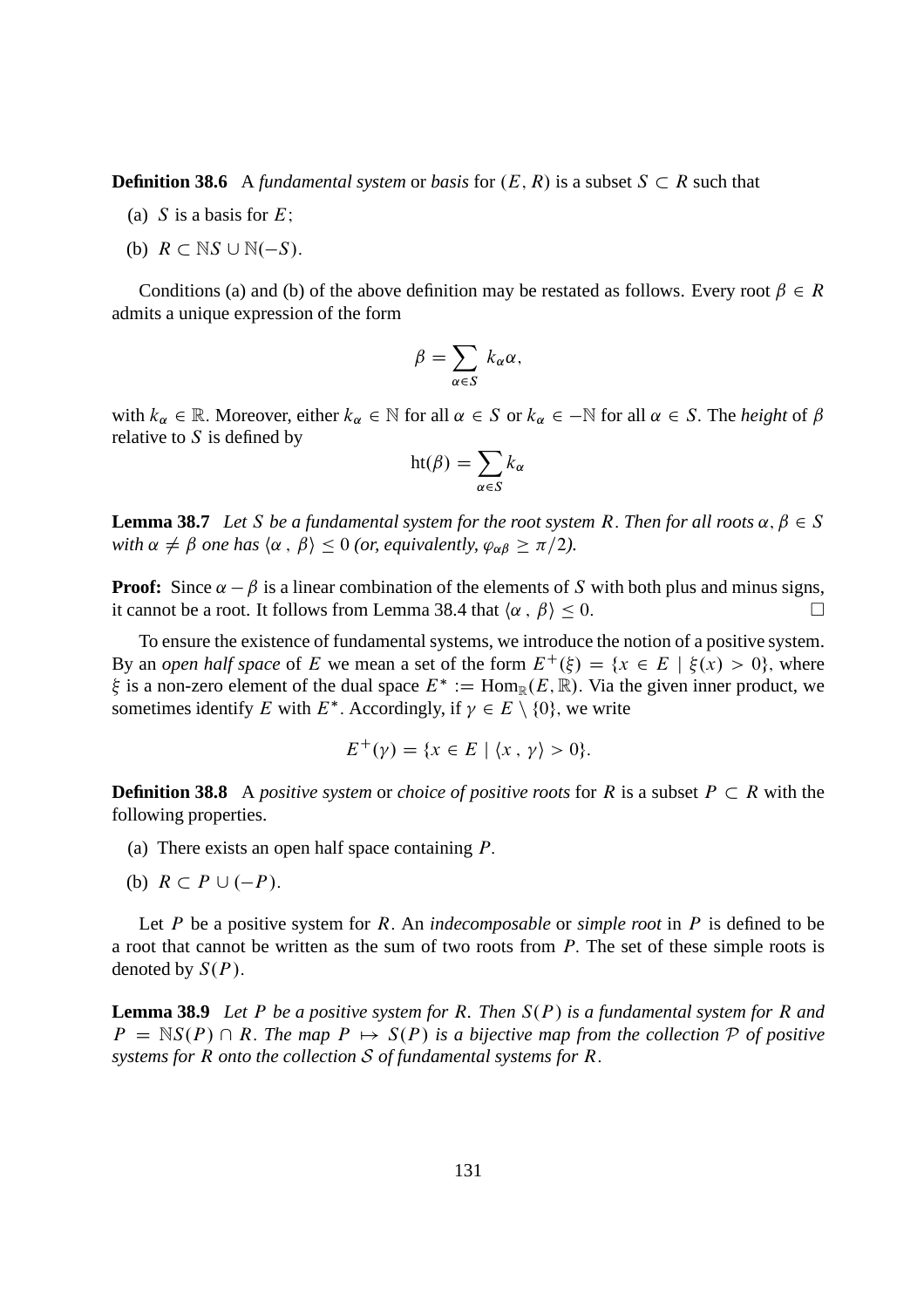**Definition 38.6** A *fundamental system* or *basis* for  $(E, R)$  is a subset  $S \subset R$  such that

- (a) S is a basis for  $E$ ;
- (b)  $R \subset \mathbb{N}S \cup \mathbb{N}(-S)$ .

Conditions (a) and (b) of the above definition may be restated as follows. Every root  $\beta \in R$ admits a unique expression of the form

$$
\beta = \sum_{\alpha \in S} k_{\alpha} \alpha,
$$

with  $k_\alpha \in \mathbb{R}$ . Moreover, either  $k_\alpha \in \mathbb{N}$  for all  $\alpha \in S$  or  $k_\alpha \in \mathbb{N}$  for all  $\alpha \in S$ . The *height* of  $\beta$ relative to  $S$  is defined by

$$
ht(\beta) = \sum_{\alpha \in S} k_{\alpha}
$$

**Lemma 38.7** *Let* S *be a fundamental system for the root system R. Then for all roots*  $\alpha, \beta \in S$ *with*  $\alpha \neq \beta$  *one has*  $\langle \alpha, \beta \rangle \leq 0$  *(or, equivalently,*  $\varphi_{\alpha\beta} \geq \pi/2$ *).* 

**Proof:** Since  $\alpha - \beta$  is a linear combination of the elements of S with both plus and minus signs, it cannot be a root. It follows from Lemma 38.4 that  $\langle \alpha, \beta \rangle \leq 0$ .

To ensure the existence of fundamental systems, we introduce the notion of a positive system. By an *open half space* of E we mean a set of the form  $E^+(\xi) = \{x \in E \mid \xi(x) > 0\}$ , where  $\xi$  is a non-zero element of the dual space  $E^* := \text{Hom}_{\mathbb{R}}(E, \mathbb{R})$ . Via the given inner product, we sometimes identify E with  $E^*$ . Accordingly, if  $\gamma \in E \setminus \{0\}$ , we write

$$
E^+(\gamma) = \{x \in E \mid \langle x, \gamma \rangle > 0\}.
$$

**Definition 38.8** A *positive system* or *choice of positive roots* for R is a subset  $P \subset R$  with the following properties.

- (a) There exists an open half space containing  $P$ .
- (b)  $R \subset P \cup (-P)$ .

Let P be a positive system for R: An *indecomposable* or *simple root* in P is defined to be a root that cannot be written as the sum of two roots from  $P$ . The set of these simple roots is denoted by  $S(P)$ .

**Lemma 38.9** *Let* P *be a positive system for* R. Then  $S(P)$  *is a fundamental system for* R *and*  $P = \mathbb{N}S(P) \cap R$ . The map  $P \mapsto S(P)$  is a bijective map from the collection P of positive *systems for* R *onto the collection* S *of fundamental systems for* R: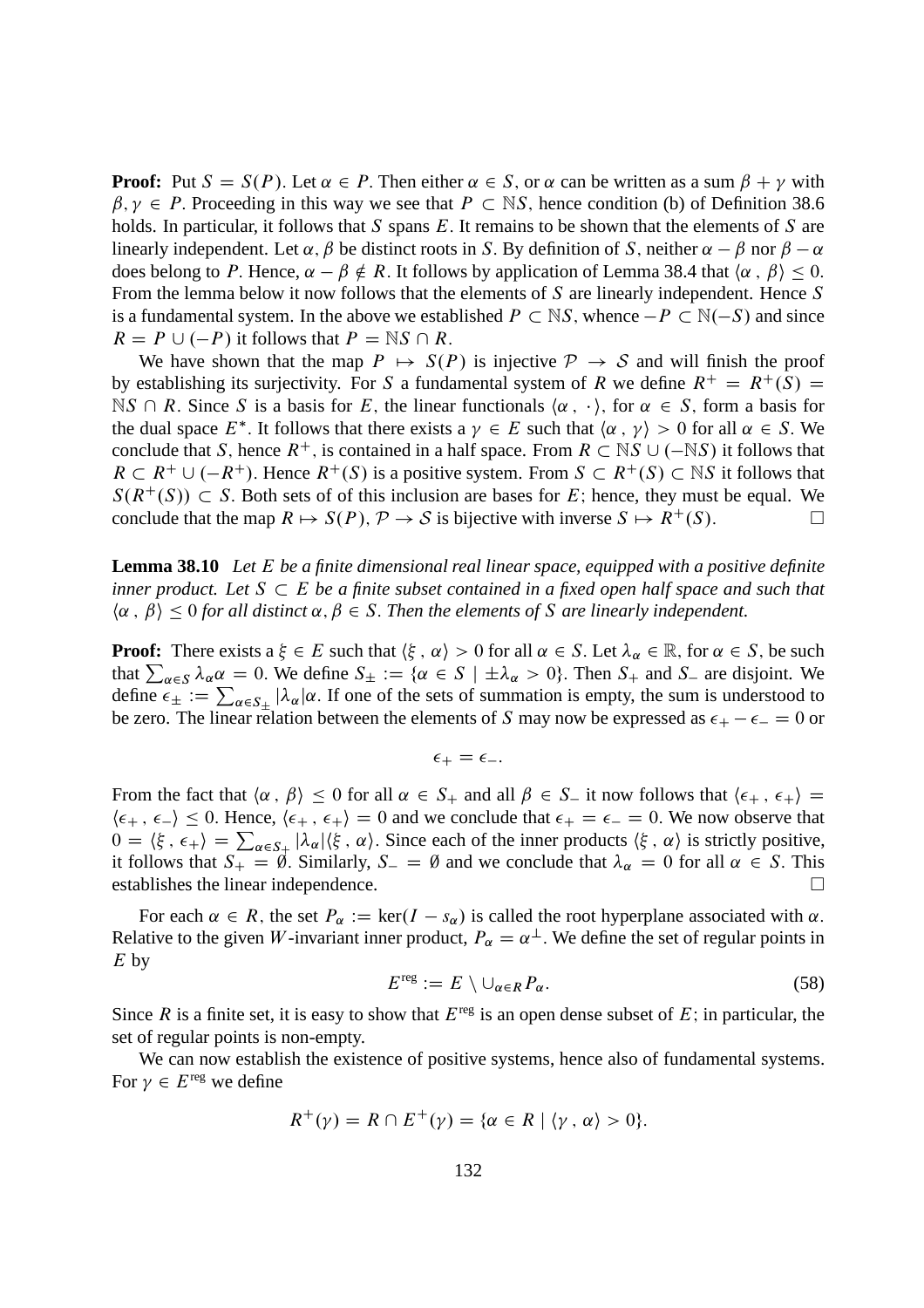**Proof:** Put  $S = S(P)$ . Let  $\alpha \in P$ . Then either  $\alpha \in S$ , or  $\alpha$  can be written as a sum  $\beta + \gamma$  with  $\beta, \gamma \in P$ . Proceeding in this way we see that  $P \subset \mathbb{N}S$ , hence condition (b) of Definition 38.6 holds. In particular, it follows that S spans E. It remains to be shown that the elements of S are linearly independent. Let  $\alpha$ ,  $\beta$  be distinct roots in S. By definition of S, neither  $\alpha - \beta$  nor  $\beta - \alpha$ does belong to P. Hence,  $\alpha - \beta \notin R$ . It follows by application of Lemma 38.4 that  $\langle \alpha, \beta \rangle \leq 0$ . From the lemma below it now follows that the elements of S are linearly independent. Hence S is a fundamental system. In the above we established  $P \subset \mathbb{N}S$ , whence  $-P \subset \mathbb{N}(-S)$  and since  $R = P \cup (-P)$  it follows that  $P = \mathbb{N}S \cap R$ .

We have shown that the map  $P \mapsto S(P)$  is injective  $P \rightarrow S$  and will finish the proof by establishing its surjectivity. For S a fundamental system of R we define  $R^+ = R^+(S)$  =  $\n *NS* \cap *R*. Since *S* is a basis for *E*, the linear functionals  $\langle \alpha, \cdot \rangle$ , for  $\alpha \in S$ , form a basis for$ the dual space  $E^*$ . It follows that there exists a  $\gamma \in E$  such that  $\langle \alpha, \gamma \rangle > 0$  for all  $\alpha \in S$ . We conclude that S, hence  $R^+$ , is contained in a half space. From  $R \subset \mathbb{N}S \cup (-\mathbb{N}S)$  it follows that  $R \subset R^+ \cup (-R^+)$ . Hence  $R^+(S)$  is a positive system. From  $S \subset R^+(S) \subset \mathbb{N}S$  it follows that  $S(R^+(S)) \subset S$ . Both sets of of this inclusion are bases for E; hence, they must be equal. We conclude that the map  $R \mapsto S(P)$ .  $P \to S$  is bijective with inverse  $S \mapsto R^+(S)$ . conclude that the map  $R \mapsto S(P), \mathcal{P} \to S$  is bijective with inverse  $S \mapsto R^+(S)$ .

**Lemma 38.10** *Let* E *be a finite dimensional real linear space, equipped with a positive definite inner product. Let*  $S \subset E$  *be a finite subset contained in a fixed open half space and such that*  $\langle \alpha, \beta \rangle \leq 0$  for all distinct  $\alpha, \beta \in S$ . Then the elements of S are linearly independent.

**Proof:** There exists  $a \xi \in E$  such that  $\langle \xi, \alpha \rangle > 0$  for all  $\alpha \in S$ . Let  $\lambda_{\alpha} \in \mathbb{R}$ , for  $\alpha \in S$ , be such that  $\sum_{\alpha \in S} \lambda_{\alpha} \alpha = 0$ . We define  $S_{\pm} := {\alpha \in S \mid \pm \lambda_{\alpha} > 0}$ . Then  $S_{+}$  and  $S_{-}$  are disjoint. We define  $\epsilon_{\pm} := \sum_{\alpha \in S_{\pm}} |\lambda_{\alpha}| \alpha$ . If one of the sets of summation is empty, the sum is understood to be zero. The linear relation between the elements of S may now be expressed as  $\epsilon_+ - \epsilon_- = 0$  or

$$
\epsilon_+ = \epsilon_-.
$$

From the fact that  $\langle \alpha, \beta \rangle \leq 0$  for all  $\alpha \in S_+$  and all  $\beta \in S_-$  it now follows that  $\langle \epsilon_+, \epsilon_+ \rangle =$  $\langle \epsilon_+, \epsilon_- \rangle \leq 0$ . Hence,  $\langle \epsilon_+, \epsilon_+ \rangle = 0$  and we conclude that  $\epsilon_+ = \epsilon_- = 0$ . We now observe that  $0 = \langle \xi, \epsilon_+ \rangle = \sum_{\alpha \in S_+} |\lambda_{\alpha}| \langle \xi, \alpha \rangle$ . Since each of the inner products  $\langle \xi, \alpha \rangle$  is strictly positive, it follows that  $S_+ = \emptyset$ . Similarly,  $S_- = \emptyset$  and we conclude that  $\lambda_{\alpha} = 0$  for all  $\alpha \in S$ . This establishes the linear independence. establishes the linear independence.

For each  $\alpha \in R$ , the set  $P_\alpha := \ker(I - s_\alpha)$  is called the root hyperplane associated with  $\alpha$ . Relative to the given W-invariant inner product,  $P_{\alpha} = \alpha^{\perp}$ . We define the set of regular points in  $E$  by

$$
E^{\text{reg}} := E \setminus \cup_{\alpha \in R} P_{\alpha}.
$$
 (58)

Since R is a finite set, it is easy to show that  $E^{\text{reg}}$  is an open dense subset of E; in particular, the set of regular points is non-empty.

We can now establish the existence of positive systems, hence also of fundamental systems. For  $\gamma \in E^{\text{reg}}$  we define

$$
R^+(\gamma) = R \cap E^+(\gamma) = \{ \alpha \in R \mid \langle \gamma, \alpha \rangle > 0 \}.
$$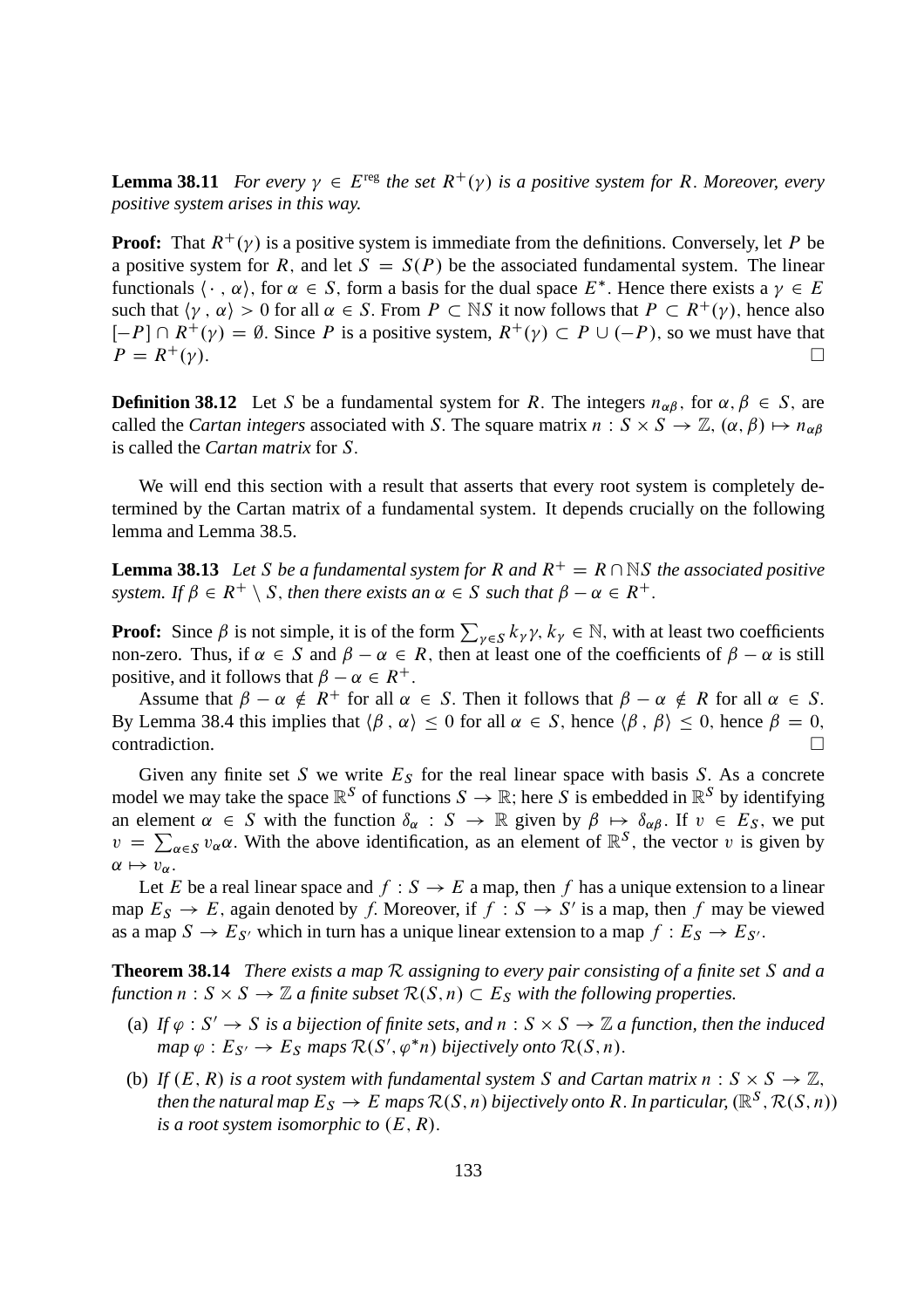**Lemma 38.11** *For every*  $\gamma \in E^{\text{reg}}$  *the set*  $R^+(\gamma)$  *is a positive system for* R. Moreover, every *positive system arises in this way.*

**Proof:** That  $R^+(\gamma)$  is a positive system is immediate from the definitions. Conversely, let P be a positive system for R, and let  $S = S(P)$  be the associated fundamental system. The linear functionals  $\langle \cdot, \alpha \rangle$ , for  $\alpha \in S$ , form a basis for the dual space  $E^*$ . Hence there exists a  $\gamma \in E$ such that  $\langle \gamma, \alpha \rangle > 0$  for all  $\alpha \in S$ . From  $P \subset \mathbb{N}S$  it now follows that  $P \subset R^+(\gamma)$ , hence also  $[-P] \cap R^+(\gamma) = \emptyset$ . Since P is a positive system,  $R^+(\gamma) \subset P \cup (-P)$ , so we must have that  $P = R^+(\gamma)$ .  $P = R^+(\gamma).$ 

**Definition 38.12** Let S be a fundamental system for R. The integers  $n_{\alpha\beta}$ , for  $\alpha, \beta \in S$ , are called the *Cartan integers* associated with S. The square matrix  $n : S \times S \to \mathbb{Z}$ ,  $(\alpha, \beta) \mapsto n_{\alpha\beta}$ is called the *Cartan matrix* for S:

We will end this section with a result that asserts that every root system is completely determined by the Cartan matrix of a fundamental system. It depends crucially on the following lemma and Lemma 38.5.

**Lemma 38.13** Let S be a fundamental system for R and  $R^+ = R \cap \mathbb{N}$ S the associated positive *system. If*  $\beta \in R^+ \setminus S$ , *then there exists an*  $\alpha \in S$  *such that*  $\beta - \alpha \in R^+$ .

**Proof:** Since  $\beta$  is not simple, it is of the form  $\sum_{\gamma \in S} k_{\gamma} \gamma$ ,  $k_{\gamma} \in \mathbb{N}$ , with at least two coefficients non-zero. Thus, if  $\alpha \in S$  and  $\beta - \alpha \in R$ , then at least one of the coefficients of  $\beta - \alpha$  is still positive, and it follows that  $\beta - \alpha \in R^+$ .

Assume that  $\beta - \alpha \notin R^+$  for all  $\alpha \in S$ . Then it follows that  $\beta - \alpha \notin R$  for all  $\alpha \in S$ . By Lemma 38.4 this implies that  $\langle \beta, \alpha \rangle \le 0$  for all  $\alpha \in S$ , hence  $\langle \beta, \beta \rangle \le 0$ , hence  $\beta = 0$ , contradiction. contradiction.

Given any finite set S we write  $E<sub>S</sub>$  for the real linear space with basis S. As a concrete model we may take the space  $\mathbb{R}^S$  of functions  $S \to \mathbb{R}$ ; here S is embedded in  $\mathbb{R}^S$  by identifying an element  $\alpha \in S$  with the function  $\delta_{\alpha} : S \to \mathbb{R}$  given by  $\beta \mapsto \delta_{\alpha\beta}$ . If  $v \in E_S$ , we put  $v = \sum_{\alpha \in S} v_{\alpha} \alpha$ . With the above identification, as an element of  $\mathbb{R}^S$ , the vector v is given by  $\alpha \mapsto v_{\alpha}$ .

Let E be a real linear space and  $f : S \to E$  a map, then f has a unique extension to a linear map  $E_S \to E$ , again denoted by f. Moreover, if  $f : S \to S'$  is a map, then f may be viewed as a map  $S \to E_{S'}$  which in turn has a unique linear extension to a map  $f : E_S \to E_{S'}$ .

**Theorem 38.14** *There exists a map* R *assigning to every pair consisting of a finite set* S *and a* function  $n : S \times S \to \mathbb{Z}$  a finite subset  $\mathcal{R}(S,n) \subset E_S$  with the following properties.

- (a) If  $\varphi : S' \to S$  is a bijection of finite sets, and  $n : S \times S \to \mathbb{Z}$  a function, then the induced  $map \varphi : E_{S'} \to E_S$  maps  $\mathcal{R}(S', \varphi^*n)$  bijectively onto  $\mathcal{R}(S, n)$ .
- (b) If  $(E, R)$  *is a root system with fundamental system* S *and Cartan matrix*  $n : S \times S \rightarrow \mathbb{Z}$ , then the natural map  $E_S \to E$  maps  $\mathcal{R}(S,n)$  bijectively onto R . In particular,  $(\mathbb{R}^S, \mathcal{R}(S,n))$ *is a root system isomorphic to*  $(E, R)$ .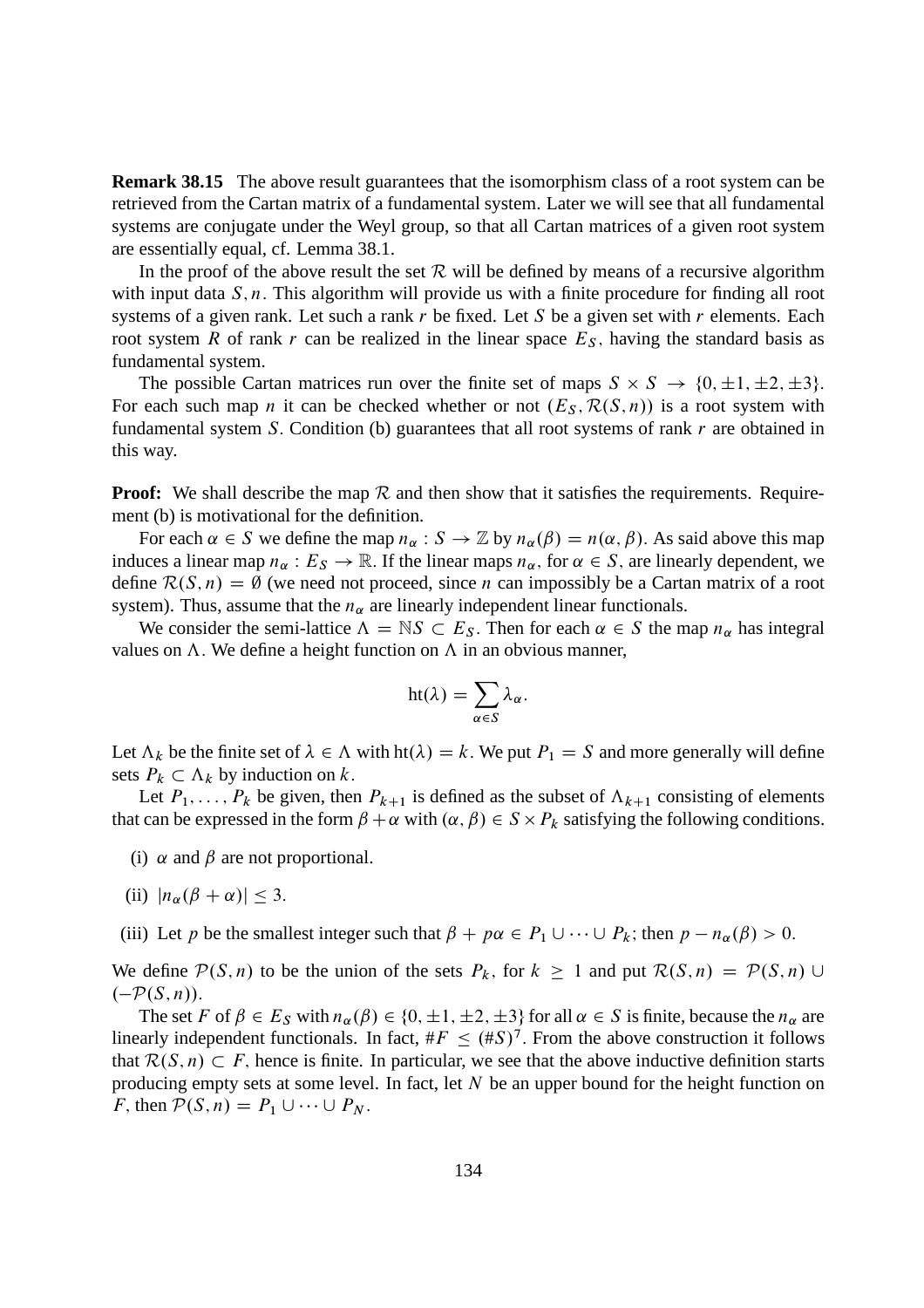**Remark 38.15** The above result guarantees that the isomorphism class of a root system can be retrieved from the Cartan matrix of a fundamental system. Later we will see that all fundamental systems are conjugate under the Weyl group, so that all Cartan matrices of a given root system are essentially equal, cf. Lemma 38.1.

In the proof of the above result the set  $\mathcal R$  will be defined by means of a recursive algorithm with input data  $S, n$ . This algorithm will provide us with a finite procedure for finding all root systems of a given rank. Let such a rank r be fixed. Let S be a given set with r elements. Each root system R of rank r can be realized in the linear space  $E<sub>S</sub>$ , having the standard basis as fundamental system.

The possible Cartan matrices run over the finite set of maps  $S \times S \rightarrow \{0, \pm 1, \pm 2, \pm 3\}.$ For each such map *n* it can be checked whether or not  $(E_S, \mathcal{R}(S, n))$  is a root system with fundamental system S. Condition (b) guarantees that all root systems of rank  $r$  are obtained in this way.

**Proof:** We shall describe the map  $\mathcal{R}$  and then show that it satisfies the requirements. Requirement (b) is motivational for the definition.

For each  $\alpha \in S$  we define the map  $n_{\alpha}: S \to \mathbb{Z}$  by  $n_{\alpha}(\beta) = n(\alpha, \beta)$ . As said above this map induces a linear map  $n_{\alpha}: E_S \to \mathbb{R}$ . If the linear maps  $n_{\alpha}$ , for  $\alpha \in S$ , are linearly dependent, we define  $\mathcal{R}(S, n) = \emptyset$  (we need not proceed, since *n* can impossibly be a Cartan matrix of a root system). Thus, assume that the  $n_{\alpha}$  are linearly independent linear functionals.

We consider the semi-lattice  $\Lambda = \mathbb{N}S \subset E_S$ . Then for each  $\alpha \in S$  the map  $n_\alpha$  has integral values on  $\Lambda$ . We define a height function on  $\Lambda$  in an obvious manner,

$$
ht(\lambda)=\sum_{\alpha\in S}\lambda_{\alpha}.
$$

Let  $\Lambda_k$  be the finite set of  $\lambda \in \Lambda$  with ht $(\lambda) = k$ . We put  $P_1 = S$  and more generally will define sets  $P_k \subset \Lambda_k$  by induction on k.

Let  $P_1, \ldots, P_k$  be given, then  $P_{k+1}$  is defined as the subset of  $\Lambda_{k+1}$  consisting of elements that can be expressed in the form  $\beta + \alpha$  with  $(\alpha, \beta) \in S \times P_k$  satisfying the following conditions.

- (i)  $\alpha$  and  $\beta$  are not proportional.
- (ii)  $|n_{\alpha}(\beta + \alpha)| < 3$ .
- (iii) Let p be the smallest integer such that  $\beta + p\alpha \in P_1 \cup \cdots \cup P_k$ ; then  $p n_\alpha(\beta) > 0$ .

We define  $\mathcal{P}(S,n)$  to be the union of the sets  $P_k$ , for  $k \ge 1$  and put  $\mathcal{R}(S,n) = \mathcal{P}(S,n) \cup$  $(-\mathcal{P}(S,n)).$ 

The set F of  $\beta \in E_S$  with  $n_\alpha(\beta) \in \{0, \pm 1, \pm 2, \pm 3\}$  for all  $\alpha \in S$  is finite, because the  $n_\alpha$  are linearly independent functionals. In fact,  $#F \leq (\#S)^7$ . From the above construction it follows that  $\mathcal{R}(S,n) \subset F$ , hence is finite. In particular, we see that the above inductive definition starts producing empty sets at some level. In fact, let  $N$  be an upper bound for the height function on F, then  $P(S, n) = P_1 \cup \cdots \cup P_N$ .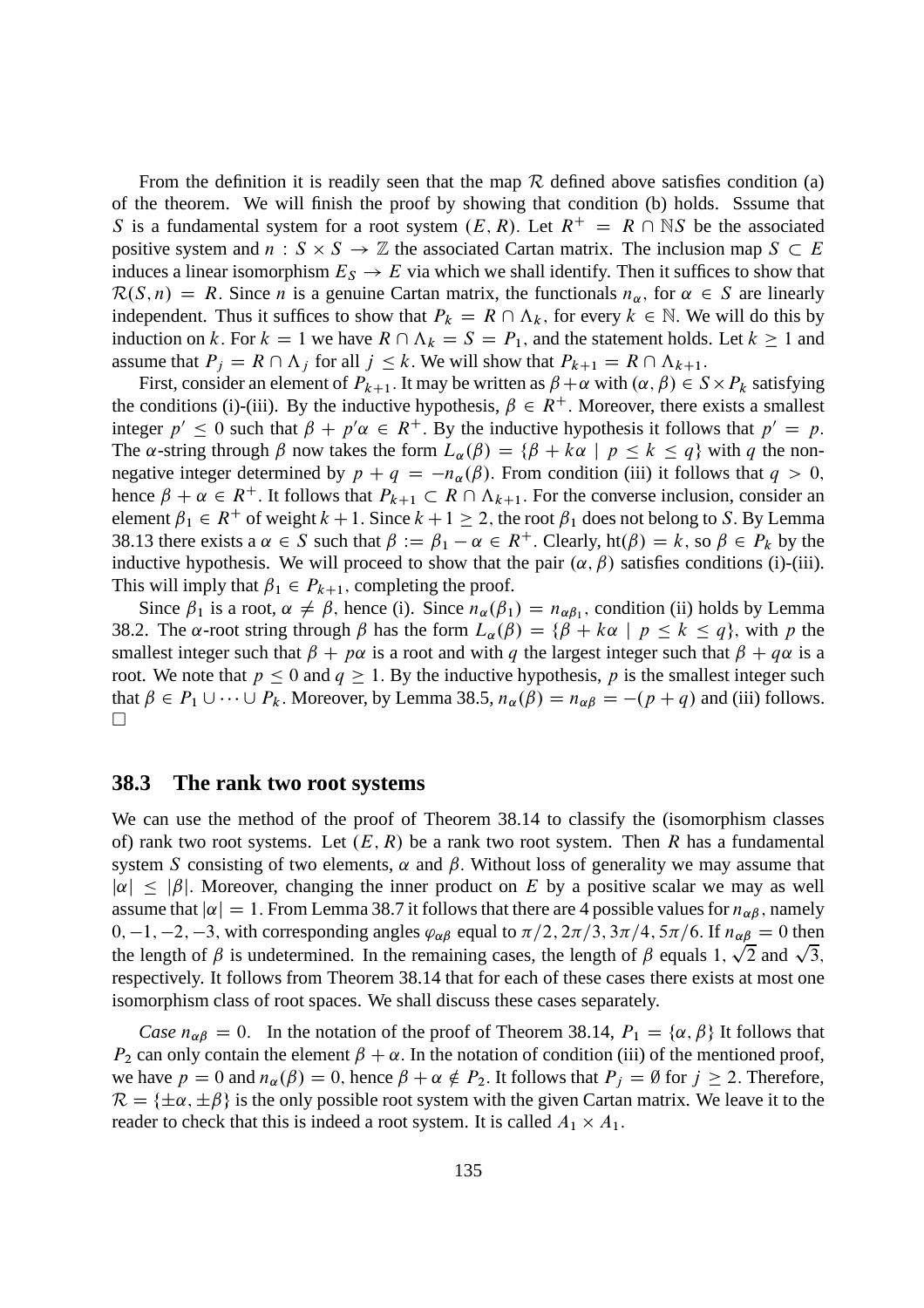From the definition it is readily seen that the map  $R$  defined above satisfies condition (a) of the theorem. We will finish the proof by showing that condition (b) holds. Sssume that S is a fundamental system for a root system  $(E, R)$ . Let  $R^+ = R \cap \mathbb{N}$  be the associated positive system and  $n : S \times S \to \mathbb{Z}$  the associated Cartan matrix. The inclusion map  $S \subset E$ induces a linear isomorphism  $E_S \to E$  via which we shall identify. Then it suffices to show that  $\mathcal{R}(S,n) = R$ . Since *n* is a genuine Cartan matrix, the functionals  $n_{\alpha}$ , for  $\alpha \in S$  are linearly independent. Thus it suffices to show that  $P_k = R \cap \Lambda_k$ , for every  $k \in \mathbb{N}$ . We will do this by induction on k. For  $k = 1$  we have  $R \cap \Lambda_k = S = P_1$ , and the statement holds. Let  $k \ge 1$  and assume that  $P_j = R \cap \Lambda_j$  for all  $j \leq k$ . We will show that  $P_{k+1} = R \cap \Lambda_{k+1}$ .

First, consider an element of  $P_{k+1}$ . It may be written as  $\beta + \alpha$  with  $(\alpha, \beta) \in S \times P_k$  satisfying the conditions (i)-(iii). By the inductive hypothesis,  $\beta \in R^+$ . Moreover, there exists a smallest integer  $p' \le 0$  such that  $\beta + p'\alpha \in R^+$ . By the inductive hypothesis it follows that  $p' = p$ . The  $\alpha$ -string through  $\beta$  now takes the form  $L_{\alpha}(\beta) = {\beta + k\alpha \mid p \leq k \leq q}$  with q the nonnegative integer determined by  $p + q = -n_{\alpha}(\beta)$ . From condition (iii) it follows that  $q > 0$ , hence  $\beta + \alpha \in R^+$ . It follows that  $P_{k+1} \subset R \cap \Lambda_{k+1}$ . For the converse inclusion, consider an element  $\beta_1 \in R^+$  of weight  $k + 1$ . Since  $k + 1 \geq 2$ , the root  $\beta_1$  does not belong to S. By Lemma 38.13 there exists a  $\alpha \in S$  such that  $\beta := \beta_1 - \alpha \in R^+$ . Clearly, ht $(\beta) = k$ , so  $\beta \in P_k$  by the inductive hypothesis. We will proceed to show that the pair  $(\alpha, \beta)$  satisfies conditions (i)-(iii). This will imply that  $\beta_1 \in P_{k+1}$ , completing the proof.

Since  $\beta_1$  is a root,  $\alpha \neq \beta$ , hence (i). Since  $n_{\alpha}(\beta_1) = n_{\alpha\beta_1}$ , condition (ii) holds by Lemma 38.2. The  $\alpha$ -root string through  $\beta$  has the form  $L_{\alpha}(\beta) = {\beta + k\alpha \mid p \le k \le q}$ , with p the smallest integer such that  $\beta + p\alpha$  is a root and with q the largest integer such that  $\beta + q\alpha$  is a root. We note that  $p \le 0$  and  $q \ge 1$ . By the inductive hypothesis, p is the smallest integer such that  $\beta \in P_1 \cup \cdots \cup P_k$ . Moreover, by Lemma 38.5,  $n_\alpha(\beta) = n_{\alpha\beta} = -(p+q)$  and (iii) follows.  $\Box$ 

### **38.3 The rank two root systems**

We can use the method of the proof of Theorem 38.14 to classify the (isomorphism classes of) rank two root systems. Let  $(E, R)$  be a rank two root system. Then R has a fundamental system S consisting of two elements,  $\alpha$  and  $\beta$ . Without loss of generality we may assume that  $|\alpha| \leq |\beta|$ . Moreover, changing the inner product on E by a positive scalar we may as well assume that  $|\alpha|=1$ . From Lemma 38.7 it follows that there are 4 possible values for  $n_{\alpha\beta}$ , namely 0, -1, -2, -3, with corresponding angles  $\varphi_{\alpha\beta}$  equal to  $\pi/2$ ,  $2\pi/3$ ,  $3\pi/4$ ,  $5\pi/6$ . If  $n_{\alpha\beta} = 0$  then the length of  $\beta$  is undetermined. In the remaining cases, the length of  $\beta$  equals 1,  $\sqrt{2}$  and  $\sqrt{3}$ , respectively. It follows from Theorem 38.14 that for each of these cases there exists at most one isomorphism class of root spaces. We shall discuss these cases separately.

*Case*  $n_{\alpha\beta} = 0$ . In the notation of the proof of Theorem 38.14,  $P_1 = {\alpha, \beta}$ ; It follows that  $P_2$  can only contain the element  $\beta + \alpha$ . In the notation of condition (iii) of the mentioned proof, we have  $p = 0$  and  $n_{\alpha}(\beta) = 0$ , hence  $\beta + \alpha \notin P_2$ . It follows that  $P_i = \emptyset$  for  $j \ge 2$ . Therefore,  $\mathcal{R} = \{\pm \alpha, \pm \beta\}$  is the only possible root system with the given Cartan matrix. We leave it to the reader to check that this is indeed a root system. It is called  $A_1 \times A_1$ .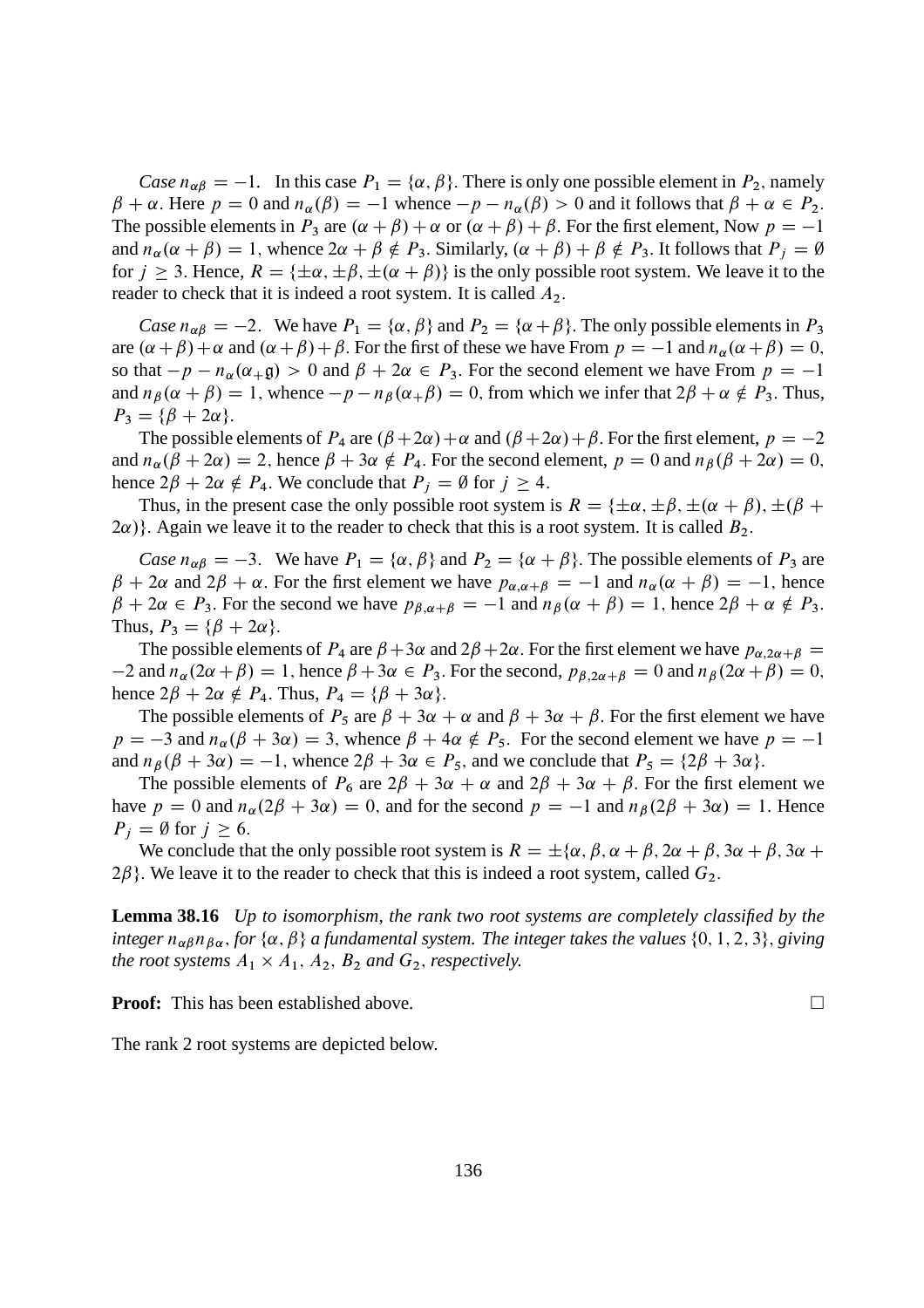*Case*  $n_{\alpha\beta} = -1$ . In this case  $P_1 = {\alpha, \beta}$ . There is only one possible element in  $P_2$ , namely  $\beta + \alpha$ . Here  $p = 0$  and  $n_{\alpha}(\beta) = -1$  whence  $-p - n_{\alpha}(\beta) > 0$  and it follows that  $\beta + \alpha \in P_2$ . The possible elements in  $P_3$  are  $(\alpha + \beta) + \alpha$  or  $(\alpha + \beta) + \beta$ . For the first element, Now  $p = -1$ and  $n_{\alpha}(\alpha + \beta) = 1$ , whence  $2\alpha + \beta \notin P_3$ . Similarly,  $(\alpha + \beta) + \beta \notin P_3$ . It follows that  $P_i = \emptyset$ for  $j \ge 3$ . Hence,  $R = {\pm \alpha, \pm \beta, \pm (\alpha + \beta)}$  is the only possible root system. We leave it to the reader to check that it is indeed a root system. It is called  $A_2$ .

*Case*  $n_{\alpha\beta} = -2$ . We have  $P_1 = {\alpha, \beta}$  and  $P_2 = {\alpha + \beta}$ . The only possible elements in  $P_3$ are  $(\alpha + \beta) + \alpha$  and  $(\alpha + \beta) + \beta$ . For the first of these we have From  $p = -1$  and  $n_{\alpha}(\alpha + \beta) = 0$ , so that  $-p - n_{\alpha}(\alpha_{+\beta}) > 0$  and  $\beta + 2\alpha \in P_3$ . For the second element we have From  $p = -1$ and  $n_\beta(\alpha + \beta) = 1$ , whence  $-p - n_\beta(\alpha + \beta) = 0$ , from which we infer that  $2\beta + \alpha \notin P_3$ . Thus,  $P_3 = {\beta + 2\alpha}$ .

The possible elements of  $P_4$  are  $(\beta + 2\alpha) + \alpha$  and  $(\beta + 2\alpha) + \beta$ . For the first element,  $p = -2$ and  $n_{\alpha}(\beta + 2\alpha) = 2$ , hence  $\beta + 3\alpha \notin P_4$ . For the second element,  $p = 0$  and  $n_{\beta}(\beta + 2\alpha) = 0$ , hence  $2\beta + 2\alpha \notin P_4$ . We conclude that  $P_j = \emptyset$  for  $j \ge 4$ .

Thus, in the present case the only possible root system is  $R = \{\pm \alpha, \pm \beta, \pm (\alpha + \beta), \pm (\beta + \beta)\}$  $2\alpha$ )}. Again we leave it to the reader to check that this is a root system. It is called  $B_2$ .

*Case*  $n_{\alpha\beta} = -3$ . We have  $P_1 = {\alpha, \beta}$  and  $P_2 = {\alpha + \beta}$ . The possible elements of  $P_3$  are  $\beta + 2\alpha$  and  $2\beta + \alpha$ . For the first element we have  $p_{\alpha,\alpha+\beta} = -1$  and  $n_{\alpha}(\alpha + \beta) = -1$ , hence  $\beta + 2\alpha \in P_3$ . For the second we have  $p_{\beta,\alpha+\beta} = -1$  and  $n_{\beta}(\alpha + \beta) = 1$ , hence  $2\beta + \alpha \notin P_3$ . Thus,  $P_3 = {\beta + 2\alpha}$ .

The possible elements of  $P_4$  are  $\beta + 3\alpha$  and  $2\beta + 2\alpha$ . For the first element we have  $p_{\alpha,2\alpha+\beta} =$  $-2$  and  $n_\alpha(2\alpha + \beta) = 1$ , hence  $\beta + 3\alpha \in P_3$ . For the second,  $p_{\beta,2\alpha+\beta} = 0$  and  $n_\beta(2\alpha + \beta) = 0$ , hence  $2\beta + 2\alpha \notin P_4$ . Thus,  $P_4 = {\beta + 3\alpha}$ .

The possible elements of  $P_5$  are  $\beta + 3\alpha + \alpha$  and  $\beta + 3\alpha + \beta$ . For the first element we have  $p = -3$  and  $n_{\alpha}(\beta + 3\alpha) = 3$ , whence  $\beta + 4\alpha \notin P_5$ . For the second element we have  $p = -1$ and  $n_{\beta}(\beta + 3\alpha) = -1$ , whence  $2\beta + 3\alpha \in P_5$ , and we conclude that  $P_5 = \{2\beta + 3\alpha\}.$ 

The possible elements of  $P_6$  are  $2\beta + 3\alpha + \alpha$  and  $2\beta + 3\alpha + \beta$ . For the first element we have  $p = 0$  and  $n_{\alpha}(2\beta + 3\alpha) = 0$ , and for the second  $p = -1$  and  $n_{\beta}(2\beta + 3\alpha) = 1$ . Hence  $P_i = \emptyset$  for  $j \geq 6$ .

We conclude that the only possible root system is  $R = \pm \{\alpha, \beta, \alpha + \beta, 2\alpha + \beta, 3\alpha + \beta, 3\alpha + \beta\}$  $2\beta$ }. We leave it to the reader to check that this is indeed a root system, called  $G_2$ .

**Lemma 38.16** *Up to isomorphism, the rank two root systems are completely classified by the integer*  $n_{\alpha\beta}n_{\beta\alpha}$ , for  $\{\alpha, \beta\}$  *a fundamental system. The integer takes the values*  $\{0, 1, 2, 3\}$ , *giving the root systems*  $A_1 \times A_1$ ,  $A_2$ ,  $B_2$  *and*  $G_2$ , *respectively.* 

**Proof:** This has been established above.

The rank 2 root systems are depicted below.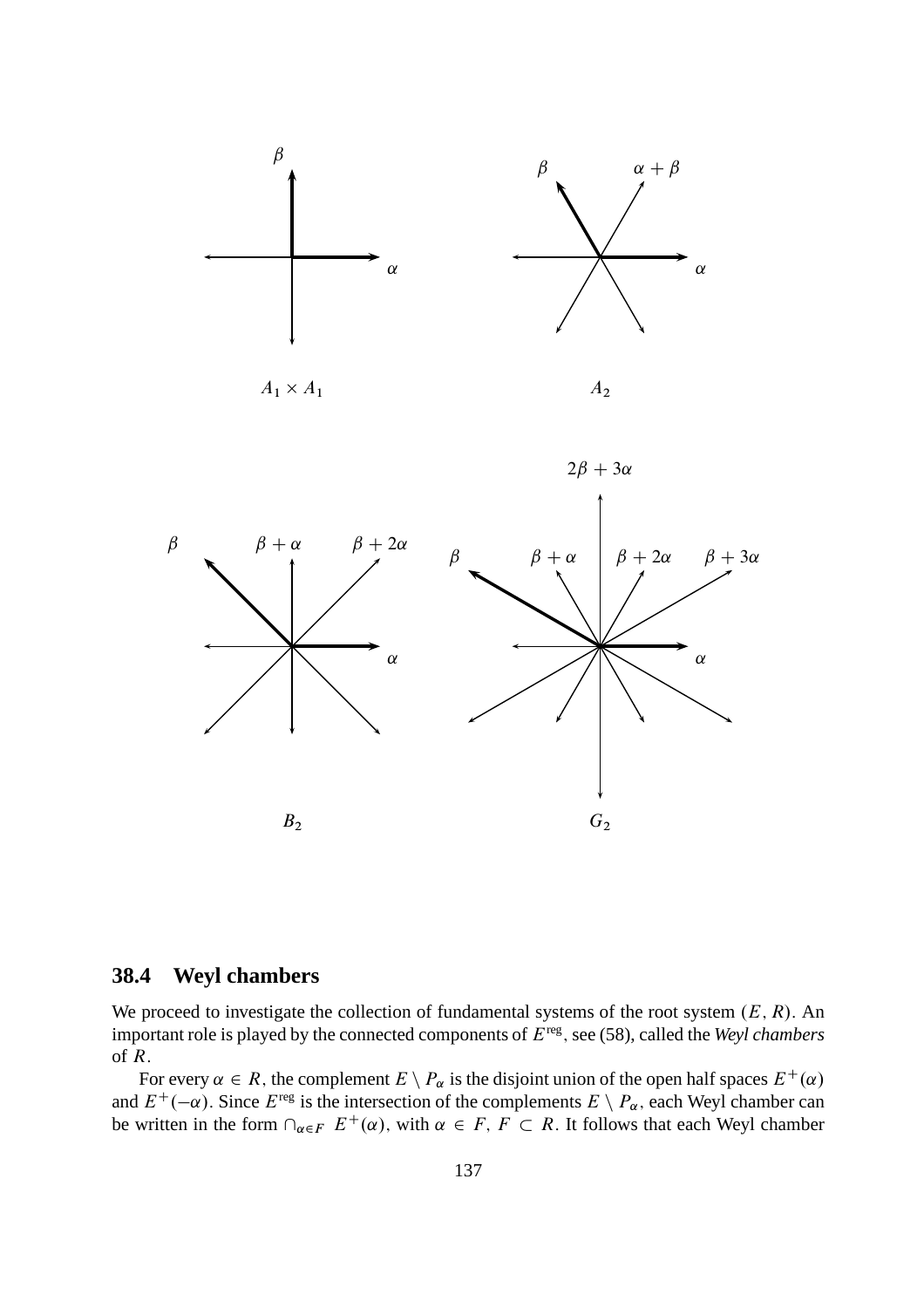



### **38.4 Weyl chambers**

We proceed to investigate the collection of fundamental systems of the root system  $(E, R)$ . An important role is played by the connected components of Ereg ; see (58), called the *Weyl chambers* of R:

For every  $\alpha \in R$ , the complement  $E \setminus P_\alpha$  is the disjoint union of the open half spaces  $E^+(\alpha)$ . and  $E^+(-\alpha)$ . Since  $E^{\text{reg}}$  is the intersection of the complements  $E \setminus P_\alpha$ , each Weyl chamber can be written in the form  $\cap_{\alpha \in F} E^+(\alpha)$ , with  $\alpha \in F$ ,  $F \subset R$ . It follows that each Weyl chamber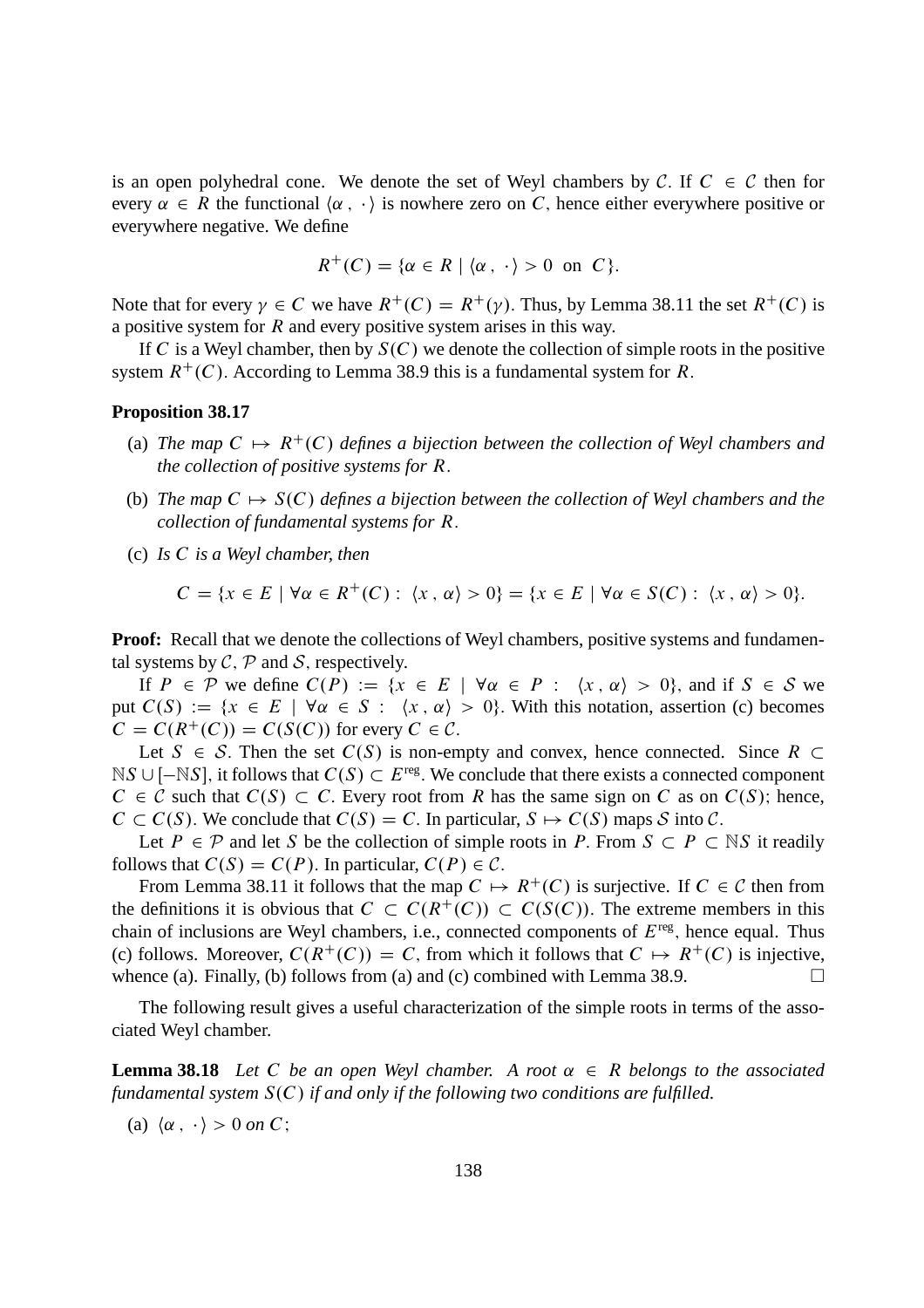is an open polyhedral cone. We denote the set of Weyl chambers by C. If  $C \in \mathcal{C}$  then for every  $\alpha \in R$  the functional  $\langle \alpha, \cdot \rangle$  is nowhere zero on C, hence either everywhere positive or everywhere negative. We define

$$
R^+(C) = \{ \alpha \in R \mid \langle \alpha, \cdot \rangle > 0 \text{ on } C \}.
$$

Note that for every  $\gamma \in C$  we have  $R^+(C) = R^+(\gamma)$ . Thus, by Lemma 38.11 the set  $R^+(C)$  is a positive system for R and every positive system arises in this way.

If C is a Weyl chamber, then by  $S(C)$  we denote the collection of simple roots in the positive system  $R^+(C)$ . According to Lemma 38.9 this is a fundamental system for R.

#### **Proposition 38.17**

- (a) The map  $C \mapsto R^+(C)$  defines a bijection between the collection of Weyl chambers and *the collection of positive systems for* R:
- (b) *The map*  $C \mapsto S(C)$  *defines a bijection between the collection of Weyl chambers and the collection of fundamental systems for* R:
- (c) *Is* C *is a Weyl chamber, then*

$$
C = \{x \in E \mid \forall \alpha \in R^{+}(C): \langle x, \alpha \rangle > 0\} = \{x \in E \mid \forall \alpha \in S(C): \langle x, \alpha \rangle > 0\}.
$$

**Proof:** Recall that we denote the collections of Weyl chambers, positive systems and fundamental systems by  $C$ ,  $P$  and  $S$ , respectively.

If  $P \in \mathcal{P}$  we define  $C(P) := \{x \in E \mid \forall \alpha \in P : \langle x, \alpha \rangle > 0\}$ , and if  $S \in \mathcal{S}$  we put  $C(S) := \{x \in E \mid \forall \alpha \in S : \langle x, \alpha \rangle > 0\}$ . With this notation, assertion (c) becomes  $C = C(R^+(C)) = C(S(C))$  for every  $C \in \mathcal{C}$ .

Let  $S \in S$ . Then the set  $C(S)$  is non-empty and convex, hence connected. Since  $R \subset$  $NS \cup [-NS]$ , it follows that  $C(S) \subset E^{\text{reg}}$ . We conclude that there exists a connected component  $C \in \mathcal{C}$  such that  $C(S) \subset C$ . Every root from R has the same sign on C as on  $C(S)$ ; hence,  $C \subset C(S)$ . We conclude that  $C(S) = C$ . In particular,  $S \mapsto C(S)$  maps S into C.

Let  $P \in \mathcal{P}$  and let S be the collection of simple roots in P. From  $S \subset P \subset \mathbb{N}S$  it readily follows that  $C(S) = C(P)$ . In particular,  $C(P) \in \mathcal{C}$ .

From Lemma 38.11 it follows that the map  $C \mapsto R^+(C)$  is surjective. If  $C \in \mathcal{C}$  then from the definitions it is obvious that  $C \subset C(R^+(C)) \subset C(S(C))$ . The extreme members in this chain of inclusions are Weyl chambers, i.e., connected components of  $E^{\text{reg}}$ , hence equal. Thus (c) follows. Moreover,  $C(R^+(C)) = C$ , from which it follows that  $C \mapsto R^+(C)$  is injective, whence (a). Finally, (b) follows from (a) and (c) combined with Lemma 38.9. whence (a). Finally, (b) follows from (a) and (c) combined with Lemma 38.9.

The following result gives a useful characterization of the simple roots in terms of the associated Weyl chamber.

**Lemma 38.18** Let C be an open Weyl chamber. A root  $\alpha \in R$  belongs to the associated *fundamental system*  $S(C)$  *if and only if the following two conditions are fulfilled.* 

(a)  $\langle \alpha, \cdot \rangle > 0$  *on* C;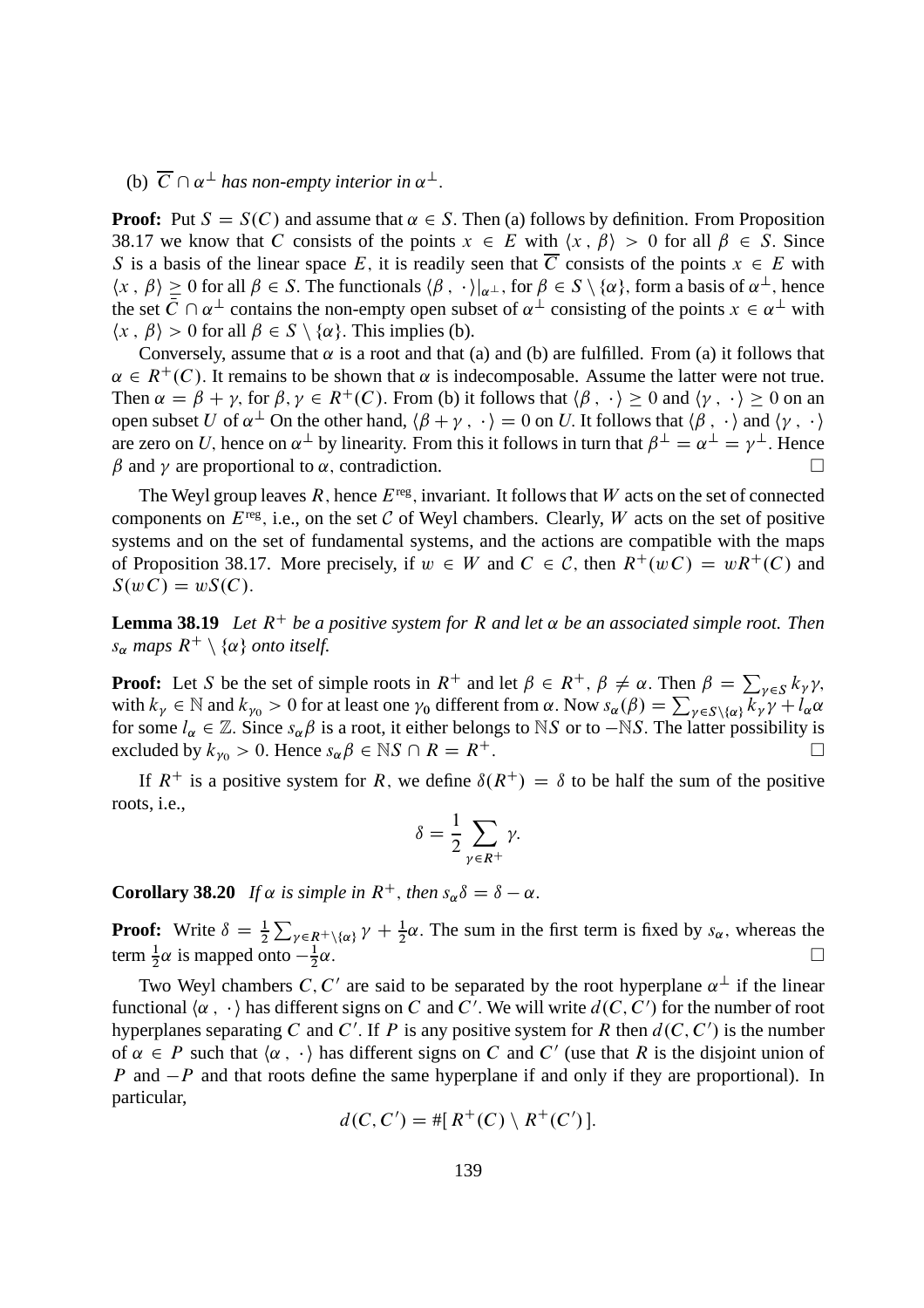# (b)  $\overline{C} \cap \alpha^{\perp}$  has non-empty interior in  $\alpha^{\perp}$ .

**Proof:** Put  $S = S(C)$  and assume that  $\alpha \in S$ . Then (a) follows by definition. From Proposition 38.17 we know that C consists of the points  $x \in E$  with  $\langle x, \beta \rangle > 0$  for all  $\beta \in S$ . Since S is a basis of the linear space E, it is readily seen that  $\overline{C}$  consists of the points  $x \in E$  with  $\langle x, \beta \rangle \ge 0$  for all  $\beta \in S$ . The functionals  $\langle \beta, \cdot \rangle |_{\alpha}$ , for  $\beta \in S \setminus \{\alpha\}$ , form a basis of  $\alpha^{\perp}$ , hence the set  $\overline{C} \cap \alpha^{\perp}$  contains the non-empty open subset of  $\alpha^{\perp}$  consisting of the points  $x \in \alpha^{\perp}$  with  $\langle x, \beta \rangle > 0$  for all  $\beta \in S \setminus \{ \alpha \}$ . This implies (b).

Conversely, assume that  $\alpha$  is a root and that (a) and (b) are fulfilled. From (a) it follows that  $\alpha \in R^+(C)$ . It remains to be shown that  $\alpha$  is indecomposable. Assume the latter were not true. Then  $\alpha = \beta + \gamma$ , for  $\beta, \gamma \in R^+(C)$ . From (b) it follows that  $\langle \beta, \cdot \rangle \ge 0$  and  $\langle \gamma, \cdot \rangle \ge 0$  on an open subset U of  $\alpha^{\perp}$  On the other hand,  $\langle \beta + \gamma, \cdot \rangle = 0$  on U. It follows that  $\langle \beta, \cdot \rangle$  and  $\langle \gamma, \cdot \rangle$ are zero on U, hence on  $\alpha^{\perp}$  by linearity. From this it follows in turn that  $\beta^{\perp} = \alpha^{\perp} = \gamma^{\perp}$ . Hence  $\beta$  and  $\gamma$  are proportional to  $\alpha$ , contradiction.

The Weyl group leaves  $R$ , hence  $E^{\text{reg}}$ , invariant. It follows that  $W$  acts on the set of connected components on  $E^{\text{reg}}$ , i.e., on the set C of Weyl chambers. Clearly, W acts on the set of positive systems and on the set of fundamental systems, and the actions are compatible with the maps of Proposition 38.17. More precisely, if  $w \in W$  and  $C \in \mathcal{C}$ , then  $R^+(wC) = wR^+(C)$  and  $S(wC) = wS(C).$ 

**Lemma 38.19** *Let*  $R^+$  *be a positive system for* R *and let*  $\alpha$  *be an associated simple root. Then*  $s_{\alpha}$  *maps*  $R^+ \setminus {\alpha}$  *onto itself.* 

**Proof:** Let S be the set of simple roots in  $R^+$  and let  $\beta \in R^+$ ,  $\beta \neq \alpha$ . Then  $\beta = \sum_{\gamma \in S} k_{\gamma} \gamma$ , with  $k_{\gamma} \in \mathbb{N}$  and  $k_{\gamma 0} > 0$  for at least one  $\gamma_0$  different from  $\alpha$ . Now  $s_{\alpha}(\beta) = \sum_{\gamma \in S \setminus {\{\alpha\}}} k_{\gamma} \gamma + l_{\alpha} \alpha$ for some  $l_\alpha \in \mathbb{Z}$ . Since  $s_\alpha \beta$  is a root, it either belongs to NS or to  $-\mathbb{N}S$ . The latter possibility is excluded by  $k_{\nu_0} > 0$ . Hence  $s_{\alpha} \beta \in \mathbb{N} \cap R = R^+$ .

If  $R^+$  is a positive system for R, we define  $\delta(R^+) = \delta$  to be half the sum of the positive roots, i.e.,

$$
\delta = \frac{1}{2} \sum_{\gamma \in R^+} \gamma.
$$

**Corollary 38.20** *If*  $\alpha$  *is simple in*  $R^+$ , *then*  $s_{\alpha} \delta = \delta - \alpha$ .

**Proof:** Write  $\delta = \frac{1}{2} \sum_{\gamma \in R^+ \setminus \{\alpha\}} \gamma + \frac{1}{2} \alpha$ . The sum in the first term is fixed by  $s_{\alpha}$ , whereas the term  $\frac{1}{2}\alpha$  is mapped onto  $-\frac{1}{2}$ 2  $\alpha$ .

Two Weyl chambers C, C' are said to be separated by the root hyperplane  $\alpha^{\perp}$  if the linear functional  $\langle \alpha, \cdot \rangle$  has different signs on C and C'. We will write  $d(C, C')$  for the number of root hyperplanes separating C and C'. If P is any positive system for R then  $d(C, C')$  is the number of  $\alpha \in P$  such that  $\langle \alpha, \cdot \rangle$  has different signs on C and C' (use that R is the disjoint union of P and  $-P$  and that roots define the same hyperplane if and only if they are proportional). In particular,

$$
d(C, C') = #[ R^+(C) \setminus R^+(C')].
$$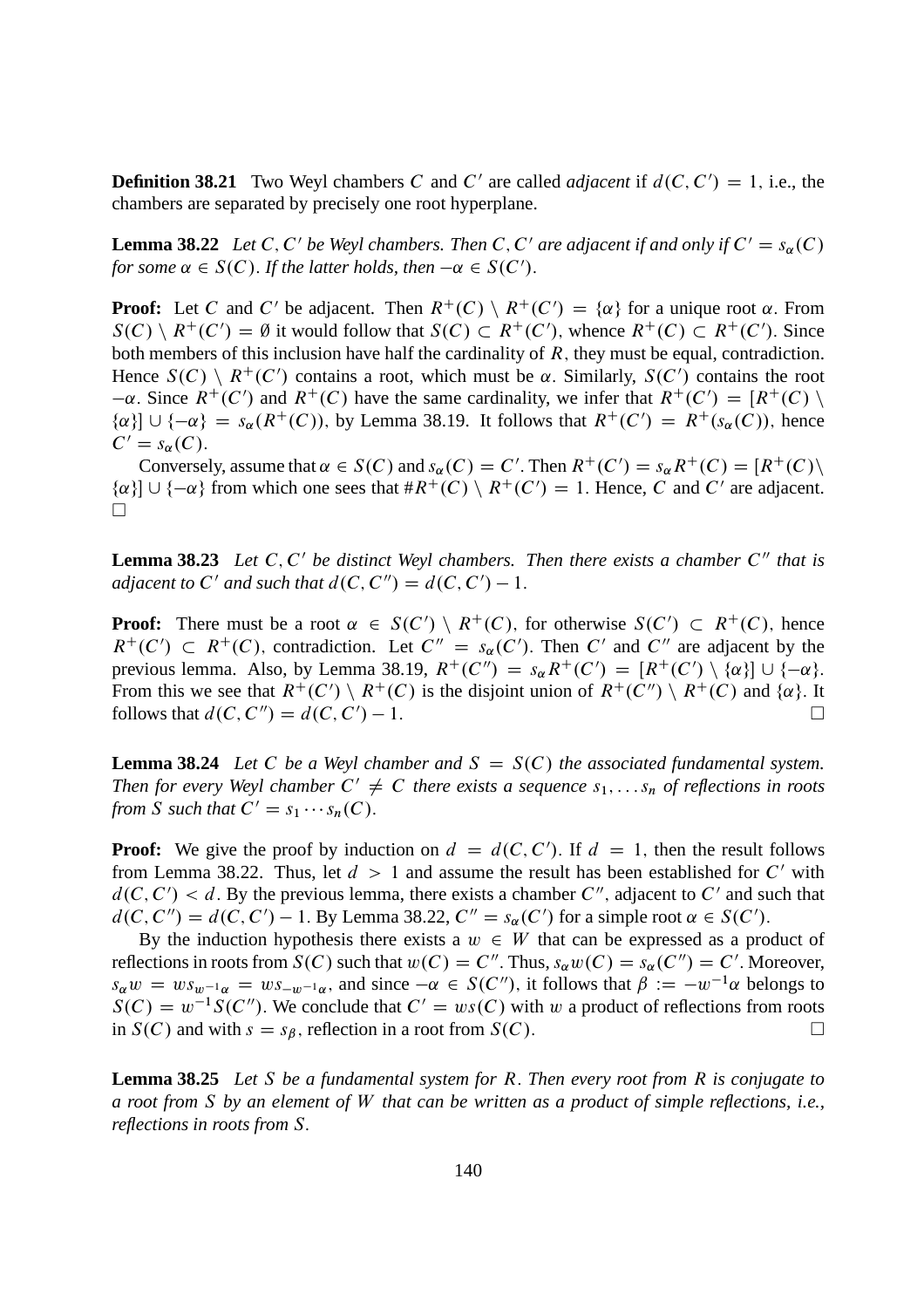**Definition 38.21** Two Weyl chambers C and C' are called *adjacent* if  $d(C, C') = 1$ , i.e., the chambers are separated by precisely one root hyperplane.

**Lemma 38.22** *Let* C, C' be Weyl chambers. Then C, C' are adjacent if and only if  $C' = s_\alpha(C)$ *for some*  $\alpha \in S(C)$ . *If the latter holds, then*  $-\alpha \in S(C')$ .

**Proof:** Let C and C' be adjacent. Then  $R^+(C) \setminus R^+(C') = \{\alpha\}$  for a unique root  $\alpha$ . From  $S(C) \setminus R^+(C') = \emptyset$  it would follow that  $S(C) \subset R^+(C')$ , whence  $R^+(C) \subset R^+(C')$ . Since both members of this inclusion have half the cardinality of  $R$ , they must be equal, contradiction. Hence  $S(C) \setminus R^+(C')$  contains a root, which must be  $\alpha$ . Similarly,  $S(C')$  contains the root  $-\alpha$ . Since  $R^+(C')$  and  $R^+(C)$  have the same cardinality, we infer that  $R^+(C') = [R^+(C) \setminus \mathbb{R}^+(C')]$  ${\alpha}$   $\{ \alpha \}$   $\cup$   ${\{-\alpha\}}$  =  $s_{\alpha}(R^+(C))$ , by Lemma 38.19. It follows that  $R^+(C') = R^+(s_{\alpha}(C))$ , hence  $C' = s_{\alpha}(C).$ 

Conversely, assume that  $\alpha \in S(C)$  and  $s_{\alpha}(C) = C'$ . Then  $R^+(C') = s_{\alpha}R^+(C) = [R^+(C) \setminus R^+(C')]$  $\{\alpha\}$   $\cup$  {- $\alpha$ } from which one sees that  $\#R^+(C) \setminus R^+(C') = 1$ . Hence, C and C' are adjacent.  $\Box$ 

**Lemma 38.23** Let C, C' be distinct Weyl chambers. Then there exists a chamber C" that is *adjacent to*  $C'$  *and such that*  $d(C, C'') = d(C, C') - 1$ .

**Proof:** There must be a root  $\alpha \in S(C') \setminus R^+(C)$ , for otherwise  $S(C') \subset R^+(C)$ , hence  $R^+(C') \subset R^+(C)$ , contradiction. Let  $C'' = s_\alpha(C')$ . Then C' and C'' are adjacent by the previous lemma. Also, by Lemma 38.19,  $R^+(C') = s_\alpha R^+(C') = [R^+(C') \setminus {\alpha}] \cup {\{-\alpha\}}$ . From this we see that  $R^+(C') \setminus R^+(C)$  is the disjoint union of  $R^+(C'') \setminus R^+(C)$  and  $\{\alpha\}$ . It follows that  $d(C, C'') = d(C, C') - 1$ .  $(-1.$ 

**Lemma 38.24** *Let* C *be a Weyl chamber and*  $S = S(C)$  *the associated fundamental system.* Then for every Weyl chamber  $C' \neq C$  there exists a sequence  $s_1, \ldots s_n$  of reflections in roots *from S such that*  $C' = s_1 \cdots s_n(C)$ .

**Proof:** We give the proof by induction on  $d = d(C, C')$ . If  $d = 1$ , then the result follows from Lemma 38.22. Thus, let  $d > 1$  and assume the result has been established for C' with  $d(C, C') < d$ . By the previous lemma, there exists a chamber C'', adjacent to C' and such that  $d(C, C'') = d(C, C') - 1$ . By Lemma 38.22,  $C'' = s_{\alpha}(C')$  for a simple root  $\alpha \in S(C')$ .

By the induction hypothesis there exists a  $w \in W$  that can be expressed as a product of reflections in roots from  $S(C)$  such that  $w(C) = C''$ . Thus,  $s_{\alpha}w(C) = s_{\alpha}(C'') = C'$ . Moreover,  $s_{\alpha}w = ws_{w-1_{\alpha}} = ws_{-w-1_{\alpha}}$ , and since  $-\alpha \in S(C'')$ , it follows that  $\beta := -w^{-1}\alpha$  belongs to  $S(C) = w^{-1}S(C'')$ . We conclude that  $C' = ws(C)$  with w a product of reflections from roots in  $S(C)$  and with  $s = s_{\beta}$ , reflection in a root from  $S(C)$ .

**Lemma 38.25** *Let* S *be a fundamental system for* R: *Then every root from* R *is conjugate to a root from* S *by an element of* W *that can be written as a product of simple reflections, i.e., reflections in roots from* S: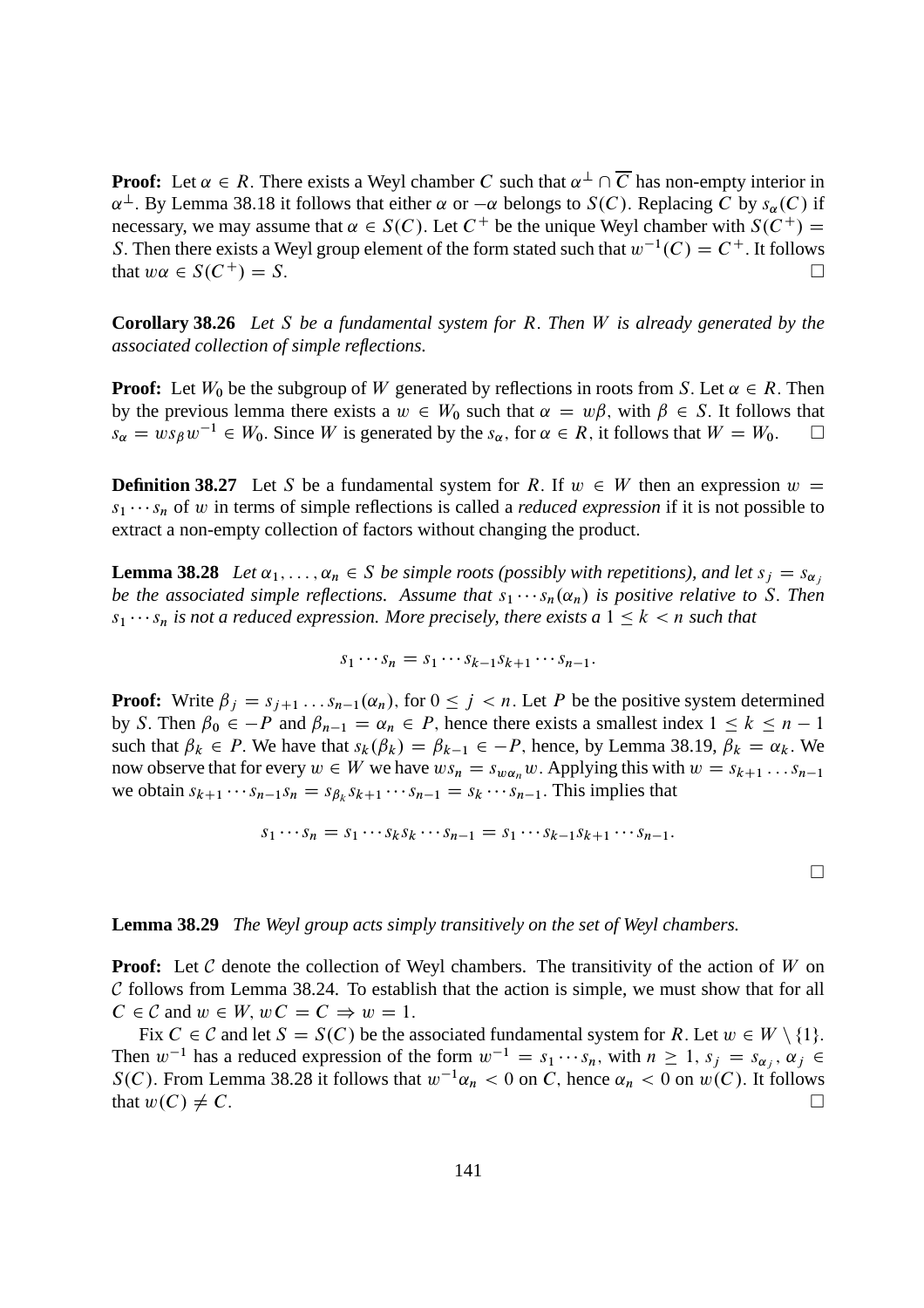**Proof:** Let  $\alpha \in R$ . There exists a Weyl chamber C such that  $\alpha^{\perp} \cap \overline{C}$  has non-empty interior in  $\alpha^{\perp}$ . By Lemma 38.18 it follows that either  $\alpha$  or  $-\alpha$  belongs to  $S(C)$ . Replacing C by  $s_{\alpha}(C)$  if necessary, we may assume that  $\alpha \in S(C)$ . Let  $C^+$  be the unique Weyl chamber with  $S(C^+)$ S. Then there exists a Weyl group element of the form stated such that  $w^{-1}(C) = C^+$ . It follows that  $w\alpha \in S(C^+) = S$ .

**Corollary 38.26** *Let* S *be a fundamental system for* R: *Then* W *is already generated by the associated collection of simple reflections.*

**Proof:** Let  $W_0$  be the subgroup of W generated by reflections in roots from S. Let  $\alpha \in R$ . Then by the previous lemma there exists a  $w \in W_0$  such that  $\alpha = w\beta$ , with  $\beta \in S$ . It follows that  $s_{\alpha} = ws_{\beta}w^{-1} \in W_0$ . Since W is generated by the  $s_{\alpha}$ , for  $\alpha \in R$ , it follows that  $W = W_0$ .

**Definition 38.27** Let S be a fundamental system for R. If  $w \in W$  then an expression  $w =$  $s_1 \cdots s_n$  of w in terms of simple reflections is called a *reduced expression* if it is not possible to extract a non-empty collection of factors without changing the product.

**Lemma 38.28** *Let*  $\alpha_1, \ldots, \alpha_n \in S$  *be simple roots (possibly with repetitions), and let*  $s_j = s_{\alpha_j}$ *be the associated simple reflections. Assume that*  $s_1 \cdots s_n(\alpha_n)$  *is positive relative to* S. *Then*  $s_1 \cdots s_n$  *is not a reduced expression. More precisely, there exists a*  $1 \leq k < n$  *such that* 

$$
s_1\cdots s_n=s_1\cdots s_{k-1}s_{k+1}\cdots s_{n-1}.
$$

**Proof:** Write  $\beta_j = s_{j+1} \dots s_{n-1}(\alpha_n)$ , for  $0 \leq j \leq n$ . Let P be the positive system determined by S. Then  $\beta_0 \in -P$  and  $\beta_{n-1} = \alpha_n \in P$ , hence there exists a smallest index  $1 \leq k \leq n-1$ such that  $\beta_k \in P$ . We have that  $s_k(\beta_k) = \beta_{k-1} \in -P$ , hence, by Lemma 38.19,  $\beta_k = \alpha_k$ . We now observe that for every  $w \in W$  we have  $ws_n = s_{w\alpha_n}w$ . Applying this with  $w = s_{k+1} \dots s_{n-1}$ we obtain  $s_{k+1} \cdots s_{n-1} s_n = s_{\beta_k} s_{k+1} \cdots s_{n-1} = s_k \cdots s_{n-1}$ . This implies that

$$
s_1\cdots s_n=s_1\cdots s_ks_k\cdots s_{n-1}=s_1\cdots s_{k-1}s_{k+1}\cdots s_{n-1}.
$$

 $\Box$ 

#### **Lemma 38.29** *The Weyl group acts simply transitively on the set of Weyl chambers.*

**Proof:** Let C denote the collection of Weyl chambers. The transitivity of the action of W on  $C$  follows from Lemma 38.24. To establish that the action is simple, we must show that for all  $C \in \mathcal{C}$  and  $w \in W$ ;  $wC = C \Rightarrow w = 1$ .

Fix  $C \in \mathcal{C}$  and let  $S = S(C)$  be the associated fundamental system for R. Let  $w \in W \setminus \{1\}$ . Then  $w^{-1}$  has a reduced expression of the form  $w^{-1} = s_1 \cdots s_n$ , with  $n \ge 1$ ,  $s_j = s_{\alpha_j}$ ,  $\alpha_j \in$  $S(C)$ . From Lemma 38.28 it follows that  $w^{-1}\alpha_n < 0$  on C, hence  $\alpha_n < 0$  on  $w(C)$ . It follows that  $w(C) \neq C$ .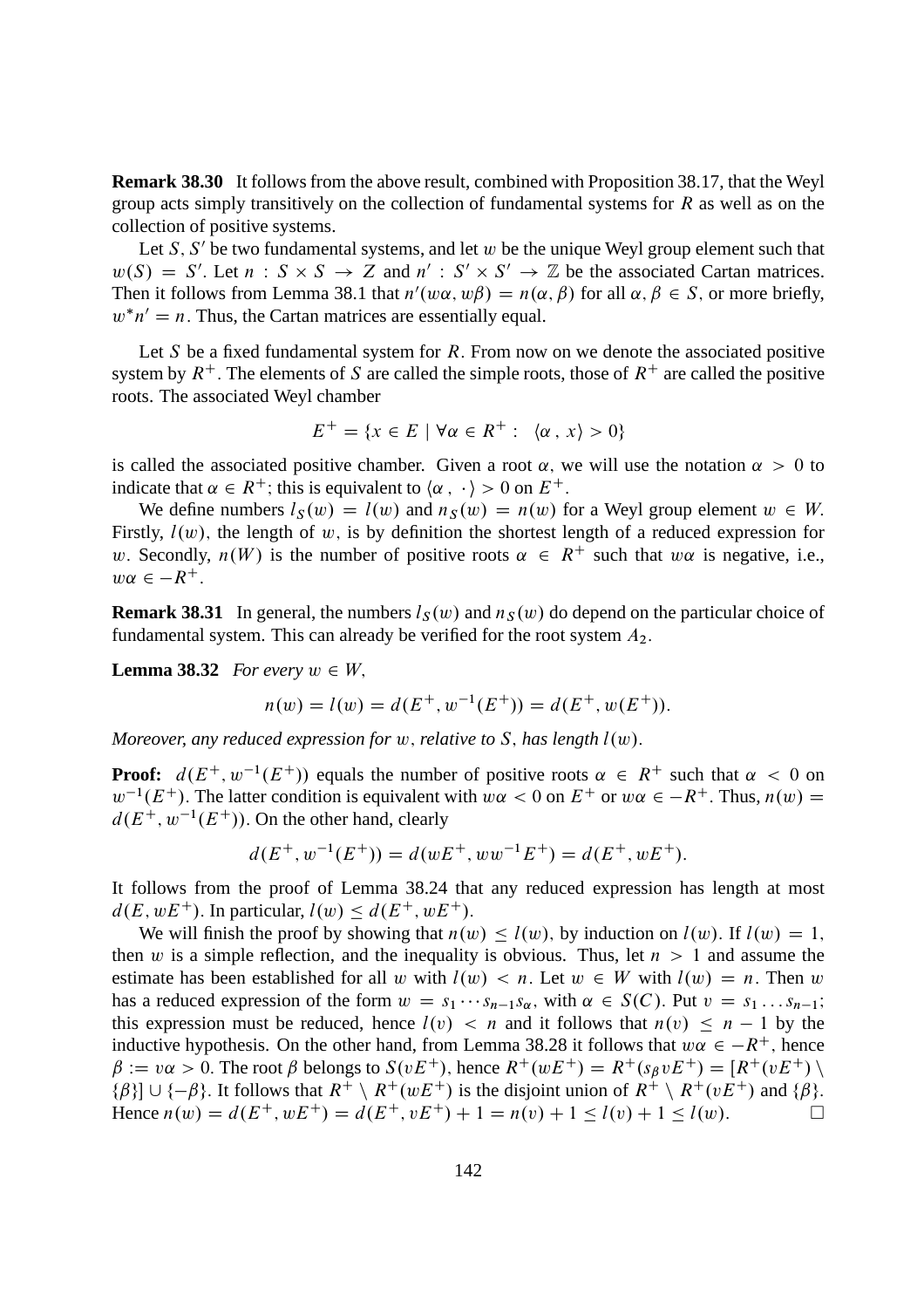**Remark 38.30** It follows from the above result, combined with Proposition 38.17, that the Weyl group acts simply transitively on the collection of fundamental systems for  $R$  as well as on the collection of positive systems.

Let  $S$ ,  $S'$  be two fundamental systems, and let w be the unique Weyl group element such that  $w(S) = S'$ . Let  $n : S \times S \to Z$  and  $n' : S' \times S' \to \mathbb{Z}$  be the associated Cartan matrices. Then it follows from Lemma 38.1 that  $n'(w\alpha, w\beta) = n(\alpha, \beta)$  for all  $\alpha, \beta \in S$ , or more briefly,  $w^*n' = n$ . Thus, the Cartan matrices are essentially equal.

Let S be a fixed fundamental system for  $R$ . From now on we denote the associated positive system by  $R^+$ . The elements of S are called the simple roots, those of  $R^+$  are called the positive roots. The associated Weyl chamber

$$
E^+ = \{x \in E \mid \forall \alpha \in R^+ : \langle \alpha, x \rangle > 0\}
$$

is called the associated positive chamber. Given a root  $\alpha$ , we will use the notation  $\alpha > 0$  to indicate that  $\alpha \in R^+$ ; this is equivalent to  $\langle \alpha, \cdot \rangle > 0$  on  $E^+$ .

We define numbers  $l_S(w) = l(w)$  and  $n_S(w) = n(w)$  for a Weyl group element  $w \in W$ . Firstly,  $l(w)$ , the length of w, is by definition the shortest length of a reduced expression for w. Secondly,  $n(W)$  is the number of positive roots  $\alpha \in R^+$  such that w $\alpha$  is negative, i.e.,  $w\alpha \in -R^+$ .

**Remark 38.31** In general, the numbers  $l_S(w)$  and  $n_S(w)$  do depend on the particular choice of fundamental system. This can already be verified for the root system  $A_2$ .

**Lemma 38.32** *For every*  $w \in W$ ,

$$
n(w) = l(w) = d(E^+, w^{-1}(E^+)) = d(E^+, w(E^+)).
$$

*Moreover, any reduced expression for*  $w$ *, relative to*  $S$ *, has length*  $l(w)$ *.* 

**Proof:**  $d(E^+, w^{-1}(E^+))$  equals the number of positive roots  $\alpha \in R^+$  such that  $\alpha < 0$  on  $w^{-1}(E^+)$ . The latter condition is equivalent with  $w\alpha < 0$  on  $E^+$  or  $w\alpha \in -R^+$ . Thus,  $n(w) =$  $d(E^+, w^{-1}(E^+))$ . On the other hand, clearly

$$
d(E^+, w^{-1}(E^+)) = d(wE^+, ww^{-1}E^+) = d(E^+, wE^+).
$$

It follows from the proof of Lemma 38.24 that any reduced expression has length at most  $d(E, wE^+)$ . In particular,  $l(w) \leq d(E^+, wE^+)$ .

We will finish the proof by showing that  $n(w) \leq l(w)$ , by induction on  $l(w)$ . If  $l(w) = 1$ , then w is a simple reflection, and the inequality is obvious. Thus, let  $n > 1$  and assume the estimate has been established for all w with  $l(w) < n$ . Let  $w \in W$  with  $l(w) = n$ . Then w has a reduced expression of the form  $w = s_1 \cdots s_{n-1}s_\alpha$ , with  $\alpha \in S(C)$ . Put  $v = s_1 \cdots s_{n-1}$ ; this expression must be reduced, hence  $l(v) < n$  and it follows that  $n(v) \leq n - 1$  by the inductive hypothesis. On the other hand, from Lemma 38.28 it follows that  $w\alpha \in -R^+$ , hence  $\beta := v\alpha > 0$ . The root  $\beta$  belongs to  $S(vE^+)$ , hence  $R^+(wE^+) = R^+(s_B vE^+) = [R^+(vE^+) \setminus$ { $\beta$ }]  $\cup$  {- $\beta$ }. It follows that  $R^+ \setminus R^+(wE^+)$  is the disjoint union of  $R^+ \setminus R^+(vE^+)$  and { $\beta$ }.<br>Hence  $n(w) = d(E^+, wE^+) = d(E^+, vE^+) + 1 = n(v) + 1 \le l(v) + 1 \le l(w)$ . Hence  $n(w) = d(E^+, wE^+) = d(E^+, vE^+) + 1 = n(v) + 1 < l(v) + 1 < l(w).$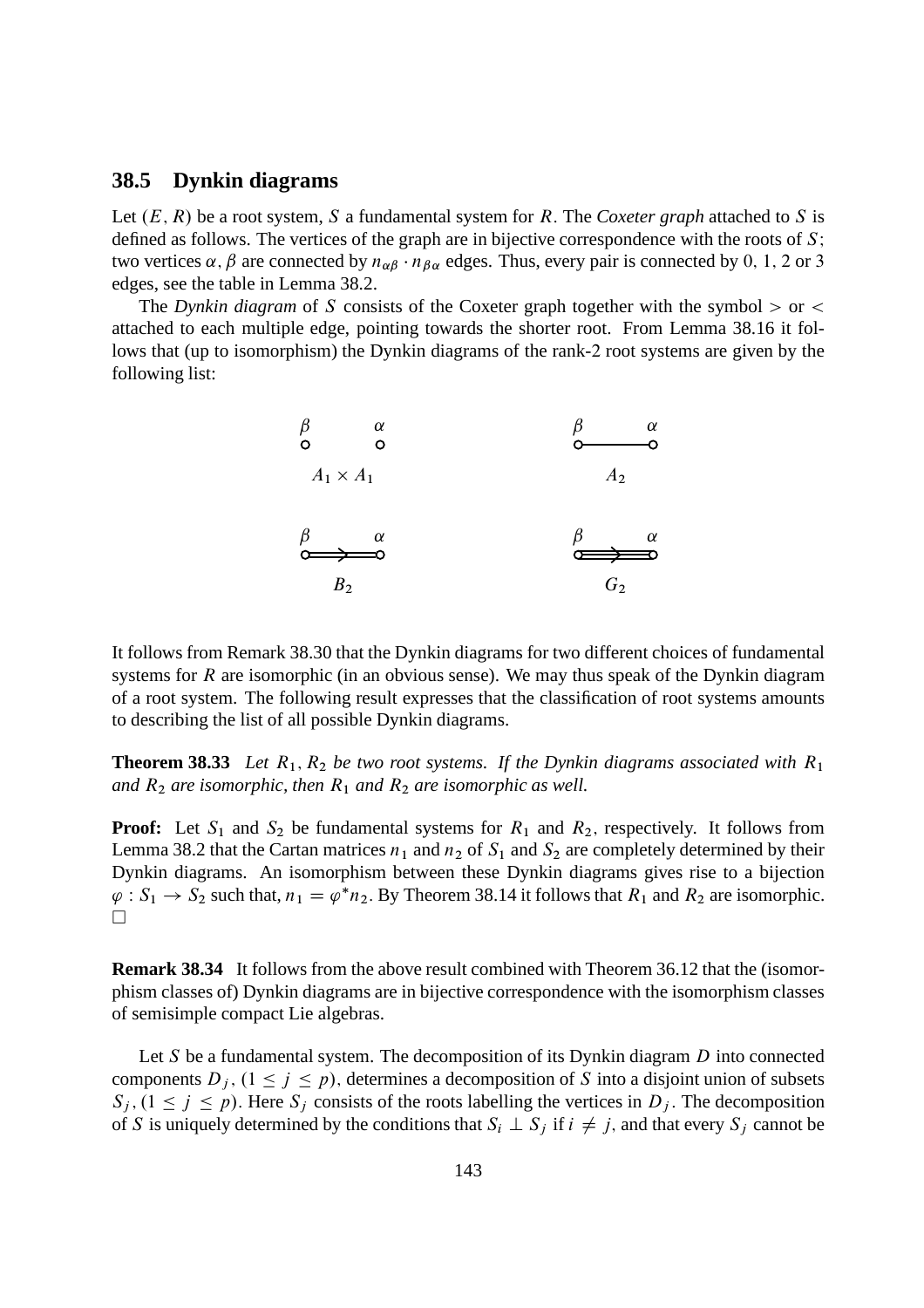### **38.5 Dynkin diagrams**

Let  $(E, R)$  be a root system, S a fundamental system for R. The *Coxeter graph* attached to S is defined as follows. The vertices of the graph are in bijective correspondence with the roots of  $S$ ; two vertices  $\alpha$ ,  $\beta$  are connected by  $n_{\alpha\beta} \cdot n_{\beta\alpha}$  edges. Thus, every pair is connected by 0, 1, 2 or 3 edges, see the table in Lemma 38.2.

The *Dynkin diagram* of S consists of the Coxeter graph together with the symbol  $>$  or  $<$ attached to each multiple edge, pointing towards the shorter root. From Lemma 38.16 it follows that (up to isomorphism) the Dynkin diagrams of the rank-2 root systems are given by the following list:



It follows from Remark 38.30 that the Dynkin diagrams for two different choices of fundamental systems for  $R$  are isomorphic (in an obvious sense). We may thus speak of the Dynkin diagram of a root system. The following result expresses that the classification of root systems amounts to describing the list of all possible Dynkin diagrams.

**Theorem 38.33** *Let*  $R_1$ ,  $R_2$  *be two root systems. If the Dynkin diagrams associated with*  $R_1$ *and*  $R_2$  *are isomorphic, then*  $R_1$  *and*  $R_2$  *are isomorphic as well.* 

**Proof:** Let  $S_1$  and  $S_2$  be fundamental systems for  $R_1$  and  $R_2$ , respectively. It follows from Lemma 38.2 that the Cartan matrices  $n_1$  and  $n_2$  of  $S_1$  and  $S_2$  are completely determined by their Dynkin diagrams. An isomorphism between these Dynkin diagrams gives rise to a bijection  $\varphi : S_1 \to S_2$  such that,  $n_1 = \varphi^* n_2$ . By Theorem 38.14 it follows that  $R_1$  and  $R_2$  are isomorphic.  $\Box$ 

**Remark 38.34** It follows from the above result combined with Theorem 36.12 that the (isomorphism classes of) Dynkin diagrams are in bijective correspondence with the isomorphism classes of semisimple compact Lie algebras.

Let  $S$  be a fundamental system. The decomposition of its Dynkin diagram  $D$  into connected components  $D_i$ ,  $(1 \le i \le p)$ , determines a decomposition of S into a disjoint union of subsets  $S_i$ ,  $(1 \le j \le p)$ . Here  $S_j$  consists of the roots labelling the vertices in D<sub>i</sub>. The decomposition of S is uniquely determined by the conditions that  $S_i \perp S_j$  if  $i \neq j$ , and that every  $S_j$  cannot be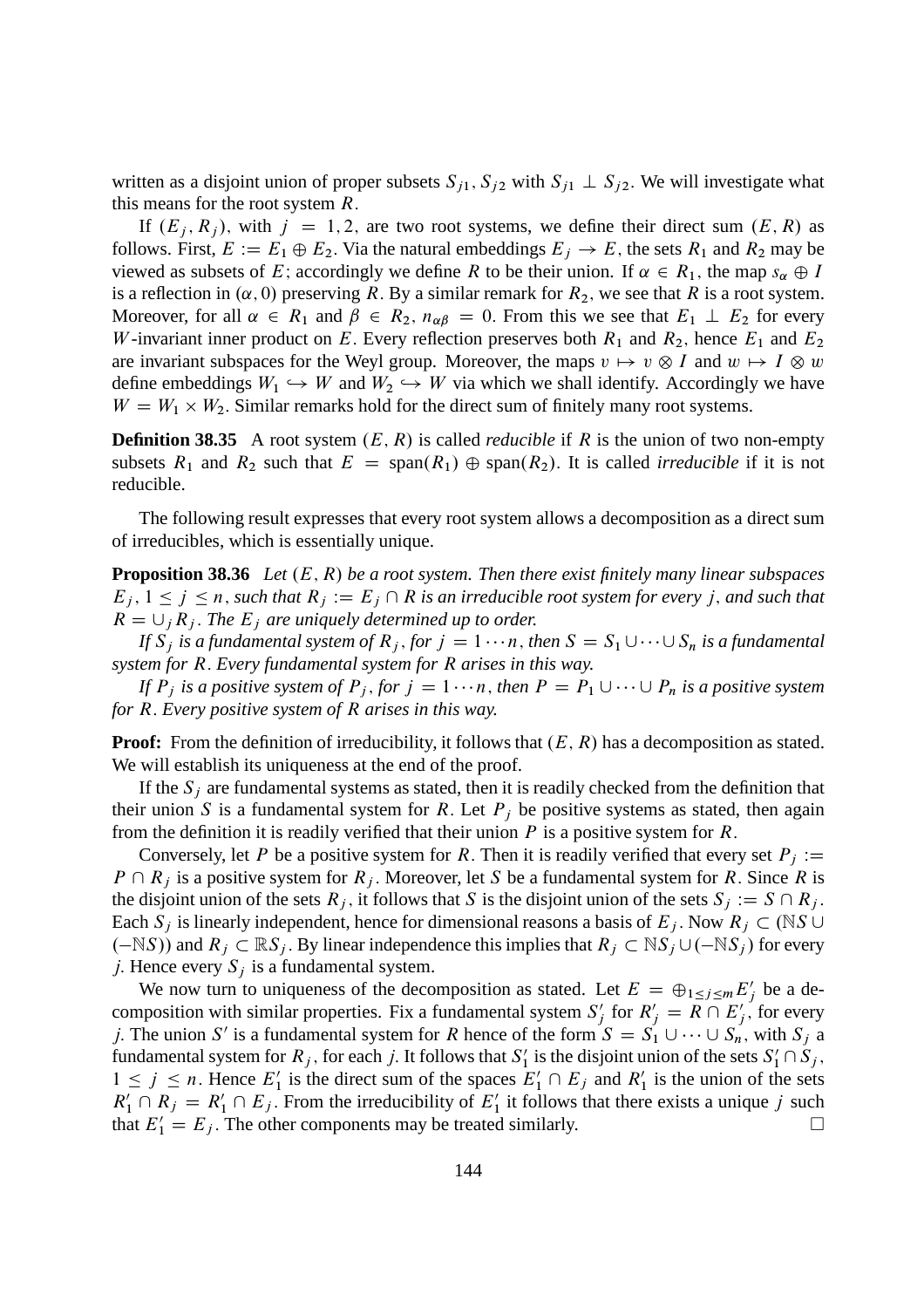written as a disjoint union of proper subsets  $S_{i1}$ ,  $S_{i2}$  with  $S_{i1} \perp S_{i2}$ . We will investigate what this means for the root system *.* 

If  $(E_i, R_j)$ , with  $j = 1, 2$ , are two root systems, we define their direct sum  $(E, R)$  as follows. First,  $E := E_1 \oplus E_2$ . Via the natural embeddings  $E_i \rightarrow E$ , the sets  $R_1$  and  $R_2$  may be viewed as subsets of E; accordingly we define R to be their union. If  $\alpha \in R_1$ , the map  $s_{\alpha} \oplus I$ is a reflection in  $(\alpha, 0)$  preserving R. By a similar remark for  $R_2$ , we see that R is a root system. Moreover, for all  $\alpha \in R_1$  and  $\beta \in R_2$ ,  $n_{\alpha\beta} = 0$ . From this we see that  $E_1 \perp E_2$  for every W-invariant inner product on E. Every reflection preserves both  $R_1$  and  $R_2$ , hence  $E_1$  and  $E_2$ are invariant subspaces for the Weyl group. Moreover, the maps  $v \mapsto v \otimes I$  and  $w \mapsto I \otimes w$ define embeddings  $W_1 \hookrightarrow W$  and  $W_2 \hookrightarrow W$  via which we shall identify. Accordingly we have  $W = W_1 \times W_2$ . Similar remarks hold for the direct sum of finitely many root systems.

**Definition 38.35** A root system  $(E, R)$  is called *reducible* if R is the union of two non-empty subsets  $R_1$  and  $R_2$  such that  $E = \text{span}(R_1) \oplus \text{span}(R_2)$ . It is called *irreducible* if it is not reducible.

The following result expresses that every root system allows a decomposition as a direct sum of irreducibles, which is essentially unique.

**Proposition 38.36** *Let*  $(E, R)$  *be a root system. Then there exist finitely many linear subspaces*  $E_j$ ,  $1 \le j \le n$ , such that  $R_j := E_j \cap R$  is an irreducible root system for every j, and such that  $R = \bigcup_j R_j$ . The  $E_j$  are uniquely determined up to order.

*If*  $S_i$  *is a fundamental system of*  $R_i$ , *for*  $j = 1 \cdots n$ , *then*  $S = S_1 \cup \cdots \cup S_n$  *is a fundamental system for* R: *Every fundamental system for* R *arises in this way.*

*If*  $P_i$  *is a positive system of*  $P_j$ *, for*  $j = 1 \cdots n$ *, then*  $P = P_1 \cup \cdots \cup P_n$  *is a positive system for* R: *Every positive system of* R *arises in this way.*

**Proof:** From the definition of irreducibility, it follows that  $(E, R)$  has a decomposition as stated. We will establish its uniqueness at the end of the proof.

If the  $S_i$  are fundamental systems as stated, then it is readily checked from the definition that their union S is a fundamental system for R. Let  $P_i$  be positive systems as stated, then again from the definition it is readily verified that their union  $P$  is a positive system for  $R$ .

Conversely, let P be a positive system for R. Then it is readily verified that every set  $P_i :=$  $P \cap R_i$  is a positive system for  $R_i$ . Moreover, let S be a fundamental system for R. Since R is the disjoint union of the sets  $R_j$ , it follows that S is the disjoint union of the sets  $S_j := S \cap R_j$ . Each  $S_j$  is linearly independent, hence for dimensional reasons a basis of  $E_j$ . Now  $R_j \subset (NS \cup$  $(-NS)$ ) and  $R_j \subset \mathbb{R}S_j$ . By linear independence this implies that  $R_j \subset \mathbb{N}S_j \cup (-\mathbb{N}S_j)$  for every j. Hence every  $S_i$  is a fundamental system.

We now turn to uniqueness of the decomposition as stated. Let  $E = \bigoplus_{1 \le j \le m} E'_j$  be a decomposition with similar properties. Fix a fundamental system  $S'_j$  for  $R'_j = R \cap E'_j$ , for every j. The union S' is a fundamental system for R hence of the form  $S = S_1 \cup \cdots \cup S_n$ , with  $S_j$  a fundamental system for  $R_j$ , for each j. It follows that  $S'_1$  is the disjoint union of the sets  $S'_1 \cap S_j$ ,  $1 \le j \le n$ . Hence  $E'_1$  is the direct sum of the spaces  $E'_1 \cap E_j$  and  $R'_1$  is the union of the sets  $R'_1 \cap R_j = R'_1 \cap E_j$ . From the irreducibility of  $E'_1$  it follows that there exists a unique j such that  $E_1' = E_j$ . The other components may be treated similarly.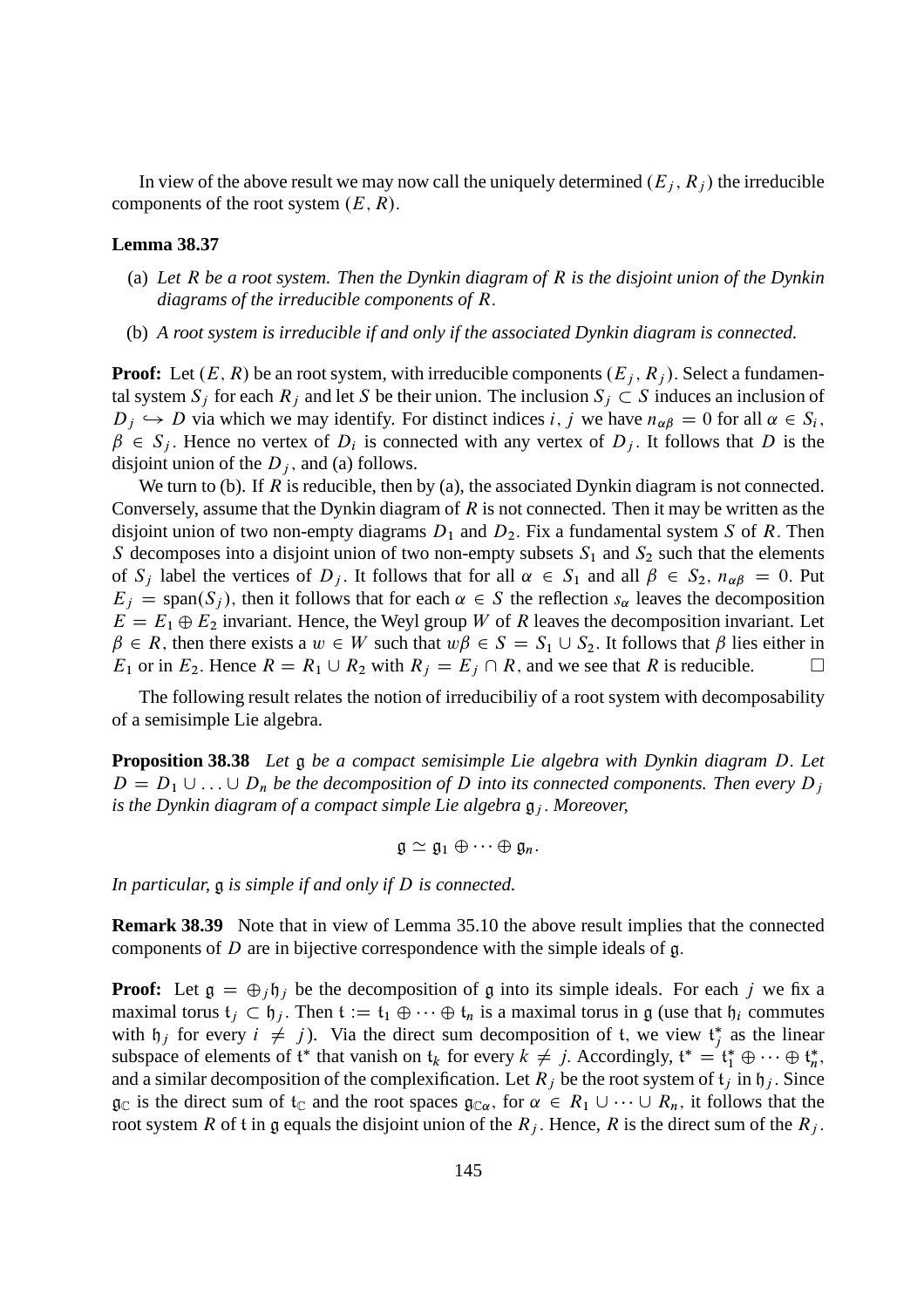In view of the above result we may now call the uniquely determined  $(E_i, R_j)$  the irreducible components of the root system  $(E, R)$ .

## **Lemma 38.37**

- (a) *Let* R *be a root system. Then the Dynkin diagram of* R *is the disjoint union of the Dynkin diagrams of the irreducible components of* R:
- (b) *A root system is irreducible if and only if the associated Dynkin diagram is connected.*

**Proof:** Let  $(E, R)$  be an root system, with irreducible components  $(E_i, R_j)$ . Select a fundamental system  $S_j$  for each  $R_j$  and let S be their union. The inclusion  $S_j \subset S$  induces an inclusion of  $D_j \hookrightarrow D$  via which we may identify. For distinct indices i, j we have  $n_{\alpha\beta} = 0$  for all  $\alpha \in S_i$ ,  $\beta \in S_j$ . Hence no vertex of  $D_i$  is connected with any vertex of  $D_j$ . It follows that D is the disjoint union of the  $D_i$ , and (a) follows.

We turn to (b). If R is reducible, then by (a), the associated Dynkin diagram is not connected. Conversely, assume that the Dynkin diagram of  $R$  is not connected. Then it may be written as the disjoint union of two non-empty diagrams  $D_1$  and  $D_2$ . Fix a fundamental system S of R. Then S decomposes into a disjoint union of two non-empty subsets  $S_1$  and  $S_2$  such that the elements of  $S_i$  label the vertices of  $D_i$ . It follows that for all  $\alpha \in S_1$  and all  $\beta \in S_2$ ,  $n_{\alpha\beta} = 0$ . Put  $E_j$  = span(S<sub>i</sub>), then it follows that for each  $\alpha \in S$  the reflection s<sub> $\alpha$ </sub> leaves the decomposition  $E = E_1 \oplus E_2$  invariant. Hence, the Weyl group W of R leaves the decomposition invariant. Let  $\beta \in R$ , then there exists a  $w \in W$  such that  $w\beta \in S = S_1 \cup S_2$ . It follows that  $\beta$  lies either in  $E_1$  or in  $E_2$ . Hence  $R = R_1 \cup R_2$  with  $R_i = E_i \cap R$ , and we see that R is reducible.  $E_1$  or in  $E_2$ . Hence  $R = R_1 \cup R_2$  with  $R_j = E_j \cap R$ , and we see that R is reducible.

The following result relates the notion of irreducibiliy of a root system with decomposability of a semisimple Lie algebra.

**Proposition 38.38** *Let* g *be a compact semisimple Lie algebra with Dynkin diagram* D: *Let*  $D = D_1 \cup ... \cup D_n$  be the decomposition of D into its connected components. Then every  $D_i$ *is the Dynkin diagram of a compact simple Lie algebra*  $\mathfrak{g}_i$ *. Moreover,* 

$$
\mathfrak{g}\simeq \mathfrak{g}_1\oplus\cdots\oplus\mathfrak{g}_n.
$$

*In particular,* g *is simple if and only if* D *is connected.*

**Remark 38.39** Note that in view of Lemma 35.10 the above result implies that the connected components of  $D$  are in bijective correspondence with the simple ideals of  $\mathfrak{g}$ .

**Proof:** Let  $g = \bigoplus_i f_i$  be the decomposition of g into its simple ideals. For each j we fix a maximal torus  $t_i \subset \mathfrak{h}_i$ . Then  $t := t_1 \oplus \cdots \oplus t_n$  is a maximal torus in g (use that  $\mathfrak{h}_i$  commutes with  $\mathfrak{h}_j$  for every  $i \neq j$ ). Via the direct sum decomposition of t, we view  $\mathfrak{t}_j^*$  as the linear subspace of elements of  $\mathfrak{t}^*$  that vanish on  $\mathfrak{t}_k$  for every  $k \neq j$ . Accordingly,  $\mathfrak{t}^* = \mathfrak{t}_1^* \oplus \cdots \oplus \mathfrak{t}_n^*$ , and a similar decomposition of the complexification. Let  $R_i$  be the root system of  $t_i$  in  $h_j$ . Since  $\mathfrak{g}_{\mathbb{C}}$  is the direct sum of  $\mathfrak{t}_{\mathbb{C}}$  and the root spaces  $\mathfrak{g}_{\mathbb{C}\alpha}$ , for  $\alpha \in R_1 \cup \cdots \cup R_n$ , it follows that the root system R of t in g equals the disjoint union of the  $R_j$ . Hence, R is the direct sum of the  $R_j$ .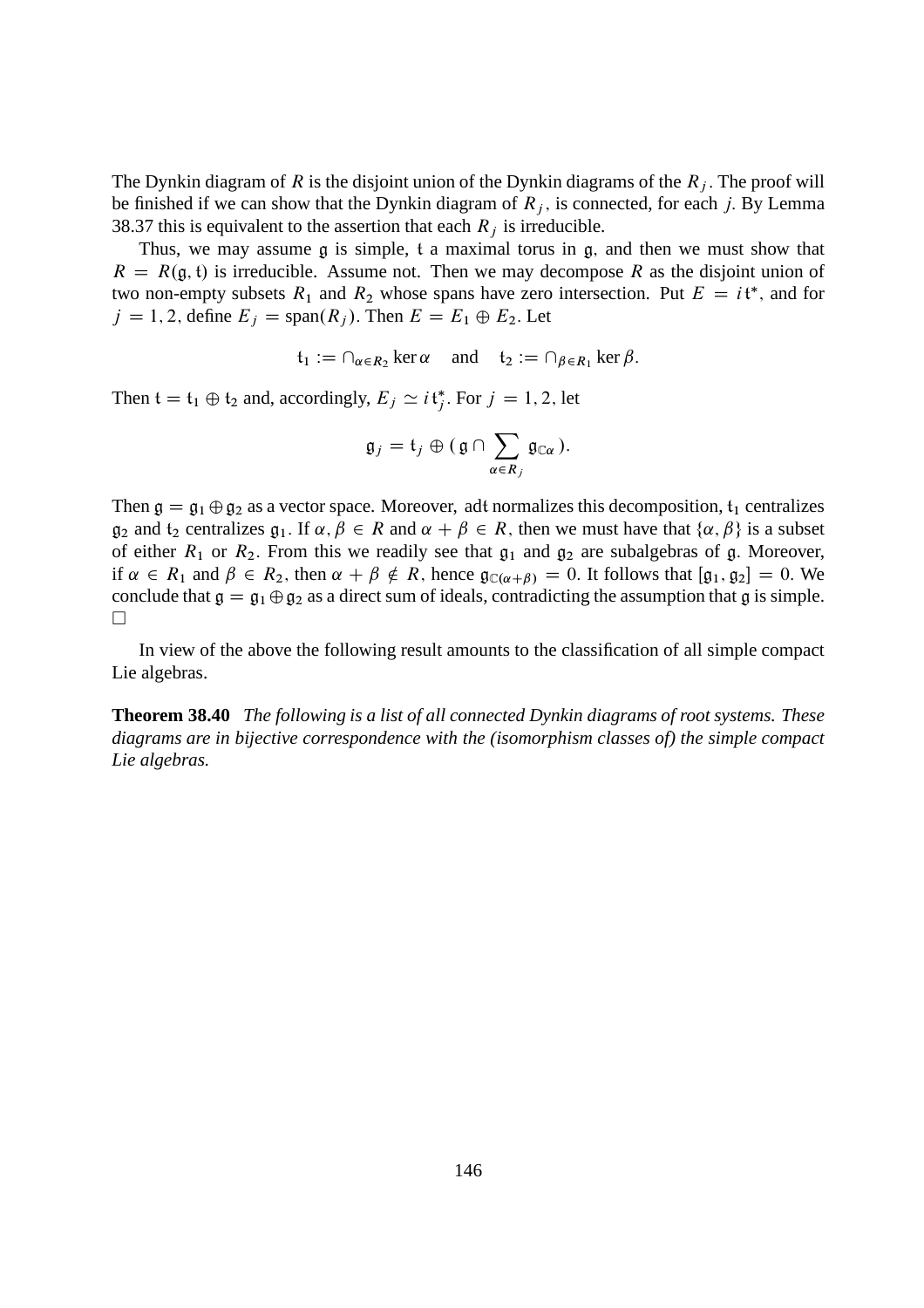The Dynkin diagram of R is the disjoint union of the Dynkin diagrams of the  $R_i$ . The proof will be finished if we can show that the Dynkin diagram of  $R_i$ , is connected, for each j. By Lemma 38.37 this is equivalent to the assertion that each  $R_i$  is irreducible.

Thus, we may assume g is simple, t a maximal torus in g; and then we must show that  $R = R(g, t)$  is irreducible. Assume not. Then we may decompose R as the disjoint union of two non-empty subsets  $R_1$  and  $R_2$  whose spans have zero intersection. Put  $E = i\mathfrak{t}^*$ , and for  $j = 1, 2$ , define  $E_j = \text{span}(R_j)$ . Then  $E = E_1 \oplus E_2$ . Let

$$
\mathfrak{t}_1 := \cap_{\alpha \in R_2} \ker \alpha \quad \text{ and } \quad \mathfrak{t}_2 := \cap_{\beta \in R_1} \ker \beta.
$$

Then  $t = t_1 \oplus t_2$  and, accordingly,  $E_j \simeq i t_j^*$ . For  $j = 1, 2$ , let

$$
\mathfrak{g}_j=\mathfrak{t}_j\oplus(\mathfrak{g}\cap\sum_{\alpha\in R_j}\mathfrak{g}_{\mathbb{C}\alpha}).
$$

Then  $\mathfrak{g} = \mathfrak{g}_1 \oplus \mathfrak{g}_2$  as a vector space. Moreover, adt normalizes this decomposition,  $t_1$  centralizes  $g_2$  and  $t_2$  centralizes  $g_1$ . If  $\alpha, \beta \in R$  and  $\alpha + \beta \in R$ , then we must have that  $\{\alpha, \beta\}$  is a subset of either  $R_1$  or  $R_2$ . From this we readily see that  $\mathfrak{g}_1$  and  $\mathfrak{g}_2$  are subalgebras of g. Moreover, if  $\alpha \in R_1$  and  $\beta \in R_2$ , then  $\alpha + \beta \notin R$ , hence  $\mathfrak{g}_{\mathbb{C}(\alpha+\beta)} = 0$ . It follows that  $[\mathfrak{g}_1, \mathfrak{g}_2] = 0$ . We conclude that  $\mathfrak{g} = \mathfrak{g}_1 \oplus \mathfrak{g}_2$  as a direct sum of ideals, contradicting the assumption that  $\mathfrak{g}$  is simple.  $\Box$ 

In view of the above the following result amounts to the classification of all simple compact Lie algebras.

**Theorem 38.40** *The following is a list of all connected Dynkin diagrams of root systems. These diagrams are in bijective correspondence with the (isomorphism classes of) the simple compact Lie algebras.*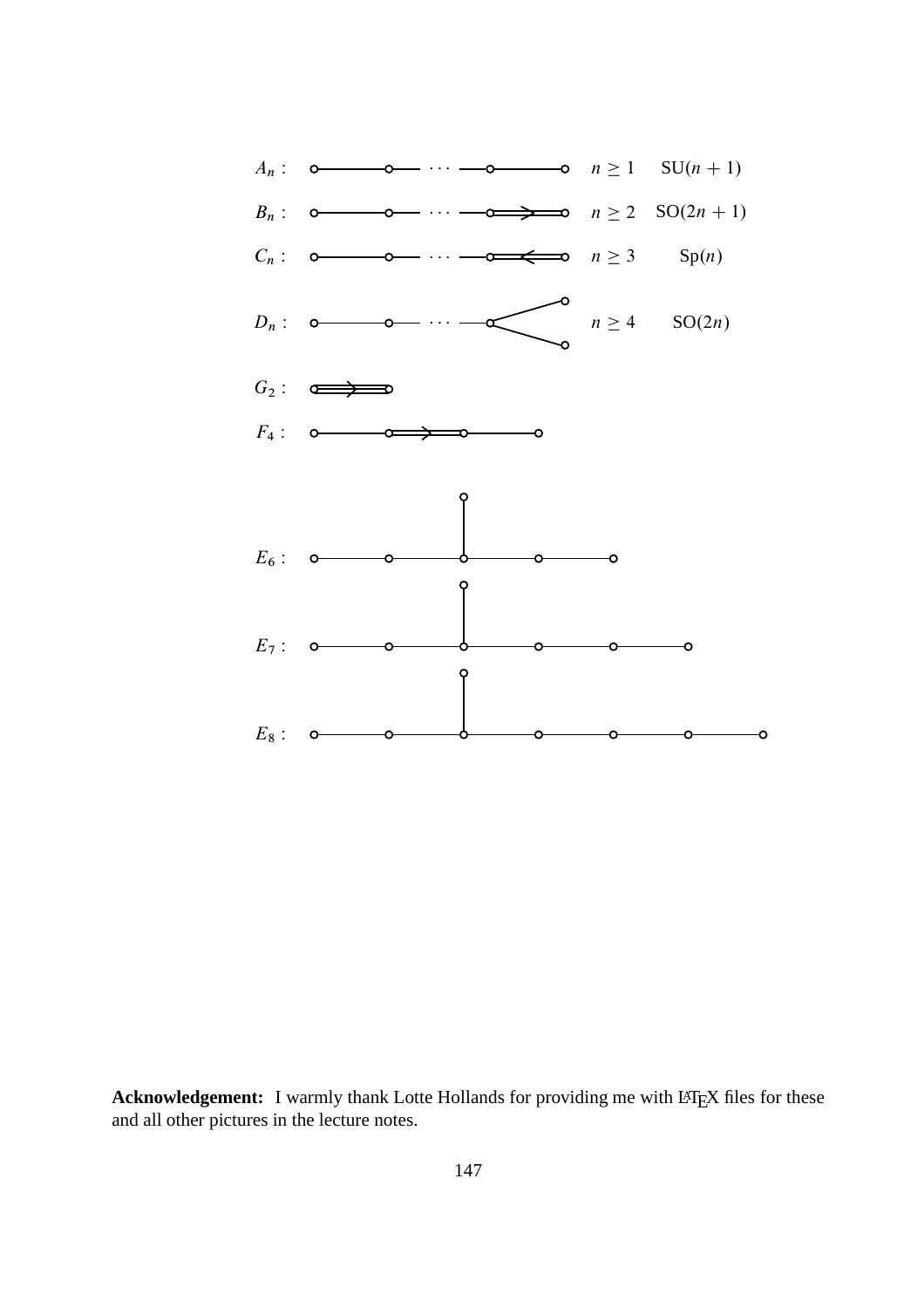

Acknowledgement: I warmly thank Lotte Hollands for providing me with LATEX files for these and all other pictures in the lecture notes.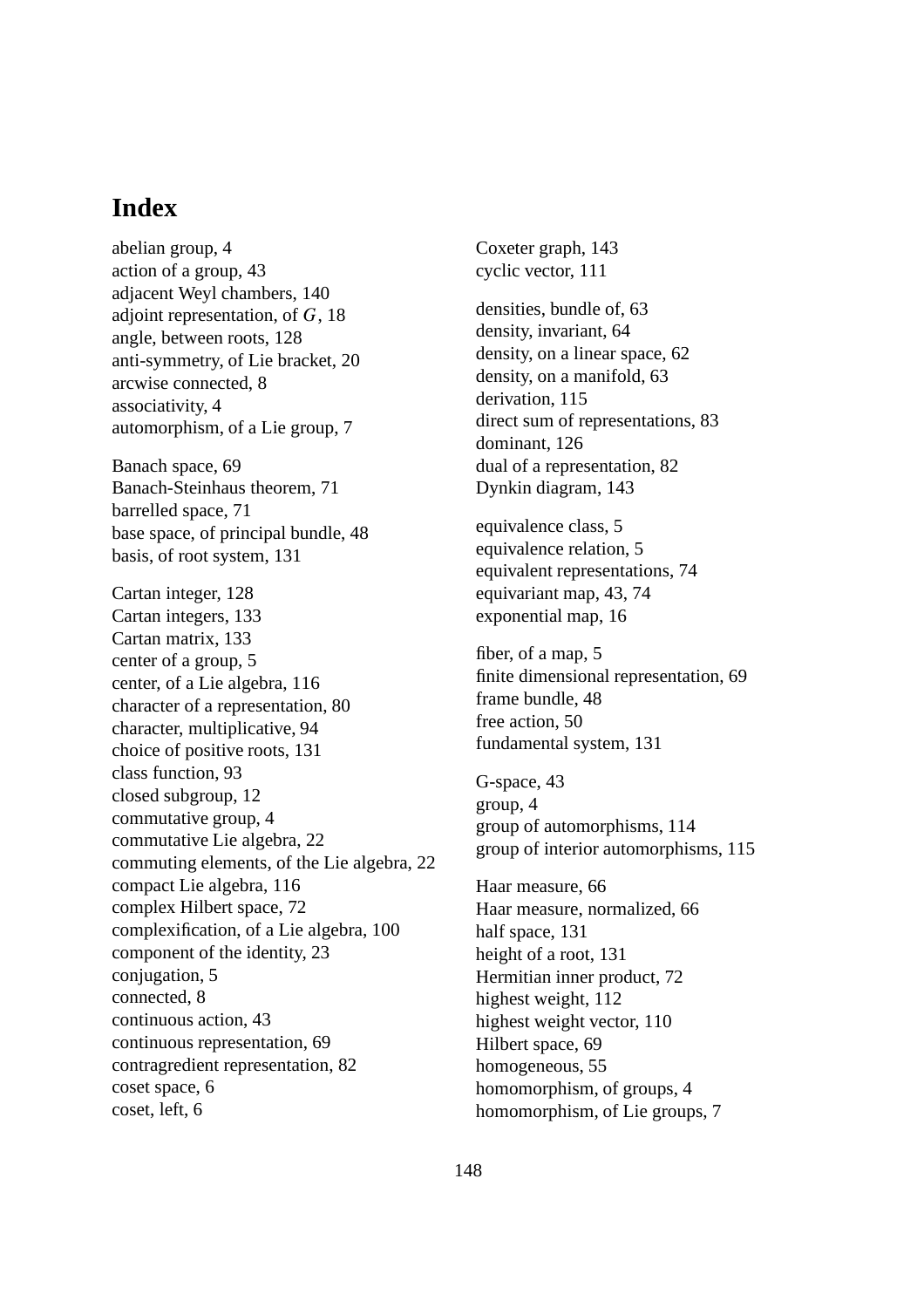## **Index**

abelian group, 4 action of a group, 43 adjacent Weyl chambers, 140 adjoint representation, of G, 18 angle, between roots, 128 anti-symmetry, of Lie bracket, 20 arcwise connected, 8 associativity, 4 automorphism, of a Lie group, 7 Banach space, 69 Banach-Steinhaus theorem, 71 barrelled space, 71 base space, of principal bundle, 48 basis, of root system, 131 Cartan integer, 128 Cartan integers, 133 Cartan matrix, 133 center of a group, 5 center, of a Lie algebra, 116 character of a representation, 80 character, multiplicative, 94 choice of positive roots, 131 class function, 93 closed subgroup, 12 commutative group, 4 commutative Lie algebra, 22 commuting elements, of the Lie algebra, 22 compact Lie algebra, 116 complex Hilbert space, 72 complexification, of a Lie algebra, 100 component of the identity, 23 conjugation, 5 connected, 8 continuous action, 43 continuous representation, 69 contragredient representation, 82 coset space, 6 coset, left, 6

Coxeter graph, 143 cyclic vector, 111 densities, bundle of, 63 density, invariant, 64 density, on a linear space, 62 density, on a manifold, 63 derivation, 115 direct sum of representations, 83 dominant, 126 dual of a representation, 82 Dynkin diagram, 143 equivalence class, 5 equivalence relation, 5 equivalent representations, 74 equivariant map, 43, 74 exponential map, 16 fiber, of a map, 5 finite dimensional representation, 69 frame bundle, 48 free action, 50 fundamental system, 131 G-space, 43 group, 4 group of automorphisms, 114 group of interior automorphisms, 115 Haar measure, 66 Haar measure, normalized, 66 half space, 131 height of a root, 131 Hermitian inner product, 72 highest weight, 112 highest weight vector, 110 Hilbert space, 69 homogeneous, 55 homomorphism, of groups, 4 homomorphism, of Lie groups, 7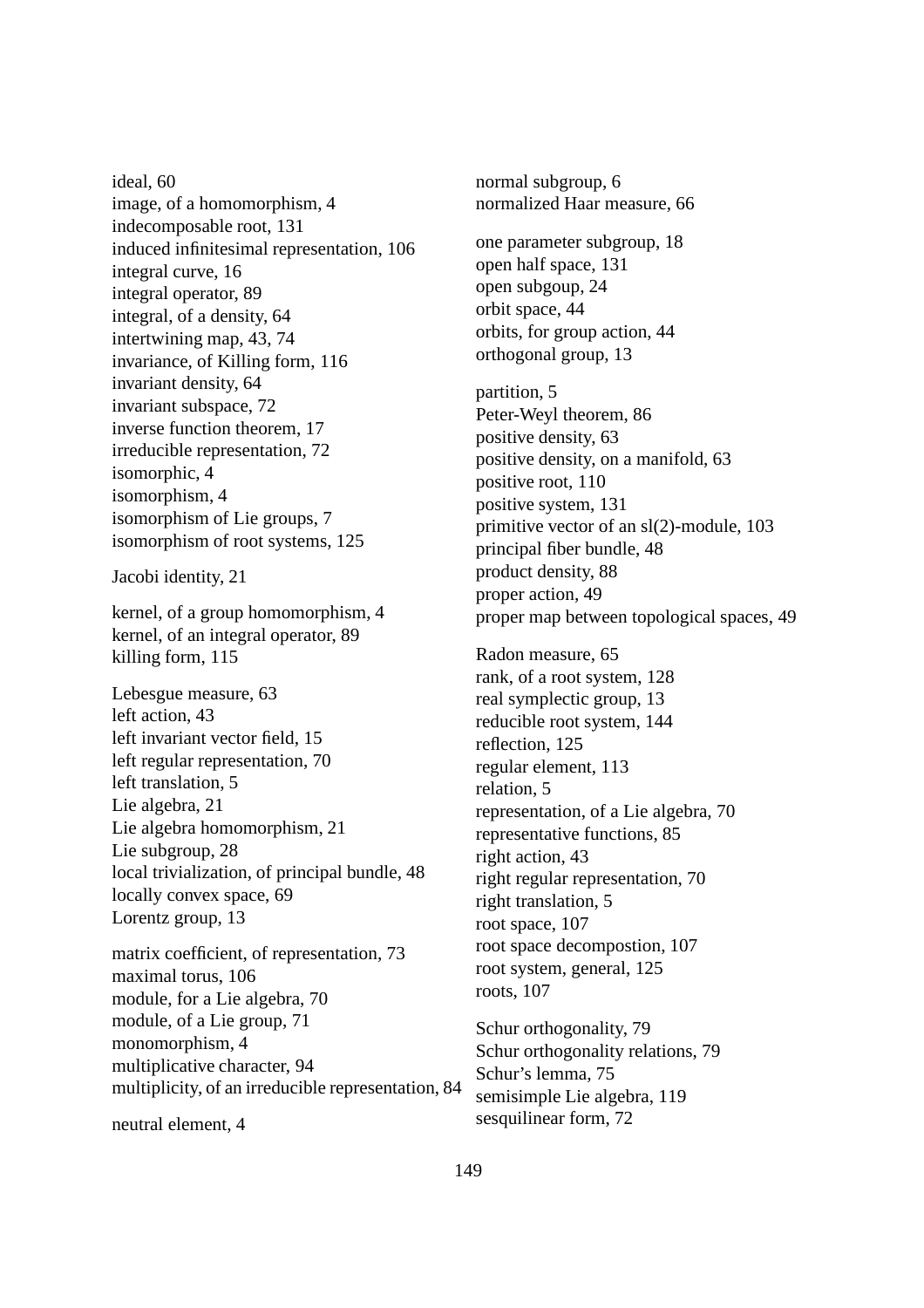ideal, 60 image, of a homomorphism, 4 indecomposable root, 131 induced infinitesimal representation, 106 integral curve, 16 integral operator, 89 integral, of a density, 64 intertwining map, 43, 74 invariance, of Killing form, 116 invariant density, 64 invariant subspace, 72 inverse function theorem, 17 irreducible representation, 72 isomorphic, 4 isomorphism, 4 isomorphism of Lie groups, 7 isomorphism of root systems, 125 Jacobi identity, 21 kernel, of a group homomorphism, 4 kernel, of an integral operator, 89 killing form, 115 Lebesgue measure, 63 left action, 43 left invariant vector field, 15 left regular representation, 70 left translation, 5 Lie algebra, 21 Lie algebra homomorphism, 21 Lie subgroup, 28

local trivialization, of principal bundle, 48 locally convex space, 69 Lorentz group, 13

matrix coefficient, of representation, 73 maximal torus, 106 module, for a Lie algebra, 70 module, of a Lie group, 71 monomorphism, 4 multiplicative character, 94 multiplicity, of an irreducible representation, 84

neutral element, 4

normal subgroup, 6 normalized Haar measure, 66 one parameter subgroup, 18 open half space, 131 open subgoup, 24 orbit space, 44 orbits, for group action, 44 orthogonal group, 13 partition, 5 Peter-Weyl theorem, 86 positive density, 63 positive density, on a manifold, 63 positive root, 110 positive system, 131 primitive vector of an sl(2)-module, 103 principal fiber bundle, 48 product density, 88 proper action, 49 proper map between topological spaces, 49 Radon measure, 65 rank, of a root system, 128 real symplectic group, 13 reducible root system, 144 reflection, 125 regular element, 113 relation, 5 representation, of a Lie algebra, 70 representative functions, 85 right action, 43 right regular representation, 70 right translation, 5 root space, 107 root space decompostion, 107 root system, general, 125 roots, 107

Schur orthogonality, 79 Schur orthogonality relations, 79 Schur's lemma, 75 semisimple Lie algebra, 119 sesquilinear form, 72